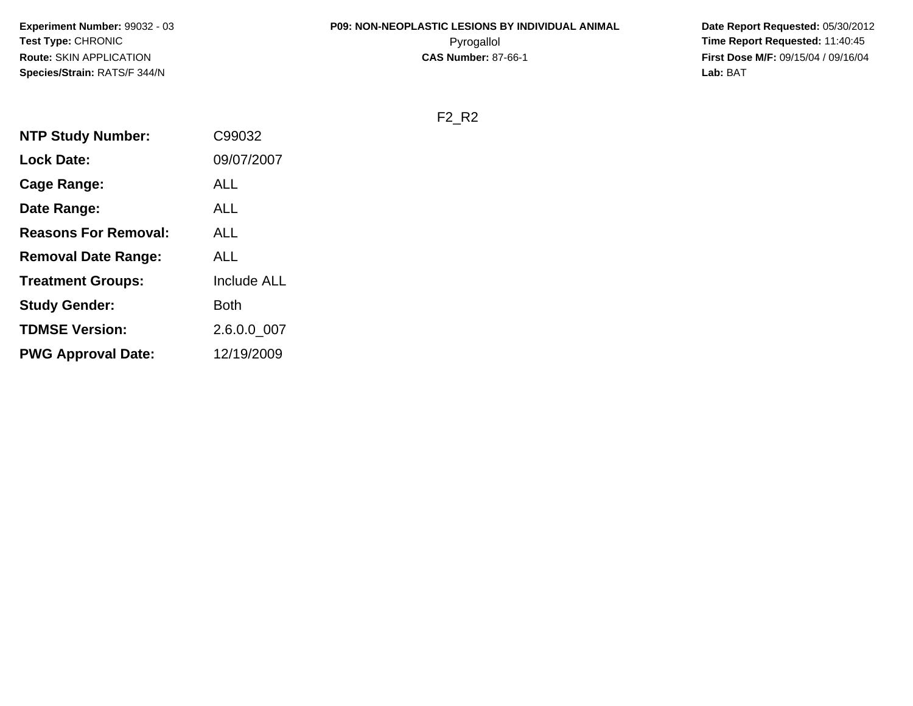# **P09: NON-NEOPLASTIC LESIONS BY INDIVIDUAL ANIMAL**

 **Date Report Requested:** 05/30/2012 Pyrogallol **Time Report Requested:** 11:40:45 **First Dose M/F:** 09/15/04 / 09/16/04<br>**Lab:** BAT **Lab:** BAT

F2\_R2

| <b>NTP Study Number:</b>    | C99032             |
|-----------------------------|--------------------|
| <b>Lock Date:</b>           | 09/07/2007         |
| Cage Range:                 | ALL                |
| Date Range:                 | <b>ALL</b>         |
| <b>Reasons For Removal:</b> | ALL                |
| <b>Removal Date Range:</b>  | <b>ALL</b>         |
| <b>Treatment Groups:</b>    | <b>Include ALL</b> |
| <b>Study Gender:</b>        | Both               |
| <b>TDMSE Version:</b>       | 2.6.0.0_007        |
| <b>PWG Approval Date:</b>   | 12/19/2009         |
|                             |                    |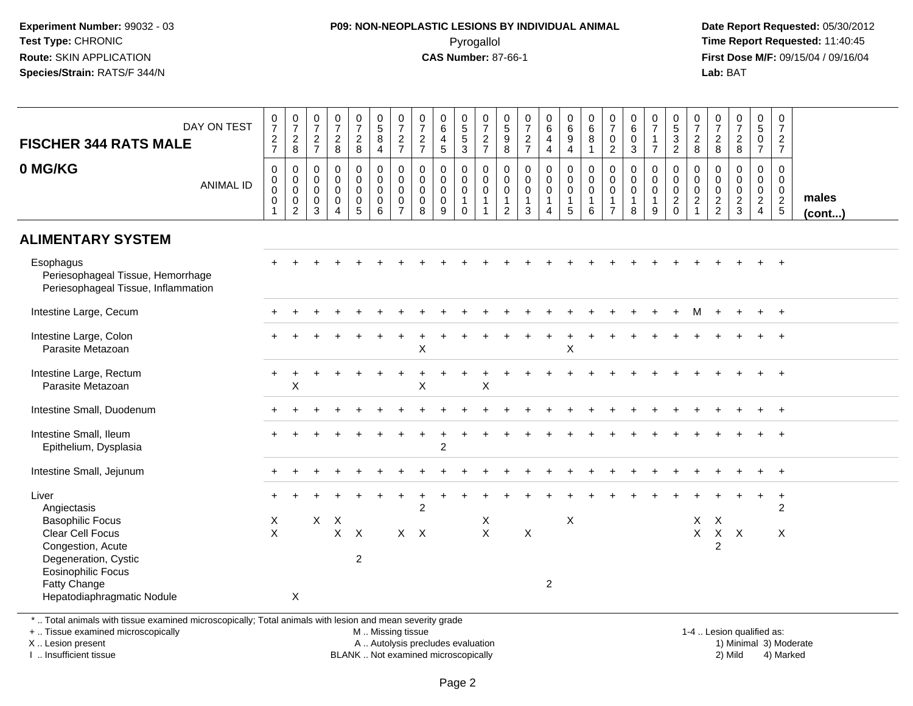#### **P09: NON-NEOPLASTIC LESIONS BY INDIVIDUAL ANIMAL**Pyrogallol **Time Report Requested:** 11:40:45

 **Date Report Requested:** 05/30/2012 **First Dose M/F:** 09/15/04 / 09/16/04 Lab: BAT **Lab:** BAT

| DAY ON TEST<br><b>FISCHER 344 RATS MALE</b>                                                              | $\frac{0}{7}$<br>$\frac{2}{7}$                                   | $\frac{0}{7}$<br>$\frac{2}{8}$                                      | $\frac{0}{7}$<br>$\frac{2}{7}$                                 | $\frac{0}{7}$<br>$\frac{2}{8}$                                           | $\frac{0}{7}$<br>$\frac{2}{8}$                                                      | $\begin{array}{c} 0 \\ 5 \\ 8 \end{array}$<br>$\overline{4}$ | $\frac{0}{7}$<br>$\frac{2}{7}$                                                   | $\frac{0}{7}$<br>$\frac{2}{7}$                      | 0<br>6<br>$\overline{4}$<br>5                                 | $^{\rm 0}_{\rm 5}$<br>$\overline{5}$<br>$\overline{3}$         | $\frac{0}{7}$<br>$\frac{2}{7}$                                              | 0<br>9<br>9<br>8                                             | 0<br>$\overline{7}$<br>$\frac{2}{7}$                 | $\begin{array}{c} 0 \\ 6 \end{array}$<br>$\overline{4}$<br>$\overline{4}$    | $\begin{array}{c} 0 \\ 6 \end{array}$<br>$\overline{9}$<br>$\overline{a}$ | 0<br>6<br>8<br>1                                                        | $\frac{0}{7}$<br>$\pmb{0}$<br>$\overline{2}$                       | 0<br>$\,6\,$<br>$\mathbf 0$<br>3                               | $\frac{0}{7}$<br>$\overline{7}$                    | $\begin{array}{c} 0 \\ 5 \\ 2 \end{array}$                    | 0<br>$\overline{7}$<br>$\frac{2}{8}$                                         | $\pmb{0}$<br>$\overline{7}$<br>$_{8}^2$                    | $\frac{0}{7}$<br>$_{\rm 8}^2$          | $\begin{array}{c} 0 \\ 5 \end{array}$<br>$\mathsf{O}\xspace$<br>$\overline{7}$ | $\begin{array}{c} 0 \\ 7 \end{array}$<br>$\frac{2}{7}$     |                 |
|----------------------------------------------------------------------------------------------------------|------------------------------------------------------------------|---------------------------------------------------------------------|----------------------------------------------------------------|--------------------------------------------------------------------------|-------------------------------------------------------------------------------------|--------------------------------------------------------------|----------------------------------------------------------------------------------|-----------------------------------------------------|---------------------------------------------------------------|----------------------------------------------------------------|-----------------------------------------------------------------------------|--------------------------------------------------------------|------------------------------------------------------|------------------------------------------------------------------------------|---------------------------------------------------------------------------|-------------------------------------------------------------------------|--------------------------------------------------------------------|----------------------------------------------------------------|----------------------------------------------------|---------------------------------------------------------------|------------------------------------------------------------------------------|------------------------------------------------------------|----------------------------------------|--------------------------------------------------------------------------------|------------------------------------------------------------|-----------------|
| 0 MG/KG<br><b>ANIMAL ID</b>                                                                              | 0<br>$\begin{smallmatrix} 0\\0 \end{smallmatrix}$<br>$\mathbf 0$ | $\mathbf 0$<br>0<br>$\overline{0}$<br>$\mathbf 0$<br>$\overline{2}$ | $\mathbf 0$<br>$\mathbf 0$<br>$\mathbf 0$<br>0<br>$\mathbf{3}$ | $\mathbf 0$<br>$\mathbf 0$<br>$\mathbf 0$<br>$\pmb{0}$<br>$\overline{4}$ | 0<br>$\mathsf{O}\xspace$<br>$\overline{0}$<br>$\begin{array}{c} 0 \\ 5 \end{array}$ | 0<br>$\overline{0}$<br>$\mathsf{O}\xspace$<br>$_{6}^{\rm 0}$ | $\mathbf 0$<br>$\mathbf 0$<br>$\ddot{\mathbf{0}}$<br>$\pmb{0}$<br>$\overline{7}$ | $\mathbf 0$<br>$\mathbf 0$<br>$\mathbf 0$<br>0<br>8 | $\mathbf 0$<br>$\mathbf 0$<br>$\mathbf 0$<br>$\mathbf 0$<br>9 | $\mathbf 0$<br>0<br>$\overline{0}$<br>$\mathbf{1}$<br>$\Omega$ | $\mathsf{O}$<br>$\overline{0}$ <sub>0</sub><br>$\mathbf{1}$<br>$\mathbf{1}$ | 0<br>$\overline{0}$<br>$0$<br>$\mathbf{1}$<br>$\overline{2}$ | $\mathbf 0$<br>0<br>$\mathbf 0$<br>$\mathbf{1}$<br>3 | $\mathbf 0$<br>$\overline{0}$ <sub>0</sub><br>$\mathbf{1}$<br>$\overline{4}$ | 0<br>$\mathbf 0$<br>$\overline{0}$<br>$\mathbf{1}$<br>5                   | $\mathbf 0$<br>$\mathbf 0$<br>$\overline{0}$<br>$\mathbf{1}$<br>$\,6\,$ | 0<br>$\pmb{0}$<br>$\overline{0}$<br>$\mathbf{1}$<br>$\overline{7}$ | $\mathbf 0$<br>$\mathbf 0$<br>$\mathbf 0$<br>$\mathbf{1}$<br>8 | $\mathbf 0$<br>0<br>$\pmb{0}$<br>$\mathbf{1}$<br>9 | $\mathbf 0$<br>$\mathbf 0$<br>$\mathsf{O}\xspace$<br>$^2_{0}$ | $\mathbf 0$<br>$\mathbf 0$<br>$\overline{0}$<br>$\sqrt{2}$<br>$\overline{1}$ | $\mathbf 0$<br>$\mathbf 0$<br>$\mathbf 0$<br>$\frac{2}{2}$ | 0<br>0<br>$\mathbf 0$<br>$\frac{2}{3}$ | 0<br>0<br>$\ddot{\mathbf{0}}$<br>$\overline{a}$<br>$\overline{4}$              | 0<br>$\mathbf 0$<br>$\mathbf 0$<br>$\overline{2}$<br>$5\,$ | males<br>(cont) |
| <b>ALIMENTARY SYSTEM</b>                                                                                 |                                                                  |                                                                     |                                                                |                                                                          |                                                                                     |                                                              |                                                                                  |                                                     |                                                               |                                                                |                                                                             |                                                              |                                                      |                                                                              |                                                                           |                                                                         |                                                                    |                                                                |                                                    |                                                               |                                                                              |                                                            |                                        |                                                                                |                                                            |                 |
| Esophagus<br>Periesophageal Tissue, Hemorrhage<br>Periesophageal Tissue, Inflammation                    |                                                                  |                                                                     |                                                                |                                                                          |                                                                                     |                                                              |                                                                                  |                                                     |                                                               |                                                                |                                                                             |                                                              |                                                      |                                                                              |                                                                           |                                                                         |                                                                    |                                                                |                                                    |                                                               |                                                                              |                                                            |                                        |                                                                                | $\ddot{}$                                                  |                 |
| Intestine Large, Cecum                                                                                   |                                                                  |                                                                     |                                                                |                                                                          |                                                                                     |                                                              |                                                                                  |                                                     |                                                               |                                                                |                                                                             |                                                              |                                                      |                                                                              |                                                                           |                                                                         |                                                                    |                                                                |                                                    | $+$                                                           | м                                                                            | $\ddot{}$                                                  |                                        | $\ddot{}$                                                                      | $+$                                                        |                 |
| Intestine Large, Colon<br>Parasite Metazoan                                                              |                                                                  |                                                                     |                                                                |                                                                          |                                                                                     |                                                              |                                                                                  | X                                                   |                                                               |                                                                |                                                                             |                                                              |                                                      |                                                                              | +<br>X                                                                    |                                                                         |                                                                    |                                                                |                                                    |                                                               |                                                                              |                                                            |                                        |                                                                                |                                                            |                 |
| Intestine Large, Rectum<br>Parasite Metazoan                                                             | $\pm$                                                            | $\times$                                                            |                                                                |                                                                          |                                                                                     |                                                              |                                                                                  | X                                                   |                                                               |                                                                | X                                                                           |                                                              |                                                      |                                                                              |                                                                           |                                                                         |                                                                    |                                                                |                                                    |                                                               |                                                                              |                                                            |                                        |                                                                                |                                                            |                 |
| Intestine Small, Duodenum                                                                                |                                                                  |                                                                     |                                                                |                                                                          |                                                                                     |                                                              |                                                                                  |                                                     |                                                               |                                                                |                                                                             |                                                              |                                                      |                                                                              |                                                                           |                                                                         |                                                                    |                                                                |                                                    |                                                               |                                                                              |                                                            |                                        |                                                                                | $+$                                                        |                 |
| Intestine Small, Ileum<br>Epithelium, Dysplasia                                                          |                                                                  |                                                                     |                                                                |                                                                          |                                                                                     |                                                              |                                                                                  |                                                     | $\mathfrak{p}$                                                |                                                                |                                                                             |                                                              |                                                      |                                                                              |                                                                           |                                                                         |                                                                    |                                                                |                                                    |                                                               |                                                                              |                                                            |                                        |                                                                                |                                                            |                 |
| Intestine Small, Jejunum                                                                                 |                                                                  |                                                                     |                                                                |                                                                          |                                                                                     |                                                              |                                                                                  |                                                     |                                                               |                                                                |                                                                             |                                                              |                                                      |                                                                              |                                                                           |                                                                         |                                                                    |                                                                |                                                    |                                                               |                                                                              |                                                            |                                        |                                                                                | $\ddot{}$                                                  |                 |
| Liver<br>Angiectasis<br><b>Basophilic Focus</b>                                                          | $\times$                                                         |                                                                     | X                                                              | $\boldsymbol{\mathsf{X}}$                                                |                                                                                     |                                                              |                                                                                  | $\overline{2}$                                      |                                                               |                                                                | X                                                                           |                                                              |                                                      |                                                                              | X                                                                         |                                                                         |                                                                    |                                                                |                                                    |                                                               | X                                                                            | $\boldsymbol{\mathsf{X}}$                                  |                                        |                                                                                | $\ddot{}$<br>$\overline{2}$                                |                 |
| Clear Cell Focus<br>Congestion, Acute<br>Degeneration, Cystic                                            | $\mathsf{X}$                                                     |                                                                     |                                                                | $\mathsf{X}$                                                             | $\boldsymbol{\mathsf{X}}$<br>$\overline{c}$                                         |                                                              |                                                                                  | $X$ $X$                                             |                                                               |                                                                | $\mathsf{X}$                                                                |                                                              | $\pmb{\times}$                                       |                                                                              |                                                                           |                                                                         |                                                                    |                                                                |                                                    |                                                               | $\mathsf{X}$                                                                 | $\mathsf{X}$<br>$\overline{c}$                             | $\mathsf{X}$                           |                                                                                | X                                                          |                 |
| <b>Eosinophilic Focus</b><br>Fatty Change<br>Hepatodiaphragmatic Nodule                                  |                                                                  | X                                                                   |                                                                |                                                                          |                                                                                     |                                                              |                                                                                  |                                                     |                                                               |                                                                |                                                                             |                                                              |                                                      | $\overline{2}$                                                               |                                                                           |                                                                         |                                                                    |                                                                |                                                    |                                                               |                                                                              |                                                            |                                        |                                                                                |                                                            |                 |
| *  Total animals with tissue examined microscopically; Total animals with lesion and mean severity grade |                                                                  |                                                                     |                                                                |                                                                          |                                                                                     |                                                              |                                                                                  |                                                     |                                                               |                                                                |                                                                             |                                                              |                                                      |                                                                              |                                                                           |                                                                         |                                                                    |                                                                |                                                    |                                                               |                                                                              |                                                            |                                        |                                                                                |                                                            |                 |

+ .. Tissue examined microscopically

X .. Lesion present

I .. Insufficient tissue

M .. Missing tissue

A .. Autolysis precludes evaluation 1999 (1999) 1999 (1999) 1999 (1999) 1999 (1999) Minimal 3) Minimal 3) Minimal 3) Minimal 3) Mild BLANK .. Not examined microscopically 2) Mild 4) Marked

1-4 .. Lesion qualified as: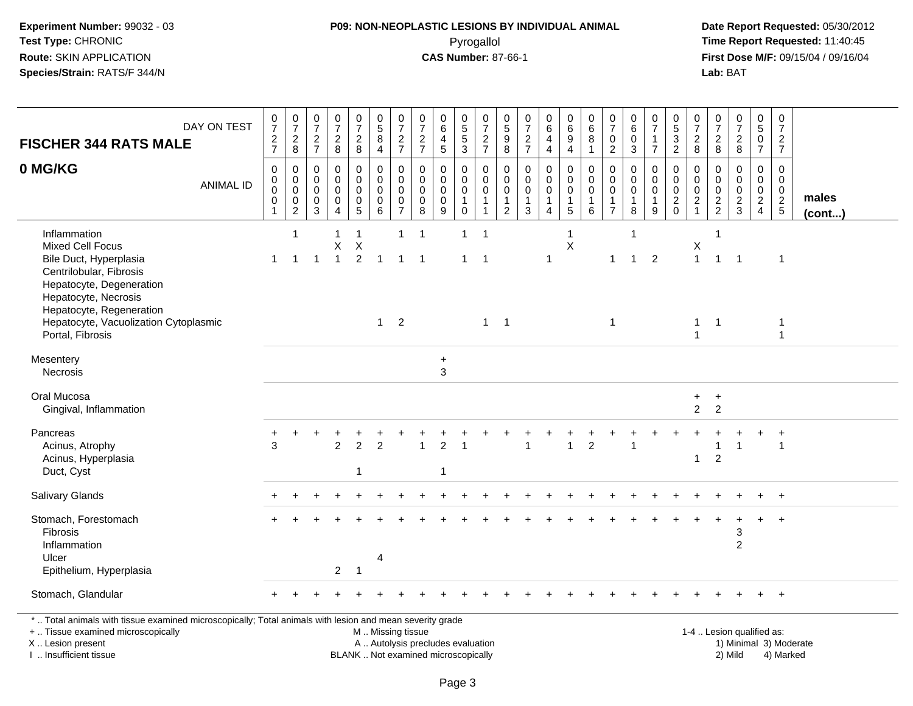#### **P09: NON-NEOPLASTIC LESIONS BY INDIVIDUAL ANIMAL**Pyrogallol **Time Report Requested:** 11:40:45

 **Date Report Requested:** 05/30/2012 **First Dose M/F:** 09/15/04 / 09/16/04<br>Lab: BAT **Lab:** BAT

| <b>FISCHER 344 RATS MALE</b>                                                                                                                                                                                          | DAY ON TEST      | $\frac{0}{7}$<br>$\frac{2}{7}$                                 | 0728                                                                       | $\begin{matrix} 0 \\ 7 \end{matrix}$<br>$\overline{c}$<br>$\overline{7}$ | $\frac{0}{7}$<br>$\boldsymbol{2}$<br>8        | $\frac{0}{7}$<br>$\overline{a}$<br>8              | $\begin{array}{c} 0 \\ 5 \\ 8 \end{array}$<br>$\overline{4}$ | $\frac{0}{7}$<br>$\boldsymbol{2}$<br>$\overline{7}$                      | $\begin{array}{c} 0 \\ 7 \end{array}$<br>$\sqrt{2}$<br>$\overline{7}$ | $\pmb{0}$<br>$\,6\,$<br>4<br>$\sqrt{5}$                   | $\begin{array}{c} 0 \\ 5 \\ 5 \end{array}$<br>$\mathsf 3$  | $\frac{0}{7}$<br>$\frac{2}{7}$                       | 0<br>$\frac{5}{9}$<br>8                                 | $\pmb{0}$<br>$\overline{7}$<br>$\frac{2}{7}$ | $_{6}^{\rm 0}$<br>4<br>$\overline{4}$                          | $\begin{array}{c} 0 \\ 6 \\ 9 \end{array}$<br>$\overline{4}$          | $\begin{array}{c} 0 \\ 6 \end{array}$<br>8<br>$\mathbf{1}$        | $\frac{0}{7}$<br>$\mathbf 0$<br>$\overline{2}$                    | $\pmb{0}$<br>$\,6\,$<br>$\overline{0}$<br>$\mathbf{3}$ | $\frac{0}{7}$<br>$\overline{7}$                   | $\begin{array}{c} 0 \\ 5 \\ 3 \end{array}$<br>$\overline{2}$ | $\frac{0}{7}$<br>$\frac{2}{8}$                              | $\begin{smallmatrix}0\\7\end{smallmatrix}$<br>$\frac{2}{8}$ | $\begin{smallmatrix} 0\\7 \end{smallmatrix}$<br>$\frac{2}{8}$ | $\begin{array}{c} 0 \\ 5 \end{array}$<br>$\ddot{\mathbf{0}}$<br>$\overline{7}$ | $\begin{smallmatrix}0\\7\end{smallmatrix}$<br>$\frac{2}{7}$ |                       |
|-----------------------------------------------------------------------------------------------------------------------------------------------------------------------------------------------------------------------|------------------|----------------------------------------------------------------|----------------------------------------------------------------------------|--------------------------------------------------------------------------|-----------------------------------------------|---------------------------------------------------|--------------------------------------------------------------|--------------------------------------------------------------------------|-----------------------------------------------------------------------|-----------------------------------------------------------|------------------------------------------------------------|------------------------------------------------------|---------------------------------------------------------|----------------------------------------------|----------------------------------------------------------------|-----------------------------------------------------------------------|-------------------------------------------------------------------|-------------------------------------------------------------------|--------------------------------------------------------|---------------------------------------------------|--------------------------------------------------------------|-------------------------------------------------------------|-------------------------------------------------------------|---------------------------------------------------------------|--------------------------------------------------------------------------------|-------------------------------------------------------------|-----------------------|
| 0 MG/KG                                                                                                                                                                                                               | <b>ANIMAL ID</b> | 0<br>$\mathbf 0$<br>$\mathbf 0$<br>$\mathbf 0$<br>$\mathbf{1}$ | $\mathbf 0$<br>$\pmb{0}$<br>$\mathsf{O}\xspace$<br>$\pmb{0}$<br>$\sqrt{2}$ | $\mathbf 0$<br>$\mathbf 0$<br>$\mathbf 0$<br>0<br>$\mathbf{3}$           | $\Omega$<br>$\Omega$<br>$\mathbf 0$<br>0<br>4 | $\mathbf 0$<br>$\mathbf 0$<br>$\pmb{0}$<br>0<br>5 | $\mathbf 0$<br>$\mathbf 0$<br>0<br>$\pmb{0}$<br>6            | $\mathbf 0$<br>$\mathbf 0$<br>0<br>$\begin{array}{c} 0 \\ 7 \end{array}$ | $\mathbf 0$<br>$\mathbf 0$<br>$\mathbf 0$<br>$\pmb{0}$<br>$\,8\,$     | $\Omega$<br>$\mathbf{0}$<br>$\mathbf 0$<br>$\pmb{0}$<br>9 | 0<br>$\pmb{0}$<br>$\mathbf 0$<br>$\mathbf{1}$<br>$\pmb{0}$ | 0<br>$\mathbf 0$<br>$\mathbf 0$<br>1<br>$\mathbf{1}$ | 0<br>$\mathbf 0$<br>0<br>$\mathbf{1}$<br>$\overline{c}$ | 0<br>$\mathbf 0$<br>0<br>$\mathbf{1}$<br>3   | $\mathbf 0$<br>$\mathbf 0$<br>$\pmb{0}$<br>1<br>$\overline{4}$ | $\mathbf 0$<br>$\pmb{0}$<br>$\mathbf 0$<br>$\mathbf{1}$<br>$\sqrt{5}$ | $\Omega$<br>$\mathbf 0$<br>$\mathbf 0$<br>$\mathbf{1}$<br>$\,6\,$ | 0<br>$\mathbf 0$<br>$\mathbf 0$<br>$\mathbf{1}$<br>$\overline{7}$ | 0<br>$\mathbf 0$<br>$\pmb{0}$<br>$\mathbf{1}$<br>8     | 0<br>$\Omega$<br>$\mathbf 0$<br>$\mathbf{1}$<br>9 | 0<br>$\pmb{0}$<br>0<br>$^2_{\rm 0}$                          | $\mathbf{0}$<br>$\mathbf 0$<br>$\mathbf 0$<br>$\frac{2}{1}$ | $\mathbf 0$<br>$\pmb{0}$<br>$\mathbf 0$<br>$\frac{2}{2}$    | $\mathbf 0$<br>$\Omega$<br>$\mathbf 0$<br>$\frac{2}{3}$       | $\mathbf 0$<br>$\mathbf 0$<br>$\mathbf 0$<br>$\frac{2}{4}$                     | 0<br>$\mathbf 0$<br>$\mathbf 0$<br>$rac{2}{5}$              | males<br>$($ cont $)$ |
| Inflammation<br><b>Mixed Cell Focus</b><br>Bile Duct, Hyperplasia<br>Centrilobular, Fibrosis<br>Hepatocyte, Degeneration<br>Hepatocyte, Necrosis<br>Hepatocyte, Regeneration<br>Hepatocyte, Vacuolization Cytoplasmic |                  | 1                                                              | $\overline{1}$<br>$\overline{1}$                                           | $\mathbf{1}$                                                             | 1<br>X<br>$\mathbf{1}$                        | 1<br>$\sf X$<br>$\overline{2}$                    | $\overline{1}$<br>$1 \quad 2$                                | $\mathbf{1}$<br>$\overline{1}$                                           | $\overline{1}$<br>-1                                                  |                                                           | $\mathbf{1}$<br>$\mathbf{1}$                               | $\overline{1}$<br>$\overline{1}$                     | $1 \quad 1$                                             |                                              | $\mathbf{1}$                                                   | 1<br>$\pmb{\times}$                                                   |                                                                   | $\mathbf{1}$<br>$\mathbf{1}$                                      | $\mathbf 1$<br>$\mathbf{1}$                            | $\overline{2}$                                    |                                                              | Χ<br>$\mathbf{1}$<br>$\mathbf{1}$                           | $\overline{1}$<br>$\overline{1}$<br>$\overline{1}$          | $\overline{\mathbf{1}}$                                       |                                                                                | $\overline{1}$<br>1                                         |                       |
| Portal, Fibrosis<br>Mesentery<br>Necrosis                                                                                                                                                                             |                  |                                                                |                                                                            |                                                                          |                                               |                                                   |                                                              |                                                                          |                                                                       | $\ddot{}$<br>3                                            |                                                            |                                                      |                                                         |                                              |                                                                |                                                                       |                                                                   |                                                                   |                                                        |                                                   |                                                              | $\overline{1}$                                              |                                                             |                                                               |                                                                                | $\mathbf{1}$                                                |                       |
| Oral Mucosa<br>Gingival, Inflammation                                                                                                                                                                                 |                  |                                                                |                                                                            |                                                                          |                                               |                                                   |                                                              |                                                                          |                                                                       |                                                           |                                                            |                                                      |                                                         |                                              |                                                                |                                                                       |                                                                   |                                                                   |                                                        |                                                   |                                                              | $\ddot{}$<br>$\overline{2}$                                 | $\ddot{}$<br>2                                              |                                                               |                                                                                |                                                             |                       |
| Pancreas<br>Acinus, Atrophy<br>Acinus, Hyperplasia<br>Duct, Cyst                                                                                                                                                      |                  | 3                                                              |                                                                            |                                                                          | $\mathfrak{p}$                                | $\overline{c}$<br>$\mathbf{1}$                    | $\mathcal{P}$                                                |                                                                          |                                                                       | 1                                                         |                                                            |                                                      |                                                         |                                              |                                                                |                                                                       | $\overline{2}$                                                    |                                                                   |                                                        |                                                   |                                                              | $\overline{1}$                                              | 1<br>$\overline{2}$                                         | $\overline{1}$                                                |                                                                                |                                                             |                       |
| Salivary Glands                                                                                                                                                                                                       |                  |                                                                |                                                                            |                                                                          |                                               |                                                   |                                                              |                                                                          |                                                                       |                                                           |                                                            |                                                      |                                                         |                                              |                                                                |                                                                       |                                                                   |                                                                   |                                                        |                                                   |                                                              |                                                             |                                                             |                                                               |                                                                                | $\ddot{}$                                                   |                       |
| Stomach, Forestomach<br><b>Fibrosis</b><br>Inflammation<br>Ulcer<br>Epithelium, Hyperplasia                                                                                                                           |                  |                                                                |                                                                            |                                                                          | $\overline{2}$                                | $\mathbf 1$                                       | 4                                                            |                                                                          |                                                                       |                                                           |                                                            |                                                      |                                                         |                                              |                                                                |                                                                       |                                                                   |                                                                   |                                                        |                                                   |                                                              |                                                             |                                                             | 3<br>$\overline{c}$                                           |                                                                                |                                                             |                       |
| Stomach, Glandular                                                                                                                                                                                                    |                  |                                                                |                                                                            |                                                                          |                                               |                                                   |                                                              |                                                                          |                                                                       |                                                           |                                                            |                                                      |                                                         |                                              |                                                                |                                                                       |                                                                   |                                                                   |                                                        |                                                   |                                                              |                                                             |                                                             |                                                               |                                                                                |                                                             |                       |
| *  Total animals with tissue examined microscopically; Total animals with lesion and mean severity grade                                                                                                              |                  |                                                                |                                                                            |                                                                          |                                               |                                                   |                                                              |                                                                          |                                                                       |                                                           |                                                            |                                                      |                                                         |                                              |                                                                |                                                                       |                                                                   |                                                                   |                                                        |                                                   |                                                              |                                                             |                                                             |                                                               |                                                                                |                                                             |                       |
| +  Tissue examined microscopically<br>X  Lesion present<br>I  Insufficient tissue                                                                                                                                     |                  |                                                                |                                                                            |                                                                          |                                               | BLANK  Not examined microscopically               | M  Missing tissue                                            |                                                                          |                                                                       | A  Autolysis precludes evaluation                         |                                                            |                                                      |                                                         |                                              |                                                                |                                                                       |                                                                   |                                                                   |                                                        |                                                   |                                                              |                                                             |                                                             | 1-4  Lesion qualified as:<br>2) Mild                          |                                                                                | 1) Minimal 3) Moderate<br>4) Marked                         |                       |

I .. Insufficient tissue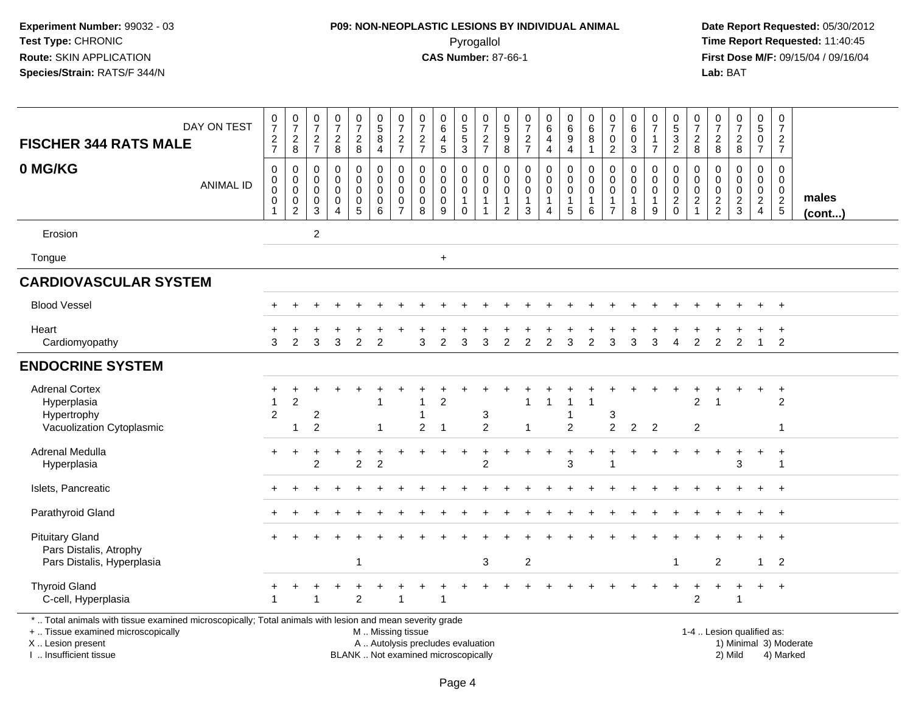#### **P09: NON-NEOPLASTIC LESIONS BY INDIVIDUAL ANIMAL**Pyrogallol **Time Report Requested:** 11:40:45

 **Date Report Requested:** 05/30/2012 **First Dose M/F:** 09/15/04 / 09/16/04<br>Lab: BAT **Lab:** BAT

| <b>FISCHER 344 RATS MALE</b>                                                                                                                                        | DAY ON TEST      | $\frac{0}{7}$<br>$\frac{2}{7}$                            | $\frac{0}{7}$<br>$\sqrt{2}$<br>8                               | $\frac{0}{7}$<br>$\overline{c}$<br>$\overline{7}$   | $\frac{0}{7}$<br>$\frac{2}{8}$                                             | $\frac{0}{7}$<br>$\overline{a}$<br>8                | $\begin{array}{c} 0 \\ 5 \\ 8 \\ 4 \end{array}$ | $\begin{array}{c} 0 \\ 7 \end{array}$<br>$\frac{2}{7}$                   | $\pmb{0}$<br>$\overline{7}$<br>$\frac{2}{7}$ | $\pmb{0}$<br>$\,6\,$<br>4<br>$\sqrt{5}$   | $\begin{array}{c} 0 \\ 5 \end{array}$<br>$\mathbf 5$<br>3 | $\frac{0}{7}$<br>$\frac{2}{7}$                                  | 0<br>$\overline{5}$<br>$\overline{9}$<br>8             | 0<br>7<br>$\frac{2}{7}$                  | $\begin{array}{c} 0 \\ 6 \end{array}$<br>4<br>$\overline{4}$            | $\begin{array}{c} 0 \\ 6 \end{array}$<br>$\boldsymbol{9}$<br>$\overline{4}$ | $\begin{array}{c} 0 \\ 6 \end{array}$<br>$\,8\,$<br>$\mathbf{1}$   | $\begin{array}{c} 0 \\ 7 \end{array}$<br>0<br>$\overline{c}$ | 0<br>$\,6$<br>$\pmb{0}$<br>$\sqrt{3}$              | $\frac{0}{7}$<br>$\mathbf{1}$<br>$\overline{7}$ | $\begin{array}{c} 0 \\ 5 \\ 3 \\ 2 \end{array}$  | $\begin{array}{c} 0 \\ 7 \end{array}$<br>$_{8}^{\rm 2}$ | 0<br>$\overline{7}$<br>$\frac{2}{8}$   | $\begin{array}{c} 0 \\ 7 \end{array}$<br>$\frac{2}{8}$ | $\begin{array}{c} 0 \\ 5 \end{array}$<br>$\mathbf 0$<br>$\overline{7}$ | $\frac{0}{7}$<br>$\frac{2}{7}$                   |                        |
|---------------------------------------------------------------------------------------------------------------------------------------------------------------------|------------------|-----------------------------------------------------------|----------------------------------------------------------------|-----------------------------------------------------|----------------------------------------------------------------------------|-----------------------------------------------------|-------------------------------------------------|--------------------------------------------------------------------------|----------------------------------------------|-------------------------------------------|-----------------------------------------------------------|-----------------------------------------------------------------|--------------------------------------------------------|------------------------------------------|-------------------------------------------------------------------------|-----------------------------------------------------------------------------|--------------------------------------------------------------------|--------------------------------------------------------------|----------------------------------------------------|-------------------------------------------------|--------------------------------------------------|---------------------------------------------------------|----------------------------------------|--------------------------------------------------------|------------------------------------------------------------------------|--------------------------------------------------|------------------------|
| 0 MG/KG                                                                                                                                                             | <b>ANIMAL ID</b> | $\,0\,$<br>$\boldsymbol{0}$<br>$\mathbf 0$<br>$\mathbf 0$ | 0<br>$\mathbf 0$<br>$\mathsf 0$<br>$\pmb{0}$<br>$\overline{2}$ | 0<br>$\mathbf 0$<br>$\mathbf 0$<br>$\mathbf 0$<br>3 | $\mathbf 0$<br>$\mathbf 0$<br>$\mathbf 0$<br>$\mathbf 0$<br>$\overline{4}$ | 0<br>$\mathbf 0$<br>$\mathbf 0$<br>$\mathbf 0$<br>5 | 0<br>$\mathbf 0$<br>$\pmb{0}$<br>$\pmb{0}$<br>6 | $\mathbf 0$<br>$\mathbf 0$<br>$\mathbf 0$<br>$\pmb{0}$<br>$\overline{7}$ | 0<br>$\mathbf 0$<br>0<br>$\mathbf 0$<br>8    | 0<br>$\mathbf 0$<br>0<br>$\mathbf 0$<br>9 | 0<br>0<br>0<br>$\mathbf{1}$<br>$\Omega$                   | 0<br>$\mathbf 0$<br>$\mathsf 0$<br>$\mathbf{1}$<br>$\mathbf{1}$ | 0<br>$\mathbf 0$<br>0<br>$\mathbf 1$<br>$\overline{2}$ | 0<br>0<br>$\pmb{0}$<br>$\mathbf{1}$<br>3 | 0<br>$\mathsf{O}\xspace$<br>$\pmb{0}$<br>$\mathbf{1}$<br>$\overline{4}$ | $\pmb{0}$<br>$\mathbf 0$<br>$\mathbf 0$<br>$\overline{1}$<br>$\sqrt{5}$     | $\pmb{0}$<br>$\mathsf{O}\xspace$<br>$\pmb{0}$<br>$\mathbf{1}$<br>6 | 0<br>$\mathbf 0$<br>0<br>$\mathbf{1}$<br>$\overline{7}$      | 0<br>$\mathbf 0$<br>$\pmb{0}$<br>$\mathbf{1}$<br>8 | 0<br>$\mathbf 0$<br>0<br>$\mathbf{1}$<br>9      | 0<br>$\mathbf 0$<br>$\mathbf 0$<br>$\frac{2}{0}$ | 0<br>$\mathbf 0$<br>$\pmb{0}$<br>$\frac{2}{1}$          | 0<br>$\mathbf 0$<br>0<br>$\frac{2}{2}$ | 0<br>$\mathbf 0$<br>$\mathbf 0$<br>$\frac{2}{3}$       | 0<br>0<br>$\mathbf 0$<br>$\frac{2}{4}$                                 | 0<br>$\mathbf 0$<br>$\mathbf 0$<br>$\frac{2}{5}$ | males<br>$($ cont $)$  |
| Erosion                                                                                                                                                             |                  |                                                           |                                                                | $\overline{c}$                                      |                                                                            |                                                     |                                                 |                                                                          |                                              |                                           |                                                           |                                                                 |                                                        |                                          |                                                                         |                                                                             |                                                                    |                                                              |                                                    |                                                 |                                                  |                                                         |                                        |                                                        |                                                                        |                                                  |                        |
| Tongue                                                                                                                                                              |                  |                                                           |                                                                |                                                     |                                                                            |                                                     |                                                 |                                                                          |                                              | $\ddot{}$                                 |                                                           |                                                                 |                                                        |                                          |                                                                         |                                                                             |                                                                    |                                                              |                                                    |                                                 |                                                  |                                                         |                                        |                                                        |                                                                        |                                                  |                        |
| <b>CARDIOVASCULAR SYSTEM</b>                                                                                                                                        |                  |                                                           |                                                                |                                                     |                                                                            |                                                     |                                                 |                                                                          |                                              |                                           |                                                           |                                                                 |                                                        |                                          |                                                                         |                                                                             |                                                                    |                                                              |                                                    |                                                 |                                                  |                                                         |                                        |                                                        |                                                                        |                                                  |                        |
| <b>Blood Vessel</b>                                                                                                                                                 |                  |                                                           |                                                                |                                                     |                                                                            |                                                     |                                                 |                                                                          |                                              |                                           |                                                           |                                                                 |                                                        |                                          |                                                                         |                                                                             |                                                                    |                                                              |                                                    |                                                 |                                                  |                                                         |                                        |                                                        |                                                                        | $\ddot{}$                                        |                        |
| Heart<br>Cardiomyopathy                                                                                                                                             |                  | 3                                                         | 2                                                              | 3                                                   | 3                                                                          | 2                                                   | $\overline{2}$                                  |                                                                          | 3                                            | 2                                         | 3                                                         | 3                                                               | $\overline{2}$                                         | $\overline{2}$                           | $\overline{2}$                                                          | 3                                                                           | $\overline{2}$                                                     | 3                                                            | 3                                                  | 3                                               | 4                                                | 2                                                       | 2                                      | $\overline{2}$                                         | $\mathbf{1}$                                                           | 2                                                |                        |
| <b>ENDOCRINE SYSTEM</b>                                                                                                                                             |                  |                                                           |                                                                |                                                     |                                                                            |                                                     |                                                 |                                                                          |                                              |                                           |                                                           |                                                                 |                                                        |                                          |                                                                         |                                                                             |                                                                    |                                                              |                                                    |                                                 |                                                  |                                                         |                                        |                                                        |                                                                        |                                                  |                        |
| <b>Adrenal Cortex</b><br>Hyperplasia<br>Hypertrophy<br>Vacuolization Cytoplasmic                                                                                    |                  | +<br>$\overline{2}$                                       | $\overline{c}$<br>$\blacktriangleleft$                         | $\overline{c}$<br>2                                 |                                                                            |                                                     | $\mathbf 1$                                     |                                                                          | $\overline{2}$                               | $\mathfrak{p}$<br>$\overline{1}$          |                                                           | 3<br>$\overline{2}$                                             |                                                        | -1                                       |                                                                         | $\overline{2}$                                                              |                                                                    | 3<br>$\overline{2}$                                          | $\overline{2}$                                     | $\overline{2}$                                  |                                                  | 2<br>2                                                  |                                        |                                                        | ÷                                                                      | $\overline{ }$<br>$\overline{2}$<br>$\mathbf 1$  |                        |
| Adrenal Medulla<br>Hyperplasia                                                                                                                                      |                  | $+$                                                       | $\ddot{}$                                                      | ÷<br>$\overline{2}$                                 |                                                                            | $\ddot{}$<br>$\overline{2}$                         | $\overline{2}$                                  |                                                                          |                                              |                                           | $\ddot{}$                                                 | $\overline{2}$                                                  | $\div$                                                 |                                          | $\overline{1}$                                                          | $\ddot{}$<br>3                                                              | +                                                                  | $\div$                                                       |                                                    |                                                 |                                                  | $\div$                                                  | $\ddot{}$                              | 3                                                      | $\ddot{}$                                                              | $\ddot{}$<br>-1                                  |                        |
| Islets, Pancreatic                                                                                                                                                  |                  |                                                           |                                                                |                                                     |                                                                            |                                                     |                                                 |                                                                          |                                              |                                           |                                                           |                                                                 |                                                        |                                          |                                                                         |                                                                             |                                                                    |                                                              |                                                    |                                                 |                                                  |                                                         |                                        |                                                        |                                                                        | $\ddot{}$                                        |                        |
| Parathyroid Gland                                                                                                                                                   |                  |                                                           |                                                                |                                                     |                                                                            |                                                     |                                                 |                                                                          |                                              |                                           |                                                           |                                                                 |                                                        |                                          |                                                                         |                                                                             |                                                                    |                                                              |                                                    |                                                 |                                                  |                                                         |                                        |                                                        |                                                                        | $\ddot{}$                                        |                        |
| <b>Pituitary Gland</b><br>Pars Distalis, Atrophy<br>Pars Distalis, Hyperplasia                                                                                      |                  |                                                           |                                                                |                                                     |                                                                            | -1                                                  |                                                 |                                                                          |                                              |                                           |                                                           | 3                                                               |                                                        | $\overline{c}$                           |                                                                         |                                                                             |                                                                    |                                                              |                                                    |                                                 |                                                  |                                                         | $\overline{c}$                         |                                                        | $\mathbf 1$                                                            | $\overline{2}$                                   |                        |
| <b>Thyroid Gland</b><br>C-cell, Hyperplasia                                                                                                                         |                  |                                                           |                                                                | 1                                                   |                                                                            | $\overline{2}$                                      |                                                 |                                                                          |                                              |                                           |                                                           |                                                                 |                                                        |                                          |                                                                         |                                                                             |                                                                    |                                                              |                                                    |                                                 |                                                  | $\overline{c}$                                          |                                        | 1                                                      |                                                                        | $\overline{+}$                                   |                        |
| *  Total animals with tissue examined microscopically; Total animals with lesion and mean severity grade<br>+  Tissue examined microscopically<br>X  Lesion present |                  |                                                           |                                                                |                                                     |                                                                            |                                                     | M  Missing tissue                               |                                                                          |                                              | A  Autolysis precludes evaluation         |                                                           |                                                                 |                                                        |                                          |                                                                         |                                                                             |                                                                    |                                                              |                                                    |                                                 |                                                  |                                                         |                                        | 1-4  Lesion qualified as:                              |                                                                        |                                                  | 1) Minimal 3) Moderate |

I .. Insufficient tissue

BLANK .. Not examined microscopically 2) Mild 4) Marked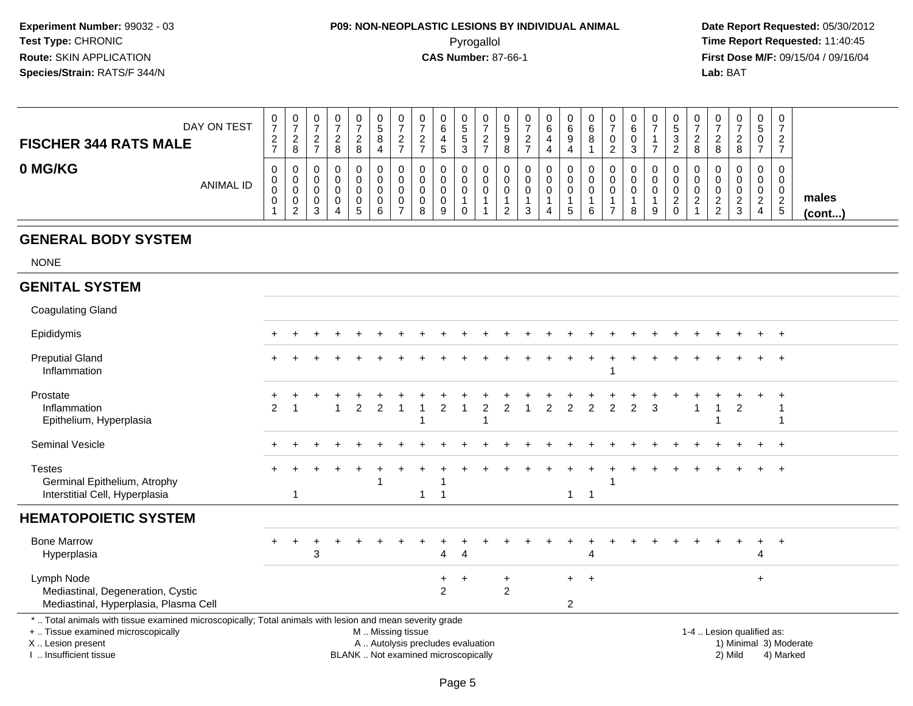## **P09: NON-NEOPLASTIC LESIONS BY INDIVIDUAL ANIMAL**Pyrogallol **Time Report Requested:** 11:40:45

 **Date Report Requested:** 05/30/2012 **First Dose M/F:** 09/15/04 / 09/16/04<br>Lab: BAT **Lab:** BAT

| DAY ON TEST<br><b>FISCHER 344 RATS MALE</b> | U<br>-<br>റ<br>$\epsilon$ | 0<br>$\rightarrow$<br>ົ<br><u>_</u><br>8 | 0<br><sup>o</sup><br><u>_</u><br>- | $\circ$ | <u>_</u><br>o | ν<br>◡<br>8           | U<br><u>_</u><br>- | 0<br>$\rightarrow$<br><sup>o</sup><br><u>.</u><br>- | 0<br>6<br><sub>5</sub> | ັ<br>ັ | ▃ | υ<br>O<br>9<br>8 | v<br><u>_</u> | 6<br>4<br>4 | 0<br>6<br>9      | ັບ<br>-<br>$\epsilon$ | v<br>ิด<br>u | 0                          | ◡<br>J<br>ົ<br>P<br><u>.</u> | 0<br>c<br>8        |   | 0<br>-      | 0<br>نٽ<br>U<br>-                      | 0<br>ົ<br>$\epsilon$                           |                       |
|---------------------------------------------|---------------------------|------------------------------------------|------------------------------------|---------|---------------|-----------------------|--------------------|-----------------------------------------------------|------------------------|--------|---|------------------|---------------|-------------|------------------|-----------------------|--------------|----------------------------|------------------------------|--------------------|---|-------------|----------------------------------------|------------------------------------------------|-----------------------|
| 0 MG/KG<br><b>ANIMAL ID</b>                 | 0<br>U<br>J<br>U          | U<br>U<br>U<br>U<br>ົ<br><u>_</u>        | 0<br>0<br>0<br>0<br>◠<br>ت         |         | -             | v<br>U<br>u<br>U<br>ь | ◡<br>U<br>υ<br>v   | 8                                                   | 0<br>0<br>0<br>0<br>9  |        |   | υ<br>v<br>v<br>_ |               | 4           | 0<br>0<br>0<br>G |                       | v<br>8       | 0<br>0<br>$\mathbf 0$<br>9 | ν<br>$\sim$<br><u>_</u>      | 0<br>0<br>0<br>- 2 | _ | $\sim$<br>ĸ | 0<br>0<br>0<br>$\sim$<br><u>.</u><br>4 | 0<br>0<br>0<br>ົ<br>$\epsilon$<br><sub>5</sub> | males<br>$($ cont $)$ |

#### **GENERAL BODY SYSTEM**

NONE

#### **GENITAL SYSTEM**

| <b>Coagulating Gland</b>                                                                                                                                                                      |                |       |   |                   |  |                       |                                                                          |                             |  |              |                |               |   |  |                           |         |           |                                     |  |
|-----------------------------------------------------------------------------------------------------------------------------------------------------------------------------------------------|----------------|-------|---|-------------------|--|-----------------------|--------------------------------------------------------------------------|-----------------------------|--|--------------|----------------|---------------|---|--|---------------------------|---------|-----------|-------------------------------------|--|
| Epididymis                                                                                                                                                                                    | $\pm$          | $\pm$ |   |                   |  |                       |                                                                          |                             |  |              |                |               |   |  |                           |         |           | $+$                                 |  |
| <b>Preputial Gland</b><br>Inflammation                                                                                                                                                        |                |       |   |                   |  |                       |                                                                          |                             |  |              |                |               |   |  |                           |         |           |                                     |  |
| Prostate<br>Inflammation<br>Epithelium, Hyperplasia                                                                                                                                           | $\overline{2}$ |       | 2 |                   |  |                       |                                                                          |                             |  |              |                | $\mathcal{P}$ | 3 |  |                           | 2       |           |                                     |  |
| <b>Seminal Vesicle</b>                                                                                                                                                                        |                |       |   |                   |  |                       |                                                                          |                             |  |              |                |               |   |  |                           |         |           | $+$                                 |  |
| <b>Testes</b><br>Germinal Epithelium, Atrophy<br>Interstitial Cell, Hyperplasia                                                                                                               |                |       |   |                   |  |                       |                                                                          |                             |  | $\mathbf{1}$ | -1             |               |   |  |                           |         |           | $+$                                 |  |
| <b>HEMATOPOIETIC SYSTEM</b>                                                                                                                                                                   |                |       |   |                   |  |                       |                                                                          |                             |  |              |                |               |   |  |                           |         |           |                                     |  |
| <b>Bone Marrow</b><br>Hyperplasia                                                                                                                                                             | $+$            | 3     |   |                   |  | 4                     | $\overline{4}$                                                           |                             |  |              | 4              |               |   |  |                           |         | 4         |                                     |  |
| Lymph Node<br>Mediastinal, Degeneration, Cystic<br>Mediastinal, Hyperplasia, Plasma Cell                                                                                                      |                |       |   |                   |  | $+$<br>$\overline{2}$ | $\pm$                                                                    | $\ddot{}$<br>$\overline{2}$ |  | $+$<br>2     | $\overline{+}$ |               |   |  |                           |         | $\ddot{}$ |                                     |  |
| *  Total animals with tissue examined microscopically; Total animals with lesion and mean severity grade<br>+  Tissue examined microscopically<br>X  Lesion present<br>I. Insufficient tissue |                |       |   | M  Missing tissue |  |                       | A  Autolysis precludes evaluation<br>BLANK  Not examined microscopically |                             |  |              |                |               |   |  | 1-4  Lesion qualified as: | 2) Mild |           | 1) Minimal 3) Moderate<br>4) Marked |  |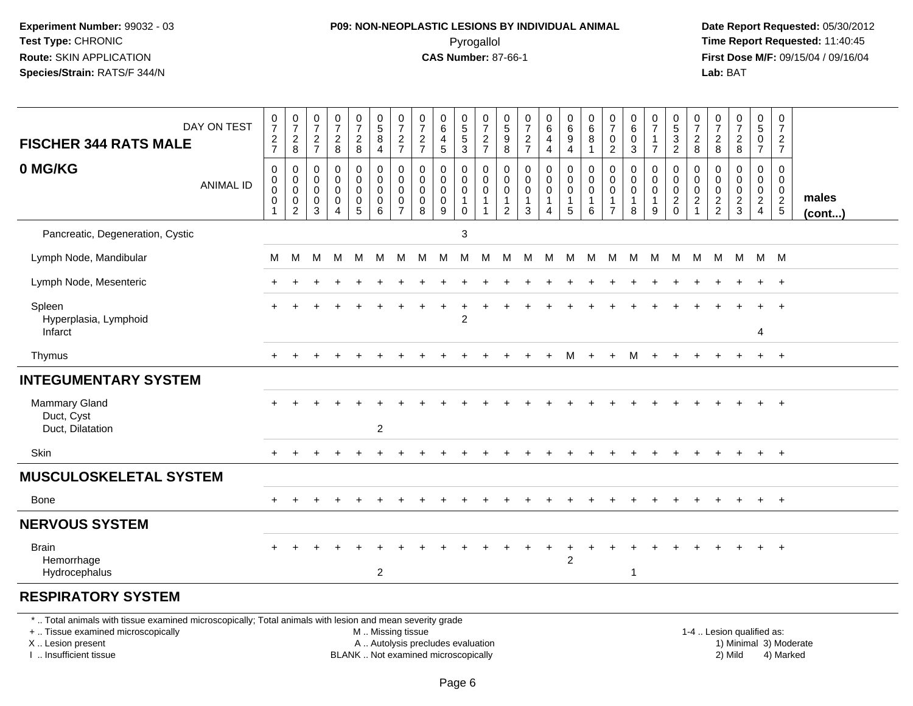### **P09: NON-NEOPLASTIC LESIONS BY INDIVIDUAL ANIMAL**Pyrogallol **Time Report Requested:** 11:40:45

 **Date Report Requested:** 05/30/2012 **First Dose M/F:** 09/15/04 / 09/16/04<br>Lab: BAT **Lab:** BAT

| DAY ON TEST                                                                                                                                                                                   | 0727                                                                  | $\begin{array}{c} 0 \\ 7 \end{array}$                  | $\frac{0}{7}$                                                  | $\frac{0}{7}$                                                            | $\frac{0}{7}$                                                          | $\begin{array}{c} 0 \\ 5 \end{array}$                                                         | $\frac{0}{7}$                                    | $\frac{0}{7}$                                               | $_6^0$                                                                     | 0<br>5<br>5<br>3                                                               | $\begin{array}{c} 0 \\ 7 \end{array}$                                     | $\begin{array}{c} 0 \\ 5 \end{array}$                                | $\begin{array}{c} 0 \\ 7 \end{array}$                                 | $_{6}^{\rm 0}$                            | $\begin{array}{c} 0 \\ 6 \end{array}$                             | $\begin{array}{c} 0 \\ 6 \end{array}$                 | 0<br>$\overline{7}$                                           | $\begin{array}{c} 0 \\ 6 \end{array}$                          | $\begin{array}{c} 0 \\ 7 \end{array}$      | $\begin{array}{c} 0 \\ 5 \end{array}$                     | $\frac{0}{7}$                                                              | $\frac{0}{7}$                                           | $\frac{0}{7}$                                    | $\begin{array}{c} 0 \\ 5 \end{array}$                            | $\mathbf 0$<br>$\overline{7}$                              |                        |
|-----------------------------------------------------------------------------------------------------------------------------------------------------------------------------------------------|-----------------------------------------------------------------------|--------------------------------------------------------|----------------------------------------------------------------|--------------------------------------------------------------------------|------------------------------------------------------------------------|-----------------------------------------------------------------------------------------------|--------------------------------------------------|-------------------------------------------------------------|----------------------------------------------------------------------------|--------------------------------------------------------------------------------|---------------------------------------------------------------------------|----------------------------------------------------------------------|-----------------------------------------------------------------------|-------------------------------------------|-------------------------------------------------------------------|-------------------------------------------------------|---------------------------------------------------------------|----------------------------------------------------------------|--------------------------------------------|-----------------------------------------------------------|----------------------------------------------------------------------------|---------------------------------------------------------|--------------------------------------------------|------------------------------------------------------------------|------------------------------------------------------------|------------------------|
| <b>FISCHER 344 RATS MALE</b>                                                                                                                                                                  |                                                                       | $_{\rm 8}^2$                                           | $\frac{2}{7}$                                                  | $_{8}^{\rm 2}$                                                           | $\frac{2}{8}$                                                          | $\overline{8}$<br>$\overline{4}$                                                              | $\frac{2}{7}$                                    | $\frac{2}{7}$                                               | $\overline{4}$<br>5                                                        |                                                                                | $\frac{2}{7}$                                                             | $\overline{9}$<br>8                                                  | $\frac{2}{7}$                                                         | 4<br>$\overline{4}$                       | $\overline{9}$<br>$\overline{\mathbf{4}}$                         | $\overline{8}$<br>$\mathbf{1}$                        | $\pmb{0}$<br>$\overline{2}$                                   | $\pmb{0}$<br>3                                                 | $\mathbf{1}$<br>$\overline{7}$             | $\frac{3}{2}$                                             | $\boldsymbol{2}$<br>8                                                      | $_{8}^{\rm 2}$                                          | $\frac{2}{8}$                                    | $\mathbf 0$<br>$\overline{7}$                                    | $\sqrt{2}$<br>$\overline{7}$                               |                        |
| 0 MG/KG<br><b>ANIMAL ID</b>                                                                                                                                                                   | $\pmb{0}$<br>$\pmb{0}$<br>$\overline{0}$<br>$\pmb{0}$<br>$\mathbf{1}$ | 0<br>$\mathbf 0$<br>$\mathbf 0$<br>0<br>$\overline{c}$ | $\mathbf 0$<br>$\mathbf 0$<br>$\mathbf 0$<br>0<br>$\mathbf{3}$ | $\pmb{0}$<br>$\mathbf 0$<br>$\mathbf 0$<br>$\mathbf 0$<br>$\overline{4}$ | $\pmb{0}$<br>$\mathbf 0$<br>$\mathbf 0$<br>$\pmb{0}$<br>$\overline{5}$ | $\pmb{0}$<br>$\mathbf 0$<br>$\mathbf 0$<br>$\mathbf 0$<br>6                                   | 0<br>$\Omega$<br>$\Omega$<br>0<br>$\overline{7}$ | $\mathbf 0$<br>$\mathbf 0$<br>$\mathbf 0$<br>$\pmb{0}$<br>8 | $\mathbf 0$<br>$\mathbf 0$<br>$\mathbf 0$<br>$\mathbf 0$<br>$\overline{9}$ | 0<br>$\mathsf{O}\xspace$<br>$\mathbf 0$<br>$\mathbf{1}$<br>$\mathsf{O}\xspace$ | $\mathbf 0$<br>$\mathbf 0$<br>$\mathbf 0$<br>$\mathbf{1}$<br>$\mathbf{1}$ | 0<br>$\mathbf{0}$<br>$\mathbf 0$<br>$\overline{1}$<br>$\overline{2}$ | $\mathbf 0$<br>$\Omega$<br>$\Omega$<br>$\mathbf{1}$<br>$\overline{3}$ | 0<br>$\mathbf 0$<br>$\mathbf 0$<br>1<br>4 | 0<br>$\mathbf 0$<br>$\mathbf 0$<br>$\mathbf{1}$<br>$\overline{5}$ | $\pmb{0}$<br>$\pmb{0}$<br>$\mathbf 0$<br>1<br>$\,6\,$ | $\mathbf 0$<br>$\mathbf 0$<br>$\Omega$<br>1<br>$\overline{7}$ | $\mathbf 0$<br>$\mathbf 0$<br>$\mathbf 0$<br>$\mathbf{1}$<br>8 | 0<br>$\mathbf 0$<br>0<br>$\mathbf{1}$<br>9 | $\mathbf 0$<br>$\mathbf 0$<br>$\mathbf 0$<br>$^2_{\rm 0}$ | $\mathbf 0$<br>$\Omega$<br>$\mathbf 0$<br>$\boldsymbol{2}$<br>$\mathbf{1}$ | $\mathbf 0$<br>$\Omega$<br>$\mathbf 0$<br>$\frac{2}{2}$ | 0<br>$\mathbf 0$<br>$\mathbf 0$<br>$\frac{2}{3}$ | $\mathbf 0$<br>$\mathbf 0$<br>$\mathbf 0$<br>$\overline{2}$<br>4 | $\mathbf 0$<br>$\mathbf 0$<br>$\mathbf 0$<br>$\frac{2}{5}$ | males<br>$($ cont $)$  |
| Pancreatic, Degeneration, Cystic                                                                                                                                                              |                                                                       |                                                        |                                                                |                                                                          |                                                                        |                                                                                               |                                                  |                                                             |                                                                            | 3                                                                              |                                                                           |                                                                      |                                                                       |                                           |                                                                   |                                                       |                                                               |                                                                |                                            |                                                           |                                                                            |                                                         |                                                  |                                                                  |                                                            |                        |
| Lymph Node, Mandibular                                                                                                                                                                        | М                                                                     | м                                                      | M                                                              | M                                                                        | M                                                                      | M                                                                                             | M                                                | M                                                           | M                                                                          | M                                                                              | M                                                                         | M                                                                    | M                                                                     | M                                         | M                                                                 | M                                                     | M                                                             | M                                                              | M                                          | M                                                         | M                                                                          |                                                         | M M M M                                          |                                                                  |                                                            |                        |
| Lymph Node, Mesenteric                                                                                                                                                                        |                                                                       |                                                        |                                                                |                                                                          |                                                                        |                                                                                               |                                                  |                                                             |                                                                            |                                                                                |                                                                           |                                                                      |                                                                       |                                           |                                                                   |                                                       |                                                               |                                                                |                                            |                                                           |                                                                            |                                                         |                                                  | $+$                                                              | $+$                                                        |                        |
| Spleen<br>Hyperplasia, Lymphoid<br>Infarct                                                                                                                                                    |                                                                       |                                                        |                                                                |                                                                          |                                                                        |                                                                                               |                                                  |                                                             |                                                                            | $\overline{2}$                                                                 |                                                                           |                                                                      |                                                                       |                                           |                                                                   |                                                       |                                                               |                                                                |                                            |                                                           |                                                                            |                                                         |                                                  | 4                                                                | $\overline{+}$                                             |                        |
| Thymus                                                                                                                                                                                        | $+$                                                                   | $\ddot{}$                                              |                                                                | $\div$                                                                   | +                                                                      |                                                                                               |                                                  |                                                             |                                                                            |                                                                                |                                                                           | $\div$                                                               | $+$                                                                   | $\ddot{}$                                 | М                                                                 | $+$                                                   | $+$                                                           | M                                                              | $+$                                        | $+$                                                       | $\ddot{}$                                                                  |                                                         | $\ddot{}$                                        | $+$                                                              | $+$                                                        |                        |
| <b>INTEGUMENTARY SYSTEM</b>                                                                                                                                                                   |                                                                       |                                                        |                                                                |                                                                          |                                                                        |                                                                                               |                                                  |                                                             |                                                                            |                                                                                |                                                                           |                                                                      |                                                                       |                                           |                                                                   |                                                       |                                                               |                                                                |                                            |                                                           |                                                                            |                                                         |                                                  |                                                                  |                                                            |                        |
| <b>Mammary Gland</b><br>Duct, Cyst<br>Duct, Dilatation                                                                                                                                        |                                                                       |                                                        |                                                                |                                                                          |                                                                        | $\overline{c}$                                                                                |                                                  |                                                             |                                                                            |                                                                                |                                                                           |                                                                      |                                                                       |                                           |                                                                   |                                                       |                                                               |                                                                |                                            |                                                           |                                                                            |                                                         |                                                  |                                                                  |                                                            |                        |
| Skin                                                                                                                                                                                          | $+$                                                                   | $\ddot{}$                                              | $+$                                                            | $\ddot{}$                                                                | $+$                                                                    | $\ddot{}$                                                                                     |                                                  |                                                             | $\div$                                                                     | $\ddot{}$                                                                      | $\ddot{}$                                                                 | $\div$                                                               | $\div$                                                                | $\ddot{}$                                 | $\ddot{}$                                                         | $\div$                                                | $\pm$                                                         | $\div$                                                         | $\ddot{}$                                  |                                                           | $+$                                                                        | $+$                                                     | $+$                                              | $+$                                                              | $+$                                                        |                        |
| <b>MUSCULOSKELETAL SYSTEM</b>                                                                                                                                                                 |                                                                       |                                                        |                                                                |                                                                          |                                                                        |                                                                                               |                                                  |                                                             |                                                                            |                                                                                |                                                                           |                                                                      |                                                                       |                                           |                                                                   |                                                       |                                                               |                                                                |                                            |                                                           |                                                                            |                                                         |                                                  |                                                                  |                                                            |                        |
| Bone                                                                                                                                                                                          |                                                                       |                                                        |                                                                |                                                                          |                                                                        |                                                                                               |                                                  |                                                             |                                                                            |                                                                                |                                                                           |                                                                      |                                                                       |                                           |                                                                   |                                                       |                                                               |                                                                |                                            |                                                           |                                                                            |                                                         |                                                  | $+$                                                              | $+$                                                        |                        |
| <b>NERVOUS SYSTEM</b>                                                                                                                                                                         |                                                                       |                                                        |                                                                |                                                                          |                                                                        |                                                                                               |                                                  |                                                             |                                                                            |                                                                                |                                                                           |                                                                      |                                                                       |                                           |                                                                   |                                                       |                                                               |                                                                |                                            |                                                           |                                                                            |                                                         |                                                  |                                                                  |                                                            |                        |
| <b>Brain</b><br>Hemorrhage<br>Hydrocephalus                                                                                                                                                   |                                                                       |                                                        |                                                                |                                                                          |                                                                        | 2                                                                                             |                                                  |                                                             |                                                                            |                                                                                |                                                                           |                                                                      |                                                                       |                                           | $\ddot{}$<br>$\overline{2}$                                       |                                                       |                                                               | $\overline{1}$                                                 |                                            |                                                           |                                                                            |                                                         |                                                  |                                                                  | $\overline{+}$                                             |                        |
| <b>RESPIRATORY SYSTEM</b>                                                                                                                                                                     |                                                                       |                                                        |                                                                |                                                                          |                                                                        |                                                                                               |                                                  |                                                             |                                                                            |                                                                                |                                                                           |                                                                      |                                                                       |                                           |                                                                   |                                                       |                                                               |                                                                |                                            |                                                           |                                                                            |                                                         |                                                  |                                                                  |                                                            |                        |
| *  Total animals with tissue examined microscopically; Total animals with lesion and mean severity grade<br>+  Tissue examined microscopically<br>X  Lesion present<br>I. Insufficient tissue |                                                                       |                                                        |                                                                |                                                                          |                                                                        | M  Missing tissue<br>A  Autolysis precludes evaluation<br>BLANK  Not examined microscopically |                                                  |                                                             |                                                                            |                                                                                |                                                                           |                                                                      |                                                                       |                                           |                                                                   |                                                       |                                                               |                                                                |                                            |                                                           |                                                                            |                                                         | 1-4  Lesion qualified as:<br>2) Mild             |                                                                  | 4) Marked                                                  | 1) Minimal 3) Moderate |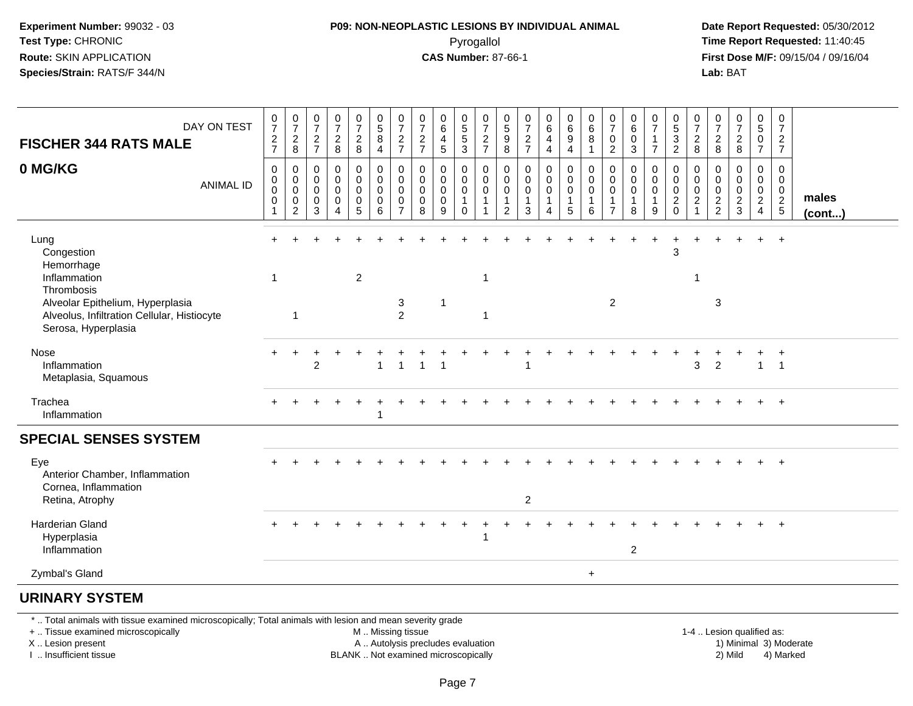#### **P09: NON-NEOPLASTIC LESIONS BY INDIVIDUAL ANIMAL**Pyrogallol **Time Report Requested:** 11:40:45

 **Date Report Requested:** 05/30/2012 **First Dose M/F:** 09/15/04 / 09/16/04 Lab: BAT **Lab:** BAT

| DAY ON TEST<br><b>FISCHER 344 RATS MALE</b>                                                            | $\frac{0}{7}$<br>$\frac{2}{7}$                                 | $\frac{0}{7}$<br>$_{\rm 8}^2$                                    | $\frac{0}{7}$<br>$\frac{2}{7}$          | $\frac{0}{7}$<br>$_{\rm 8}^2$                                          | $\frac{0}{7}$<br>$\frac{2}{8}$                                             | $\frac{0}{5}$<br>$\, 8$<br>$\overline{4}$             | $\frac{0}{7}$<br>$\frac{2}{7}$                                   | $\frac{0}{7}$<br>$\frac{2}{7}$                              | $_6^0$<br>$\overline{\mathbf{4}}$<br>5    | $\begin{array}{c} 0 \\ 5 \\ 5 \end{array}$<br>3     | $\frac{0}{7}$<br>$\frac{2}{7}$                                         | $\frac{0}{5}$<br>$9\,$<br>8                             | $\frac{0}{7}$<br>$rac{2}{7}$                                   | $\begin{matrix} 0 \\ 6 \end{matrix}$<br>$\overline{4}$<br>$\overline{4}$ | $\begin{matrix} 0 \\ 6 \end{matrix}$<br>$\boldsymbol{9}$<br>4 | $\begin{array}{c} 0 \\ 6 \end{array}$<br>$\,8\,$<br>$\overline{1}$ | 0<br>$\overline{7}$<br>$\mathbf 0$<br>$\overline{2}$ | $\begin{array}{c} 0 \\ 6 \end{array}$<br>$\mathbf 0$<br>$\mathbf{3}$ | $\frac{0}{7}$<br>$\mathbf{1}$<br>$\overline{7}$      | $\begin{array}{c} 0 \\ 5 \end{array}$<br>$\ensuremath{\mathsf{3}}$<br>$\overline{2}$ | $\frac{0}{7}$<br>$\boldsymbol{2}$<br>8                          | $\frac{0}{7}$<br>$_{\rm 8}^2$          | $\frac{0}{7}$<br>$\frac{2}{8}$                          | $\begin{matrix} 0 \\ 5 \end{matrix}$<br>$\mathsf 0$<br>$\overline{7}$ | 0<br>$\overline{7}$<br>$\frac{2}{7}$                |                 |
|--------------------------------------------------------------------------------------------------------|----------------------------------------------------------------|------------------------------------------------------------------|-----------------------------------------|------------------------------------------------------------------------|----------------------------------------------------------------------------|-------------------------------------------------------|------------------------------------------------------------------|-------------------------------------------------------------|-------------------------------------------|-----------------------------------------------------|------------------------------------------------------------------------|---------------------------------------------------------|----------------------------------------------------------------|--------------------------------------------------------------------------|---------------------------------------------------------------|--------------------------------------------------------------------|------------------------------------------------------|----------------------------------------------------------------------|------------------------------------------------------|--------------------------------------------------------------------------------------|-----------------------------------------------------------------|----------------------------------------|---------------------------------------------------------|-----------------------------------------------------------------------|-----------------------------------------------------|-----------------|
| 0 MG/KG<br><b>ANIMAL ID</b>                                                                            | $\mathbf 0$<br>0<br>$\mathbf 0$<br>$\mathbf 0$<br>$\mathbf{1}$ | $\mathbf 0$<br>0<br>$\mathbf 0$<br>$\mathsf 0$<br>$\overline{2}$ | $\pmb{0}$<br>0<br>$\mathbf 0$<br>0<br>3 | $\pmb{0}$<br>$\mathbf 0$<br>$\mathbf 0$<br>$\pmb{0}$<br>$\overline{4}$ | $\pmb{0}$<br>$\mathbf 0$<br>$\mathsf{O}\xspace$<br>$\pmb{0}$<br>$\sqrt{5}$ | $_{\rm 0}^{\rm 0}$<br>$\mathsf 0$<br>$\mathbf 0$<br>6 | 0<br>$\mathbf 0$<br>$\mathbf 0$<br>$\mathbf 0$<br>$\overline{7}$ | $\pmb{0}$<br>$\mathbf 0$<br>$\mathbf 0$<br>$\mathbf 0$<br>8 | 0<br>0<br>$\mathbf 0$<br>$\mathbf 0$<br>9 | 0<br>0<br>$\mathbf 0$<br>$\mathbf 1$<br>$\mathbf 0$ | 0<br>$\boldsymbol{0}$<br>$\mathsf 0$<br>$\mathbf{1}$<br>$\overline{1}$ | 0<br>$\mathbf 0$<br>0<br>$\mathbf{1}$<br>$\overline{c}$ | $\mathbf 0$<br>$\mathbf 0$<br>$\mathbf 0$<br>$\mathbf{1}$<br>3 | 0<br>$\mathbf 0$<br>$\mathbf 0$<br>1<br>4                                | 0<br>0<br>$\mathbf 0$<br>$\mathbf{1}$<br>5                    | $\pmb{0}$<br>$\pmb{0}$<br>$\mathsf{O}\xspace$<br>$\mathbf{1}$<br>6 | 0<br>$\mathbf 0$<br>$\mathbf 0$<br>$\overline{7}$    | 0<br>$\mathbf 0$<br>$\mathbf 0$<br>$\overline{1}$<br>8               | 0<br>$\mathbf 0$<br>$\mathbf 0$<br>$\mathbf{1}$<br>9 | 0<br>$\mathbf 0$<br>$\mathbf 0$<br>$\overline{c}$<br>$\mathbf 0$                     | 0<br>0<br>$\mathbf 0$<br>$\overline{c}$<br>$\blacktriangleleft$ | 0<br>0<br>$\mathbf 0$<br>$\frac{2}{2}$ | 0<br>0<br>$\pmb{0}$<br>$\overline{a}$<br>$\mathfrak{Z}$ | 0<br>$\mathbf 0$<br>$\mathbf 0$<br>$\sqrt{2}$<br>$\overline{4}$       | 0<br>$\overline{0}$<br>$\mathbf 0$<br>$\frac{2}{5}$ | males<br>(cont) |
| Lung<br>Congestion<br>Hemorrhage<br>Inflammation<br>Thrombosis                                         | $\mathbf{1}$                                                   |                                                                  |                                         |                                                                        | $\overline{2}$                                                             |                                                       |                                                                  |                                                             |                                           |                                                     | $\overline{1}$                                                         |                                                         |                                                                |                                                                          |                                                               |                                                                    |                                                      |                                                                      |                                                      | 3                                                                                    | $\mathbf{1}$                                                    |                                        |                                                         | $+$                                                                   | $+$                                                 |                 |
| Alveolar Epithelium, Hyperplasia<br>Alveolus, Infiltration Cellular, Histiocyte<br>Serosa, Hyperplasia |                                                                | $\overline{1}$                                                   |                                         |                                                                        |                                                                            |                                                       | 3<br>$\overline{2}$                                              |                                                             | $\mathbf{1}$                              |                                                     | $\overline{1}$                                                         |                                                         |                                                                |                                                                          |                                                               |                                                                    | $\overline{2}$                                       |                                                                      |                                                      |                                                                                      |                                                                 | 3                                      |                                                         |                                                                       |                                                     |                 |
| Nose<br>Inflammation<br>Metaplasia, Squamous                                                           |                                                                |                                                                  | 2                                       |                                                                        |                                                                            | $\mathbf{1}$                                          | $\mathbf{1}$                                                     | $\mathbf{1}$                                                | $\overline{1}$                            |                                                     |                                                                        |                                                         | 1                                                              |                                                                          |                                                               |                                                                    |                                                      |                                                                      |                                                      |                                                                                      | 3                                                               | $\overline{2}$                         |                                                         | $\mathbf{1}$                                                          | $\overline{1}$                                      |                 |
| Trachea<br>Inflammation                                                                                |                                                                |                                                                  |                                         |                                                                        |                                                                            | 1                                                     |                                                                  |                                                             |                                           |                                                     |                                                                        |                                                         |                                                                |                                                                          |                                                               |                                                                    |                                                      |                                                                      |                                                      |                                                                                      |                                                                 |                                        |                                                         |                                                                       | $+$                                                 |                 |
| <b>SPECIAL SENSES SYSTEM</b>                                                                           |                                                                |                                                                  |                                         |                                                                        |                                                                            |                                                       |                                                                  |                                                             |                                           |                                                     |                                                                        |                                                         |                                                                |                                                                          |                                                               |                                                                    |                                                      |                                                                      |                                                      |                                                                                      |                                                                 |                                        |                                                         |                                                                       |                                                     |                 |
| Eye<br>Anterior Chamber, Inflammation<br>Cornea, Inflammation<br>Retina, Atrophy                       |                                                                |                                                                  |                                         |                                                                        |                                                                            |                                                       |                                                                  |                                                             |                                           |                                                     |                                                                        |                                                         | $\overline{c}$                                                 |                                                                          |                                                               |                                                                    |                                                      |                                                                      |                                                      |                                                                                      |                                                                 |                                        |                                                         |                                                                       | $+$                                                 |                 |
|                                                                                                        |                                                                |                                                                  |                                         |                                                                        |                                                                            |                                                       |                                                                  |                                                             |                                           |                                                     |                                                                        |                                                         |                                                                |                                                                          |                                                               |                                                                    |                                                      |                                                                      |                                                      |                                                                                      |                                                                 |                                        |                                                         |                                                                       |                                                     |                 |
| <b>Harderian Gland</b><br>Hyperplasia<br>Inflammation                                                  | $+$                                                            |                                                                  |                                         |                                                                        |                                                                            |                                                       |                                                                  |                                                             |                                           |                                                     | $\overline{1}$                                                         |                                                         |                                                                |                                                                          |                                                               |                                                                    |                                                      | $\overline{2}$                                                       |                                                      |                                                                                      |                                                                 |                                        |                                                         | $\ddot{}$                                                             | $+$                                                 |                 |
| Zymbal's Gland                                                                                         |                                                                |                                                                  |                                         |                                                                        |                                                                            |                                                       |                                                                  |                                                             |                                           |                                                     |                                                                        |                                                         |                                                                |                                                                          |                                                               | $\ddot{}$                                                          |                                                      |                                                                      |                                                      |                                                                                      |                                                                 |                                        |                                                         |                                                                       |                                                     |                 |
| <b>URINARY SYSTEM</b>                                                                                  |                                                                |                                                                  |                                         |                                                                        |                                                                            |                                                       |                                                                  |                                                             |                                           |                                                     |                                                                        |                                                         |                                                                |                                                                          |                                                               |                                                                    |                                                      |                                                                      |                                                      |                                                                                      |                                                                 |                                        |                                                         |                                                                       |                                                     |                 |

\* .. Total animals with tissue examined microscopically; Total animals with lesion and mean severity grade

+ .. Tissue examined microscopically

X .. Lesion present

I .. Insufficient tissue

M .. Missing tissue

A .. Autolysis precludes evaluation

BLANK .. Not examined microscopically 2) Mild 4) Marked

1-4 .. Lesion qualified as: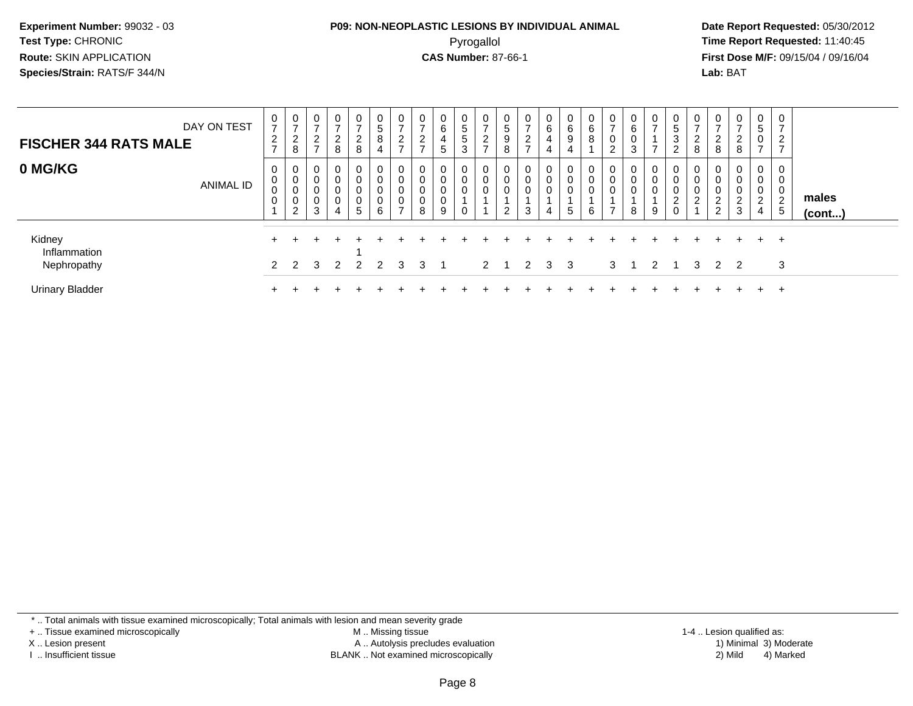#### **P09: NON-NEOPLASTIC LESIONS BY INDIVIDUAL ANIMAL**Pyrogallol **Time Report Requested:** 11:40:45

 **Date Report Requested:** 05/30/2012 **First Dose M/F:** 09/15/04 / 09/16/04 Lab: BAT **Lab:** BAT

| DAY ON TEST<br><b>FISCHER 344 RATS MALE</b> |           | 0<br>$\rightarrow$<br>$\overline{2}$<br>$\rightarrow$ | 0<br>$\overline{ }$<br>$\overline{2}$<br>8 | 0<br>$\overline{ }$<br>$\overline{2}$<br>$\rightarrow$ | $\mathbf{0}$<br>$\rightarrow$<br>C<br>8 | 0<br>$\rightarrow$<br>$\sim$<br>∠<br>8                  | 0<br>$\sqrt{5}$<br>8<br>4             | O<br>-<br>$\sim$<br>ے<br>$\rightarrow$ | 0<br>$\rightarrow$<br>റ<br>∠<br>$\rightarrow$ | 0<br>6<br>4<br>5      | 0<br>5<br>5<br>3           | -0<br>$\rightarrow$<br>$\sqrt{2}$<br>∼ | 0<br>$\sqrt{5}$<br>9<br>8 | $\mathbf{0}$<br>$\rightarrow$<br>$\sim$<br>∠<br>$\rightarrow$ | $\mathbf{0}$<br>6<br>4<br>4 | 0<br>6<br>9<br>$\overline{4}$           | 0<br>6<br>8              | 0<br>$\rightarrow$<br>$\mathbf 0$<br>$\sim$ | 0<br>6<br>$\sim$ | $\mathbf{0}$<br>$\rightarrow$<br>- | U<br>5<br>3<br>$\sim$      | 0<br>$\overline{ }$<br>ົ<br><u>_</u><br>8               | $\mathbf{0}$<br>$\overline{ }$<br>$\overline{c}$<br>8 | 0<br>$\overline{ }$<br>$\mathcal{D}$<br>$\epsilon$<br>8 | 0<br>5<br>0<br>$\overline{ }$      | 0<br>$\overline{ }$<br>റ<br>∠<br>$\overline{\phantom{a}}$ |                 |
|---------------------------------------------|-----------|-------------------------------------------------------|--------------------------------------------|--------------------------------------------------------|-----------------------------------------|---------------------------------------------------------|---------------------------------------|----------------------------------------|-----------------------------------------------|-----------------------|----------------------------|----------------------------------------|---------------------------|---------------------------------------------------------------|-----------------------------|-----------------------------------------|--------------------------|---------------------------------------------|------------------|------------------------------------|----------------------------|---------------------------------------------------------|-------------------------------------------------------|---------------------------------------------------------|------------------------------------|-----------------------------------------------------------|-----------------|
| 0 MG/KG                                     | ANIMAL ID | 0<br>0<br>0<br>0                                      | 0<br>0<br>$\pmb{0}$<br>0<br>2              | $\mathbf 0$<br>0<br>$\mathbf 0$<br>$\mathbf 0$<br>3    | 0<br>0<br>0<br>0<br>4                   | 0<br>0<br>$\mathbf 0$<br>$\mathbf 0$<br>$5\phantom{.0}$ | 0<br>0<br>$\pmb{0}$<br>$\pmb{0}$<br>6 | 0<br>0<br>0<br>0<br>-                  | 0<br>0<br>0<br>$\mathbf 0$<br>8               | 0<br>0<br>0<br>0<br>9 | 0<br>0<br>$\mathbf 0$<br>0 | $\overline{0}$<br>$\overline{0}$       | 0<br>0<br>$\overline{2}$  | 0<br>0<br>0<br>3                                              | 0<br>0<br>0<br>4            | 0<br>$\overline{0}$<br>$\mathbf 0$<br>5 | 0<br>0<br>$\pmb{0}$<br>6 | 0<br>$\mathbf 0$<br>$\mathbf 0$<br>⇁        | 8                | $\mathbf{0}$<br>0<br>0<br>9        | 0<br>0<br>0<br>$\sim$<br>∠ | 0<br>$\mathbf 0$<br>$\mathbf 0$<br>$\sim$<br>$\epsilon$ | 0<br>0<br>0<br>$\overline{c}$<br>$\overline{2}$       | 0<br>0<br>0<br>$\overline{2}$<br>3                      | 0<br>0<br>0<br>$\overline{2}$<br>4 | 0<br>0<br>0<br>2<br>5                                     | males<br>(cont) |
| Kidney<br>Inflammation<br>Nephropathy       |           |                                                       | 2 <sub>2</sub>                             | - 3                                                    | $\overline{2}$                          |                                                         | 2 2                                   | $\mathcal{R}$                          | $3 \quad 1$                                   |                       |                            | $2 \quad 1$                            |                           |                                                               | 2 3 3                       |                                         |                          | 3                                           |                  | $\overline{2}$                     |                            | $\mathcal{B}$                                           | 2 2                                                   |                                                         |                                    | $+$<br>3                                                  |                 |
| <b>Urinary Bladder</b>                      |           |                                                       |                                            |                                                        |                                         |                                                         |                                       |                                        |                                               |                       |                            |                                        |                           |                                                               |                             |                                         |                          |                                             |                  |                                    |                            |                                                         |                                                       |                                                         |                                    | $\pm$                                                     |                 |

\* .. Total animals with tissue examined microscopically; Total animals with lesion and mean severity grade

+ .. Tissue examined microscopically

X .. Lesion present

I .. Insufficient tissue

 M .. Missing tissueA .. Autolysis precludes evaluation

BLANK .. Not examined microscopically 2) Mild 4) Marked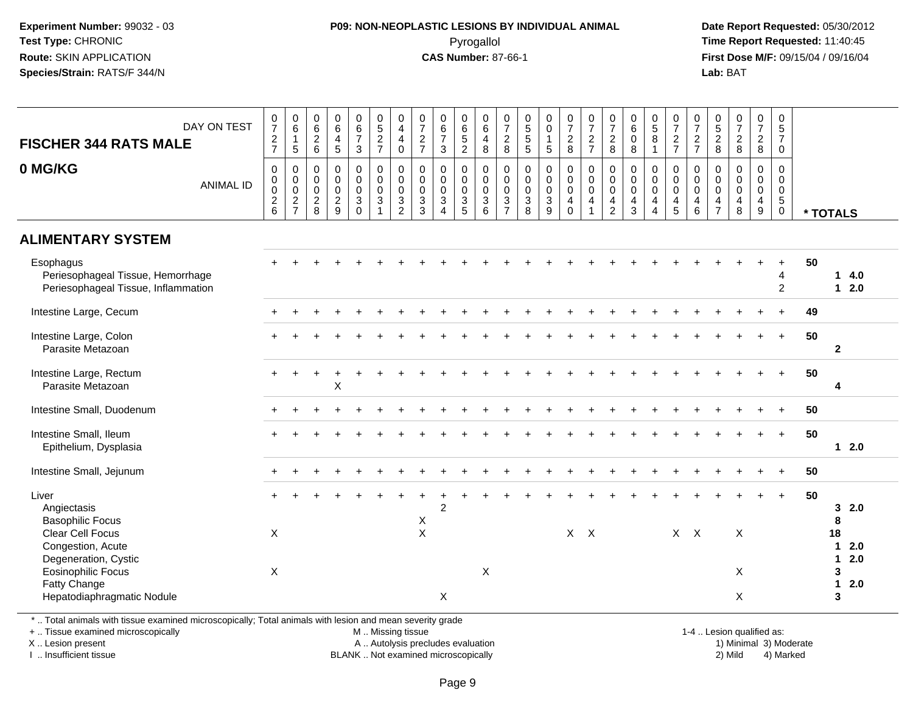#### **P09: NON-NEOPLASTIC LESIONS BY INDIVIDUAL ANIMAL**Pyrogallol **Time Report Requested:** 11:40:45

 **Date Report Requested:** 05/30/2012 **First Dose M/F:** 09/15/04 / 09/16/04 Lab: BAT **Lab:** BAT

| $\begin{array}{c} 0 \\ 6 \end{array}$<br>$\begin{array}{c} 0 \\ 6 \end{array}$<br>$\begin{array}{c} 0 \\ 6 \\ 7 \end{array}$<br>$\begin{array}{c} 0 \\ 6 \end{array}$<br>$\begin{smallmatrix} 0\\7 \end{smallmatrix}$<br>$\mathbf 0$<br>$\frac{0}{7}$<br>$\begin{array}{c} 0 \\ 6 \end{array}$<br>$\begin{array}{c} 0 \\ 6 \\ 7 \end{array}$<br>$0$<br>5<br>2<br>7<br>$\begin{smallmatrix}0\0\4\end{smallmatrix}$<br>$\frac{0}{7}$<br>0<br>6<br>5<br>2<br>0<br>$\begin{array}{c} 0 \\ 7 \\ 2 \\ 8 \end{array}$<br>0<br>5<br>5<br>5<br>$\begin{smallmatrix}0\0\0\end{smallmatrix}$<br>$\begin{array}{c} 0 \\ 7 \\ 2 \\ 8 \end{array}$<br>$\frac{0}{7}$<br>$\frac{0}{7}$<br>$\frac{2}{8}$<br>$\begin{array}{c} 0 \\ 5 \end{array}$<br>$\frac{0}{7}$<br>$\frac{2}{7}$<br>$0$<br>$5$<br>$2$<br>$8$<br>$\begin{array}{c} 0 \\ 7 \end{array}$<br>$\frac{0}{7}$<br>DAY ON TEST<br>$\overline{6}$<br>$\sqrt{5}$<br>$\frac{2}{7}$<br>$\frac{2}{8}$<br>$\frac{2}{7}$<br>$\frac{2}{6}$<br>$\frac{4}{5}$<br>$\bf8$<br>$\frac{2}{7}$<br>$\frac{2}{8}$<br>$\mathbf{1}$<br>$\overline{4}$<br>$\frac{2}{7}$<br>$\overline{4}$<br>$\mathbf{1}$<br>$\mathbf 0$<br>$\overline{7}$<br><b>FISCHER 344 RATS MALE</b><br>$\sqrt{5}$<br>$\mathbf{3}$<br>$\,8\,$<br>$\mathbf{3}$<br>$\mathbf 0$<br>5<br>8<br>$\mathbf{1}$<br>$\mathbf 0$<br>0 MG/KG<br>$\pmb{0}$<br>$\mathsf{O}\xspace$<br>$\pmb{0}$<br>$\begin{smallmatrix}0\\0\\0\\0\end{smallmatrix}$<br>$\mathbf 0$<br>$\mathbf 0$<br>$\pmb{0}$<br>$\boldsymbol{0}$<br>$\begin{smallmatrix}0\\0\\0\end{smallmatrix}$<br>$\pmb{0}$<br>$\pmb{0}$<br>$\pmb{0}$<br>$\pmb{0}$<br>0<br>$\mathbf 0$<br>0<br>0<br>$\boldsymbol{0}$<br>0<br>$\mathbf 0$<br>$\mathbf 0$<br>0<br>$\pmb{0}$<br>0<br>$\mathbf 0$<br>$\ddot{\mathbf{0}}$<br>$\overline{0}$<br>$\mathsf{O}\xspace$<br>$\mathsf{O}\xspace$<br>$\mathbf 0$<br>$\pmb{0}$<br>$\mathbf 0$<br>$\mathbf 0$<br>$\mathsf{O}\xspace$<br>$\pmb{0}$<br>$\mathbf 0$<br>$\mathsf 0$<br>$\mathbf 0$<br>$\mathsf{O}\xspace$<br>$\mathsf{O}\xspace$<br>$\pmb{0}$<br>$\mathbf 0$<br>$\mathbf 0$<br>$\pmb{0}$<br>$\mathbf 0$<br>$\pmb{0}$<br>$\mathsf{O}\xspace$<br>$\mathbf 0$<br><b>ANIMAL ID</b><br>$\mathbf 0$<br>$\pmb{0}$<br>$\mathbf 0$<br>$\pmb{0}$<br>$\pmb{0}$<br>$\mathsf{O}\xspace$<br>$\mathsf{O}\xspace$<br>$\mathbf 0$<br>$\pmb{0}$<br>$\mathsf{O}\xspace$<br>$\pmb{0}$<br>$\pmb{0}$<br>$\mathbf 0$<br>$\mathsf 0$<br>$\mathsf 0$<br>$\mathsf{O}\xspace$<br>$\mathbf 0$<br>$\pmb{0}$<br>$\mathsf{O}\xspace$<br>$\mathbf 0$<br>$\mathsf{O}\xspace$<br>$\mathbf 0$<br>$\frac{2}{7}$<br>$\frac{2}{6}$<br>$\frac{2}{9}$<br>$\ensuremath{\mathsf{3}}$<br>$\ensuremath{\mathsf{3}}$<br>$\sqrt{3}$<br>$\ensuremath{\mathsf{3}}$<br>$\sqrt{3}$<br>$\mathbf 3$<br>3<br>$\frac{2}{8}$<br>3<br>$\ensuremath{\mathsf{3}}$<br>$\sqrt{3}$<br>$\overline{4}$<br>$\overline{4}$<br>$\sqrt{5}$<br>4<br>$\overline{4}$<br>$\overline{\mathbf{4}}$<br>4<br>$\overline{4}$<br>$\overline{4}$<br>4<br>$\overline{4}$<br>$\mathbf 0$<br>$\mathbf{1}$<br>$\overline{2}$<br>$\mathbf{3}$<br>$\overline{5}$<br>8<br>$\overline{9}$<br>$\overline{2}$<br>$\mathbf{3}$<br>5<br>6<br>$\overline{7}$<br>9<br>$\mathbf 0$<br>6<br>$\overline{7}$<br>8<br>$\boldsymbol{\Lambda}$<br>$\overline{4}$<br>$\mathbf 0$<br>* TOTALS<br><b>ALIMENTARY SYSTEM</b><br>50<br>Esophagus<br>$\ddot{}$<br>Periesophageal Tissue, Hemorrhage<br>$\overline{4}$<br>$\mathbf 1$<br>Periesophageal Tissue, Inflammation<br>$\overline{2}$<br>$12.0$<br>Intestine Large, Cecum<br>49<br>$\ddot{}$<br>Intestine Large, Colon<br>50<br>$+$<br>Parasite Metazoan<br>$\overline{2}$<br>50<br>Intestine Large, Rectum<br>$+$<br>X<br>Parasite Metazoan<br>4<br>Intestine Small, Duodenum<br>50<br>$+$<br>Intestine Small, Ileum<br>50<br>$+$ | 4.0    |
|----------------------------------------------------------------------------------------------------------------------------------------------------------------------------------------------------------------------------------------------------------------------------------------------------------------------------------------------------------------------------------------------------------------------------------------------------------------------------------------------------------------------------------------------------------------------------------------------------------------------------------------------------------------------------------------------------------------------------------------------------------------------------------------------------------------------------------------------------------------------------------------------------------------------------------------------------------------------------------------------------------------------------------------------------------------------------------------------------------------------------------------------------------------------------------------------------------------------------------------------------------------------------------------------------------------------------------------------------------------------------------------------------------------------------------------------------------------------------------------------------------------------------------------------------------------------------------------------------------------------------------------------------------------------------------------------------------------------------------------------------------------------------------------------------------------------------------------------------------------------------------------------------------------------------------------------------------------------------------------------------------------------------------------------------------------------------------------------------------------------------------------------------------------------------------------------------------------------------------------------------------------------------------------------------------------------------------------------------------------------------------------------------------------------------------------------------------------------------------------------------------------------------------------------------------------------------------------------------------------------------------------------------------------------------------------------------------------------------------------------------------------------------------------------------------------------------------------------------------------------------------------------------------------------------------------------------------------------------------------------------------------------------------------------------------------------------------------------------------------------------------------------------------------------------------------------------------------------------------------------------------------------------------------------------------------------------------------------------------------------------------------------------------------------------------------------------------------------------------------------------------------------------------------------------------------------------------------------------------------------------------------------------------------------------------------------------------------------------------------------------------------|--------|
|                                                                                                                                                                                                                                                                                                                                                                                                                                                                                                                                                                                                                                                                                                                                                                                                                                                                                                                                                                                                                                                                                                                                                                                                                                                                                                                                                                                                                                                                                                                                                                                                                                                                                                                                                                                                                                                                                                                                                                                                                                                                                                                                                                                                                                                                                                                                                                                                                                                                                                                                                                                                                                                                                                                                                                                                                                                                                                                                                                                                                                                                                                                                                                                                                                                                                                                                                                                                                                                                                                                                                                                                                                                                                                                                                                |        |
|                                                                                                                                                                                                                                                                                                                                                                                                                                                                                                                                                                                                                                                                                                                                                                                                                                                                                                                                                                                                                                                                                                                                                                                                                                                                                                                                                                                                                                                                                                                                                                                                                                                                                                                                                                                                                                                                                                                                                                                                                                                                                                                                                                                                                                                                                                                                                                                                                                                                                                                                                                                                                                                                                                                                                                                                                                                                                                                                                                                                                                                                                                                                                                                                                                                                                                                                                                                                                                                                                                                                                                                                                                                                                                                                                                |        |
|                                                                                                                                                                                                                                                                                                                                                                                                                                                                                                                                                                                                                                                                                                                                                                                                                                                                                                                                                                                                                                                                                                                                                                                                                                                                                                                                                                                                                                                                                                                                                                                                                                                                                                                                                                                                                                                                                                                                                                                                                                                                                                                                                                                                                                                                                                                                                                                                                                                                                                                                                                                                                                                                                                                                                                                                                                                                                                                                                                                                                                                                                                                                                                                                                                                                                                                                                                                                                                                                                                                                                                                                                                                                                                                                                                |        |
|                                                                                                                                                                                                                                                                                                                                                                                                                                                                                                                                                                                                                                                                                                                                                                                                                                                                                                                                                                                                                                                                                                                                                                                                                                                                                                                                                                                                                                                                                                                                                                                                                                                                                                                                                                                                                                                                                                                                                                                                                                                                                                                                                                                                                                                                                                                                                                                                                                                                                                                                                                                                                                                                                                                                                                                                                                                                                                                                                                                                                                                                                                                                                                                                                                                                                                                                                                                                                                                                                                                                                                                                                                                                                                                                                                |        |
|                                                                                                                                                                                                                                                                                                                                                                                                                                                                                                                                                                                                                                                                                                                                                                                                                                                                                                                                                                                                                                                                                                                                                                                                                                                                                                                                                                                                                                                                                                                                                                                                                                                                                                                                                                                                                                                                                                                                                                                                                                                                                                                                                                                                                                                                                                                                                                                                                                                                                                                                                                                                                                                                                                                                                                                                                                                                                                                                                                                                                                                                                                                                                                                                                                                                                                                                                                                                                                                                                                                                                                                                                                                                                                                                                                |        |
|                                                                                                                                                                                                                                                                                                                                                                                                                                                                                                                                                                                                                                                                                                                                                                                                                                                                                                                                                                                                                                                                                                                                                                                                                                                                                                                                                                                                                                                                                                                                                                                                                                                                                                                                                                                                                                                                                                                                                                                                                                                                                                                                                                                                                                                                                                                                                                                                                                                                                                                                                                                                                                                                                                                                                                                                                                                                                                                                                                                                                                                                                                                                                                                                                                                                                                                                                                                                                                                                                                                                                                                                                                                                                                                                                                |        |
|                                                                                                                                                                                                                                                                                                                                                                                                                                                                                                                                                                                                                                                                                                                                                                                                                                                                                                                                                                                                                                                                                                                                                                                                                                                                                                                                                                                                                                                                                                                                                                                                                                                                                                                                                                                                                                                                                                                                                                                                                                                                                                                                                                                                                                                                                                                                                                                                                                                                                                                                                                                                                                                                                                                                                                                                                                                                                                                                                                                                                                                                                                                                                                                                                                                                                                                                                                                                                                                                                                                                                                                                                                                                                                                                                                |        |
|                                                                                                                                                                                                                                                                                                                                                                                                                                                                                                                                                                                                                                                                                                                                                                                                                                                                                                                                                                                                                                                                                                                                                                                                                                                                                                                                                                                                                                                                                                                                                                                                                                                                                                                                                                                                                                                                                                                                                                                                                                                                                                                                                                                                                                                                                                                                                                                                                                                                                                                                                                                                                                                                                                                                                                                                                                                                                                                                                                                                                                                                                                                                                                                                                                                                                                                                                                                                                                                                                                                                                                                                                                                                                                                                                                |        |
|                                                                                                                                                                                                                                                                                                                                                                                                                                                                                                                                                                                                                                                                                                                                                                                                                                                                                                                                                                                                                                                                                                                                                                                                                                                                                                                                                                                                                                                                                                                                                                                                                                                                                                                                                                                                                                                                                                                                                                                                                                                                                                                                                                                                                                                                                                                                                                                                                                                                                                                                                                                                                                                                                                                                                                                                                                                                                                                                                                                                                                                                                                                                                                                                                                                                                                                                                                                                                                                                                                                                                                                                                                                                                                                                                                |        |
|                                                                                                                                                                                                                                                                                                                                                                                                                                                                                                                                                                                                                                                                                                                                                                                                                                                                                                                                                                                                                                                                                                                                                                                                                                                                                                                                                                                                                                                                                                                                                                                                                                                                                                                                                                                                                                                                                                                                                                                                                                                                                                                                                                                                                                                                                                                                                                                                                                                                                                                                                                                                                                                                                                                                                                                                                                                                                                                                                                                                                                                                                                                                                                                                                                                                                                                                                                                                                                                                                                                                                                                                                                                                                                                                                                |        |
|                                                                                                                                                                                                                                                                                                                                                                                                                                                                                                                                                                                                                                                                                                                                                                                                                                                                                                                                                                                                                                                                                                                                                                                                                                                                                                                                                                                                                                                                                                                                                                                                                                                                                                                                                                                                                                                                                                                                                                                                                                                                                                                                                                                                                                                                                                                                                                                                                                                                                                                                                                                                                                                                                                                                                                                                                                                                                                                                                                                                                                                                                                                                                                                                                                                                                                                                                                                                                                                                                                                                                                                                                                                                                                                                                                |        |
|                                                                                                                                                                                                                                                                                                                                                                                                                                                                                                                                                                                                                                                                                                                                                                                                                                                                                                                                                                                                                                                                                                                                                                                                                                                                                                                                                                                                                                                                                                                                                                                                                                                                                                                                                                                                                                                                                                                                                                                                                                                                                                                                                                                                                                                                                                                                                                                                                                                                                                                                                                                                                                                                                                                                                                                                                                                                                                                                                                                                                                                                                                                                                                                                                                                                                                                                                                                                                                                                                                                                                                                                                                                                                                                                                                |        |
|                                                                                                                                                                                                                                                                                                                                                                                                                                                                                                                                                                                                                                                                                                                                                                                                                                                                                                                                                                                                                                                                                                                                                                                                                                                                                                                                                                                                                                                                                                                                                                                                                                                                                                                                                                                                                                                                                                                                                                                                                                                                                                                                                                                                                                                                                                                                                                                                                                                                                                                                                                                                                                                                                                                                                                                                                                                                                                                                                                                                                                                                                                                                                                                                                                                                                                                                                                                                                                                                                                                                                                                                                                                                                                                                                                |        |
|                                                                                                                                                                                                                                                                                                                                                                                                                                                                                                                                                                                                                                                                                                                                                                                                                                                                                                                                                                                                                                                                                                                                                                                                                                                                                                                                                                                                                                                                                                                                                                                                                                                                                                                                                                                                                                                                                                                                                                                                                                                                                                                                                                                                                                                                                                                                                                                                                                                                                                                                                                                                                                                                                                                                                                                                                                                                                                                                                                                                                                                                                                                                                                                                                                                                                                                                                                                                                                                                                                                                                                                                                                                                                                                                                                |        |
|                                                                                                                                                                                                                                                                                                                                                                                                                                                                                                                                                                                                                                                                                                                                                                                                                                                                                                                                                                                                                                                                                                                                                                                                                                                                                                                                                                                                                                                                                                                                                                                                                                                                                                                                                                                                                                                                                                                                                                                                                                                                                                                                                                                                                                                                                                                                                                                                                                                                                                                                                                                                                                                                                                                                                                                                                                                                                                                                                                                                                                                                                                                                                                                                                                                                                                                                                                                                                                                                                                                                                                                                                                                                                                                                                                |        |
|                                                                                                                                                                                                                                                                                                                                                                                                                                                                                                                                                                                                                                                                                                                                                                                                                                                                                                                                                                                                                                                                                                                                                                                                                                                                                                                                                                                                                                                                                                                                                                                                                                                                                                                                                                                                                                                                                                                                                                                                                                                                                                                                                                                                                                                                                                                                                                                                                                                                                                                                                                                                                                                                                                                                                                                                                                                                                                                                                                                                                                                                                                                                                                                                                                                                                                                                                                                                                                                                                                                                                                                                                                                                                                                                                                |        |
|                                                                                                                                                                                                                                                                                                                                                                                                                                                                                                                                                                                                                                                                                                                                                                                                                                                                                                                                                                                                                                                                                                                                                                                                                                                                                                                                                                                                                                                                                                                                                                                                                                                                                                                                                                                                                                                                                                                                                                                                                                                                                                                                                                                                                                                                                                                                                                                                                                                                                                                                                                                                                                                                                                                                                                                                                                                                                                                                                                                                                                                                                                                                                                                                                                                                                                                                                                                                                                                                                                                                                                                                                                                                                                                                                                |        |
| Epithelium, Dysplasia                                                                                                                                                                                                                                                                                                                                                                                                                                                                                                                                                                                                                                                                                                                                                                                                                                                                                                                                                                                                                                                                                                                                                                                                                                                                                                                                                                                                                                                                                                                                                                                                                                                                                                                                                                                                                                                                                                                                                                                                                                                                                                                                                                                                                                                                                                                                                                                                                                                                                                                                                                                                                                                                                                                                                                                                                                                                                                                                                                                                                                                                                                                                                                                                                                                                                                                                                                                                                                                                                                                                                                                                                                                                                                                                          | $12.0$ |
| Intestine Small, Jejunum<br>50                                                                                                                                                                                                                                                                                                                                                                                                                                                                                                                                                                                                                                                                                                                                                                                                                                                                                                                                                                                                                                                                                                                                                                                                                                                                                                                                                                                                                                                                                                                                                                                                                                                                                                                                                                                                                                                                                                                                                                                                                                                                                                                                                                                                                                                                                                                                                                                                                                                                                                                                                                                                                                                                                                                                                                                                                                                                                                                                                                                                                                                                                                                                                                                                                                                                                                                                                                                                                                                                                                                                                                                                                                                                                                                                 |        |
| 50<br>Liver<br>$\ddot{}$                                                                                                                                                                                                                                                                                                                                                                                                                                                                                                                                                                                                                                                                                                                                                                                                                                                                                                                                                                                                                                                                                                                                                                                                                                                                                                                                                                                                                                                                                                                                                                                                                                                                                                                                                                                                                                                                                                                                                                                                                                                                                                                                                                                                                                                                                                                                                                                                                                                                                                                                                                                                                                                                                                                                                                                                                                                                                                                                                                                                                                                                                                                                                                                                                                                                                                                                                                                                                                                                                                                                                                                                                                                                                                                                       |        |
| 2<br>Angiectasis<br>3                                                                                                                                                                                                                                                                                                                                                                                                                                                                                                                                                                                                                                                                                                                                                                                                                                                                                                                                                                                                                                                                                                                                                                                                                                                                                                                                                                                                                                                                                                                                                                                                                                                                                                                                                                                                                                                                                                                                                                                                                                                                                                                                                                                                                                                                                                                                                                                                                                                                                                                                                                                                                                                                                                                                                                                                                                                                                                                                                                                                                                                                                                                                                                                                                                                                                                                                                                                                                                                                                                                                                                                                                                                                                                                                          | 2.0    |
| <b>Basophilic Focus</b><br>X<br>8                                                                                                                                                                                                                                                                                                                                                                                                                                                                                                                                                                                                                                                                                                                                                                                                                                                                                                                                                                                                                                                                                                                                                                                                                                                                                                                                                                                                                                                                                                                                                                                                                                                                                                                                                                                                                                                                                                                                                                                                                                                                                                                                                                                                                                                                                                                                                                                                                                                                                                                                                                                                                                                                                                                                                                                                                                                                                                                                                                                                                                                                                                                                                                                                                                                                                                                                                                                                                                                                                                                                                                                                                                                                                                                              |        |
| $\sf X$<br>$X$ $X$<br>$X$ $X$<br><b>Clear Cell Focus</b><br>X<br>X<br>18                                                                                                                                                                                                                                                                                                                                                                                                                                                                                                                                                                                                                                                                                                                                                                                                                                                                                                                                                                                                                                                                                                                                                                                                                                                                                                                                                                                                                                                                                                                                                                                                                                                                                                                                                                                                                                                                                                                                                                                                                                                                                                                                                                                                                                                                                                                                                                                                                                                                                                                                                                                                                                                                                                                                                                                                                                                                                                                                                                                                                                                                                                                                                                                                                                                                                                                                                                                                                                                                                                                                                                                                                                                                                       |        |
| Congestion, Acute<br>$\mathbf 1$                                                                                                                                                                                                                                                                                                                                                                                                                                                                                                                                                                                                                                                                                                                                                                                                                                                                                                                                                                                                                                                                                                                                                                                                                                                                                                                                                                                                                                                                                                                                                                                                                                                                                                                                                                                                                                                                                                                                                                                                                                                                                                                                                                                                                                                                                                                                                                                                                                                                                                                                                                                                                                                                                                                                                                                                                                                                                                                                                                                                                                                                                                                                                                                                                                                                                                                                                                                                                                                                                                                                                                                                                                                                                                                               | 2.0    |
| Degeneration, Cystic<br>$\mathbf{1}$                                                                                                                                                                                                                                                                                                                                                                                                                                                                                                                                                                                                                                                                                                                                                                                                                                                                                                                                                                                                                                                                                                                                                                                                                                                                                                                                                                                                                                                                                                                                                                                                                                                                                                                                                                                                                                                                                                                                                                                                                                                                                                                                                                                                                                                                                                                                                                                                                                                                                                                                                                                                                                                                                                                                                                                                                                                                                                                                                                                                                                                                                                                                                                                                                                                                                                                                                                                                                                                                                                                                                                                                                                                                                                                           | 2.0    |
| X<br>$\times$<br><b>Eosinophilic Focus</b><br>X<br>3                                                                                                                                                                                                                                                                                                                                                                                                                                                                                                                                                                                                                                                                                                                                                                                                                                                                                                                                                                                                                                                                                                                                                                                                                                                                                                                                                                                                                                                                                                                                                                                                                                                                                                                                                                                                                                                                                                                                                                                                                                                                                                                                                                                                                                                                                                                                                                                                                                                                                                                                                                                                                                                                                                                                                                                                                                                                                                                                                                                                                                                                                                                                                                                                                                                                                                                                                                                                                                                                                                                                                                                                                                                                                                           |        |
| Fatty Change<br>$\mathbf{1}$                                                                                                                                                                                                                                                                                                                                                                                                                                                                                                                                                                                                                                                                                                                                                                                                                                                                                                                                                                                                                                                                                                                                                                                                                                                                                                                                                                                                                                                                                                                                                                                                                                                                                                                                                                                                                                                                                                                                                                                                                                                                                                                                                                                                                                                                                                                                                                                                                                                                                                                                                                                                                                                                                                                                                                                                                                                                                                                                                                                                                                                                                                                                                                                                                                                                                                                                                                                                                                                                                                                                                                                                                                                                                                                                   |        |
| 3<br>Hepatodiaphragmatic Nodule<br>X<br>X                                                                                                                                                                                                                                                                                                                                                                                                                                                                                                                                                                                                                                                                                                                                                                                                                                                                                                                                                                                                                                                                                                                                                                                                                                                                                                                                                                                                                                                                                                                                                                                                                                                                                                                                                                                                                                                                                                                                                                                                                                                                                                                                                                                                                                                                                                                                                                                                                                                                                                                                                                                                                                                                                                                                                                                                                                                                                                                                                                                                                                                                                                                                                                                                                                                                                                                                                                                                                                                                                                                                                                                                                                                                                                                      | 2.0    |

\* .. Total animals with tissue examined microscopically; Total animals with lesion and mean severity grade

+ .. Tissue examined microscopically

X .. Lesion present

I .. Insufficient tissue

M .. Missing tissue

A .. Autolysis precludes evaluation

BLANK .. Not examined microscopically 2) Mild 4) Marked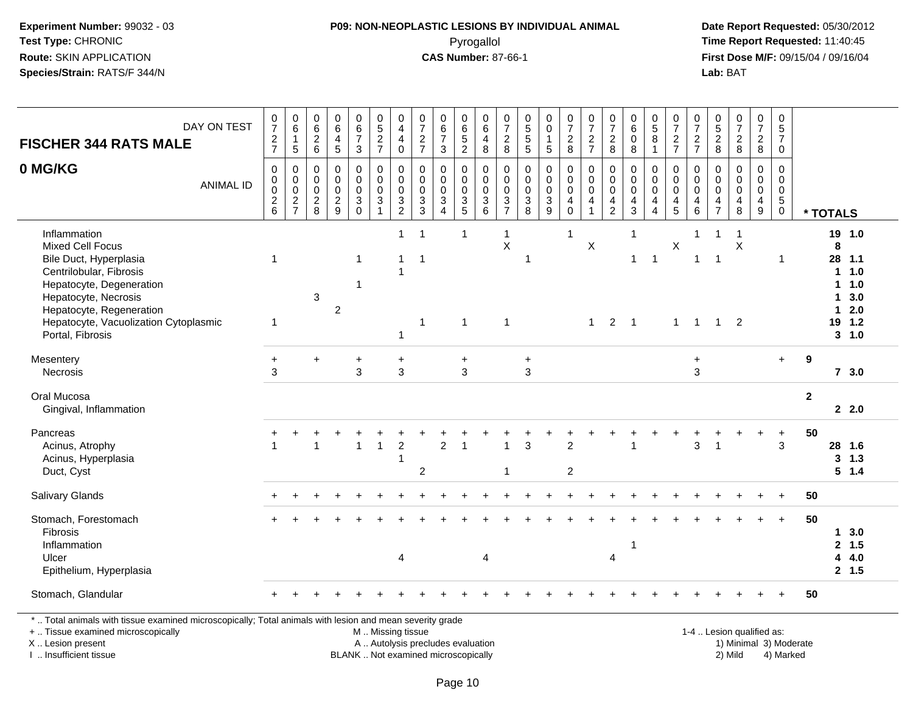#### **P09: NON-NEOPLASTIC LESIONS BY INDIVIDUAL ANIMAL**Pyrogallol **Time Report Requested:** 11:40:45

 **Date Report Requested:** 05/30/2012 **First Dose M/F:** 09/15/04 / 09/16/04<br>Lab: BAT **Lab:** BAT

| DAY ON TEST<br><b>FISCHER 344 RATS MALE</b>                                                                                                                                                                                        | $\begin{array}{c} 0 \\ 7 \end{array}$<br>$\frac{2}{7}$                 | $\begin{array}{c} 0 \\ 6 \end{array}$<br>$\overline{1}$<br>$\sqrt{5}$ | 0<br>$6\phantom{a}$<br>$\overline{2}$<br>$\,6\,$               | $\mathbf 0$<br>$\,6\,$<br>4<br>$\overline{5}$            | $_{6}^{\rm 0}$<br>$\overline{7}$<br>3                                             | $0$<br>5<br>2<br>7                                                           | $_4^{\rm 0}$<br>$\overline{4}$<br>$\pmb{0}$                    | 0<br>$\overline{7}$<br>$\sqrt{2}$<br>$\overline{7}$ | $\begin{array}{c} 0 \\ 6 \\ 7 \end{array}$<br>$\mathbf 3$                            | 0<br>$\overline{6}$<br>$\frac{5}{2}$ | $\,0\,$<br>$\overline{6}$<br>$\overline{\mathcal{A}}$<br>$\bf8$ | 0<br>$\overline{7}$<br>$\boldsymbol{2}$<br>8                         | 0<br>5<br>5<br>5                                                                 | $_0^0$<br>$\mathbf 1$<br>5                               | $\begin{array}{c} 0 \\ 7 \end{array}$<br>$\frac{2}{8}$ | $\frac{0}{7}$<br>$\frac{2}{7}$                                                      | $\begin{array}{c} 0 \\ 7 \end{array}$<br>$\sqrt{2}$<br>$\bf 8$ | $\begin{array}{c} 0 \\ 6 \end{array}$<br>$\mathbf 0$<br>8              | $\begin{array}{c} 0 \\ 5 \end{array}$<br>$\bf8$<br>$\mathbf{1}$                    | $\begin{smallmatrix}0\\7\end{smallmatrix}$<br>$\frac{2}{7}$ | $\frac{0}{7}$<br>$\frac{2}{7}$                   | $\begin{array}{c} 0 \\ 5 \\ 2 \\ 8 \end{array}$ | $\frac{0}{7}$<br>$\frac{2}{8}$                    | $\begin{smallmatrix}0\\7\end{smallmatrix}$<br>$\frac{2}{8}$              | $\mathsf 0$<br>$\overline{5}$<br>$\overline{7}$<br>$\mathbf 0$         |                        |                                            |                                                     |
|------------------------------------------------------------------------------------------------------------------------------------------------------------------------------------------------------------------------------------|------------------------------------------------------------------------|-----------------------------------------------------------------------|----------------------------------------------------------------|----------------------------------------------------------|-----------------------------------------------------------------------------------|------------------------------------------------------------------------------|----------------------------------------------------------------|-----------------------------------------------------|--------------------------------------------------------------------------------------|--------------------------------------|-----------------------------------------------------------------|----------------------------------------------------------------------|----------------------------------------------------------------------------------|----------------------------------------------------------|--------------------------------------------------------|-------------------------------------------------------------------------------------|----------------------------------------------------------------|------------------------------------------------------------------------|------------------------------------------------------------------------------------|-------------------------------------------------------------|--------------------------------------------------|-------------------------------------------------|---------------------------------------------------|--------------------------------------------------------------------------|------------------------------------------------------------------------|------------------------|--------------------------------------------|-----------------------------------------------------|
| 0 MG/KG<br><b>ANIMAL ID</b>                                                                                                                                                                                                        | $\mathbf 0$<br>0<br>$\pmb{0}$<br>$\begin{array}{c} 2 \\ 6 \end{array}$ | $\mathbf 0$<br>$\begin{array}{c} 0 \\ 0 \\ 2 \\ 7 \end{array}$        | 0<br>$\mathbf 0$<br>0<br>$\begin{array}{c} 2 \\ 8 \end{array}$ | $\mathbf 0$<br>$\mathbf 0$<br>$\pmb{0}$<br>$\frac{2}{9}$ | 0<br>$\mathsf{O}\xspace$<br>$\pmb{0}$<br>$\ensuremath{\mathsf{3}}$<br>$\mathbf 0$ | 0<br>$\mathbf 0$<br>$\pmb{0}$<br>$\ensuremath{\mathsf{3}}$<br>$\overline{1}$ | $\pmb{0}$<br>$\mathsf{O}\xspace$<br>$\pmb{0}$<br>$\frac{3}{2}$ | 0<br>$\mathbf 0$<br>0<br>$\frac{3}{3}$              | $\mathbf 0$<br>$\pmb{0}$<br>$\pmb{0}$<br>$\ensuremath{\mathsf{3}}$<br>$\overline{4}$ | 0<br>0<br>$\pmb{0}$<br>$\frac{3}{5}$ | 0<br>$\mathbf 0$<br>$\boldsymbol{0}$<br>$^3$ 6                  | 0<br>$\mathbf 0$<br>0<br>$\ensuremath{\mathsf{3}}$<br>$\overline{7}$ | $\mathbf 0$<br>$\mathbf 0$<br>$\pmb{0}$<br>$\begin{array}{c} 3 \\ 8 \end{array}$ | $\pmb{0}$<br>$\mathbf 0$<br>$\mathsf 0$<br>$\frac{3}{9}$ | 0<br>$\mathsf{O}\xspace$<br>$\pmb{0}$<br>$^4_{\rm 0}$  | $\mathbf 0$<br>$\mathsf{O}\xspace$<br>$\mathbf 0$<br>$\overline{4}$<br>$\mathbf{1}$ | 0<br>$\mathbf 0$<br>$\pmb{0}$<br>$\frac{4}{2}$                 | 0<br>$\mathbf 0$<br>$\pmb{0}$<br>$\begin{array}{c} 4 \\ 3 \end{array}$ | 0<br>$\mathsf{O}\xspace$<br>$\pmb{0}$<br>$\overline{\mathbf{4}}$<br>$\overline{4}$ | 0<br>$\mathbf 0$<br>$\pmb{0}$<br>$\frac{4}{5}$              | 0<br>$\mathbf 0$<br>$\mathbf 0$<br>$\frac{4}{6}$ | 0<br>0<br>$\pmb{0}$<br>$\frac{4}{7}$            | $\mathbf 0$<br>$\mathbf 0$<br>$\pmb{0}$<br>4<br>8 | 0<br>$\mathbf 0$<br>$\mathbf 0$<br>$\begin{array}{c} 4 \\ 9 \end{array}$ | $\mathbf 0$<br>$\mathbf 0$<br>$\mathbf 0$<br>$\sqrt{5}$<br>$\mathbf 0$ |                        | * TOTALS                                   |                                                     |
| Inflammation<br>Mixed Cell Focus<br>Bile Duct, Hyperplasia<br>Centrilobular, Fibrosis<br>Hepatocyte, Degeneration<br>Hepatocyte, Necrosis<br>Hepatocyte, Regeneration<br>Hepatocyte, Vacuolization Cytoplasmic<br>Portal, Fibrosis | 1<br>1                                                                 |                                                                       | $\ensuremath{\mathsf{3}}$                                      | $\overline{c}$                                           | $\mathbf{1}$<br>$\mathbf 1$                                                       |                                                                              | $\mathbf{1}$<br>$\mathbf{1}$<br>$\overline{1}$<br>$\mathbf{1}$ | -1<br>$\mathbf{1}$<br>$\mathbf{1}$                  |                                                                                      | -1<br>$\overline{1}$                 |                                                                 | $\mathbf{1}$<br>X<br>$\mathbf{1}$                                    | 1                                                                                |                                                          | $\mathbf{1}$                                           | X<br>$\mathbf{1}$                                                                   |                                                                | $\mathbf{1}$<br>$\mathbf{1}$<br>$2 \quad 1$                            | $\overline{1}$                                                                     | X<br>$\mathbf{1}$                                           | 1<br>$\mathbf 1$<br>$\overline{1}$               | $\overline{1}$<br>$\mathbf{1}$                  | -1<br>X<br>$\overline{2}$                         |                                                                          | $\overline{1}$                                                         |                        | 8<br>28 1.1<br>$\mathbf 1$<br>1<br>1<br>19 | 19 1.0<br>1.0<br>1.0<br>3.0<br>2.0<br>1.2<br>3, 1.0 |
| Mesentery<br>Necrosis                                                                                                                                                                                                              | $\ddot{}$<br>3                                                         |                                                                       | $\ddot{}$                                                      |                                                          | $\ddot{}$<br>3                                                                    |                                                                              | $\ddot{}$<br>3                                                 |                                                     |                                                                                      | $\ddot{}$<br>3                       |                                                                 |                                                                      | $\ddot{}$<br>$\mathbf{3}$                                                        |                                                          |                                                        |                                                                                     |                                                                |                                                                        |                                                                                    |                                                             | $\ddot{}$<br>3                                   |                                                 |                                                   |                                                                          | $\ddot{}$                                                              | 9                      |                                            | 73.0                                                |
| Oral Mucosa<br>Gingival, Inflammation                                                                                                                                                                                              |                                                                        |                                                                       |                                                                |                                                          |                                                                                   |                                                                              |                                                                |                                                     |                                                                                      |                                      |                                                                 |                                                                      |                                                                                  |                                                          |                                                        |                                                                                     |                                                                |                                                                        |                                                                                    |                                                             |                                                  |                                                 |                                                   |                                                                          |                                                                        | $\mathbf{2}$           |                                            | 2.2.0                                               |
| Pancreas<br>Acinus, Atrophy<br>Acinus, Hyperplasia<br>Duct, Cyst                                                                                                                                                                   |                                                                        |                                                                       | 1                                                              |                                                          | $\overline{1}$                                                                    | 1                                                                            | $\overline{c}$<br>$\mathbf{1}$                                 | $\overline{2}$                                      | $\overline{2}$                                                                       | $\overline{1}$                       |                                                                 | 1                                                                    | 3                                                                                |                                                          | $\overline{2}$<br>$\overline{2}$                       |                                                                                     |                                                                | $\overline{1}$                                                         |                                                                                    |                                                             | 3                                                |                                                 |                                                   |                                                                          | $\ddot{}$<br>3                                                         | 50                     |                                            | 28 1.6<br>3, 1.3<br>5 1.4                           |
| Salivary Glands                                                                                                                                                                                                                    |                                                                        |                                                                       |                                                                |                                                          |                                                                                   |                                                                              |                                                                |                                                     |                                                                                      |                                      |                                                                 |                                                                      |                                                                                  |                                                          |                                                        |                                                                                     |                                                                |                                                                        |                                                                                    |                                                             |                                                  |                                                 |                                                   |                                                                          | $\ddot{}$                                                              | 50                     |                                            |                                                     |
| Stomach, Forestomach<br>Fibrosis<br>Inflammation<br>Ulcer<br>Epithelium, Hyperplasia                                                                                                                                               |                                                                        |                                                                       |                                                                |                                                          |                                                                                   |                                                                              | 4                                                              |                                                     |                                                                                      |                                      | 4                                                               |                                                                      |                                                                                  |                                                          |                                                        |                                                                                     | 4                                                              | $\overline{1}$                                                         |                                                                                    |                                                             |                                                  |                                                 |                                                   |                                                                          |                                                                        | 50                     | 1<br>$\mathbf{2}$<br>4                     | 3.0<br>1.5<br>4.0<br>2, 1.5                         |
| Stomach, Glandular                                                                                                                                                                                                                 |                                                                        |                                                                       |                                                                |                                                          |                                                                                   |                                                                              |                                                                |                                                     |                                                                                      |                                      |                                                                 |                                                                      |                                                                                  |                                                          |                                                        |                                                                                     |                                                                |                                                                        |                                                                                    |                                                             |                                                  |                                                 |                                                   |                                                                          |                                                                        | 50                     |                                            |                                                     |
| *  Total animals with tissue examined microscopically; Total animals with lesion and mean severity grade<br>+  Tissue examined microscopically<br>X  Lesion present                                                                |                                                                        |                                                                       |                                                                |                                                          |                                                                                   | M  Missing tissue                                                            |                                                                | A  Autolysis precludes evaluation                   |                                                                                      |                                      |                                                                 |                                                                      |                                                                                  |                                                          |                                                        |                                                                                     |                                                                |                                                                        |                                                                                    |                                                             | 1-4  Lesion qualified as:                        |                                                 |                                                   |                                                                          |                                                                        | 1) Minimal 3) Moderate |                                            |                                                     |

I .. Insufficient tissue

BLANK .. Not examined microscopically 2) Mild 4) Marked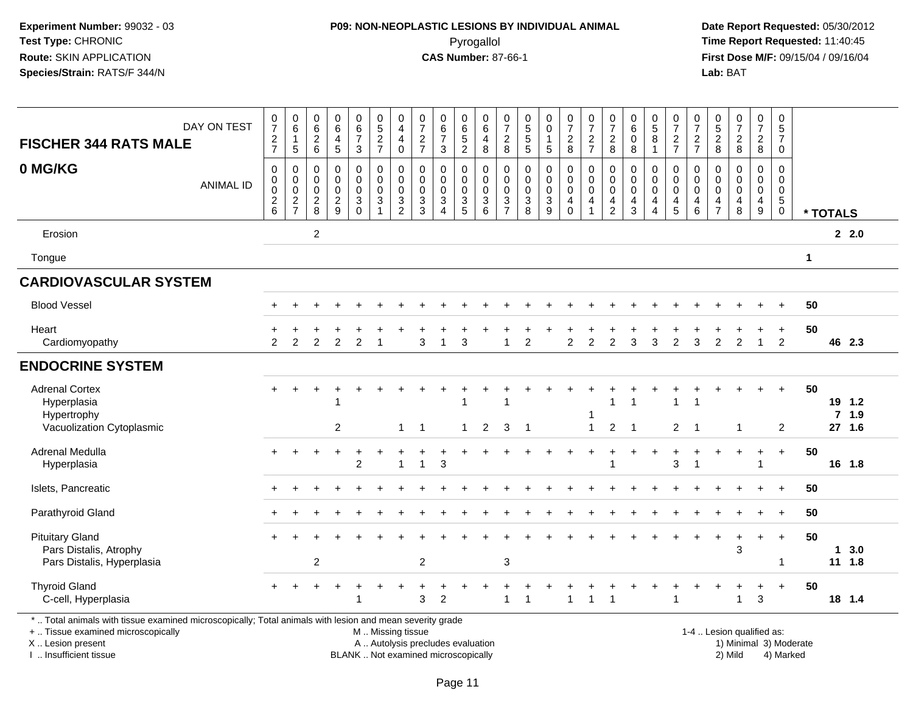#### **P09: NON-NEOPLASTIC LESIONS BY INDIVIDUAL ANIMAL**Pyrogallol **Time Report Requested:** 11:40:45

 **Date Report Requested:** 05/30/2012 **First Dose M/F:** 09/15/04 / 09/16/04<br>Lab: BAT **Lab:** BAT

| <b>FISCHER 344 RATS MALE</b>                                                                                                                                        | DAY ON TEST      | $\frac{0}{7}$<br>$\sqrt{2}$<br>$\overline{7}$                                  | $\mathbf 0$<br>6<br>$\mathbf{1}$<br>$\sqrt{5}$      | $\begin{array}{c} 0 \\ 6 \end{array}$<br>$\sqrt{2}$<br>6 | 0<br>$6\phantom{a}$<br>$\overline{\mathbf{4}}$<br>$\sqrt{5}$ | $\begin{array}{c} 0 \\ 6 \end{array}$<br>$\overline{7}$<br>$\mathbf{3}$ | $0$<br>5<br>2<br>7                                                            | 0<br>$\overline{4}$<br>$\overline{4}$<br>$\mathbf 0$       | $\frac{0}{7}$<br>$\frac{2}{7}$    | $_{6}^{\rm 0}$<br>$\boldsymbol{7}$<br>3                | $\begin{matrix} 0 \\ 6 \\ 5 \end{matrix}$<br>$\overline{2}$ | $_{6}^{\rm 0}$<br>$\overline{4}$<br>8   | $\frac{0}{7}$<br>$\frac{2}{8}$               | $\begin{array}{c} 0 \\ 5 \end{array}$<br>$\sqrt{5}$<br>$\overline{5}$     | 0<br>$\overline{0}$<br>$\mathbf{1}$<br>5                             | $\frac{0}{7}$<br>$_{\rm 8}^2$                     | $\frac{0}{7}$<br>$\frac{2}{7}$                                     | $\frac{0}{7}$<br>$\boldsymbol{2}$<br>8       | $\begin{array}{c} 0 \\ 6 \end{array}$<br>$\pmb{0}$<br>8                    | $\begin{array}{c} 0 \\ 5 \end{array}$<br>$\,8\,$<br>$\overline{1}$                 | $\frac{0}{7}$<br>$\frac{2}{7}$                                    | 0<br>$\overline{7}$<br>$\frac{2}{7}$                  | $^{\rm 0}_{\rm 5}$<br>$\frac{2}{8}$                                       | $\begin{smallmatrix}0\\7\end{smallmatrix}$<br>$\overline{c}$<br>8 | $\frac{0}{7}$<br>$\sqrt{2}$<br>8                                                         | 0<br>$\overline{5}$<br>$\boldsymbol{7}$<br>$\mathbf 0$                           |                        |          |                             |  |
|---------------------------------------------------------------------------------------------------------------------------------------------------------------------|------------------|--------------------------------------------------------------------------------|-----------------------------------------------------|----------------------------------------------------------|--------------------------------------------------------------|-------------------------------------------------------------------------|-------------------------------------------------------------------------------|------------------------------------------------------------|-----------------------------------|--------------------------------------------------------|-------------------------------------------------------------|-----------------------------------------|----------------------------------------------|---------------------------------------------------------------------------|----------------------------------------------------------------------|---------------------------------------------------|--------------------------------------------------------------------|----------------------------------------------|----------------------------------------------------------------------------|------------------------------------------------------------------------------------|-------------------------------------------------------------------|-------------------------------------------------------|---------------------------------------------------------------------------|-------------------------------------------------------------------|------------------------------------------------------------------------------------------|----------------------------------------------------------------------------------|------------------------|----------|-----------------------------|--|
| 0 MG/KG                                                                                                                                                             | <b>ANIMAL ID</b> | $\mathbf 0$<br>$\pmb{0}$<br>$\pmb{0}$<br>$\begin{array}{c} 2 \\ 6 \end{array}$ | $\Omega$<br>$\pmb{0}$<br>$\pmb{0}$<br>$\frac{2}{7}$ | $\Omega$<br>0<br>0<br>$_{\rm 8}^2$                       | $\mathbf 0$<br>0<br>0<br>$\frac{2}{9}$                       | $\pmb{0}$<br>$\pmb{0}$<br>$\pmb{0}$<br>$\frac{3}{0}$                    | $\pmb{0}$<br>$\pmb{0}$<br>$\mathsf{O}\xspace$<br>$\sqrt{3}$<br>$\overline{1}$ | $\mathbf 0$<br>$\mathbf 0$<br>$\mathbf 0$<br>$\frac{3}{2}$ | 0<br>$\mathbf 0$<br>0<br>3<br>3   | $\mathbf 0$<br>$\pmb{0}$<br>$\pmb{0}$<br>$\frac{3}{4}$ | 0<br>0<br>$\mathbf 0$<br>$\mathbf{3}$<br>$\overline{5}$     | 0<br>$\pmb{0}$<br>$\mathbf 0$<br>$^3$ 6 | 0<br>$\pmb{0}$<br>$\pmb{0}$<br>$\frac{3}{7}$ | $\mathbf 0$<br>$\mathbf 0$<br>$\mathbf 0$<br>$\sqrt{3}$<br>$\overline{8}$ | $\Omega$<br>$\mathbf 0$<br>$\pmb{0}$<br>$\sqrt{3}$<br>$\overline{9}$ | 0<br>$\pmb{0}$<br>$\mathsf 0$<br>4<br>$\mathbf 0$ | 0<br>0<br>$\mathbf 0$<br>$\overline{\mathbf{4}}$<br>$\overline{1}$ | 0<br>$\pmb{0}$<br>$\pmb{0}$<br>$\frac{4}{2}$ | $\mathbf 0$<br>0<br>$\mathbf 0$<br>$\overline{\mathbf{4}}$<br>$\mathbf{3}$ | $\Omega$<br>$\mathbf 0$<br>$\mathsf{O}\xspace$<br>$\overline{4}$<br>$\overline{4}$ | 0<br>$\pmb{0}$<br>$\mathbf 0$<br>$\overline{4}$<br>$\overline{5}$ | $\Omega$<br>$\mathbf 0$<br>$\mathsf 0$<br>4<br>$\,$ 6 | $\Omega$<br>$\mathbf 0$<br>0<br>$\overline{\mathbf{4}}$<br>$\overline{7}$ | $\Omega$<br>$\mathbf 0$<br>0<br>$\overline{4}$<br>$\,8\,$         | $\mathbf 0$<br>$\mathbf 0$<br>$\mathbf 0$<br>$\overline{\mathbf{4}}$<br>$\boldsymbol{9}$ | $\mathbf 0$<br>$\mathbf 0$<br>$\mathsf{O}\xspace$<br>$\overline{5}$ <sup>0</sup> |                        | * TOTALS |                             |  |
| Erosion                                                                                                                                                             |                  |                                                                                |                                                     | $\overline{c}$                                           |                                                              |                                                                         |                                                                               |                                                            |                                   |                                                        |                                                             |                                         |                                              |                                                                           |                                                                      |                                                   |                                                                    |                                              |                                                                            |                                                                                    |                                                                   |                                                       |                                                                           |                                                                   |                                                                                          |                                                                                  |                        |          | 2.2.0                       |  |
| Tongue                                                                                                                                                              |                  |                                                                                |                                                     |                                                          |                                                              |                                                                         |                                                                               |                                                            |                                   |                                                        |                                                             |                                         |                                              |                                                                           |                                                                      |                                                   |                                                                    |                                              |                                                                            |                                                                                    |                                                                   |                                                       |                                                                           |                                                                   |                                                                                          |                                                                                  | $\mathbf{1}$           |          |                             |  |
| <b>CARDIOVASCULAR SYSTEM</b>                                                                                                                                        |                  |                                                                                |                                                     |                                                          |                                                              |                                                                         |                                                                               |                                                            |                                   |                                                        |                                                             |                                         |                                              |                                                                           |                                                                      |                                                   |                                                                    |                                              |                                                                            |                                                                                    |                                                                   |                                                       |                                                                           |                                                                   |                                                                                          |                                                                                  |                        |          |                             |  |
| <b>Blood Vessel</b>                                                                                                                                                 |                  |                                                                                |                                                     |                                                          |                                                              |                                                                         |                                                                               |                                                            |                                   |                                                        |                                                             |                                         |                                              |                                                                           |                                                                      |                                                   |                                                                    |                                              |                                                                            |                                                                                    |                                                                   |                                                       |                                                                           |                                                                   |                                                                                          | $+$                                                                              | 50                     |          |                             |  |
| Heart<br>Cardiomyopathy                                                                                                                                             |                  | $\mathcal{P}$                                                                  | $\overline{2}$                                      | $\overline{2}$                                           | $\overline{2}$                                               | $\overline{2}$                                                          | -1                                                                            |                                                            | 3                                 | -1                                                     | 3                                                           |                                         |                                              | $\overline{2}$                                                            |                                                                      | $\overline{2}$                                    | $\overline{2}$                                                     | $\overline{2}$                               | 3                                                                          | 3                                                                                  | $\overline{2}$                                                    | 3                                                     | $\overline{2}$                                                            | $\overline{2}$                                                    | $\mathbf{1}$                                                                             | $\ddot{}$<br>$\overline{2}$                                                      | 50                     |          | 46 2.3                      |  |
| <b>ENDOCRINE SYSTEM</b>                                                                                                                                             |                  |                                                                                |                                                     |                                                          |                                                              |                                                                         |                                                                               |                                                            |                                   |                                                        |                                                             |                                         |                                              |                                                                           |                                                                      |                                                   |                                                                    |                                              |                                                                            |                                                                                    |                                                                   |                                                       |                                                                           |                                                                   |                                                                                          |                                                                                  |                        |          |                             |  |
| <b>Adrenal Cortex</b><br>Hyperplasia<br>Hypertrophy<br>Vacuolization Cytoplasmic                                                                                    |                  | $+$                                                                            | $\ddot{}$                                           |                                                          | 2                                                            |                                                                         |                                                                               | $\mathbf{1}$                                               | $\overline{1}$                    |                                                        | $\mathbf{1}$                                                | 2                                       | $\overline{1}$<br>3                          | $\overline{1}$                                                            |                                                                      |                                                   | -1<br>$\mathbf{1}$                                                 | 1<br>$\overline{2}$                          | $\overline{1}$                                                             |                                                                                    | 1<br>$\overline{2}$                                               | $\overline{1}$                                        |                                                                           | $\mathbf{1}$                                                      |                                                                                          | $+$<br>$\overline{2}$                                                            | 50                     |          | 19 1.2<br>$7$ 1.9<br>27 1.6 |  |
| Adrenal Medulla<br>Hyperplasia                                                                                                                                      |                  | $+$                                                                            |                                                     |                                                          | $\div$                                                       | $\overline{1}$<br>$\overline{c}$                                        |                                                                               | 1                                                          | 1                                 | 3                                                      |                                                             |                                         |                                              |                                                                           |                                                                      |                                                   |                                                                    | $\overline{ }$                               |                                                                            |                                                                                    | ÷.<br>3                                                           |                                                       |                                                                           | $\div$                                                            | $\ddot{}$                                                                                | $\ddot{}$                                                                        | 50                     |          | 16 1.8                      |  |
| Islets, Pancreatic                                                                                                                                                  |                  |                                                                                |                                                     |                                                          |                                                              |                                                                         |                                                                               |                                                            |                                   |                                                        |                                                             |                                         |                                              |                                                                           |                                                                      |                                                   |                                                                    |                                              |                                                                            |                                                                                    |                                                                   |                                                       |                                                                           |                                                                   |                                                                                          | $\ddot{}$                                                                        | 50                     |          |                             |  |
| Parathyroid Gland                                                                                                                                                   |                  |                                                                                |                                                     |                                                          |                                                              |                                                                         |                                                                               |                                                            |                                   |                                                        |                                                             |                                         |                                              |                                                                           |                                                                      |                                                   |                                                                    |                                              |                                                                            |                                                                                    |                                                                   |                                                       |                                                                           |                                                                   |                                                                                          |                                                                                  | 50                     |          |                             |  |
| <b>Pituitary Gland</b><br>Pars Distalis, Atrophy<br>Pars Distalis, Hyperplasia                                                                                      |                  |                                                                                |                                                     | $\overline{2}$                                           |                                                              |                                                                         |                                                                               |                                                            | $\overline{c}$                    |                                                        |                                                             |                                         | 3                                            |                                                                           |                                                                      |                                                   |                                                                    |                                              |                                                                            |                                                                                    |                                                                   |                                                       | $\ddot{}$                                                                 | $\ddot{}$<br>3                                                    | $\ddot{}$                                                                                | $\ddot{}$                                                                        | 50                     | -1       | 3.0<br>$11 \t1.8$           |  |
| <b>Thyroid Gland</b><br>C-cell, Hyperplasia                                                                                                                         |                  |                                                                                |                                                     |                                                          |                                                              |                                                                         |                                                                               |                                                            | 3                                 | $\overline{2}$                                         |                                                             |                                         | 1                                            | $\overline{\mathbf{1}}$                                                   |                                                                      |                                                   |                                                                    | $\overline{\mathbf{1}}$                      |                                                                            |                                                                                    | 1                                                                 |                                                       |                                                                           | 1                                                                 | 3                                                                                        | $\ddot{}$                                                                        | 50                     |          | 18 1.4                      |  |
| *  Total animals with tissue examined microscopically; Total animals with lesion and mean severity grade<br>+  Tissue examined microscopically<br>X  Lesion present |                  |                                                                                |                                                     |                                                          |                                                              |                                                                         | M  Missing tissue                                                             |                                                            | A  Autolysis precludes evaluation |                                                        |                                                             |                                         |                                              |                                                                           |                                                                      |                                                   |                                                                    |                                              |                                                                            |                                                                                    |                                                                   |                                                       |                                                                           | 1-4  Lesion qualified as:                                         |                                                                                          |                                                                                  | 1) Minimal 3) Moderate |          |                             |  |

I .. Insufficient tissue

BLANK .. Not examined microscopically 2) Mild 4) Marked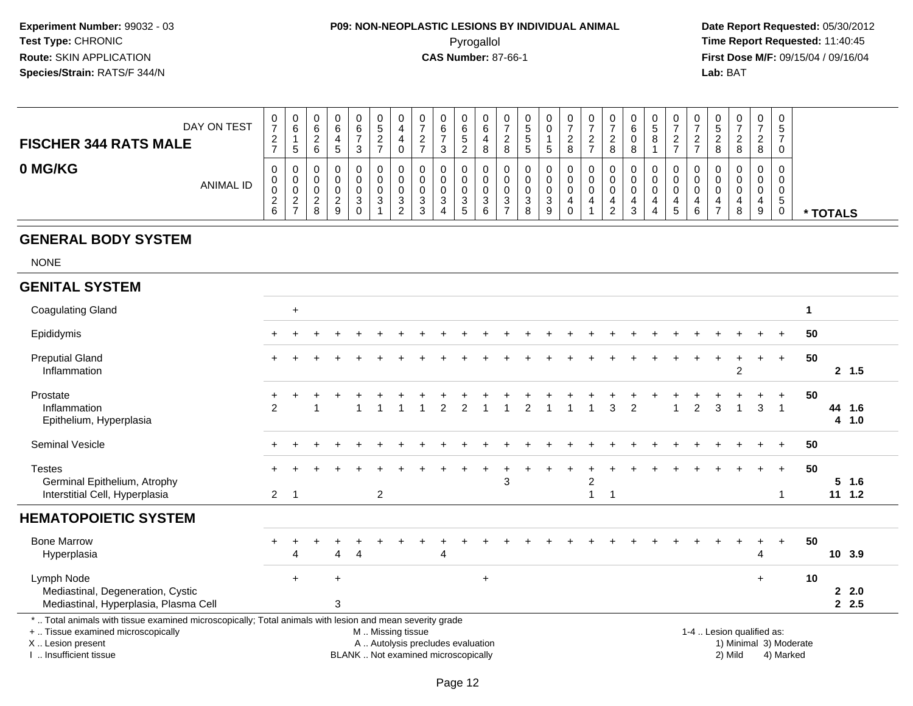## **P09: NON-NEOPLASTIC LESIONS BY INDIVIDUAL ANIMAL**Pyrogallol **Time Report Requested:** 11:40:45

 **Date Report Requested:** 05/30/2012 **First Dose M/F:** 09/15/04 / 09/16/04<br>Lab: BAT **Lab:** BAT

| DAY ON TEST<br><b>FISCHER 344 RATS MALE</b> | U<br>$\rightarrow$<br>$\epsilon$          | U<br>6<br>.5                                  | - | ν<br>⌒                  | 0<br>6<br>3           | U<br>C<br><u>_</u><br>$\rightarrow$ | 0<br>4<br>v           | <u>.</u> | ◡<br>6      | U<br>6<br>5<br><u>_</u>                | 0<br>6<br>4<br>8                             | 0<br><u>_</u><br>8 | ັ<br>ັ | U<br>$\sim$<br>Ω | 0<br>$\epsilon$<br>$\rightarrow$ | 0<br><u>_</u><br>8      | 6<br>Ω | ◡ | 0<br>◠<br>∼                      | v<br>$\sqrt{2}$<br><u>_</u> | U<br>.5<br>я     | 0<br><sup>o</sup><br>8 | 0<br>_<br>8                     | 0<br><sub>5</sub><br>0           |               |
|---------------------------------------------|-------------------------------------------|-----------------------------------------------|---|-------------------------|-----------------------|-------------------------------------|-----------------------|----------|-------------|----------------------------------------|----------------------------------------------|--------------------|--------|------------------|----------------------------------|-------------------------|--------|---|----------------------------------|-----------------------------|------------------|------------------------|---------------------------------|----------------------------------|---------------|
| 0 MG/KG<br><b>ANIMAL ID</b>                 | U<br>v.<br>U<br>$\sim$<br>$\epsilon$<br>6 | v<br>U<br>υ<br>റ<br><u>_</u><br>$\rightarrow$ |   | u<br>u<br><u>_</u><br>9 | 0<br>0<br>O<br>3<br>0 | U<br>U<br>v<br>J                    | 0<br>0<br>0<br>3<br>C | ັ        | ◡<br>◡<br>د | υ<br>U<br>U<br>$\mathbf{r}$<br>C.<br>5 | 0<br>0<br>0<br>$\mathbf{\Omega}$<br>- ၁<br>6 | U<br>U<br>v<br>3   | J<br>8 | υ<br>U<br>U<br>U | U<br>0<br>0                      | U<br>U<br>U<br>$\Omega$ | J      |   | U<br>υ<br>0<br>4<br><sub>5</sub> | 0<br>4<br>6                 | U<br>υ<br>υ<br>- | 0<br>υ<br>0<br>8       | $\mathbf 0$<br>$\mathbf 0$<br>9 | 0<br>0<br>0<br><sub>5</sub><br>0 | <b>TOTALS</b> |

#### **GENERAL BODY SYSTEM**

NONE

#### **GENITAL SYSTEM**

| <b>Coagulating Gland</b>                                                                                                                                                                   |                             | $\ddot{}$ |                |   |                |                                                                                               |               |                |           |   |                |  |                     |                |                |  |                |                           |                |     |                                     |    |                      |
|--------------------------------------------------------------------------------------------------------------------------------------------------------------------------------------------|-----------------------------|-----------|----------------|---|----------------|-----------------------------------------------------------------------------------------------|---------------|----------------|-----------|---|----------------|--|---------------------|----------------|----------------|--|----------------|---------------------------|----------------|-----|-------------------------------------|----|----------------------|
| Epididymis                                                                                                                                                                                 | $+$                         |           |                |   |                |                                                                                               |               |                |           |   |                |  |                     |                |                |  |                |                           |                |     |                                     | 50 |                      |
| <b>Preputial Gland</b><br>Inflammation                                                                                                                                                     | $\ddot{}$                   |           |                |   |                |                                                                                               |               |                |           |   |                |  |                     |                |                |  |                |                           | 2              |     | $\ddot{}$                           | 50 | 2, 1.5               |
| Prostate<br>Inflammation<br>Epithelium, Hyperplasia                                                                                                                                        | $\ddot{}$<br>$\overline{2}$ |           |                |   |                |                                                                                               | $\mathcal{L}$ | $\mathfrak{p}$ |           |   | $\mathfrak{p}$ |  |                     | $\overline{3}$ | $\overline{2}$ |  | $\overline{2}$ | $\overline{3}$            | $\overline{1}$ | 3   |                                     | 50 | 44 1.6<br>4 1.0      |
| Seminal Vesicle                                                                                                                                                                            |                             |           |                |   |                |                                                                                               |               |                |           |   |                |  |                     |                |                |  |                |                           |                |     |                                     | 50 |                      |
| <b>Testes</b><br>Germinal Epithelium, Atrophy<br>Interstitial Cell, Hyperplasia                                                                                                            | $\pm$<br>$2^{\circ}$        | -1        |                |   | $\overline{a}$ |                                                                                               |               |                |           | 3 |                |  | 2<br>$\overline{ }$ |                |                |  |                |                           |                |     | $\ddot{}$                           | 50 | $5$ 1.6<br>11 1.2    |
| <b>HEMATOPOIETIC SYSTEM</b>                                                                                                                                                                |                             |           |                |   |                |                                                                                               |               |                |           |   |                |  |                     |                |                |  |                |                           |                |     |                                     |    |                      |
| <b>Bone Marrow</b><br>Hyperplasia                                                                                                                                                          | $+$                         | 4         | 4              | 4 |                |                                                                                               | 4             |                |           |   |                |  |                     |                |                |  |                |                           |                | 4   | $+$                                 | 50 | 10 3.9               |
| Lymph Node<br>Mediastinal, Degeneration, Cystic<br>Mediastinal, Hyperplasia, Plasma Cell                                                                                                   |                             | $+$       | $\ddot{}$<br>3 |   |                |                                                                                               |               |                | $\ddot{}$ |   |                |  |                     |                |                |  |                |                           |                | $+$ |                                     | 10 | $2 \quad 2.0$<br>2.5 |
| *  Total animals with tissue examined microscopically; Total animals with lesion and mean severity grade<br>+  Tissue examined microscopically<br>X  Lesion present<br>Insufficient tissue |                             |           |                |   |                | M  Missing tissue<br>A  Autolysis precludes evaluation<br>BLANK  Not examined microscopically |               |                |           |   |                |  |                     |                |                |  |                | 1-4  Lesion qualified as: | 2) Mild        |     | 1) Minimal 3) Moderate<br>4) Marked |    |                      |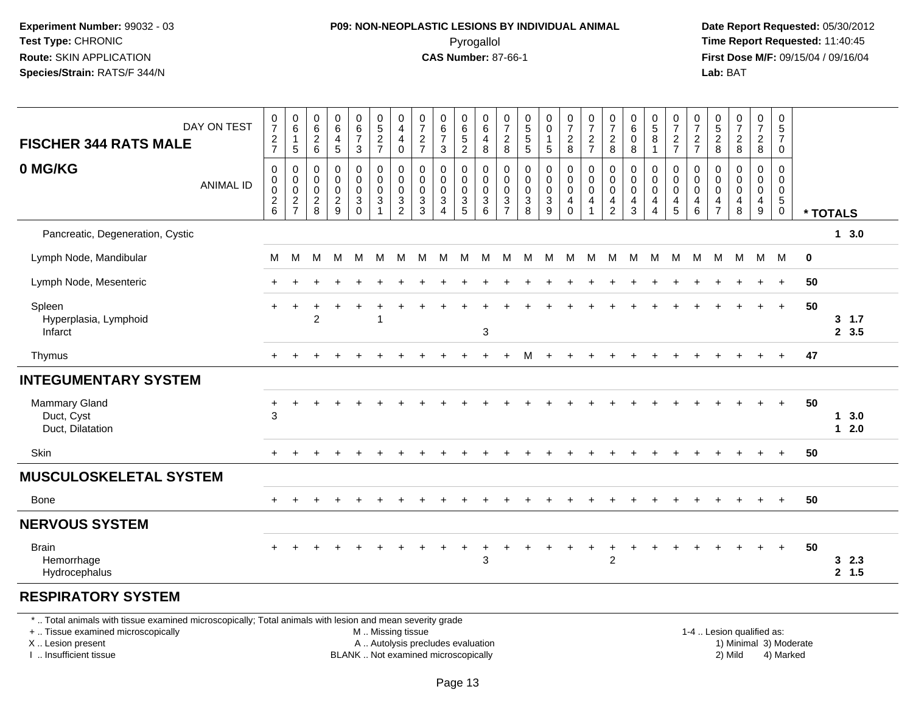#### **P09: NON-NEOPLASTIC LESIONS BY INDIVIDUAL ANIMAL**Pyrogallol **Time Report Requested:** 11:40:45

 **Date Report Requested:** 05/30/2012 **First Dose M/F:** 09/15/04 / 09/16/04 Lab: BAT **Lab:** BAT

| DAY ON TEST<br><b>FISCHER 344 RATS MALE</b>                                                              | $\frac{0}{7}$<br>$\frac{2}{7}$                 | $_{6}^{\rm 0}$<br>$\mathbf{1}$<br>5                                        | 0<br>$\,6\,$<br>$\overline{c}$<br>$\,6\,$    | $\begin{array}{c} 0 \\ 6 \end{array}$<br>$\overline{4}$<br>$\sqrt{5}$ | 0<br>$\,6\,$<br>$\overline{7}$<br>$\mathbf{3}$    | 0<br>$\overline{5}$<br>$\frac{2}{7}$                         | 0<br>$\overline{\mathbf{4}}$<br>4<br>$\pmb{0}$ | 0<br>$\overline{7}$<br>$\frac{2}{7}$     | $\boldsymbol{0}$<br>$\,6$<br>$\overline{7}$<br>$\mathbf{3}$                         | 0<br>$\,6$<br>$\sqrt{5}$<br>$\sqrt{2}$                                      | 0<br>$\,6\,$<br>$\overline{4}$<br>8                  | $\frac{0}{7}$<br>$\sqrt{2}$<br>$\bf 8$                            | $\begin{array}{c} 0 \\ 5 \\ 5 \end{array}$<br>$\sqrt{5}$ | 0<br>0<br>$\mathbf{1}$<br>5     | 0<br>$\overline{7}$<br>$\frac{2}{8}$                                   | $\boldsymbol{0}$<br>$\overline{7}$<br>$\frac{2}{7}$                     | 0<br>$\overline{7}$<br>$\overline{c}$<br>8 | 0<br>$\,6\,$<br>$\mathbf 0$<br>$\, 8$     | $\begin{array}{c} 0 \\ 5 \end{array}$<br>8<br>$\mathbf{1}$ | $\frac{0}{7}$<br>$\frac{2}{7}$                                  | $\frac{0}{7}$<br>$\frac{2}{7}$                | $\begin{matrix} 0 \\ 5 \end{matrix}$<br>$_{\rm 8}^2$             | $\begin{array}{c} 0 \\ 7 \end{array}$<br>$\sqrt{2}$<br>8 | $\begin{smallmatrix}0\\7\end{smallmatrix}$<br>$\frac{2}{8}$ | 0<br>$5\phantom{.0}$<br>$\overline{7}$<br>0                               |             |                              |
|----------------------------------------------------------------------------------------------------------|------------------------------------------------|----------------------------------------------------------------------------|----------------------------------------------|-----------------------------------------------------------------------|---------------------------------------------------|--------------------------------------------------------------|------------------------------------------------|------------------------------------------|-------------------------------------------------------------------------------------|-----------------------------------------------------------------------------|------------------------------------------------------|-------------------------------------------------------------------|----------------------------------------------------------|---------------------------------|------------------------------------------------------------------------|-------------------------------------------------------------------------|--------------------------------------------|-------------------------------------------|------------------------------------------------------------|-----------------------------------------------------------------|-----------------------------------------------|------------------------------------------------------------------|----------------------------------------------------------|-------------------------------------------------------------|---------------------------------------------------------------------------|-------------|------------------------------|
| 0 MG/KG<br><b>ANIMAL ID</b>                                                                              | $\mathbf 0$<br>$\pmb{0}$<br>$\frac{0}{2}$<br>6 | $\mathbf 0$<br>0<br>$\pmb{0}$<br>$\overline{\mathbf{c}}$<br>$\overline{7}$ | 0<br>$\mathbf 0$<br>0<br>$\overline{c}$<br>8 | $\mathbf 0$<br>$\mathbf 0$<br>$\pmb{0}$<br>$\frac{2}{9}$              | 0<br>$\mathsf{O}$<br>$\mathbf 0$<br>3<br>$\Omega$ | $\mathbf 0$<br>$\mathbf 0$<br>$\mathbf 0$<br>$\sqrt{3}$<br>1 | 0<br>0<br>0<br>3<br>2                          | 0<br>$\mathbf 0$<br>0<br>$\sqrt{3}$<br>3 | $\mathbf 0$<br>$\mathbf 0$<br>$\mathbf 0$<br>$\mathbf{3}$<br>$\boldsymbol{\Lambda}$ | $\mathbf 0$<br>$\mathbf 0$<br>$\mathbf 0$<br>$\ensuremath{\mathsf{3}}$<br>5 | 0<br>$\mathbf 0$<br>$\mathbf 0$<br>$\mathbf{3}$<br>6 | 0<br>$\mathbf 0$<br>$\mathbf 0$<br>$\mathbf{3}$<br>$\overline{7}$ | $\pmb{0}$<br>$\mathbf 0$<br>$\pmb{0}$<br>$\sqrt{3}$<br>8 | 0<br>$\mathbf 0$<br>0<br>3<br>9 | 0<br>$\mathsf{O}\xspace$<br>$\pmb{0}$<br>$\overline{4}$<br>$\mathbf 0$ | $\mathbf 0$<br>$\pmb{0}$<br>$\pmb{0}$<br>$\overline{4}$<br>$\mathbf{1}$ | 0<br>$\mathbf 0$<br>0<br>4<br>2            | 0<br>$\mathbf 0$<br>$\mathbf 0$<br>4<br>3 | 0<br>$\mathbf 0$<br>$\mathbf 0$<br>4<br>4                  | 0<br>$\mathsf 0$<br>$\mathsf 0$<br>$\overline{a}$<br>$\sqrt{5}$ | 0<br>$\mathbf 0$<br>$\pmb{0}$<br>4<br>$\,6\,$ | $\mathbf 0$<br>$\mathbf 0$<br>$\mathbf 0$<br>4<br>$\overline{7}$ | $\mathbf 0$<br>$\Omega$<br>$\mathbf 0$<br>4<br>8         | 0<br>$\mathbf 0$<br>$\mathbf 0$<br>$\overline{4}$<br>9      | $\mathbf 0$<br>$\mathbf 0$<br>$\mathbf 0$<br>$\sqrt{5}$<br>$\overline{0}$ |             | * TOTALS                     |
| Pancreatic, Degeneration, Cystic                                                                         |                                                |                                                                            |                                              |                                                                       |                                                   |                                                              |                                                |                                          |                                                                                     |                                                                             |                                                      |                                                                   |                                                          |                                 |                                                                        |                                                                         |                                            |                                           |                                                            |                                                                 |                                               |                                                                  |                                                          |                                                             |                                                                           |             | 13.0                         |
| Lymph Node, Mandibular                                                                                   | M                                              | M                                                                          | м                                            | M                                                                     | M                                                 | М                                                            | M                                              | м                                        | M                                                                                   | M                                                                           | М                                                    | M                                                                 | M                                                        | M                               | M                                                                      | M                                                                       | M                                          |                                           | M M                                                        | M                                                               | M                                             | M                                                                | M                                                        |                                                             | M M                                                                       | $\mathbf 0$ |                              |
| Lymph Node, Mesenteric                                                                                   | $+$                                            | $\ddot{}$                                                                  |                                              |                                                                       |                                                   |                                                              |                                                |                                          |                                                                                     |                                                                             |                                                      |                                                                   |                                                          |                                 |                                                                        |                                                                         |                                            |                                           |                                                            |                                                                 |                                               |                                                                  |                                                          | $\ddot{}$                                                   | $+$                                                                       | 50          |                              |
| Spleen<br>Hyperplasia, Lymphoid<br>Infarct                                                               | $+$                                            | $\ddot{}$                                                                  | $\overline{c}$                               |                                                                       | +                                                 | 1                                                            |                                                |                                          |                                                                                     |                                                                             | $\mathbf{3}$                                         |                                                                   |                                                          |                                 |                                                                        |                                                                         |                                            |                                           |                                                            |                                                                 |                                               |                                                                  |                                                          | $+$                                                         | $\ddot{}$                                                                 | 50          | $3 \t1.7$<br>2, 3.5          |
| Thymus                                                                                                   |                                                |                                                                            |                                              |                                                                       |                                                   |                                                              |                                                |                                          |                                                                                     |                                                                             |                                                      | ÷                                                                 | м                                                        | $\ddot{}$                       | $\ddot{}$                                                              |                                                                         |                                            |                                           |                                                            |                                                                 |                                               |                                                                  |                                                          |                                                             | $\ddot{}$                                                                 | 47          |                              |
| <b>INTEGUMENTARY SYSTEM</b>                                                                              |                                                |                                                                            |                                              |                                                                       |                                                   |                                                              |                                                |                                          |                                                                                     |                                                                             |                                                      |                                                                   |                                                          |                                 |                                                                        |                                                                         |                                            |                                           |                                                            |                                                                 |                                               |                                                                  |                                                          |                                                             |                                                                           |             |                              |
| <b>Mammary Gland</b><br>Duct, Cyst<br>Duct, Dilatation                                                   | +<br>3                                         | $\div$                                                                     |                                              |                                                                       |                                                   |                                                              |                                                |                                          |                                                                                     |                                                                             |                                                      |                                                                   |                                                          |                                 |                                                                        |                                                                         |                                            |                                           |                                                            |                                                                 |                                               |                                                                  |                                                          |                                                             | $+$                                                                       | 50          | 3.0<br>$\mathbf 1$<br>$12.0$ |
| Skin                                                                                                     |                                                |                                                                            |                                              |                                                                       |                                                   |                                                              |                                                |                                          |                                                                                     |                                                                             |                                                      |                                                                   |                                                          |                                 |                                                                        |                                                                         |                                            |                                           |                                                            |                                                                 |                                               |                                                                  |                                                          |                                                             |                                                                           | 50          |                              |
| <b>MUSCULOSKELETAL SYSTEM</b>                                                                            |                                                |                                                                            |                                              |                                                                       |                                                   |                                                              |                                                |                                          |                                                                                     |                                                                             |                                                      |                                                                   |                                                          |                                 |                                                                        |                                                                         |                                            |                                           |                                                            |                                                                 |                                               |                                                                  |                                                          |                                                             |                                                                           |             |                              |
| <b>Bone</b>                                                                                              |                                                |                                                                            |                                              |                                                                       |                                                   |                                                              |                                                |                                          |                                                                                     |                                                                             |                                                      |                                                                   |                                                          |                                 |                                                                        |                                                                         |                                            |                                           |                                                            |                                                                 |                                               |                                                                  |                                                          |                                                             | $+$                                                                       | 50          |                              |
| <b>NERVOUS SYSTEM</b>                                                                                    |                                                |                                                                            |                                              |                                                                       |                                                   |                                                              |                                                |                                          |                                                                                     |                                                                             |                                                      |                                                                   |                                                          |                                 |                                                                        |                                                                         |                                            |                                           |                                                            |                                                                 |                                               |                                                                  |                                                          |                                                             |                                                                           |             |                              |
| <b>Brain</b><br>Hemorrhage<br>Hydrocephalus                                                              |                                                |                                                                            |                                              |                                                                       |                                                   |                                                              |                                                |                                          | $\ddot{}$                                                                           | $\ddot{}$                                                                   | $\ddot{}$<br>3                                       | ٠                                                                 |                                                          | $\ddot{}$                       | $\ddot{}$                                                              | $\ddot{}$                                                               | $\ddot{}$<br>$\overline{c}$                |                                           |                                                            |                                                                 |                                               |                                                                  |                                                          | $\ddot{}$                                                   | $+$                                                                       | 50          | 32.3<br>2, 1.5               |
| <b>RESPIRATORY SYSTEM</b>                                                                                |                                                |                                                                            |                                              |                                                                       |                                                   |                                                              |                                                |                                          |                                                                                     |                                                                             |                                                      |                                                                   |                                                          |                                 |                                                                        |                                                                         |                                            |                                           |                                                            |                                                                 |                                               |                                                                  |                                                          |                                                             |                                                                           |             |                              |
| *  Total animals with tissue examined microscopically; Total animals with lesion and mean severity grade |                                                |                                                                            |                                              |                                                                       |                                                   |                                                              |                                                |                                          |                                                                                     |                                                                             |                                                      |                                                                   |                                                          |                                 |                                                                        |                                                                         |                                            |                                           |                                                            |                                                                 |                                               |                                                                  |                                                          |                                                             |                                                                           |             |                              |

+ .. Tissue examined microscopically

X .. Lesion present

I .. Insufficient tissue

 M .. Missing tissueA .. Autolysis precludes evaluation 1999 (1999) 1999 (1999) 1999 (1999) 1999 (1999) Minimal 3) Minimal 3) Minimal 3) Minimal 3) Mild

BLANK .. Not examined microscopically 2) Mild 4) Marked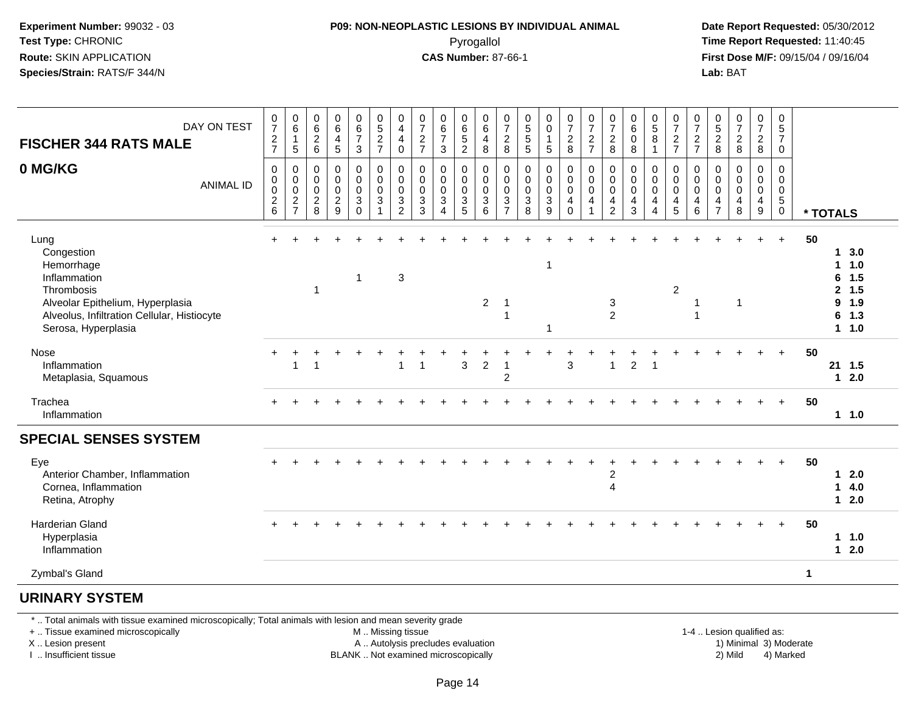#### **P09: NON-NEOPLASTIC LESIONS BY INDIVIDUAL ANIMAL**Pyrogallol **Time Report Requested:** 11:40:45

 **Date Report Requested:** 05/30/2012 **First Dose M/F:** 09/15/04 / 09/16/04 Lab: BAT **Lab:** BAT

| DAY ON TEST<br><b>FISCHER 344 RATS MALE</b>                                                                                                                              | $\frac{0}{7}$<br>$\frac{2}{7}$                       | $_{6}^{\rm 0}$<br>$\mathbf{1}$<br>5                                                          | $\begin{array}{c} 0 \\ 6 \end{array}$<br>$\overline{c}$<br>$\,6\,$ | $\begin{array}{c} 0 \\ 6 \end{array}$<br>$\overline{4}$<br>$\sqrt{5}$ | $\pmb{0}$<br>$rac{6}{7}$<br>$\mathbf{3}$                               | $^{\rm 0}_{\rm 5}$<br>$\frac{2}{7}$                                       | 0<br>$\overline{\mathbf{4}}$<br>4<br>0               | $\frac{0}{7}$<br>$\boldsymbol{2}$<br>$\overline{7}$        | $\begin{array}{c} 0 \\ 6 \\ 7 \end{array}$<br>$\sqrt{3}$            | 0<br>$\,6\,$<br>$\sqrt{5}$<br>$\overline{c}$ | $\,0\,$<br>$\,6\,$<br>$\overline{4}$<br>8                      | $\pmb{0}$<br>$\boldsymbol{7}$<br>$\boldsymbol{2}$<br>8                              | $\begin{array}{c} 0 \\ 5 \\ 5 \end{array}$<br>$\sqrt{5}$   | $_{\rm 0}^{\rm 0}$<br>$\mathbf{1}$<br>$\sqrt{5}$       | $\begin{array}{c} 0 \\ 7 \end{array}$<br>$\frac{2}{8}$        | $\frac{0}{7}$<br>$\frac{2}{7}$                                                   | $\frac{0}{7}$<br>$\overline{c}$<br>8                   | $_{6}^{\rm 0}$<br>0<br>8                          | $\begin{smallmatrix} 0\\5 \end{smallmatrix}$<br>$\bf8$<br>$\overline{1}$ | $\begin{array}{c} 0 \\ 7 \end{array}$<br>$\frac{2}{7}$ | $\frac{0}{7}$<br>$\frac{2}{7}$  | $\begin{array}{c} 0 \\ 5 \\ 2 \end{array}$<br>8        | 0728                                                       | $\frac{0}{7}$<br>$\overline{2}$<br>8                         | $\pmb{0}$<br>$\overline{5}$<br>$\overline{7}$<br>$\mathbf 0$     |                                                                                                              |  |
|--------------------------------------------------------------------------------------------------------------------------------------------------------------------------|------------------------------------------------------|----------------------------------------------------------------------------------------------|--------------------------------------------------------------------|-----------------------------------------------------------------------|------------------------------------------------------------------------|---------------------------------------------------------------------------|------------------------------------------------------|------------------------------------------------------------|---------------------------------------------------------------------|----------------------------------------------|----------------------------------------------------------------|-------------------------------------------------------------------------------------|------------------------------------------------------------|--------------------------------------------------------|---------------------------------------------------------------|----------------------------------------------------------------------------------|--------------------------------------------------------|---------------------------------------------------|--------------------------------------------------------------------------|--------------------------------------------------------|---------------------------------|--------------------------------------------------------|------------------------------------------------------------|--------------------------------------------------------------|------------------------------------------------------------------|--------------------------------------------------------------------------------------------------------------|--|
| 0 MG/KG<br><b>ANIMAL ID</b>                                                                                                                                              | $\pmb{0}$<br>$\pmb{0}$<br>$\pmb{0}$<br>$\frac{2}{6}$ | $\pmb{0}$<br>$\mathbf 0$<br>$\mathsf{O}\xspace$<br>$\overline{\mathbf{c}}$<br>$\overline{7}$ | $\mathbf 0$<br>0<br>$\mathbf 0$<br>$\overline{c}$<br>8             | $\pmb{0}$<br>$\pmb{0}$<br>$\pmb{0}$<br>$\sqrt{2}$<br>9                | 0<br>$\pmb{0}$<br>$\mathbf 0$<br>$\ensuremath{\mathsf{3}}$<br>$\Omega$ | $\pmb{0}$<br>$\mathbf 0$<br>$\mathsf 0$<br>$\ensuremath{\mathsf{3}}$<br>1 | $\mathbf 0$<br>0<br>$\pmb{0}$<br>3<br>$\overline{2}$ | $\mathbf 0$<br>$\mathbf 0$<br>$\pmb{0}$<br>$\sqrt{3}$<br>3 | $\pmb{0}$<br>$\pmb{0}$<br>$\pmb{0}$<br>$\sqrt{3}$<br>$\overline{4}$ | 0<br>0<br>$\pmb{0}$<br>$\sqrt{3}$<br>5       | $\mathbf 0$<br>$\mathbf 0$<br>$\mathbf 0$<br>$\mathbf{3}$<br>6 | 0<br>$\mathbf 0$<br>$\boldsymbol{0}$<br>$\ensuremath{\mathsf{3}}$<br>$\overline{7}$ | $\pmb{0}$<br>$\mathbf 0$<br>$\mathsf 0$<br>$\sqrt{3}$<br>8 | $\pmb{0}$<br>$\pmb{0}$<br>$\pmb{0}$<br>$\sqrt{3}$<br>9 | $\pmb{0}$<br>$\overline{0}$<br>$\pmb{0}$<br>4<br>$\mathbf{0}$ | $\begin{smallmatrix} 0\\0 \end{smallmatrix}$<br>$\mathbf 0$<br>4<br>$\mathbf{1}$ | 0<br>$\mathbf 0$<br>$\mathbf 0$<br>$\overline{4}$<br>2 | $\mathbf 0$<br>$\mathbf 0$<br>$\pmb{0}$<br>4<br>3 | $\mathbf 0$<br>$\pmb{0}$<br>$\pmb{0}$<br>4<br>$\boldsymbol{\Lambda}$     | 0<br>0<br>$\mathsf{O}\xspace$<br>$\overline{4}$<br>5   | 0<br>0<br>$\mathbf 0$<br>4<br>6 | 0<br>$\mathbf 0$<br>$\mathbf 0$<br>4<br>$\overline{7}$ | $\mathbf 0$<br>$\mathbf 0$<br>$\mathbf 0$<br>$\frac{4}{8}$ | $\pmb{0}$<br>$\pmb{0}$<br>$\mathbf 0$<br>$\overline{4}$<br>9 | $\mathbf 0$<br>$\mathbf 0$<br>$\mathbf 0$<br>$\overline{5}$<br>0 | * TOTALS                                                                                                     |  |
| Lung<br>Congestion<br>Hemorrhage<br>Inflammation<br>Thrombosis<br>Alveolar Epithelium, Hyperplasia<br>Alveolus, Infiltration Cellular, Histiocyte<br>Serosa, Hyperplasia |                                                      |                                                                                              | $\overline{1}$                                                     |                                                                       | $\mathbf{1}$                                                           |                                                                           | 3                                                    |                                                            |                                                                     |                                              | 2                                                              | $\overline{1}$<br>1                                                                 |                                                            | -1                                                     |                                                               |                                                                                  | 3<br>$\overline{2}$                                    |                                                   |                                                                          | 2                                                      | -1<br>1                         |                                                        | 1                                                          |                                                              | $+$                                                              | 50<br>3.0<br>-1<br>1.0<br>1<br>1.5<br>6<br>1.5<br>$\mathbf{2}$<br>1.9<br>9<br>1.3<br>6<br>1.0<br>$\mathbf 1$ |  |
| Nose<br>Inflammation<br>Metaplasia, Squamous                                                                                                                             |                                                      | $\overline{1}$                                                                               |                                                                    |                                                                       |                                                                        |                                                                           | $\overline{1}$                                       | 1                                                          |                                                                     | 3                                            | 2                                                              | $\mathbf 1$<br>$\overline{c}$                                                       |                                                            |                                                        | 3                                                             |                                                                                  |                                                        | $\overline{2}$                                    |                                                                          |                                                        |                                 |                                                        |                                                            |                                                              | $\ddot{}$                                                        | 50<br>21<br>1.5<br>2.0<br>$\mathbf{1}$                                                                       |  |
| Trachea<br>Inflammation                                                                                                                                                  |                                                      |                                                                                              |                                                                    |                                                                       |                                                                        |                                                                           |                                                      |                                                            |                                                                     |                                              |                                                                |                                                                                     |                                                            |                                                        |                                                               |                                                                                  |                                                        |                                                   |                                                                          |                                                        |                                 |                                                        |                                                            |                                                              | $+$                                                              | 50<br>11.0                                                                                                   |  |
| <b>SPECIAL SENSES SYSTEM</b>                                                                                                                                             |                                                      |                                                                                              |                                                                    |                                                                       |                                                                        |                                                                           |                                                      |                                                            |                                                                     |                                              |                                                                |                                                                                     |                                                            |                                                        |                                                               |                                                                                  |                                                        |                                                   |                                                                          |                                                        |                                 |                                                        |                                                            |                                                              |                                                                  |                                                                                                              |  |
| Eye<br>Anterior Chamber, Inflammation<br>Cornea, Inflammation<br>Retina, Atrophy                                                                                         |                                                      |                                                                                              |                                                                    |                                                                       |                                                                        |                                                                           |                                                      |                                                            |                                                                     |                                              |                                                                |                                                                                     |                                                            |                                                        |                                                               |                                                                                  | $\overline{c}$<br>$\overline{4}$                       |                                                   |                                                                          |                                                        |                                 |                                                        |                                                            |                                                              |                                                                  | 50<br>2.0<br>1<br>4.0<br>1<br>$12.0$                                                                         |  |
| <b>Harderian Gland</b><br>Hyperplasia<br>Inflammation                                                                                                                    |                                                      |                                                                                              |                                                                    |                                                                       |                                                                        |                                                                           |                                                      |                                                            |                                                                     |                                              |                                                                |                                                                                     |                                                            |                                                        |                                                               |                                                                                  |                                                        |                                                   |                                                                          |                                                        |                                 |                                                        |                                                            |                                                              | $+$                                                              | 50<br>1.0<br>1<br>2.0<br>$\mathbf 1$                                                                         |  |
| Zymbal's Gland                                                                                                                                                           |                                                      |                                                                                              |                                                                    |                                                                       |                                                                        |                                                                           |                                                      |                                                            |                                                                     |                                              |                                                                |                                                                                     |                                                            |                                                        |                                                               |                                                                                  |                                                        |                                                   |                                                                          |                                                        |                                 |                                                        |                                                            |                                                              |                                                                  | $\mathbf{1}$                                                                                                 |  |

#### **URINARY SYSTEM**

\* .. Total animals with tissue examined microscopically; Total animals with lesion and mean severity grade

+ .. Tissue examined microscopically

X .. Lesion present

I .. Insufficient tissue

M .. Missing tissue

A .. Autolysis precludes evaluation

BLANK .. Not examined microscopically 2) Mild 4) Marked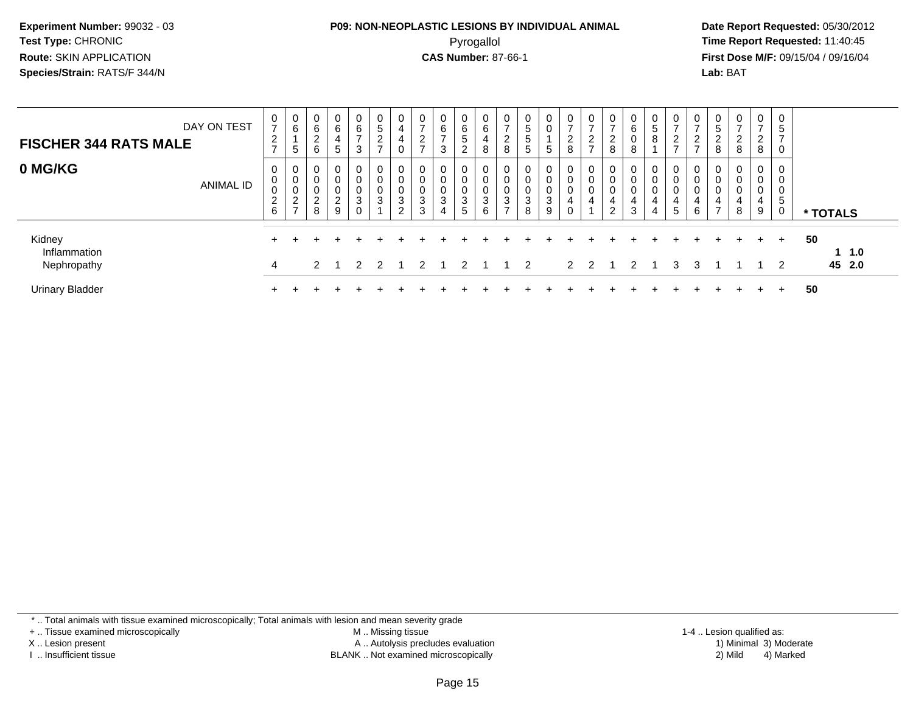#### **P09: NON-NEOPLASTIC LESIONS BY INDIVIDUAL ANIMAL**Pyrogallol **Time Report Requested:** 11:40:45

 **Date Report Requested:** 05/30/2012 **First Dose M/F:** 09/15/04 / 09/16/04 Lab: BAT **Lab:** BAT

| <b>FISCHER 344 RATS MALE</b>          | DAY ON TEST | 0<br>$\overline{ }$<br>$\overline{c}$<br>$\overline{ }$ | 0<br>6<br>5                               | 0<br>6<br>ົ<br>∠<br>6               | 0<br>6<br>4<br>$5\phantom{.0}$             | 0<br>6<br>$\rightarrow$<br>3 | 0<br>$\overline{5}$<br>$\overline{c}$<br>$\overline{ }$ | $\overline{0}$<br>4<br>0                           | 0<br>$\rightarrow$<br>$\sim$<br>∠<br>$\rightarrow$ | 0<br>6<br>$\rightarrow$<br>3       | 0<br>6<br>5<br>$\overline{2}$ | 0<br>6<br>4<br>8      | $\mathbf{0}$<br>$\overline{ }$<br>ົ<br>$\epsilon$<br>8 | 0<br>5<br>5<br>5                 | 0<br>0<br>5                    | 0<br>$\overline{ }$<br>$\overline{2}$<br>8 | 0<br>$\rightarrow$<br>$\overline{2}$<br>$\overline{ }$ | 0<br>$\rightarrow$<br>$\sim$<br>▵<br>8     | O<br>6<br>υ<br>8      | 0<br>$5\phantom{.0}$<br>8                    | 0<br>$\overline{ }$<br>2<br>$\rightarrow$ | 0<br>$\overline{ }$<br>2<br>$\rightarrow$ | C.<br>$\sim$<br>$\epsilon$<br>8 | 0<br>-<br>$\sim$<br>∠<br>8 | $\mathbf{0}$<br>$\rightarrow$<br>$\overline{2}$<br>8 | 0<br>5<br>$\overline{ }$<br>0 |                        |
|---------------------------------------|-------------|---------------------------------------------------------|-------------------------------------------|-------------------------------------|--------------------------------------------|------------------------------|---------------------------------------------------------|----------------------------------------------------|----------------------------------------------------|------------------------------------|-------------------------------|-----------------------|--------------------------------------------------------|----------------------------------|--------------------------------|--------------------------------------------|--------------------------------------------------------|--------------------------------------------|-----------------------|----------------------------------------------|-------------------------------------------|-------------------------------------------|---------------------------------|----------------------------|------------------------------------------------------|-------------------------------|------------------------|
| 0 MG/KG                               | ANIMAL ID   | 0<br>$\mathbf 0$<br>$\mathbf 0$<br>$\frac{2}{6}$        | 0<br>0<br>$\pmb{0}$<br>2<br>$\rightarrow$ | 0<br>0<br>0<br>ົ<br>$\epsilon$<br>8 | 0<br>0<br>$\pmb{0}$<br>$\overline{c}$<br>9 | 0<br>0<br>0<br>3<br>$\Omega$ | 0<br>0<br>0<br>3                                        | $\overline{0}$<br>0<br>0<br>$\mathbf{3}$<br>$\sim$ | 0<br>0<br>0<br>$\sqrt{3}$<br>3                     | 0<br>0<br>0<br>3<br>$\overline{4}$ | 0<br>0<br>0<br>3<br>5         | 0<br>0<br>0<br>3<br>6 | 0<br>0<br>0<br>3<br>$\rightarrow$                      | 0<br>0<br>0<br>$\mathbf{3}$<br>8 | 0<br>0<br>0<br>$\sqrt{3}$<br>9 | 0<br>0<br>0<br>4<br>0                      | 0<br>0<br>4                                            | 0<br>0<br>0<br>4<br>$\Omega$<br>$\epsilon$ | 0<br>0<br>0<br>4<br>3 | 0<br>0<br>$\mathbf 0$<br>4<br>$\overline{4}$ | 0<br>0<br>0<br>4<br>5                     | 0<br>0<br>0<br>4<br>6                     | 0<br>0<br>4<br>$\rightarrow$    | 0<br>0<br>0<br>4<br>8      | 0<br>0<br>0<br>$\overline{4}$<br>9                   | 0<br>0<br>0<br>5<br>0         | * TOTALS               |
| Kidney<br>Inflammation<br>Nephropathy |             | 4                                                       |                                           | $\mathcal{P}$                       |                                            | $\mathcal{P}$                | $\mathcal{P}$                                           |                                                    | $\mathcal{P}$                                      |                                    | $\mathcal{P}$                 |                       |                                                        | $1\quad 2$                       |                                |                                            | 2 <sub>2</sub>                                         |                                            | $\mathcal{P}$         |                                              | 3                                         | 3                                         |                                 |                            |                                                      | $+$                           | 50<br>$-1.0$<br>45 2.0 |
| <b>Urinary Bladder</b>                |             |                                                         |                                           |                                     |                                            |                              |                                                         |                                                    |                                                    |                                    |                               |                       |                                                        |                                  |                                |                                            |                                                        |                                            |                       |                                              |                                           |                                           |                                 |                            |                                                      |                               | 50                     |

\* .. Total animals with tissue examined microscopically; Total animals with lesion and mean severity grade

+ .. Tissue examined microscopically

X .. Lesion present

I .. Insufficient tissue

 M .. Missing tissueA .. Autolysis precludes evaluation

BLANK .. Not examined microscopically 2) Mild 4) Marked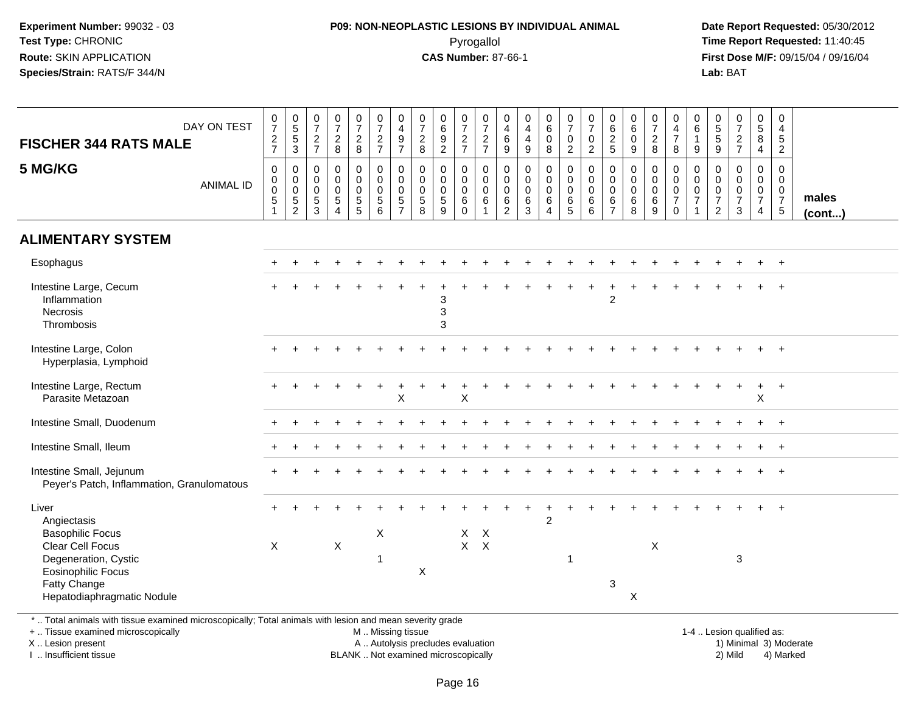#### **P09: NON-NEOPLASTIC LESIONS BY INDIVIDUAL ANIMAL**Pyrogallol **Time Report Requested:** 11:40:45

 **Date Report Requested:** 05/30/2012 **First Dose M/F:** 09/15/04 / 09/16/04 Lab: BAT **Lab:** BAT

| DAY ON TEST<br><b>FISCHER 344 RATS MALE</b>                                                                                                                            | $\frac{0}{7}$<br>$\frac{2}{7}$                        | $\begin{array}{c} 0 \\ 5 \end{array}$<br>$\sqrt{5}$<br>$\mathbf{3}$     | $\frac{0}{7}$<br>$\frac{2}{7}$                                | $\begin{smallmatrix}0\\7\end{smallmatrix}$<br>$\frac{2}{8}$                | $\frac{0}{7}$<br>$\frac{2}{8}$                               | $\frac{0}{7}$<br>$\frac{2}{7}$                                   | $\begin{smallmatrix}0\\4\end{smallmatrix}$<br>$\frac{9}{7}$ | $\frac{0}{7}$<br>$\frac{2}{8}$                               | $\pmb{0}$<br>$\,6\,$<br>$\frac{9}{2}$                            | $\frac{0}{7}$<br>$\frac{2}{7}$               | $\frac{0}{7}$<br>$\frac{2}{7}$                                | $\pmb{0}$<br>$\overline{4}$<br>$\,6\,$<br>9                              | 0<br>$\overline{4}$<br>$\overline{4}$<br>$\boldsymbol{9}$ | $\begin{array}{c} 0 \\ 6 \end{array}$<br>$\pmb{0}$<br>$\,8\,$ | $\frac{0}{7}$<br>$\mathbf 0$<br>$\overline{2}$           | $\frac{0}{7}$<br>$\mathbf 0$<br>$\overline{2}$                | $\begin{array}{c} 0 \\ 6 \end{array}$<br>$\frac{2}{5}$   | 0<br>$6\overline{6}$<br>$\mathbf 0$<br>9                  | $\frac{0}{7}$<br>$\overline{c}$<br>8                            | 0<br>$\overline{4}$<br>$\boldsymbol{7}$<br>8                                       | 0<br>$\,6$<br>$\overline{1}$<br>$9\,$                               | $\begin{array}{c} 0 \\ 5 \end{array}$<br>$\sqrt{5}$<br>9                        | $\frac{0}{7}$<br>$\frac{2}{7}$                           | $\begin{array}{c} 0 \\ 5 \end{array}$<br>8<br>$\overline{4}$        | $\pmb{0}$<br>$\overline{4}$<br>$\sqrt{5}$<br>$\overline{2}$                       |                 |
|------------------------------------------------------------------------------------------------------------------------------------------------------------------------|-------------------------------------------------------|-------------------------------------------------------------------------|---------------------------------------------------------------|----------------------------------------------------------------------------|--------------------------------------------------------------|------------------------------------------------------------------|-------------------------------------------------------------|--------------------------------------------------------------|------------------------------------------------------------------|----------------------------------------------|---------------------------------------------------------------|--------------------------------------------------------------------------|-----------------------------------------------------------|---------------------------------------------------------------|----------------------------------------------------------|---------------------------------------------------------------|----------------------------------------------------------|-----------------------------------------------------------|-----------------------------------------------------------------|------------------------------------------------------------------------------------|---------------------------------------------------------------------|---------------------------------------------------------------------------------|----------------------------------------------------------|---------------------------------------------------------------------|-----------------------------------------------------------------------------------|-----------------|
| 5 MG/KG<br><b>ANIMAL ID</b>                                                                                                                                            | 0<br>$\mathbf 0$<br>$\ddot{\mathbf{0}}$<br>$\sqrt{5}$ | $\pmb{0}$<br>$\mathbf 0$<br>$\mathsf 0$<br>$\sqrt{5}$<br>$\overline{2}$ | $\mathbf 0$<br>$\mathbf 0$<br>$\mathbf 0$<br>$\,$ 5 $\,$<br>3 | $\mathbf 0$<br>$\mathbf 0$<br>$\mathbf 0$<br>$\,$ 5 $\,$<br>$\overline{4}$ | $\mathsf{O}$<br>$\mathsf{O}$<br>$\mathbf 0$<br>$\frac{5}{5}$ | $\mathbf 0$<br>$\mathsf{O}\xspace$<br>$\pmb{0}$<br>$\frac{5}{6}$ | $\pmb{0}$<br>$\overline{0}$<br>$\frac{5}{7}$                | $\mathbf 0$<br>$\mathbf 0$<br>$\mathbf 0$<br>$\sqrt{5}$<br>8 | $\mathbf 0$<br>$\mathbf 0$<br>$\mathsf 0$<br>$\overline{5}$<br>9 | 0<br>0<br>$\mathbf 0$<br>$\,6\,$<br>$\Omega$ | 0<br>$\overline{0}$ <sub>0</sub><br>$\,6\,$<br>$\overline{1}$ | $\pmb{0}$<br>$\pmb{0}$<br>$\mathsf{O}\xspace$<br>$\,6$<br>$\overline{2}$ | 0<br>$\mathbf 0$<br>$\mathbf 0$<br>$\,6$<br>3             | $\pmb{0}$<br>$\overline{0}$<br>$\,6\,$<br>$\overline{4}$      | 0<br>$\mathbf 0$<br>$\mathsf{O}\xspace$<br>$\frac{6}{5}$ | $\mathbf 0$<br>$\mathbf 0$<br>$\mathbf 0$<br>$\,6$<br>$\,6\,$ | 0<br>$\pmb{0}$<br>$\mathbf 0$<br>$\,6$<br>$\overline{7}$ | $\mathbf 0$<br>$\mathbf 0$<br>$\mathbf 0$<br>$\,6\,$<br>8 | $\mathbf 0$<br>$\mathsf{O}\xspace$<br>$\pmb{0}$<br>$\,6\,$<br>9 | 0<br>$\mathsf{O}\xspace$<br>$\mathsf{O}\xspace$<br>$\boldsymbol{7}$<br>$\mathbf 0$ | 0<br>$\mathbf 0$<br>$\mathbf 0$<br>$\overline{7}$<br>$\overline{1}$ | $\mathbf 0$<br>$\mathbf 0$<br>$\mathbf 0$<br>$\boldsymbol{7}$<br>$\overline{2}$ | 0<br>$\mathbf 0$<br>$\mathsf 0$<br>$\boldsymbol{7}$<br>3 | 0<br>$\mathbf 0$<br>$\mathbf 0$<br>$\overline{7}$<br>$\overline{4}$ | $\mathbf 0$<br>$\mathbf 0$<br>$\mathsf{O}\xspace$<br>$\overline{7}$<br>$\sqrt{5}$ | males<br>(cont) |
| <b>ALIMENTARY SYSTEM</b>                                                                                                                                               |                                                       |                                                                         |                                                               |                                                                            |                                                              |                                                                  |                                                             |                                                              |                                                                  |                                              |                                                               |                                                                          |                                                           |                                                               |                                                          |                                                               |                                                          |                                                           |                                                                 |                                                                                    |                                                                     |                                                                                 |                                                          |                                                                     |                                                                                   |                 |
| Esophagus                                                                                                                                                              |                                                       |                                                                         |                                                               |                                                                            |                                                              |                                                                  |                                                             |                                                              |                                                                  |                                              |                                                               |                                                                          |                                                           |                                                               |                                                          |                                                               |                                                          |                                                           |                                                                 |                                                                                    |                                                                     |                                                                                 |                                                          |                                                                     | $\ddot{}$                                                                         |                 |
| Intestine Large, Cecum<br>Inflammation<br>Necrosis<br>Thrombosis                                                                                                       |                                                       |                                                                         |                                                               |                                                                            |                                                              |                                                                  |                                                             |                                                              | 3<br>3<br>3                                                      |                                              |                                                               |                                                                          |                                                           |                                                               |                                                          |                                                               | $\overline{c}$                                           |                                                           |                                                                 |                                                                                    |                                                                     |                                                                                 |                                                          |                                                                     |                                                                                   |                 |
| Intestine Large, Colon<br>Hyperplasia, Lymphoid                                                                                                                        |                                                       |                                                                         |                                                               |                                                                            |                                                              |                                                                  |                                                             |                                                              |                                                                  |                                              |                                                               |                                                                          |                                                           |                                                               |                                                          |                                                               |                                                          |                                                           |                                                                 |                                                                                    |                                                                     |                                                                                 |                                                          |                                                                     | $\ddot{}$                                                                         |                 |
| Intestine Large, Rectum<br>Parasite Metazoan                                                                                                                           |                                                       |                                                                         |                                                               |                                                                            |                                                              |                                                                  | $\mathsf X$                                                 |                                                              |                                                                  | X                                            |                                                               |                                                                          |                                                           |                                                               |                                                          |                                                               |                                                          |                                                           |                                                                 |                                                                                    |                                                                     |                                                                                 |                                                          | $\sf X$                                                             |                                                                                   |                 |
| Intestine Small, Duodenum                                                                                                                                              |                                                       |                                                                         |                                                               |                                                                            |                                                              |                                                                  |                                                             |                                                              |                                                                  |                                              |                                                               |                                                                          |                                                           |                                                               |                                                          |                                                               |                                                          |                                                           |                                                                 |                                                                                    |                                                                     |                                                                                 |                                                          |                                                                     | $\ddot{}$                                                                         |                 |
| Intestine Small, Ileum                                                                                                                                                 |                                                       |                                                                         |                                                               |                                                                            |                                                              |                                                                  |                                                             |                                                              |                                                                  |                                              |                                                               |                                                                          |                                                           |                                                               |                                                          |                                                               |                                                          |                                                           |                                                                 |                                                                                    |                                                                     |                                                                                 |                                                          |                                                                     |                                                                                   |                 |
| Intestine Small, Jejunum<br>Peyer's Patch, Inflammation, Granulomatous                                                                                                 |                                                       |                                                                         |                                                               |                                                                            |                                                              |                                                                  |                                                             |                                                              |                                                                  |                                              |                                                               |                                                                          |                                                           |                                                               |                                                          |                                                               |                                                          |                                                           |                                                                 |                                                                                    |                                                                     |                                                                                 |                                                          |                                                                     | $\overline{+}$                                                                    |                 |
| Liver<br>Angiectasis<br><b>Basophilic Focus</b><br>Clear Cell Focus<br>Degeneration, Cystic<br><b>Eosinophilic Focus</b><br>Fatty Change<br>Hepatodiaphragmatic Nodule | $\times$                                              |                                                                         |                                                               | $\mathsf{X}$                                                               |                                                              | X<br>1                                                           |                                                             | $\pmb{\times}$                                               |                                                                  | $X$ $X$                                      | $X$ $X$                                                       |                                                                          |                                                           | $\overline{2}$                                                | 1                                                        |                                                               | $\mathbf{3}$                                             | $\boldsymbol{\mathsf{X}}$                                 | X                                                               |                                                                                    |                                                                     |                                                                                 | $\mathbf{3}$                                             |                                                                     | $\ddot{}$                                                                         |                 |

+ .. Tissue examined microscopically

X .. Lesion present

I .. Insufficient tissue

M .. Missing tissue

A .. Autolysis precludes evaluation 1) Minimal 30 (1) Minimal 30 (1) Minimal 3) Minimal 3) Minimal 3) Minimal 3<br>1) Minimal 30 (1) Minimal 3) Mild

 1-4 .. Lesion qualified as: BLANK .. Not examined microscopically 2) Mild 4) Marked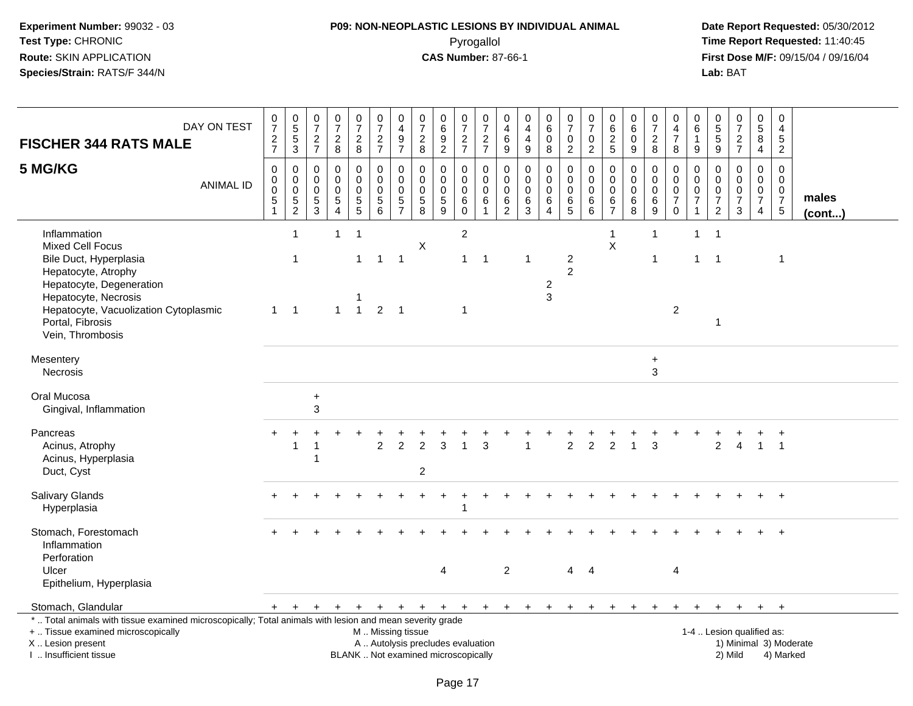### **P09: NON-NEOPLASTIC LESIONS BY INDIVIDUAL ANIMAL**Pyrogallol **Time Report Requested:** 11:40:45

 **Date Report Requested:** 05/30/2012 **First Dose M/F:** 09/15/04 / 09/16/04<br>Lab: BAT **Lab:** BAT

| <b>FISCHER 344 RATS MALE</b>                                                                                                                                                                                                  | DAY ON TEST      | $\begin{array}{c} 0 \\ 7 \end{array}$<br>$\frac{2}{7}$         | $\begin{array}{c} 0 \\ 5 \\ 5 \end{array}$<br>$\mathbf{3}$ | $\frac{0}{7}$<br>$\sqrt{2}$<br>$\overline{7}$ | $\frac{0}{7}$<br>$\sqrt{2}$<br>$\,8\,$                     | $\begin{array}{c} 0 \\ 7 \end{array}$<br>$\sqrt{2}$<br>8       | $\begin{array}{c} 0 \\ 7 \end{array}$<br>$\sqrt{2}$<br>$\overline{7}$    | 0<br>$\overline{\mathbf{4}}$<br>$\boldsymbol{9}$<br>$\overline{7}$ | $\begin{array}{c} 0 \\ 7 \end{array}$<br>$\mathbf 2$<br>8   | $_{6}^{\rm 0}$<br>$\overline{9}$<br>$\overline{2}$                       | $\frac{0}{7}$<br>$\overline{c}$<br>$\overline{7}$ | $\frac{0}{7}$<br>$\sqrt{2}$<br>$\overline{7}$                     | $\pmb{0}$<br>$\overline{4}$<br>$\,6\,$<br>$\boldsymbol{9}$ | $\pmb{0}$<br>$\overline{4}$<br>$\overline{4}$<br>9        | $_{6}^{\rm 0}$<br>$\mathbf 0$<br>8                           | $\begin{smallmatrix}0\\7\end{smallmatrix}$<br>$\pmb{0}$<br>$\overline{a}$ | $\frac{0}{7}$<br>$\mathbf 0$<br>$\overline{2}$            | $\pmb{0}$<br>$^6_2$<br>$\sqrt{5}$                      | $\begin{array}{c} 0 \\ 6 \end{array}$<br>$\mathbf 0$<br>9 | $\begin{array}{c} 0 \\ 7 \end{array}$<br>$\sqrt{2}$<br>8    | 0<br>$\overline{4}$<br>$\overline{7}$<br>8                              | $\mathbf 0$<br>$\,6\,$<br>$\mathbf{1}$<br>9                              | $\begin{array}{c} 0 \\ 5 \end{array}$<br>$\overline{5}$<br>9 | $\frac{0}{7}$<br>$\overline{a}$<br>$\overline{7}$       | $\begin{array}{c} 0 \\ 5 \end{array}$<br>$\overline{8}$<br>$\overline{4}$      | 0<br>4<br>5<br>$\overline{2}$                                    |                       |
|-------------------------------------------------------------------------------------------------------------------------------------------------------------------------------------------------------------------------------|------------------|----------------------------------------------------------------|------------------------------------------------------------|-----------------------------------------------|------------------------------------------------------------|----------------------------------------------------------------|--------------------------------------------------------------------------|--------------------------------------------------------------------|-------------------------------------------------------------|--------------------------------------------------------------------------|---------------------------------------------------|-------------------------------------------------------------------|------------------------------------------------------------|-----------------------------------------------------------|--------------------------------------------------------------|---------------------------------------------------------------------------|-----------------------------------------------------------|--------------------------------------------------------|-----------------------------------------------------------|-------------------------------------------------------------|-------------------------------------------------------------------------|--------------------------------------------------------------------------|--------------------------------------------------------------|---------------------------------------------------------|--------------------------------------------------------------------------------|------------------------------------------------------------------|-----------------------|
| 5 MG/KG                                                                                                                                                                                                                       | <b>ANIMAL ID</b> | $\mathbf 0$<br>0<br>$\pmb{0}$<br>$\,$ 5 $\,$<br>$\overline{1}$ | 0<br>$\mathbf 0$<br>$\mathbf 0$<br>$\frac{5}{2}$           | 0<br>0<br>0<br>$\,$ 5 $\,$<br>$\mathbf{3}$    | $\mathbf 0$<br>$\mathbf 0$<br>$\mathbf 0$<br>$\frac{5}{4}$ | 0<br>$\mathsf 0$<br>0<br>$\begin{array}{c} 5 \\ 5 \end{array}$ | $\Omega$<br>$\mathbf 0$<br>$\mathbf 0$<br>$\,$ 5 $\,$<br>$6\phantom{1}6$ | 0<br>$\mathbf 0$<br>$\mathbf{0}$<br>$\mathbf 5$<br>$\overline{7}$  | $\mathbf 0$<br>$\mathsf{O}\xspace$<br>0<br>$\,$ 5 $\,$<br>8 | 0<br>$\mathbf 0$<br>$\mathbf 0$<br>$\,$ 5 $\,$<br>9                      | 0<br>$\mathsf 0$<br>0<br>$\,6$<br>$\mathbf 0$     | $\mathbf{0}$<br>$\mathbf 0$<br>$\mathbf 0$<br>6<br>$\overline{1}$ | $\mathbf 0$<br>$\mathsf 0$<br>$\mathbf 0$<br>$\frac{6}{2}$ | $\mathbf 0$<br>$\mathbf 0$<br>$\mathbf 0$<br>$\,6\,$<br>3 | 0<br>$\mathbf 0$<br>$\mathbf 0$<br>$\,6\,$<br>$\overline{4}$ | 0<br>$\boldsymbol{0}$<br>$\pmb{0}$<br>$\overline{6}$<br>5                 | $\mathbf 0$<br>$\mathsf 0$<br>$\mathbf 0$<br>$\,6\,$<br>6 | $\mathbf 0$<br>$\mathbf 0$<br>0<br>6<br>$\overline{7}$ | $\mathbf 0$<br>$\pmb{0}$<br>$\mathbf 0$<br>$\,6$<br>8     | $\mathbf 0$<br>$\mathsf{O}\xspace$<br>$\mathbf 0$<br>$^6_9$ | $\Omega$<br>$\mathbf 0$<br>$\mathbf 0$<br>$\overline{7}$<br>$\mathbf 0$ | $\Omega$<br>$\mathbf 0$<br>$\mathbf 0$<br>$\overline{7}$<br>$\mathbf{1}$ | 0<br>0<br>0<br>$\boldsymbol{7}$<br>$\overline{2}$            | 0<br>$\mathsf{O}$<br>$\mathbf 0$<br>$\overline{7}$<br>3 | $\mathbf 0$<br>$\mathsf{O}$<br>$\mathbf 0$<br>$\overline{7}$<br>$\overline{4}$ | $\mathbf 0$<br>$\mathbf 0$<br>$\mathbf 0$<br>$\overline{7}$<br>5 | males<br>$($ cont $)$ |
| Inflammation<br><b>Mixed Cell Focus</b><br>Bile Duct, Hyperplasia<br>Hepatocyte, Atrophy<br>Hepatocyte, Degeneration<br>Hepatocyte, Necrosis<br>Hepatocyte, Vacuolization Cytoplasmic<br>Portal, Fibrosis<br>Vein, Thrombosis |                  | $\mathbf{1}$                                                   | $\mathbf{1}$<br>$\overline{1}$<br>$\overline{1}$           |                                               | $\mathbf{1}$<br>$\mathbf{1}$                               | $\overline{\mathbf{1}}$<br>$\mathbf{1}$<br>$\overline{1}$      | $\mathbf{1}$<br>2                                                        | $\overline{1}$<br>$\overline{1}$                                   | X                                                           |                                                                          | $\overline{2}$<br>$\mathbf{1}$<br>$\mathbf 1$     | $\overline{1}$                                                    |                                                            | 1                                                         | 2<br>3                                                       | $\overline{c}$<br>$\overline{2}$                                          |                                                           | $\mathbf{1}$<br>X                                      |                                                           | $\mathbf{1}$<br>-1                                          | $\overline{2}$                                                          | $\mathbf{1}$<br>$\mathbf{1}$                                             | $\overline{1}$<br>$\overline{1}$<br>1                        |                                                         |                                                                                | $\mathbf 1$                                                      |                       |
| Mesentery<br><b>Necrosis</b>                                                                                                                                                                                                  |                  |                                                                |                                                            |                                               |                                                            |                                                                |                                                                          |                                                                    |                                                             |                                                                          |                                                   |                                                                   |                                                            |                                                           |                                                              |                                                                           |                                                           |                                                        |                                                           | $\ddot{}$<br>3                                              |                                                                         |                                                                          |                                                              |                                                         |                                                                                |                                                                  |                       |
| Oral Mucosa<br>Gingival, Inflammation                                                                                                                                                                                         |                  |                                                                |                                                            | $\ddot{}$<br>3                                |                                                            |                                                                |                                                                          |                                                                    |                                                             |                                                                          |                                                   |                                                                   |                                                            |                                                           |                                                              |                                                                           |                                                           |                                                        |                                                           |                                                             |                                                                         |                                                                          |                                                              |                                                         |                                                                                |                                                                  |                       |
| Pancreas<br>Acinus, Atrophy<br>Acinus, Hyperplasia<br>Duct, Cyst                                                                                                                                                              |                  |                                                                | 1                                                          |                                               |                                                            |                                                                | 2                                                                        | $\overline{2}$                                                     | $\overline{2}$<br>$\sqrt{2}$                                | 3                                                                        |                                                   | 3                                                                 |                                                            |                                                           |                                                              | $\overline{2}$                                                            | $\overline{2}$                                            | $\overline{2}$                                         |                                                           | 3                                                           |                                                                         |                                                                          | $\overline{2}$                                               | $\overline{4}$                                          | $\mathbf{1}$                                                                   | $\overline{1}$                                                   |                       |
| Salivary Glands<br>Hyperplasia                                                                                                                                                                                                |                  |                                                                |                                                            |                                               |                                                            |                                                                |                                                                          |                                                                    |                                                             |                                                                          |                                                   |                                                                   |                                                            |                                                           |                                                              |                                                                           |                                                           |                                                        |                                                           |                                                             |                                                                         |                                                                          |                                                              |                                                         |                                                                                | $\div$                                                           |                       |
| Stomach, Forestomach<br>Inflammation<br>Perforation<br>Ulcer<br>Epithelium, Hyperplasia                                                                                                                                       |                  |                                                                |                                                            |                                               |                                                            |                                                                |                                                                          |                                                                    |                                                             | $\overline{4}$                                                           |                                                   |                                                                   | 2                                                          |                                                           |                                                              | $\overline{4}$                                                            | $\overline{4}$                                            |                                                        |                                                           |                                                             | 4                                                                       |                                                                          |                                                              |                                                         |                                                                                |                                                                  |                       |
| Stomach, Glandular                                                                                                                                                                                                            |                  | $+$                                                            | $+$                                                        | $+$                                           | $+$                                                        | $+$                                                            | $+$                                                                      |                                                                    | $+$ $+$ $+$                                                 |                                                                          | $+$                                               | $+$                                                               | $+$                                                        | $+$                                                       | $+$                                                          | $+$                                                                       | $+$                                                       | $+$                                                    | $\ddot{}$                                                 | $\ddot{}$                                                   | $+$                                                                     | $\ddot{}$                                                                | $\pm$                                                        | $+$                                                     | $+$                                                                            | $+$                                                              |                       |
| *  Total animals with tissue examined microscopically; Total animals with lesion and mean severity grade<br>+  Tissue examined microscopically<br>X  Lesion present<br>I. Insufficient tissue                                 |                  |                                                                |                                                            |                                               |                                                            |                                                                | M  Missing tissue                                                        |                                                                    |                                                             | A  Autolysis precludes evaluation<br>BLANK  Not examined microscopically |                                                   |                                                                   |                                                            |                                                           |                                                              |                                                                           |                                                           |                                                        |                                                           |                                                             |                                                                         |                                                                          | 1-4  Lesion qualified as:                                    | 2) Mild                                                 |                                                                                | 1) Minimal 3) Moderate<br>4) Marked                              |                       |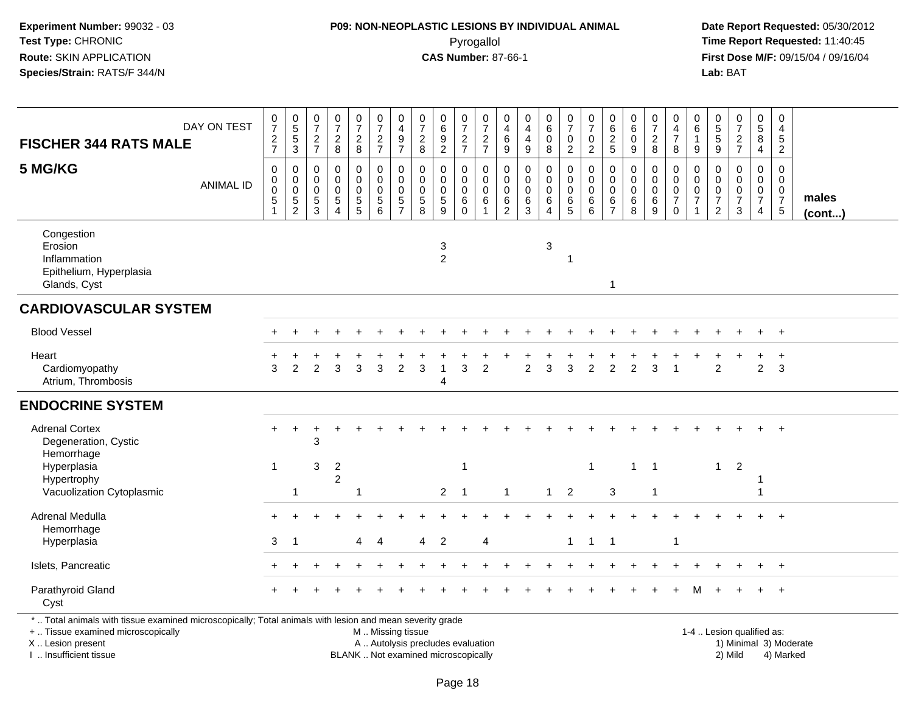#### **P09: NON-NEOPLASTIC LESIONS BY INDIVIDUAL ANIMAL**Pyrogallol **Time Report Requested:** 11:40:45

 **Date Report Requested:** 05/30/2012 **First Dose M/F:** 09/15/04 / 09/16/04<br>Lab: BAT **Lab:** BAT

| <b>FISCHER 344 RATS MALE</b>                                                                                                                                        | DAY ON TEST      | $\frac{0}{7}$<br>$\frac{2}{7}$                 | $\begin{array}{c} 0 \\ 5 \end{array}$<br>$\frac{5}{3}$           | $\frac{0}{7}$<br>$\frac{2}{7}$            | 0<br>$\overline{7}$<br>$\frac{2}{8}$                           | $\frac{0}{7}$<br>$\frac{2}{8}$                                   | $\frac{0}{7}$<br>$\frac{2}{7}$                         | $\begin{smallmatrix}0\\4\end{smallmatrix}$<br>$\frac{9}{7}$ | $\begin{array}{c} 0 \\ 7 \end{array}$<br>$\overline{c}$<br>$\bf 8$ | $\begin{array}{c} 0 \\ 6 \end{array}$<br>$\frac{9}{2}$ | $\frac{0}{7}$<br>$\frac{2}{7}$               | $\frac{0}{7}$<br>$\frac{2}{7}$                              | $\mathbf 0$<br>$\overline{4}$<br>$\,6$<br>$\boldsymbol{9}$ | 0<br>$\overline{4}$<br>$\overline{4}$<br>$\boldsymbol{9}$ | $\begin{array}{c} 0 \\ 6 \end{array}$<br>$\pmb{0}$<br>$\bf 8$                  | $\frac{0}{7}$<br>$\mathbf 0$<br>$\overline{a}$ | $\frac{0}{7}$<br>$\pmb{0}$<br>$\overline{a}$         | $\begin{array}{c} 0 \\ 6 \end{array}$<br>$\frac{2}{5}$       | 0<br>6<br>0<br>$\boldsymbol{9}$ | $\begin{array}{c} 0 \\ 7 \end{array}$<br>$\overline{c}$<br>$\,8\,$ | $\pmb{0}$<br>$\overline{4}$<br>$\boldsymbol{7}$<br>8   | $\pmb{0}$<br>$6\phantom{1}6$<br>1<br>$9\,$                                | $\begin{matrix} 0 \\ 5 \end{matrix}$<br>5<br>$\boldsymbol{9}$  | $\begin{array}{c} 0 \\ 7 \end{array}$<br>$\frac{2}{7}$ | $\begin{array}{c} 0 \\ 5 \\ 8 \end{array}$<br>$\overline{4}$ | $\pmb{0}$<br>$\overline{4}$<br>$\frac{5}{2}$             |                        |
|---------------------------------------------------------------------------------------------------------------------------------------------------------------------|------------------|------------------------------------------------|------------------------------------------------------------------|-------------------------------------------|----------------------------------------------------------------|------------------------------------------------------------------|--------------------------------------------------------|-------------------------------------------------------------|--------------------------------------------------------------------|--------------------------------------------------------|----------------------------------------------|-------------------------------------------------------------|------------------------------------------------------------|-----------------------------------------------------------|--------------------------------------------------------------------------------|------------------------------------------------|------------------------------------------------------|--------------------------------------------------------------|---------------------------------|--------------------------------------------------------------------|--------------------------------------------------------|---------------------------------------------------------------------------|----------------------------------------------------------------|--------------------------------------------------------|--------------------------------------------------------------|----------------------------------------------------------|------------------------|
| 5 MG/KG                                                                                                                                                             | <b>ANIMAL ID</b> | 0<br>$\mathbf 0$<br>$\mathbf 0$<br>$\mathbf 5$ | 0<br>$\mathbf 0$<br>$\mathbf 0$<br>$\,$ 5 $\,$<br>$\overline{2}$ | 0<br>$\mathbf 0$<br>$\mathbf 0$<br>5<br>3 | 0<br>0<br>$\mathbf 0$<br>$\mathbf 5$<br>$\boldsymbol{\Lambda}$ | $\mathbf 0$<br>$\mathsf{O}\xspace$<br>$\pmb{0}$<br>$\frac{5}{5}$ | $\pmb{0}$<br>$\mathbf 0$<br>$\pmb{0}$<br>$\frac{5}{6}$ | 0<br>$\mathbf 0$<br>$\mathbf 0$<br>$\frac{5}{7}$            | 0<br>$\mathbf 0$<br>$\mathbf 0$<br>$\,$ 5 $\,$<br>8                | 0<br>$\mathbf 0$<br>$\pmb{0}$<br>$\frac{5}{9}$         | 0<br>0<br>$\mathbf 0$<br>$\,6\,$<br>$\Omega$ | 0<br>$\mathsf{O}$<br>$\mathbf 0$<br>$\,6$<br>$\overline{1}$ | 0<br>$\mathbf 0$<br>$\mathsf 0$<br>$\frac{6}{2}$           | $\mathbf 0$<br>$\mathbf 0$<br>$\mathbf 0$<br>$^6_3$       | $\mathbf 0$<br>$\mathbf 0$<br>$\mathbf 0$<br>$\,6\,$<br>$\boldsymbol{\Lambda}$ | 0<br>$\mathbf 0$<br>$\mathbf 0$<br>$^6_5$      | $\pmb{0}$<br>$\pmb{0}$<br>$\pmb{0}$<br>$\frac{6}{6}$ | 0<br>$\mathbf 0$<br>$\mathbf 0$<br>$\,6\,$<br>$\overline{7}$ | 0<br>0<br>0<br>$\,6$<br>8       | $\mathbf 0$<br>$\mathbf 0$<br>$\pmb{0}$<br>$\,6\,$<br>9            | 0<br>0<br>$\mathbf 0$<br>$\overline{7}$<br>$\mathbf 0$ | $\mathbf 0$<br>$\mathbf 0$<br>$\pmb{0}$<br>$\overline{7}$<br>$\mathbf{1}$ | 0<br>$\Omega$<br>$\pmb{0}$<br>$\overline{7}$<br>$\overline{2}$ | 0<br>$\mathbf 0$<br>$\pmb{0}$<br>$\boldsymbol{7}$<br>3 | 0<br>$\mathbf 0$<br>$\frac{0}{7}$<br>$\overline{4}$          | $\mathbf 0$<br>0<br>$\mathsf{O}\xspace$<br>$\frac{7}{5}$ | males<br>$($ cont $)$  |
| Congestion<br>Erosion<br>Inflammation<br>Epithelium, Hyperplasia<br>Glands, Cyst                                                                                    |                  |                                                |                                                                  |                                           |                                                                |                                                                  |                                                        |                                                             |                                                                    | 3<br>$\overline{2}$                                    |                                              |                                                             |                                                            |                                                           | 3                                                                              | -1                                             |                                                      | $\overline{1}$                                               |                                 |                                                                    |                                                        |                                                                           |                                                                |                                                        |                                                              |                                                          |                        |
| <b>CARDIOVASCULAR SYSTEM</b>                                                                                                                                        |                  |                                                |                                                                  |                                           |                                                                |                                                                  |                                                        |                                                             |                                                                    |                                                        |                                              |                                                             |                                                            |                                                           |                                                                                |                                                |                                                      |                                                              |                                 |                                                                    |                                                        |                                                                           |                                                                |                                                        |                                                              |                                                          |                        |
| <b>Blood Vessel</b>                                                                                                                                                 |                  |                                                |                                                                  |                                           |                                                                |                                                                  |                                                        |                                                             |                                                                    |                                                        |                                              |                                                             |                                                            |                                                           |                                                                                |                                                |                                                      |                                                              |                                 |                                                                    |                                                        |                                                                           |                                                                |                                                        |                                                              | $\ddot{}$                                                |                        |
| Heart<br>Cardiomyopathy<br>Atrium, Thrombosis                                                                                                                       |                  | 3                                              | $\overline{2}$                                                   | 2                                         | 3                                                              | 3                                                                | $\mathbf{3}$                                           | $\overline{2}$                                              | $\sqrt{3}$                                                         | $\boldsymbol{\Lambda}$                                 | 3                                            | $\overline{2}$                                              |                                                            | $\overline{c}$                                            | 3                                                                              | 3                                              | $\overline{2}$                                       | $\overline{2}$                                               | $\overline{2}$                  | 3                                                                  |                                                        |                                                                           | $\overline{2}$                                                 |                                                        | $\ddot{}$<br>$\overline{2}$                                  | $\ddot{}$<br>3                                           |                        |
| <b>ENDOCRINE SYSTEM</b>                                                                                                                                             |                  |                                                |                                                                  |                                           |                                                                |                                                                  |                                                        |                                                             |                                                                    |                                                        |                                              |                                                             |                                                            |                                                           |                                                                                |                                                |                                                      |                                                              |                                 |                                                                    |                                                        |                                                                           |                                                                |                                                        |                                                              |                                                          |                        |
| <b>Adrenal Cortex</b><br>Degeneration, Cystic<br>Hemorrhage                                                                                                         |                  | $\pm$                                          | $\ddot{}$                                                        | $\ddot{}$<br>3                            |                                                                |                                                                  |                                                        |                                                             |                                                                    |                                                        |                                              |                                                             |                                                            |                                                           |                                                                                |                                                |                                                      |                                                              |                                 |                                                                    |                                                        |                                                                           |                                                                |                                                        | $+$                                                          | $+$                                                      |                        |
| Hyperplasia<br>Hypertrophy<br>Vacuolization Cytoplasmic                                                                                                             |                  | $\mathbf{1}$                                   | 1                                                                | $\mathbf{3}$                              | $\overline{a}$<br>$\overline{c}$                               |                                                                  |                                                        |                                                             |                                                                    | $\overline{2}$                                         | -1<br>$\overline{\phantom{1}}$               |                                                             | $\mathbf 1$                                                |                                                           | $\mathbf{1}$                                                                   | $\overline{2}$                                 | $\mathbf{1}$                                         | 3                                                            | $\mathbf{1}$                    | $\overline{1}$<br>$\overline{1}$                                   |                                                        |                                                                           | $\mathbf{1}$                                                   | $\overline{2}$                                         |                                                              |                                                          |                        |
| Adrenal Medulla<br>Hemorrhage                                                                                                                                       |                  | $\pm$                                          |                                                                  |                                           |                                                                |                                                                  |                                                        |                                                             |                                                                    |                                                        |                                              |                                                             |                                                            |                                                           |                                                                                |                                                |                                                      |                                                              |                                 |                                                                    |                                                        |                                                                           |                                                                |                                                        | $\ddot{}$                                                    | $\ddot{}$                                                |                        |
| Hyperplasia                                                                                                                                                         |                  | 3                                              | $\overline{1}$                                                   |                                           |                                                                | 4                                                                | 4                                                      |                                                             | 4                                                                  | 2                                                      |                                              | 4                                                           |                                                            |                                                           |                                                                                | $\mathbf 1$                                    | $\mathbf{1}$                                         | $\overline{1}$                                               |                                 |                                                                    | -1                                                     |                                                                           |                                                                |                                                        |                                                              |                                                          |                        |
| Islets, Pancreatic                                                                                                                                                  |                  |                                                |                                                                  |                                           |                                                                |                                                                  |                                                        |                                                             |                                                                    |                                                        |                                              |                                                             |                                                            |                                                           |                                                                                |                                                |                                                      |                                                              |                                 |                                                                    |                                                        |                                                                           |                                                                |                                                        | $\ddot{}$                                                    | $\ddot{}$                                                |                        |
| Parathyroid Gland<br>Cyst                                                                                                                                           |                  |                                                |                                                                  |                                           |                                                                |                                                                  |                                                        |                                                             |                                                                    |                                                        |                                              |                                                             |                                                            |                                                           |                                                                                |                                                |                                                      |                                                              |                                 |                                                                    |                                                        | м                                                                         |                                                                |                                                        | $+$                                                          | $\ddot{}$                                                |                        |
| *  Total animals with tissue examined microscopically; Total animals with lesion and mean severity grade<br>+  Tissue examined microscopically<br>X  Lesion present |                  |                                                |                                                                  |                                           |                                                                |                                                                  | M  Missing tissue                                      |                                                             | A  Autolysis precludes evaluation                                  |                                                        |                                              |                                                             |                                                            |                                                           |                                                                                |                                                |                                                      |                                                              |                                 |                                                                    |                                                        |                                                                           |                                                                | 1-4  Lesion qualified as:                              |                                                              |                                                          | 1) Minimal 3) Moderate |

I .. Insufficient tissue

BLANK .. Not examined microscopically 2) Mild 4) Marked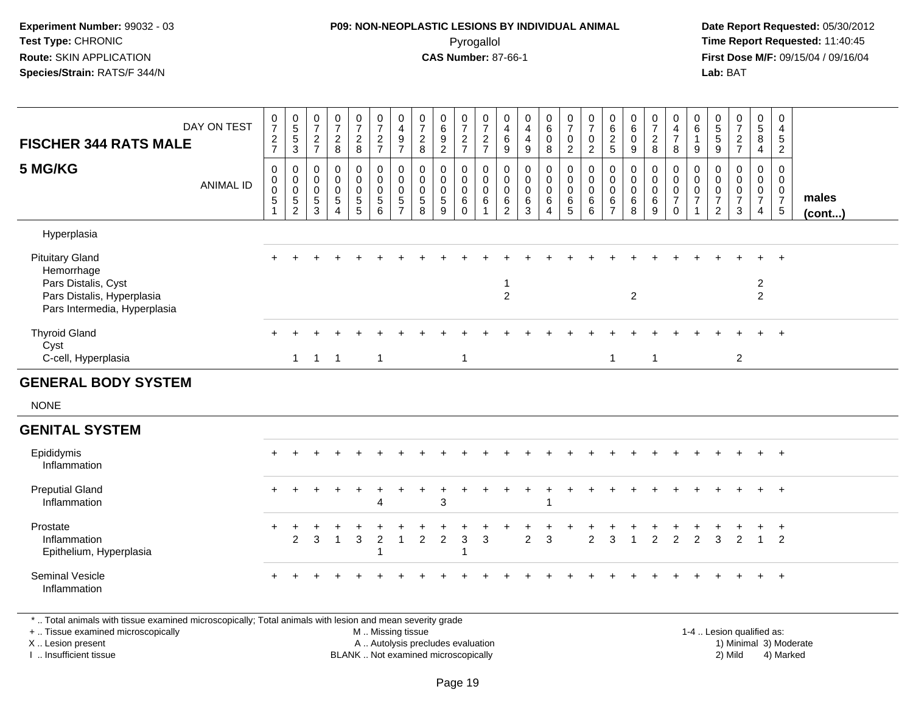#### **P09: NON-NEOPLASTIC LESIONS BY INDIVIDUAL ANIMAL**Pyrogallol **Time Report Requested:** 11:40:45

 **Date Report Requested:** 05/30/2012 **First Dose M/F:** 09/15/04 / 09/16/04 Lab: BAT **Lab:** BAT

| <b>FISCHER 344 RATS MALE</b>                                                                                              | DAY ON TEST      | $\frac{0}{7}$<br>$\overline{c}$<br>$\overline{7}$ | $\begin{array}{c} 0 \\ 5 \\ 5 \end{array}$<br>3                   | $\frac{0}{7}$<br>$\sqrt{2}$<br>$\overline{7}$                         | $\frac{0}{7}$<br>$\overline{2}$<br>8                                      | $\frac{0}{7}$<br>$\sqrt{2}$<br>8                            | $\begin{smallmatrix}0\\7\end{smallmatrix}$<br>$\overline{a}$<br>$\overline{7}$   | 0<br>$\overline{4}$<br>$\boldsymbol{9}$<br>$\overline{7}$               | $\frac{0}{7}$<br>$\sqrt{2}$<br>8               | $\begin{array}{c} 0 \\ 6 \end{array}$<br>$\boldsymbol{9}$<br>$\sqrt{2}$ | $\begin{array}{c} 0 \\ 7 \end{array}$<br>$\overline{c}$<br>$\overline{7}$ | 0<br>$\overline{7}$<br>$\overline{c}$<br>$\overline{7}$ | $\mathbf 0$<br>$\overline{4}$<br>$\,6\,$<br>9                                  | 0<br>$\overline{4}$<br>$\overline{4}$<br>$\boldsymbol{9}$ | 0<br>6<br>$\pmb{0}$<br>$\bf8$                            | $\frac{0}{7}$<br>$\mathbf 0$<br>$\overline{2}$ | $\frac{0}{7}$<br>$\pmb{0}$<br>$\overline{2}$                                                  | $\begin{matrix} 0 \\ 6 \\ 2 \end{matrix}$<br>5                       | 0<br>6<br>$\boldsymbol{0}$<br>$9\,$             | $\frac{0}{7}$<br>$\sqrt{2}$<br>8                        | 0<br>$\frac{4}{7}$<br>8                                                          | 0<br>$6\overline{6}$<br>$\mathbf{1}$<br>9                                   | $\begin{array}{c} 0 \\ 5 \end{array}$<br>$\sqrt{5}$<br>$\boldsymbol{9}$    | $\begin{smallmatrix}0\\7\end{smallmatrix}$<br>$\overline{c}$<br>$\overline{7}$ | $\frac{0}{5}$<br>8<br>4                                                  | 0<br>$\overline{4}$<br>$\sqrt{5}$<br>$\overline{2}$                               |                       |
|---------------------------------------------------------------------------------------------------------------------------|------------------|---------------------------------------------------|-------------------------------------------------------------------|-----------------------------------------------------------------------|---------------------------------------------------------------------------|-------------------------------------------------------------|----------------------------------------------------------------------------------|-------------------------------------------------------------------------|------------------------------------------------|-------------------------------------------------------------------------|---------------------------------------------------------------------------|---------------------------------------------------------|--------------------------------------------------------------------------------|-----------------------------------------------------------|----------------------------------------------------------|------------------------------------------------|-----------------------------------------------------------------------------------------------|----------------------------------------------------------------------|-------------------------------------------------|---------------------------------------------------------|----------------------------------------------------------------------------------|-----------------------------------------------------------------------------|----------------------------------------------------------------------------|--------------------------------------------------------------------------------|--------------------------------------------------------------------------|-----------------------------------------------------------------------------------|-----------------------|
| 5 MG/KG                                                                                                                   | <b>ANIMAL ID</b> | $\mathbf 0$<br>0<br>$\boldsymbol{0}$<br>5         | 0<br>$\mathbf 0$<br>$\pmb{0}$<br>$\overline{5}$<br>$\overline{2}$ | $\mathbf 0$<br>$\pmb{0}$<br>$\mathbf 0$<br>$\sqrt{5}$<br>$\mathbf{3}$ | $\mathbf 0$<br>$\mathbf 0$<br>$\mathbf 0$<br>$\sqrt{5}$<br>$\overline{4}$ | $\mathbf 0$<br>$\mathbf 0$<br>$\pmb{0}$<br>$\,$ 5 $\,$<br>5 | $\pmb{0}$<br>$\mathsf 0$<br>$\mathsf{O}\xspace$<br>$\sqrt{5}$<br>$6\phantom{1}6$ | 0<br>$\mathbf 0$<br>$\mathsf{O}\xspace$<br>$\sqrt{5}$<br>$\overline{7}$ | 0<br>$\pmb{0}$<br>$\pmb{0}$<br>$\sqrt{5}$<br>8 | 0<br>$\mathbf 0$<br>$\mathbf 0$<br>$\sqrt{5}$<br>9                      | $\mathbf 0$<br>$\pmb{0}$<br>$\pmb{0}$<br>6<br>$\Omega$                    | $\mathbf 0$<br>$\mathbf 0$<br>$\mathbf 0$<br>6          | $\mathbf 0$<br>$\mathsf{O}\xspace$<br>$\mathbf 0$<br>$\,6\,$<br>$\overline{2}$ | $\mathbf 0$<br>$\mathbf 0$<br>$\mathbf 0$<br>6<br>3       | $\mathbf 0$<br>$\pmb{0}$<br>$\mathbf 0$<br>6<br>$\Delta$ | 0<br>$\mathbf 0$<br>$\mathbf 0$<br>6<br>5      | $\begin{smallmatrix} 0\\0 \end{smallmatrix}$<br>$\mathsf{O}\xspace$<br>$\,6\,$<br>$6^{\circ}$ | 0<br>$\mathsf 0$<br>$\mathsf{O}\xspace$<br>$\,6\,$<br>$\overline{7}$ | 0<br>$\pmb{0}$<br>$\mathsf{O}\xspace$<br>6<br>8 | $\mathbf 0$<br>$\mathsf 0$<br>$\pmb{0}$<br>$\,6\,$<br>9 | $\pmb{0}$<br>$\mathsf{O}\xspace$<br>$\mathbf 0$<br>$\overline{7}$<br>$\mathbf 0$ | $\mathbf 0$<br>$\mathsf 0$<br>$\mathbf 0$<br>$\overline{7}$<br>$\mathbf{1}$ | $\Omega$<br>$\mathbf 0$<br>$\mathbf 0$<br>$\overline{7}$<br>$\overline{c}$ | $\mathbf 0$<br>$\mathbf 0$<br>$\mathbf 0$<br>$\overline{7}$<br>3               | $\mathbf 0$<br>$\mathbf 0$<br>$\mathsf{O}\xspace$<br>$\overline{7}$<br>4 | $\mathbf 0$<br>$\mathbf 0$<br>$\mathsf{O}\xspace$<br>$\overline{7}$<br>$\sqrt{5}$ | males<br>$($ cont $)$ |
| Hyperplasia                                                                                                               |                  |                                                   |                                                                   |                                                                       |                                                                           |                                                             |                                                                                  |                                                                         |                                                |                                                                         |                                                                           |                                                         |                                                                                |                                                           |                                                          |                                                |                                                                                               |                                                                      |                                                 |                                                         |                                                                                  |                                                                             |                                                                            |                                                                                |                                                                          |                                                                                   |                       |
| <b>Pituitary Gland</b><br>Hemorrhage<br>Pars Distalis, Cyst<br>Pars Distalis, Hyperplasia<br>Pars Intermedia, Hyperplasia |                  |                                                   |                                                                   |                                                                       |                                                                           |                                                             |                                                                                  |                                                                         |                                                |                                                                         |                                                                           |                                                         | $\overline{1}$<br>$\overline{2}$                                               |                                                           |                                                          |                                                |                                                                                               |                                                                      | $\overline{c}$                                  |                                                         |                                                                                  |                                                                             |                                                                            |                                                                                | $+$<br>$\overline{2}$<br>$\overline{2}$                                  | $\ddot{}$                                                                         |                       |
| <b>Thyroid Gland</b><br>Cyst<br>C-cell, Hyperplasia                                                                       |                  |                                                   |                                                                   | $1 \quad 1$                                                           | $\overline{1}$                                                            |                                                             | $\mathbf{1}$                                                                     |                                                                         |                                                |                                                                         | $\mathbf{1}$                                                              |                                                         |                                                                                |                                                           |                                                          |                                                |                                                                                               | $\overline{1}$                                                       |                                                 | $\overline{1}$                                          |                                                                                  |                                                                             |                                                                            | $\overline{2}$                                                                 |                                                                          | $\ddot{}$                                                                         |                       |
| <b>GENERAL BODY SYSTEM</b>                                                                                                |                  |                                                   |                                                                   |                                                                       |                                                                           |                                                             |                                                                                  |                                                                         |                                                |                                                                         |                                                                           |                                                         |                                                                                |                                                           |                                                          |                                                |                                                                                               |                                                                      |                                                 |                                                         |                                                                                  |                                                                             |                                                                            |                                                                                |                                                                          |                                                                                   |                       |
| <b>NONE</b>                                                                                                               |                  |                                                   |                                                                   |                                                                       |                                                                           |                                                             |                                                                                  |                                                                         |                                                |                                                                         |                                                                           |                                                         |                                                                                |                                                           |                                                          |                                                |                                                                                               |                                                                      |                                                 |                                                         |                                                                                  |                                                                             |                                                                            |                                                                                |                                                                          |                                                                                   |                       |
| <b>GENITAL SYSTEM</b>                                                                                                     |                  |                                                   |                                                                   |                                                                       |                                                                           |                                                             |                                                                                  |                                                                         |                                                |                                                                         |                                                                           |                                                         |                                                                                |                                                           |                                                          |                                                |                                                                                               |                                                                      |                                                 |                                                         |                                                                                  |                                                                             |                                                                            |                                                                                |                                                                          |                                                                                   |                       |
| Epididymis<br>Inflammation                                                                                                |                  |                                                   |                                                                   |                                                                       |                                                                           |                                                             |                                                                                  |                                                                         |                                                |                                                                         |                                                                           |                                                         |                                                                                |                                                           |                                                          |                                                |                                                                                               |                                                                      |                                                 |                                                         |                                                                                  |                                                                             |                                                                            |                                                                                |                                                                          | $+$                                                                               |                       |
| <b>Preputial Gland</b><br>Inflammation                                                                                    |                  | $\ddot{}$                                         |                                                                   |                                                                       |                                                                           | $\pm$                                                       | $\ddot{}$<br>4                                                                   |                                                                         |                                                | 3                                                                       |                                                                           |                                                         |                                                                                | $\ddot{}$                                                 |                                                          |                                                |                                                                                               |                                                                      |                                                 |                                                         |                                                                                  |                                                                             |                                                                            |                                                                                |                                                                          | $+$                                                                               |                       |
| Prostate<br>Inflammation<br>Epithelium, Hyperplasia                                                                       |                  | $\ddot{}$                                         | $\ddot{}$<br>2                                                    | 3                                                                     | $\overline{1}$                                                            | 3                                                           | $\overline{c}$<br>1                                                              | $\mathbf{1}$                                                            | $\overline{2}$                                 | $\overline{2}$                                                          | 3                                                                         | $\mathbf{3}$                                            |                                                                                | $\overline{2}$                                            | 3                                                        |                                                | $\overline{2}$                                                                                | 3                                                                    |                                                 | $\overline{2}$                                          | $\overline{2}$                                                                   | 2                                                                           | 3                                                                          | $\overline{2}$                                                                 | $\ddot{}$<br>$\overline{1}$                                              | $+$<br>$\overline{2}$                                                             |                       |
| Seminal Vesicle<br>Inflammation                                                                                           |                  |                                                   |                                                                   |                                                                       |                                                                           |                                                             |                                                                                  |                                                                         |                                                |                                                                         |                                                                           |                                                         |                                                                                |                                                           |                                                          |                                                |                                                                                               |                                                                      |                                                 |                                                         |                                                                                  |                                                                             |                                                                            |                                                                                |                                                                          |                                                                                   |                       |

\* .. Total animals with tissue examined microscopically; Total animals with lesion and mean severity grade

+ .. Tissue examined microscopically

X .. Lesion present

I .. Insufficient tissue

 M .. Missing tissueA .. Autolysis precludes evaluation

1-4 .. Lesion qualified as:<br>1) Minimal 3) Moderate BLANK .. Not examined microscopically 2) Mild 4) Marked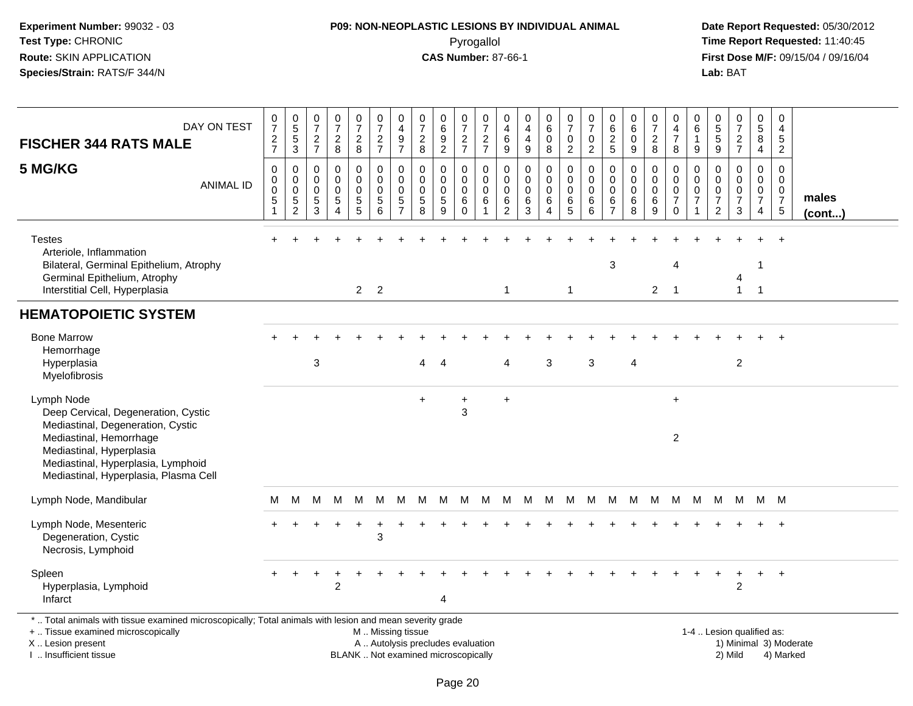#### **P09: NON-NEOPLASTIC LESIONS BY INDIVIDUAL ANIMAL**Pyrogallol **Time Report Requested:** 11:40:45

 **Date Report Requested:** 05/30/2012 **First Dose M/F:** 09/15/04 / 09/16/04<br>Lab: BAT **Lab:** BAT

| DAY ON TEST<br><b>FISCHER 344 RATS MALE</b><br>5 MG/KG<br><b>ANIMAL ID</b>                                                                                                                                                   | 0<br>$\overline{7}$<br>$\frac{2}{7}$<br>0<br>0<br>$\pmb{0}$<br>$\mathbf 5$ | $\begin{array}{c} 0 \\ 5 \end{array}$<br>$\frac{5}{3}$<br>$\mathbf 0$<br>$\mathbf 0$<br>$\,0\,$<br>$\frac{5}{2}$ | 0<br>$\overline{7}$<br>$\frac{2}{7}$<br>0<br>$\mathbf 0$<br>0<br>$\sqrt{5}$<br>3 | $\mathbf 0$<br>$\overline{7}$<br>$\overline{c}$<br>8<br>$\mathbf 0$<br>$\mathbf 0$<br>$\Omega$<br>$\sqrt{5}$<br>$\boldsymbol{\Lambda}$ | $\frac{0}{7}$<br>$\overline{c}$<br>8<br>0<br>$\mathbf 0$<br>0<br>$\,$ 5 $\,$<br>5 | $\frac{0}{7}$<br>$\frac{2}{7}$<br>0<br>0<br>$\pmb{0}$<br>$\sqrt{5}$<br>6 | 0<br>$\overline{4}$<br>$\frac{9}{7}$<br>0<br>$\mathbf 0$<br>0<br>5<br>$\overline{7}$ | 0<br>$\overline{7}$<br>$\overline{c}$<br>8<br>0<br>$\mathbf 0$<br>0<br>$\sqrt{5}$<br>8 | $\begin{array}{c} 0 \\ 6 \end{array}$<br>$\frac{9}{2}$<br>$\mathbf 0$<br>$\mathbf 0$<br>$\pmb{0}$<br>$\,$ 5 $\,$<br>9 | 0<br>$\overline{7}$<br>$\frac{2}{7}$<br>0<br>$\mathbf 0$<br>0<br>$\,6\,$<br>$\Omega$ | $\pmb{0}$<br>$\overline{7}$<br>$\frac{2}{7}$<br>0<br>$\mathbf 0$<br>$\mathbf 0$<br>$\,6\,$<br>$\mathbf{1}$ | 0<br>4<br>6<br>9<br>0<br>$\mathbf 0$<br>0<br>6<br>$\overline{2}$ | 0<br>4<br>4<br>$\boldsymbol{9}$<br>0<br>0<br>$\mathbf 0$<br>$\,6$<br>3 | $_{6}^{\rm 0}$<br>$\pmb{0}$<br>8<br>0<br>$\mathbf 0$<br>$\mathbf 0$<br>6 | 0<br>$\overline{7}$<br>0<br>$\overline{2}$<br>0<br>0<br>0<br>$\,6$<br>5 | $\pmb{0}$<br>$\overline{7}$<br>0<br>$\overline{2}$<br>0<br>$\mathbf 0$<br>$\mathbf 0$<br>$\,6\,$<br>6 | 0<br>6<br>$\overline{c}$<br>$\sqrt{5}$<br>0<br>$\mathbf 0$<br>$\mathbf 0$<br>6<br>$\overline{7}$ | $\mathbf 0$<br>6<br>0<br>9<br>$\mathbf 0$<br>$\mathbf 0$<br>$\mathbf 0$<br>$\,6\,$<br>8 | $\frac{0}{7}$<br>$\overline{c}$<br>8<br>0<br>$\mathbf 0$<br>0<br>6<br>9 | 0<br>4<br>$\boldsymbol{7}$<br>8<br>0<br>0<br>$\mathbf 0$<br>$\overline{7}$<br>$\mathbf 0$ | $\mathbf 0$<br>6<br>$\mathbf 1$<br>9<br>0<br>$\Omega$<br>0<br>$\overline{7}$<br>1 | 0<br>$\begin{array}{c} 5 \\ 5 \end{array}$<br>$\boldsymbol{9}$<br>0<br>$\mathbf 0$<br>0<br>$\boldsymbol{7}$<br>$\overline{2}$ | $\begin{smallmatrix}0\\7\end{smallmatrix}$<br>$\frac{2}{7}$<br>$\mathbf 0$<br>$\mathbf 0$<br>$\pmb{0}$<br>$\overline{7}$<br>3 | 0<br>$\overline{5}$<br>8<br>$\overline{4}$<br>0<br>0<br>$\mathbf 0$<br>$\overline{7}$<br>$\overline{4}$ | $\mathbf 0$<br>$\overline{4}$<br>$\sqrt{5}$<br>$\overline{2}$<br>0<br>$\mathbf 0$<br>$\mathbf 0$<br>$\overline{7}$<br>$5\phantom{.0}$ | males<br>$($ cont $)$ |
|------------------------------------------------------------------------------------------------------------------------------------------------------------------------------------------------------------------------------|----------------------------------------------------------------------------|------------------------------------------------------------------------------------------------------------------|----------------------------------------------------------------------------------|----------------------------------------------------------------------------------------------------------------------------------------|-----------------------------------------------------------------------------------|--------------------------------------------------------------------------|--------------------------------------------------------------------------------------|----------------------------------------------------------------------------------------|-----------------------------------------------------------------------------------------------------------------------|--------------------------------------------------------------------------------------|------------------------------------------------------------------------------------------------------------|------------------------------------------------------------------|------------------------------------------------------------------------|--------------------------------------------------------------------------|-------------------------------------------------------------------------|-------------------------------------------------------------------------------------------------------|--------------------------------------------------------------------------------------------------|-----------------------------------------------------------------------------------------|-------------------------------------------------------------------------|-------------------------------------------------------------------------------------------|-----------------------------------------------------------------------------------|-------------------------------------------------------------------------------------------------------------------------------|-------------------------------------------------------------------------------------------------------------------------------|---------------------------------------------------------------------------------------------------------|---------------------------------------------------------------------------------------------------------------------------------------|-----------------------|
| <b>Testes</b><br>Arteriole, Inflammation<br>Bilateral, Germinal Epithelium, Atrophy<br>Germinal Epithelium, Atrophy<br>Interstitial Cell, Hyperplasia                                                                        |                                                                            |                                                                                                                  |                                                                                  |                                                                                                                                        |                                                                                   | 2 <sub>2</sub>                                                           |                                                                                      |                                                                                        |                                                                                                                       |                                                                                      |                                                                                                            | $\mathbf{1}$                                                     |                                                                        |                                                                          | $\mathbf{1}$                                                            |                                                                                                       | 3                                                                                                |                                                                                         |                                                                         | 4<br>$2 \quad 1$                                                                          |                                                                                   |                                                                                                                               | 4<br>$\mathbf{1}$                                                                                                             | 1<br>$\overline{1}$                                                                                     | $\ddot{}$                                                                                                                             |                       |
| <b>HEMATOPOIETIC SYSTEM</b>                                                                                                                                                                                                  |                                                                            |                                                                                                                  |                                                                                  |                                                                                                                                        |                                                                                   |                                                                          |                                                                                      |                                                                                        |                                                                                                                       |                                                                                      |                                                                                                            |                                                                  |                                                                        |                                                                          |                                                                         |                                                                                                       |                                                                                                  |                                                                                         |                                                                         |                                                                                           |                                                                                   |                                                                                                                               |                                                                                                                               |                                                                                                         |                                                                                                                                       |                       |
| <b>Bone Marrow</b><br>Hemorrhage<br>Hyperplasia<br>Myelofibrosis                                                                                                                                                             |                                                                            |                                                                                                                  | 3                                                                                |                                                                                                                                        |                                                                                   |                                                                          |                                                                                      | 4                                                                                      | Δ                                                                                                                     |                                                                                      |                                                                                                            | 4                                                                |                                                                        | 3                                                                        |                                                                         | 3                                                                                                     |                                                                                                  | 4                                                                                       |                                                                         |                                                                                           |                                                                                   |                                                                                                                               | 2                                                                                                                             |                                                                                                         |                                                                                                                                       |                       |
| Lymph Node<br>Deep Cervical, Degeneration, Cystic<br>Mediastinal, Degeneration, Cystic<br>Mediastinal, Hemorrhage<br>Mediastinal, Hyperplasia<br>Mediastinal, Hyperplasia, Lymphoid<br>Mediastinal, Hyperplasia, Plasma Cell |                                                                            |                                                                                                                  |                                                                                  |                                                                                                                                        |                                                                                   |                                                                          |                                                                                      | $+$                                                                                    |                                                                                                                       | $\ddot{}$<br>3                                                                       |                                                                                                            | $\ddot{}$                                                        |                                                                        |                                                                          |                                                                         |                                                                                                       |                                                                                                  |                                                                                         |                                                                         | $\ddot{}$<br>$\overline{2}$                                                               |                                                                                   |                                                                                                                               |                                                                                                                               |                                                                                                         |                                                                                                                                       |                       |
| Lymph Node, Mandibular                                                                                                                                                                                                       | м                                                                          | M                                                                                                                | М                                                                                |                                                                                                                                        | M M                                                                               | <b>M</b>                                                                 | M                                                                                    |                                                                                        | M M M                                                                                                                 |                                                                                      | M                                                                                                          |                                                                  | M M M M M M M M M                                                      |                                                                          |                                                                         |                                                                                                       |                                                                                                  |                                                                                         |                                                                         |                                                                                           | M                                                                                 |                                                                                                                               | MMMM                                                                                                                          |                                                                                                         |                                                                                                                                       |                       |
| Lymph Node, Mesenteric<br>Degeneration, Cystic<br>Necrosis, Lymphoid                                                                                                                                                         |                                                                            |                                                                                                                  |                                                                                  |                                                                                                                                        |                                                                                   | 3                                                                        |                                                                                      |                                                                                        |                                                                                                                       |                                                                                      |                                                                                                            |                                                                  |                                                                        |                                                                          |                                                                         |                                                                                                       |                                                                                                  |                                                                                         |                                                                         |                                                                                           |                                                                                   |                                                                                                                               |                                                                                                                               |                                                                                                         | $\overline{+}$                                                                                                                        |                       |
| Spleen<br>Hyperplasia, Lymphoid<br>Infarct                                                                                                                                                                                   |                                                                            |                                                                                                                  |                                                                                  | 2                                                                                                                                      |                                                                                   |                                                                          |                                                                                      |                                                                                        | 4                                                                                                                     |                                                                                      |                                                                                                            |                                                                  |                                                                        |                                                                          |                                                                         |                                                                                                       |                                                                                                  |                                                                                         |                                                                         |                                                                                           |                                                                                   |                                                                                                                               | 2                                                                                                                             | +                                                                                                       | $+$                                                                                                                                   |                       |
| *  Total animals with tissue examined microscopically; Total animals with lesion and mean severity grade<br>+  Tissue examined microscopically<br>X  Lesion present                                                          |                                                                            |                                                                                                                  |                                                                                  |                                                                                                                                        |                                                                                   | M  Missing tissue                                                        |                                                                                      | A  Autolysis precludes evaluation                                                      |                                                                                                                       |                                                                                      |                                                                                                            |                                                                  |                                                                        |                                                                          |                                                                         |                                                                                                       |                                                                                                  |                                                                                         |                                                                         |                                                                                           |                                                                                   |                                                                                                                               | 1-4  Lesion qualified as:                                                                                                     |                                                                                                         | 1) Minimal 3) Moderate                                                                                                                |                       |

I .. Insufficient tissue

BLANK .. Not examined microscopically 2) Mild 4) Marked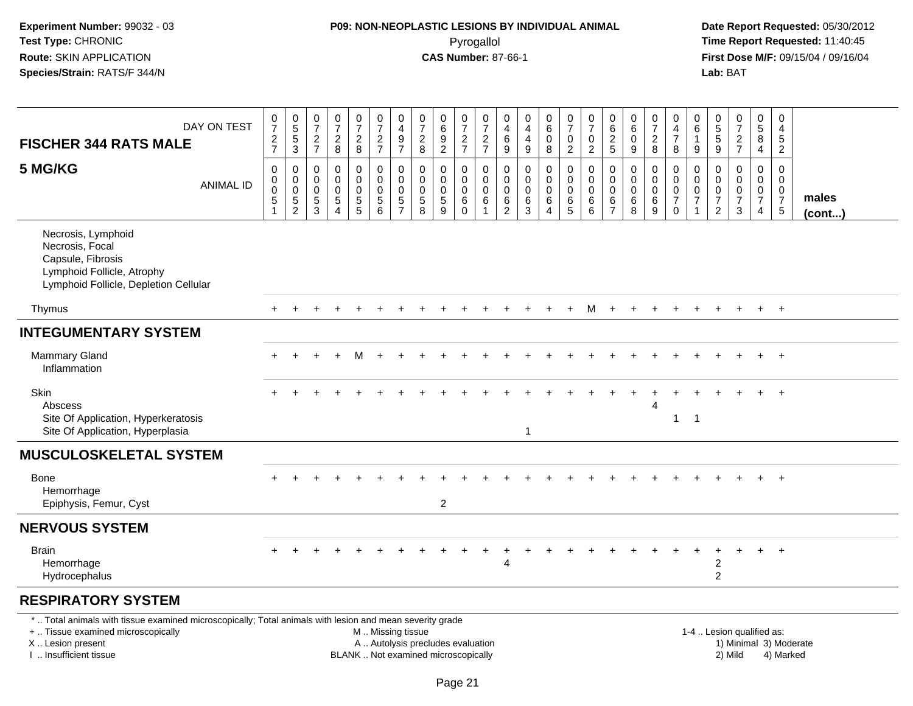### **P09: NON-NEOPLASTIC LESIONS BY INDIVIDUAL ANIMAL**Pyrogallol **Time Report Requested:** 11:40:45

 **Date Report Requested:** 05/30/2012 **First Dose M/F:** 09/15/04 / 09/16/04<br>Lab: BAT **Lab:** BAT

| DAY ON TEST<br><b>FISCHER 344 RATS MALE</b>                                                                                                                                                   | 0<br>$\overline{7}$<br>$\frac{2}{7}$ | $\begin{array}{c} 0 \\ 5 \\ 5 \end{array}$<br>$\overline{3}$ | $\frac{0}{7}$<br>$\frac{2}{7}$                             | 0<br>$\overline{7}$<br>$\frac{2}{8}$                       | $\frac{0}{7}$<br>$\frac{2}{8}$                                     | $\frac{0}{7}$<br>$\overline{c}$<br>$\overline{7}$  | 0<br>$\overline{4}$<br>$\overline{9}$<br>$\overline{7}$    | 0<br>$\overline{7}$<br>$\overline{c}$<br>8                               | $\begin{array}{c} 0 \\ 6 \\ 9 \end{array}$<br>$\overline{2}$ | $\frac{0}{7}$<br>$\overline{c}$<br>$\overline{7}$ | $\frac{0}{7}$<br>$\frac{2}{7}$                         | $\mathbf 0$<br>$\overline{4}$<br>6<br>$\boldsymbol{9}$     | $\mathbf 0$<br>$\overline{4}$<br>$\overline{4}$<br>$\boldsymbol{9}$    | 0<br>$\,6\,$<br>$\mathbf 0$<br>$\,8\,$                        | $\frac{0}{7}$<br>0<br>$\overline{2}$          | $\frac{0}{7}$<br>$\mathbf 0$<br>$\overline{2}$ | 0<br>$\frac{6}{2}$<br>5                          | 0<br>$\,6\,$<br>$\mathbf 0$<br>9                       | $\begin{array}{c} 0 \\ 7 \end{array}$<br>$\boldsymbol{2}$<br>$\,8\,$ | 0<br>$\overline{4}$<br>$\overline{7}$<br>$\bf 8$                 | 0<br>$\,6\,$<br>$\mathbf{1}$<br>$\boldsymbol{9}$                              | 0<br>$\sqrt{5}$<br>5<br>9                                           | $\begin{array}{c} 0 \\ 7 \\ 2 \end{array}$<br>$\overline{7}$ | $\begin{array}{c} 0 \\ 5 \end{array}$<br>8<br>$\overline{4}$                  | $\pmb{0}$<br>$\overline{4}$<br>5<br>$\overline{2}$            |                        |
|-----------------------------------------------------------------------------------------------------------------------------------------------------------------------------------------------|--------------------------------------|--------------------------------------------------------------|------------------------------------------------------------|------------------------------------------------------------|--------------------------------------------------------------------|----------------------------------------------------|------------------------------------------------------------|--------------------------------------------------------------------------|--------------------------------------------------------------|---------------------------------------------------|--------------------------------------------------------|------------------------------------------------------------|------------------------------------------------------------------------|---------------------------------------------------------------|-----------------------------------------------|------------------------------------------------|--------------------------------------------------|--------------------------------------------------------|----------------------------------------------------------------------|------------------------------------------------------------------|-------------------------------------------------------------------------------|---------------------------------------------------------------------|--------------------------------------------------------------|-------------------------------------------------------------------------------|---------------------------------------------------------------|------------------------|
| 5 MG/KG<br><b>ANIMAL ID</b>                                                                                                                                                                   | $\mathbf 0$<br>0<br>0<br>5           | 0<br>$\pmb{0}$<br>$\mathsf{O}\xspace$<br>$\frac{5}{2}$       | $\mathbf 0$<br>$\mathbf 0$<br>$\mathbf 0$<br>$\frac{5}{3}$ | $\mathbf 0$<br>$\mathbf 0$<br>$\mathbf 0$<br>$\frac{5}{4}$ | $\mathbf 0$<br>$\mathbf 0$<br>$\mathsf{O}\xspace$<br>$\frac{5}{5}$ | 0<br>$\mathbf 0$<br>$\mathbf 0$<br>$\sqrt{5}$<br>6 | $\mathbf 0$<br>$\mathbf 0$<br>$\mathbf 0$<br>$\frac{5}{7}$ | $\mathbf 0$<br>$\mathbf 0$<br>$\mathbf 0$<br>5<br>8                      | 0<br>$\Omega$<br>$\mathbf 0$<br>$\frac{5}{9}$                | 0<br>$\Omega$<br>$\mathbf 0$<br>6<br>$\Omega$     | 0<br>$\mathbf 0$<br>$\mathbf 0$<br>6<br>$\overline{1}$ | $\mathbf 0$<br>$\mathbf 0$<br>$\mathbf 0$<br>$\frac{6}{2}$ | $\mathbf 0$<br>$\mathbf 0$<br>$\mathbf 0$<br>$\,6\,$<br>$\overline{3}$ | $\mathbf 0$<br>$\Omega$<br>$\mathbf 0$<br>6<br>$\overline{A}$ | 0<br>$\mathbf 0$<br>$\mathbf 0$<br>$6\over 5$ | 0<br>$\mathbf 0$<br>$\mathbf 0$<br>$^6_6$      | 0<br>$\mathbf 0$<br>$\mathbf 0$<br>$\frac{6}{7}$ | 0<br>$\mathbf 0$<br>$\mathbf 0$<br>6<br>$\overline{8}$ | $\mathbf 0$<br>$\mathbf 0$<br>$\pmb{0}$<br>$\,6\,$<br>$\overline{9}$ | 0<br>$\mathbf 0$<br>$\mathbf 0$<br>$\overline{7}$<br>$\mathbf 0$ | $\mathbf 0$<br>$\mathbf 0$<br>$\mathbf 0$<br>$\overline{7}$<br>$\overline{1}$ | 0<br>$\mathbf 0$<br>$\mathbf 0$<br>$\overline{7}$<br>$\overline{2}$ | $\mathbf 0$<br>$\Omega$<br>$\pmb{0}$<br>$\overline{7}$<br>3  | $\mathbf 0$<br>$\mathbf 0$<br>$\mathbf 0$<br>$\overline{7}$<br>$\overline{4}$ | $\mathbf 0$<br>$\Omega$<br>$\mathbf 0$<br>$\overline{7}$<br>5 | males<br>$($ cont $)$  |
| Necrosis, Lymphoid<br>Necrosis, Focal<br>Capsule, Fibrosis<br>Lymphoid Follicle, Atrophy<br>Lymphoid Follicle, Depletion Cellular                                                             |                                      |                                                              |                                                            |                                                            |                                                                    |                                                    |                                                            |                                                                          |                                                              |                                                   |                                                        |                                                            |                                                                        |                                                               |                                               |                                                |                                                  |                                                        |                                                                      |                                                                  |                                                                               |                                                                     |                                                              |                                                                               |                                                               |                        |
| Thymus                                                                                                                                                                                        |                                      |                                                              |                                                            |                                                            |                                                                    |                                                    |                                                            |                                                                          |                                                              |                                                   |                                                        |                                                            |                                                                        |                                                               |                                               | M                                              | $\pm$                                            |                                                        |                                                                      |                                                                  |                                                                               |                                                                     |                                                              | $+$                                                                           | $+$                                                           |                        |
| <b>INTEGUMENTARY SYSTEM</b>                                                                                                                                                                   |                                      |                                                              |                                                            |                                                            |                                                                    |                                                    |                                                            |                                                                          |                                                              |                                                   |                                                        |                                                            |                                                                        |                                                               |                                               |                                                |                                                  |                                                        |                                                                      |                                                                  |                                                                               |                                                                     |                                                              |                                                                               |                                                               |                        |
| <b>Mammary Gland</b><br>Inflammation                                                                                                                                                          |                                      |                                                              |                                                            |                                                            | м                                                                  |                                                    |                                                            |                                                                          |                                                              |                                                   |                                                        |                                                            |                                                                        |                                                               |                                               |                                                |                                                  |                                                        |                                                                      |                                                                  |                                                                               |                                                                     |                                                              | $\ddot{}$                                                                     | $+$                                                           |                        |
| <b>Skin</b><br>Abscess<br>Site Of Application, Hyperkeratosis<br>Site Of Application, Hyperplasia                                                                                             |                                      |                                                              |                                                            |                                                            |                                                                    |                                                    |                                                            |                                                                          |                                                              |                                                   |                                                        |                                                            | $\overline{\mathbf{1}}$                                                |                                                               |                                               |                                                |                                                  |                                                        | $\boldsymbol{\Lambda}$                                               | 1                                                                | $\overline{1}$                                                                |                                                                     |                                                              | $+$                                                                           | $+$                                                           |                        |
| <b>MUSCULOSKELETAL SYSTEM</b>                                                                                                                                                                 |                                      |                                                              |                                                            |                                                            |                                                                    |                                                    |                                                            |                                                                          |                                                              |                                                   |                                                        |                                                            |                                                                        |                                                               |                                               |                                                |                                                  |                                                        |                                                                      |                                                                  |                                                                               |                                                                     |                                                              |                                                                               |                                                               |                        |
| Bone<br>Hemorrhage<br>Epiphysis, Femur, Cyst                                                                                                                                                  |                                      |                                                              |                                                            |                                                            |                                                                    |                                                    |                                                            |                                                                          | $\overline{2}$                                               |                                                   |                                                        |                                                            |                                                                        |                                                               |                                               |                                                |                                                  |                                                        |                                                                      |                                                                  |                                                                               |                                                                     |                                                              |                                                                               | $\ddot{+}$                                                    |                        |
| <b>NERVOUS SYSTEM</b>                                                                                                                                                                         |                                      |                                                              |                                                            |                                                            |                                                                    |                                                    |                                                            |                                                                          |                                                              |                                                   |                                                        |                                                            |                                                                        |                                                               |                                               |                                                |                                                  |                                                        |                                                                      |                                                                  |                                                                               |                                                                     |                                                              |                                                                               |                                                               |                        |
| <b>Brain</b><br>Hemorrhage<br>Hydrocephalus                                                                                                                                                   |                                      |                                                              |                                                            |                                                            |                                                                    |                                                    |                                                            |                                                                          |                                                              |                                                   |                                                        | 4                                                          |                                                                        |                                                               |                                               |                                                |                                                  |                                                        |                                                                      |                                                                  |                                                                               | $\overline{c}$<br>$\overline{2}$                                    |                                                              |                                                                               | $\ddot{+}$                                                    |                        |
| <b>RESPIRATORY SYSTEM</b>                                                                                                                                                                     |                                      |                                                              |                                                            |                                                            |                                                                    |                                                    |                                                            |                                                                          |                                                              |                                                   |                                                        |                                                            |                                                                        |                                                               |                                               |                                                |                                                  |                                                        |                                                                      |                                                                  |                                                                               |                                                                     |                                                              |                                                                               |                                                               |                        |
| *  Total animals with tissue examined microscopically; Total animals with lesion and mean severity grade<br>+  Tissue examined microscopically<br>X  Lesion present<br>I. Insufficient tissue |                                      |                                                              |                                                            |                                                            |                                                                    | M  Missing tissue                                  |                                                            | A  Autolysis precludes evaluation<br>BLANK  Not examined microscopically |                                                              |                                                   |                                                        |                                                            |                                                                        |                                                               |                                               |                                                |                                                  |                                                        |                                                                      |                                                                  |                                                                               |                                                                     | 1-4  Lesion qualified as:<br>2) Mild                         |                                                                               | 4) Marked                                                     | 1) Minimal 3) Moderate |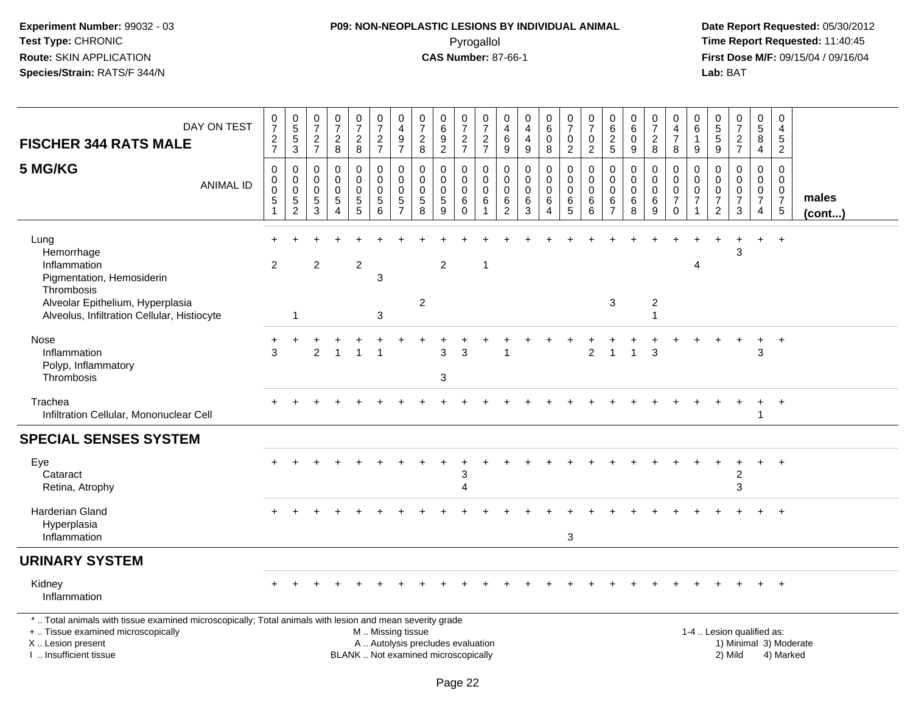#### **P09: NON-NEOPLASTIC LESIONS BY INDIVIDUAL ANIMAL**Pyrogallol **Time Report Requested:** 11:40:45

 **Date Report Requested:** 05/30/2012 **First Dose M/F:** 09/15/04 / 09/16/04<br>Lab: BAT **Lab:** BAT

| DAY ON TEST<br><b>FISCHER 344 RATS MALE</b>                                                                                                                         | $\frac{0}{7}$<br>$\frac{2}{7}$                                 | $\begin{array}{c} 0 \\ 5 \end{array}$<br>$\,$ 5 $\,$<br>3       | $\frac{0}{7}$<br>$\frac{2}{7}$                                              | $\frac{0}{7}$<br>$\sqrt{2}$<br>8                        | $\frac{0}{7}$<br>$\frac{2}{8}$                                            | 0<br>$\overline{7}$<br>$\frac{2}{7}$     | 0<br>$\overline{4}$<br>9<br>$\overline{7}$                 | 0<br>$\overline{7}$<br>$\sqrt{2}$<br>8               | $\boldsymbol{0}$<br>$6\phantom{a}$<br>$\boldsymbol{9}$<br>$\overline{2}$ | $\frac{0}{7}$<br>$\frac{2}{7}$                   | 0<br>$\overline{7}$<br>$\overline{c}$<br>$\overline{7}$         | 0<br>4<br>6<br>$\boldsymbol{9}$                     | 0<br>4<br>$\overline{\mathbf{4}}$<br>$9\,$ | 0<br>$\overline{6}$<br>0<br>8          | $\frac{0}{7}$<br>$\mathbf 0$<br>$\overline{2}$ | $\frac{0}{7}$<br>$\pmb{0}$<br>$\overline{2}$ | 0<br>6<br>$\sqrt{2}$<br>$\sqrt{5}$                  | 0<br>$\,6\,$<br>$\mathbf 0$<br>9            | 0<br>$\overline{7}$<br>$\overline{c}$<br>8 | 0<br>4<br>$\boldsymbol{7}$<br>8                                  | 0<br>6<br>1<br>9                          | 0<br>$\,$ 5 $\,$<br>$\,$ 5 $\,$<br>$9\,$                      | $\frac{0}{7}$<br>$\sqrt{2}$<br>$\overline{7}$                            | 0<br>$\sqrt{5}$<br>8<br>4                                        | 0<br>$\overline{4}$<br>$\sqrt{5}$<br>$\overline{2}$                         |                       |
|---------------------------------------------------------------------------------------------------------------------------------------------------------------------|----------------------------------------------------------------|-----------------------------------------------------------------|-----------------------------------------------------------------------------|---------------------------------------------------------|---------------------------------------------------------------------------|------------------------------------------|------------------------------------------------------------|------------------------------------------------------|--------------------------------------------------------------------------|--------------------------------------------------|-----------------------------------------------------------------|-----------------------------------------------------|--------------------------------------------|----------------------------------------|------------------------------------------------|----------------------------------------------|-----------------------------------------------------|---------------------------------------------|--------------------------------------------|------------------------------------------------------------------|-------------------------------------------|---------------------------------------------------------------|--------------------------------------------------------------------------|------------------------------------------------------------------|-----------------------------------------------------------------------------|-----------------------|
| 5 MG/KG<br><b>ANIMAL ID</b>                                                                                                                                         | $\mathbf 0$<br>0<br>$\pmb{0}$<br>$\,$ 5 $\,$<br>$\overline{1}$ | 0<br>$\mathsf 0$<br>$\mathbf 0$<br>$\sqrt{5}$<br>$\overline{2}$ | $\mathbf 0$<br>$\mathbf 0$<br>$\mathbf 0$<br>$\overline{5}$<br>$\mathbf{3}$ | $\mathbf 0$<br>$\Omega$<br>$\mathbf 0$<br>5<br>$\Delta$ | $\mathbf 0$<br>$\mathbf 0$<br>$\mathbf 0$<br>$\sqrt{5}$<br>$\overline{5}$ | 0<br>$\mathbf 0$<br>0<br>$\sqrt{5}$<br>6 | $\Omega$<br>$\Omega$<br>$\mathbf 0$<br>5<br>$\overline{7}$ | $\mathbf{0}$<br>$\mathbf{0}$<br>0<br>$\sqrt{5}$<br>8 | $\mathbf 0$<br>$\mathbf{0}$<br>$\mathbf 0$<br>$\sqrt{5}$<br>9            | 0<br>$\mathbf 0$<br>$\mathbf 0$<br>6<br>$\Omega$ | $\mathbf 0$<br>$\mathbf{0}$<br>$\mathbf 0$<br>6<br>$\mathbf{1}$ | $\mathbf 0$<br>$\Omega$<br>0<br>6<br>$\overline{2}$ | $\mathbf 0$<br>$\Omega$<br>0<br>6<br>3     | 0<br>$\Omega$<br>$\mathbf 0$<br>6<br>4 | 0<br>$\mathbf 0$<br>0<br>6<br>$\overline{5}$   | 0<br>$\Omega$<br>0<br>$\,6$<br>6             | $\mathbf 0$<br>$\Omega$<br>0<br>6<br>$\overline{7}$ | $\mathbf{0}$<br>$\Omega$<br>0<br>$\,6$<br>8 | 0<br>$\Omega$<br>$\mathbf 0$<br>6<br>9     | 0<br>$\mathbf 0$<br>$\pmb{0}$<br>$\boldsymbol{7}$<br>$\mathbf 0$ | 0<br>$\Omega$<br>0<br>$\overline{7}$<br>1 | $\Omega$<br>$\Omega$<br>0<br>$\overline{7}$<br>$\overline{2}$ | $\mathbf 0$<br>$\Omega$<br>$\mathbf 0$<br>$\overline{7}$<br>$\mathbf{3}$ | $\mathbf 0$<br>$\mathbf 0$<br>$\mathbf 0$<br>$\overline{7}$<br>4 | $\mathbf 0$<br>$\Omega$<br>$\mathbf 0$<br>$\overline{7}$<br>$5\phantom{.0}$ | males<br>$($ cont $)$ |
| Lung<br>Hemorrhage<br>Inflammation<br>Pigmentation, Hemosiderin<br>Thrombosis                                                                                       | $\overline{2}$                                                 |                                                                 | $\overline{2}$                                                              |                                                         | $\overline{c}$                                                            | 3                                        |                                                            |                                                      | 2                                                                        |                                                  | -1                                                              |                                                     |                                            |                                        |                                                |                                              |                                                     |                                             |                                            |                                                                  | 4                                         |                                                               | 3                                                                        |                                                                  | $+$                                                                         |                       |
| Alveolar Epithelium, Hyperplasia<br>Alveolus, Infiltration Cellular, Histiocyte                                                                                     |                                                                | $\overline{1}$                                                  |                                                                             |                                                         |                                                                           | 3                                        |                                                            | $\overline{c}$                                       |                                                                          |                                                  |                                                                 |                                                     |                                            |                                        |                                                |                                              | 3                                                   |                                             | $\boldsymbol{2}$<br>1                      |                                                                  |                                           |                                                               |                                                                          |                                                                  |                                                                             |                       |
| Nose<br>Inflammation<br>Polyp, Inflammatory<br>Thrombosis                                                                                                           | +<br>3                                                         |                                                                 | $\overline{c}$                                                              |                                                         |                                                                           |                                          |                                                            |                                                      | 3<br>3                                                                   | 3                                                |                                                                 |                                                     |                                            |                                        |                                                | $\overline{2}$                               | -1                                                  |                                             | 3                                          |                                                                  |                                           |                                                               |                                                                          | 3                                                                | $\overline{+}$                                                              |                       |
| Trachea<br>Infiltration Cellular, Mononuclear Cell                                                                                                                  |                                                                |                                                                 |                                                                             |                                                         |                                                                           |                                          |                                                            |                                                      |                                                                          |                                                  |                                                                 |                                                     |                                            |                                        |                                                |                                              |                                                     |                                             |                                            |                                                                  |                                           |                                                               |                                                                          | -1                                                               | $+$                                                                         |                       |
| <b>SPECIAL SENSES SYSTEM</b>                                                                                                                                        |                                                                |                                                                 |                                                                             |                                                         |                                                                           |                                          |                                                            |                                                      |                                                                          |                                                  |                                                                 |                                                     |                                            |                                        |                                                |                                              |                                                     |                                             |                                            |                                                                  |                                           |                                                               |                                                                          |                                                                  |                                                                             |                       |
| Eye<br>Cataract<br>Retina, Atrophy                                                                                                                                  |                                                                |                                                                 |                                                                             |                                                         |                                                                           |                                          |                                                            |                                                      |                                                                          | 3<br>4                                           |                                                                 |                                                     |                                            |                                        |                                                |                                              |                                                     |                                             |                                            |                                                                  |                                           |                                                               | 2<br>3                                                                   | $\pm$                                                            | $+$                                                                         |                       |
| Harderian Gland<br>Hyperplasia<br>Inflammation                                                                                                                      |                                                                |                                                                 |                                                                             |                                                         |                                                                           |                                          |                                                            |                                                      |                                                                          |                                                  |                                                                 |                                                     |                                            |                                        | 3                                              |                                              |                                                     |                                             |                                            |                                                                  |                                           |                                                               |                                                                          |                                                                  |                                                                             |                       |
| <b>URINARY SYSTEM</b>                                                                                                                                               |                                                                |                                                                 |                                                                             |                                                         |                                                                           |                                          |                                                            |                                                      |                                                                          |                                                  |                                                                 |                                                     |                                            |                                        |                                                |                                              |                                                     |                                             |                                            |                                                                  |                                           |                                                               |                                                                          |                                                                  |                                                                             |                       |
| Kidney<br>Inflammation                                                                                                                                              |                                                                |                                                                 |                                                                             |                                                         |                                                                           |                                          |                                                            |                                                      |                                                                          |                                                  |                                                                 |                                                     |                                            |                                        |                                                |                                              |                                                     |                                             |                                            |                                                                  |                                           |                                                               |                                                                          |                                                                  |                                                                             |                       |
| *  Total animals with tissue examined microscopically; Total animals with lesion and mean severity grade<br>+  Tissue examined microscopically<br>X  Lesion present |                                                                |                                                                 |                                                                             |                                                         |                                                                           | M  Missing tissue                        |                                                            | A  Autolysis precludes evaluation                    |                                                                          |                                                  |                                                                 |                                                     |                                            |                                        |                                                |                                              |                                                     |                                             |                                            |                                                                  |                                           |                                                               | 1-4  Lesion qualified as:                                                |                                                                  | 1) Minimal 3) Moderate                                                      |                       |

I .. Insufficient tissue

BLANK .. Not examined microscopically and the contract of the contract of the contract of Modellin 2) Mild 4) Marked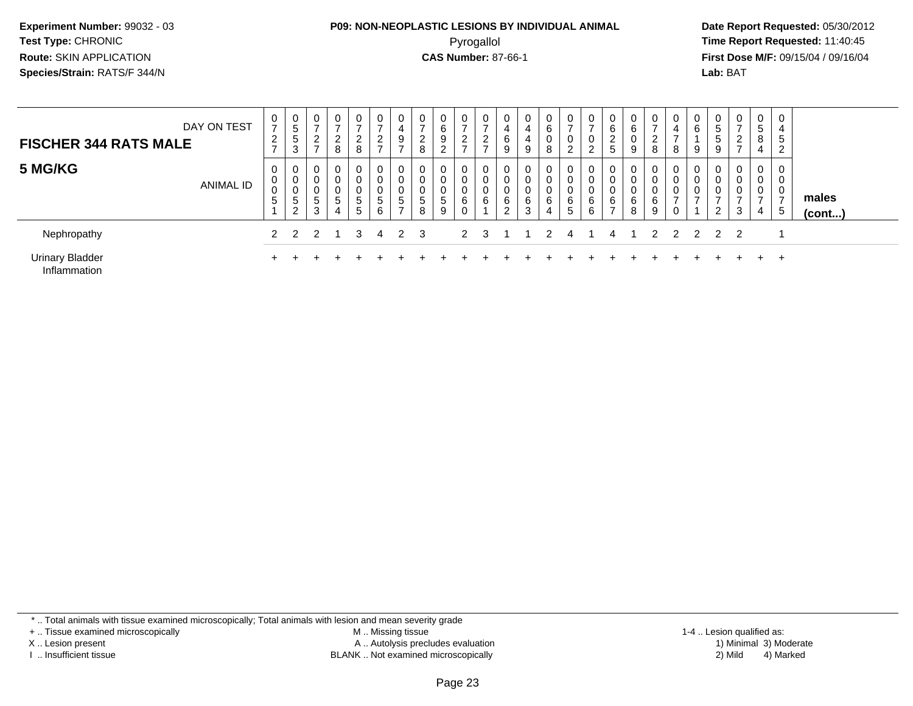#### **P09: NON-NEOPLASTIC LESIONS BY INDIVIDUAL ANIMAL**Pyrogallol **Time Report Requested:** 11:40:45

 **Date Report Requested:** 05/30/2012 **First Dose M/F:** 09/15/04 / 09/16/04 Lab: BAT **Lab:** BAT

| <b>FISCHER 344 RATS MALE</b>           | DAY ON TEST | 0<br>$\overline{ }$<br>$\overline{c}$<br>$\rightarrow$ | 0<br>5<br>5<br>3                | 0<br>2<br>-                      | $\mathbf 0$<br>$\sim$<br>8        | ⇁<br>$\overline{2}$<br>ົ | $\mathbf 0$<br>$\sim$<br>$\epsilon$<br>- | 4<br>9           | 0<br>ົ<br>∠<br>8                   | 0<br>6<br>9<br>$\sim$<br><u>.</u> | 0<br>$\overline{ }$<br>$\overline{2}$<br>$\rightarrow$ | 0<br>⌒      | 4<br>6      | 0<br>4<br>4<br>9      | 0<br>6<br>0<br>8      | 0<br>0<br>◠<br>$\epsilon$ | 0<br>⇁<br>0<br>2      | 0<br>6<br>$\overline{2}$<br><sub>5</sub> | 0<br>6<br>0<br>9      | 0<br>8 | 4<br>-<br>8 | 0<br>6<br>9   | U.<br>5<br>5<br>9 | 0<br>$\overline{\phantom{a}}$<br>2<br>$\overline{ }$ | 0<br>5<br>8<br>$\overline{4}$      | $\mathbf 0$<br>4<br>5<br>$\overline{2}$                    |                 |
|----------------------------------------|-------------|--------------------------------------------------------|---------------------------------|----------------------------------|-----------------------------------|--------------------------|------------------------------------------|------------------|------------------------------------|-----------------------------------|--------------------------------------------------------|-------------|-------------|-----------------------|-----------------------|---------------------------|-----------------------|------------------------------------------|-----------------------|--------|-------------|---------------|-------------------|------------------------------------------------------|------------------------------------|------------------------------------------------------------|-----------------|
| 5 MG/KG                                | ANIMAL ID   | 0<br>0<br>$\mathbf 0$<br>5                             | 0<br>$\sim$<br>U<br>U<br>5<br>2 | 0<br>0<br>0<br><sub>5</sub><br>3 | $\mathbf 0$<br>$\Omega$<br>5<br>4 | 0<br>0<br>5<br>5         | 0<br>0<br>0<br>5<br>6                    | 0<br>0<br>υ<br>5 | 0<br>0<br>0<br>$\ddot{\circ}$<br>8 | 0<br>0<br>5<br>9                  | 0<br>0<br>0<br>6<br>0                                  | 0<br>υ<br>6 | 0<br>6<br>2 | 0<br>0<br>0<br>6<br>3 | 0<br>0<br>0<br>6<br>4 | 0<br>0<br>0<br>6<br>5     | 0<br>0<br>0<br>6<br>6 | 0<br>0<br>0<br>6<br>$\overline{ }$       | 0<br>0<br>0<br>6<br>8 | 6<br>9 | ⇁           | 0<br>0<br>0   | 0<br>0<br>◠<br>∠  | 0<br>0<br>0<br>3                                     | 0<br>0<br>0<br>$\overline{ }$<br>4 | $\mathbf 0$<br>$\overline{0}$<br>0<br>$\overline{ }$<br>-5 | males<br>(cont) |
| Nephropathy                            |             | 2                                                      |                                 |                                  |                                   | 3                        | 4                                        |                  | 3                                  |                                   | $\mathcal{P}$                                          |             |             |                       |                       |                           |                       | 4                                        |                       |        |             | $\mathcal{P}$ | 2 <sub>2</sub>    |                                                      |                                    |                                                            |                 |
| <b>Urinary Bladder</b><br>Inflammation |             |                                                        |                                 |                                  |                                   |                          |                                          |                  |                                    |                                   |                                                        |             |             |                       |                       |                           |                       |                                          |                       |        |             |               |                   |                                                      | $+$                                | $+$                                                        |                 |

\* .. Total animals with tissue examined microscopically; Total animals with lesion and mean severity grade

+ .. Tissue examined microscopically

X .. Lesion present

I .. Insufficient tissue

 M .. Missing tissueA .. Autolysis precludes evaluation

BLANK .. Not examined microscopically 2) Mild 4) Marked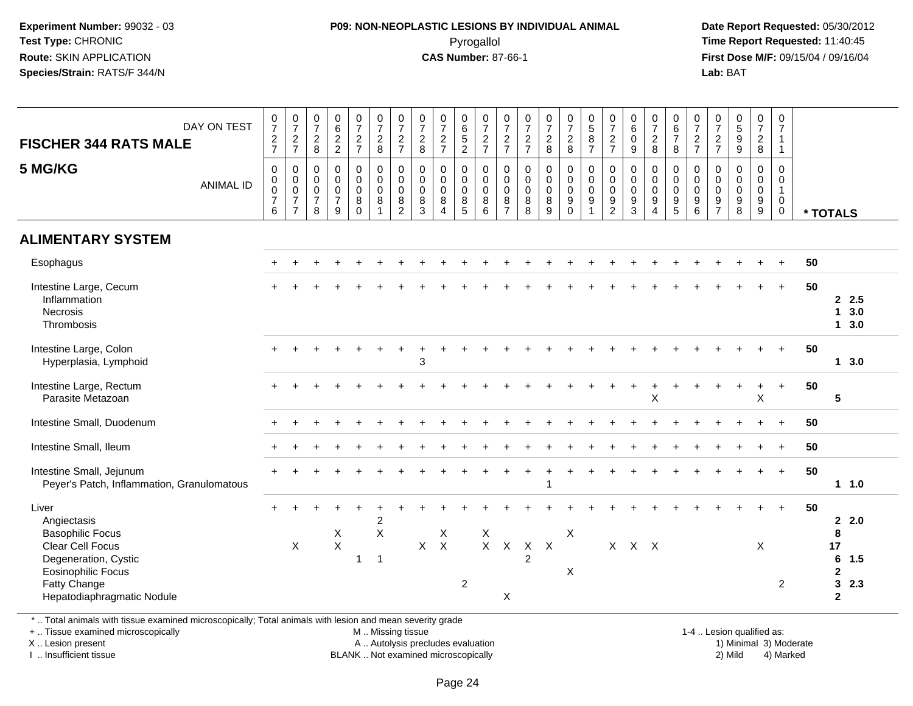#### **P09: NON-NEOPLASTIC LESIONS BY INDIVIDUAL ANIMAL**Pyrogallol **Time Report Requested:** 11:40:45

 **Date Report Requested:** 05/30/2012 **First Dose M/F:** 09/15/04 / 09/16/04 Lab: BAT **Lab:** BAT

| DAY ON TEST<br><b>FISCHER 344 RATS MALE</b>                                                                         | $\frac{0}{7}$<br>$\frac{2}{7}$                               | $\begin{array}{c} 0 \\ 7 \end{array}$<br>$\frac{2}{7}$      | $\frac{0}{7}$<br>$\overline{c}$<br>8                 | $\begin{array}{c} 0 \\ 6 \end{array}$<br>$\frac{2}{2}$         | $\frac{0}{7}$<br>$\frac{2}{7}$                         | $\begin{smallmatrix}0\\7\end{smallmatrix}$<br>$\overline{2}$<br>$\bf 8$ | $\frac{0}{7}$<br>$\frac{2}{7}$                                               | $\frac{0}{7}$<br>$\overline{2}$<br>8                | $\frac{0}{7}$<br>$\frac{2}{7}$                                   | $\begin{array}{c} 0 \\ 6 \\ 5 \end{array}$<br>$\overline{2}$ | $\frac{0}{7}$<br>$\frac{2}{7}$                              | $\frac{0}{7}$<br>$\frac{2}{7}$                                       | $\frac{0}{7}$<br>$\frac{2}{7}$                        | $\frac{0}{7}$<br>$\frac{2}{8}$                          | $\frac{0}{7}$<br>$\overline{c}$<br>$\,8\,$                            | $0$<br>58<br>7                                                                      | $\begin{smallmatrix}0\\7\end{smallmatrix}$<br>$\overline{c}$<br>$\overline{7}$ | $_{6}^{\rm 0}$<br>$\mathbf 0$<br>$9\,$ | $\frac{0}{7}$<br>$\frac{2}{8}$                                                          | 0<br>$\,6\,$<br>$\overline{7}$<br>8                      | $\frac{0}{7}$<br>$\frac{2}{7}$                                     | $\frac{0}{7}$<br>$\overline{c}$<br>$\overline{7}$      | $\begin{array}{c} 0 \\ 5 \\ 9 \end{array}$<br>$\overline{9}$       | $\frac{0}{7}$<br>$\boldsymbol{2}$<br>$\,8\,$                                  | 0<br>$\overline{7}$<br>$\mathbf{1}$<br>$\overline{1}$                      |    |                                                        |
|---------------------------------------------------------------------------------------------------------------------|--------------------------------------------------------------|-------------------------------------------------------------|------------------------------------------------------|----------------------------------------------------------------|--------------------------------------------------------|-------------------------------------------------------------------------|------------------------------------------------------------------------------|-----------------------------------------------------|------------------------------------------------------------------|--------------------------------------------------------------|-------------------------------------------------------------|----------------------------------------------------------------------|-------------------------------------------------------|---------------------------------------------------------|-----------------------------------------------------------------------|-------------------------------------------------------------------------------------|--------------------------------------------------------------------------------|----------------------------------------|-----------------------------------------------------------------------------------------|----------------------------------------------------------|--------------------------------------------------------------------|--------------------------------------------------------|--------------------------------------------------------------------|-------------------------------------------------------------------------------|----------------------------------------------------------------------------|----|--------------------------------------------------------|
| 5 MG/KG<br><b>ANIMAL ID</b>                                                                                         | $\mathbf 0$<br>$\pmb{0}$<br>$\pmb{0}$<br>$\overline{7}$<br>6 | $\mathbf 0$<br>$\pmb{0}$<br>$\frac{0}{7}$<br>$\overline{7}$ | $\mathbf 0$<br>0<br>$\pmb{0}$<br>$\overline{7}$<br>8 | $\mathbf 0$<br>$\pmb{0}$<br>$\pmb{0}$<br>$\boldsymbol{7}$<br>9 | $\mathbf 0$<br>$\pmb{0}$<br>$\pmb{0}$<br>8<br>$\Omega$ | 0<br>$\mathsf{O}\xspace$<br>$\mathbf 0$<br>8                            | $\boldsymbol{0}$<br>$\overline{0}$<br>$\pmb{0}$<br>$\,8\,$<br>$\overline{2}$ | $\mathbf 0$<br>$\mathbf 0$<br>$\mathbf 0$<br>8<br>3 | 0<br>$\pmb{0}$<br>$\pmb{0}$<br>$\,8\,$<br>$\boldsymbol{\Lambda}$ | 0<br>$\mathbf 0$<br>$\mathbf 0$<br>8<br>5                    | $\,0\,$<br>$\pmb{0}$<br>$\mathsf{O}\xspace$<br>$\bf 8$<br>6 | $\mathbf 0$<br>$\pmb{0}$<br>$\mathbf 0$<br>$\bf 8$<br>$\overline{7}$ | $\mathbf 0$<br>$\pmb{0}$<br>$\pmb{0}$<br>$\bf 8$<br>8 | $\pmb{0}$<br>$\mathbf 0$<br>$\mathbf 0$<br>$\,8\,$<br>9 | 0<br>$\mathsf{O}\xspace$<br>$\pmb{0}$<br>$\boldsymbol{9}$<br>$\Omega$ | $\begin{smallmatrix}0\0\0\0\end{smallmatrix}$<br>$\boldsymbol{9}$<br>$\overline{1}$ | $\mathbf 0$<br>$\pmb{0}$<br>$\mathsf 0$<br>$\boldsymbol{9}$<br>$\overline{2}$  | 0<br>$\pmb{0}$<br>$\pmb{0}$<br>9<br>3  | $\mathbf 0$<br>$\mathbf 0$<br>$\mathbf 0$<br>$\boldsymbol{9}$<br>$\boldsymbol{\Lambda}$ | 0<br>$\mathbf 0$<br>$\mathbf 0$<br>$\boldsymbol{9}$<br>5 | $\mathbf 0$<br>$\mathbf 0$<br>$\mathbf 0$<br>$\boldsymbol{9}$<br>6 | $\mathbf 0$<br>$\mathbf 0$<br>0<br>9<br>$\overline{7}$ | $\mathbf 0$<br>$\mathbf 0$<br>$\mathbf 0$<br>$\boldsymbol{9}$<br>8 | $\mathbf 0$<br>$\pmb{0}$<br>$\pmb{0}$<br>$\boldsymbol{9}$<br>$\boldsymbol{9}$ | $\mathbf 0$<br>$\mathbf 0$<br>$\overline{1}$<br>$\mathsf 0$<br>$\mathbf 0$ |    | * TOTALS                                               |
| <b>ALIMENTARY SYSTEM</b>                                                                                            |                                                              |                                                             |                                                      |                                                                |                                                        |                                                                         |                                                                              |                                                     |                                                                  |                                                              |                                                             |                                                                      |                                                       |                                                         |                                                                       |                                                                                     |                                                                                |                                        |                                                                                         |                                                          |                                                                    |                                                        |                                                                    |                                                                               |                                                                            |    |                                                        |
| Esophagus                                                                                                           |                                                              |                                                             |                                                      |                                                                |                                                        |                                                                         |                                                                              |                                                     |                                                                  |                                                              |                                                             |                                                                      |                                                       |                                                         |                                                                       |                                                                                     |                                                                                |                                        |                                                                                         |                                                          |                                                                    |                                                        |                                                                    |                                                                               |                                                                            | 50 |                                                        |
| Intestine Large, Cecum<br>Inflammation<br><b>Necrosis</b><br>Thrombosis                                             |                                                              |                                                             |                                                      |                                                                |                                                        |                                                                         |                                                                              |                                                     |                                                                  |                                                              |                                                             |                                                                      |                                                       |                                                         |                                                                       |                                                                                     |                                                                                |                                        |                                                                                         |                                                          |                                                                    |                                                        |                                                                    |                                                                               | $+$                                                                        | 50 | 2.5<br>3.0<br>1<br>13.0                                |
| Intestine Large, Colon<br>Hyperplasia, Lymphoid                                                                     |                                                              |                                                             |                                                      |                                                                |                                                        |                                                                         |                                                                              | 3                                                   |                                                                  |                                                              |                                                             |                                                                      |                                                       |                                                         |                                                                       |                                                                                     |                                                                                |                                        |                                                                                         |                                                          |                                                                    |                                                        |                                                                    |                                                                               | $+$                                                                        | 50 | $1 \quad 3.0$                                          |
| Intestine Large, Rectum<br>Parasite Metazoan                                                                        |                                                              |                                                             |                                                      |                                                                |                                                        |                                                                         |                                                                              |                                                     |                                                                  |                                                              |                                                             |                                                                      |                                                       |                                                         |                                                                       |                                                                                     |                                                                                |                                        | X                                                                                       |                                                          |                                                                    |                                                        |                                                                    | $\overline{1}$<br>X                                                           | $\ddot{}$                                                                  | 50 | 5                                                      |
| Intestine Small, Duodenum                                                                                           |                                                              |                                                             |                                                      |                                                                |                                                        |                                                                         |                                                                              |                                                     |                                                                  |                                                              |                                                             |                                                                      |                                                       |                                                         |                                                                       |                                                                                     |                                                                                |                                        |                                                                                         |                                                          |                                                                    |                                                        |                                                                    |                                                                               | $+$                                                                        | 50 |                                                        |
| Intestine Small, Ileum                                                                                              |                                                              |                                                             |                                                      |                                                                |                                                        |                                                                         |                                                                              |                                                     |                                                                  |                                                              |                                                             |                                                                      |                                                       |                                                         |                                                                       |                                                                                     |                                                                                |                                        |                                                                                         |                                                          |                                                                    |                                                        |                                                                    |                                                                               | $\ddot{}$                                                                  | 50 |                                                        |
| Intestine Small, Jejunum<br>Peyer's Patch, Inflammation, Granulomatous                                              |                                                              |                                                             |                                                      |                                                                |                                                        |                                                                         |                                                                              |                                                     |                                                                  |                                                              |                                                             |                                                                      |                                                       |                                                         |                                                                       |                                                                                     |                                                                                |                                        |                                                                                         |                                                          |                                                                    |                                                        |                                                                    |                                                                               | $+$                                                                        | 50 | 11.0                                                   |
| Liver<br>Angiectasis<br><b>Basophilic Focus</b>                                                                     | +                                                            |                                                             |                                                      | X                                                              |                                                        | $\overline{c}$<br>$\mathsf X$                                           |                                                                              |                                                     | X                                                                |                                                              | X                                                           |                                                                      |                                                       |                                                         | X                                                                     |                                                                                     |                                                                                |                                        |                                                                                         |                                                          |                                                                    |                                                        |                                                                    |                                                                               |                                                                            | 50 | $\mathbf{2}$<br>2.0<br>8                               |
| Clear Cell Focus<br>Degeneration, Cystic<br><b>Eosinophilic Focus</b><br>Fatty Change<br>Hepatodiaphragmatic Nodule |                                                              | X                                                           |                                                      | $\pmb{\times}$                                                 | $\mathbf{1}$                                           | $\overline{1}$                                                          |                                                                              | $\mathsf{X}$                                        | $\mathsf{X}$                                                     | $\overline{2}$                                               |                                                             | $X$ $X$<br>X                                                         | $\mathsf{X}$<br>$\overline{2}$                        | $\boldsymbol{\mathsf{X}}$                               | X                                                                     |                                                                                     |                                                                                | $X$ $X$ $X$                            |                                                                                         |                                                          |                                                                    |                                                        |                                                                    | X                                                                             | $\overline{2}$                                                             |    | 17<br>6<br>1.5<br>$\mathbf{2}$<br>32.3<br>$\mathbf{2}$ |

\* .. Total animals with tissue examined microscopically; Total animals with lesion and mean severity grade

+ .. Tissue examined microscopically

X .. Lesion present

I .. Insufficient tissue

M .. Missing tissue

A .. Autolysis precludes evaluation

BLANK .. Not examined microscopically 2) Mild 4) Marked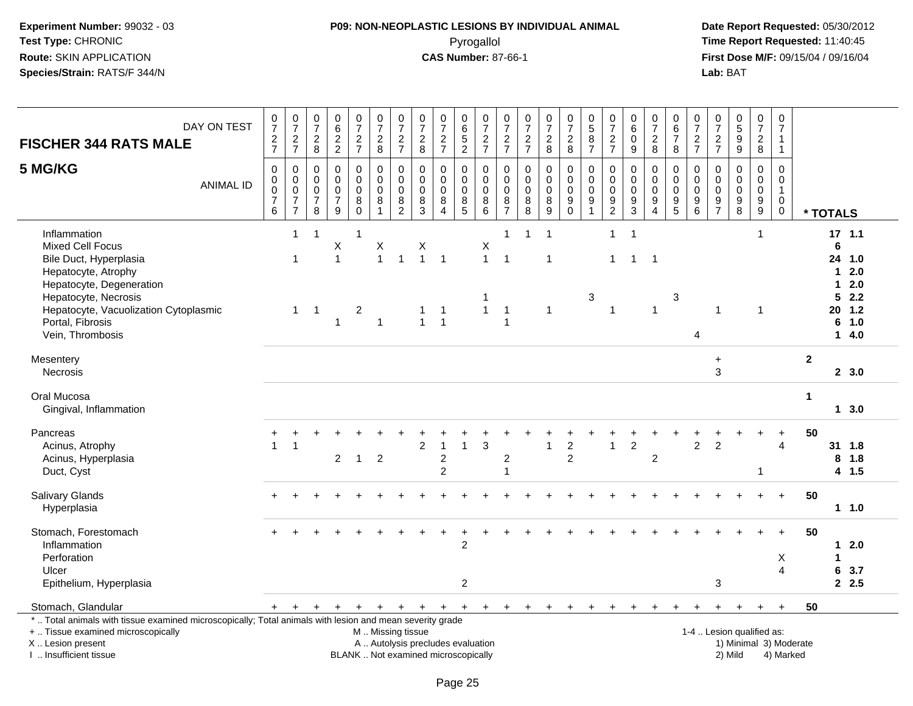#### **P09: NON-NEOPLASTIC LESIONS BY INDIVIDUAL ANIMAL**Pyrogallol **Time Report Requested:** 11:40:45

 **Date Report Requested:** 05/30/2012 **First Dose M/F:** 09/15/04 / 09/16/04<br>Lab: BAT **Lab:** BAT

| <b>FISCHER 344 RATS MALE</b>                                                                                                                                                                                                  | DAY ON TEST      | $\frac{0}{7}$<br>$\frac{2}{7}$                                   | $\frac{0}{7}$<br>$\frac{2}{7}$                                                | $\begin{array}{c} 0 \\ 7 \end{array}$<br>$\frac{2}{8}$                | $\begin{array}{c} 0 \\ 6 \end{array}$<br>$\frac{2}{2}$           | $\frac{0}{7}$<br>$\frac{2}{7}$                | $\begin{array}{c} 0 \\ 7 \\ 2 \\ 8 \end{array}$        | $\frac{0}{7}$<br>$\frac{2}{7}$                                                          | $\begin{array}{c} 0 \\ 7 \end{array}$<br>$_{\rm 8}^2$                           | $\frac{0}{7}$<br>$\frac{2}{7}$                                 | 0<br>$\overline{6}$<br>5<br>$\overline{2}$ | $\frac{0}{7}$<br>$\frac{2}{7}$                                          | $\begin{array}{c} 0 \\ 7 \end{array}$<br>$\frac{2}{7}$             | $\begin{smallmatrix} 0\\7 \end{smallmatrix}$<br>$\frac{2}{7}$ | $\frac{0}{7}$<br>$\frac{2}{8}$                                                        | $\frac{0}{7}$<br>$\frac{2}{8}$            | $\begin{array}{c} 0 \\ 5 \end{array}$<br>$\bf 8$<br>$\overline{7}$     | $\begin{array}{c} 0 \\ 7 \end{array}$<br>$\frac{2}{7}$ | $\begin{array}{c} 0 \\ 6 \end{array}$<br>$\pmb{0}$<br>9 | $\begin{array}{c} 0 \\ 7 \end{array}$<br>$\frac{2}{8}$                        | $\begin{array}{c} 0 \\ 6 \\ 7 \end{array}$<br>8                                  | $\frac{0}{7}$<br>$\frac{2}{7}$                            | 0<br>$\overline{7}$<br>$\frac{2}{7}$               | $\begin{array}{c} 0 \\ 5 \\ 9 \end{array}$<br>$\overline{9}$ | $\frac{0}{7}$<br>$_{\rm 8}^2$                     | $\frac{0}{7}$<br>$\mathbf{1}$<br>$\mathbf{1}$                            |              |                                          |                                                   |
|-------------------------------------------------------------------------------------------------------------------------------------------------------------------------------------------------------------------------------|------------------|------------------------------------------------------------------|-------------------------------------------------------------------------------|-----------------------------------------------------------------------|------------------------------------------------------------------|-----------------------------------------------|--------------------------------------------------------|-----------------------------------------------------------------------------------------|---------------------------------------------------------------------------------|----------------------------------------------------------------|--------------------------------------------|-------------------------------------------------------------------------|--------------------------------------------------------------------|---------------------------------------------------------------|---------------------------------------------------------------------------------------|-------------------------------------------|------------------------------------------------------------------------|--------------------------------------------------------|---------------------------------------------------------|-------------------------------------------------------------------------------|----------------------------------------------------------------------------------|-----------------------------------------------------------|----------------------------------------------------|--------------------------------------------------------------|---------------------------------------------------|--------------------------------------------------------------------------|--------------|------------------------------------------|---------------------------------------------------|
| 5 MG/KG                                                                                                                                                                                                                       | <b>ANIMAL ID</b> | $\mathbf 0$<br>0<br>$\mathsf{O}\xspace$<br>$\boldsymbol{7}$<br>6 | $\mathbf 0$<br>$\mathbf 0$<br>$\mathbf 0$<br>$\overline{7}$<br>$\overline{7}$ | $\mathbf 0$<br>$\mathbf 0$<br>$\boldsymbol{0}$<br>$\overline{7}$<br>8 | $\mathbf 0$<br>$\mathbf 0$<br>$\pmb{0}$<br>$\boldsymbol{7}$<br>9 | 0<br>$\mathbf 0$<br>$\mathbf 0$<br>$_{0}^{8}$ | $\mathbf 0$<br>$\pmb{0}$<br>$\pmb{0}$<br>$\frac{8}{1}$ | $\mathbf 0$<br>$\pmb{0}$<br>$\pmb{0}$<br>$\begin{smallmatrix} 8 \\ 2 \end{smallmatrix}$ | $\mathbf 0$<br>$\mathbf 0$<br>$\mathbf 0$<br>8<br>$\mathbf{3}$                  | $\mathbf 0$<br>$\mathbf 0$<br>$\pmb{0}$<br>8<br>$\overline{4}$ | 0<br>$\mathbf 0$<br>$\mathsf 0$<br>$^8_5$  | $\mathbf 0$<br>$\mathsf{O}\xspace$<br>$\mathsf{O}\xspace$<br>$_{6}^{8}$ | $\pmb{0}$<br>$\pmb{0}$<br>$\pmb{0}$<br>$\frac{8}{7}$               | $\mathbf 0$<br>0<br>$\mathbf 0$<br>$_{8}^8$                   | $\mathbf 0$<br>$\mathbf 0$<br>$\pmb{0}$<br>$\begin{smallmatrix}8\\9\end{smallmatrix}$ | 0<br>$\pmb{0}$<br>$\pmb{0}$<br>$_{0}^{9}$ | $\mathbf 0$<br>0<br>$\pmb{0}$<br>$\begin{array}{c} 9 \\ 1 \end{array}$ | 0<br>$\pmb{0}$<br>$\pmb{0}$<br>$\frac{9}{2}$           | $\mathbf 0$<br>0<br>$\pmb{0}$<br>$\frac{9}{3}$          | $\mathbf 0$<br>$\mathbf 0$<br>$\pmb{0}$<br>$\boldsymbol{9}$<br>$\overline{4}$ | $\mathbf 0$<br>$\mathbf 0$<br>$\pmb{0}$<br>$\begin{array}{c} 9 \\ 5 \end{array}$ | $\mathbf 0$<br>$\mathbf 0$<br>$\mathbf 0$<br>9<br>$\,6\,$ | $\Omega$<br>0<br>$\boldsymbol{0}$<br>$\frac{9}{7}$ | $\mathbf 0$<br>$\mathbf 0$<br>$\pmb{0}$<br>$_{8}^{\rm 9}$    | $\mathbf 0$<br>$\mathsf 0$<br>$\pmb{0}$<br>$^9_9$ | $\mathbf 0$<br>$\Omega$<br>$\mathbf{1}$<br>$\overline{0}$<br>$\mathbf 0$ | * TOTALS     |                                          |                                                   |
| Inflammation<br><b>Mixed Cell Focus</b><br>Bile Duct, Hyperplasia<br>Hepatocyte, Atrophy<br>Hepatocyte, Degeneration<br>Hepatocyte, Necrosis<br>Hepatocyte, Vacuolization Cytoplasmic<br>Portal, Fibrosis<br>Vein, Thrombosis |                  |                                                                  | $\overline{1}$<br>$\overline{1}$<br>$\mathbf{1}$                              | $\mathbf{1}$<br>$\overline{1}$                                        | Х<br>$\overline{1}$<br>-1                                        | 1<br>$\overline{c}$                           | Χ<br>$\mathbf{1}$<br>$\mathbf{1}$                      | $\overline{1}$                                                                          | $\mathsf X$<br>$\mathbf{1}$<br>-1<br>$\mathbf{1}$                               | $\overline{1}$<br>$\overline{1}$<br>$\overline{1}$             |                                            | X<br>$\overline{1}$<br>$\overline{1}$                                   | $\mathbf{1}$<br>$\overline{1}$<br>$\overline{1}$<br>$\overline{1}$ | 1                                                             | $\overline{1}$<br>$\overline{1}$<br>$\overline{1}$                                    |                                           | 3                                                                      | $\mathbf{1}$<br>$\mathbf 1$<br>$\mathbf{1}$            | $\mathbf{1}$<br>$\mathbf{1}$                            | -1<br>$\overline{1}$                                                          | 3                                                                                | 4                                                         | $\mathbf{1}$                                       |                                                              | $\mathbf{1}$<br>$\mathbf{1}$                      |                                                                          |              | $17$ 1.1<br>6<br>1.<br>1<br>5<br>20<br>6 | 24 1.0<br>2.0<br>2.0<br>2.2<br>1.2<br>1.0<br>14.0 |
| Mesentery<br>Necrosis                                                                                                                                                                                                         |                  |                                                                  |                                                                               |                                                                       |                                                                  |                                               |                                                        |                                                                                         |                                                                                 |                                                                |                                            |                                                                         |                                                                    |                                                               |                                                                                       |                                           |                                                                        |                                                        |                                                         |                                                                               |                                                                                  |                                                           | $\ddot{}$<br>3                                     |                                                              |                                                   |                                                                          | $\mathbf{2}$ |                                          | 2, 3.0                                            |
| Oral Mucosa<br>Gingival, Inflammation                                                                                                                                                                                         |                  |                                                                  |                                                                               |                                                                       |                                                                  |                                               |                                                        |                                                                                         |                                                                                 |                                                                |                                            |                                                                         |                                                                    |                                                               |                                                                                       |                                           |                                                                        |                                                        |                                                         |                                                                               |                                                                                  |                                                           |                                                    |                                                              |                                                   |                                                                          | $\mathbf{1}$ |                                          | 13.0                                              |
| Pancreas<br>Acinus, Atrophy<br>Acinus, Hyperplasia<br>Duct, Cyst                                                                                                                                                              |                  | $\mathbf{1}$                                                     | -1                                                                            |                                                                       | $\mathbf{2}$                                                     | $\overline{1}$                                | $\overline{2}$                                         |                                                                                         | 2                                                                               | 2<br>$\overline{2}$                                            |                                            | 3                                                                       | 2<br>$\overline{1}$                                                |                                                               | $\overline{1}$                                                                        | $\overline{\mathbf{c}}$<br>2              |                                                                        | $\mathbf{1}$                                           | $\overline{2}$                                          | $\overline{2}$                                                                |                                                                                  | $\overline{2}$                                            | $\overline{2}$                                     |                                                              | -1                                                | 4                                                                        | 50           | 8                                        | 31 1.8<br>1.8<br>4 1.5                            |
| <b>Salivary Glands</b><br>Hyperplasia                                                                                                                                                                                         |                  |                                                                  |                                                                               |                                                                       |                                                                  |                                               |                                                        |                                                                                         |                                                                                 |                                                                |                                            |                                                                         |                                                                    |                                                               |                                                                                       |                                           |                                                                        |                                                        |                                                         |                                                                               |                                                                                  |                                                           |                                                    |                                                              |                                                   | $+$                                                                      | 50           |                                          | $1 1.0$                                           |
| Stomach, Forestomach<br>Inflammation<br>Perforation<br>Ulcer<br>Epithelium, Hyperplasia                                                                                                                                       |                  |                                                                  |                                                                               |                                                                       |                                                                  |                                               |                                                        |                                                                                         |                                                                                 |                                                                | ÷<br>$\overline{2}$<br>2                   |                                                                         |                                                                    |                                                               |                                                                                       |                                           |                                                                        |                                                        |                                                         |                                                                               |                                                                                  |                                                           | 3                                                  |                                                              |                                                   | $+$<br>Х<br>4                                                            | 50           | -1<br>6                                  | $12.0$<br>3.7<br>2.5                              |
| Stomach, Glandular<br>*  Total animals with tissue examined microscopically; Total animals with lesion and mean severity grade<br>+  Tissue examined microscopically<br>X  Lesion present<br>I. Insufficient tissue           |                  | $+$                                                              | $+$                                                                           | $+$                                                                   | $\ddot{}$                                                        | $\ddot{}$                                     | $+$<br>M  Missing tissue                               | $+$                                                                                     | $+$<br>A  Autolysis precludes evaluation<br>BLANK  Not examined microscopically | $+$                                                            | $+$                                        | $+$                                                                     | $+$                                                                | $+$                                                           | $+$                                                                                   | $\ddot{}$                                 | $\pm$                                                                  | $\pm$                                                  | $\pm$                                                   | $\pm$                                                                         | $\pm$                                                                            |                                                           |                                                    | 1-4  Lesion qualified as:<br>2) Mild                         | $+$                                               | $+$<br>1) Minimal 3) Moderate<br>4) Marked                               | 50           |                                          |                                                   |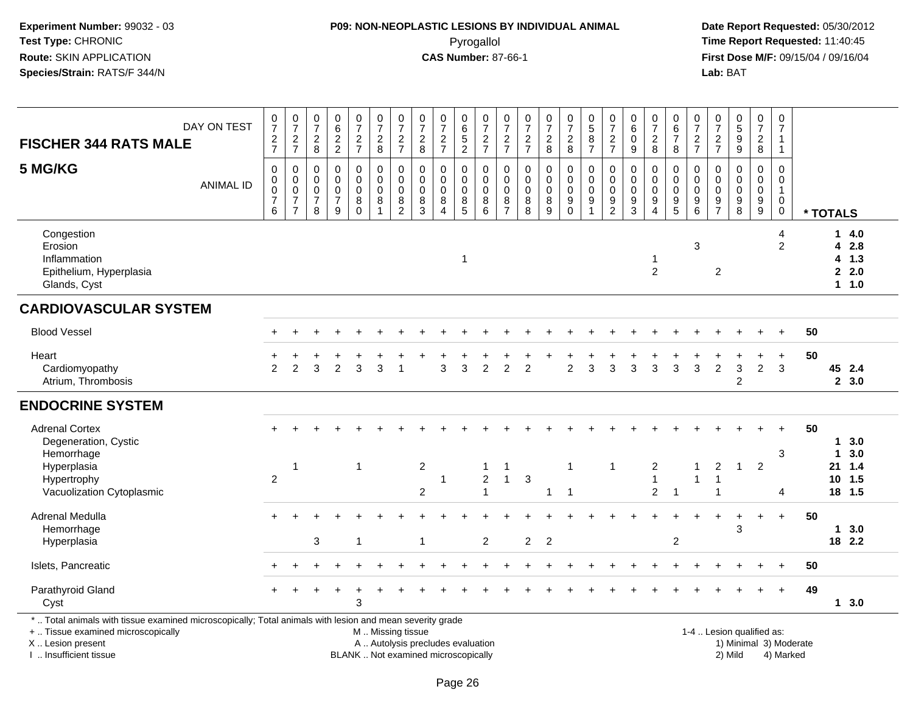#### **P09: NON-NEOPLASTIC LESIONS BY INDIVIDUAL ANIMAL**Pyrogallol **Time Report Requested:** 11:40:45

 **Date Report Requested:** 05/30/2012 **First Dose M/F:** 09/15/04 / 09/16/04<br>Lab: BAT **Lab:** BAT

|                                                                                                                                                                     | DAY ON TEST      | $\frac{0}{7}$                                          | $\frac{0}{7}$                                                             | $\frac{0}{7}$                                          | $\begin{array}{c} 0 \\ 6 \end{array}$        | $\begin{array}{c} 0 \\ 7 \end{array}$             | $\begin{array}{c} 0 \\ 7 \end{array}$                                       | $\frac{0}{7}$                                                          | $\frac{0}{7}$                                  | $\frac{0}{7}$                                                               |                                         | $\frac{0}{7}$                                           | $\begin{array}{c} 0 \\ 7 \end{array}$                  | $\frac{0}{7}$                           | $\frac{0}{7}$                                            | $\begin{array}{c} 0 \\ 7 \end{array}$     | $\begin{smallmatrix}0\0\0\end{smallmatrix}$                      | $\frac{0}{7}$                                                               | $\begin{array}{c} 0 \\ 6 \end{array}$                 | $\frac{0}{7}$                                                               | $\begin{array}{c} 0 \\ 6 \end{array}$                                           | $\frac{0}{7}$                                                    | $\frac{0}{7}$                                                   | $\begin{array}{c} 0 \\ 5 \end{array}$                     | $\frac{0}{7}$                                                    | 0<br>$\overline{7}$                                            |                        |                  |                                          |
|---------------------------------------------------------------------------------------------------------------------------------------------------------------------|------------------|--------------------------------------------------------|---------------------------------------------------------------------------|--------------------------------------------------------|----------------------------------------------|---------------------------------------------------|-----------------------------------------------------------------------------|------------------------------------------------------------------------|------------------------------------------------|-----------------------------------------------------------------------------|-----------------------------------------|---------------------------------------------------------|--------------------------------------------------------|-----------------------------------------|----------------------------------------------------------|-------------------------------------------|------------------------------------------------------------------|-----------------------------------------------------------------------------|-------------------------------------------------------|-----------------------------------------------------------------------------|---------------------------------------------------------------------------------|------------------------------------------------------------------|-----------------------------------------------------------------|-----------------------------------------------------------|------------------------------------------------------------------|----------------------------------------------------------------|------------------------|------------------|------------------------------------------|
| <b>FISCHER 344 RATS MALE</b>                                                                                                                                        |                  | $\frac{2}{7}$                                          | $\frac{2}{7}$                                                             | $\overline{a}$<br>8                                    | $\frac{2}{2}$                                | $\frac{2}{7}$                                     | $\frac{2}{8}$                                                               | $\frac{2}{7}$                                                          | $\overline{c}$<br>8                            | $\frac{2}{7}$                                                               | 0<br>6<br>5<br>2                        | $\frac{2}{7}$                                           | $\frac{2}{7}$                                          | $\frac{2}{7}$                           | $\frac{2}{8}$                                            | $\frac{2}{8}$                             | 8<br>$\overline{7}$                                              | $\frac{2}{7}$                                                               | $\pmb{0}$<br>$9\,$                                    | $\boldsymbol{2}$<br>8                                                       | $\overline{7}$<br>8                                                             | $\frac{2}{7}$                                                    | $\overline{2}$<br>$\overline{7}$                                | $\overline{9}$<br>$\overline{9}$                          | $\overline{c}$<br>8                                              | $\mathbf{1}$<br>$\mathbf{1}$                                   |                        |                  |                                          |
| 5 MG/KG                                                                                                                                                             | <b>ANIMAL ID</b> | $\mathbf 0$<br>0<br>$\mathbf 0$<br>$\overline{7}$<br>6 | $\mathbf 0$<br>$\pmb{0}$<br>$\pmb{0}$<br>$\overline{7}$<br>$\overline{7}$ | $\mathbf 0$<br>0<br>$\mathbf 0$<br>$\overline{7}$<br>8 | $\mathbf 0$<br>0<br>0<br>$\overline{7}$<br>9 | $\pmb{0}$<br>$\pmb{0}$<br>$\pmb{0}$<br>$_{0}^{8}$ | $\mathsf{O}\xspace$<br>$\mathbf 0$<br>$\pmb{0}$<br>$\bf8$<br>$\overline{1}$ | $\mathbf 0$<br>$\mathbf 0$<br>$\mathbf 0$<br>$\bf 8$<br>$\overline{2}$ | $\mathbf 0$<br>0<br>$\boldsymbol{0}$<br>8<br>3 | $\mathbf 0$<br>$\mathbf 0$<br>$\pmb{0}$<br>$\bf8$<br>$\boldsymbol{\Lambda}$ | $\mathbf 0$<br>0<br>$\pmb{0}$<br>$^8_5$ | $\mathbf 0$<br>0<br>$\mathsf{O}\xspace$<br>$\bf 8$<br>6 | $\mathbf 0$<br>$\pmb{0}$<br>$\pmb{0}$<br>$\frac{8}{7}$ | $\mathbf 0$<br>0<br>$\pmb{0}$<br>8<br>8 | $\mathbf 0$<br>$\mathbf 0$<br>$\mathbf 0$<br>$\, 8$<br>9 | 0<br>$\pmb{0}$<br>$\pmb{0}$<br>$_{0}^{9}$ | $\mathbf 0$<br>$\mathbf 0$<br>$\pmb{0}$<br>$\boldsymbol{9}$<br>1 | $\mathbf 0$<br>$\pmb{0}$<br>$\pmb{0}$<br>$\boldsymbol{9}$<br>$\overline{2}$ | $\Omega$<br>$\mathbf 0$<br>$\pmb{0}$<br>$\frac{9}{3}$ | $\mathbf 0$<br>$\pmb{0}$<br>$\pmb{0}$<br>$\boldsymbol{9}$<br>$\overline{4}$ | $\mathbf 0$<br>$\mathbf 0$<br>$\mathbf 0$<br>$\boldsymbol{9}$<br>$\overline{5}$ | $\mathbf 0$<br>$\mathbf 0$<br>$\pmb{0}$<br>$\boldsymbol{9}$<br>6 | $\Omega$<br>$\Omega$<br>0<br>$\boldsymbol{9}$<br>$\overline{7}$ | $\Omega$<br>$\Omega$<br>$\mathbf 0$<br>$_{\rm 8}^{\rm 9}$ | $\mathbf 0$<br>0<br>$\pmb{0}$<br>$\boldsymbol{9}$<br>$\tilde{9}$ | $\mathbf 0$<br>$\mathbf 0$<br>$\mathbf{1}$<br>0<br>$\mathbf 0$ |                        | * TOTALS         |                                          |
| Congestion<br>Erosion<br>Inflammation<br>Epithelium, Hyperplasia<br>Glands, Cyst                                                                                    |                  |                                                        |                                                                           |                                                        |                                              |                                                   |                                                                             |                                                                        |                                                |                                                                             | $\mathbf{1}$                            |                                                         |                                                        |                                         |                                                          |                                           |                                                                  |                                                                             |                                                       | -1<br>$\overline{2}$                                                        |                                                                                 | 3                                                                | 2                                                               |                                                           |                                                                  | 4<br>$\overline{2}$                                            |                        |                  | 14.0<br>4 2.8<br>$4$ 1.3<br>2.0<br>1 1.0 |
| <b>CARDIOVASCULAR SYSTEM</b>                                                                                                                                        |                  |                                                        |                                                                           |                                                        |                                              |                                                   |                                                                             |                                                                        |                                                |                                                                             |                                         |                                                         |                                                        |                                         |                                                          |                                           |                                                                  |                                                                             |                                                       |                                                                             |                                                                                 |                                                                  |                                                                 |                                                           |                                                                  |                                                                |                        |                  |                                          |
| <b>Blood Vessel</b>                                                                                                                                                 |                  |                                                        |                                                                           |                                                        |                                              |                                                   |                                                                             |                                                                        |                                                |                                                                             |                                         |                                                         |                                                        |                                         |                                                          |                                           |                                                                  |                                                                             |                                                       |                                                                             |                                                                                 |                                                                  |                                                                 |                                                           |                                                                  |                                                                | 50                     |                  |                                          |
| Heart<br>Cardiomyopathy<br>Atrium, Thrombosis                                                                                                                       |                  | $\mathfrak{p}$                                         | $\overline{2}$                                                            | 3                                                      | $\overline{2}$                               | 3                                                 | 3                                                                           | $\overline{\mathbf{1}}$                                                |                                                | 3                                                                           | 3                                       | $\overline{2}$                                          | 2                                                      | $\overline{2}$                          |                                                          | $\overline{2}$                            | 3                                                                | 3                                                                           | 3                                                     | 3                                                                           | 3                                                                               | 3                                                                | $\overline{c}$                                                  | 3<br>2                                                    | $\ddot{}$<br>$\overline{2}$                                      | $\ddot{}$<br>3                                                 | 50                     |                  | 45 2.4<br>2, 3.0                         |
| <b>ENDOCRINE SYSTEM</b>                                                                                                                                             |                  |                                                        |                                                                           |                                                        |                                              |                                                   |                                                                             |                                                                        |                                                |                                                                             |                                         |                                                         |                                                        |                                         |                                                          |                                           |                                                                  |                                                                             |                                                       |                                                                             |                                                                                 |                                                                  |                                                                 |                                                           |                                                                  |                                                                |                        |                  |                                          |
| <b>Adrenal Cortex</b><br>Degeneration, Cystic<br>Hemorrhage                                                                                                         |                  | $+$                                                    |                                                                           |                                                        |                                              |                                                   |                                                                             |                                                                        |                                                |                                                                             |                                         |                                                         |                                                        |                                         |                                                          |                                           |                                                                  |                                                                             |                                                       |                                                                             |                                                                                 |                                                                  |                                                                 |                                                           | $\ddot{}$                                                        | $+$<br>3                                                       | 50                     | $\mathbf 1$<br>1 | 3.0<br>3.0                               |
| Hyperplasia<br>Hypertrophy<br>Vacuolization Cytoplasmic                                                                                                             |                  | $\overline{2}$                                         | $\mathbf{1}$                                                              |                                                        |                                              | $\mathbf{1}$                                      |                                                                             |                                                                        | $\sqrt{2}$<br>$\overline{c}$                   | $\mathbf{1}$                                                                |                                         | $\mathbf{1}$<br>$\overline{2}$<br>$\mathbf{1}$          | $\mathbf 1$<br>$\mathbf{1}$                            | $\mathbf{3}$                            | $\mathbf{1}$                                             | $\mathbf{1}$<br>$\overline{1}$            |                                                                  | $\mathbf{1}$                                                                |                                                       | $\overline{2}$<br>$\mathbf{1}$<br>$\overline{2}$                            | $\overline{1}$                                                                  | -1<br>$\overline{1}$                                             | $\overline{c}$<br>$\mathbf 1$<br>1                              | $\mathbf{1}$                                              | $\overline{2}$                                                   | 4                                                              |                        |                  | 21 1.4<br>$10$ 1.5<br>18 1.5             |
| Adrenal Medulla<br>Hemorrhage<br>Hyperplasia                                                                                                                        |                  | $\pm$                                                  |                                                                           | 3                                                      |                                              | $\overline{1}$                                    |                                                                             |                                                                        | $\mathbf{1}$                                   |                                                                             |                                         | $\overline{2}$                                          |                                                        | $\overline{2}$                          | $\overline{2}$                                           |                                           |                                                                  |                                                                             |                                                       |                                                                             | 2                                                                               |                                                                  |                                                                 | 3                                                         | $\ddot{}$                                                        | $+$                                                            | 50                     | $\mathbf 1$      | 3.0<br>18 2.2                            |
| Islets, Pancreatic                                                                                                                                                  |                  |                                                        |                                                                           |                                                        |                                              |                                                   |                                                                             |                                                                        |                                                |                                                                             |                                         |                                                         |                                                        |                                         |                                                          |                                           |                                                                  |                                                                             |                                                       |                                                                             |                                                                                 |                                                                  |                                                                 |                                                           |                                                                  |                                                                | 50                     |                  |                                          |
| Parathyroid Gland<br>Cyst                                                                                                                                           |                  | $+$                                                    |                                                                           |                                                        |                                              | 3                                                 |                                                                             |                                                                        |                                                |                                                                             |                                         |                                                         |                                                        |                                         |                                                          |                                           |                                                                  |                                                                             |                                                       |                                                                             |                                                                                 |                                                                  |                                                                 |                                                           |                                                                  | $+$                                                            | 49                     |                  | 13.0                                     |
| *  Total animals with tissue examined microscopically; Total animals with lesion and mean severity grade<br>+  Tissue examined microscopically<br>X  Lesion present |                  |                                                        |                                                                           |                                                        |                                              |                                                   | M  Missing tissue                                                           |                                                                        | A  Autolysis precludes evaluation              |                                                                             |                                         |                                                         |                                                        |                                         |                                                          |                                           |                                                                  |                                                                             |                                                       |                                                                             |                                                                                 |                                                                  |                                                                 | 1-4  Lesion qualified as:                                 |                                                                  |                                                                | 1) Minimal 3) Moderate |                  |                                          |

I .. Insufficient tissue

BLANK .. Not examined microscopically and the contract of the contract of the contract of Modellin 2) Mild 4) Marked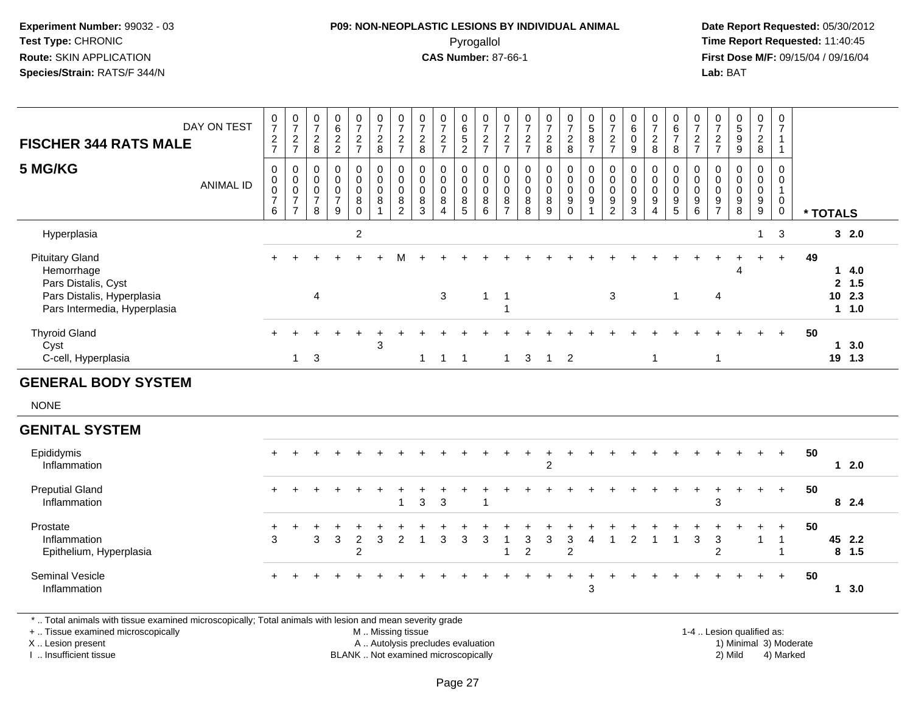#### **P09: NON-NEOPLASTIC LESIONS BY INDIVIDUAL ANIMAL**Pyrogallol **Time Report Requested:** 11:40:45

 **Date Report Requested:** 05/30/2012 **First Dose M/F:** 09/15/04 / 09/16/04 Lab: BAT **Lab:** BAT

| <b>FISCHER 344 RATS MALE</b><br>5 MG/KG                                                                                   | DAY ON TEST<br><b>ANIMAL ID</b> | $\frac{0}{7}$<br>$\frac{2}{7}$<br>0<br>$\pmb{0}$<br>$\boldsymbol{0}$<br>$\overline{7}$ | $\frac{0}{7}$<br>$\frac{2}{7}$<br>$\,0\,$<br>$\begin{matrix} 0 \\ 0 \\ 7 \end{matrix}$ | $\frac{0}{7}$<br>$\overline{c}$<br>8<br>$\mathbf 0$<br>$\mathbf 0$<br>$\mathbf 0$<br>$\overline{7}$ | $\begin{array}{c} 0 \\ 6 \end{array}$<br>$\frac{2}{2}$<br>$\pmb{0}$<br>$\pmb{0}$<br>$\mathsf 0$<br>$\overline{7}$ | $\frac{0}{7}$<br>$\frac{2}{7}$<br>$\pmb{0}$<br>$\pmb{0}$<br>$\ddot{\mathbf{0}}$ | $\begin{array}{c} 0 \\ 7 \end{array}$<br>$\boldsymbol{2}$<br>$\,8\,$<br>$_{\rm 0}^{\rm 0}$<br>$\pmb{0}$<br>$\,8\,$ | $\begin{array}{c} 0 \\ 7 \end{array}$<br>$\frac{2}{7}$<br>$\pmb{0}$<br>$\mathbf 0$<br>$\mathbf 0$ | $\frac{0}{7}$<br>$\overline{c}$<br>8<br>$\pmb{0}$<br>$\pmb{0}$<br>$\mathbf 0$<br>8 | $\frac{0}{7}$<br>$\sqrt{2}$<br>$\overline{7}$<br>$\pmb{0}$<br>$\mathbf 0$<br>$\mathbf 0$<br>8 | $\begin{array}{c} 0 \\ 6 \\ 5 \end{array}$<br>$\overline{2}$<br>$\boldsymbol{0}$<br>$\mathsf 0$<br>0 | $\begin{array}{c} 0 \\ 7 \end{array}$<br>$\boldsymbol{2}$<br>$\overline{7}$<br>$\pmb{0}$<br>$\mathbf 0$<br>$\pmb{0}$<br>8 | $\frac{0}{7}$<br>$\sqrt{2}$<br>$\overline{7}$<br>$\mathbf 0$<br>$\mathbf 0$<br>$\pmb{0}$<br>$\, 8$ | $\frac{0}{7}$<br>$\sqrt{2}$<br>$\overline{7}$<br>$\pmb{0}$<br>$\mathbf 0$<br>$\mathbf 0$ | $\frac{0}{7}$<br>$\sqrt{2}$<br>8<br>$\pmb{0}$<br>$\mathbf 0$<br>$\mathbf 0$<br>8 | $\begin{smallmatrix}0\\7\end{smallmatrix}$<br>$\frac{2}{8}$<br>$\pmb{0}$<br>$\mathsf{O}\xspace$<br>$\mathsf{O}\xspace$ | $\begin{smallmatrix}0\0\0\end{smallmatrix}$<br>$\overline{8}$<br>$\overline{7}$<br>$\pmb{0}$<br>$\pmb{0}$<br>$\mathsf{O}\xspace$<br>9 | $\frac{0}{7}$<br>$\frac{2}{7}$<br>$\pmb{0}$<br>$\pmb{0}$<br>$\mathsf{O}\xspace$<br>$\boldsymbol{9}$ | $\begin{array}{c} 0 \\ 6 \end{array}$<br>$\ddot{\mathbf{0}}$<br>9<br>$\pmb{0}$<br>$\pmb{0}$<br>0<br>9 | $\frac{0}{7}$<br>$\overline{c}$<br>8<br>$\pmb{0}$<br>$\pmb{0}$<br>$\pmb{0}$<br>$9\,$ | 0<br>$\frac{6}{7}$<br>8<br>0<br>$\mathbf 0$<br>$\mathbf 0$<br>$\boldsymbol{9}$ | $\begin{array}{c} 0 \\ 7 \end{array}$<br>$\frac{2}{7}$<br>$\pmb{0}$<br>$\mathsf{O}\xspace$<br>$\ddot{\mathbf{0}}$<br>$\overline{9}$ | $\frac{0}{7}$<br>$\overline{2}$<br>$\overline{7}$<br>0<br>$\mathbf 0$<br>$\mathbf 0$<br>9 | $\begin{array}{c} 0 \\ 5 \end{array}$<br>$\overline{9}$<br>9<br>$\pmb{0}$<br>$\mathsf{O}\xspace$<br>$\mathbf 0$ | $\frac{0}{7}$<br>$\overline{c}$<br>$\bf 8$<br>$\pmb{0}$<br>$\mathbf 0$<br>$\mathbf 0$ | 0<br>$\overline{7}$<br>$\mathbf{1}$<br>$\mathbf{1}$<br>$\boldsymbol{0}$<br>$\mathsf{O}\xspace$<br>$\mathbf{1}$ |    |             |                                    |  |
|---------------------------------------------------------------------------------------------------------------------------|---------------------------------|----------------------------------------------------------------------------------------|----------------------------------------------------------------------------------------|-----------------------------------------------------------------------------------------------------|-------------------------------------------------------------------------------------------------------------------|---------------------------------------------------------------------------------|--------------------------------------------------------------------------------------------------------------------|---------------------------------------------------------------------------------------------------|------------------------------------------------------------------------------------|-----------------------------------------------------------------------------------------------|------------------------------------------------------------------------------------------------------|---------------------------------------------------------------------------------------------------------------------------|----------------------------------------------------------------------------------------------------|------------------------------------------------------------------------------------------|----------------------------------------------------------------------------------|------------------------------------------------------------------------------------------------------------------------|---------------------------------------------------------------------------------------------------------------------------------------|-----------------------------------------------------------------------------------------------------|-------------------------------------------------------------------------------------------------------|--------------------------------------------------------------------------------------|--------------------------------------------------------------------------------|-------------------------------------------------------------------------------------------------------------------------------------|-------------------------------------------------------------------------------------------|-----------------------------------------------------------------------------------------------------------------|---------------------------------------------------------------------------------------|----------------------------------------------------------------------------------------------------------------|----|-------------|------------------------------------|--|
|                                                                                                                           |                                 | 6                                                                                      | $\overline{7}$                                                                         | 8                                                                                                   | 9                                                                                                                 | $\bf 8$<br>$\Omega$                                                             | $\overline{1}$                                                                                                     | 8<br>$\overline{2}$                                                                               | 3                                                                                  | $\overline{\mathbf{4}}$                                                                       | 8<br>5                                                                                               | 6                                                                                                                         | $\overline{7}$                                                                                     | 8<br>8                                                                                   | 9                                                                                | $\boldsymbol{9}$<br>$\mathbf 0$                                                                                        | 1                                                                                                                                     | $\overline{2}$                                                                                      | 3                                                                                                     | $\overline{A}$                                                                       | $\sqrt{5}$                                                                     | $\,6\,$                                                                                                                             | $\overline{7}$                                                                            | 9<br>8                                                                                                          | $\boldsymbol{9}$<br>9                                                                 | 0<br>$\mathbf 0$                                                                                               |    | * TOTALS    |                                    |  |
| Hyperplasia                                                                                                               |                                 |                                                                                        |                                                                                        |                                                                                                     |                                                                                                                   | $\overline{2}$                                                                  |                                                                                                                    |                                                                                                   |                                                                                    |                                                                                               |                                                                                                      |                                                                                                                           |                                                                                                    |                                                                                          |                                                                                  |                                                                                                                        |                                                                                                                                       |                                                                                                     |                                                                                                       |                                                                                      |                                                                                |                                                                                                                                     |                                                                                           |                                                                                                                 | $\mathbf{1}$                                                                          | 3                                                                                                              |    |             | 32.0                               |  |
| <b>Pituitary Gland</b><br>Hemorrhage<br>Pars Distalis, Cyst<br>Pars Distalis, Hyperplasia<br>Pars Intermedia, Hyperplasia |                                 |                                                                                        |                                                                                        | $\overline{4}$                                                                                      |                                                                                                                   |                                                                                 | $\ddot{}$                                                                                                          | м                                                                                                 |                                                                                    | 3                                                                                             |                                                                                                      | $\mathbf{1}$                                                                                                              | $\overline{1}$                                                                                     |                                                                                          |                                                                                  |                                                                                                                        |                                                                                                                                       | 3                                                                                                   |                                                                                                       |                                                                                      | $\mathbf 1$                                                                    |                                                                                                                                     | $\overline{4}$                                                                            | Δ                                                                                                               |                                                                                       | $+$                                                                                                            | 49 | $\mathbf 1$ | 4.0<br>2, 1.5<br>$10$ 2.3<br>1 1.0 |  |
| <b>Thyroid Gland</b><br>Cyst<br>C-cell, Hyperplasia                                                                       |                                 |                                                                                        | $\mathbf{1}$                                                                           | 3                                                                                                   |                                                                                                                   |                                                                                 | 3                                                                                                                  |                                                                                                   | $\mathbf{1}$                                                                       | $\overline{1}$                                                                                | $\overline{\phantom{1}}$                                                                             |                                                                                                                           | $\overline{1}$                                                                                     | 3                                                                                        | $\overline{1}$                                                                   | $\overline{2}$                                                                                                         |                                                                                                                                       |                                                                                                     |                                                                                                       | $\mathbf{1}$                                                                         |                                                                                |                                                                                                                                     | $\mathbf{1}$                                                                              |                                                                                                                 |                                                                                       |                                                                                                                | 50 |             | 13.0<br>19 1.3                     |  |
| <b>GENERAL BODY SYSTEM</b>                                                                                                |                                 |                                                                                        |                                                                                        |                                                                                                     |                                                                                                                   |                                                                                 |                                                                                                                    |                                                                                                   |                                                                                    |                                                                                               |                                                                                                      |                                                                                                                           |                                                                                                    |                                                                                          |                                                                                  |                                                                                                                        |                                                                                                                                       |                                                                                                     |                                                                                                       |                                                                                      |                                                                                |                                                                                                                                     |                                                                                           |                                                                                                                 |                                                                                       |                                                                                                                |    |             |                                    |  |
| <b>NONE</b>                                                                                                               |                                 |                                                                                        |                                                                                        |                                                                                                     |                                                                                                                   |                                                                                 |                                                                                                                    |                                                                                                   |                                                                                    |                                                                                               |                                                                                                      |                                                                                                                           |                                                                                                    |                                                                                          |                                                                                  |                                                                                                                        |                                                                                                                                       |                                                                                                     |                                                                                                       |                                                                                      |                                                                                |                                                                                                                                     |                                                                                           |                                                                                                                 |                                                                                       |                                                                                                                |    |             |                                    |  |
| <b>GENITAL SYSTEM</b>                                                                                                     |                                 |                                                                                        |                                                                                        |                                                                                                     |                                                                                                                   |                                                                                 |                                                                                                                    |                                                                                                   |                                                                                    |                                                                                               |                                                                                                      |                                                                                                                           |                                                                                                    |                                                                                          |                                                                                  |                                                                                                                        |                                                                                                                                       |                                                                                                     |                                                                                                       |                                                                                      |                                                                                |                                                                                                                                     |                                                                                           |                                                                                                                 |                                                                                       |                                                                                                                |    |             |                                    |  |
| Epididymis<br>Inflammation                                                                                                |                                 |                                                                                        |                                                                                        |                                                                                                     |                                                                                                                   |                                                                                 |                                                                                                                    |                                                                                                   |                                                                                    |                                                                                               |                                                                                                      |                                                                                                                           |                                                                                                    |                                                                                          | $\overline{2}$                                                                   |                                                                                                                        |                                                                                                                                       |                                                                                                     |                                                                                                       |                                                                                      |                                                                                |                                                                                                                                     |                                                                                           |                                                                                                                 |                                                                                       | $+$                                                                                                            | 50 |             | $12.0$                             |  |
| <b>Preputial Gland</b><br>Inflammation                                                                                    |                                 | $+$                                                                                    |                                                                                        |                                                                                                     |                                                                                                                   |                                                                                 |                                                                                                                    | $\overline{1}$                                                                                    | 3                                                                                  | 3                                                                                             |                                                                                                      |                                                                                                                           |                                                                                                    |                                                                                          |                                                                                  |                                                                                                                        |                                                                                                                                       |                                                                                                     |                                                                                                       |                                                                                      |                                                                                |                                                                                                                                     | 3                                                                                         |                                                                                                                 | $\div$                                                                                | $+$                                                                                                            | 50 |             | 8 2.4                              |  |
| Prostate<br>Inflammation<br>Epithelium, Hyperplasia                                                                       |                                 | ÷<br>3                                                                                 |                                                                                        | 3                                                                                                   | 3                                                                                                                 | $\overline{2}$<br>$\overline{2}$                                                | 3                                                                                                                  | 2                                                                                                 | $\overline{1}$                                                                     | 3                                                                                             | 3                                                                                                    | 3                                                                                                                         |                                                                                                    | 3<br>$\overline{2}$                                                                      | 3                                                                                | $\mathbf{3}$<br>$\overline{c}$                                                                                         | 4                                                                                                                                     | $\overline{1}$                                                                                      | 2                                                                                                     | $\overline{\mathbf{1}}$                                                              | $\overline{1}$                                                                 | $\mathbf{3}$                                                                                                                        | 3<br>$\overline{2}$                                                                       |                                                                                                                 | $\mathbf{1}$                                                                          | $\ddot{}$<br>$\overline{1}$                                                                                    | 50 |             | 45 2.2<br>$8$ 1.5                  |  |
| Seminal Vesicle<br>Inflammation                                                                                           |                                 |                                                                                        |                                                                                        |                                                                                                     |                                                                                                                   |                                                                                 |                                                                                                                    |                                                                                                   |                                                                                    |                                                                                               |                                                                                                      |                                                                                                                           |                                                                                                    |                                                                                          |                                                                                  |                                                                                                                        | $\mathbf{3}$                                                                                                                          |                                                                                                     |                                                                                                       |                                                                                      |                                                                                |                                                                                                                                     |                                                                                           |                                                                                                                 |                                                                                       | $+$                                                                                                            | 50 |             | 13.0                               |  |

\* .. Total animals with tissue examined microscopically; Total animals with lesion and mean severity grade

+ .. Tissue examined microscopically

X .. Lesion present

I .. Insufficient tissue

 M .. Missing tissueA .. Autolysis precludes evaluation

1-4 .. Lesion qualified as:<br>1) Minimal 3) Moderate BLANK .. Not examined microscopically 2) Mild 4) Marked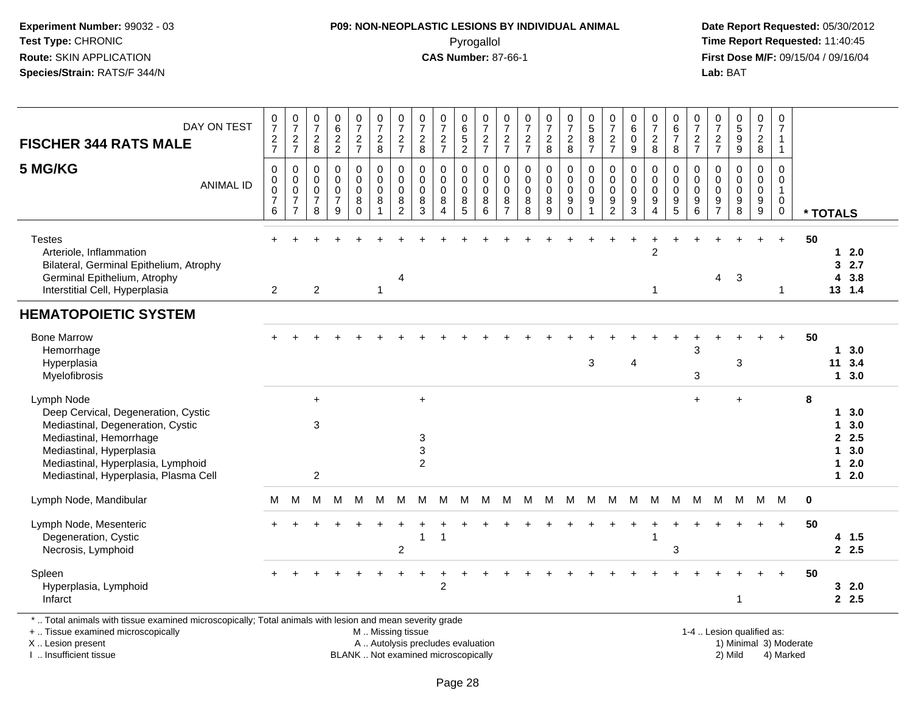#### **P09: NON-NEOPLASTIC LESIONS BY INDIVIDUAL ANIMAL**Pyrogallol **Time Report Requested:** 11:40:45

 **Date Report Requested:** 05/30/2012 **First Dose M/F:** 09/15/04 / 09/16/04<br>**Lab:** BAT **Lab:** BAT

| DAY ON TEST<br><b>FISCHER 344 RATS MALE</b>                                                                                                                                                                                  | $\frac{0}{7}$<br>$\frac{2}{7}$                                   | $\frac{0}{7}$<br>$\frac{2}{7}$                                            | $\frac{0}{7}$<br>$_{\rm 8}^2$                | $\begin{array}{c} 0 \\ 6 \end{array}$<br>$\frac{2}{2}$           | $\frac{0}{7}$<br>$\frac{2}{7}$                 | $\frac{0}{7}$<br>$\frac{2}{8}$ | $\begin{array}{c} 0 \\ 7 \end{array}$<br>$\frac{2}{7}$                                       | $\frac{0}{7}$<br>$_{\rm 8}^2$                              | $\frac{0}{7}$<br>$\frac{2}{7}$                                   | $\begin{matrix} 0 \\ 6 \\ 5 \end{matrix}$<br>$\overline{2}$ | 0<br>$\overline{7}$<br>$\frac{2}{7}$ | $\frac{0}{7}$<br>$\frac{2}{7}$                         | $\frac{0}{7}$<br>$\frac{2}{7}$            | $\frac{0}{7}$<br>$\frac{2}{8}$                               | $\frac{0}{7}$<br>$\frac{2}{8}$     | $\begin{array}{c} 0 \\ 5 \end{array}$<br>8<br>$\overline{7}$   | $\frac{0}{7}$<br>$\overline{c}$<br>$\overline{7}$      | 0<br>$\,6\,$<br>$\mathbf 0$<br>$\boldsymbol{9}$  | $\frac{0}{7}$<br>$^2_8$                                          | $\begin{array}{c} 0 \\ 6 \end{array}$<br>$\overline{7}$<br>8 | $\frac{0}{7}$<br>$\frac{2}{7}$                                   | $\frac{0}{7}$<br>$\overline{c}$<br>$\overline{7}$          | 0<br>9<br>9                                                    | $\frac{0}{7}$<br>$\frac{2}{8}$                    | 0<br>$\overline{7}$<br>$\mathbf{1}$<br>$\mathbf{1}$                    |             |                                           |                                            |
|------------------------------------------------------------------------------------------------------------------------------------------------------------------------------------------------------------------------------|------------------------------------------------------------------|---------------------------------------------------------------------------|----------------------------------------------|------------------------------------------------------------------|------------------------------------------------|--------------------------------|----------------------------------------------------------------------------------------------|------------------------------------------------------------|------------------------------------------------------------------|-------------------------------------------------------------|--------------------------------------|--------------------------------------------------------|-------------------------------------------|--------------------------------------------------------------|------------------------------------|----------------------------------------------------------------|--------------------------------------------------------|--------------------------------------------------|------------------------------------------------------------------|--------------------------------------------------------------|------------------------------------------------------------------|------------------------------------------------------------|----------------------------------------------------------------|---------------------------------------------------|------------------------------------------------------------------------|-------------|-------------------------------------------|--------------------------------------------|
| 5 MG/KG<br><b>ANIMAL ID</b>                                                                                                                                                                                                  | $\pmb{0}$<br>$\pmb{0}$<br>$\mathbf 0$<br>$\overline{7}$<br>$\,6$ | $\pmb{0}$<br>$\pmb{0}$<br>$\mathsf 0$<br>$\overline{7}$<br>$\overline{7}$ | 0<br>0<br>$\mathbf 0$<br>$\overline{7}$<br>8 | $\mathbf 0$<br>$\mathbf 0$<br>$\mathbf 0$<br>$\overline{7}$<br>9 | 0<br>$\pmb{0}$<br>$\mathbf 0$<br>8<br>$\Omega$ | 0<br>0<br>0<br>8               | $\boldsymbol{0}$<br>$\pmb{0}$<br>$\pmb{0}$<br>$\begin{smallmatrix} 8 \\ 2 \end{smallmatrix}$ | $\mathbf 0$<br>$\pmb{0}$<br>$\mathbf 0$<br>8<br>$\sqrt{3}$ | $\mathbf 0$<br>$\mathbf 0$<br>$\mathbf 0$<br>8<br>$\overline{4}$ | 0<br>$\pmb{0}$<br>$\pmb{0}$<br>8<br>$\overline{5}$          | 0<br>0<br>$\mathbf 0$<br>8<br>6      | $\mathbf 0$<br>$\mathbf 0$<br>0<br>8<br>$\overline{7}$ | $\mathbf 0$<br>$\pmb{0}$<br>0<br>$_{8}^8$ | $\mathbf 0$<br>$\pmb{0}$<br>$\pmb{0}$<br>8<br>$\overline{9}$ | 0<br>0<br>0<br>9<br>$\overline{0}$ | $\mathbf 0$<br>$\pmb{0}$<br>$\mathbf 0$<br>9<br>$\overline{1}$ | 0<br>$\mathbf 0$<br>$\mathbf 0$<br>9<br>$\overline{c}$ | $\Omega$<br>$\mathbf 0$<br>$\mathbf 0$<br>9<br>3 | $\mathbf 0$<br>$\mathbf 0$<br>$\mathbf 0$<br>9<br>$\overline{4}$ | 0<br>$\mathbf 0$<br>$\mathbf 0$<br>9<br>$\overline{5}$       | $\mathbf 0$<br>$\mathbf 0$<br>$\mathbf 0$<br>9<br>$\overline{6}$ | $\mathbf 0$<br>$\mathbf 0$<br>$\mathbf 0$<br>$\frac{9}{7}$ | $\mathbf 0$<br>$\pmb{0}$<br>$\mathbf 0$<br>9<br>$\overline{8}$ | $\mathbf 0$<br>$\pmb{0}$<br>$\mathsf 0$<br>$^9_9$ | $\mathbf 0$<br>$\mathbf 0$<br>$\mathbf{1}$<br>$\mathbf 0$<br>$\pmb{0}$ |             | * TOTALS                                  |                                            |
| <b>Testes</b><br>Arteriole, Inflammation<br>Bilateral, Germinal Epithelium, Atrophy<br>Germinal Epithelium, Atrophy<br>Interstitial Cell, Hyperplasia                                                                        | $\mathbf{2}$                                                     |                                                                           | $\boldsymbol{2}$                             |                                                                  |                                                | 1                              | $\overline{4}$                                                                               |                                                            |                                                                  |                                                             |                                      |                                                        |                                           |                                                              |                                    |                                                                |                                                        |                                                  | $\overline{2}$<br>$\mathbf{1}$                                   |                                                              |                                                                  | 4                                                          | 3                                                              |                                                   | $\ddot{}$                                                              | 50          | $\mathbf 1$<br>3<br>4                     | 2.0<br>2.7<br>3.8<br>13 1.4                |
| <b>HEMATOPOIETIC SYSTEM</b>                                                                                                                                                                                                  |                                                                  |                                                                           |                                              |                                                                  |                                                |                                |                                                                                              |                                                            |                                                                  |                                                             |                                      |                                                        |                                           |                                                              |                                    |                                                                |                                                        |                                                  |                                                                  |                                                              |                                                                  |                                                            |                                                                |                                                   |                                                                        |             |                                           |                                            |
| <b>Bone Marrow</b><br>Hemorrhage<br>Hyperplasia<br>Myelofibrosis                                                                                                                                                             |                                                                  |                                                                           |                                              |                                                                  |                                                |                                |                                                                                              |                                                            |                                                                  |                                                             |                                      |                                                        |                                           |                                                              |                                    | 3                                                              |                                                        | 4                                                |                                                                  |                                                              | $\mathbf{3}$<br>3                                                |                                                            | 3                                                              |                                                   |                                                                        | 50          | 11                                        | $1 \quad 3.0$<br>3.4<br>$1 \quad 3.0$      |
| Lymph Node<br>Deep Cervical, Degeneration, Cystic<br>Mediastinal, Degeneration, Cystic<br>Mediastinal, Hemorrhage<br>Mediastinal, Hyperplasia<br>Mediastinal, Hyperplasia, Lymphoid<br>Mediastinal, Hyperplasia, Plasma Cell |                                                                  |                                                                           | $\ddot{}$<br>3<br>2                          |                                                                  |                                                |                                |                                                                                              | $\ddot{}$<br>$\sqrt{3}$<br>3<br>$\overline{2}$             |                                                                  |                                                             |                                      |                                                        |                                           |                                                              |                                    |                                                                |                                                        |                                                  |                                                                  |                                                              | $\ddot{}$                                                        |                                                            | ÷.                                                             |                                                   |                                                                        | 8           | $\mathbf 1$<br>$\blacktriangleleft$<br>1. | 13.0<br>3.0<br>2.5<br>3.0<br>2.0<br>$12.0$ |
| Lymph Node, Mandibular                                                                                                                                                                                                       | M                                                                | M                                                                         | M                                            | М                                                                | М                                              | м                              | М                                                                                            | м                                                          | M                                                                | M                                                           | M                                    | M                                                      | M                                         | М                                                            | M                                  | M                                                              | M                                                      | M                                                | M                                                                | M                                                            | М                                                                | M                                                          | М                                                              | M                                                 | M                                                                      | $\mathbf 0$ |                                           |                                            |
| Lymph Node, Mesenteric<br>Degeneration, Cystic<br>Necrosis, Lymphoid                                                                                                                                                         |                                                                  |                                                                           |                                              |                                                                  |                                                |                                | $\overline{c}$                                                                               |                                                            | -1                                                               |                                                             |                                      |                                                        |                                           |                                                              |                                    |                                                                |                                                        |                                                  | 1                                                                | 3                                                            |                                                                  |                                                            |                                                                |                                                   | $\ddot{}$                                                              | 50          |                                           | $4$ 1.5<br>2.5                             |
| Spleen<br>Hyperplasia, Lymphoid<br>Infarct                                                                                                                                                                                   |                                                                  |                                                                           |                                              |                                                                  |                                                |                                |                                                                                              |                                                            | 2                                                                |                                                             |                                      |                                                        |                                           |                                                              |                                    |                                                                |                                                        |                                                  |                                                                  |                                                              |                                                                  |                                                            | 1                                                              |                                                   |                                                                        | 50          |                                           | 32.0<br>2.5                                |
| *  Total animals with tissue examined microscopically; Total animals with lesion and mean severity grade<br>+  Tissue examined microscopically                                                                               |                                                                  |                                                                           |                                              |                                                                  |                                                | M  Missing tissue              |                                                                                              |                                                            |                                                                  |                                                             |                                      |                                                        |                                           |                                                              |                                    |                                                                |                                                        |                                                  |                                                                  |                                                              |                                                                  |                                                            |                                                                | 1-4  Lesion qualified as:                         |                                                                        |             |                                           |                                            |

X .. Lesion present

I .. Insufficient tissue

A .. Autolysis precludes evaluation

BLANK .. Not examined microscopically 2) Mild 4) Marked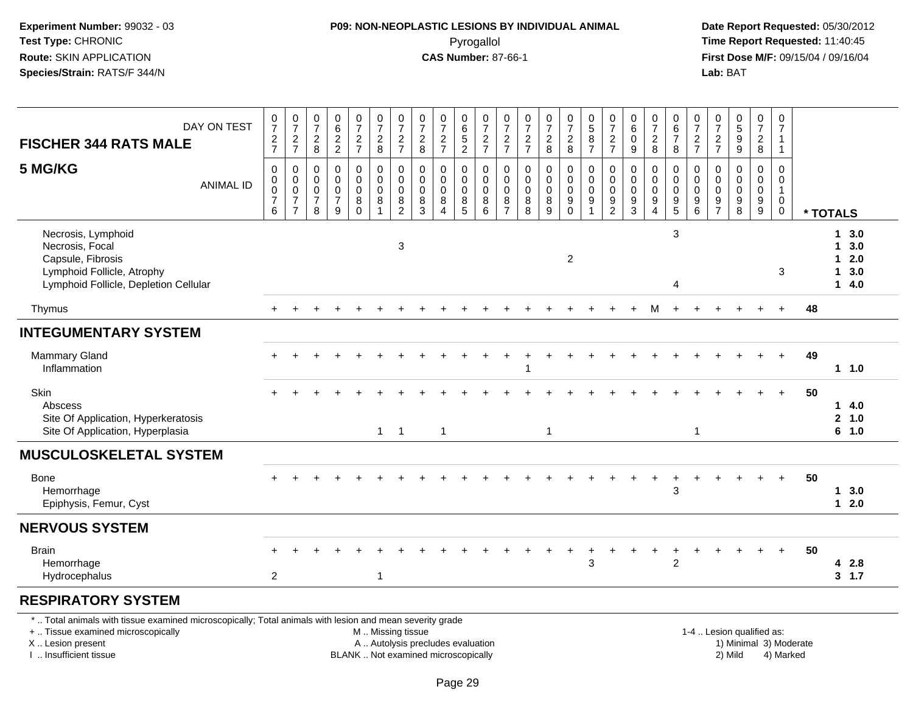#### **P09: NON-NEOPLASTIC LESIONS BY INDIVIDUAL ANIMAL**Pyrogallol **Time Report Requested:** 11:40:45

 **Date Report Requested:** 05/30/2012 **First Dose M/F:** 09/15/04 / 09/16/04<br>Lab: BAT **Lab:** BAT

| DAY ON TEST<br><b>FISCHER 344 RATS MALE</b>                                                                                                                                                   | $\pmb{0}$<br>$\overline{7}$<br>$\frac{2}{7}$ | $\frac{0}{7}$<br>$\frac{2}{7}$                                              | 0<br>$\overline{7}$<br>$^2_{\bf 8}$                                      | 0<br>$\,6\,$<br>$\frac{2}{2}$                                  | $\begin{array}{c} 0 \\ 7 \end{array}$<br>$\frac{2}{7}$          | $\begin{smallmatrix}0\\7\end{smallmatrix}$<br>$\frac{2}{8}$              | $\frac{0}{7}$<br>$\frac{2}{7}$                                      | $\pmb{0}$<br>$\overline{7}$<br>$\frac{2}{8}$                             | $\frac{0}{7}$<br>$\frac{2}{7}$                         | $_{6}^{\rm 0}$<br>$\frac{5}{2}$                                        | $\frac{0}{7}$<br>$\frac{2}{7}$                                  | $\frac{0}{7}$<br>$\frac{2}{7}$                 | $\frac{0}{7}$<br>$\frac{2}{7}$                      | $\frac{0}{7}$<br>$\frac{2}{8}$                         | $\frac{0}{7}$<br>$_{8}^{\rm 2}$                                  | $\begin{array}{c} 0 \\ 5 \end{array}$<br>$\begin{array}{c} 8 \\ 7 \end{array}$ | $\frac{0}{7}$<br>$\overline{c}$<br>$\overline{7}$                          | $\pmb{0}$<br>$\,6\,$<br>$\pmb{0}$<br>9         | $\frac{0}{7}$<br>$\sqrt{2}$<br>8                         | $_{6}^{\rm 0}$<br>$\boldsymbol{7}$<br>$\bf8$                             | $\frac{0}{7}$<br>$\frac{2}{7}$                         | $\begin{array}{c} 0 \\ 7 \end{array}$<br>$\frac{2}{7}$ | 0<br>9<br>9                                                | $\frac{0}{7}$<br>$_{\rm 8}^2$                               | $\pmb{0}$<br>$\overline{7}$<br>$\mathbf{1}$<br>$\mathbf{1}$     |                        |                |                                        |
|-----------------------------------------------------------------------------------------------------------------------------------------------------------------------------------------------|----------------------------------------------|-----------------------------------------------------------------------------|--------------------------------------------------------------------------|----------------------------------------------------------------|-----------------------------------------------------------------|--------------------------------------------------------------------------|---------------------------------------------------------------------|--------------------------------------------------------------------------|--------------------------------------------------------|------------------------------------------------------------------------|-----------------------------------------------------------------|------------------------------------------------|-----------------------------------------------------|--------------------------------------------------------|------------------------------------------------------------------|--------------------------------------------------------------------------------|----------------------------------------------------------------------------|------------------------------------------------|----------------------------------------------------------|--------------------------------------------------------------------------|--------------------------------------------------------|--------------------------------------------------------|------------------------------------------------------------|-------------------------------------------------------------|-----------------------------------------------------------------|------------------------|----------------|----------------------------------------|
| 5 MG/KG<br><b>ANIMAL ID</b>                                                                                                                                                                   | 0<br>0<br>$\pmb{0}$<br>$\boldsymbol{7}$<br>6 | $\mathbf 0$<br>$\mathbf 0$<br>$\pmb{0}$<br>$\overline{7}$<br>$\overline{7}$ | $\mathbf 0$<br>$\mathbf 0$<br>$\mathsf{O}\xspace$<br>$\overline{7}$<br>8 | $\pmb{0}$<br>$\mathbf 0$<br>$\pmb{0}$<br>$\boldsymbol{7}$<br>9 | $\pmb{0}$<br>$\mathbf 0$<br>$\pmb{0}$<br>$\bf 8$<br>$\mathbf 0$ | $\mathbf 0$<br>$\mathbf 0$<br>$\mathsf{O}\xspace$<br>8<br>$\overline{1}$ | $\pmb{0}$<br>$\mathbf 0$<br>$\boldsymbol{0}$<br>8<br>$\overline{c}$ | $\mathbf 0$<br>$\mathbf 0$<br>$\mathbf 0$<br>8<br>$\mathbf{3}$           | 0<br>$\mathbf 0$<br>$\mathbf 0$<br>8<br>$\overline{4}$ | 0<br>$\mathbf 0$<br>$\pmb{0}$<br>$\begin{array}{c} 8 \\ 5 \end{array}$ | $\pmb{0}$<br>$\mathbf 0$<br>$\mathsf{O}\xspace$<br>$\bf 8$<br>6 | 0<br>$\mathbf 0$<br>$\pmb{0}$<br>$\frac{8}{7}$ | $\mathbf 0$<br>$\mathbf 0$<br>$\pmb{0}$<br>$_{8}^8$ | $\pmb{0}$<br>$\mathbf{0}$<br>$\pmb{0}$<br>$\bf 8$<br>9 | 0<br>$\mathbf 0$<br>$\pmb{0}$<br>$\boldsymbol{9}$<br>$\mathsf 0$ | $\pmb{0}$<br>$\ddot{\mathbf{0}}$<br>$\pmb{0}$<br>$\frac{9}{1}$                 | 0<br>$\Omega$<br>$\mathsf{O}\xspace$<br>$\boldsymbol{9}$<br>$\overline{2}$ | 0<br>$\mathbf 0$<br>$\pmb{0}$<br>$\frac{9}{3}$ | $\mathbf 0$<br>$\mathbf 0$<br>$\pmb{0}$<br>$\frac{9}{4}$ | 0<br>$\mathbf 0$<br>$\mathbf 0$<br>$\begin{array}{c} 9 \\ 5 \end{array}$ | 0<br>$\mathbf 0$<br>$\mathbf 0$<br>9<br>$6\phantom{1}$ | 0<br>$\Omega$<br>$\mathbf 0$<br>9<br>$\overline{7}$    | $\mathbf 0$<br>$\mathbf 0$<br>$\mathsf 0$<br>$\frac{9}{8}$ | $\mathsf 0$<br>$\overline{0}$<br>$\pmb{0}$<br>$\frac{9}{9}$ | $\mathsf{O}$<br>$\mathbf 0$<br>$\mathbf{1}$<br>$\mathbf 0$<br>0 |                        | * TOTALS       |                                        |
| Necrosis, Lymphoid<br>Necrosis, Focal<br>Capsule, Fibrosis<br>Lymphoid Follicle, Atrophy<br>Lymphoid Follicle, Depletion Cellular                                                             |                                              |                                                                             |                                                                          |                                                                |                                                                 |                                                                          | 3                                                                   |                                                                          |                                                        |                                                                        |                                                                 |                                                |                                                     |                                                        | $\overline{c}$                                                   |                                                                                |                                                                            |                                                |                                                          | 3<br>4                                                                   |                                                        |                                                        |                                                            |                                                             | 3                                                               |                        | 1.<br>1        | 1, 3.0<br>3.0<br>$12.0$<br>3.0<br>14.0 |
| Thymus                                                                                                                                                                                        |                                              |                                                                             |                                                                          |                                                                |                                                                 |                                                                          |                                                                     |                                                                          |                                                        |                                                                        |                                                                 |                                                |                                                     |                                                        |                                                                  |                                                                                |                                                                            |                                                | м                                                        |                                                                          |                                                        |                                                        |                                                            |                                                             | $+$                                                             | 48                     |                |                                        |
| <b>INTEGUMENTARY SYSTEM</b>                                                                                                                                                                   |                                              |                                                                             |                                                                          |                                                                |                                                                 |                                                                          |                                                                     |                                                                          |                                                        |                                                                        |                                                                 |                                                |                                                     |                                                        |                                                                  |                                                                                |                                                                            |                                                |                                                          |                                                                          |                                                        |                                                        |                                                            |                                                             |                                                                 |                        |                |                                        |
| <b>Mammary Gland</b><br>Inflammation                                                                                                                                                          |                                              |                                                                             |                                                                          |                                                                |                                                                 |                                                                          |                                                                     |                                                                          |                                                        |                                                                        |                                                                 |                                                |                                                     |                                                        |                                                                  |                                                                                |                                                                            |                                                |                                                          |                                                                          |                                                        |                                                        |                                                            |                                                             | $\ddot{}$                                                       | 49                     |                | $1 1.0$                                |
| Skin<br>Abscess<br>Site Of Application, Hyperkeratosis<br>Site Of Application, Hyperplasia                                                                                                    |                                              |                                                                             |                                                                          |                                                                |                                                                 |                                                                          | $1 \quad 1$                                                         |                                                                          | $\mathbf{1}$                                           |                                                                        |                                                                 |                                                |                                                     | $\mathbf{1}$                                           |                                                                  |                                                                                |                                                                            |                                                |                                                          |                                                                          | $\mathbf{1}$                                           |                                                        |                                                            |                                                             |                                                                 | 50                     | $\overline{2}$ | 14.0<br>1.0<br>6 1.0                   |
| <b>MUSCULOSKELETAL SYSTEM</b>                                                                                                                                                                 |                                              |                                                                             |                                                                          |                                                                |                                                                 |                                                                          |                                                                     |                                                                          |                                                        |                                                                        |                                                                 |                                                |                                                     |                                                        |                                                                  |                                                                                |                                                                            |                                                |                                                          |                                                                          |                                                        |                                                        |                                                            |                                                             |                                                                 |                        |                |                                        |
| <b>Bone</b><br>Hemorrhage<br>Epiphysis, Femur, Cyst                                                                                                                                           |                                              |                                                                             |                                                                          |                                                                |                                                                 |                                                                          |                                                                     |                                                                          |                                                        |                                                                        |                                                                 |                                                |                                                     |                                                        |                                                                  |                                                                                |                                                                            |                                                |                                                          | 3                                                                        |                                                        |                                                        |                                                            |                                                             |                                                                 | 50                     |                | 13.0<br>$12.0$                         |
| <b>NERVOUS SYSTEM</b>                                                                                                                                                                         |                                              |                                                                             |                                                                          |                                                                |                                                                 |                                                                          |                                                                     |                                                                          |                                                        |                                                                        |                                                                 |                                                |                                                     |                                                        |                                                                  |                                                                                |                                                                            |                                                |                                                          |                                                                          |                                                        |                                                        |                                                            |                                                             |                                                                 |                        |                |                                        |
| <b>Brain</b><br>Hemorrhage<br>Hydrocephalus                                                                                                                                                   | $\overline{2}$                               |                                                                             |                                                                          |                                                                |                                                                 | 1                                                                        |                                                                     |                                                                          |                                                        |                                                                        |                                                                 |                                                |                                                     |                                                        |                                                                  | 3                                                                              |                                                                            |                                                |                                                          | $\overline{c}$                                                           |                                                        |                                                        |                                                            |                                                             | $+$                                                             | 50                     |                | 4 2.8<br>3, 1.7                        |
| <b>RESPIRATORY SYSTEM</b>                                                                                                                                                                     |                                              |                                                                             |                                                                          |                                                                |                                                                 |                                                                          |                                                                     |                                                                          |                                                        |                                                                        |                                                                 |                                                |                                                     |                                                        |                                                                  |                                                                                |                                                                            |                                                |                                                          |                                                                          |                                                        |                                                        |                                                            |                                                             |                                                                 |                        |                |                                        |
| *  Total animals with tissue examined microscopically; Total animals with lesion and mean severity grade<br>+  Tissue examined microscopically<br>X  Lesion present<br>I. Insufficient tissue |                                              |                                                                             |                                                                          |                                                                |                                                                 | M  Missing tissue                                                        |                                                                     | A  Autolysis precludes evaluation<br>BLANK  Not examined microscopically |                                                        |                                                                        |                                                                 |                                                |                                                     |                                                        |                                                                  |                                                                                |                                                                            |                                                |                                                          |                                                                          |                                                        |                                                        | 1-4  Lesion qualified as:<br>2) Mild                       |                                                             | 4) Marked                                                       | 1) Minimal 3) Moderate |                |                                        |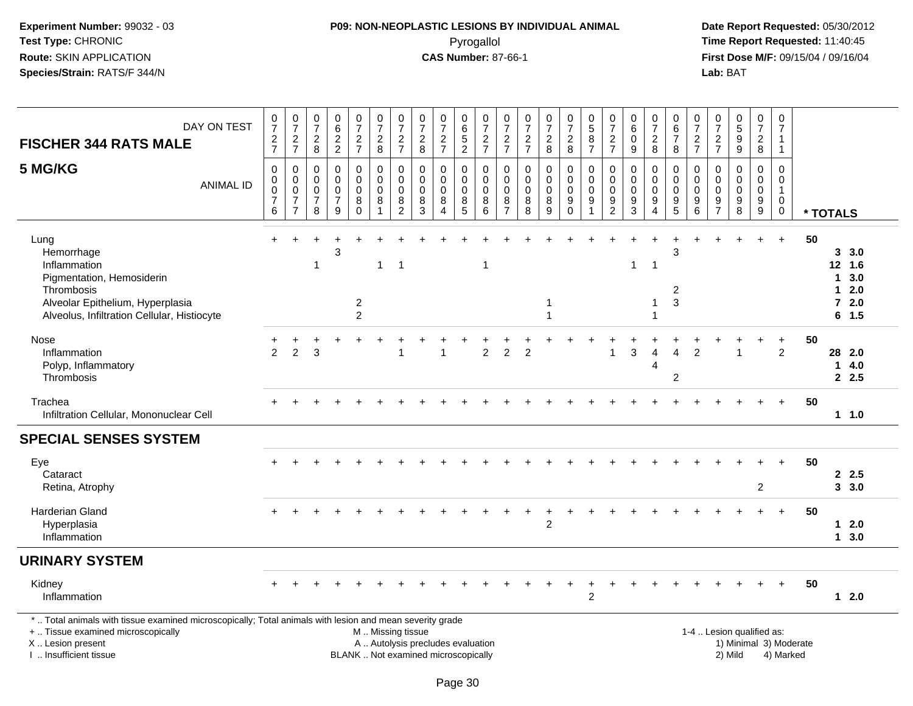#### **P09: NON-NEOPLASTIC LESIONS BY INDIVIDUAL ANIMAL**Pyrogallol **Time Report Requested:** 11:40:45

 **Date Report Requested:** 05/30/2012 **First Dose M/F:** 09/15/04 / 09/16/04<br>Lab: BAT **Lab:** BAT

| DAY ON TEST<br><b>FISCHER 344 RATS MALE</b>                                                                                                                                                   | $\frac{0}{7}$<br>$\frac{2}{7}$                             | $\frac{0}{7}$<br>$\frac{2}{7}$                                              | $\begin{array}{c} 0 \\ 7 \end{array}$<br>$\overline{c}$<br>$\bf 8$ | 0<br>$\,6\,$<br>$\frac{2}{2}$                                              | $\frac{0}{7}$<br>$\frac{2}{7}$                                | $\begin{array}{c} 0 \\ 7 \end{array}$<br>$\overline{c}$<br>$\bf 8$ | $\begin{array}{c} 0 \\ 7 \end{array}$<br>$\frac{2}{7}$     | $\frac{0}{7}$<br>$_{\rm 8}^2$                                            | $\frac{0}{7}$<br>$\frac{2}{7}$                              | 0<br>$\,6$<br>$\sqrt{5}$<br>$\overline{2}$ | 0<br>$\overline{7}$<br>$\frac{2}{7}$            | $\frac{0}{7}$<br>$\frac{2}{7}$                                       | 0<br>$\overline{7}$<br>$\frac{2}{7}$    | $\frac{0}{7}$<br>$\frac{2}{8}$                      | $\frac{0}{7}$<br>$\frac{2}{8}$                   | $\pmb{0}$<br>5<br>$\bf 8$<br>$\overline{7}$                    | $\frac{0}{7}$<br>$\frac{2}{7}$                                                | $\pmb{0}$<br>$\,6\,$<br>$\pmb{0}$<br>9                 | $\frac{0}{7}$<br>$\boldsymbol{2}$<br>8                                      | $_{6}^{\rm 0}$<br>$\overline{\mathcal{I}}$<br>$\,8\,$                       | $\frac{0}{7}$<br>$\frac{2}{7}$                          | $\begin{array}{c} 0 \\ 7 \end{array}$<br>$\frac{2}{7}$ | $\begin{array}{c} 0 \\ 5 \end{array}$<br>$\boldsymbol{9}$<br>$\overline{9}$ | $\frac{0}{7}$<br>$\overline{c}$<br>8          | $\pmb{0}$<br>$\overline{7}$<br>$\mathbf{1}$<br>$\overline{1}$              |                        |                            |                                                     |
|-----------------------------------------------------------------------------------------------------------------------------------------------------------------------------------------------|------------------------------------------------------------|-----------------------------------------------------------------------------|--------------------------------------------------------------------|----------------------------------------------------------------------------|---------------------------------------------------------------|--------------------------------------------------------------------|------------------------------------------------------------|--------------------------------------------------------------------------|-------------------------------------------------------------|--------------------------------------------|-------------------------------------------------|----------------------------------------------------------------------|-----------------------------------------|-----------------------------------------------------|--------------------------------------------------|----------------------------------------------------------------|-------------------------------------------------------------------------------|--------------------------------------------------------|-----------------------------------------------------------------------------|-----------------------------------------------------------------------------|---------------------------------------------------------|--------------------------------------------------------|-----------------------------------------------------------------------------|-----------------------------------------------|----------------------------------------------------------------------------|------------------------|----------------------------|-----------------------------------------------------|
| 5 MG/KG<br><b>ANIMAL ID</b>                                                                                                                                                                   | $\,0\,$<br>$\pmb{0}$<br>$\mathbf 0$<br>$\overline{7}$<br>6 | $\pmb{0}$<br>$\mathbf 0$<br>$\mathbf 0$<br>$\overline{7}$<br>$\overline{7}$ | 0<br>$\mathbf 0$<br>$\mathsf 0$<br>$\overline{7}$<br>8             | $\pmb{0}$<br>$\Omega$<br>$\mathbf 0$<br>$\boldsymbol{7}$<br>$\overline{9}$ | $\boldsymbol{0}$<br>$\mathbf 0$<br>$\pmb{0}$<br>8<br>$\Omega$ | $\pmb{0}$<br>$\mathsf{O}$<br>$\mathsf{O}\xspace$<br>8<br>-1        | $\pmb{0}$<br>$\pmb{0}$<br>$\pmb{0}$<br>8<br>$\overline{2}$ | $\pmb{0}$<br>$\mathbf 0$<br>$\pmb{0}$<br>8<br>3                          | $\pmb{0}$<br>$\Omega$<br>$\mathbf 0$<br>8<br>$\overline{4}$ | 0<br>$\mathbf 0$<br>$\pmb{0}$<br>8<br>5    | $\,0\,$<br>$\mathbf 0$<br>$\mathbf 0$<br>8<br>6 | $\pmb{0}$<br>$\mathbf 0$<br>$\mathsf 0$<br>$\bf 8$<br>$\overline{7}$ | 0<br>$\mathbf 0$<br>$\pmb{0}$<br>8<br>8 | $\pmb{0}$<br>$\pmb{0}$<br>$\pmb{0}$<br>$\,8\,$<br>9 | 0<br>$\mathbf 0$<br>$\mathbf 0$<br>9<br>$\Omega$ | $\mathbf 0$<br>$\mathbf 0$<br>$\mathbf 0$<br>9<br>$\mathbf{1}$ | 0<br>$\mathbf 0$<br>$\mathsf{O}\xspace$<br>$\boldsymbol{9}$<br>$\overline{2}$ | $\pmb{0}$<br>$\mathbf 0$<br>$\pmb{0}$<br>$\frac{9}{3}$ | $\pmb{0}$<br>$\mathbf 0$<br>$\pmb{0}$<br>$\boldsymbol{9}$<br>$\overline{4}$ | $\pmb{0}$<br>$\mathbf 0$<br>$\pmb{0}$<br>$\boldsymbol{9}$<br>$\overline{5}$ | $\mathbf 0$<br>$\mathbf 0$<br>$\mathbf 0$<br>$9\,$<br>6 | 0<br>$\Omega$<br>0<br>9<br>$\overline{7}$              | $\mathbf 0$<br>$\Omega$<br>$\mathbf 0$<br>$\boldsymbol{9}$<br>8             | $\pmb{0}$<br>$\pmb{0}$<br>$\pmb{0}$<br>$^9_9$ | $\mathbf 0$<br>$\mathbf 0$<br>$\overline{1}$<br>$\mathbf 0$<br>$\mathbf 0$ |                        | * TOTALS                   |                                                     |
| Lung<br>Hemorrhage<br>Inflammation<br>Pigmentation, Hemosiderin<br>Thrombosis<br>Alveolar Epithelium, Hyperplasia<br>Alveolus, Infiltration Cellular, Histiocyte                              |                                                            |                                                                             | 1                                                                  | 3                                                                          | $\overline{c}$<br>$\overline{2}$                              | $\mathbf{1}$                                                       | -1                                                         |                                                                          |                                                             |                                            | 1                                               |                                                                      |                                         | -1<br>$\overline{\phantom{a}}$                      |                                                  |                                                                |                                                                               | $\mathbf{1}$                                           | -1                                                                          | 3<br>$\overline{\mathbf{c}}$<br>3                                           |                                                         |                                                        |                                                                             |                                               | $\ddot{}$                                                                  | 50                     | $\mathbf 1$<br>$\mathbf 1$ | 3, 3.0<br>12 1.6<br>3.0<br>2.0<br>$72.0$<br>$6$ 1.5 |
| Nose<br>Inflammation<br>Polyp, Inflammatory<br>Thrombosis                                                                                                                                     | $\overline{2}$                                             | $\overline{2}$                                                              | 3                                                                  |                                                                            |                                                               |                                                                    | -1                                                         |                                                                          |                                                             |                                            | $\overline{2}$                                  | 2                                                                    | 2                                       |                                                     |                                                  |                                                                | -1                                                                            | 3                                                      | $\Lambda$<br>4                                                              | Δ<br>$\overline{c}$                                                         | 2                                                       |                                                        |                                                                             |                                               | $\ddot{}$<br>$\overline{2}$                                                | 50                     |                            | 28 2.0<br>14.0<br>2.5                               |
| Trachea<br>Infiltration Cellular, Mononuclear Cell                                                                                                                                            |                                                            |                                                                             |                                                                    |                                                                            |                                                               |                                                                    |                                                            |                                                                          |                                                             |                                            |                                                 |                                                                      |                                         |                                                     |                                                  |                                                                |                                                                               |                                                        |                                                                             |                                                                             |                                                         |                                                        |                                                                             |                                               |                                                                            | 50                     |                            | $1 1.0$                                             |
| <b>SPECIAL SENSES SYSTEM</b>                                                                                                                                                                  |                                                            |                                                                             |                                                                    |                                                                            |                                                               |                                                                    |                                                            |                                                                          |                                                             |                                            |                                                 |                                                                      |                                         |                                                     |                                                  |                                                                |                                                                               |                                                        |                                                                             |                                                                             |                                                         |                                                        |                                                                             |                                               |                                                                            |                        |                            |                                                     |
| Eye<br>Cataract<br>Retina, Atrophy                                                                                                                                                            |                                                            |                                                                             |                                                                    |                                                                            |                                                               |                                                                    |                                                            |                                                                          |                                                             |                                            |                                                 |                                                                      |                                         |                                                     |                                                  |                                                                |                                                                               |                                                        |                                                                             |                                                                             |                                                         |                                                        |                                                                             | $\overline{2}$                                |                                                                            | 50                     |                            | 2.5<br>3, 3.0                                       |
| <b>Harderian Gland</b><br>Hyperplasia<br>Inflammation                                                                                                                                         |                                                            |                                                                             |                                                                    |                                                                            |                                                               |                                                                    |                                                            |                                                                          |                                                             |                                            |                                                 |                                                                      |                                         | $\overline{2}$                                      |                                                  |                                                                |                                                                               |                                                        |                                                                             |                                                                             |                                                         |                                                        |                                                                             |                                               | $+$                                                                        | 50                     |                            | $12.0$<br>13.0                                      |
| <b>URINARY SYSTEM</b>                                                                                                                                                                         |                                                            |                                                                             |                                                                    |                                                                            |                                                               |                                                                    |                                                            |                                                                          |                                                             |                                            |                                                 |                                                                      |                                         |                                                     |                                                  |                                                                |                                                                               |                                                        |                                                                             |                                                                             |                                                         |                                                        |                                                                             |                                               |                                                                            |                        |                            |                                                     |
| Kidney<br>Inflammation                                                                                                                                                                        |                                                            |                                                                             |                                                                    |                                                                            |                                                               |                                                                    |                                                            |                                                                          |                                                             |                                            |                                                 |                                                                      |                                         |                                                     |                                                  | $\overline{2}$                                                 |                                                                               |                                                        |                                                                             |                                                                             |                                                         |                                                        |                                                                             |                                               | $+$                                                                        | 50                     |                            | $12.0$                                              |
| *  Total animals with tissue examined microscopically; Total animals with lesion and mean severity grade<br>+  Tissue examined microscopically<br>X  Lesion present<br>I. Insufficient tissue |                                                            |                                                                             |                                                                    |                                                                            |                                                               | M  Missing tissue                                                  |                                                            | A  Autolysis precludes evaluation<br>BLANK  Not examined microscopically |                                                             |                                            |                                                 |                                                                      |                                         |                                                     |                                                  |                                                                |                                                                               |                                                        |                                                                             |                                                                             |                                                         |                                                        | 1-4  Lesion qualified as:<br>2) Mild                                        |                                               | 4) Marked                                                                  | 1) Minimal 3) Moderate |                            |                                                     |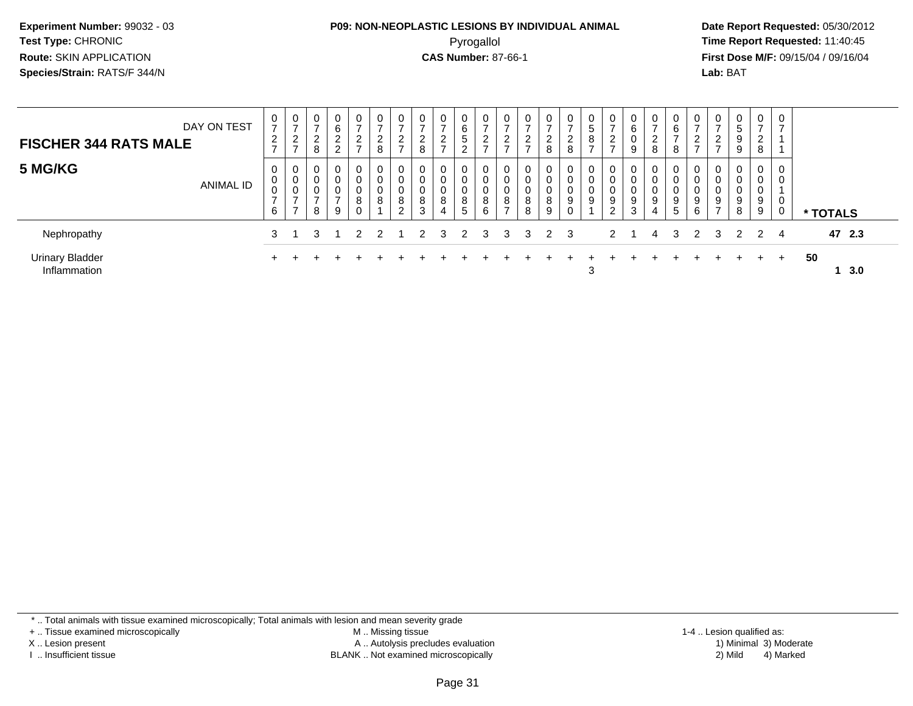#### **P09: NON-NEOPLASTIC LESIONS BY INDIVIDUAL ANIMAL**Pyrogallol **Time Report Requested:** 11:40:45

 **Date Report Requested:** 05/30/2012 **First Dose M/F:** 09/15/04 / 09/16/04 Lab: BAT **Lab:** BAT

| DAY ON TEST<br><b>FISCHER 344 RATS MALE</b> | $\mathbf 0$<br>$\overline{ }$<br>$\overline{2}$<br>$\overline{ }$ | 0<br>$\rightarrow$<br>$\sim$<br>∠<br>$\rightarrow$ | 0<br>ີ<br>∠<br>8      | $\overline{0}$<br>6<br>ົ<br>$\epsilon$<br>$\overline{c}$ | 0<br>$\rightarrow$<br>$\overline{2}$<br>$\rightarrow$ | $\mathbf 0$<br>$\overline{ }$<br>$\overline{2}$<br>8 | ∼                                  | 2<br>8                               | 0<br>L<br>-           | 6<br>5<br>⌒      | 0<br>$\rightarrow$<br>2<br>$\rightarrow$ | 0<br>$\rightarrow$<br>າ<br>∠<br>- | $\rightarrow$<br>າ<br>∠<br>$\rightarrow$ | ⇁<br>$\sim$<br>$\epsilon$<br>8 | $\mathbf{0}$<br>$\rightarrow$<br>$\overline{2}$<br>8 | U<br>$\sqrt{5}$<br>8<br>$\rightarrow$ | $\frac{0}{7}$<br>$\frac{2}{7}$             | 0<br>6<br>0<br>$\boldsymbol{9}$ | 0<br>$\rightarrow$<br>ົ<br>∠<br>8 | 0<br>6<br>$\overline{ }$<br>8 | $\mathbf{0}$<br>$\rightarrow$<br>ົ<br>$\epsilon$<br>$\rightarrow$ | <u>_</u> | $\mathbf{0}$<br>5<br>9<br>9     | $\mathbf{0}$<br>$\overline{ }$<br>2<br>8 | $\mathbf 0$<br>$\overline{ }$ |           |
|---------------------------------------------|-------------------------------------------------------------------|----------------------------------------------------|-----------------------|----------------------------------------------------------|-------------------------------------------------------|------------------------------------------------------|------------------------------------|--------------------------------------|-----------------------|------------------|------------------------------------------|-----------------------------------|------------------------------------------|--------------------------------|------------------------------------------------------|---------------------------------------|--------------------------------------------|---------------------------------|-----------------------------------|-------------------------------|-------------------------------------------------------------------|----------|---------------------------------|------------------------------------------|-------------------------------|-----------|
| 5 MG/KG<br><b>ANIMAL ID</b>                 | 0<br>0<br>0<br>$\overline{ }$<br>6                                | 0<br>0<br>0<br>-<br>$\overline{\phantom{0}}$       | $\mathbf 0$<br>U<br>8 | $\mathbf 0$<br>$\mathbf 0$<br>0<br>-<br>9                | $\overline{0}$<br>0<br>0<br>8                         | $\overline{0}$<br>0<br>$\mathbf 0$<br>8              | 0<br>$\overline{0}$<br>8<br>$\sim$ | $\mathbf 0$<br>$\mathbf 0$<br>8<br>3 | 0<br>0<br>0<br>8<br>4 | 0<br>U<br>8<br>5 | 0<br>0<br>0<br>8<br>6                    | 0<br>0<br>0<br>8<br>$\rightarrow$ | $\mathbf 0$<br>$\mathbf 0$<br>8<br>8     | 0<br>8<br>9                    | $\mathbf 0$<br>0<br>0<br>9<br>0                      | 0<br>0<br>0<br>9                      | 0<br>0<br>$_{9}^{\rm 0}$<br>$\overline{2}$ | 0<br>0<br>0<br>9<br>3           | $\mathbf 0$<br>0<br>0<br>9<br>4   | 9<br>5                        | 0<br>0<br>9<br>6                                                  | 9<br>-   | 0<br>$\mathbf 0$<br>0<br>9<br>8 | $\overline{0}$<br>0<br>0<br>9<br>9       | 0<br>0<br>0<br>0              | * TOTALS  |
| Nephropathy                                 |                                                                   |                                                    |                       |                                                          | $\mathcal{P}$                                         | $\mathcal{P}$                                        |                                    | $\mathcal{P}$                        | $\mathbf{3}$          | 2                | 3                                        | 3                                 | 3                                        | 2 3                            |                                                      |                                       | $2 \quad 1$                                |                                 | 4                                 | 3                             | $\mathcal{P}$                                                     | 3        | $\mathcal{P}$                   | 2 4                                      |                               | 47 2.3    |
| <b>Urinary Bladder</b><br>Inflammation      | $+$                                                               |                                                    |                       |                                                          |                                                       |                                                      |                                    |                                      |                       |                  |                                          |                                   |                                          |                                |                                                      | 3                                     |                                            |                                 |                                   |                               |                                                                   |          |                                 | $+$                                      | $+$                           | 50<br>3.0 |

\* .. Total animals with tissue examined microscopically; Total animals with lesion and mean severity grade

+ .. Tissue examined microscopically

X .. Lesion present

I .. Insufficient tissue

 M .. Missing tissueA .. Autolysis precludes evaluation

BLANK .. Not examined microscopically 2) Mild 4) Marked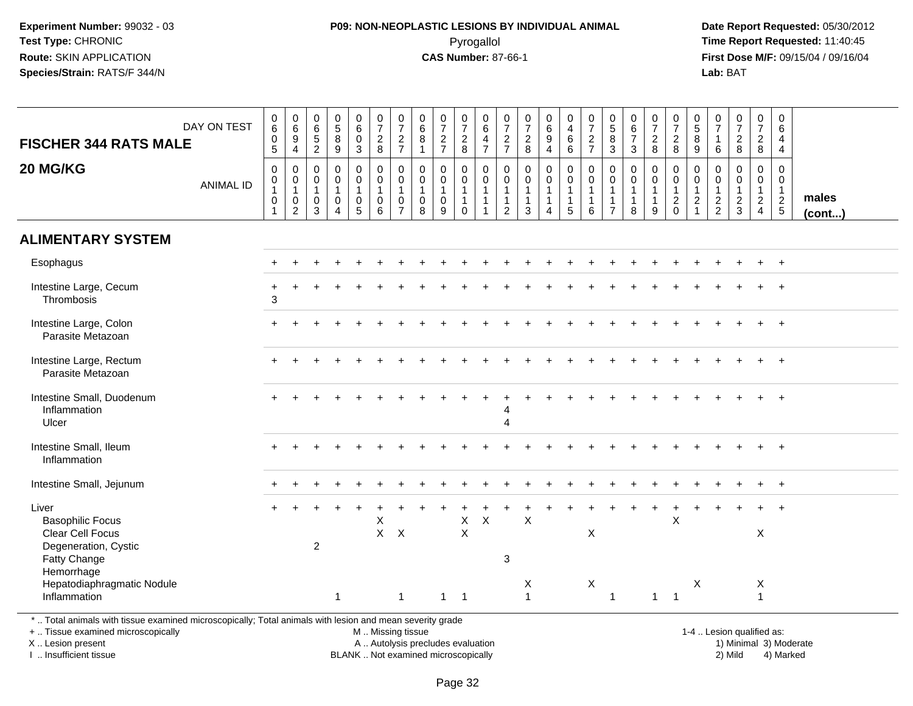#### **P09: NON-NEOPLASTIC LESIONS BY INDIVIDUAL ANIMAL**Pyrogallol **Time Report Requested:** 11:40:45

 **Date Report Requested:** 05/30/2012 **First Dose M/F:** 09/15/04 / 09/16/04<br>**Lab:** BAT **Lab:** BAT

| <b>FISCHER 344 RATS MALE</b>                                                                                                                   | DAY ON TEST      | $\begin{array}{c} 0 \\ 6 \end{array}$<br>$\pmb{0}$<br>$\overline{5}$ | $\begin{array}{c} 0 \\ 6 \\ 9 \end{array}$<br>$\overline{4}$                     | 0<br>$\,6\,$<br>$\,$ 5 $\,$<br>$\overline{2}$                  | 0<br>$\overline{5}$<br>$\, 8$<br>9                                            | $_{6}^{\rm 0}$<br>$\frac{0}{3}$          | $\frac{0}{7}$<br>$\frac{2}{8}$                       | $\frac{0}{7}$<br>$\frac{2}{7}$                                        | $\begin{array}{c} 0 \\ 6 \end{array}$<br>$\,8\,$<br>$\mathbf{1}$ | $\frac{0}{7}$<br>$\frac{2}{7}$                       | $\frac{0}{7}$<br>$\frac{2}{8}$                               | 0<br>6<br>$\overline{4}$<br>$\overline{7}$                                 | $\frac{0}{7}$<br>$rac{2}{7}$                                                 | $\begin{smallmatrix}0\\7\end{smallmatrix}$<br>$\frac{2}{8}$ | $\begin{array}{c} 0 \\ 6 \end{array}$<br>$\boldsymbol{9}$<br>$\overline{4}$        | $\begin{smallmatrix}0\\4\end{smallmatrix}$<br>$^6_6$                                    | $\begin{array}{c} 0 \\ 7 \end{array}$<br>$\frac{2}{7}$                                       | $\begin{array}{c} 0 \\ 5 \end{array}$<br>$\bf 8$<br>3 | $\begin{array}{c} 0 \\ 6 \end{array}$<br>$\boldsymbol{7}$<br>3 | $\frac{0}{7}$<br>$^2_8$                                 | $\frac{0}{7}$<br>$_{8}^2$                     | $\begin{array}{c} 0 \\ 5 \end{array}$<br>$\overline{8}$<br>9             | 0<br>$\overline{7}$<br>$\overline{1}$<br>6                  | $\frac{0}{7}$<br>$\frac{2}{8}$                              | $\frac{0}{7}$<br>$\frac{2}{8}$                    | $\mathbf 0$<br>6<br>$\overline{4}$<br>$\overline{4}$ |                 |
|------------------------------------------------------------------------------------------------------------------------------------------------|------------------|----------------------------------------------------------------------|----------------------------------------------------------------------------------|----------------------------------------------------------------|-------------------------------------------------------------------------------|------------------------------------------|------------------------------------------------------|-----------------------------------------------------------------------|------------------------------------------------------------------|------------------------------------------------------|--------------------------------------------------------------|----------------------------------------------------------------------------|------------------------------------------------------------------------------|-------------------------------------------------------------|------------------------------------------------------------------------------------|-----------------------------------------------------------------------------------------|----------------------------------------------------------------------------------------------|-------------------------------------------------------|----------------------------------------------------------------|---------------------------------------------------------|-----------------------------------------------|--------------------------------------------------------------------------|-------------------------------------------------------------|-------------------------------------------------------------|---------------------------------------------------|------------------------------------------------------|-----------------|
| 20 MG/KG                                                                                                                                       | <b>ANIMAL ID</b> | $\mathbf 0$<br>0<br>$\mathbf{1}$<br>$\pmb{0}$                        | $\pmb{0}$<br>$\overline{0}$<br>1<br>$\begin{smallmatrix} 0\\2 \end{smallmatrix}$ | $\mathbf 0$<br>$\mathbf 0$<br>$\mathbf{1}$<br>$\mathbf 0$<br>3 | $\mathbf 0$<br>$\mathbf 0$<br>$\overline{1}$<br>$\mathbf 0$<br>$\overline{4}$ | 0<br>0<br>$\mathbf{1}$<br>$\pmb{0}$<br>5 | $\mathsf 0$<br>0<br>$\mathbf{1}$<br>$\mathbf 0$<br>6 | $\pmb{0}$<br>$\pmb{0}$<br>$\mathbf{1}$<br>$\pmb{0}$<br>$\overline{7}$ | $\mathbf 0$<br>$\mathbf 0$<br>$\mathbf{1}$<br>$\mathsf 0$<br>8   | $\pmb{0}$<br>0<br>$\overline{1}$<br>$\mathbf 0$<br>9 | 0<br>$\mathbf 0$<br>$\mathbf{1}$<br>$\mathbf{1}$<br>$\Omega$ | $\mathbf 0$<br>$\mathbf 0$<br>$\mathbf{1}$<br>$\mathbf{1}$<br>$\mathbf{1}$ | $\mathbf 0$<br>$\mathbf 0$<br>$\mathbf{1}$<br>$\mathbf{1}$<br>$\overline{2}$ | 0<br>$\mathbf 0$<br>$\mathbf{1}$<br>$\mathbf{1}$<br>3       | $\pmb{0}$<br>$\mathsf{O}\xspace$<br>$\mathbf{1}$<br>$\mathbf{1}$<br>$\overline{4}$ | $\mathbf 0$<br>$\begin{smallmatrix}0\\1\end{smallmatrix}$<br>$\mathbf{1}$<br>$\sqrt{5}$ | $\mathbf 0$<br>$\begin{smallmatrix}0\\1\end{smallmatrix}$<br>$\mathbf{1}$<br>$6\phantom{1}6$ | 0<br>0<br>$\mathbf{1}$<br>1<br>$\overline{7}$         | 0<br>$\mathbf 0$<br>$\overline{1}$<br>$\mathbf{1}$<br>8        | 0<br>$\mathbf 0$<br>$\overline{1}$<br>$\mathbf{1}$<br>9 | 0<br>$\mathsf{O}$<br>$\mathbf{1}$<br>$^2_{0}$ | $\mathbf 0$<br>$\mathbf 0$<br>$\begin{array}{c} 1 \\ 2 \\ 1 \end{array}$ | $\mathbf 0$<br>$\mathbf 0$<br>$\mathbf{1}$<br>$\frac{2}{2}$ | $\mathbf 0$<br>$\mathbf 0$<br>$\mathbf{1}$<br>$\frac{2}{3}$ | 0<br>$\mathbf 0$<br>$\mathbf{1}$<br>$\frac{2}{4}$ | 0<br>$\mathbf 0$<br>$\mathbf{1}$<br>$\frac{2}{5}$    | males<br>(cont) |
| <b>ALIMENTARY SYSTEM</b>                                                                                                                       |                  |                                                                      |                                                                                  |                                                                |                                                                               |                                          |                                                      |                                                                       |                                                                  |                                                      |                                                              |                                                                            |                                                                              |                                                             |                                                                                    |                                                                                         |                                                                                              |                                                       |                                                                |                                                         |                                               |                                                                          |                                                             |                                                             |                                                   |                                                      |                 |
| Esophagus                                                                                                                                      |                  |                                                                      |                                                                                  |                                                                |                                                                               |                                          |                                                      |                                                                       |                                                                  |                                                      |                                                              |                                                                            |                                                                              |                                                             |                                                                                    |                                                                                         |                                                                                              |                                                       |                                                                |                                                         |                                               |                                                                          |                                                             |                                                             |                                                   | $\ddot{}$                                            |                 |
| Intestine Large, Cecum<br>Thrombosis                                                                                                           |                  | $\ddot{}$<br>3                                                       |                                                                                  |                                                                |                                                                               |                                          |                                                      |                                                                       |                                                                  |                                                      |                                                              |                                                                            |                                                                              |                                                             |                                                                                    |                                                                                         |                                                                                              |                                                       |                                                                |                                                         |                                               |                                                                          |                                                             |                                                             |                                                   |                                                      |                 |
| Intestine Large, Colon<br>Parasite Metazoan                                                                                                    |                  |                                                                      |                                                                                  |                                                                |                                                                               |                                          |                                                      |                                                                       |                                                                  |                                                      |                                                              |                                                                            |                                                                              |                                                             |                                                                                    |                                                                                         |                                                                                              |                                                       |                                                                |                                                         |                                               |                                                                          |                                                             |                                                             |                                                   |                                                      |                 |
| Intestine Large, Rectum<br>Parasite Metazoan                                                                                                   |                  |                                                                      |                                                                                  |                                                                |                                                                               |                                          |                                                      |                                                                       |                                                                  |                                                      |                                                              |                                                                            |                                                                              |                                                             |                                                                                    |                                                                                         |                                                                                              |                                                       |                                                                |                                                         |                                               |                                                                          |                                                             |                                                             |                                                   |                                                      |                 |
| Intestine Small, Duodenum<br>Inflammation<br>Ulcer                                                                                             |                  |                                                                      |                                                                                  |                                                                |                                                                               |                                          |                                                      |                                                                       |                                                                  |                                                      |                                                              |                                                                            | $\boldsymbol{\Lambda}$                                                       |                                                             |                                                                                    |                                                                                         |                                                                                              |                                                       |                                                                |                                                         |                                               |                                                                          |                                                             |                                                             |                                                   |                                                      |                 |
| Intestine Small, Ileum<br>Inflammation                                                                                                         |                  |                                                                      |                                                                                  |                                                                |                                                                               |                                          |                                                      |                                                                       |                                                                  |                                                      |                                                              |                                                                            |                                                                              |                                                             |                                                                                    |                                                                                         |                                                                                              |                                                       |                                                                |                                                         |                                               |                                                                          |                                                             |                                                             |                                                   |                                                      |                 |
| Intestine Small, Jejunum                                                                                                                       |                  |                                                                      |                                                                                  |                                                                |                                                                               |                                          |                                                      |                                                                       |                                                                  |                                                      |                                                              |                                                                            |                                                                              |                                                             |                                                                                    |                                                                                         |                                                                                              |                                                       |                                                                |                                                         |                                               |                                                                          |                                                             |                                                             |                                                   |                                                      |                 |
| Liver<br><b>Basophilic Focus</b><br>Clear Cell Focus                                                                                           |                  |                                                                      |                                                                                  |                                                                |                                                                               |                                          | X                                                    | $X$ $X$                                                               |                                                                  |                                                      | $\mathsf X$<br>$\times$                                      | $\mathsf X$                                                                |                                                                              | X                                                           |                                                                                    |                                                                                         | $\boldsymbol{\mathsf{X}}$                                                                    |                                                       |                                                                |                                                         | X                                             |                                                                          |                                                             |                                                             | X                                                 | $\ddot{}$                                            |                 |
| Degeneration, Cystic<br>Fatty Change<br>Hemorrhage                                                                                             |                  |                                                                      |                                                                                  | $\overline{2}$                                                 |                                                                               |                                          |                                                      |                                                                       |                                                                  |                                                      |                                                              |                                                                            | 3                                                                            |                                                             |                                                                                    |                                                                                         |                                                                                              |                                                       |                                                                |                                                         |                                               |                                                                          |                                                             |                                                             |                                                   |                                                      |                 |
| Hepatodiaphragmatic Nodule<br>Inflammation                                                                                                     |                  |                                                                      |                                                                                  |                                                                | $\mathbf{1}$                                                                  |                                          |                                                      | $\overline{1}$                                                        |                                                                  | $1 \quad 1$                                          |                                                              |                                                                            |                                                                              | X<br>$\mathbf{1}$                                           |                                                                                    |                                                                                         | X                                                                                            | $\mathbf{1}$                                          |                                                                |                                                         | $1 \quad 1$                                   | X                                                                        |                                                             |                                                             | X<br>$\mathbf{1}$                                 |                                                      |                 |
| *  Total animals with tissue examined microscopically; Total animals with lesion and mean severity grade<br>+  Tissue examined microscopically |                  |                                                                      |                                                                                  |                                                                |                                                                               |                                          | M  Missing tissue                                    |                                                                       |                                                                  |                                                      |                                                              |                                                                            |                                                                              |                                                             |                                                                                    |                                                                                         |                                                                                              |                                                       |                                                                |                                                         |                                               |                                                                          |                                                             | 1-4  Lesion qualified as:                                   |                                                   |                                                      |                 |

X .. Lesion present

I .. Insufficient tissue

 M .. Missing tissueA .. Autolysis precludes evaluation

BLANK .. Not examined microscopically 2) Mild 4) Marked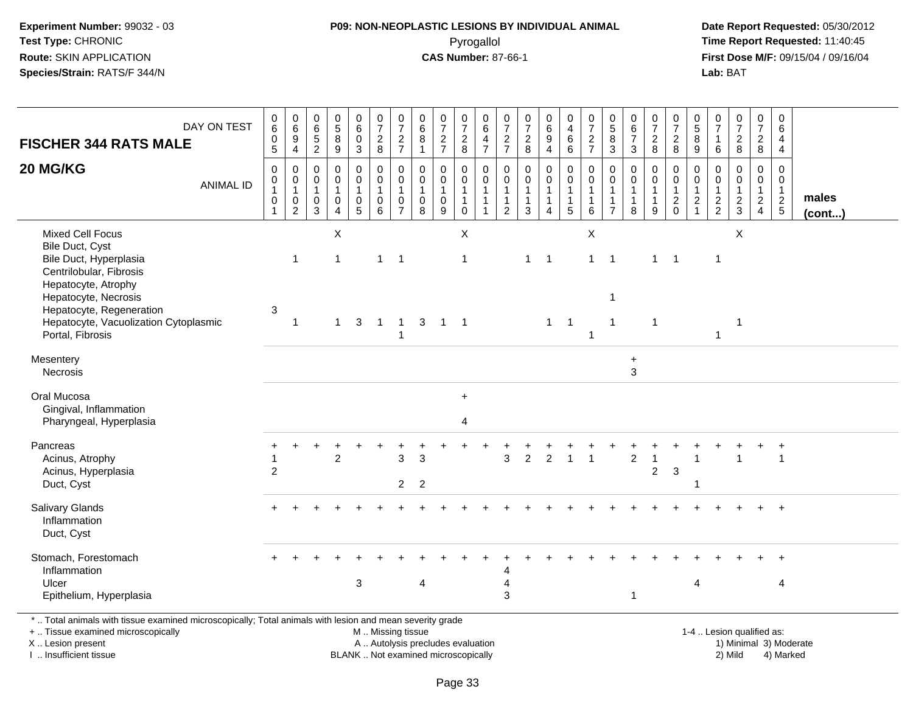#### **P09: NON-NEOPLASTIC LESIONS BY INDIVIDUAL ANIMAL**Pyrogallol **Time Report Requested:** 11:40:45

 **Date Report Requested:** 05/30/2012 **First Dose M/F:** 09/15/04 / 09/16/04<br>**Lab:** BAT **Lab:** BAT

| DAY ON TEST<br><b>FISCHER 344 RATS MALE</b>                                                                                                                                | $\mathbf 0$<br>$\,6\,$<br>$\pmb{0}$<br>$\overline{5}$                 | $\begin{array}{c} 0 \\ 6 \end{array}$<br>$\boldsymbol{9}$<br>$\overline{4}$ | $\begin{array}{c} 0 \\ 6 \end{array}$<br>$\frac{5}{2}$ | $\begin{array}{c} 0 \\ 5 \end{array}$<br>$\,8\,$<br>9             | $_{6}^{\rm 0}$<br>$\mathsf{O}\xspace$<br>3                        | $\frac{0}{7}$<br>$\frac{2}{8}$                     | $\frac{0}{7}$<br>$\frac{2}{7}$                                 | $\pmb{0}$<br>$\,6\,$<br>8               | $\begin{array}{c} 0 \\ 7 \end{array}$<br>$\frac{2}{7}$     | $\frac{0}{7}$<br>$\begin{array}{c} 2 \\ 8 \end{array}$    | $\pmb{0}$<br>$\,6\,$<br>$\overline{4}$<br>$\overline{7}$                         | 0<br>$\overline{7}$<br>$\frac{2}{7}$       | $\pmb{0}$<br>$\overline{7}$<br>$\frac{2}{8}$                    | $_{6}^{\rm 0}$<br>$\boldsymbol{9}$<br>$\overline{4}$ | $\mathsf{O}\xspace$<br>$\overline{4}$<br>6<br>$6\phantom{a}$       | $\frac{0}{7}$<br>$\frac{2}{7}$                                            | $\begin{array}{c} 0 \\ 5 \end{array}$<br>$\,8\,$<br>$\mathbf{3}$    | $\pmb{0}$<br>$\,6\,$<br>$\overline{7}$<br>3                     | $\frac{0}{7}$<br>$_{8}^{2}$                | $\pmb{0}$<br>$\overline{7}$<br>$\overline{a}$<br>8                   | $\pmb{0}$<br>$\sqrt{5}$<br>$\,8\,$<br>9               | $\mathbf 0$<br>$\overline{7}$<br>$\overline{1}$<br>6       | $\frac{0}{7}$<br>$\overline{c}$<br>8                     | $\frac{0}{7}$<br>$\overline{2}$<br>$\,8\,$                           | $\pmb{0}$<br>6<br>$\overline{4}$<br>$\overline{4}$          |                 |
|----------------------------------------------------------------------------------------------------------------------------------------------------------------------------|-----------------------------------------------------------------------|-----------------------------------------------------------------------------|--------------------------------------------------------|-------------------------------------------------------------------|-------------------------------------------------------------------|----------------------------------------------------|----------------------------------------------------------------|-----------------------------------------|------------------------------------------------------------|-----------------------------------------------------------|----------------------------------------------------------------------------------|--------------------------------------------|-----------------------------------------------------------------|------------------------------------------------------|--------------------------------------------------------------------|---------------------------------------------------------------------------|---------------------------------------------------------------------|-----------------------------------------------------------------|--------------------------------------------|----------------------------------------------------------------------|-------------------------------------------------------|------------------------------------------------------------|----------------------------------------------------------|----------------------------------------------------------------------|-------------------------------------------------------------|-----------------|
| 20 MG/KG<br><b>ANIMAL ID</b>                                                                                                                                               | $\pmb{0}$<br>$\mathbf 0$<br>$\mathbf{1}$<br>$\pmb{0}$<br>$\mathbf{1}$ | 0<br>$\mathbf 0$<br>$\mathbf{1}$<br>$\pmb{0}$<br>$\overline{2}$             | $\mathbf 0$<br>0<br>$\overline{1}$<br>$_{3}^{\rm 0}$   | $\mathbf 0$<br>$\mathbf 0$<br>$\mathbf{1}$<br>0<br>$\overline{4}$ | 0<br>$\mathbf 0$<br>$\mathbf{1}$<br>$\mathbf 0$<br>$\overline{5}$ | 0<br>$\mathbf 0$<br>$\mathbf{1}$<br>$_{6}^{\rm 0}$ | $\Omega$<br>$\mathbf 0$<br>$\mathbf{1}$<br>0<br>$\overline{7}$ | $\Omega$<br>0<br>$\mathbf{1}$<br>0<br>8 | $\mathbf 0$<br>$\pmb{0}$<br>$\mathbf{1}$<br>$\pmb{0}$<br>9 | 0<br>0<br>$\overline{1}$<br>$\overline{1}$<br>$\mathbf 0$ | $\mathbf 0$<br>$\mathbf 0$<br>$\overline{1}$<br>$\overline{1}$<br>$\overline{1}$ | $\mathbf 0$<br>0<br>$\mathbf{1}$<br>1<br>2 | $\mathbf 0$<br>$\mathbf 0$<br>$\mathbf{1}$<br>$\mathbf{1}$<br>3 | 0<br>$\pmb{0}$<br>$\mathbf{1}$<br>$\mathbf{1}$<br>4  | $\mathbf 0$<br>$\overline{0}$<br>$\mathbf{1}$<br>$\mathbf{1}$<br>5 | $\mathbf 0$<br>$\mathbf 0$<br>$\overline{1}$<br>$\overline{1}$<br>$\,6\,$ | $\mathbf{0}$<br>0<br>$\mathbf{1}$<br>$\mathbf{1}$<br>$\overline{7}$ | $\mathbf 0$<br>$\mathbf 0$<br>$\mathbf{1}$<br>$\mathbf{1}$<br>8 | 0<br>0<br>$\mathbf{1}$<br>$\mathbf 1$<br>9 | 0<br>$\mathbf 0$<br>$\mathbf{1}$<br>$\overline{c}$<br>$\overline{0}$ | $\Omega$<br>$\mathbf 0$<br>$\mathbf{1}$<br>$\sqrt{2}$ | $\Omega$<br>$\mathbf 0$<br>$\overline{1}$<br>$\frac{2}{2}$ | $\Omega$<br>$\mathbf 0$<br>$\mathbf{1}$<br>$\frac{2}{3}$ | $\mathbf 0$<br>0<br>$\mathbf{1}$<br>$\overline{2}$<br>$\overline{4}$ | $\mathbf 0$<br>$\mathbf 0$<br>$\mathbf{1}$<br>$\frac{2}{5}$ | males<br>(cont) |
| <b>Mixed Cell Focus</b><br>Bile Duct, Cyst<br>Bile Duct, Hyperplasia<br>Centrilobular, Fibrosis<br>Hepatocyte, Atrophy<br>Hepatocyte, Necrosis<br>Hepatocyte, Regeneration | 3                                                                     | $\overline{1}$                                                              |                                                        | X<br>$\mathbf{1}$                                                 |                                                                   | $\mathbf{1}$                                       | $\overline{1}$                                                 |                                         |                                                            | $\boldsymbol{\mathsf{X}}$<br>$\overline{1}$               |                                                                                  |                                            | $\mathbf{1}$                                                    | $\overline{1}$                                       |                                                                    | $\boldsymbol{\mathsf{X}}$<br>$\mathbf{1}$                                 | $\overline{1}$<br>$\mathbf{1}$                                      |                                                                 | $\mathbf{1}$                               | $\overline{1}$                                                       |                                                       | $\overline{1}$                                             | X                                                        |                                                                      |                                                             |                 |
| Hepatocyte, Vacuolization Cytoplasmic<br>Portal, Fibrosis                                                                                                                  |                                                                       | $\overline{1}$                                                              |                                                        |                                                                   | $1 \quad 3$                                                       | $\overline{1}$                                     | $\overline{1}$<br>$\mathbf{1}$                                 |                                         | $3 \quad 1 \quad 1$                                        |                                                           |                                                                                  |                                            |                                                                 |                                                      | $1 \quad 1$                                                        | $\overline{\mathbf{1}}$                                                   | $\mathbf{1}$                                                        |                                                                 | $\mathbf{1}$                               |                                                                      |                                                       | 1                                                          | $\overline{1}$                                           |                                                                      |                                                             |                 |
| Mesentery<br>Necrosis                                                                                                                                                      |                                                                       |                                                                             |                                                        |                                                                   |                                                                   |                                                    |                                                                |                                         |                                                            |                                                           |                                                                                  |                                            |                                                                 |                                                      |                                                                    |                                                                           |                                                                     | $\ddot{}$<br>$\mathbf{3}$                                       |                                            |                                                                      |                                                       |                                                            |                                                          |                                                                      |                                                             |                 |
| Oral Mucosa<br>Gingival, Inflammation<br>Pharyngeal, Hyperplasia                                                                                                           |                                                                       |                                                                             |                                                        |                                                                   |                                                                   |                                                    |                                                                |                                         |                                                            | $+$<br>4                                                  |                                                                                  |                                            |                                                                 |                                                      |                                                                    |                                                                           |                                                                     |                                                                 |                                            |                                                                      |                                                       |                                                            |                                                          |                                                                      |                                                             |                 |
| Pancreas<br>Acinus, Atrophy<br>Acinus, Hyperplasia<br>Duct, Cyst                                                                                                           | $\overline{2}$                                                        |                                                                             |                                                        | $\overline{2}$                                                    |                                                                   |                                                    | 3<br>$\overline{2}$                                            | 3<br>$\overline{2}$                     |                                                            |                                                           |                                                                                  | 3                                          | $\overline{2}$                                                  | $\overline{2}$                                       |                                                                    | $\overline{1}$                                                            |                                                                     | $\overline{c}$                                                  | 1<br>$\overline{2}$                        | $\mathbf{3}$                                                         |                                                       |                                                            |                                                          |                                                                      |                                                             |                 |
| Salivary Glands<br>Inflammation<br>Duct, Cyst                                                                                                                              |                                                                       |                                                                             |                                                        |                                                                   |                                                                   |                                                    |                                                                |                                         |                                                            |                                                           |                                                                                  |                                            |                                                                 |                                                      |                                                                    |                                                                           |                                                                     |                                                                 |                                            |                                                                      |                                                       |                                                            |                                                          |                                                                      | $\ddot{}$                                                   |                 |
| Stomach, Forestomach<br>Inflammation<br>Ulcer<br>Epithelium, Hyperplasia                                                                                                   |                                                                       |                                                                             |                                                        |                                                                   | 3                                                                 |                                                    |                                                                | $\overline{4}$                          |                                                            |                                                           |                                                                                  | 4<br>3                                     |                                                                 |                                                      |                                                                    |                                                                           |                                                                     | 1                                                               |                                            |                                                                      | $\overline{4}$                                        |                                                            |                                                          |                                                                      | 4                                                           |                 |

. Total animals with tissue examined microscopically; Total animals with lesion and mean severity grade M .. Missing tissue

+ .. Tissue examined microscopicallyX .. Lesion present

I .. Insufficient tissue

Lesion present A .. Autolysis precludes evaluation 1) Minimal 3) Moderate

BLANK .. Not examined microscopically 2) Mild 4) Marked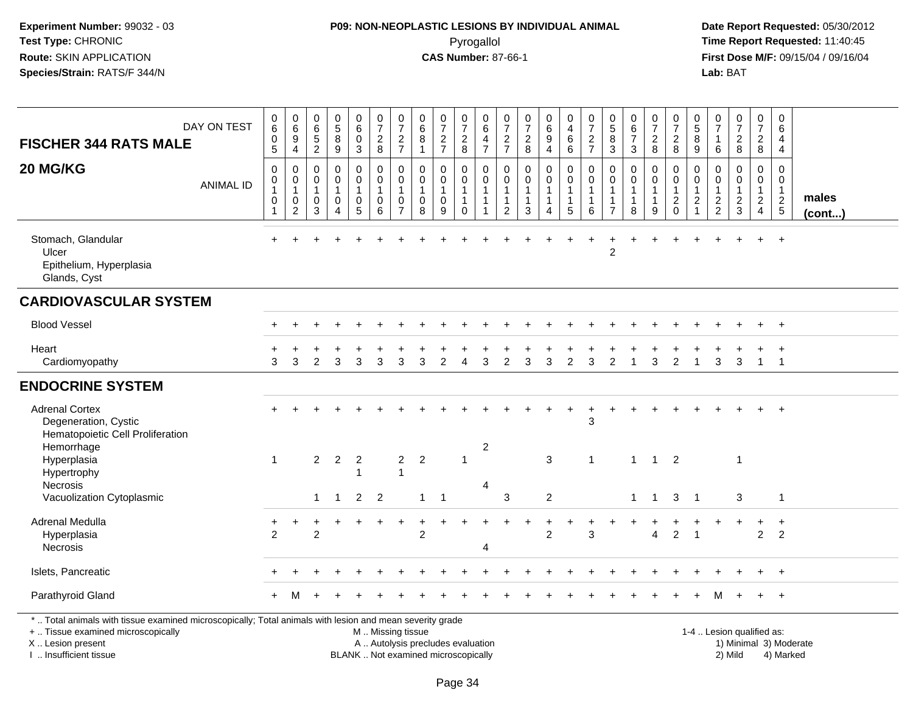#### **P09: NON-NEOPLASTIC LESIONS BY INDIVIDUAL ANIMAL**Pyrogallol **Time Report Requested:** 11:40:45

 **Date Report Requested:** 05/30/2012 **First Dose M/F:** 09/15/04 / 09/16/04<br>Lab: BAT **Lab:** BAT

| DAY ON TEST<br><b>FISCHER 344 RATS MALE</b>                                                                                                                         | $\pmb{0}$<br>$\,6\,$<br>$\pmb{0}$<br>$\overline{5}$                      | $\begin{array}{c} 0 \\ 6 \end{array}$<br>9<br>4 | $_{6}^{\rm 0}$<br>$\frac{5}{2}$                                | $\begin{array}{c} 0 \\ 5 \end{array}$<br>$\bf 8$<br>$\overline{9}$ | 0<br>6<br>$\mathbf 0$<br>$\mathbf{3}$             | $\frac{0}{7}$<br>$\frac{2}{8}$                                     | $\pmb{0}$<br>$\overline{7}$<br>$\frac{2}{7}$                             | 0<br>$\,6\,$<br>8<br>$\overline{1}$                          | $\frac{0}{7}$<br>$\frac{2}{7}$            | $\frac{0}{7}$<br>$\frac{2}{8}$                                    | 0<br>6<br>4<br>$\overline{7}$                                   | 0<br>$\overline{7}$<br>$\frac{2}{7}$                               | $\frac{0}{7}$<br>$\frac{2}{8}$                                             | $_{6}^{\rm 0}$<br>9<br>4                              | 0<br>$\overline{4}$<br>$\,6\,$<br>$\,6\,$                                  | $\frac{0}{7}$<br>$\frac{2}{7}$                       | $\begin{smallmatrix}0\0\5\end{smallmatrix}$<br>8<br>$\overline{3}$           | $_{6}^{\rm 0}$<br>$\overline{7}$<br>3                 | 0<br>$\boldsymbol{7}$<br>$_{8}^2$          | $\boldsymbol{0}$<br>$\overline{7}$<br>$_{8}^{\rm 2}$                       | $\begin{array}{c} 0 \\ 5 \end{array}$<br>8<br>$\boldsymbol{9}$     | $\frac{0}{7}$<br>$\mathbf{1}$<br>$6\phantom{1}6$            | $\frac{0}{7}$<br>$\frac{2}{8}$                                     | $\frac{0}{7}$<br>$\frac{2}{8}$                    | $\mathsf 0$<br>6<br>4<br>4                                            |                        |
|---------------------------------------------------------------------------------------------------------------------------------------------------------------------|--------------------------------------------------------------------------|-------------------------------------------------|----------------------------------------------------------------|--------------------------------------------------------------------|---------------------------------------------------|--------------------------------------------------------------------|--------------------------------------------------------------------------|--------------------------------------------------------------|-------------------------------------------|-------------------------------------------------------------------|-----------------------------------------------------------------|--------------------------------------------------------------------|----------------------------------------------------------------------------|-------------------------------------------------------|----------------------------------------------------------------------------|------------------------------------------------------|------------------------------------------------------------------------------|-------------------------------------------------------|--------------------------------------------|----------------------------------------------------------------------------|--------------------------------------------------------------------|-------------------------------------------------------------|--------------------------------------------------------------------|---------------------------------------------------|-----------------------------------------------------------------------|------------------------|
| 20 MG/KG<br><b>ANIMAL ID</b>                                                                                                                                        | $\boldsymbol{0}$<br>$\mathbf 0$<br>$\mathbf{1}$<br>$\boldsymbol{0}$<br>1 | 0<br>0<br>$\mathbf{1}$<br>0<br>$\overline{c}$   | $\mathbf 0$<br>$\mathbf 0$<br>$\mathbf{1}$<br>$\mathbf 0$<br>3 | 0<br>$\mathsf{O}$<br>$\mathbf{1}$<br>$\mathbf 0$<br>4              | 0<br>$\mathbf 0$<br>1<br>$\mathsf{O}\xspace$<br>5 | 0<br>$\mathbf 0$<br>$\overline{1}$<br>$\pmb{0}$<br>$6\phantom{1}6$ | $\mathbf 0$<br>$\Omega$<br>$\mathbf{1}$<br>$\mathbf 0$<br>$\overline{7}$ | $\mathbf 0$<br>$\mathbf 0$<br>$\mathbf{1}$<br>$\pmb{0}$<br>8 | 0<br>$\mathbf 0$<br>1<br>$\mathbf 0$<br>9 | 0<br>$\mathbf 0$<br>$\mathbf{1}$<br>$\overline{1}$<br>$\mathbf 0$ | $\mathbf 0$<br>$\mathbf 0$<br>$\mathbf{1}$<br>$\mathbf{1}$<br>1 | 0<br>$\mathbf 0$<br>$\mathbf{1}$<br>$\mathbf{1}$<br>$\overline{2}$ | $\mathbf 0$<br>$\mathbf 0$<br>$\mathbf{1}$<br>$\mathbf{1}$<br>$\mathbf{3}$ | 0<br>$\mathbf 0$<br>$\mathbf{1}$<br>$\mathbf{1}$<br>4 | $\pmb{0}$<br>$\mathbf 0$<br>$\mathbf{1}$<br>$\mathbf{1}$<br>$5\phantom{1}$ | $\mathbf 0$<br>$\mathbf 0$<br>1<br>$\mathbf{1}$<br>6 | $\mathbf 0$<br>$\mathbf 0$<br>$\mathbf{1}$<br>$\mathbf{1}$<br>$\overline{7}$ | 0<br>$\mathbf 0$<br>$\mathbf{1}$<br>$\mathbf{1}$<br>8 | 0<br>$\mathbf 0$<br>1<br>$\mathbf{1}$<br>9 | $\mathbf 0$<br>$\Omega$<br>$\mathbf{1}$<br>$\boldsymbol{2}$<br>$\mathbf 0$ | 0<br>$\mathbf 0$<br>$\overline{1}$<br>$\sqrt{2}$<br>$\overline{1}$ | $\mathbf 0$<br>$\mathbf 0$<br>$\mathbf{1}$<br>$\frac{2}{2}$ | 0<br>$\mathbf 0$<br>$\mathbf{1}$<br>$\overline{a}$<br>$\mathbf{3}$ | 0<br>$\mathbf 0$<br>$\mathbf{1}$<br>$\frac{2}{4}$ | $\mathbf 0$<br>0<br>$\mathbf{1}$<br>$\overline{c}$<br>$5\phantom{.0}$ | males<br>$($ cont $)$  |
| Stomach, Glandular<br>Ulcer<br>Epithelium, Hyperplasia<br>Glands, Cyst                                                                                              |                                                                          |                                                 |                                                                |                                                                    |                                                   |                                                                    |                                                                          |                                                              |                                           |                                                                   |                                                                 |                                                                    |                                                                            |                                                       |                                                                            |                                                      | $\overline{2}$                                                               |                                                       |                                            |                                                                            |                                                                    |                                                             |                                                                    | $+$                                               | $+$                                                                   |                        |
| <b>CARDIOVASCULAR SYSTEM</b>                                                                                                                                        |                                                                          |                                                 |                                                                |                                                                    |                                                   |                                                                    |                                                                          |                                                              |                                           |                                                                   |                                                                 |                                                                    |                                                                            |                                                       |                                                                            |                                                      |                                                                              |                                                       |                                            |                                                                            |                                                                    |                                                             |                                                                    |                                                   |                                                                       |                        |
| <b>Blood Vessel</b>                                                                                                                                                 |                                                                          |                                                 |                                                                |                                                                    |                                                   |                                                                    |                                                                          |                                                              |                                           |                                                                   |                                                                 |                                                                    |                                                                            |                                                       |                                                                            |                                                      |                                                                              |                                                       |                                            |                                                                            |                                                                    |                                                             |                                                                    |                                                   | $\ddot{}$                                                             |                        |
| Heart<br>Cardiomyopathy                                                                                                                                             | 3                                                                        | 3                                               | 2                                                              | 3                                                                  | 3                                                 | 3                                                                  | 3                                                                        | 3                                                            | 2                                         | 4                                                                 | 3                                                               | 2                                                                  | 3                                                                          | 3                                                     | $\overline{2}$                                                             | 3                                                    | 2                                                                            | $\overline{1}$                                        | 3                                          | 2                                                                          | -1                                                                 | 3                                                           | $\mathbf{3}$                                                       | $\mathbf{1}$                                      | $\ddot{}$<br>$\overline{1}$                                           |                        |
| <b>ENDOCRINE SYSTEM</b>                                                                                                                                             |                                                                          |                                                 |                                                                |                                                                    |                                                   |                                                                    |                                                                          |                                                              |                                           |                                                                   |                                                                 |                                                                    |                                                                            |                                                       |                                                                            |                                                      |                                                                              |                                                       |                                            |                                                                            |                                                                    |                                                             |                                                                    |                                                   |                                                                       |                        |
| <b>Adrenal Cortex</b><br>Degeneration, Cystic<br>Hematopoietic Cell Proliferation                                                                                   |                                                                          |                                                 |                                                                |                                                                    |                                                   |                                                                    |                                                                          |                                                              |                                           |                                                                   |                                                                 |                                                                    |                                                                            |                                                       |                                                                            | 3                                                    |                                                                              |                                                       |                                            |                                                                            |                                                                    |                                                             |                                                                    |                                                   |                                                                       |                        |
| Hemorrhage<br>Hyperplasia<br>Hypertrophy                                                                                                                            | $\mathbf{1}$                                                             |                                                 | $\overline{2}$                                                 | $\overline{2}$                                                     | $\overline{2}$                                    |                                                                    | $\overline{2}$<br>-1                                                     | $\overline{2}$                                               |                                           | $\blacktriangleleft$                                              | 2                                                               |                                                                    |                                                                            | 3                                                     |                                                                            | $\mathbf{1}$                                         |                                                                              | $\mathbf{1}$                                          | $\overline{1}$                             | $\overline{2}$                                                             |                                                                    |                                                             | 1                                                                  |                                                   |                                                                       |                        |
| Necrosis<br>Vacuolization Cytoplasmic                                                                                                                               |                                                                          |                                                 | $\blacktriangleleft$                                           | $\mathbf{1}$                                                       | $\overline{2}$                                    | $\overline{2}$                                                     |                                                                          | $\mathbf{1}$                                                 | $\overline{1}$                            |                                                                   | 4                                                               | 3                                                                  |                                                                            | $\overline{2}$                                        |                                                                            |                                                      |                                                                              | $\mathbf 1$                                           | $\mathbf{1}$                               | 3                                                                          | $\overline{1}$                                                     |                                                             | 3                                                                  |                                                   | $\mathbf{1}$                                                          |                        |
| Adrenal Medulla<br>Hyperplasia<br>Necrosis                                                                                                                          | +<br>$\overline{2}$                                                      |                                                 | $\mathcal{P}$                                                  | $\ddot{}$                                                          |                                                   |                                                                    | $\ddot{}$                                                                | $\ddot{}$<br>$\mathfrak{p}$                                  |                                           |                                                                   | $\boldsymbol{\varDelta}$                                        |                                                                    |                                                                            | $\ddot{}$<br>$\mathfrak{p}$                           |                                                                            | 3                                                    |                                                                              | $\ddot{}$                                             | ÷<br>$\overline{4}$                        | $\overline{c}$                                                             | $\overline{\mathbf{1}}$                                            |                                                             | $\ddot{}$                                                          | $+$<br>$\overline{2}$                             | $+$<br>$\overline{2}$                                                 |                        |
| Islets, Pancreatic                                                                                                                                                  |                                                                          |                                                 |                                                                |                                                                    |                                                   |                                                                    |                                                                          |                                                              |                                           |                                                                   |                                                                 |                                                                    |                                                                            |                                                       |                                                                            |                                                      |                                                                              |                                                       |                                            |                                                                            |                                                                    |                                                             |                                                                    |                                                   | $\ddot{}$                                                             |                        |
| Parathyroid Gland                                                                                                                                                   |                                                                          | М                                               |                                                                |                                                                    |                                                   |                                                                    |                                                                          |                                                              |                                           |                                                                   |                                                                 |                                                                    |                                                                            |                                                       |                                                                            |                                                      |                                                                              |                                                       |                                            |                                                                            |                                                                    | М                                                           | $\ddot{}$                                                          | $+$                                               | $+$                                                                   |                        |
| *  Total animals with tissue examined microscopically; Total animals with lesion and mean severity grade<br>+  Tissue examined microscopically<br>X  Lesion present |                                                                          |                                                 |                                                                |                                                                    |                                                   | M  Missing tissue                                                  |                                                                          | A  Autolysis precludes evaluation                            |                                           |                                                                   |                                                                 |                                                                    |                                                                            |                                                       |                                                                            |                                                      |                                                                              |                                                       |                                            |                                                                            |                                                                    |                                                             | 1-4  Lesion qualified as:                                          |                                                   |                                                                       | 1) Minimal 3) Moderate |

I .. Insufficient tissue

BLANK .. Not examined microscopically 2) Mild 4) Marked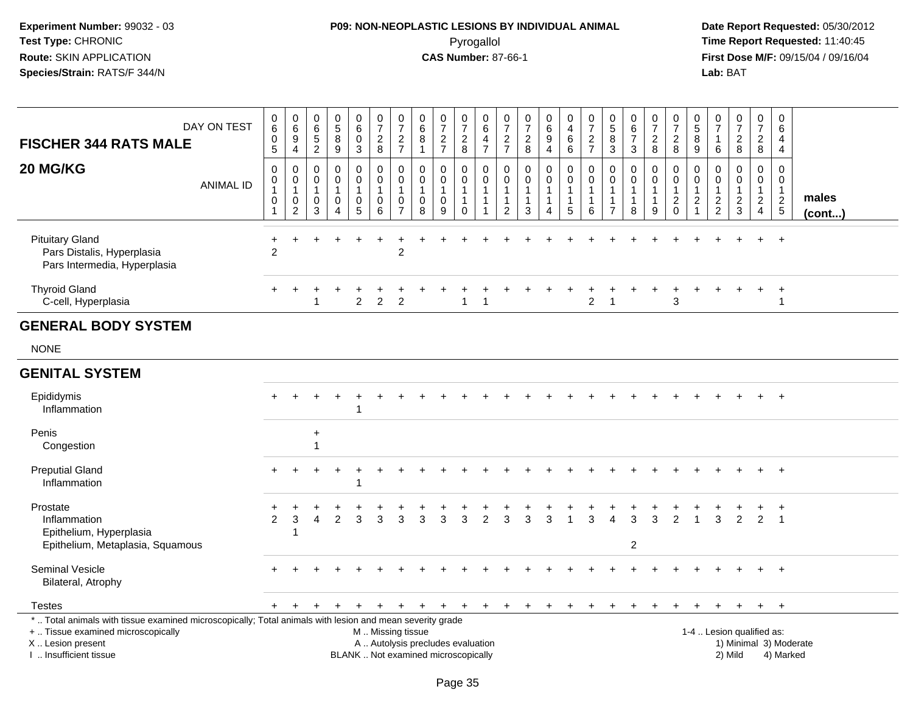## **P09: NON-NEOPLASTIC LESIONS BY INDIVIDUAL ANIMAL**Pyrogallol **Time Report Requested:** 11:40:45

 **Date Report Requested:** 05/30/2012 **First Dose M/F:** 09/15/04 / 09/16/04<br>Lab: BAT **Lab:** BAT

| <b>FISCHER 344 RATS MALE</b>                                                                                                                                                                                                                                                                                                                                                 | DAY ON TEST      | $_{6}^{\rm 0}$<br>$\pmb{0}$<br>$\overline{5}$               | $\begin{array}{c} 0 \\ 6 \end{array}$<br>$\boldsymbol{9}$<br>$\overline{4}$ | $\boldsymbol{0}$<br>$6\phantom{a}$<br>$\sqrt{5}$<br>$\overline{2}$ | $\begin{array}{c} 0 \\ 5 \end{array}$<br>$\bf 8$<br>$\boldsymbol{9}$        | $\pmb{0}$<br>$6\phantom{a}$<br>$\pmb{0}$<br>$\sqrt{3}$      | $\begin{array}{c} 0 \\ 7 \end{array}$<br>$\frac{2}{8}$       | $\begin{matrix}0\\7\end{matrix}$<br>$\frac{2}{7}$      | $\mathbf 0$<br>$\overline{6}$<br>8<br>$\mathbf{1}$ | $\begin{array}{c} 0 \\ 7 \end{array}$<br>$\frac{2}{7}$ | $\begin{array}{c} 0 \\ 7 \end{array}$<br>$_{\rm 8}^2$                    | 0<br>6<br>$\overline{a}$<br>$\overline{7}$                           | 0<br>$\overline{7}$<br>$\frac{2}{7}$                                         | $\frac{0}{7}$<br>$\boldsymbol{2}$<br>8 | 0<br>$\overline{6}$<br>$\boldsymbol{9}$<br>4 | $\pmb{0}$<br>$\overline{4}$<br>6<br>6                             | $\frac{0}{7}$<br>$\frac{2}{7}$             | $\mathbf 0$<br>$\overline{5}$<br>$\bf 8$<br>$\mathbf{3}$ | $\begin{array}{c} 0 \\ 6 \end{array}$<br>$\overline{7}$<br>3 | 0<br>$\overline{7}$<br>$\overline{c}$<br>8            | $\begin{array}{c} 0 \\ 7 \end{array}$<br>$\boldsymbol{2}$<br>$\,8\,$            | 0<br>$\overline{5}$<br>8<br>$\boldsymbol{9}$ | $\frac{0}{7}$<br>$\overline{1}$<br>6              | $\frac{0}{7}$<br>$\overline{c}$<br>$\bf 8$        | $\begin{smallmatrix}0\\7\end{smallmatrix}$<br>$\overline{a}$<br>8 | $\mathbf 0$<br>$\,6\,$<br>$\overline{4}$<br>4       |                       |
|------------------------------------------------------------------------------------------------------------------------------------------------------------------------------------------------------------------------------------------------------------------------------------------------------------------------------------------------------------------------------|------------------|-------------------------------------------------------------|-----------------------------------------------------------------------------|--------------------------------------------------------------------|-----------------------------------------------------------------------------|-------------------------------------------------------------|--------------------------------------------------------------|--------------------------------------------------------|----------------------------------------------------|--------------------------------------------------------|--------------------------------------------------------------------------|----------------------------------------------------------------------|------------------------------------------------------------------------------|----------------------------------------|----------------------------------------------|-------------------------------------------------------------------|--------------------------------------------|----------------------------------------------------------|--------------------------------------------------------------|-------------------------------------------------------|---------------------------------------------------------------------------------|----------------------------------------------|---------------------------------------------------|---------------------------------------------------|-------------------------------------------------------------------|-----------------------------------------------------|-----------------------|
| 20 MG/KG                                                                                                                                                                                                                                                                                                                                                                     | <b>ANIMAL ID</b> | $\mathbf 0$<br>0<br>$\mathbf{1}$<br>$\,0\,$<br>$\mathbf{1}$ | $\mathbf 0$<br>0<br>$\mathbf{1}$<br>$\pmb{0}$<br>$\sqrt{2}$                 | $\mathbf 0$<br>0<br>$\overline{1}$<br>$\mathbf 0$<br>$\mathbf{3}$  | $\mathbf 0$<br>$\mathbf 0$<br>$\mathbf{1}$<br>$\mathbf 0$<br>$\overline{A}$ | $\mathbf 0$<br>0<br>$\mathbf{1}$<br>$\pmb{0}$<br>$\sqrt{5}$ | $\mathbf 0$<br>$\mathbf 0$<br>$\mathbf{1}$<br>$\pmb{0}$<br>6 | $\mathbf 0$<br>$\mathbf 0$<br>1<br>0<br>$\overline{7}$ | 0<br>0<br>$\mathbf{1}$<br>0<br>8                   | $\mathbf 0$<br>0<br>0<br>9                             | $\mathbf 0$<br>$\mathbf 0$<br>$\mathbf 1$<br>$\mathbf{1}$<br>$\mathbf 0$ | $\mathbf 0$<br>$\mathbf 0$<br>$\overline{1}$<br>$\overline{1}$<br>-1 | $\mathbf 0$<br>$\mathbf 0$<br>$\mathbf{1}$<br>$\mathbf{1}$<br>$\overline{2}$ | $\mathbf 0$<br>$\Omega$<br>1<br>1<br>3 | $\mathbf 0$<br>$\mathbf 0$<br>1<br>1<br>4    | $\mathbf 0$<br>$\mathbf 0$<br>$\mathbf{1}$<br>$\overline{1}$<br>5 | $\mathbf 0$<br>0<br>$\mathbf{1}$<br>1<br>6 | $\mathbf{0}$<br>$\mathbf 0$<br>$\overline{7}$            | $\mathbf 0$<br>$\mathbf 0$<br>$\mathbf{1}$<br>1<br>8         | 0<br>$\mathbf 0$<br>$\mathbf{1}$<br>$\mathbf{1}$<br>9 | $\mathbf 0$<br>$\mathbf 0$<br>$\overline{1}$<br>$\boldsymbol{2}$<br>$\mathbf 0$ | $\mathbf 0$<br>$\mathbf 0$<br>2<br>1         | 0<br>$\mathbf 0$<br>$\mathbf{1}$<br>$\frac{2}{2}$ | $\mathbf 0$<br>0<br>$\mathbf{1}$<br>$\frac{2}{3}$ | $\mathbf 0$<br>$\mathbf 0$<br>1<br>$\frac{2}{4}$                  | $\mathbf 0$<br>0<br>$\overline{1}$<br>$\frac{2}{5}$ | males<br>$($ cont $)$ |
| <b>Pituitary Gland</b><br>Pars Distalis, Hyperplasia<br>Pars Intermedia, Hyperplasia                                                                                                                                                                                                                                                                                         |                  | $\ddot{}$<br>$\overline{2}$                                 |                                                                             |                                                                    |                                                                             |                                                             |                                                              | $\overline{c}$                                         |                                                    |                                                        |                                                                          |                                                                      |                                                                              |                                        |                                              |                                                                   |                                            |                                                          |                                                              |                                                       |                                                                                 |                                              |                                                   |                                                   |                                                                   |                                                     |                       |
| <b>Thyroid Gland</b><br>C-cell, Hyperplasia                                                                                                                                                                                                                                                                                                                                  |                  |                                                             |                                                                             |                                                                    |                                                                             | $\overline{c}$                                              | $\overline{2}$                                               | $\overline{2}$                                         |                                                    |                                                        | $\mathbf{1}$                                                             | -1                                                                   |                                                                              |                                        |                                              |                                                                   | $\overline{2}$                             | -1                                                       |                                                              |                                                       | 3                                                                               |                                              |                                                   |                                                   | $\div$                                                            | $\overline{+}$<br>-1                                |                       |
| <b>GENERAL BODY SYSTEM</b>                                                                                                                                                                                                                                                                                                                                                   |                  |                                                             |                                                                             |                                                                    |                                                                             |                                                             |                                                              |                                                        |                                                    |                                                        |                                                                          |                                                                      |                                                                              |                                        |                                              |                                                                   |                                            |                                                          |                                                              |                                                       |                                                                                 |                                              |                                                   |                                                   |                                                                   |                                                     |                       |
| <b>NONE</b>                                                                                                                                                                                                                                                                                                                                                                  |                  |                                                             |                                                                             |                                                                    |                                                                             |                                                             |                                                              |                                                        |                                                    |                                                        |                                                                          |                                                                      |                                                                              |                                        |                                              |                                                                   |                                            |                                                          |                                                              |                                                       |                                                                                 |                                              |                                                   |                                                   |                                                                   |                                                     |                       |
| <b>GENITAL SYSTEM</b>                                                                                                                                                                                                                                                                                                                                                        |                  |                                                             |                                                                             |                                                                    |                                                                             |                                                             |                                                              |                                                        |                                                    |                                                        |                                                                          |                                                                      |                                                                              |                                        |                                              |                                                                   |                                            |                                                          |                                                              |                                                       |                                                                                 |                                              |                                                   |                                                   |                                                                   |                                                     |                       |
| Epididymis<br>Inflammation                                                                                                                                                                                                                                                                                                                                                   |                  |                                                             |                                                                             |                                                                    |                                                                             | 1                                                           |                                                              |                                                        |                                                    |                                                        |                                                                          |                                                                      |                                                                              |                                        |                                              |                                                                   |                                            |                                                          |                                                              |                                                       |                                                                                 |                                              |                                                   |                                                   |                                                                   | $\overline{+}$                                      |                       |
| Penis<br>Congestion                                                                                                                                                                                                                                                                                                                                                          |                  |                                                             |                                                                             | $\ddot{}$                                                          |                                                                             |                                                             |                                                              |                                                        |                                                    |                                                        |                                                                          |                                                                      |                                                                              |                                        |                                              |                                                                   |                                            |                                                          |                                                              |                                                       |                                                                                 |                                              |                                                   |                                                   |                                                                   |                                                     |                       |
| <b>Preputial Gland</b><br>Inflammation                                                                                                                                                                                                                                                                                                                                       |                  |                                                             |                                                                             |                                                                    |                                                                             | 1                                                           |                                                              |                                                        |                                                    |                                                        |                                                                          |                                                                      |                                                                              |                                        |                                              |                                                                   |                                            |                                                          |                                                              |                                                       |                                                                                 |                                              |                                                   |                                                   |                                                                   | $+$                                                 |                       |
| Prostate<br>Inflammation<br>Epithelium, Hyperplasia<br>Epithelium, Metaplasia, Squamous                                                                                                                                                                                                                                                                                      |                  | 2                                                           | 3<br>-1                                                                     | 4                                                                  | 2                                                                           | 3                                                           | 3                                                            | 3                                                      | 3                                                  | 3                                                      | 3                                                                        | 2                                                                    | 3                                                                            | 3                                      | 3                                            |                                                                   | 3                                          | Δ                                                        | 3<br>$\overline{c}$                                          | 3                                                     | 2                                                                               | $\overline{1}$                               | 3                                                 | 2                                                 | $\overline{2}$                                                    | $\overline{1}$                                      |                       |
| Seminal Vesicle<br>Bilateral, Atrophy                                                                                                                                                                                                                                                                                                                                        |                  |                                                             |                                                                             |                                                                    |                                                                             |                                                             |                                                              |                                                        |                                                    |                                                        |                                                                          |                                                                      |                                                                              |                                        |                                              |                                                                   |                                            |                                                          |                                                              |                                                       |                                                                                 |                                              |                                                   |                                                   |                                                                   | $+$                                                 |                       |
| <b>Testes</b>                                                                                                                                                                                                                                                                                                                                                                |                  | $+$                                                         |                                                                             |                                                                    |                                                                             | $\ddot{}$                                                   |                                                              | $+$                                                    | $+$                                                | $\ddot{}$                                              | $+$                                                                      | $+$                                                                  | $+$                                                                          | $+$                                    | $\ddot{}$                                    | $+$                                                               | $\ddot{}$                                  | $\ddot{}$                                                | $\ddot{}$                                                    | $\ddot{}$                                             | $\ddot{}$                                                                       | +                                            | $+$                                               | $+$                                               | $+$                                                               | $+$                                                 |                       |
| *  Total animals with tissue examined microscopically; Total animals with lesion and mean severity grade<br>+  Tissue examined microscopically<br>1-4  Lesion qualified as:<br>M  Missing tissue<br>A  Autolysis precludes evaluation<br>X Lesion present<br>1) Minimal 3) Moderate<br>I. Insufficient tissue<br>BLANK  Not examined microscopically<br>2) Mild<br>4) Marked |                  |                                                             |                                                                             |                                                                    |                                                                             |                                                             |                                                              |                                                        |                                                    |                                                        |                                                                          |                                                                      |                                                                              |                                        |                                              |                                                                   |                                            |                                                          |                                                              |                                                       |                                                                                 |                                              |                                                   |                                                   |                                                                   |                                                     |                       |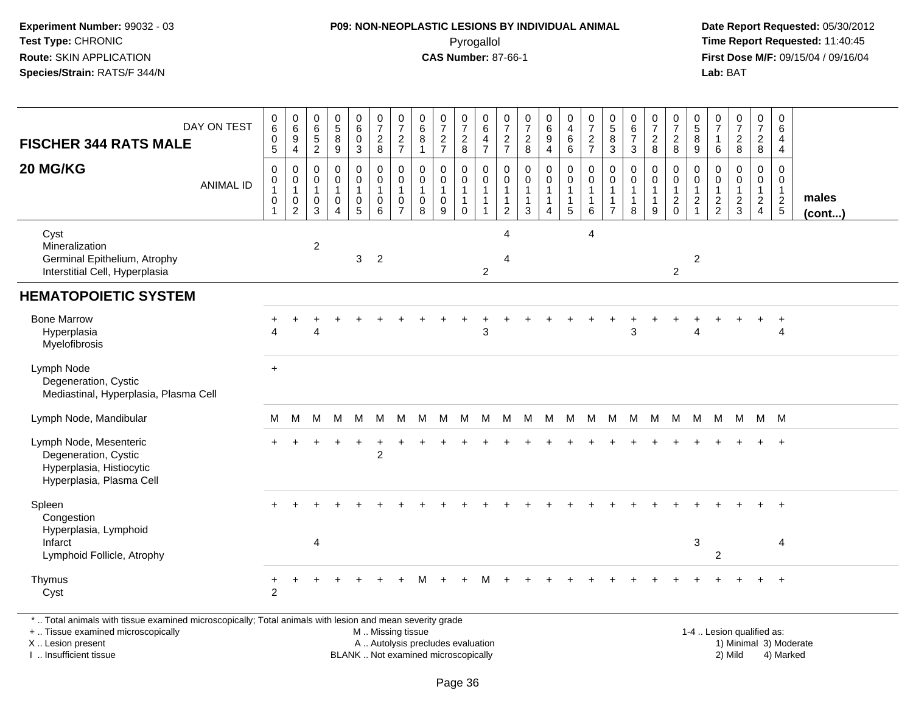#### **P09: NON-NEOPLASTIC LESIONS BY INDIVIDUAL ANIMAL**Pyrogallol **Time Report Requested:** 11:40:45

 **Date Report Requested:** 05/30/2012 **First Dose M/F:** 09/15/04 / 09/16/04 Lab: BAT **Lab:** BAT

| DAY ON TEST<br><b>FISCHER 344 RATS MALE</b><br>20 MG/KG<br><b>ANIMAL ID</b>                            | $\begin{array}{c} 0 \\ 6 \end{array}$<br>$\mathbf 0$<br>$\overline{5}$<br>$\mathbf 0$<br>$\boldsymbol{0}$<br>$\mathbf{1}$<br>$\mathbf 0$ | $\begin{array}{c} 0 \\ 6 \end{array}$<br>$\boldsymbol{9}$<br>$\overline{4}$<br>$\mathbf 0$<br>$\boldsymbol{0}$<br>$\overline{1}$<br>$\mathbf 0$<br>$\sqrt{2}$ | $\pmb{0}$<br>$6\phantom{1}6$<br>$\overline{5}$<br>$\sqrt{2}$<br>$\mathbf 0$<br>$\mathbf 0$<br>$\mathbf{1}$<br>$\mathbf 0$<br>3 | $\begin{array}{c} 0 \\ 5 \end{array}$<br>8<br>$9\,$<br>$\pmb{0}$<br>$\pmb{0}$<br>$\mathbf{1}$<br>$\mathbf 0$<br>$\overline{4}$ | $\begin{smallmatrix}0\0\0\0\end{smallmatrix}$<br>$\overline{3}$<br>$\mathsf{O}\xspace$<br>$\mathsf{O}\xspace$<br>$\mathbf{1}$<br>$\mathsf{O}$<br>5 | $\frac{0}{7}$<br>$\frac{2}{8}$<br>0<br>$\mathbf 0$<br>$\mathbf 0$<br>$6\phantom{1}$ | $\frac{0}{7}$<br>$\frac{2}{7}$<br>$\pmb{0}$<br>$\pmb{0}$<br>$\mathbf{1}$<br>$\mathbf 0$<br>$\overline{7}$ | $\begin{array}{c} 0 \\ 6 \end{array}$<br>8<br>$\overline{1}$<br>$\Omega$<br>$\mathbf 0$<br>$\mathbf{1}$<br>0<br>8 | $\frac{0}{7}$<br>$\frac{2}{7}$<br>$\mathbf 0$<br>$\boldsymbol{0}$<br>$\overline{1}$<br>$\mathbf 0$<br>9 | $\frac{0}{7}$<br>$_{\rm 2}^2$<br>0<br>$\mathbf 0$<br>$\mathbf{1}$<br>$\mathbf{1}$<br>$\Omega$ | 0<br>$\overline{6}$<br>$\overline{4}$<br>$\overline{7}$<br>0<br>$\mathbf 0$<br>$\mathbf{1}$<br>$\overline{1}$<br>1 | $\frac{0}{7}$<br>$\frac{2}{7}$<br>$\mathbf 0$<br>$\mathsf 0$<br>1<br>$\mathbf{1}$<br>2 | $\frac{0}{7}$<br>$_{8}^{\rm 2}$<br>$\mathbf 0$<br>$\pmb{0}$<br>$\overline{1}$<br>$\mathbf{1}$<br>3 | $\begin{array}{c} 0 \\ 6 \end{array}$<br>$\boldsymbol{9}$<br>$\overline{4}$<br>$\pmb{0}$<br>$\pmb{0}$<br>$\mathbf{1}$<br>$\mathbf{1}$<br>$\overline{4}$ | $_4^{\rm 0}$<br>$\,6\,$<br>$\,6\,$<br>0<br>$\mathsf{O}\xspace$<br>1<br>$\mathbf{1}$<br>5 | $\frac{0}{7}$<br>$\frac{2}{7}$<br>$\mathsf 0$<br>$\mathbf 0$<br>$\mathbf{1}$<br>$\mathbf{1}$<br>6 | $\begin{array}{c} 0 \\ 5 \\ 3 \end{array}$<br>$\mathbf 0$<br>$\mathbf 0$<br>$\mathbf{1}$<br>$\mathbf{1}$<br>$\overline{7}$ | $\begin{array}{c} 0 \\ 6 \end{array}$<br>$\overline{7}$<br>$\mathbf{3}$<br>$\mathbf 0$<br>0<br>8 | $\frac{0}{7}$<br>$\frac{2}{8}$<br>$\mathbf 0$<br>$\mathbf 0$<br>$\mathbf{1}$<br>$\overline{1}$<br>9 | $\frac{0}{7}$<br>$_{\rm 8}^2$<br>0<br>$\mathbf 0$<br>$\overline{1}$<br>$\overline{c}$<br>$\Omega$ | $\begin{array}{c} 0 \\ 5 \end{array}$<br>$\overline{8}$<br>9<br>$\mathbf 0$<br>$\mathbf 0$<br>$\overline{1}$<br>$\sqrt{2}$<br>$\overline{1}$ | 0<br>$\overline{7}$<br>$\mathbf{1}$<br>6<br>$\Omega$<br>0<br>$\mathbf{1}$<br>$\frac{2}{2}$ | $\frac{0}{7}$<br>$\frac{2}{8}$<br>$\Omega$<br>0<br>1<br>$\overline{c}$<br>$\mathbf{3}$ | $\frac{0}{7}$<br>$\frac{2}{8}$<br>$\pmb{0}$<br>$\mathsf{O}\xspace$<br>$\mathbf{1}$<br>$\overline{a}$<br>$\overline{4}$ | 0<br>$\,6\,$<br>$\overline{4}$<br>$\overline{4}$<br>$\mathbf 0$<br>$\overline{0}$<br>$\overline{1}$<br>$\frac{2}{5}$ | males<br>(cont) |
|--------------------------------------------------------------------------------------------------------|------------------------------------------------------------------------------------------------------------------------------------------|---------------------------------------------------------------------------------------------------------------------------------------------------------------|--------------------------------------------------------------------------------------------------------------------------------|--------------------------------------------------------------------------------------------------------------------------------|----------------------------------------------------------------------------------------------------------------------------------------------------|-------------------------------------------------------------------------------------|-----------------------------------------------------------------------------------------------------------|-------------------------------------------------------------------------------------------------------------------|---------------------------------------------------------------------------------------------------------|-----------------------------------------------------------------------------------------------|--------------------------------------------------------------------------------------------------------------------|----------------------------------------------------------------------------------------|----------------------------------------------------------------------------------------------------|---------------------------------------------------------------------------------------------------------------------------------------------------------|------------------------------------------------------------------------------------------|---------------------------------------------------------------------------------------------------|----------------------------------------------------------------------------------------------------------------------------|--------------------------------------------------------------------------------------------------|-----------------------------------------------------------------------------------------------------|---------------------------------------------------------------------------------------------------|----------------------------------------------------------------------------------------------------------------------------------------------|--------------------------------------------------------------------------------------------|----------------------------------------------------------------------------------------|------------------------------------------------------------------------------------------------------------------------|----------------------------------------------------------------------------------------------------------------------|-----------------|
| Cyst<br>Mineralization<br>Germinal Epithelium, Atrophy<br>Interstitial Cell, Hyperplasia               |                                                                                                                                          |                                                                                                                                                               | $\overline{c}$                                                                                                                 |                                                                                                                                | $\mathbf{3}$                                                                                                                                       | $\overline{2}$                                                                      |                                                                                                           |                                                                                                                   |                                                                                                         |                                                                                               | $\overline{2}$                                                                                                     | $\overline{4}$<br>$\overline{4}$                                                       |                                                                                                    |                                                                                                                                                         |                                                                                          | 4                                                                                                 |                                                                                                                            |                                                                                                  |                                                                                                     | $\overline{c}$                                                                                    | $\overline{2}$                                                                                                                               |                                                                                            |                                                                                        |                                                                                                                        |                                                                                                                      |                 |
| <b>HEMATOPOIETIC SYSTEM</b>                                                                            |                                                                                                                                          |                                                                                                                                                               |                                                                                                                                |                                                                                                                                |                                                                                                                                                    |                                                                                     |                                                                                                           |                                                                                                                   |                                                                                                         |                                                                                               |                                                                                                                    |                                                                                        |                                                                                                    |                                                                                                                                                         |                                                                                          |                                                                                                   |                                                                                                                            |                                                                                                  |                                                                                                     |                                                                                                   |                                                                                                                                              |                                                                                            |                                                                                        |                                                                                                                        |                                                                                                                      |                 |
| <b>Bone Marrow</b><br>Hyperplasia<br>Myelofibrosis                                                     | Λ                                                                                                                                        |                                                                                                                                                               | Δ                                                                                                                              |                                                                                                                                |                                                                                                                                                    |                                                                                     |                                                                                                           |                                                                                                                   |                                                                                                         |                                                                                               | 3                                                                                                                  |                                                                                        |                                                                                                    |                                                                                                                                                         |                                                                                          |                                                                                                   |                                                                                                                            | 3                                                                                                |                                                                                                     |                                                                                                   | $\Delta$                                                                                                                                     |                                                                                            |                                                                                        |                                                                                                                        | $\ddot{}$<br>$\overline{4}$                                                                                          |                 |
| Lymph Node<br>Degeneration, Cystic<br>Mediastinal, Hyperplasia, Plasma Cell                            | $+$                                                                                                                                      |                                                                                                                                                               |                                                                                                                                |                                                                                                                                |                                                                                                                                                    |                                                                                     |                                                                                                           |                                                                                                                   |                                                                                                         |                                                                                               |                                                                                                                    |                                                                                        |                                                                                                    |                                                                                                                                                         |                                                                                          |                                                                                                   |                                                                                                                            |                                                                                                  |                                                                                                     |                                                                                                   |                                                                                                                                              |                                                                                            |                                                                                        |                                                                                                                        |                                                                                                                      |                 |
| Lymph Node, Mandibular                                                                                 | м                                                                                                                                        | м                                                                                                                                                             | M                                                                                                                              | M                                                                                                                              | M                                                                                                                                                  | M                                                                                   | м                                                                                                         | м                                                                                                                 | M                                                                                                       | M                                                                                             | M                                                                                                                  | M                                                                                      | м                                                                                                  | M                                                                                                                                                       | M                                                                                        | M                                                                                                 | M                                                                                                                          | M                                                                                                | M                                                                                                   | М                                                                                                 | M                                                                                                                                            | M                                                                                          | M                                                                                      | M M                                                                                                                    |                                                                                                                      |                 |
| Lymph Node, Mesenteric<br>Degeneration, Cystic<br>Hyperplasia, Histiocytic<br>Hyperplasia, Plasma Cell |                                                                                                                                          |                                                                                                                                                               |                                                                                                                                |                                                                                                                                | ÷                                                                                                                                                  | ÷<br>$\overline{2}$                                                                 |                                                                                                           |                                                                                                                   |                                                                                                         |                                                                                               |                                                                                                                    |                                                                                        |                                                                                                    |                                                                                                                                                         |                                                                                          |                                                                                                   |                                                                                                                            |                                                                                                  |                                                                                                     |                                                                                                   |                                                                                                                                              |                                                                                            |                                                                                        |                                                                                                                        | $\ddot{}$                                                                                                            |                 |
| Spleen<br>Congestion<br>Hyperplasia, Lymphoid<br>Infarct<br>Lymphoid Follicle, Atrophy                 |                                                                                                                                          |                                                                                                                                                               | 4                                                                                                                              |                                                                                                                                |                                                                                                                                                    |                                                                                     |                                                                                                           |                                                                                                                   |                                                                                                         |                                                                                               |                                                                                                                    |                                                                                        |                                                                                                    |                                                                                                                                                         |                                                                                          |                                                                                                   |                                                                                                                            |                                                                                                  |                                                                                                     |                                                                                                   | $\ensuremath{\mathsf{3}}$                                                                                                                    | $\overline{2}$                                                                             |                                                                                        |                                                                                                                        | $+$<br>4                                                                                                             |                 |
| Thymus<br>Cyst                                                                                         | +<br>2                                                                                                                                   |                                                                                                                                                               |                                                                                                                                |                                                                                                                                |                                                                                                                                                    |                                                                                     |                                                                                                           |                                                                                                                   |                                                                                                         |                                                                                               |                                                                                                                    |                                                                                        |                                                                                                    |                                                                                                                                                         |                                                                                          |                                                                                                   |                                                                                                                            |                                                                                                  |                                                                                                     |                                                                                                   |                                                                                                                                              |                                                                                            |                                                                                        |                                                                                                                        | $\ddot{}$                                                                                                            |                 |

\* .. Total animals with tissue examined microscopically; Total animals with lesion and mean severity grade

+ .. Tissue examined microscopically

X .. Lesion present

I .. Insufficient tissue

M .. Missing tissue

A .. Autolysis precludes evaluation

BLANK .. Not examined microscopically 2) Mild 4) Marked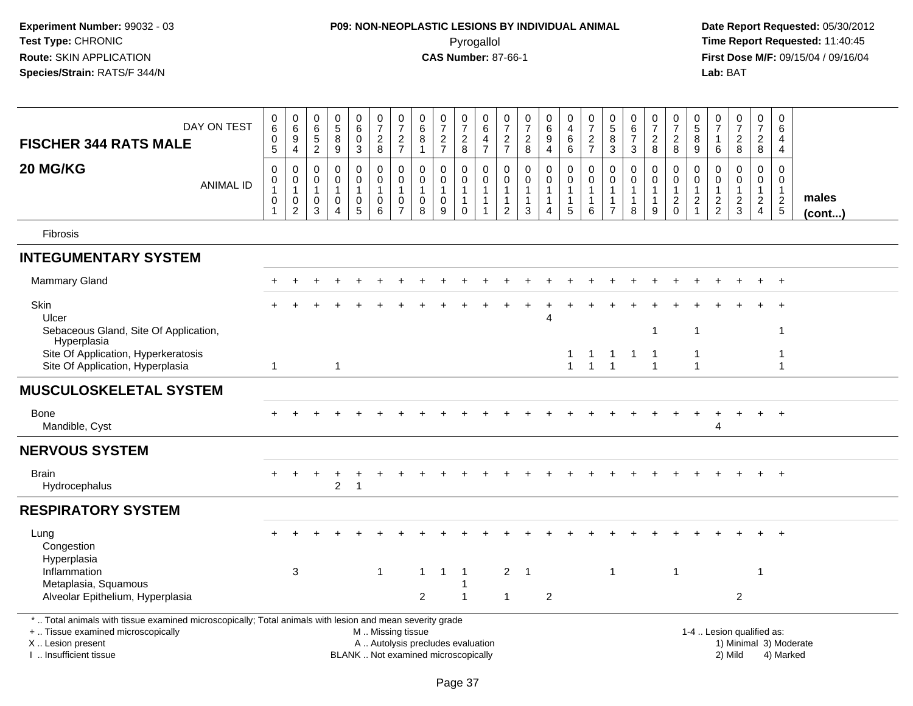# **P09: NON-NEOPLASTIC LESIONS BY INDIVIDUAL ANIMAL**Pyrogallol **Time Report Requested:** 11:40:45

| DAY ON TEST<br><b>FISCHER 344 RATS MALE</b><br>20 MG/KG                                                                                                                                       | $_6^0$<br>$\mathsf{O}\xspace$<br>$\overline{5}$<br>$\pmb{0}$ | $_{6}^{\rm 0}$<br>$\boldsymbol{9}$<br>$\overline{4}$<br>$\mathbf 0$ | $\boldsymbol{0}$<br>$\overline{6}$<br>$\frac{5}{2}$<br>$\mathbf 0$ | $\mathbf 0$<br>$\overline{5}$<br>8<br>9<br>$\pmb{0}$         | 0<br>$\overline{6}$<br>$\pmb{0}$<br>$\overline{3}$<br>0    | $\begin{array}{c} 0 \\ 7 \end{array}$<br>$\frac{2}{8}$<br>$\pmb{0}$                           | $\frac{0}{7}$<br>$\frac{2}{7}$<br>$\pmb{0}$                | 0<br>6<br>$\bf8$<br>$\mathbf{1}$<br>$\Omega$  | $\begin{array}{c} 0 \\ 7 \end{array}$<br>$\frac{2}{7}$<br>$\pmb{0}$ | $\frac{0}{7}$<br>$_{\rm 8}^2$<br>0                           | $\mathbf 0$<br>$6\phantom{1}$<br>$\overline{4}$<br>$\overline{7}$<br>$\mathbf 0$ | 0<br>$\overline{7}$<br>$\frac{2}{7}$<br>0 | $\frac{0}{7}$<br>$\frac{2}{8}$<br>0              | $_{6}^{\rm 0}$<br>$\boldsymbol{9}$<br>$\overline{4}$<br>$\pmb{0}$ | $\mathbf 0$<br>$\overline{4}$<br>$\,6\,$<br>$6\phantom{1}6$<br>0 | 0<br>$\overline{7}$<br>$\frac{2}{7}$<br>$\mathsf 0$ | $\mathbf 0$<br>$\overline{5}$<br>$\bf 8$<br>$\mathbf{3}$<br>$\mathbf 0$ | $\mathbf 0$<br>$6\overline{6}$<br>$\overline{7}$<br>$\mathbf{3}$<br>$\pmb{0}$ | $\frac{0}{7}$<br>$_{\rm 8}^2$<br>0               | $\frac{0}{7}$<br>$_{\rm 8}^2$<br>$\,0\,$            | 0<br>$\overline{5}$<br>$\,8\,$<br>$\boldsymbol{9}$<br>0 | 0<br>$\overline{7}$<br>$\mathbf{1}$<br>6<br>0 | $\frac{0}{7}$<br>$\frac{2}{8}$<br>$\Omega$   | 0<br>$\overline{7}$<br>$_{\rm 8}^2$<br>0 | $\pmb{0}$<br>$\overline{6}$<br>4<br>$\overline{4}$<br>$\mathbf 0$ |                        |
|-----------------------------------------------------------------------------------------------------------------------------------------------------------------------------------------------|--------------------------------------------------------------|---------------------------------------------------------------------|--------------------------------------------------------------------|--------------------------------------------------------------|------------------------------------------------------------|-----------------------------------------------------------------------------------------------|------------------------------------------------------------|-----------------------------------------------|---------------------------------------------------------------------|--------------------------------------------------------------|----------------------------------------------------------------------------------|-------------------------------------------|--------------------------------------------------|-------------------------------------------------------------------|------------------------------------------------------------------|-----------------------------------------------------|-------------------------------------------------------------------------|-------------------------------------------------------------------------------|--------------------------------------------------|-----------------------------------------------------|---------------------------------------------------------|-----------------------------------------------|----------------------------------------------|------------------------------------------|-------------------------------------------------------------------|------------------------|
| <b>ANIMAL ID</b>                                                                                                                                                                              | 0<br>$\mathbf{1}$<br>0<br>$\overline{1}$                     | $\,0\,$<br>$\overline{1}$<br>$\,0\,$<br>$\overline{2}$              | 0<br>$\overline{1}$<br>$\boldsymbol{0}$<br>$\mathbf{3}$            | $\mathbf 0$<br>$\mathbf{1}$<br>$\mathbf 0$<br>$\overline{A}$ | $\mathbf 0$<br>$\mathbf{1}$<br>$\pmb{0}$<br>$\overline{5}$ | $\mathsf 0$<br>$\mathbf{1}$<br>$\begin{array}{c} 0 \\ 6 \end{array}$                          | $\mathbf 0$<br>$\mathbf{1}$<br>$\pmb{0}$<br>$\overline{7}$ | $\mathbf 0$<br>$\mathbf{1}$<br>$\pmb{0}$<br>8 | $\mathbf 0$<br>$\mathbf{1}$<br>$\mathbf 0$<br>9                     | $\mathbf 0$<br>$\overline{1}$<br>$\mathbf{1}$<br>$\mathbf 0$ | $\mathbf 0$<br>$\overline{1}$<br>$\mathbf{1}$<br>$\overline{1}$                  | $\mathbf 0$<br>$\mathbf{1}$<br>1<br>2     | $\mathbf 0$<br>$\mathbf{1}$<br>$\mathbf{1}$<br>3 | $\mathbf 0$<br>$\mathbf{1}$<br>$\mathbf{1}$<br>4                  | $\mathbf 0$<br>$\mathbf{1}$<br>$\mathbf{1}$<br>$\overline{5}$    | $\mathbf 0$<br>$\overline{1}$<br>$\mathbf{1}$<br>6  | $\mathbf 0$<br>$\overline{1}$<br>$\mathbf{1}$<br>$\overline{7}$         | $\mathbf 0$<br>$\mathbf{1}$<br>$\mathbf{1}$<br>8                              | $\mathbf 0$<br>$\mathbf{1}$<br>$\mathbf{1}$<br>9 | $\mathsf{O}\xspace$<br>$\mathbf{1}$<br>$^2_{\rm 0}$ | $\mathbf 0$<br>$\mathbf{1}$<br>$\frac{2}{1}$            | $\mathbf 0$<br>$\mathbf{1}$<br>$\frac{2}{2}$  | $\mathbf 0$<br>$\mathbf{1}$<br>$\frac{2}{3}$ | $\Omega$<br>1<br>$\frac{2}{4}$           | $\mathbf 0$<br>$\overline{1}$<br>$\frac{2}{5}$                    | males<br>(cont)        |
| <b>Fibrosis</b>                                                                                                                                                                               |                                                              |                                                                     |                                                                    |                                                              |                                                            |                                                                                               |                                                            |                                               |                                                                     |                                                              |                                                                                  |                                           |                                                  |                                                                   |                                                                  |                                                     |                                                                         |                                                                               |                                                  |                                                     |                                                         |                                               |                                              |                                          |                                                                   |                        |
| <b>INTEGUMENTARY SYSTEM</b>                                                                                                                                                                   |                                                              |                                                                     |                                                                    |                                                              |                                                            |                                                                                               |                                                            |                                               |                                                                     |                                                              |                                                                                  |                                           |                                                  |                                                                   |                                                                  |                                                     |                                                                         |                                                                               |                                                  |                                                     |                                                         |                                               |                                              |                                          |                                                                   |                        |
| Mammary Gland                                                                                                                                                                                 |                                                              |                                                                     |                                                                    |                                                              |                                                            |                                                                                               |                                                            |                                               |                                                                     |                                                              |                                                                                  |                                           |                                                  |                                                                   |                                                                  |                                                     |                                                                         |                                                                               |                                                  |                                                     |                                                         |                                               |                                              |                                          |                                                                   |                        |
| <b>Skin</b><br>Ulcer<br>Sebaceous Gland, Site Of Application,<br>Hyperplasia                                                                                                                  |                                                              |                                                                     |                                                                    |                                                              |                                                            |                                                                                               |                                                            |                                               |                                                                     |                                                              |                                                                                  |                                           |                                                  | $\boldsymbol{\Lambda}$                                            |                                                                  |                                                     |                                                                         |                                                                               | -1                                               |                                                     | $\mathbf 1$                                             |                                               |                                              |                                          |                                                                   |                        |
| Site Of Application, Hyperkeratosis<br>Site Of Application, Hyperplasia                                                                                                                       | $\mathbf{1}$                                                 |                                                                     |                                                                    | $\overline{1}$                                               |                                                            |                                                                                               |                                                            |                                               |                                                                     |                                                              |                                                                                  |                                           |                                                  |                                                                   | 1<br>$\mathbf{1}$                                                | $\mathbf{1}$<br>$\overline{1}$                      | $\mathbf{1}$<br>$\overline{1}$                                          | $\mathbf{1}$                                                                  | $\overline{1}$<br>$\overline{1}$                 |                                                     | $\mathbf 1$<br>$\overline{1}$                           |                                               |                                              |                                          |                                                                   |                        |
| <b>MUSCULOSKELETAL SYSTEM</b>                                                                                                                                                                 |                                                              |                                                                     |                                                                    |                                                              |                                                            |                                                                                               |                                                            |                                               |                                                                     |                                                              |                                                                                  |                                           |                                                  |                                                                   |                                                                  |                                                     |                                                                         |                                                                               |                                                  |                                                     |                                                         |                                               |                                              |                                          |                                                                   |                        |
| Bone<br>Mandible, Cyst                                                                                                                                                                        |                                                              |                                                                     |                                                                    |                                                              |                                                            |                                                                                               |                                                            |                                               |                                                                     |                                                              |                                                                                  |                                           |                                                  |                                                                   |                                                                  |                                                     |                                                                         |                                                                               |                                                  |                                                     |                                                         | 4                                             |                                              |                                          | $+$                                                               |                        |
| <b>NERVOUS SYSTEM</b>                                                                                                                                                                         |                                                              |                                                                     |                                                                    |                                                              |                                                            |                                                                                               |                                                            |                                               |                                                                     |                                                              |                                                                                  |                                           |                                                  |                                                                   |                                                                  |                                                     |                                                                         |                                                                               |                                                  |                                                     |                                                         |                                               |                                              |                                          |                                                                   |                        |
| <b>Brain</b><br>Hydrocephalus                                                                                                                                                                 |                                                              | $\ddot{}$                                                           | $\div$                                                             | $\overline{1}$<br>$\overline{c}$                             | -1                                                         |                                                                                               |                                                            |                                               |                                                                     |                                                              |                                                                                  |                                           |                                                  |                                                                   |                                                                  |                                                     |                                                                         |                                                                               |                                                  |                                                     |                                                         |                                               |                                              |                                          | $+$                                                               |                        |
| <b>RESPIRATORY SYSTEM</b>                                                                                                                                                                     |                                                              |                                                                     |                                                                    |                                                              |                                                            |                                                                                               |                                                            |                                               |                                                                     |                                                              |                                                                                  |                                           |                                                  |                                                                   |                                                                  |                                                     |                                                                         |                                                                               |                                                  |                                                     |                                                         |                                               |                                              |                                          |                                                                   |                        |
| Lung<br>Congestion<br>Hyperplasia                                                                                                                                                             |                                                              |                                                                     |                                                                    |                                                              |                                                            |                                                                                               |                                                            |                                               |                                                                     |                                                              |                                                                                  |                                           |                                                  |                                                                   |                                                                  |                                                     |                                                                         |                                                                               |                                                  |                                                     |                                                         |                                               |                                              |                                          |                                                                   |                        |
| Inflammation<br>Metaplasia, Squamous<br>Alveolar Epithelium, Hyperplasia                                                                                                                      |                                                              | 3                                                                   |                                                                    |                                                              |                                                            | $\mathbf{1}$                                                                                  |                                                            | $\mathbf{1}$<br>$\overline{2}$                | $\overline{1}$                                                      | $\overline{1}$<br>-1                                         |                                                                                  | $\overline{2}$<br>$\mathbf{1}$            | $\overline{1}$                                   | $\overline{c}$                                                    |                                                                  |                                                     | $\mathbf{1}$                                                            |                                                                               |                                                  | $\mathbf 1$                                         |                                                         |                                               | $\overline{c}$                               | -1                                       |                                                                   |                        |
| *  Total animals with tissue examined microscopically; Total animals with lesion and mean severity grade<br>+  Tissue examined microscopically<br>X  Lesion present<br>I. Insufficient tissue |                                                              |                                                                     |                                                                    |                                                              |                                                            | M  Missing tissue<br>A  Autolysis precludes evaluation<br>BLANK  Not examined microscopically |                                                            |                                               |                                                                     |                                                              |                                                                                  |                                           |                                                  |                                                                   |                                                                  |                                                     |                                                                         |                                                                               |                                                  |                                                     |                                                         |                                               | 1-4  Lesion qualified as:<br>2) Mild         |                                          | 4) Marked                                                         | 1) Minimal 3) Moderate |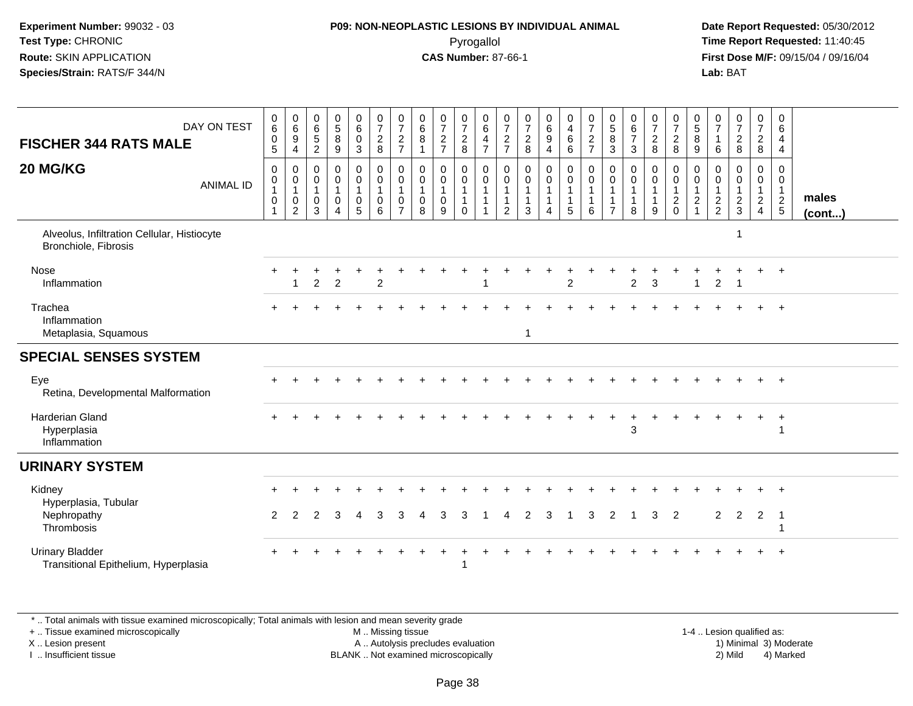## **P09: NON-NEOPLASTIC LESIONS BY INDIVIDUAL ANIMAL**Pyrogallol **Time Report Requested:** 11:40:45

 **Date Report Requested:** 05/30/2012 **First Dose M/F:** 09/15/04 / 09/16/04 Lab: BAT **Lab:** BAT

| DAY ON TEST<br><b>FISCHER 344 RATS MALE</b>                         | 0<br>6<br>$\boldsymbol{0}$<br>5                                                | $\pmb{0}$<br>$6\phantom{a}$<br>$\boldsymbol{9}$<br>$\overline{4}$ | 0<br>$6\phantom{a}$<br>$\frac{5}{2}$                  | $\begin{matrix} 0 \\ 5 \end{matrix}$<br>$\bf 8$<br>$\boldsymbol{9}$ | $\begin{array}{c} 0 \\ 6 \end{array}$<br>$\mathbf 0$<br>$\mathbf{3}$                   | $\frac{0}{7}$<br>$\frac{2}{8}$                                            | $\frac{0}{7}$<br>$\frac{2}{7}$                                    | $\begin{array}{c} 0 \\ 6 \end{array}$<br>8<br>$\mathbf{1}$     | $\frac{0}{7}$<br>$\frac{2}{7}$                        | 0728                                                    | $\begin{array}{c} 0 \\ 6 \end{array}$<br>$\frac{4}{7}$                                 | $\frac{0}{7}$<br>$\frac{2}{7}$                        | $\frac{0}{7}$<br>$\overline{c}$<br>8                            | $\begin{matrix} 0 \\ 6 \end{matrix}$<br>$\boldsymbol{9}$<br>$\overline{4}$ | $\frac{0}{4}$<br>$\,6\,$<br>6                                 | $\frac{0}{7}$<br>$\frac{2}{7}$                                             | $\begin{array}{c} 0 \\ 5 \\ 3 \end{array}$                 | $\begin{matrix} 0 \\ 6 \\ 7 \end{matrix}$<br>$\mathbf{3}$       | $\frac{0}{7}$<br>$\overline{2}$<br>8       | $\frac{0}{7}$<br>$\frac{2}{8}$                                    | $\begin{matrix} 0 \\ 5 \end{matrix}$<br>8<br>9    | 0<br>$\overline{7}$<br>6                       | $\frac{0}{7}$<br>$\frac{2}{8}$                    | $\frac{0}{7}$<br>$\frac{2}{8}$                                       | 0<br>6<br>4<br>4                                                         |                       |
|---------------------------------------------------------------------|--------------------------------------------------------------------------------|-------------------------------------------------------------------|-------------------------------------------------------|---------------------------------------------------------------------|----------------------------------------------------------------------------------------|---------------------------------------------------------------------------|-------------------------------------------------------------------|----------------------------------------------------------------|-------------------------------------------------------|---------------------------------------------------------|----------------------------------------------------------------------------------------|-------------------------------------------------------|-----------------------------------------------------------------|----------------------------------------------------------------------------|---------------------------------------------------------------|----------------------------------------------------------------------------|------------------------------------------------------------|-----------------------------------------------------------------|--------------------------------------------|-------------------------------------------------------------------|---------------------------------------------------|------------------------------------------------|---------------------------------------------------|----------------------------------------------------------------------|--------------------------------------------------------------------------|-----------------------|
| 20 MG/KG<br><b>ANIMAL ID</b>                                        | $\mathbf 0$<br>$\pmb{0}$<br>$\mathbf{1}$<br>$\boldsymbol{0}$<br>$\overline{1}$ | 0<br>$\pmb{0}$<br>$\mathbf{1}$<br>$\boldsymbol{0}$<br>2           | 0<br>$\mathbf 0$<br>$\mathbf{1}$<br>0<br>$\mathbf{3}$ | $\mathbf 0$<br>0<br>$\pmb{0}$<br>$\overline{4}$                     | $\mathbf 0$<br>$\mathbf 0$<br>$\overline{\mathbf{1}}$<br>$\mathbf 0$<br>$\overline{5}$ | 0<br>$\mathsf{O}\xspace$<br>$\mathbf{1}$<br>$\mathbf 0$<br>$6\phantom{a}$ | 0<br>$\mathbf 0$<br>$\mathbf{1}$<br>$\mathbf 0$<br>$\overline{7}$ | $\mathbf 0$<br>$\mathbf 0$<br>$\mathbf{1}$<br>$\mathbf 0$<br>8 | 0<br>$\mathsf{O}$<br>$\mathbf{1}$<br>$\mathbf 0$<br>9 | 0<br>$\mathsf{O}\xspace$<br>$\mathbf{1}$<br>$\mathbf 0$ | $\mathbf 0$<br>$\mathsf{O}\xspace$<br>$\mathbf{1}$<br>$\overline{1}$<br>$\overline{1}$ | 0<br>$\mathbf 0$<br>$\mathbf{1}$<br>$\mathbf{1}$<br>2 | $\mathbf 0$<br>$\mathbf 0$<br>$\mathbf{1}$<br>$\mathbf{1}$<br>3 | 0<br>$\mathbf 0$<br>$\mathbf{1}$<br>$\mathbf{1}$<br>4                      | 0<br>$\mathsf{O}\xspace$<br>$\mathbf{1}$<br>$\mathbf{1}$<br>5 | $\mathbf 0$<br>$\pmb{0}$<br>$\mathbf{1}$<br>$\mathbf{1}$<br>$6\phantom{1}$ | 0<br>0<br>$\overline{1}$<br>$\mathbf{1}$<br>$\overline{7}$ | $\mathbf 0$<br>$\mathbf 0$<br>$\mathbf{1}$<br>$\mathbf{1}$<br>8 | 0<br>$\mathbf 0$<br>1<br>$\mathbf{1}$<br>9 | 0<br>$\overline{0}$<br>$\begin{array}{c} 1 \\ 2 \\ 0 \end{array}$ | 0<br>$\mathbf 0$<br>$\frac{1}{2}$<br>$\mathbf{1}$ | $\Omega$<br>0<br>$\mathbf{1}$<br>$\frac{2}{2}$ | 0<br>$\mathbf 0$<br>$\mathbf{1}$<br>$\frac{2}{3}$ | 0<br>$\mathbf 0$<br>$\mathbf{1}$<br>$\overline{2}$<br>$\overline{4}$ | $\mathbf 0$<br>$\mathbf 0$<br>$\begin{array}{c} 1 \\ 2 \\ 5 \end{array}$ | males<br>$($ cont $)$ |
| Alveolus, Infiltration Cellular, Histiocyte<br>Bronchiole, Fibrosis |                                                                                |                                                                   |                                                       |                                                                     |                                                                                        |                                                                           |                                                                   |                                                                |                                                       |                                                         |                                                                                        |                                                       |                                                                 |                                                                            |                                                               |                                                                            |                                                            |                                                                 |                                            |                                                                   |                                                   |                                                |                                                   |                                                                      |                                                                          |                       |
| <b>Nose</b><br>Inflammation                                         |                                                                                | $\mathbf{1}$                                                      | $\overline{2}$                                        | $\overline{2}$                                                      |                                                                                        | $\overline{2}$                                                            |                                                                   |                                                                |                                                       |                                                         |                                                                                        |                                                       |                                                                 |                                                                            | $\overline{2}$                                                |                                                                            |                                                            | $\overline{2}$                                                  | 3                                          |                                                                   | $\mathbf{1}$                                      | $\overline{2}$                                 | $\overline{1}$                                    |                                                                      | $+$                                                                      |                       |
| Trachea<br>Inflammation<br>Metaplasia, Squamous                     |                                                                                |                                                                   |                                                       |                                                                     |                                                                                        |                                                                           |                                                                   |                                                                |                                                       |                                                         |                                                                                        |                                                       | 1                                                               |                                                                            |                                                               |                                                                            |                                                            |                                                                 |                                            |                                                                   |                                                   |                                                |                                                   |                                                                      | $\div$                                                                   |                       |
| <b>SPECIAL SENSES SYSTEM</b>                                        |                                                                                |                                                                   |                                                       |                                                                     |                                                                                        |                                                                           |                                                                   |                                                                |                                                       |                                                         |                                                                                        |                                                       |                                                                 |                                                                            |                                                               |                                                                            |                                                            |                                                                 |                                            |                                                                   |                                                   |                                                |                                                   |                                                                      |                                                                          |                       |
| Eye<br>Retina, Developmental Malformation                           |                                                                                |                                                                   |                                                       |                                                                     |                                                                                        |                                                                           |                                                                   |                                                                |                                                       |                                                         |                                                                                        |                                                       |                                                                 |                                                                            |                                                               |                                                                            |                                                            |                                                                 |                                            |                                                                   |                                                   |                                                |                                                   |                                                                      |                                                                          |                       |
| <b>Harderian Gland</b><br>Hyperplasia<br>Inflammation               |                                                                                |                                                                   |                                                       |                                                                     |                                                                                        |                                                                           |                                                                   |                                                                |                                                       |                                                         |                                                                                        |                                                       |                                                                 |                                                                            |                                                               |                                                                            |                                                            | 3                                                               |                                            |                                                                   |                                                   |                                                |                                                   | $\ddot{}$                                                            | $\ddot{}$                                                                |                       |
| <b>URINARY SYSTEM</b>                                               |                                                                                |                                                                   |                                                       |                                                                     |                                                                                        |                                                                           |                                                                   |                                                                |                                                       |                                                         |                                                                                        |                                                       |                                                                 |                                                                            |                                                               |                                                                            |                                                            |                                                                 |                                            |                                                                   |                                                   |                                                |                                                   |                                                                      |                                                                          |                       |
| Kidney<br>Hyperplasia, Tubular<br>Nephropathy<br>Thrombosis         | $\mathcal{P}$                                                                  | 2                                                                 | $\mathfrak{p}$                                        | 3                                                                   | 4                                                                                      | 3                                                                         | 3                                                                 |                                                                | 3                                                     | 3                                                       |                                                                                        |                                                       | $\mathcal{P}$                                                   | 3                                                                          |                                                               | 3                                                                          | 2                                                          |                                                                 | 3                                          | 2                                                                 |                                                   | 2                                              | $\overline{2}$                                    | 2                                                                    | -1                                                                       |                       |
| <b>Urinary Bladder</b><br>Transitional Epithelium, Hyperplasia      |                                                                                |                                                                   |                                                       |                                                                     |                                                                                        |                                                                           |                                                                   |                                                                | ÷                                                     |                                                         |                                                                                        |                                                       |                                                                 |                                                                            |                                                               |                                                                            |                                                            |                                                                 |                                            |                                                                   |                                                   |                                                |                                                   |                                                                      |                                                                          |                       |

\* .. Total animals with tissue examined microscopically; Total animals with lesion and mean severity grade

+ .. Tissue examined microscopically

X .. Lesion present

I .. Insufficient tissue

M .. Missing tissue

A .. Autolysis precludes evaluation

 1-4 .. Lesion qualified as: BLANK .. Not examined microscopically 2) Mild 4) Marked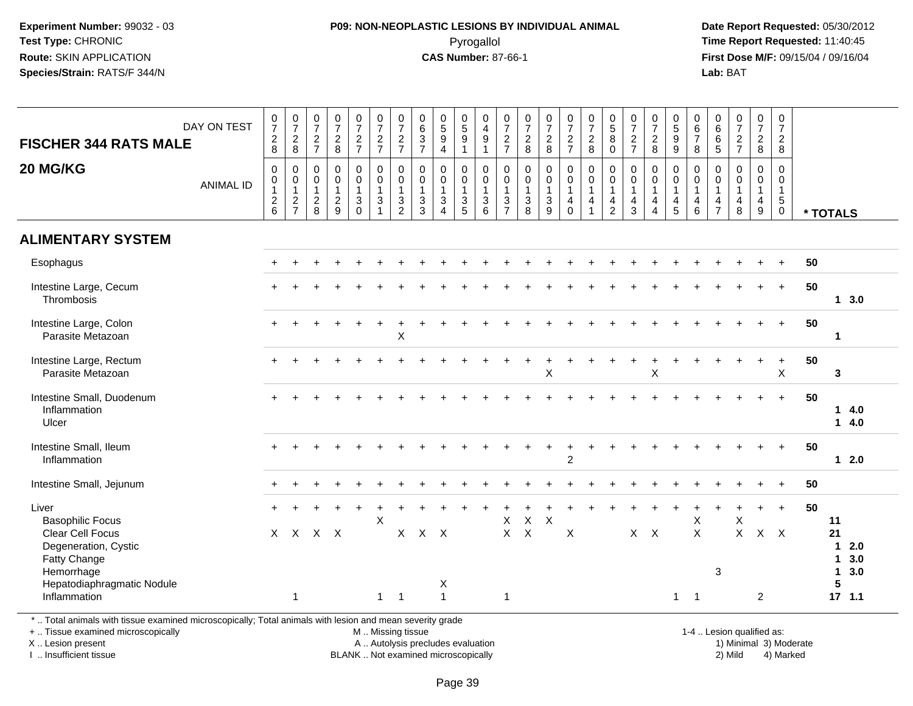## **P09: NON-NEOPLASTIC LESIONS BY INDIVIDUAL ANIMAL**Pyrogallol **Time Report Requested:** 11:40:45

 **Date Report Requested:** 05/30/2012 **First Dose M/F:** 09/15/04 / 09/16/04<br>**Lab:** BAT **Lab:** BAT

| <b>FISCHER 344 RATS MALE</b>                                                                                                                   | DAY ON TEST      | $\frac{0}{7}$<br>$_{8}^2$                                  | $\begin{array}{c} 0 \\ 7 \end{array}$<br>$\overline{c}$<br>8 | $\frac{0}{7}$<br>$\overline{c}$<br>$\overline{7}$ | $\frac{0}{7}$<br>$\overline{a}$<br>8                              | $\begin{smallmatrix}0\\7\end{smallmatrix}$<br>$rac{2}{7}$   | $\frac{0}{7}$<br>$\frac{2}{7}$                                                           | 0<br>$\overline{7}$<br>$\overline{c}$<br>$\overline{7}$                    | $\pmb{0}$<br>$6\phantom{1}6$<br>$\sqrt{3}$<br>$\overline{7}$                      | $\begin{array}{c} 0 \\ 5 \end{array}$<br>9<br>$\overline{4}$       | $\begin{array}{c} 0 \\ 5 \\ 9 \\ 1 \end{array}$                | 0<br>$\overline{4}$<br>$\boldsymbol{9}$<br>$\mathbf{1}$             | $\frac{0}{7}$<br>$\frac{2}{7}$                          | $\frac{0}{7}$<br>$\overline{c}$<br>8                     | $\begin{smallmatrix}0\\7\end{smallmatrix}$<br>$\overline{c}$<br>8 | $\frac{0}{7}$<br>$\frac{2}{7}$                                                         | $\frac{0}{7}$<br>$\overline{c}$<br>8                                | $\begin{array}{c} 0 \\ 5 \end{array}$<br>$\, 8$<br>$\mathbf 0$                        | $\frac{0}{7}$<br>$\overline{c}$<br>$\overline{7}$       | $\frac{0}{7}$<br>$\frac{2}{8}$                                                | $\begin{array}{c} 0 \\ 5 \\ 9 \end{array}$<br>$\overline{9}$ | $\begin{array}{c} 0 \\ 6 \\ 7 \end{array}$<br>8                 | 0<br>6<br>5<br>5                                            | $\begin{smallmatrix}0\\7\end{smallmatrix}$<br>$\overline{c}$<br>$\overline{7}$ | $\frac{0}{7}$<br>$\overline{c}$<br>8                              | 0<br>$\overline{7}$<br>$\overline{2}$<br>8                             |    |                                                                             |
|------------------------------------------------------------------------------------------------------------------------------------------------|------------------|------------------------------------------------------------|--------------------------------------------------------------|---------------------------------------------------|-------------------------------------------------------------------|-------------------------------------------------------------|------------------------------------------------------------------------------------------|----------------------------------------------------------------------------|-----------------------------------------------------------------------------------|--------------------------------------------------------------------|----------------------------------------------------------------|---------------------------------------------------------------------|---------------------------------------------------------|----------------------------------------------------------|-------------------------------------------------------------------|----------------------------------------------------------------------------------------|---------------------------------------------------------------------|---------------------------------------------------------------------------------------|---------------------------------------------------------|-------------------------------------------------------------------------------|--------------------------------------------------------------|-----------------------------------------------------------------|-------------------------------------------------------------|--------------------------------------------------------------------------------|-------------------------------------------------------------------|------------------------------------------------------------------------|----|-----------------------------------------------------------------------------|
| 20 MG/KG                                                                                                                                       | <b>ANIMAL ID</b> | $\pmb{0}$<br>$\mathsf{O}$<br>$\mathbf{1}$<br>$\frac{2}{6}$ | 0<br>0<br>$\mathbf{1}$<br>$\overline{a}$<br>$\overline{7}$   | 0<br>0<br>$\mathbf{1}$<br>$\frac{2}{8}$           | $\pmb{0}$<br>$\mathsf{O}\xspace$<br>$\mathbf{1}$<br>$\frac{2}{9}$ | $\mathbf 0$<br>$\mathbf 0$<br>$\mathbf{1}$<br>$\frac{3}{0}$ | $\Omega$<br>$\mathbf 0$<br>$\overline{1}$<br>$\ensuremath{\mathsf{3}}$<br>$\overline{1}$ | $\mathbf 0$<br>$\mathbf 0$<br>$\mathbf{1}$<br>$\sqrt{3}$<br>$\overline{2}$ | $\boldsymbol{0}$<br>$\mathbf 0$<br>$\mathbf{1}$<br>$\ensuremath{\mathsf{3}}$<br>3 | 0<br>$\mathbf 0$<br>$\mathbf{1}$<br>$\mathbf{3}$<br>$\overline{4}$ | $\pmb{0}$<br>$\overline{0}$<br>$\overline{1}$<br>$\frac{3}{5}$ | 0<br>$\mathsf{O}$<br>$\mathbf{1}$<br>$\ensuremath{\mathsf{3}}$<br>6 | $\pmb{0}$<br>$\pmb{0}$<br>$\mathbf{1}$<br>$\frac{3}{7}$ | $\mathbf 0$<br>$\mathbf 0$<br>$\mathbf{1}$<br>$_{8}^{3}$ | $\mathbf 0$<br>$\mathbf 0$<br>$\mathbf{1}$<br>$\frac{3}{9}$       | $\mathsf 0$<br>$\mathbf 0$<br>$\overline{1}$<br>$\overline{\mathbf{4}}$<br>$\mathbf 0$ | $\mathbf 0$<br>$\mathbf 0$<br>$\overline{1}$<br>4<br>$\overline{1}$ | $\pmb{0}$<br>$\mathbf 0$<br>$\mathbf{1}$<br>$\overline{\mathbf{4}}$<br>$\overline{2}$ | 0<br>$\mathbf 0$<br>$\mathbf{1}$<br>$\overline{4}$<br>3 | $\pmb{0}$<br>$\overline{0}$<br>1<br>$\overline{\mathbf{4}}$<br>$\overline{4}$ | 0<br>0<br>$\mathbf{1}$<br>$\overline{4}$<br>5                | 0<br>0<br>$\mathbf{1}$<br>$\begin{array}{c} 4 \\ 6 \end{array}$ | $\mathbf 0$<br>$\mathbf 0$<br>$\mathbf{1}$<br>$\frac{4}{7}$ | 0<br>$\overline{0}$<br>$\mathbf{1}$<br>4<br>8                                  | $\mathbf 0$<br>$\mathbf 0$<br>$\mathbf{1}$<br>$\overline{4}$<br>9 | $\Omega$<br>$\mathbf 0$<br>$\overline{1}$<br>$\sqrt{5}$<br>$\mathbf 0$ |    | * TOTALS                                                                    |
| <b>ALIMENTARY SYSTEM</b>                                                                                                                       |                  |                                                            |                                                              |                                                   |                                                                   |                                                             |                                                                                          |                                                                            |                                                                                   |                                                                    |                                                                |                                                                     |                                                         |                                                          |                                                                   |                                                                                        |                                                                     |                                                                                       |                                                         |                                                                               |                                                              |                                                                 |                                                             |                                                                                |                                                                   |                                                                        |    |                                                                             |
| Esophagus                                                                                                                                      |                  |                                                            |                                                              |                                                   |                                                                   |                                                             |                                                                                          |                                                                            |                                                                                   |                                                                    |                                                                |                                                                     |                                                         |                                                          |                                                                   |                                                                                        |                                                                     |                                                                                       |                                                         |                                                                               |                                                              |                                                                 |                                                             |                                                                                |                                                                   |                                                                        | 50 |                                                                             |
| Intestine Large, Cecum<br>Thrombosis                                                                                                           |                  |                                                            |                                                              |                                                   |                                                                   |                                                             |                                                                                          |                                                                            |                                                                                   |                                                                    |                                                                |                                                                     |                                                         |                                                          |                                                                   |                                                                                        |                                                                     |                                                                                       |                                                         |                                                                               |                                                              |                                                                 |                                                             |                                                                                |                                                                   | $+$                                                                    | 50 | 13.0                                                                        |
| Intestine Large, Colon<br>Parasite Metazoan                                                                                                    |                  |                                                            |                                                              |                                                   |                                                                   |                                                             |                                                                                          | X                                                                          |                                                                                   |                                                                    |                                                                |                                                                     |                                                         |                                                          |                                                                   |                                                                                        |                                                                     |                                                                                       |                                                         |                                                                               |                                                              |                                                                 |                                                             |                                                                                |                                                                   | $\ddot{}$                                                              | 50 | $\mathbf{1}$                                                                |
| Intestine Large, Rectum<br>Parasite Metazoan                                                                                                   |                  |                                                            |                                                              |                                                   |                                                                   |                                                             |                                                                                          |                                                                            |                                                                                   |                                                                    |                                                                |                                                                     |                                                         |                                                          | X                                                                 |                                                                                        |                                                                     |                                                                                       |                                                         | X                                                                             |                                                              |                                                                 |                                                             |                                                                                |                                                                   | $\boldsymbol{\mathsf{X}}$                                              | 50 | $\mathbf{3}$                                                                |
| Intestine Small, Duodenum<br>Inflammation<br>Ulcer                                                                                             |                  |                                                            |                                                              |                                                   |                                                                   |                                                             |                                                                                          |                                                                            |                                                                                   |                                                                    |                                                                |                                                                     |                                                         |                                                          |                                                                   |                                                                                        |                                                                     |                                                                                       |                                                         |                                                                               |                                                              |                                                                 |                                                             |                                                                                |                                                                   | $+$                                                                    | 50 | 14.0<br>14.0                                                                |
| Intestine Small, Ileum<br>Inflammation                                                                                                         |                  |                                                            |                                                              |                                                   |                                                                   |                                                             |                                                                                          |                                                                            |                                                                                   |                                                                    |                                                                |                                                                     |                                                         |                                                          |                                                                   | $\overline{2}$                                                                         |                                                                     |                                                                                       |                                                         |                                                                               |                                                              |                                                                 |                                                             |                                                                                |                                                                   |                                                                        | 50 | $12.0$                                                                      |
| Intestine Small, Jejunum                                                                                                                       |                  |                                                            |                                                              |                                                   |                                                                   |                                                             |                                                                                          |                                                                            |                                                                                   |                                                                    |                                                                |                                                                     |                                                         |                                                          |                                                                   |                                                                                        |                                                                     |                                                                                       |                                                         |                                                                               |                                                              |                                                                 |                                                             |                                                                                |                                                                   |                                                                        | 50 |                                                                             |
| Liver<br><b>Basophilic Focus</b>                                                                                                               |                  |                                                            |                                                              |                                                   |                                                                   |                                                             | X                                                                                        |                                                                            |                                                                                   |                                                                    |                                                                |                                                                     | X                                                       | $\sf X$                                                  | X                                                                 |                                                                                        |                                                                     |                                                                                       |                                                         |                                                                               |                                                              | X                                                               |                                                             | X                                                                              |                                                                   | $\ddot{}$                                                              | 50 | 11                                                                          |
| <b>Clear Cell Focus</b><br>Degeneration, Cystic<br>Fatty Change<br>Hemorrhage<br>Hepatodiaphragmatic Nodule                                    |                  | $\times$                                                   |                                                              | X X X                                             |                                                                   |                                                             |                                                                                          | X                                                                          | $X$ $X$                                                                           | Χ                                                                  |                                                                |                                                                     | $\mathsf{X}^-$                                          | $\mathsf{X}$                                             |                                                                   | X                                                                                      |                                                                     |                                                                                       |                                                         | $X$ $X$                                                                       |                                                              | $\pmb{\times}$                                                  | 3                                                           | $\mathsf{X}^-$                                                                 | $X$ $X$                                                           |                                                                        |    | 21<br>2.0<br>$\mathbf{1}$<br>3.0<br>$\mathbf 1$<br>3.0<br>$\mathbf{1}$<br>5 |
| Inflammation                                                                                                                                   |                  |                                                            | $\mathbf{1}$                                                 |                                                   |                                                                   |                                                             |                                                                                          | $1 \quad 1$                                                                |                                                                                   | $\mathbf{1}$                                                       |                                                                |                                                                     | $\mathbf{1}$                                            |                                                          |                                                                   |                                                                                        |                                                                     |                                                                                       |                                                         |                                                                               | $\mathbf{1}$                                                 | $\mathbf{1}$                                                    |                                                             |                                                                                | $\overline{2}$                                                    |                                                                        |    | $17$ 1.1                                                                    |
| *  Total animals with tissue examined microscopically; Total animals with lesion and mean severity grade<br>+  Tissue examined microscopically |                  |                                                            |                                                              |                                                   |                                                                   |                                                             | M  Missing tissue                                                                        |                                                                            |                                                                                   |                                                                    |                                                                |                                                                     |                                                         |                                                          |                                                                   |                                                                                        |                                                                     |                                                                                       |                                                         |                                                                               |                                                              |                                                                 | 1-4  Lesion qualified as:                                   |                                                                                |                                                                   |                                                                        |    |                                                                             |

X .. Lesion present

I .. Insufficient tissue

A .. Autolysis precludes evaluation

BLANK .. Not examined microscopically 2) Mild 4) Marked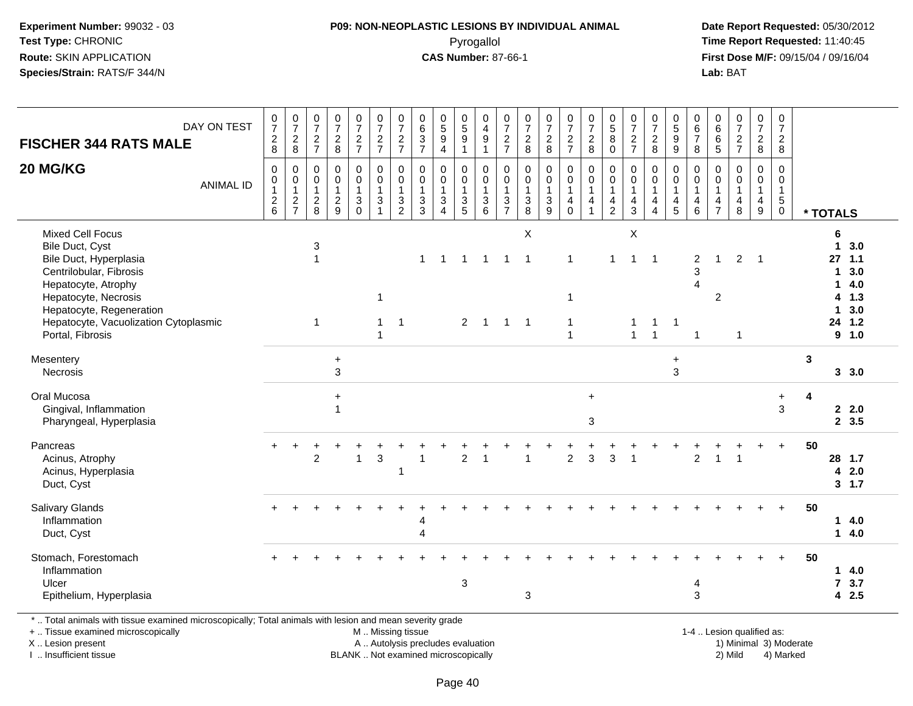### **P09: NON-NEOPLASTIC LESIONS BY INDIVIDUAL ANIMAL**Pyrogallol **Time Report Requested:** 11:40:45

 **Date Report Requested:** 05/30/2012 **First Dose M/F:** 09/15/04 / 09/16/04 Lab: BAT **Lab:** BAT

| DAY ON TEST<br><b>FISCHER 344 RATS MALE</b>                                                                                                                                                                                             | $\frac{0}{7}$<br>$^2_{\bf 8}$          | $\frac{0}{7}$<br>$\frac{2}{8}$                                | $\,0\,$<br>$\overline{7}$<br>$\overline{2}$<br>$\overline{7}$     | $\frac{0}{7}$<br>$_{8}^2$                                   | $\frac{0}{7}$<br>$\frac{2}{7}$          | $\begin{array}{c} 0 \\ 7 \end{array}$<br>$\frac{2}{7}$                                  | $\frac{0}{7}$<br>$\frac{2}{7}$                            | $\begin{array}{c} 0 \\ 6 \end{array}$<br>$\mathbf{3}$<br>$\overline{7}$ | $\begin{array}{c} 0 \\ 5 \end{array}$<br>$\boldsymbol{9}$<br>$\overline{4}$ | $^{\rm 0}_{\rm 5}$<br>9<br>$\mathbf 1$ | 0<br>$\overline{\mathbf{4}}$<br>$\boldsymbol{9}$<br>$\mathbf{1}$         | $\frac{0}{7}$<br>$\frac{2}{7}$                            | $\begin{smallmatrix}0\\7\end{smallmatrix}$<br>$_{\rm 8}^2$         | $\begin{array}{c} 0 \\ 7 \end{array}$<br>$\frac{2}{8}$                       | $\frac{0}{7}$<br>$\frac{2}{7}$                    | $\frac{0}{7}$<br>$\overline{a}$<br>8       | $\begin{array}{c} 0 \\ 5 \end{array}$<br>$\overline{8}$<br>$\mathbf 0$ | $\begin{array}{c} 0 \\ 7 \end{array}$<br>$\boldsymbol{2}$<br>$\overline{7}$ | $\frac{0}{7}$<br>$^2_8$                              | $\begin{array}{c} 0 \\ 5 \\ 9 \end{array}$<br>$\overline{9}$     | 0<br>$\,6\,$<br>$\overline{7}$<br>8                                         | $\mathbf 0$<br>6<br>$\,6\,$<br>5 | $\frac{0}{7}$<br>$\frac{2}{7}$                          | $\frac{0}{7}$<br>$\overline{a}$<br>8       | 0<br>$\overline{7}$<br>$\overline{2}$<br>8               |              |                                                                                                               |  |
|-----------------------------------------------------------------------------------------------------------------------------------------------------------------------------------------------------------------------------------------|----------------------------------------|---------------------------------------------------------------|-------------------------------------------------------------------|-------------------------------------------------------------|-----------------------------------------|-----------------------------------------------------------------------------------------|-----------------------------------------------------------|-------------------------------------------------------------------------|-----------------------------------------------------------------------------|----------------------------------------|--------------------------------------------------------------------------|-----------------------------------------------------------|--------------------------------------------------------------------|------------------------------------------------------------------------------|---------------------------------------------------|--------------------------------------------|------------------------------------------------------------------------|-----------------------------------------------------------------------------|------------------------------------------------------|------------------------------------------------------------------|-----------------------------------------------------------------------------|----------------------------------|---------------------------------------------------------|--------------------------------------------|----------------------------------------------------------|--------------|---------------------------------------------------------------------------------------------------------------|--|
| 20 MG/KG<br><b>ANIMAL ID</b>                                                                                                                                                                                                            | $\mathbf 0$<br>0<br>1<br>$\frac{2}{6}$ | $\mathbf 0$<br>$\mathbf 0$<br>$\overline{1}$<br>$\frac{2}{7}$ | $\mathbf 0$<br>$\mathbf 0$<br>$\mathbf{1}$<br>$\overline{c}$<br>8 | $\mathbf 0$<br>$\mathbf 0$<br>$\mathbf{1}$<br>$\frac{2}{9}$ | 0<br>0<br>$\mathbf{1}$<br>3<br>$\Omega$ | $\pmb{0}$<br>$\mathbf 0$<br>$\mathbf{1}$<br>$\ensuremath{\mathsf{3}}$<br>$\overline{1}$ | $\mathbf 0$<br>$\pmb{0}$<br>$\mathbf{1}$<br>$\frac{3}{2}$ | 0<br>0<br>$\overline{1}$<br>3<br>3                                      | $\mathbf 0$<br>$\mathbf 0$<br>$\mathbf{1}$<br>3<br>$\overline{4}$           | 0<br>0<br>1<br>3<br>5                  | $\pmb{0}$<br>$\pmb{0}$<br>$\mathbf{1}$<br>$\ensuremath{\mathsf{3}}$<br>6 | $\mathbf 0$<br>$\pmb{0}$<br>$\mathbf{1}$<br>$\frac{3}{7}$ | $\mathbf 0$<br>0<br>$\mathbf{1}$<br>$\ensuremath{\mathsf{3}}$<br>8 | $\mathbf 0$<br>$\pmb{0}$<br>$\overline{1}$<br>$\ensuremath{\mathsf{3}}$<br>9 | 0<br>$\mathbf 0$<br>$\mathbf{1}$<br>4<br>$\Omega$ | 0<br>$\mathbf 0$<br>$\mathbf{1}$<br>4<br>1 | 0<br>$\mathbf 0$<br>$\mathbf{1}$<br>4<br>$\overline{2}$                | 0<br>0<br>$\mathbf{1}$<br>$\overline{4}$<br>3                               | $\mathbf 0$<br>$\mathbf 0$<br>$\mathbf{1}$<br>4<br>4 | 0<br>$\mathbf 0$<br>$\mathbf{1}$<br>$\overline{\mathbf{r}}$<br>5 | 0<br>0<br>$\mathbf{1}$<br>$\overline{\mathbf{4}}$<br>6                      | 0<br>0<br>4<br>$\overline{7}$    | 0<br>$\mathbf 0$<br>$\mathbf{1}$<br>$\overline{4}$<br>8 | 0<br>$\mathbf 0$<br>$\mathbf{1}$<br>4<br>9 | 0<br>$\mathbf 0$<br>$\mathbf{1}$<br>$5\phantom{.0}$<br>0 |              | * TOTALS                                                                                                      |  |
| <b>Mixed Cell Focus</b><br>Bile Duct, Cyst<br>Bile Duct, Hyperplasia<br>Centrilobular, Fibrosis<br>Hepatocyte, Atrophy<br>Hepatocyte, Necrosis<br>Hepatocyte, Regeneration<br>Hepatocyte, Vacuolization Cytoplasmic<br>Portal, Fibrosis |                                        |                                                               | 3<br>$\mathbf{1}$<br>$\mathbf{1}$                                 |                                                             |                                         | $\overline{1}$                                                                          | $\overline{1}$                                            | $\mathbf{1}$                                                            | $\overline{1}$                                                              | $\overline{1}$<br>$\overline{2}$       | $\overline{1}$<br>$\overline{1}$                                         | $\mathbf{1}$<br>$\mathbf{1}$                              | X<br>$\overline{1}$<br>$\overline{1}$                              |                                                                              | $\mathbf{1}$<br>1<br>1<br>$\mathbf{1}$            |                                            | $\mathbf{1}$                                                           | $\mathsf X$<br>$\mathbf{1}$<br>$\mathbf{1}$<br>$\mathbf{1}$                 | $\overline{1}$<br>$\mathbf{1}$<br>$\overline{1}$     | $\overline{1}$                                                   | $\overline{c}$<br>$\mathbf{3}$<br>$\overline{\mathbf{A}}$<br>$\overline{1}$ | 1<br>$\overline{c}$              | $\overline{2}$<br>$\mathbf{1}$                          | $\overline{1}$                             |                                                          |              | 6<br>$\mathbf{1}$<br>3.0<br>27<br>1.1<br>3.0<br>1<br>4.0<br>1<br>1.3<br>4<br>3.0<br>1<br>$1.2$<br>24<br>9 1.0 |  |
| Mesentery<br>Necrosis                                                                                                                                                                                                                   |                                        |                                                               |                                                                   | $\ddot{}$<br>$\mathbf{3}$                                   |                                         |                                                                                         |                                                           |                                                                         |                                                                             |                                        |                                                                          |                                                           |                                                                    |                                                                              |                                                   |                                            |                                                                        |                                                                             |                                                      | $\ddot{}$<br>3                                                   |                                                                             |                                  |                                                         |                                            |                                                          | $\mathbf{3}$ | 3, 3.0                                                                                                        |  |
| Oral Mucosa<br>Gingival, Inflammation<br>Pharyngeal, Hyperplasia                                                                                                                                                                        |                                        |                                                               |                                                                   | ÷                                                           |                                         |                                                                                         |                                                           |                                                                         |                                                                             |                                        |                                                                          |                                                           |                                                                    |                                                                              |                                                   | $\ddot{}$<br>$\mathbf{3}$                  |                                                                        |                                                                             |                                                      |                                                                  |                                                                             |                                  |                                                         |                                            | $\ddot{}$<br>3                                           | 4            | 22.0<br>2, 3.5                                                                                                |  |
| Pancreas<br>Acinus, Atrophy<br>Acinus, Hyperplasia<br>Duct, Cyst                                                                                                                                                                        | $+$                                    | $\ddot{}$                                                     | $\overline{2}$                                                    |                                                             | $\overline{1}$                          | 3                                                                                       | -1                                                        | 1                                                                       |                                                                             | $\overline{2}$                         |                                                                          |                                                           |                                                                    |                                                                              | $\overline{a}$                                    | 3                                          | 3                                                                      |                                                                             |                                                      |                                                                  | $\overline{c}$                                                              |                                  |                                                         |                                            | $\ddot{}$                                                | 50           | 28 1.7<br>$4 2.0$<br>3, 1.7                                                                                   |  |
| <b>Salivary Glands</b><br>Inflammation<br>Duct, Cyst                                                                                                                                                                                    |                                        |                                                               |                                                                   |                                                             |                                         |                                                                                         |                                                           | 4<br>4                                                                  |                                                                             |                                        |                                                                          |                                                           |                                                                    |                                                                              |                                                   |                                            |                                                                        |                                                                             |                                                      |                                                                  |                                                                             |                                  |                                                         |                                            | $\ddot{}$                                                | 50           | 14.0<br>14.0                                                                                                  |  |
| Stomach, Forestomach<br>Inflammation<br>Ulcer<br>Epithelium, Hyperplasia                                                                                                                                                                |                                        |                                                               |                                                                   |                                                             |                                         |                                                                                         |                                                           |                                                                         |                                                                             | 3                                      |                                                                          |                                                           | $\mathbf{3}$                                                       |                                                                              |                                                   |                                            |                                                                        |                                                                             |                                                      |                                                                  | 4<br>$\mathfrak{S}$                                                         |                                  |                                                         |                                            |                                                          | 50           | 14.0<br>73.7<br>4 2.5                                                                                         |  |

\* .. Total animals with tissue examined microscopically; Total animals with lesion and mean severity grade

+ .. Tissue examined microscopically

X .. Lesion present

I .. Insufficient tissue

M .. Missing tissue

A .. Autolysis precludes evaluation 19 and 10 minimal 3) Moderate 1 and 20 minimal 3) Moderate 19 minimal 3) Moderat<br>19 and 19 and 19 and 19 and 19 and 19 and 19 and 19 and 19 and 19 and 19 and 19 and 19 and 19 and 19 and BLANK .. Not examined microscopically

1-4 .. Lesion qualified as: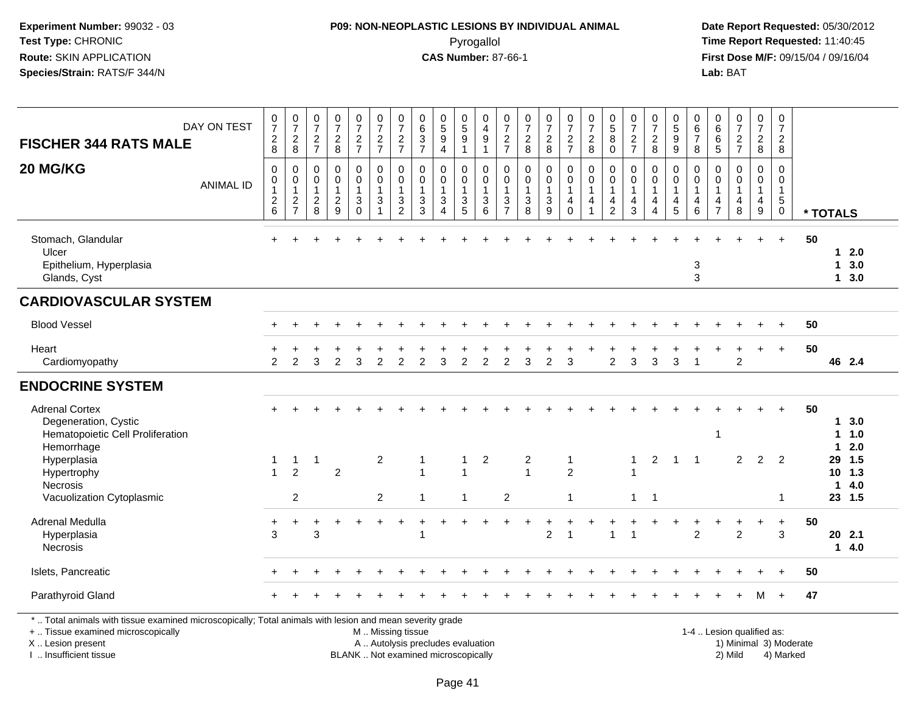## **P09: NON-NEOPLASTIC LESIONS BY INDIVIDUAL ANIMAL**Pyrogallol **Time Report Requested:** 11:40:45

 **Date Report Requested:** 05/30/2012 **First Dose M/F:** 09/15/04 / 09/16/04<br>Lab: BAT **Lab:** BAT

| <b>FISCHER 344 RATS MALE</b>                                                                                                                                                                  | DAY ON TEST      | $\frac{0}{7}$<br>$_{\rm 8}^2$                                                     | $\frac{0}{7}$<br>$_{\rm 8}^2$                                 | $\frac{0}{7}$<br>$\frac{2}{7}$               | 0<br>$\overline{7}$<br>$\frac{2}{8}$                        | $\frac{0}{7}$<br>$\frac{2}{7}$         | $\pmb{0}$<br>$\overline{7}$<br>$\frac{2}{7}$             | $\frac{0}{7}$<br>$\frac{2}{7}$                                               | $\begin{array}{c} 0 \\ 6 \end{array}$<br>$\frac{3}{7}$                   | $\pmb{0}$<br>$\overline{5}$<br>$\boldsymbol{9}$<br>$\overline{4}$            | 0<br>$\overline{5}$<br>$\boldsymbol{9}$<br>$\mathbf{1}$ | 0<br>$\overline{4}$<br>$\boldsymbol{9}$<br>$\overline{1}$ | 0<br>$\overline{7}$<br>$\frac{2}{7}$                                                    | 0<br>$\overline{7}$<br>$\frac{2}{8}$ | $\frac{0}{7}$<br>$\frac{2}{8}$                                           | $\frac{0}{7}$<br>$\frac{2}{7}$                    | 0<br>$\overline{7}$<br>$_{\rm 8}^2$                  | $\begin{array}{c} 0 \\ 5 \end{array}$<br>8<br>$\pmb{0}$ | 0<br>$\overline{7}$<br>$\frac{2}{7}$                                 | $\frac{0}{7}$<br>$_{\rm 8}^2$                                                  | 0<br>$\overline{5}$<br>$\boldsymbol{9}$<br>$\overline{9}$            | 0<br>$\,6\,$<br>$\overline{7}$<br>8                                               | 0<br>6<br>$\,6$<br>$\overline{5}$                   | 0<br>$\overline{7}$<br>$\frac{2}{7}$ | $\frac{0}{7}$<br>$\overline{c}$<br>8                                          | $\mathbf 0$<br>$\overline{7}$<br>$\overline{c}$<br>$\bf 8$                |                        |                         |                               |  |
|-----------------------------------------------------------------------------------------------------------------------------------------------------------------------------------------------|------------------|-----------------------------------------------------------------------------------|---------------------------------------------------------------|----------------------------------------------|-------------------------------------------------------------|----------------------------------------|----------------------------------------------------------|------------------------------------------------------------------------------|--------------------------------------------------------------------------|------------------------------------------------------------------------------|---------------------------------------------------------|-----------------------------------------------------------|-----------------------------------------------------------------------------------------|--------------------------------------|--------------------------------------------------------------------------|---------------------------------------------------|------------------------------------------------------|---------------------------------------------------------|----------------------------------------------------------------------|--------------------------------------------------------------------------------|----------------------------------------------------------------------|-----------------------------------------------------------------------------------|-----------------------------------------------------|--------------------------------------|-------------------------------------------------------------------------------|---------------------------------------------------------------------------|------------------------|-------------------------|-------------------------------|--|
| 20 MG/KG                                                                                                                                                                                      | <b>ANIMAL ID</b> | $\mathbf 0$<br>$\pmb{0}$<br>$\mathbf{1}$<br>$\begin{array}{c} 2 \\ 6 \end{array}$ | $\mathbf 0$<br>$\mathbf 0$<br>$\overline{1}$<br>$\frac{2}{7}$ | 0<br>0<br>$\mathbf 1$<br>$\overline{2}$<br>8 | $\mathbf 0$<br>$\mathbf 0$<br>$\mathbf{1}$<br>$\frac{2}{9}$ | 0<br>$\mathbf 0$<br>1<br>3<br>$\Omega$ | 0<br>$\mathsf{O}$<br>$\mathbf{1}$<br>3<br>$\overline{1}$ | $\mathbf 0$<br>$\pmb{0}$<br>1<br>$\ensuremath{\mathsf{3}}$<br>$\overline{2}$ | $\mathbf 0$<br>$\mathbf 0$<br>$\overline{1}$<br>$\frac{3}{3}$            | $\mathbf 0$<br>$\mathbf 0$<br>$\mathbf{1}$<br>$\mathbf{3}$<br>$\overline{4}$ | 0<br>$\mathbf 0$<br>$\mathbf{1}$<br>3<br>$\overline{5}$ | 0<br>$\mathsf{O}\xspace$<br>$\mathbf{1}$<br>$\frac{3}{6}$ | 0<br>$\mathsf{O}\xspace$<br>$\mathbf{1}$<br>$\ensuremath{\mathsf{3}}$<br>$\overline{7}$ | 0<br>0<br>$\mathbf{3}$<br>8          | $\mathbf 0$<br>$\pmb{0}$<br>$\mathbf{1}$<br>$\sqrt{3}$<br>$\overline{9}$ | 0<br>$\mathsf 0$<br>$\mathbf{1}$<br>4<br>$\Omega$ | $\mathbf 0$<br>$\mathsf 0$<br>1<br>4<br>$\mathbf{1}$ | 0<br>$\mathbf 0$<br>$\mathbf{1}$<br>4<br>$\overline{2}$ | $\mathbf 0$<br>0<br>$\mathbf{1}$<br>$\overline{4}$<br>$\overline{3}$ | $\mathbf 0$<br>$\mathbf 0$<br>$\mathbf{1}$<br>$\overline{4}$<br>$\overline{4}$ | 0<br>$\pmb{0}$<br>$\overline{1}$<br>$\overline{4}$<br>$\overline{5}$ | $\mathbf 0$<br>$\mathbf 0$<br>$\overline{1}$<br>$\overline{4}$<br>$6\phantom{1}6$ | $\mathbf 0$<br>$\Omega$<br>1<br>4<br>$\overline{7}$ | 0<br>$\mathbf 0$<br>1<br>4<br>8      | 0<br>$\pmb{0}$<br>$\mathbf{1}$<br>$\overline{\mathbf{4}}$<br>$\boldsymbol{9}$ | $\mathbf 0$<br>$\mathbf 0$<br>$\overline{1}$<br>$\sqrt{5}$<br>$\mathbf 0$ |                        | * TOTALS                |                               |  |
| Stomach, Glandular<br>Ulcer<br>Epithelium, Hyperplasia<br>Glands, Cyst                                                                                                                        |                  |                                                                                   |                                                               |                                              |                                                             |                                        |                                                          |                                                                              |                                                                          |                                                                              |                                                         |                                                           |                                                                                         |                                      |                                                                          |                                                   |                                                      |                                                         |                                                                      |                                                                                |                                                                      | 3<br>3                                                                            |                                                     |                                      |                                                                               | $\ddot{}$                                                                 | 50                     | 1                       | $12.0$<br>3.0<br>13.0         |  |
| <b>CARDIOVASCULAR SYSTEM</b>                                                                                                                                                                  |                  |                                                                                   |                                                               |                                              |                                                             |                                        |                                                          |                                                                              |                                                                          |                                                                              |                                                         |                                                           |                                                                                         |                                      |                                                                          |                                                   |                                                      |                                                         |                                                                      |                                                                                |                                                                      |                                                                                   |                                                     |                                      |                                                                               |                                                                           |                        |                         |                               |  |
| <b>Blood Vessel</b>                                                                                                                                                                           |                  |                                                                                   |                                                               |                                              |                                                             |                                        |                                                          |                                                                              |                                                                          |                                                                              |                                                         |                                                           |                                                                                         |                                      |                                                                          |                                                   |                                                      |                                                         |                                                                      |                                                                                |                                                                      |                                                                                   |                                                     |                                      |                                                                               | $\ddot{}$                                                                 | 50                     |                         |                               |  |
| Heart<br>Cardiomyopathy                                                                                                                                                                       |                  | $\mathcal{P}$                                                                     | $\mathfrak{p}$                                                | 3                                            | $\mathcal{P}$                                               | 3                                      | $\overline{2}$                                           | $\overline{2}$                                                               | $\overline{2}$                                                           | 3                                                                            | $\overline{c}$                                          | 2                                                         | 2                                                                                       | 3                                    | $\overline{2}$                                                           | 3                                                 |                                                      | $\overline{2}$                                          | 3                                                                    | $\sqrt{3}$                                                                     | 3                                                                    | $\overline{1}$                                                                    |                                                     | $\overline{c}$                       |                                                                               | $+$                                                                       | 50                     |                         | 46 2.4                        |  |
| <b>ENDOCRINE SYSTEM</b>                                                                                                                                                                       |                  |                                                                                   |                                                               |                                              |                                                             |                                        |                                                          |                                                                              |                                                                          |                                                                              |                                                         |                                                           |                                                                                         |                                      |                                                                          |                                                   |                                                      |                                                         |                                                                      |                                                                                |                                                                      |                                                                                   |                                                     |                                      |                                                                               |                                                                           |                        |                         |                               |  |
| <b>Adrenal Cortex</b><br>Degeneration, Cystic<br>Hematopoietic Cell Proliferation<br>Hemorrhage                                                                                               |                  |                                                                                   |                                                               |                                              |                                                             |                                        |                                                          |                                                                              |                                                                          |                                                                              |                                                         |                                                           |                                                                                         |                                      |                                                                          |                                                   |                                                      |                                                         |                                                                      |                                                                                |                                                                      |                                                                                   | $\mathbf{1}$                                        |                                      |                                                                               |                                                                           | 50                     | 1.<br>1                 | 3.0<br>1.0<br>2.0             |  |
| Hyperplasia<br>Hypertrophy<br>Necrosis<br>Vacuolization Cytoplasmic                                                                                                                           |                  | 1<br>$\blacktriangleleft$                                                         | $\mathbf{1}$<br>$\overline{2}$<br>2                           | $\mathbf{1}$                                 | $\overline{2}$                                              |                                        | $\overline{2}$<br>2                                      |                                                                              | $\mathbf{1}$<br>$\overline{1}$<br>$\mathbf{1}$                           |                                                                              | 1<br>1<br>$\mathbf{1}$                                  | $\overline{2}$                                            | 2                                                                                       | $\overline{c}$<br>$\overline{1}$     |                                                                          | 1<br>$\overline{2}$<br>$\mathbf{1}$               |                                                      |                                                         | $\mathbf{1}$<br>$\mathbf{1}$                                         | $\overline{2}$<br>$\overline{1}$                                               | -1                                                                   | -1                                                                                |                                                     | $\overline{2}$                       | 2                                                                             | 2<br>-1                                                                   |                        | 29<br>10<br>$\mathbf 1$ | $1.5$<br>1.3<br>4.0<br>23 1.5 |  |
| Adrenal Medulla<br>Hyperplasia<br><b>Necrosis</b>                                                                                                                                             |                  | +<br>3                                                                            |                                                               | 3                                            |                                                             |                                        |                                                          |                                                                              | 1                                                                        |                                                                              |                                                         |                                                           |                                                                                         |                                      | $\overline{c}$                                                           | $\overline{1}$                                    |                                                      | $\overline{1}$                                          |                                                                      |                                                                                |                                                                      | $\overline{2}$                                                                    |                                                     | $\overline{2}$                       |                                                                               | $\ddot{}$<br>3                                                            | 50                     |                         | 20 2.1<br>14.0                |  |
| Islets, Pancreatic                                                                                                                                                                            |                  |                                                                                   |                                                               |                                              |                                                             |                                        |                                                          |                                                                              |                                                                          |                                                                              |                                                         |                                                           |                                                                                         |                                      |                                                                          |                                                   |                                                      |                                                         |                                                                      |                                                                                |                                                                      |                                                                                   |                                                     |                                      |                                                                               |                                                                           | 50                     |                         |                               |  |
| Parathyroid Gland                                                                                                                                                                             |                  |                                                                                   |                                                               |                                              |                                                             |                                        |                                                          |                                                                              |                                                                          |                                                                              |                                                         |                                                           |                                                                                         |                                      |                                                                          |                                                   |                                                      |                                                         |                                                                      |                                                                                |                                                                      |                                                                                   |                                                     |                                      | M                                                                             | $+$                                                                       | 47                     |                         |                               |  |
| *  Total animals with tissue examined microscopically; Total animals with lesion and mean severity grade<br>+  Tissue examined microscopically<br>X  Lesion present<br>I  Insufficient tissue |                  |                                                                                   |                                                               |                                              |                                                             |                                        | M  Missing tissue                                        |                                                                              | A  Autolysis precludes evaluation<br>BLANK  Not examined microscopically |                                                                              |                                                         |                                                           |                                                                                         |                                      |                                                                          |                                                   |                                                      |                                                         |                                                                      |                                                                                |                                                                      |                                                                                   |                                                     | 1-4  Lesion qualified as:<br>2) Mild |                                                                               | 4) Marked                                                                 | 1) Minimal 3) Moderate |                         |                               |  |

I .. Insufficient tissue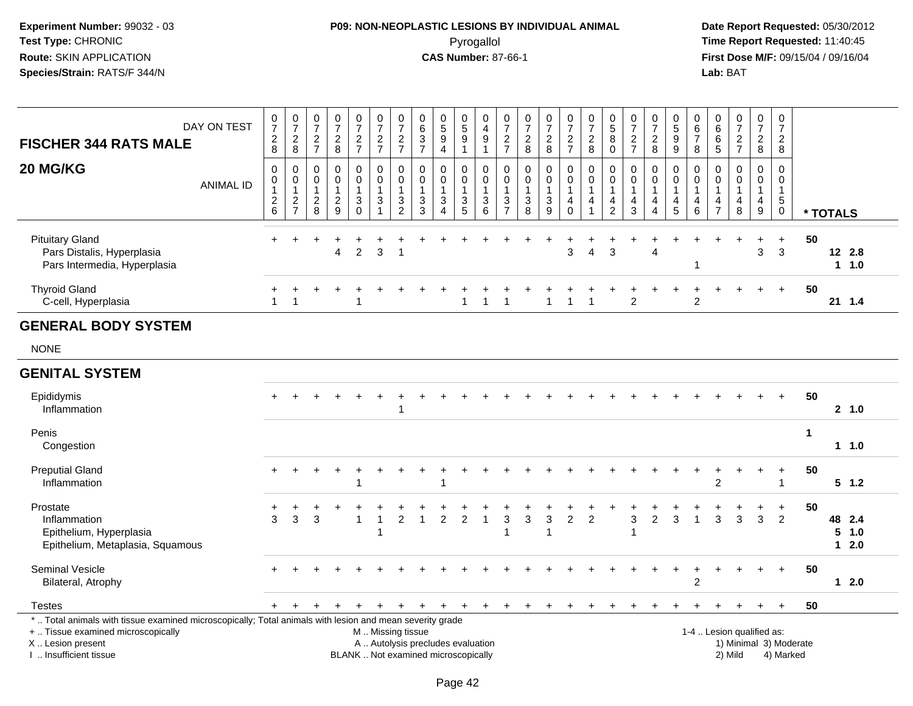# **P09: NON-NEOPLASTIC LESIONS BY INDIVIDUAL ANIMAL**Pyrogallol **Time Report Requested:** 11:40:45

| <b>FISCHER 344 RATS MALE</b>                                                                                                                                                                 | DAY ON TEST      | 0<br>$\overline{7}$<br>$\boldsymbol{2}$<br>8                 | $\pmb{0}$<br>$\overline{7}$<br>$\sqrt{2}$<br>8  | $\pmb{0}$<br>$\overline{7}$<br>$\sqrt{2}$<br>$\overline{7}$ | $\pmb{0}$<br>$\overline{7}$<br>$\overline{2}$<br>8                | $\frac{0}{7}$<br>$\sqrt{2}$<br>$\overline{7}$           | $\pmb{0}$<br>$\overline{7}$<br>$\frac{2}{7}$                                            | $\pmb{0}$<br>$\overline{7}$<br>$\frac{2}{7}$                | 0<br>$\,6$<br>$\ensuremath{\mathsf{3}}$<br>$\overline{7}$                | $\begin{array}{c} 0 \\ 5 \end{array}$<br>$\boldsymbol{9}$<br>$\overline{4}$ | $\mathsf{O}\xspace$<br>$\overline{5}$<br>9<br>$\mathbf 1$ | $\,0\,$<br>$\overline{4}$<br>$\boldsymbol{9}$<br>$\mathbf{1}$    | $\pmb{0}$<br>$\overline{7}$<br>$\frac{2}{7}$                               | 0<br>$\overline{7}$<br>$\overline{a}$<br>8                      | $\pmb{0}$<br>$\overline{7}$<br>$\sqrt{2}$<br>8                | $\,0\,$<br>$\overline{7}$<br>$\overline{2}$<br>$\overline{7}$ | 0<br>$\overline{7}$<br>$\overline{c}$<br>8                                            | $\begin{array}{c} 0 \\ 5 \end{array}$<br>8<br>$\mathbf 0$       | $\pmb{0}$<br>$\overline{7}$<br>$\boldsymbol{2}$<br>$\overline{7}$   | $\pmb{0}$<br>$\overline{7}$<br>$\overline{c}$<br>8                                     | $\pmb{0}$<br>$\overline{5}$<br>$\boldsymbol{9}$<br>9  | $\mathbf 0$<br>$\,6\,$<br>$\overline{7}$<br>8 | 0<br>$\,6\,$<br>6<br>5                        | $\pmb{0}$<br>$\overline{7}$<br>$\overline{c}$<br>$\overline{7}$ | $\frac{0}{7}$<br>$\boldsymbol{2}$<br>8                                                  | $\pmb{0}$<br>$\boldsymbol{7}$<br>$\frac{2}{8}$                                     |             |          |                         |  |
|----------------------------------------------------------------------------------------------------------------------------------------------------------------------------------------------|------------------|--------------------------------------------------------------|-------------------------------------------------|-------------------------------------------------------------|-------------------------------------------------------------------|---------------------------------------------------------|-----------------------------------------------------------------------------------------|-------------------------------------------------------------|--------------------------------------------------------------------------|-----------------------------------------------------------------------------|-----------------------------------------------------------|------------------------------------------------------------------|----------------------------------------------------------------------------|-----------------------------------------------------------------|---------------------------------------------------------------|---------------------------------------------------------------|---------------------------------------------------------------------------------------|-----------------------------------------------------------------|---------------------------------------------------------------------|----------------------------------------------------------------------------------------|-------------------------------------------------------|-----------------------------------------------|-----------------------------------------------|-----------------------------------------------------------------|-----------------------------------------------------------------------------------------|------------------------------------------------------------------------------------|-------------|----------|-------------------------|--|
| 20 MG/KG                                                                                                                                                                                     | <b>ANIMAL ID</b> | $\mathbf 0$<br>$\pmb{0}$<br>$\mathbf{1}$<br>$^2\phantom{1}6$ | 0<br>$\pmb{0}$<br>$\mathbf{1}$<br>$\frac{2}{7}$ | 0<br>$\mathbf 0$<br>$\mathbf{1}$<br>$\boldsymbol{2}$<br>8   | $\mathbf 0$<br>$\mathbf 0$<br>$\mathbf{1}$<br>$\overline{c}$<br>9 | $\mathbf 0$<br>$\pmb{0}$<br>1<br>$\sqrt{3}$<br>$\Omega$ | $\mathbf 0$<br>$\pmb{0}$<br>$\mathbf{1}$<br>$\ensuremath{\mathsf{3}}$<br>$\overline{1}$ | $\mathbf 0$<br>$\pmb{0}$<br>$\overline{1}$<br>$\frac{3}{2}$ | 0<br>0<br>1<br>3<br>3                                                    | $\mathbf 0$<br>$\pmb{0}$<br>$\mathbf{1}$<br>$\sqrt{3}$<br>$\overline{4}$    | $\mathbf 0$<br>0<br>$\mathbf{1}$<br>3<br>5                | 0<br>$\pmb{0}$<br>$\mathbf{1}$<br>$\ensuremath{\mathsf{3}}$<br>6 | $\mathbf 0$<br>$\pmb{0}$<br>$\overline{1}$<br>$\sqrt{3}$<br>$\overline{7}$ | $\mathbf 0$<br>$\mathbf 0$<br>$\overline{1}$<br>$\sqrt{3}$<br>8 | $\mathbf 0$<br>$\mathbf 0$<br>$\mathbf{1}$<br>$\sqrt{3}$<br>9 | $\mathbf 0$<br>$\pmb{0}$<br>$\mathbf{1}$<br>4<br>$\Omega$     | $\mathbf 0$<br>$\pmb{0}$<br>$\mathbf{1}$<br>$\overline{4}$<br>$\overline{\mathbf{1}}$ | $\mathbf 0$<br>$\pmb{0}$<br>$\mathbf{1}$<br>4<br>$\overline{2}$ | $\mathbf 0$<br>$\mathbf 0$<br>$\overline{1}$<br>$\overline{4}$<br>3 | $\mathbf 0$<br>$\mathbf 0$<br>$\mathbf{1}$<br>$\overline{4}$<br>$\boldsymbol{\Lambda}$ | 0<br>$\pmb{0}$<br>$\mathbf{1}$<br>$\overline{4}$<br>5 | 0<br>$\mathbf 0$<br>$\mathbf{1}$<br>4<br>6    | 0<br>0<br>$\mathbf{1}$<br>4<br>$\overline{7}$ | $\Omega$<br>$\mathbf 0$<br>$\mathbf{1}$<br>$\overline{a}$<br>8  | $\mathbf 0$<br>$\pmb{0}$<br>$\mathbf{1}$<br>$\overline{\mathbf{4}}$<br>$\boldsymbol{9}$ | $\mathbf 0$<br>$\boldsymbol{0}$<br>$\mathbf{1}$<br>$\,$ 5 $\,$<br>$\boldsymbol{0}$ |             | * TOTALS |                         |  |
| <b>Pituitary Gland</b><br>Pars Distalis, Hyperplasia<br>Pars Intermedia, Hyperplasia                                                                                                         |                  | $+$                                                          |                                                 |                                                             | 4                                                                 | $\overline{2}$                                          | 3                                                                                       | $\overline{\mathbf{1}}$                                     |                                                                          |                                                                             |                                                           |                                                                  |                                                                            |                                                                 |                                                               | $\div$<br>3                                                   | $\overline{4}$                                                                        | 3                                                               |                                                                     | Δ                                                                                      |                                                       |                                               |                                               |                                                                 | $\ddot{}$<br>3                                                                          | $+$<br>3                                                                           | 50          |          | 12 2.8<br>11.0          |  |
| <b>Thyroid Gland</b><br>C-cell, Hyperplasia                                                                                                                                                  |                  | +<br>$\mathbf{1}$                                            | $\overline{1}$                                  |                                                             |                                                                   |                                                         |                                                                                         |                                                             |                                                                          |                                                                             |                                                           |                                                                  |                                                                            |                                                                 | 1                                                             | $\mathbf{1}$                                                  |                                                                                       |                                                                 | $\overline{2}$                                                      |                                                                                        |                                                       | $\overline{c}$                                |                                               |                                                                 |                                                                                         | $+$                                                                                | 50          |          | 21 1.4                  |  |
| <b>GENERAL BODY SYSTEM</b>                                                                                                                                                                   |                  |                                                              |                                                 |                                                             |                                                                   |                                                         |                                                                                         |                                                             |                                                                          |                                                                             |                                                           |                                                                  |                                                                            |                                                                 |                                                               |                                                               |                                                                                       |                                                                 |                                                                     |                                                                                        |                                                       |                                               |                                               |                                                                 |                                                                                         |                                                                                    |             |          |                         |  |
| <b>NONE</b>                                                                                                                                                                                  |                  |                                                              |                                                 |                                                             |                                                                   |                                                         |                                                                                         |                                                             |                                                                          |                                                                             |                                                           |                                                                  |                                                                            |                                                                 |                                                               |                                                               |                                                                                       |                                                                 |                                                                     |                                                                                        |                                                       |                                               |                                               |                                                                 |                                                                                         |                                                                                    |             |          |                         |  |
| <b>GENITAL SYSTEM</b>                                                                                                                                                                        |                  |                                                              |                                                 |                                                             |                                                                   |                                                         |                                                                                         |                                                             |                                                                          |                                                                             |                                                           |                                                                  |                                                                            |                                                                 |                                                               |                                                               |                                                                                       |                                                                 |                                                                     |                                                                                        |                                                       |                                               |                                               |                                                                 |                                                                                         |                                                                                    |             |          |                         |  |
| Epididymis<br>Inflammation                                                                                                                                                                   |                  |                                                              |                                                 |                                                             |                                                                   |                                                         |                                                                                         | -1                                                          |                                                                          |                                                                             |                                                           |                                                                  |                                                                            |                                                                 |                                                               |                                                               |                                                                                       |                                                                 |                                                                     |                                                                                        |                                                       |                                               |                                               |                                                                 |                                                                                         | $+$                                                                                | 50          |          | 2, 1.0                  |  |
| Penis<br>Congestion                                                                                                                                                                          |                  |                                                              |                                                 |                                                             |                                                                   |                                                         |                                                                                         |                                                             |                                                                          |                                                                             |                                                           |                                                                  |                                                                            |                                                                 |                                                               |                                                               |                                                                                       |                                                                 |                                                                     |                                                                                        |                                                       |                                               |                                               |                                                                 |                                                                                         |                                                                                    | $\mathbf 1$ |          | 11.0                    |  |
| <b>Preputial Gland</b><br>Inflammation                                                                                                                                                       |                  | $\div$                                                       |                                                 |                                                             |                                                                   |                                                         |                                                                                         |                                                             |                                                                          |                                                                             |                                                           |                                                                  |                                                                            |                                                                 |                                                               |                                                               |                                                                                       |                                                                 |                                                                     |                                                                                        |                                                       |                                               | $\overline{2}$                                |                                                                 |                                                                                         | $+$<br>$\overline{1}$                                                              | 50          |          | $5 \t1.2$               |  |
| Prostate<br>Inflammation<br>Epithelium, Hyperplasia<br>Epithelium, Metaplasia, Squamous                                                                                                      |                  | $\ddot{}$<br>3                                               | 3                                               | 3                                                           |                                                                   | -1                                                      | 1                                                                                       | $\overline{2}$                                              | 1                                                                        | $\overline{2}$                                                              | $\overline{c}$                                            | $\mathbf{1}$                                                     | $\ensuremath{\mathsf{3}}$<br>$\overline{1}$                                | 3                                                               | 3<br>-1                                                       | $\overline{c}$                                                | $\overline{c}$                                                                        |                                                                 | 3                                                                   | $\overline{c}$                                                                         | 3                                                     | -1                                            | 3                                             | 3                                                               | $\mathfrak{Z}$                                                                          | $\ddot{}$<br>$\overline{2}$                                                        | 50          | 5        | 48 2.4<br>1.0<br>$12.0$ |  |
| Seminal Vesicle<br>Bilateral, Atrophy                                                                                                                                                        |                  |                                                              |                                                 |                                                             |                                                                   |                                                         |                                                                                         |                                                             |                                                                          |                                                                             |                                                           |                                                                  |                                                                            |                                                                 |                                                               |                                                               |                                                                                       |                                                                 |                                                                     |                                                                                        |                                                       | 2                                             |                                               |                                                                 |                                                                                         | $+$                                                                                | 50          |          | $12.0$                  |  |
| <b>Testes</b>                                                                                                                                                                                |                  | $\pm$                                                        |                                                 |                                                             |                                                                   |                                                         |                                                                                         |                                                             | +                                                                        |                                                                             | $\cdot$                                                   | $\ddot{}$                                                        | $\ddot{}$                                                                  | +                                                               |                                                               |                                                               |                                                                                       |                                                                 |                                                                     |                                                                                        |                                                       |                                               |                                               |                                                                 | $\ddot{}$                                                                               | $+$                                                                                | 50          |          |                         |  |
| *  Total animals with tissue examined microscopically; Total animals with lesion and mean severity grade<br>+  Tissue examined microscopically<br>X Lesion present<br>I  Insufficient tissue |                  |                                                              |                                                 |                                                             |                                                                   |                                                         | M  Missing tissue                                                                       |                                                             | A  Autolysis precludes evaluation<br>BLANK  Not examined microscopically |                                                                             |                                                           |                                                                  |                                                                            |                                                                 |                                                               |                                                               |                                                                                       |                                                                 |                                                                     |                                                                                        |                                                       |                                               |                                               | 1-4  Lesion qualified as:<br>2) Mild                            |                                                                                         | 1) Minimal 3) Moderate<br>4) Marked                                                |             |          |                         |  |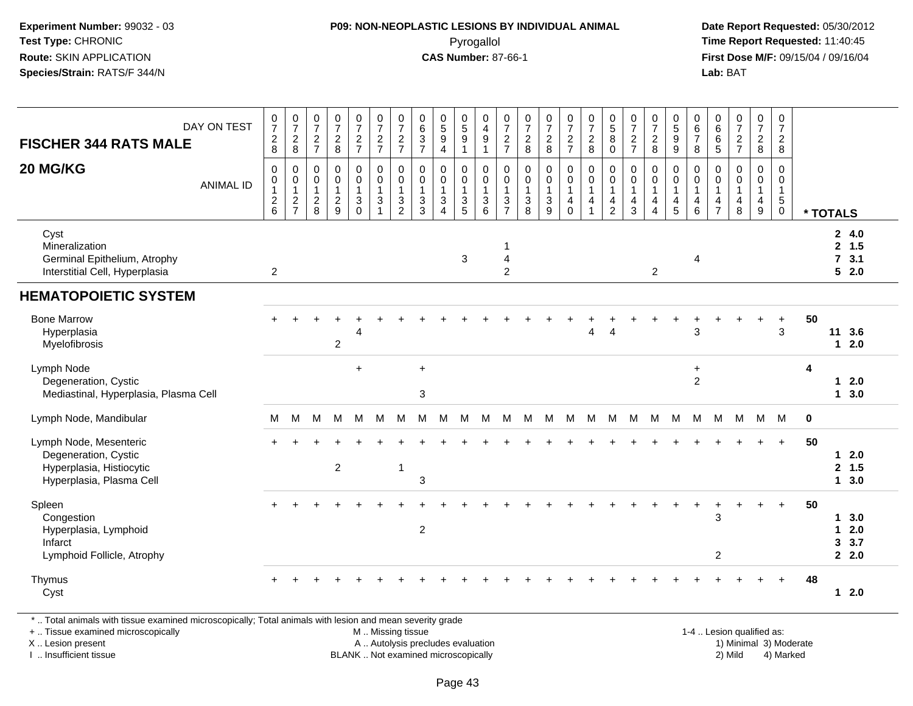## **P09: NON-NEOPLASTIC LESIONS BY INDIVIDUAL ANIMAL**Pyrogallol **Time Report Requested:** 11:40:45

 **Date Report Requested:** 05/30/2012 **First Dose M/F:** 09/15/04 / 09/16/04 Lab: BAT **Lab:** BAT

| DAY ON TEST<br><b>FISCHER 344 RATS MALE</b>                                                            | $\frac{0}{7}$<br>$\begin{array}{c} 2 \\ 8 \end{array}$                 | $\frac{0}{7}$<br>$_{8}^2$                                                      | $\frac{0}{7}$<br>$\overline{a}$<br>$\overline{7}$ | $\frac{0}{7}$<br>$\frac{2}{8}$                          | $\frac{0}{7}$<br>$\frac{2}{7}$                                      | $\frac{0}{7}$<br>$\frac{2}{7}$                         | $\begin{array}{c} 0 \\ 7 \end{array}$<br>$\frac{2}{7}$                       | $\begin{array}{c} 0 \\ 6 \end{array}$<br>$\ensuremath{\mathsf{3}}$<br>$\overline{7}$ | $\begin{matrix} 0 \\ 5 \end{matrix}$<br>$\boldsymbol{9}$<br>$\overline{4}$ | $\begin{array}{c} 0 \\ 5 \\ 9 \end{array}$<br>$\mathbf{1}$ | $\begin{smallmatrix} 0\\4 \end{smallmatrix}$<br>9<br>$\overline{1}$ | $\frac{0}{7}$<br>$\frac{2}{7}$                                                  | $\frac{0}{7}$<br>$\overline{2}$<br>8        | $\frac{0}{7}$<br>$\overline{c}$<br>8                                       | $\frac{0}{7}$<br>$\frac{2}{7}$                       | $\begin{smallmatrix} 0\\7 \end{smallmatrix}$<br>$\overline{2}$<br>8            | $\begin{smallmatrix}0\0\5\end{smallmatrix}$<br>$\, 8$<br>$\mathbf 0$         | $\frac{0}{7}$<br>$\overline{2}$<br>$\overline{7}$         | $\begin{array}{c} 0 \\ 7 \end{array}$<br>$\sqrt{2}$<br>8                               | $\begin{array}{c} 0 \\ 5 \end{array}$<br>$9\,$<br>$\boldsymbol{9}$ | 0<br>$\,6$<br>$\overline{7}$<br>8                       | $\begin{array}{c} 0 \\ 6 \end{array}$<br>$\,6\,$<br>5   | $\begin{smallmatrix}0\\7\end{smallmatrix}$<br>$\frac{2}{7}$ | $\frac{0}{7}$<br>$\overline{2}$<br>$\bf 8$              | $\frac{0}{7}$<br>$\frac{2}{8}$                                              |             |                                |                                  |
|--------------------------------------------------------------------------------------------------------|------------------------------------------------------------------------|--------------------------------------------------------------------------------|---------------------------------------------------|---------------------------------------------------------|---------------------------------------------------------------------|--------------------------------------------------------|------------------------------------------------------------------------------|--------------------------------------------------------------------------------------|----------------------------------------------------------------------------|------------------------------------------------------------|---------------------------------------------------------------------|---------------------------------------------------------------------------------|---------------------------------------------|----------------------------------------------------------------------------|------------------------------------------------------|--------------------------------------------------------------------------------|------------------------------------------------------------------------------|-----------------------------------------------------------|----------------------------------------------------------------------------------------|--------------------------------------------------------------------|---------------------------------------------------------|---------------------------------------------------------|-------------------------------------------------------------|---------------------------------------------------------|-----------------------------------------------------------------------------|-------------|--------------------------------|----------------------------------|
| 20 MG/KG<br><b>ANIMAL ID</b>                                                                           | $\mathbf 0$<br>0<br>$\mathbf{1}$<br>$\boldsymbol{2}$<br>$6\phantom{1}$ | $\mathbf 0$<br>$\mathbf 0$<br>$\mathbf{1}$<br>$\overline{c}$<br>$\overline{7}$ | 0<br>0<br>$\mathbf{1}$<br>$\overline{2}$<br>8     | $\mathbf 0$<br>0<br>$\mathbf{1}$<br>$\overline{c}$<br>9 | $\pmb{0}$<br>$\mathbf 0$<br>$\mathbf{1}$<br>$\mathsf 3$<br>$\Omega$ | 0<br>$\mathbf 0$<br>$\overline{1}$<br>$\sqrt{3}$<br>-1 | $\pmb{0}$<br>$\mathbf 0$<br>$\overline{1}$<br>$\mathbf{3}$<br>$\overline{2}$ | $\mathbf 0$<br>$\mathbf 0$<br>1<br>3<br>3                                            | $\mathsf{O}\xspace$<br>0<br>$\mathbf{1}$<br>3<br>$\Delta$                  | 0<br>0<br>$\mathbf{1}$<br>$\ensuremath{\mathsf{3}}$<br>5   | 0<br>$\mathbf 0$<br>$\mathbf{1}$<br>$\mathbf{3}$<br>6               | $\mathbf 0$<br>$\boldsymbol{0}$<br>$\mathbf{1}$<br>$\sqrt{3}$<br>$\overline{7}$ | 0<br>0<br>$\overline{1}$<br>$\sqrt{3}$<br>8 | $\pmb{0}$<br>$\mathbf 0$<br>$\mathbf{1}$<br>$\ensuremath{\mathsf{3}}$<br>9 | 0<br>0<br>$\mathbf{1}$<br>$\overline{4}$<br>$\Omega$ | $\mathsf 0$<br>$\mathbf 0$<br>$\mathbf{1}$<br>$\overline{4}$<br>$\overline{1}$ | $\mathbf 0$<br>$\pmb{0}$<br>$\mathbf{1}$<br>$\overline{4}$<br>$\overline{2}$ | $\mathbf 0$<br>0<br>$\overline{1}$<br>$\overline{a}$<br>3 | $\mathbf 0$<br>$\mathbf 0$<br>$\mathbf{1}$<br>$\overline{4}$<br>$\boldsymbol{\Lambda}$ | 0<br>$\mathbf 0$<br>$\mathbf{1}$<br>$\overline{4}$<br>5            | $\mathbf 0$<br>0<br>$\mathbf{1}$<br>$\overline{4}$<br>6 | $\mathbf 0$<br>0<br>$\mathbf{1}$<br>4<br>$\overline{7}$ | $\mathbf 0$<br>0<br>$\mathbf{1}$<br>$\overline{4}$<br>8     | $\mathbf 0$<br>0<br>$\mathbf{1}$<br>$\overline{4}$<br>9 | $\mathbf 0$<br>$\mathbf 0$<br>$\mathbf{1}$<br>$\,$ 5 $\,$<br>$\overline{0}$ |             | * TOTALS                       |                                  |
| Cyst<br>Mineralization<br>Germinal Epithelium, Atrophy<br>Interstitial Cell, Hyperplasia               | $\overline{c}$                                                         |                                                                                |                                                   |                                                         |                                                                     |                                                        |                                                                              |                                                                                      |                                                                            | $\mathbf{3}$                                               |                                                                     | -1<br>4<br>2                                                                    |                                             |                                                                            |                                                      |                                                                                |                                                                              |                                                           | $\overline{c}$                                                                         |                                                                    | 4                                                       |                                                         |                                                             |                                                         |                                                                             |             |                                | 24.0<br>2, 1.5<br>7, 3.1<br>52.0 |
| <b>HEMATOPOIETIC SYSTEM</b>                                                                            |                                                                        |                                                                                |                                                   |                                                         |                                                                     |                                                        |                                                                              |                                                                                      |                                                                            |                                                            |                                                                     |                                                                                 |                                             |                                                                            |                                                      |                                                                                |                                                                              |                                                           |                                                                                        |                                                                    |                                                         |                                                         |                                                             |                                                         |                                                                             |             |                                |                                  |
| <b>Bone Marrow</b><br>Hyperplasia<br>Myelofibrosis                                                     |                                                                        |                                                                                |                                                   | $\overline{2}$                                          |                                                                     |                                                        |                                                                              |                                                                                      |                                                                            |                                                            |                                                                     |                                                                                 |                                             |                                                                            |                                                      | 4                                                                              | $\overline{4}$                                                               |                                                           |                                                                                        |                                                                    | 3                                                       |                                                         |                                                             |                                                         | $+$<br>3                                                                    | 50          |                                | 11 3.6<br>$12.0$                 |
| Lymph Node<br>Degeneration, Cystic<br>Mediastinal, Hyperplasia, Plasma Cell                            |                                                                        |                                                                                |                                                   |                                                         | $\ddot{}$                                                           |                                                        |                                                                              | $\ddot{}$<br>3                                                                       |                                                                            |                                                            |                                                                     |                                                                                 |                                             |                                                                            |                                                      |                                                                                |                                                                              |                                                           |                                                                                        |                                                                    | +<br>$\overline{2}$                                     |                                                         |                                                             |                                                         |                                                                             | 4           | $\mathbf 1$                    | 2.0<br>$1 \quad 3.0$             |
| Lymph Node, Mandibular                                                                                 | м                                                                      | M                                                                              | м                                                 | M                                                       | м                                                                   | M                                                      | M                                                                            | м                                                                                    | м                                                                          | M                                                          | М                                                                   | M                                                                               | м                                           | M                                                                          | M                                                    | M                                                                              | M                                                                            | M                                                         | M                                                                                      | M                                                                  | M                                                       | м                                                       | M                                                           | M M                                                     |                                                                             | $\mathbf 0$ |                                |                                  |
| Lymph Node, Mesenteric<br>Degeneration, Cystic<br>Hyperplasia, Histiocytic<br>Hyperplasia, Plasma Cell |                                                                        |                                                                                |                                                   | $\overline{2}$                                          |                                                                     |                                                        | $\overline{1}$                                                               | $\ensuremath{\mathsf{3}}$                                                            |                                                                            |                                                            |                                                                     |                                                                                 |                                             |                                                                            |                                                      |                                                                                |                                                                              |                                                           |                                                                                        |                                                                    |                                                         |                                                         |                                                             |                                                         | $\ddot{}$                                                                   | 50          | $\mathbf{2}$<br>$\overline{1}$ | $12.0$<br>1.5<br>3.0             |
| Spleen<br>Congestion<br>Hyperplasia, Lymphoid<br>Infarct<br>Lymphoid Follicle, Atrophy                 |                                                                        |                                                                                |                                                   |                                                         |                                                                     |                                                        |                                                                              | $\boldsymbol{2}$                                                                     |                                                                            |                                                            |                                                                     |                                                                                 |                                             |                                                                            |                                                      |                                                                                |                                                                              |                                                           |                                                                                        |                                                                    |                                                         | 3<br>$\overline{2}$                                     |                                                             |                                                         | $+$                                                                         | 50          | $\mathbf{1}$<br>$\mathbf{1}$   | 3.0<br>2.0<br>3.3.7<br>22.0      |
| Thymus<br>Cyst                                                                                         |                                                                        |                                                                                |                                                   |                                                         |                                                                     |                                                        |                                                                              |                                                                                      |                                                                            |                                                            |                                                                     |                                                                                 |                                             |                                                                            |                                                      |                                                                                |                                                                              |                                                           |                                                                                        |                                                                    |                                                         |                                                         |                                                             |                                                         | $+$                                                                         | 48          |                                | 12.0                             |

\* .. Total animals with tissue examined microscopically; Total animals with lesion and mean severity grade

+ .. Tissue examined microscopically

X .. Lesion present

I .. Insufficient tissue

M .. Missing tissue

A .. Autolysis precludes evaluation

 1-4 .. Lesion qualified as: BLANK .. Not examined microscopically 2) Mild 4) Marked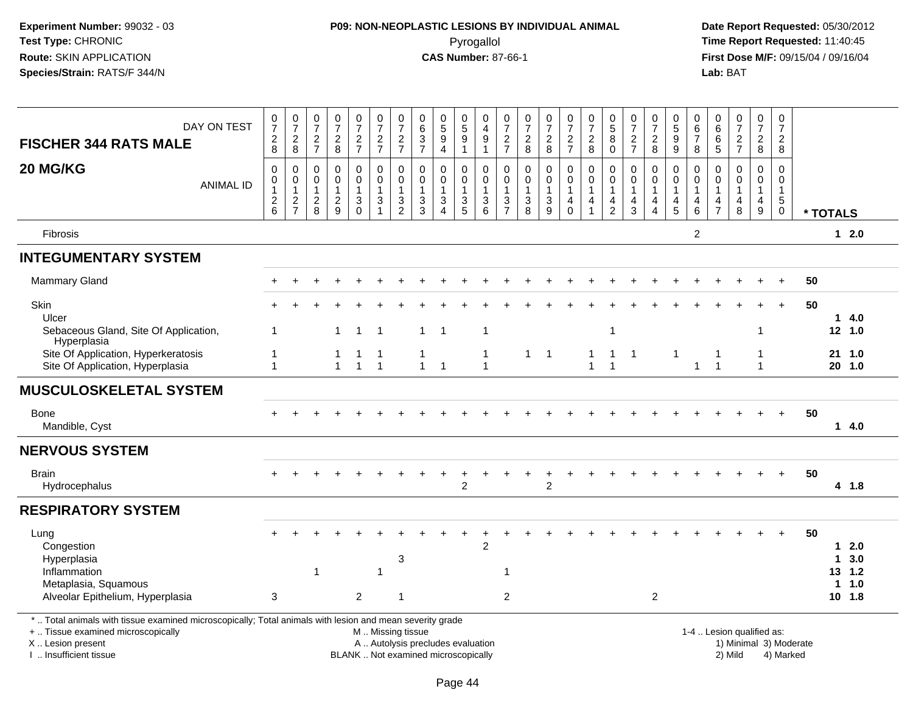# **P09: NON-NEOPLASTIC LESIONS BY INDIVIDUAL ANIMAL**Pyrogallol **Time Report Requested:** 11:40:45

| DAY ON TEST<br><b>FISCHER 344 RATS MALE</b>                                                                                                                                                   | $\frac{0}{7}$<br>$_{\rm 2}^2$                           | $\frac{0}{7}$<br>$^{\,2}_{\,8}$                           | $\frac{0}{7}$<br>$\frac{2}{7}$                                    | $\frac{0}{7}$<br>$\frac{2}{8}$                              | $\frac{0}{7}$<br>$\frac{2}{7}$                         | $\frac{0}{7}$<br>$\frac{2}{7}$                                             | $\frac{0}{7}$<br>$\frac{2}{7}$                              | 0<br>$\,6\,$<br>$\frac{3}{7}$                                            | $\begin{array}{c} 0 \\ 5 \\ 9 \end{array}$<br>$\overline{4}$     | $\begin{array}{c} 0 \\ 5 \end{array}$<br>$\overline{9}$<br>$\overline{1}$ | 0<br>$\overline{4}$<br>$\boldsymbol{9}$<br>$\overline{1}$     | $\frac{0}{7}$<br>$\overline{2}$<br>$\overline{7}$               | $\frac{0}{7}$<br>$\frac{2}{8}$                                                      | $\frac{0}{7}$<br>$\frac{2}{8}$                     | $\frac{0}{7}$<br>$\frac{2}{7}$                                         | $\frac{0}{7}$<br>$\overline{2}$<br>8               | $\begin{smallmatrix}0\0\5\end{smallmatrix}$<br>$\bf 8$<br>$\mathbf 0$ | $\frac{0}{7}$<br>$\frac{2}{7}$                                                 | $\frac{0}{7}$<br>$^2_8$                                                       | $\begin{array}{c} 0 \\ 5 \end{array}$<br>$\boldsymbol{9}$<br>9            | 0<br>$\,6\,$<br>$\boldsymbol{7}$<br>8             | $\begin{array}{c} 0 \\ 6 \end{array}$<br>$\,6$<br>$\overline{5}$  | $\frac{0}{7}$<br>$\frac{2}{7}$                        | $\begin{array}{c} 0 \\ 7 \end{array}$<br>$\overline{2}$<br>8         | 0<br>$\overline{7}$<br>$\overline{a}$<br>8                                |          |                                     |             |
|-----------------------------------------------------------------------------------------------------------------------------------------------------------------------------------------------|---------------------------------------------------------|-----------------------------------------------------------|-------------------------------------------------------------------|-------------------------------------------------------------|--------------------------------------------------------|----------------------------------------------------------------------------|-------------------------------------------------------------|--------------------------------------------------------------------------|------------------------------------------------------------------|---------------------------------------------------------------------------|---------------------------------------------------------------|-----------------------------------------------------------------|-------------------------------------------------------------------------------------|----------------------------------------------------|------------------------------------------------------------------------|----------------------------------------------------|-----------------------------------------------------------------------|--------------------------------------------------------------------------------|-------------------------------------------------------------------------------|---------------------------------------------------------------------------|---------------------------------------------------|-------------------------------------------------------------------|-------------------------------------------------------|----------------------------------------------------------------------|---------------------------------------------------------------------------|----------|-------------------------------------|-------------|
| 20 MG/KG<br><b>ANIMAL ID</b>                                                                                                                                                                  | $\pmb{0}$<br>$\pmb{0}$<br>$\mathbf{1}$<br>$\frac{2}{6}$ | $\mathbf 0$<br>$\pmb{0}$<br>$\mathbf{1}$<br>$\frac{2}{7}$ | $\mathbf 0$<br>$\boldsymbol{0}$<br>$\overline{1}$<br>$_{\rm 8}^2$ | $\mathbf 0$<br>$\mathbf 0$<br>$\mathbf{1}$<br>$\frac{2}{9}$ | $\pmb{0}$<br>$\mathbf 0$<br>$\mathbf{1}$<br>$_{0}^{3}$ | $\pmb{0}$<br>$\mathbf 0$<br>$\mathbf{1}$<br>$\ensuremath{\mathsf{3}}$<br>1 | $\mathbf 0$<br>$\mathbf 0$<br>$\mathbf{1}$<br>$\frac{3}{2}$ | $\mathbf 0$<br>$\mathbf 0$<br>$\overline{1}$<br>$\frac{3}{3}$            | 0<br>$\mathbf 0$<br>$\mathbf{1}$<br>$\sqrt{3}$<br>$\overline{4}$ | 0<br>$\Omega$<br>1<br>$\sqrt{3}$<br>$\overline{5}$                        | $\mathbf 0$<br>$\mathbf 0$<br>$\overline{1}$<br>$\frac{3}{6}$ | 0<br>$\Omega$<br>$\mathbf{1}$<br>$\mathbf{3}$<br>$\overline{7}$ | $\mathbf 0$<br>$\mathbf 0$<br>$\mathbf{1}$<br>$\begin{array}{c} 3 \\ 8 \end{array}$ | $\pmb{0}$<br>$\mathbf 0$<br>1<br>$\mathbf{3}$<br>9 | $\mathbf 0$<br>$\mathsf{O}\xspace$<br>$\mathbf{1}$<br>4<br>$\mathbf 0$ | $\mathbf 0$<br>$\pmb{0}$<br>$\mathbf{1}$<br>4<br>1 | $\mathbf 0$<br>$\mathbf 0$<br>$\mathbf 1$<br>4<br>$\mathbf 2$         | $\mathbf 0$<br>$\mathbf 0$<br>$\mathbf{1}$<br>$\overline{a}$<br>$\overline{3}$ | 0<br>$\mathbf 0$<br>$\mathbf{1}$<br>$\overline{4}$<br>$\overline{\mathbf{4}}$ | 0<br>$\mathbf 0$<br>$\mathbf{1}$<br>$\begin{array}{c} 4 \\ 5 \end{array}$ | $\mathbf 0$<br>$\Omega$<br>$\mathbf{1}$<br>4<br>6 | $\mathbf 0$<br>$\mathbf 0$<br>$\mathbf{1}$<br>4<br>$\overline{7}$ | $\mathsf{O}$<br>$\mathbf 0$<br>$\mathbf{1}$<br>4<br>8 | 0<br>$\mathbf 0$<br>$\mathbf{1}$<br>$\overline{4}$<br>$\overline{9}$ | $\mathbf 0$<br>$\mathbf 0$<br>$\mathbf{1}$<br>$\overline{5}$<br>$\pmb{0}$ | * TOTALS |                                     |             |
| Fibrosis                                                                                                                                                                                      |                                                         |                                                           |                                                                   |                                                             |                                                        |                                                                            |                                                             |                                                                          |                                                                  |                                                                           |                                                               |                                                                 |                                                                                     |                                                    |                                                                        |                                                    |                                                                       |                                                                                |                                                                               |                                                                           | $\overline{c}$                                    |                                                                   |                                                       |                                                                      |                                                                           |          |                                     | $12.0$      |
| <b>INTEGUMENTARY SYSTEM</b>                                                                                                                                                                   |                                                         |                                                           |                                                                   |                                                             |                                                        |                                                                            |                                                             |                                                                          |                                                                  |                                                                           |                                                               |                                                                 |                                                                                     |                                                    |                                                                        |                                                    |                                                                       |                                                                                |                                                                               |                                                                           |                                                   |                                                                   |                                                       |                                                                      |                                                                           |          |                                     |             |
| <b>Mammary Gland</b>                                                                                                                                                                          |                                                         |                                                           |                                                                   |                                                             |                                                        |                                                                            |                                                             |                                                                          |                                                                  |                                                                           |                                                               |                                                                 |                                                                                     |                                                    |                                                                        |                                                    |                                                                       |                                                                                |                                                                               |                                                                           |                                                   |                                                                   |                                                       |                                                                      |                                                                           | 50       |                                     |             |
| Skin<br>Ulcer                                                                                                                                                                                 |                                                         |                                                           |                                                                   |                                                             |                                                        |                                                                            |                                                             |                                                                          |                                                                  |                                                                           |                                                               |                                                                 |                                                                                     |                                                    |                                                                        |                                                    |                                                                       |                                                                                |                                                                               |                                                                           |                                                   |                                                                   |                                                       |                                                                      |                                                                           | 50       |                                     | 14.0        |
| Sebaceous Gland, Site Of Application,<br>Hyperplasia                                                                                                                                          | 1                                                       |                                                           |                                                                   | $\mathbf{1}$                                                | $\mathbf{1}$                                           | - 1                                                                        |                                                             | 1                                                                        | $\overline{1}$                                                   |                                                                           | $\overline{1}$                                                |                                                                 |                                                                                     |                                                    |                                                                        |                                                    | $\mathbf{1}$                                                          |                                                                                |                                                                               |                                                                           |                                                   |                                                                   |                                                       | 1                                                                    |                                                                           |          | 12 1.0                              |             |
| Site Of Application, Hyperkeratosis<br>Site Of Application, Hyperplasia                                                                                                                       | 1<br>$\mathbf{1}$                                       |                                                           |                                                                   | -1<br>$\mathbf{1}$                                          | 1<br>$\mathbf{1}$                                      | $\overline{1}$                                                             |                                                             | 1<br>$\mathbf{1}$                                                        | $\overline{1}$                                                   |                                                                           | -1<br>$\overline{1}$                                          |                                                                 |                                                                                     | $1 \quad 1$                                        |                                                                        | $\mathbf{1}$<br>$\mathbf{1}$                       | 1<br>1                                                                | -1                                                                             |                                                                               | $\mathbf 1$                                                               | $\mathbf{1}$                                      | $\overline{1}$                                                    |                                                       | 1<br>$\mathbf{1}$                                                    |                                                                           |          | 21, 1.0<br>$20$ 1.0                 |             |
| <b>MUSCULOSKELETAL SYSTEM</b>                                                                                                                                                                 |                                                         |                                                           |                                                                   |                                                             |                                                        |                                                                            |                                                             |                                                                          |                                                                  |                                                                           |                                                               |                                                                 |                                                                                     |                                                    |                                                                        |                                                    |                                                                       |                                                                                |                                                                               |                                                                           |                                                   |                                                                   |                                                       |                                                                      |                                                                           |          |                                     |             |
| Bone<br>Mandible, Cyst                                                                                                                                                                        |                                                         |                                                           |                                                                   |                                                             |                                                        |                                                                            |                                                             |                                                                          |                                                                  |                                                                           |                                                               |                                                                 |                                                                                     |                                                    |                                                                        |                                                    |                                                                       |                                                                                |                                                                               |                                                                           |                                                   |                                                                   |                                                       |                                                                      |                                                                           | 50       |                                     | 14.0        |
| <b>NERVOUS SYSTEM</b>                                                                                                                                                                         |                                                         |                                                           |                                                                   |                                                             |                                                        |                                                                            |                                                             |                                                                          |                                                                  |                                                                           |                                                               |                                                                 |                                                                                     |                                                    |                                                                        |                                                    |                                                                       |                                                                                |                                                                               |                                                                           |                                                   |                                                                   |                                                       |                                                                      |                                                                           |          |                                     |             |
| <b>Brain</b><br>Hydrocephalus                                                                                                                                                                 |                                                         |                                                           |                                                                   |                                                             |                                                        |                                                                            |                                                             |                                                                          |                                                                  | $\overline{c}$                                                            |                                                               |                                                                 |                                                                                     | $\ddot{}$<br>$\overline{2}$                        |                                                                        |                                                    |                                                                       |                                                                                |                                                                               |                                                                           |                                                   |                                                                   |                                                       |                                                                      | $\ddot{+}$                                                                | 50       |                                     | 4 1.8       |
| <b>RESPIRATORY SYSTEM</b>                                                                                                                                                                     |                                                         |                                                           |                                                                   |                                                             |                                                        |                                                                            |                                                             |                                                                          |                                                                  |                                                                           |                                                               |                                                                 |                                                                                     |                                                    |                                                                        |                                                    |                                                                       |                                                                                |                                                                               |                                                                           |                                                   |                                                                   |                                                       |                                                                      |                                                                           |          |                                     |             |
| Lung<br>Congestion<br>Hyperplasia                                                                                                                                                             |                                                         |                                                           |                                                                   |                                                             |                                                        |                                                                            | 3                                                           |                                                                          |                                                                  |                                                                           | $\overline{2}$                                                |                                                                 |                                                                                     |                                                    |                                                                        |                                                    |                                                                       |                                                                                |                                                                               |                                                                           |                                                   |                                                                   |                                                       |                                                                      |                                                                           | 50       | $\mathbf{1}$                        | 12.0<br>3.0 |
| Inflammation<br>Metaplasia, Squamous<br>Alveolar Epithelium, Hyperplasia                                                                                                                      | $\mathbf{3}$                                            |                                                           | 1                                                                 |                                                             | $\overline{a}$                                         | -1                                                                         | $\mathbf{1}$                                                |                                                                          |                                                                  |                                                                           |                                                               | $\mathbf{1}$<br>$\overline{c}$                                  |                                                                                     |                                                    |                                                                        |                                                    |                                                                       |                                                                                | $\overline{c}$                                                                |                                                                           |                                                   |                                                                   |                                                       |                                                                      |                                                                           |          | 13 1.2<br>$\mathbf 1$<br>$10$ $1.8$ | 1.0         |
| *  Total animals with tissue examined microscopically; Total animals with lesion and mean severity grade<br>+  Tissue examined microscopically<br>X  Lesion present<br>I  Insufficient tissue |                                                         |                                                           |                                                                   |                                                             |                                                        | M  Missing tissue                                                          |                                                             | A  Autolysis precludes evaluation<br>BLANK  Not examined microscopically |                                                                  |                                                                           |                                                               |                                                                 |                                                                                     |                                                    |                                                                        |                                                    |                                                                       |                                                                                |                                                                               |                                                                           |                                                   |                                                                   | 1-4  Lesion qualified as:<br>2) Mild                  |                                                                      | 1) Minimal 3) Moderate<br>4) Marked                                       |          |                                     |             |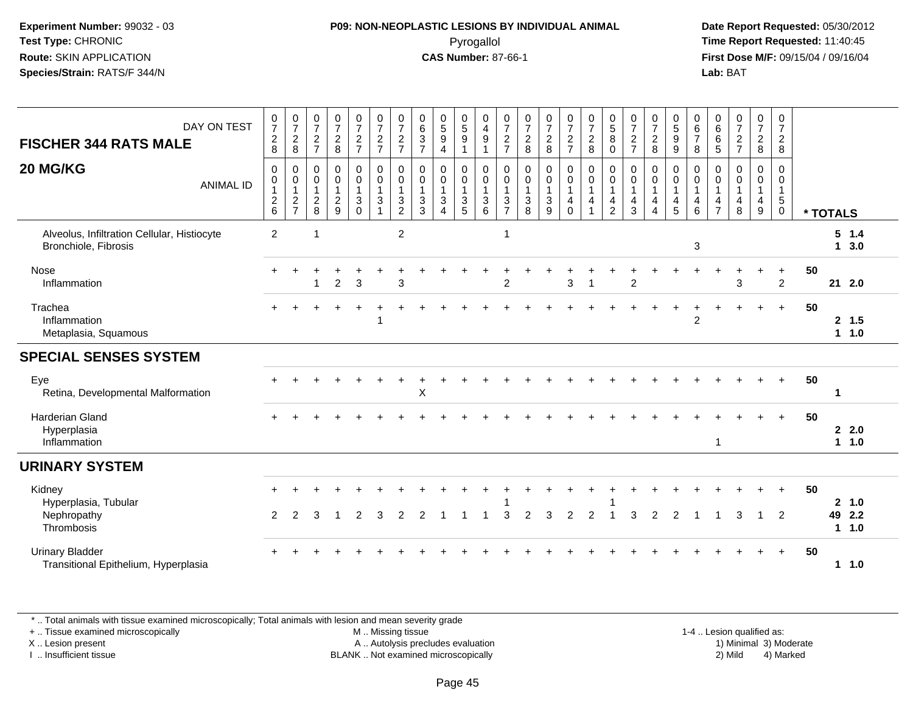## **P09: NON-NEOPLASTIC LESIONS BY INDIVIDUAL ANIMAL**Pyrogallol **Time Report Requested:** 11:40:45

 **Date Report Requested:** 05/30/2012 **First Dose M/F:** 09/15/04 / 09/16/04 Lab: BAT **Lab:** BAT

| DAY ON TEST<br><b>FISCHER 344 RATS MALE</b>                         | $\frac{0}{7}$<br>$\frac{2}{8}$                            | $\frac{0}{7}$<br>$\overline{c}$<br>8            | 0<br>$\overline{7}$<br>$\overline{c}$<br>$\overline{7}$ | $\frac{0}{7}$<br>$\overline{c}$<br>8                        | $\frac{0}{7}$<br>$\frac{2}{7}$                                             | $\frac{0}{7}$<br>$\frac{2}{7}$                                           | $\frac{0}{7}$<br>$\frac{2}{7}$                         | 0<br>$\,6\,$<br>$\ensuremath{\mathsf{3}}$<br>$\overline{7}$ | $\begin{array}{c} 0 \\ 5 \\ 9 \end{array}$<br>$\overline{4}$                | 0<br>$\overline{5}$<br>$\boldsymbol{9}$<br>$\overline{\mathbf{1}}$ | $\mathbf 0$<br>$\overline{4}$<br>$\overline{9}$<br>$\overline{1}$ | 0<br>$\overline{7}$<br>$\overline{c}$<br>$\overline{7}$ | $\begin{array}{c} 0 \\ 7 \end{array}$<br>$\overline{c}$<br>8 | $\frac{0}{7}$<br>$\overline{c}$<br>8          | 0<br>$\overline{7}$<br>$\frac{2}{7}$           | $\frac{0}{7}$<br>$\boldsymbol{2}$<br>8                                         | $\begin{array}{c} 0 \\ 5 \end{array}$<br>8<br>$\mathbf 0$ | $\frac{0}{7}$<br>$\overline{2}$<br>$\overline{7}$                                     | $\frac{0}{7}$<br>$\overline{c}$<br>8                                         | 0<br>$\overline{5}$<br>9<br>9 | $\mathbf 0$<br>6<br>$\overline{7}$<br>8                | 0<br>$\,6\,$<br>6<br>$\sqrt{5}$             | $\begin{array}{c} 0 \\ 7 \end{array}$<br>$\overline{c}$<br>$\overline{7}$ | 0<br>$\overline{7}$<br>$_{8}^2$ | 0<br>$\overline{7}$<br>$\overline{c}$<br>8                                |    |          |                            |  |
|---------------------------------------------------------------------|-----------------------------------------------------------|-------------------------------------------------|---------------------------------------------------------|-------------------------------------------------------------|----------------------------------------------------------------------------|--------------------------------------------------------------------------|--------------------------------------------------------|-------------------------------------------------------------|-----------------------------------------------------------------------------|--------------------------------------------------------------------|-------------------------------------------------------------------|---------------------------------------------------------|--------------------------------------------------------------|-----------------------------------------------|------------------------------------------------|--------------------------------------------------------------------------------|-----------------------------------------------------------|---------------------------------------------------------------------------------------|------------------------------------------------------------------------------|-------------------------------|--------------------------------------------------------|---------------------------------------------|---------------------------------------------------------------------------|---------------------------------|---------------------------------------------------------------------------|----|----------|----------------------------|--|
| 20 MG/KG<br><b>ANIMAL ID</b>                                        | 0<br>$\mathbf 0$<br>$\begin{array}{c} 2 \\ 6 \end{array}$ | 0<br>$\pmb{0}$<br>$\mathbf{1}$<br>$\frac{2}{7}$ | $\mathbf 0$<br>0<br>$\frac{2}{8}$                       | $\mathbf 0$<br>$\mathbf 0$<br>$\mathbf{1}$<br>$\frac{2}{9}$ | 0<br>$\mathsf{O}\xspace$<br>1<br>$\ensuremath{\mathsf{3}}$<br>$\mathbf{0}$ | $\mathbf 0$<br>$\mathbf 0$<br>$\mathbf{1}$<br>$\sqrt{3}$<br>$\mathbf{1}$ | $\mathbf 0$<br>$\mathbf 0$<br>1<br>3<br>$\overline{2}$ | $\mathbf 0$<br>$\mathbf 0$<br>$\mathbf{3}$<br>3             | $\mathbf 0$<br>$\mathbf 0$<br>$\mathbf{1}$<br>$\mathbf 3$<br>$\overline{4}$ | 0<br>$\mathbf 0$<br>$\sqrt{3}$<br>$\sqrt{5}$                       | $\mathbf 0$<br>$\mathbf 0$<br>$\overline{1}$<br>$\mathbf{3}$<br>6 | $\mathbf 0$<br>$\mathbf 0$<br>3<br>$\overline{7}$       | $\mathbf 0$<br>$\mathbf 0$<br>1<br>$\sqrt{3}$<br>8           | $\mathbf 0$<br>$\mathbf 0$<br>$\sqrt{3}$<br>9 | 0<br>$\mathbf 0$<br>$\overline{4}$<br>$\Omega$ | $\mathbf 0$<br>$\mathbf 0$<br>$\mathbf{1}$<br>$\overline{4}$<br>$\overline{A}$ | 0<br>0<br>1<br>4<br>$\overline{2}$                        | $\mathbf 0$<br>$\mathbf 0$<br>$\mathbf{1}$<br>$\overline{\mathbf{4}}$<br>$\mathbf{3}$ | $\mathbf 0$<br>0<br>$\mathbf{1}$<br>$\overline{4}$<br>$\boldsymbol{\Lambda}$ | 0<br>$\mathbf 0$<br>4<br>5    | $\mathbf 0$<br>$\mathbf 0$<br>$\overline{1}$<br>4<br>6 | $\Omega$<br>$\Omega$<br>4<br>$\overline{7}$ | $\Omega$<br>$\Omega$<br>1<br>4<br>8                                       | 0<br>$\mathbf 0$<br>4<br>9      | $\mathbf 0$<br>$\mathbf 0$<br>$\overline{1}$<br>$\sqrt{5}$<br>$\mathbf 0$ |    | * TOTALS |                            |  |
| Alveolus, Infiltration Cellular, Histiocyte<br>Bronchiole, Fibrosis | $\overline{2}$                                            |                                                 | 1                                                       |                                                             |                                                                            |                                                                          | $\overline{c}$                                         |                                                             |                                                                             |                                                                    |                                                                   | $\mathbf 1$                                             |                                                              |                                               |                                                |                                                                                |                                                           |                                                                                       |                                                                              |                               | 3                                                      |                                             |                                                                           |                                 |                                                                           |    |          | $5 \t1.4$<br>$1 \quad 3.0$ |  |
| Nose<br>Inflammation                                                |                                                           |                                                 |                                                         | $\overline{2}$                                              | 3                                                                          |                                                                          | 3                                                      |                                                             |                                                                             |                                                                    |                                                                   | $\overline{2}$                                          |                                                              |                                               | 3                                              | -1                                                                             |                                                           | 2                                                                                     |                                                                              |                               |                                                        |                                             | 3                                                                         |                                 | $\ddot{}$<br>$\overline{2}$                                               | 50 |          | 21 2.0                     |  |
| Trachea<br>Inflammation<br>Metaplasia, Squamous                     |                                                           |                                                 |                                                         |                                                             |                                                                            |                                                                          |                                                        |                                                             |                                                                             |                                                                    |                                                                   |                                                         |                                                              |                                               |                                                |                                                                                |                                                           |                                                                                       |                                                                              |                               | $\overline{2}$                                         |                                             |                                                                           |                                 | $+$                                                                       | 50 |          | 2, 1.5<br>$1 1.0$          |  |
| <b>SPECIAL SENSES SYSTEM</b>                                        |                                                           |                                                 |                                                         |                                                             |                                                                            |                                                                          |                                                        |                                                             |                                                                             |                                                                    |                                                                   |                                                         |                                                              |                                               |                                                |                                                                                |                                                           |                                                                                       |                                                                              |                               |                                                        |                                             |                                                                           |                                 |                                                                           |    |          |                            |  |
| Eye<br>Retina, Developmental Malformation                           |                                                           |                                                 |                                                         |                                                             |                                                                            |                                                                          |                                                        | X                                                           |                                                                             |                                                                    |                                                                   |                                                         |                                                              |                                               |                                                |                                                                                |                                                           |                                                                                       |                                                                              |                               |                                                        |                                             |                                                                           |                                 | $\ddot{}$                                                                 | 50 | -1       |                            |  |
| Harderian Gland<br>Hyperplasia<br>Inflammation                      |                                                           |                                                 |                                                         |                                                             |                                                                            |                                                                          |                                                        |                                                             |                                                                             |                                                                    |                                                                   |                                                         |                                                              |                                               |                                                |                                                                                |                                                           |                                                                                       |                                                                              |                               |                                                        | $\mathbf 1$                                 |                                                                           |                                 |                                                                           | 50 |          | 22.0<br>11.0               |  |
| <b>URINARY SYSTEM</b>                                               |                                                           |                                                 |                                                         |                                                             |                                                                            |                                                                          |                                                        |                                                             |                                                                             |                                                                    |                                                                   |                                                         |                                                              |                                               |                                                |                                                                                |                                                           |                                                                                       |                                                                              |                               |                                                        |                                             |                                                                           |                                 |                                                                           |    |          |                            |  |
| Kidney<br>Hyperplasia, Tubular<br>Nephropathy<br>Thrombosis         | 2                                                         | 2                                               | 3                                                       |                                                             | $\overline{2}$                                                             | 3                                                                        |                                                        |                                                             |                                                                             |                                                                    |                                                                   | 3                                                       | 2                                                            | 3                                             | $\overline{2}$                                 | 2                                                                              |                                                           |                                                                                       | 2                                                                            | 2                             |                                                        |                                             | з                                                                         | $\mathbf 1$                     | $\ddot{}$<br>$\overline{2}$                                               | 50 | 49       | 2 1.0<br>2.2<br>11.0       |  |
| <b>Urinary Bladder</b><br>Transitional Epithelium, Hyperplasia      |                                                           |                                                 |                                                         |                                                             |                                                                            |                                                                          |                                                        |                                                             |                                                                             |                                                                    |                                                                   |                                                         |                                                              |                                               |                                                |                                                                                |                                                           |                                                                                       |                                                                              |                               |                                                        |                                             |                                                                           |                                 | $+$                                                                       | 50 |          | $1 \t1.0$                  |  |

\* .. Total animals with tissue examined microscopically; Total animals with lesion and mean severity grade

+ .. Tissue examined microscopically

X .. Lesion present

I .. Insufficient tissue

 M .. Missing tissueA .. Autolysis precludes evaluation

BLANK .. Not examined microscopically 2) Mild 4) Marked

1-4 .. Lesion qualified as: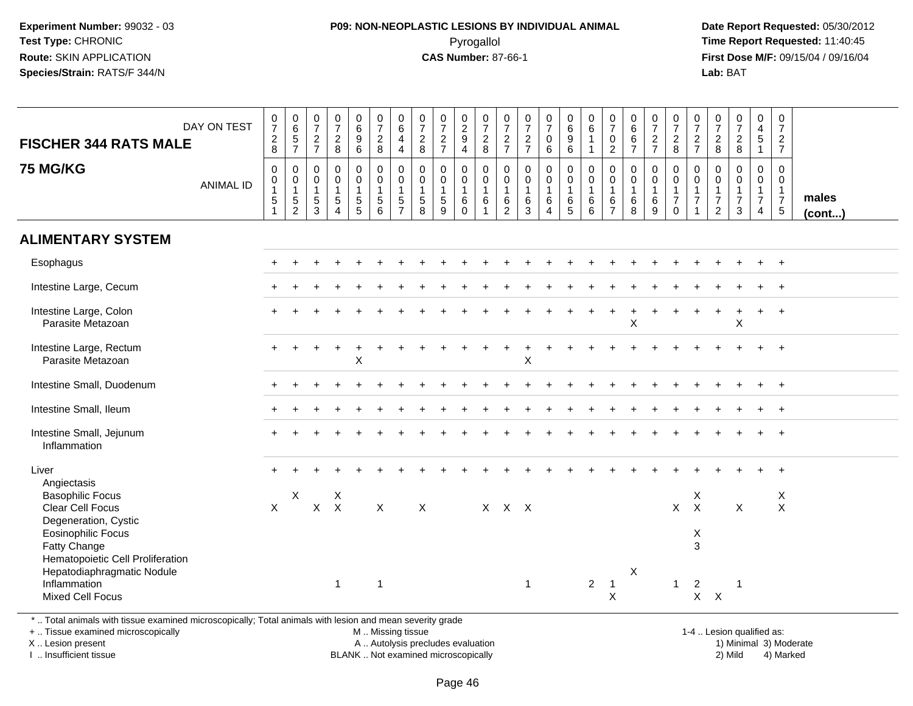## **P09: NON-NEOPLASTIC LESIONS BY INDIVIDUAL ANIMAL**Pyrogallol **Time Report Requested:** 11:40:45

 **Date Report Requested:** 05/30/2012 **First Dose M/F:** 09/15/04 / 09/16/04 Lab: BAT **Lab:** BAT

| <b>FISCHER 344 RATS MALE</b>                                                                             | DAY ON TEST      | $\frac{0}{7}$<br>$_{\rm 8}^2$                                  | $\begin{array}{c} 0 \\ 6 \end{array}$<br>$\frac{5}{7}$      | $\frac{0}{7}$<br>$\frac{2}{7}$                       | $\frac{0}{7}$<br>$\frac{2}{8}$                                    | 0<br>0<br>0<br>0<br>0                                     | $\frac{0}{7}$<br>$\frac{2}{8}$                                                            | $\begin{array}{c} 0 \\ 6 \end{array}$<br>$\overline{\mathbf{4}}$<br>$\overline{4}$ | $\frac{0}{7}$<br>$\frac{2}{8}$                                 | $\frac{0}{7}$<br>$\frac{2}{7}$                                    | $\frac{0}{2}$<br>$\overline{4}$                                     | $\begin{array}{c} 0 \\ 7 \end{array}$<br>$\frac{2}{8}$  | $\frac{0}{7}$<br>$\frac{2}{7}$                              | $\frac{0}{7}$<br>$\frac{2}{7}$                       | $\frac{0}{7}$<br>$\pmb{0}$<br>6                                       | $\begin{array}{c} 0 \\ 6 \end{array}$<br>$\overline{9}$<br>6 | $\begin{array}{c} 0 \\ 6 \end{array}$<br>$\mathbf{1}$<br>$\mathbf{1}$ | $\frac{0}{7}$<br>$\pmb{0}$<br>$\overline{2}$                      | $_{6}^{\rm 0}$<br>$rac{6}{7}$    | $\frac{0}{7}$<br>$\frac{2}{7}$                               | $\frac{0}{7}$<br>$\frac{2}{8}$                                            | $\frac{0}{7}$<br>$rac{2}{7}$                                                      | $\frac{0}{7}$<br>$\frac{2}{8}$                                       | $\frac{0}{7}$<br>$\frac{2}{8}$                                     | $_4^{\rm 0}$<br>$\overline{5}$<br>$\mathbf{1}$                        | $\frac{0}{7}$<br>$\frac{2}{7}$                                                      |                 |
|----------------------------------------------------------------------------------------------------------|------------------|----------------------------------------------------------------|-------------------------------------------------------------|------------------------------------------------------|-------------------------------------------------------------------|-----------------------------------------------------------|-------------------------------------------------------------------------------------------|------------------------------------------------------------------------------------|----------------------------------------------------------------|-------------------------------------------------------------------|---------------------------------------------------------------------|---------------------------------------------------------|-------------------------------------------------------------|------------------------------------------------------|-----------------------------------------------------------------------|--------------------------------------------------------------|-----------------------------------------------------------------------|-------------------------------------------------------------------|----------------------------------|--------------------------------------------------------------|---------------------------------------------------------------------------|-----------------------------------------------------------------------------------|----------------------------------------------------------------------|--------------------------------------------------------------------|-----------------------------------------------------------------------|-------------------------------------------------------------------------------------|-----------------|
| <b>75 MG/KG</b>                                                                                          | <b>ANIMAL ID</b> | $\mathbf 0$<br>$\boldsymbol{0}$<br>$\mathbf{1}$<br>$\mathbf 5$ | 0<br>$\mathsf{O}\xspace$<br>$\overline{1}$<br>$\frac{5}{2}$ | $\mathbf 0$<br>$\mathbf 0$<br>$\mathbf{1}$<br>5<br>3 | $\pmb{0}$<br>$\ddot{\mathbf{0}}$<br>$\mathbf{1}$<br>$\frac{5}{4}$ | 0<br>$\mathsf{O}\xspace$<br>$\mathbf{1}$<br>$\frac{5}{5}$ | $\overline{0}$<br>$\overline{0}$<br>$\mathbf{1}$<br>$\begin{array}{c} 5 \\ 6 \end{array}$ | $\pmb{0}$<br>$\overline{0}$<br>$\mathbf{1}$<br>$\frac{5}{7}$                       | $\mathbf 0$<br>$\mathbf 0$<br>$\mathbf{1}$<br>$\,$ 5 $\,$<br>8 | $\mathbf 0$<br>$\mathbf 0$<br>$\mathbf{1}$<br>$\overline{5}$<br>9 | $\mathbf{0}$<br>$\mathbf 0$<br>$\mathbf{1}$<br>$\,6$<br>$\mathbf 0$ | 0<br>$\mathbf 0$<br>$\mathbf{1}$<br>6<br>$\overline{1}$ | $\mathbf 0$<br>$\mathbf 0$<br>$\mathbf{1}$<br>$\frac{6}{2}$ | $\mathbf 0$<br>$\mathbf 0$<br>$\mathbf{1}$<br>$^6_3$ | $\pmb{0}$<br>$\mathbf 0$<br>$\mathbf{1}$<br>$\,6\,$<br>$\overline{4}$ | 0<br>$\mathbf 0$<br>$\mathbf{1}$<br>$6\over 5$               | $\mathbf 0$<br>$\mathsf{O}\xspace$<br>$\mathbf{1}$<br>$^6_6$          | $\mathbf 0$<br>$\mathbf 0$<br>$\mathbf{1}$<br>6<br>$\overline{7}$ | 0<br>0<br>$\mathbf{1}$<br>$^6_8$ | $\mathbf 0$<br>$\ddot{\mathbf{0}}$<br>$\mathbf{1}$<br>$^6_9$ | 0<br>$\mathbf 0$<br>$\mathbf{1}$<br>$\overline{7}$<br>$\mathsf{O}\xspace$ | $\mathbf 0$<br>$\overline{0}$<br>$\overline{1}$<br>$\overline{7}$<br>$\mathbf{1}$ | 0<br>$\mathbf 0$<br>$\mathbf{1}$<br>$\overline{7}$<br>$\overline{2}$ | 0<br>$\mathbf 0$<br>$\mathbf{1}$<br>$\overline{7}$<br>$\mathbf{3}$ | 0<br>$\mathsf{O}$<br>$\mathbf{1}$<br>$\overline{7}$<br>$\overline{4}$ | $\mathbf{0}$<br>$\overline{0}$<br>$\mathbf{1}$<br>$\overline{7}$<br>$5\phantom{.0}$ | males<br>(cont) |
| <b>ALIMENTARY SYSTEM</b>                                                                                 |                  |                                                                |                                                             |                                                      |                                                                   |                                                           |                                                                                           |                                                                                    |                                                                |                                                                   |                                                                     |                                                         |                                                             |                                                      |                                                                       |                                                              |                                                                       |                                                                   |                                  |                                                              |                                                                           |                                                                                   |                                                                      |                                                                    |                                                                       |                                                                                     |                 |
| Esophagus                                                                                                |                  | $+$                                                            |                                                             |                                                      |                                                                   |                                                           |                                                                                           |                                                                                    |                                                                |                                                                   |                                                                     |                                                         |                                                             |                                                      |                                                                       |                                                              |                                                                       |                                                                   |                                  |                                                              |                                                                           |                                                                                   |                                                                      |                                                                    | $\ddot{}$                                                             | $+$                                                                                 |                 |
| Intestine Large, Cecum                                                                                   |                  |                                                                |                                                             |                                                      |                                                                   |                                                           |                                                                                           |                                                                                    |                                                                |                                                                   |                                                                     |                                                         |                                                             |                                                      |                                                                       |                                                              |                                                                       |                                                                   |                                  |                                                              |                                                                           |                                                                                   |                                                                      |                                                                    |                                                                       | $\ddot{}$                                                                           |                 |
| Intestine Large, Colon<br>Parasite Metazoan                                                              |                  |                                                                |                                                             |                                                      |                                                                   |                                                           |                                                                                           |                                                                                    |                                                                |                                                                   |                                                                     |                                                         |                                                             |                                                      |                                                                       |                                                              |                                                                       |                                                                   | X                                |                                                              |                                                                           |                                                                                   |                                                                      | X                                                                  | $\ddot{}$                                                             | $+$                                                                                 |                 |
| Intestine Large, Rectum<br>Parasite Metazoan                                                             |                  |                                                                |                                                             |                                                      |                                                                   | X                                                         |                                                                                           |                                                                                    |                                                                |                                                                   |                                                                     |                                                         |                                                             | X                                                    |                                                                       |                                                              |                                                                       |                                                                   |                                  |                                                              |                                                                           |                                                                                   |                                                                      |                                                                    |                                                                       | $\ddot{}$                                                                           |                 |
| Intestine Small, Duodenum                                                                                |                  |                                                                |                                                             |                                                      |                                                                   |                                                           |                                                                                           |                                                                                    |                                                                |                                                                   |                                                                     |                                                         |                                                             |                                                      |                                                                       |                                                              |                                                                       |                                                                   |                                  |                                                              |                                                                           |                                                                                   |                                                                      |                                                                    |                                                                       | $\ddot{}$                                                                           |                 |
| Intestine Small, Ileum                                                                                   |                  |                                                                |                                                             |                                                      |                                                                   |                                                           |                                                                                           |                                                                                    |                                                                |                                                                   |                                                                     |                                                         |                                                             |                                                      |                                                                       |                                                              |                                                                       |                                                                   |                                  |                                                              |                                                                           |                                                                                   |                                                                      |                                                                    |                                                                       | $\ddot{}$                                                                           |                 |
| Intestine Small, Jejunum<br>Inflammation                                                                 |                  |                                                                |                                                             |                                                      |                                                                   |                                                           |                                                                                           |                                                                                    |                                                                |                                                                   |                                                                     |                                                         |                                                             |                                                      |                                                                       |                                                              |                                                                       |                                                                   |                                  |                                                              |                                                                           |                                                                                   |                                                                      |                                                                    |                                                                       |                                                                                     |                 |
| Liver<br>Angiectasis                                                                                     |                  |                                                                |                                                             |                                                      |                                                                   |                                                           |                                                                                           |                                                                                    |                                                                |                                                                   |                                                                     |                                                         |                                                             |                                                      |                                                                       |                                                              |                                                                       |                                                                   |                                  |                                                              |                                                                           |                                                                                   |                                                                      |                                                                    |                                                                       | $\overline{ }$                                                                      |                 |
| <b>Basophilic Focus</b><br><b>Clear Cell Focus</b><br>Degeneration, Cystic                               |                  | $\sf X$                                                        | $\boldsymbol{\mathsf{X}}$                                   | $\mathsf{X}$                                         | X<br>$\mathsf{X}$                                                 |                                                           | $\mathsf X$                                                                               |                                                                                    | $\boldsymbol{\mathsf{X}}$                                      |                                                                   |                                                                     |                                                         | $X$ $X$ $X$                                                 |                                                      |                                                                       |                                                              |                                                                       |                                                                   |                                  |                                                              |                                                                           | X<br>$X$ $X$                                                                      |                                                                      | $\sf X$                                                            |                                                                       | X<br>X                                                                              |                 |
| <b>Eosinophilic Focus</b><br>Fatty Change<br>Hematopoietic Cell Proliferation                            |                  |                                                                |                                                             |                                                      |                                                                   |                                                           |                                                                                           |                                                                                    |                                                                |                                                                   |                                                                     |                                                         |                                                             |                                                      |                                                                       |                                                              |                                                                       |                                                                   |                                  |                                                              |                                                                           | Χ<br>3                                                                            |                                                                      |                                                                    |                                                                       |                                                                                     |                 |
| Hepatodiaphragmatic Nodule<br>Inflammation<br><b>Mixed Cell Focus</b>                                    |                  |                                                                |                                                             |                                                      | $\mathbf{1}$                                                      |                                                           | $\overline{1}$                                                                            |                                                                                    |                                                                |                                                                   |                                                                     |                                                         |                                                             | $\mathbf{1}$                                         |                                                                       |                                                              | $\overline{2}$                                                        | $\overline{1}$<br>X                                               | X                                |                                                              | $\mathbf{1}$                                                              | $\overline{2}$                                                                    | $X$ $X$                                                              | $\mathbf{1}$                                                       |                                                                       |                                                                                     |                 |
| *  Total animals with tissue examined microscopically; Total animals with lesion and mean severity grade |                  |                                                                |                                                             |                                                      |                                                                   |                                                           |                                                                                           |                                                                                    |                                                                |                                                                   |                                                                     |                                                         |                                                             |                                                      |                                                                       |                                                              |                                                                       |                                                                   |                                  |                                                              |                                                                           |                                                                                   |                                                                      |                                                                    |                                                                       |                                                                                     |                 |

+ .. Tissue examined microscopically

X .. Lesion present

I .. Insufficient tissue

M .. Missing tissue

A .. Autolysis precludes evaluation 1999 (1999) 1999 (1999) 1999 (1999) 1999 (1999) Minimal 3) Minimal 3) Minimal 3) Minimal 3) Mild

BLANK .. Not examined microscopically 2) Mild 4) Marked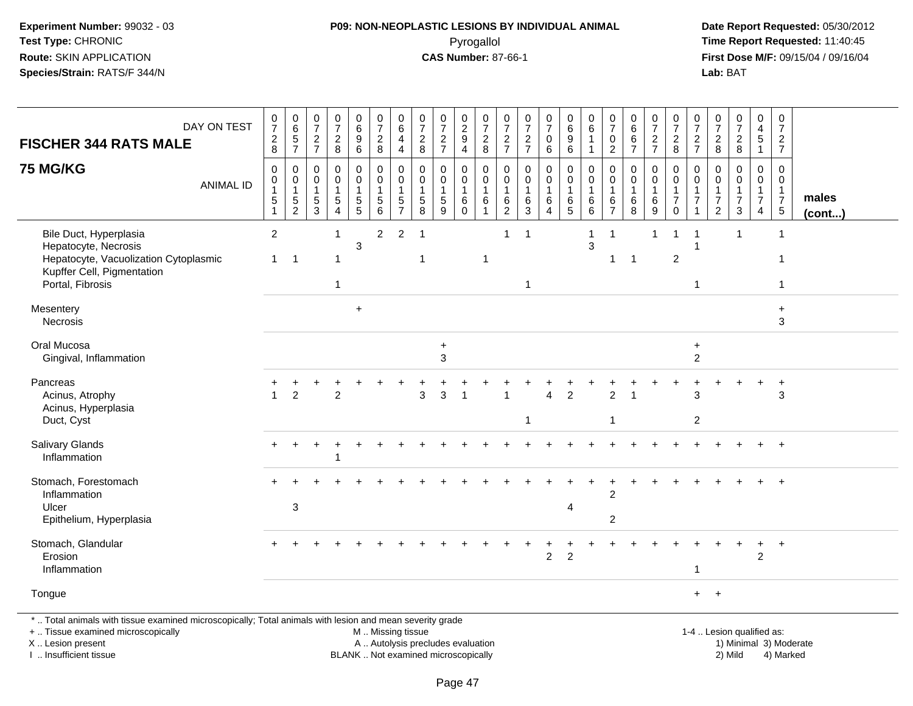## **P09: NON-NEOPLASTIC LESIONS BY INDIVIDUAL ANIMAL**Pyrogallol **Time Report Requested:** 11:40:45

| DAY ON TEST<br><b>FISCHER 344 RATS MALE</b>                                                                                                                                                   | $\frac{0}{7}$<br>$\frac{2}{8}$               | $065$<br>7                                                         | 0<br>$\overline{7}$<br>$\overline{2}$<br>$\overline{7}$ | $\begin{array}{c} 0 \\ 7 \end{array}$<br>$\sqrt{2}$<br>$\boldsymbol{8}$ | 0<br>6<br>9<br>6                  | $\begin{array}{c} 0 \\ 7 \end{array}$<br>$\boldsymbol{2}$<br>8            | $_{6}^{\rm 0}$<br>$\overline{4}$<br>$\overline{\mathbf{4}}$ | $\frac{0}{7}$<br>$\overline{c}$<br>8                 | $\begin{array}{c} 0 \\ 7 \end{array}$<br>$\frac{2}{7}$                   | $^{\rm 0}_{\rm 2}$<br>$\boldsymbol{9}$<br>$\overline{\mathbf{4}}$ | $\frac{0}{7}$<br>8                                                              | 0<br>$\overline{7}$<br>$\overline{c}$<br>$\overline{7}$ | $\frac{0}{7}$<br>$\frac{2}{7}$             | $\frac{0}{7}$<br>$\mathbf 0$<br>6                     | $_{6}^{\rm 0}$<br>9<br>$\,6\,$      | $\boldsymbol{0}$<br>$\,6\,$<br>$\mathbf 1$<br>$\mathbf{1}$ | 0<br>$\overline{7}$<br>0<br>$\overline{c}$           | $\pmb{0}$<br>$\,6\,$<br>6<br>$\overline{7}$                    | $\frac{0}{7}$<br>$\overline{c}$<br>$\overline{7}$ | $\frac{0}{7}$<br>$\frac{2}{8}$                                            | $\frac{0}{7}$<br>$\overline{c}$<br>$\overline{7}$      | 0<br>$\boldsymbol{7}$<br>$_{\rm 8}^2$                    | $\begin{smallmatrix}0\\7\end{smallmatrix}$<br>$\frac{2}{8}$               | 0<br>$\overline{\mathbf{4}}$<br>$\sqrt{5}$<br>$\overline{1}$ | $\pmb{0}$<br>$\overline{7}$<br>$\frac{2}{7}$                            |                 |
|-----------------------------------------------------------------------------------------------------------------------------------------------------------------------------------------------|----------------------------------------------|--------------------------------------------------------------------|---------------------------------------------------------|-------------------------------------------------------------------------|-----------------------------------|---------------------------------------------------------------------------|-------------------------------------------------------------|------------------------------------------------------|--------------------------------------------------------------------------|-------------------------------------------------------------------|---------------------------------------------------------------------------------|---------------------------------------------------------|--------------------------------------------|-------------------------------------------------------|-------------------------------------|------------------------------------------------------------|------------------------------------------------------|----------------------------------------------------------------|---------------------------------------------------|---------------------------------------------------------------------------|--------------------------------------------------------|----------------------------------------------------------|---------------------------------------------------------------------------|--------------------------------------------------------------|-------------------------------------------------------------------------|-----------------|
| <b>75 MG/KG</b><br><b>ANIMAL ID</b>                                                                                                                                                           | $\mathbf 0$<br>0<br>1<br>5<br>$\overline{1}$ | $\mathbf 0$<br>$\boldsymbol{0}$<br>$\overline{1}$<br>$\frac{5}{2}$ | $\Omega$<br>0<br>$\overline{1}$<br>5<br>$\overline{3}$  | $\Omega$<br>$\mathbf 0$<br>$\mathbf{1}$<br>$\sqrt{5}$<br>$\overline{4}$ | 0<br>$\mathbf 0$<br>$\frac{5}{5}$ | 0<br>$\mathbf 0$<br>$\mathbf{1}$<br>$\begin{array}{c} 5 \\ 6 \end{array}$ | 0<br>$\mathbf 0$<br>$\mathbf{1}$<br>$\frac{5}{7}$           | $\Omega$<br>0<br>-1<br>$\,$ 5 $\,$<br>$\overline{8}$ | $\mathbf 0$<br>$\mathbf 0$<br>$\mathbf{1}$<br>$\frac{5}{9}$              | 0<br>$\mathbf 0$<br>$\overline{1}$<br>$\,6\,$<br>$\mathbf 0$      | $\mathbf 0$<br>$\mathbf 0$<br>$\mathbf{1}$<br>$6\phantom{1}6$<br>$\overline{1}$ | $\Omega$<br>0<br>-1<br>$^6_2$                           | 0<br>$\mathbf 0$<br>$\mathbf{1}$<br>$^6_3$ | 0<br>$\pmb{0}$<br>$\mathbf{1}$<br>6<br>$\overline{4}$ | 0<br>0<br>$\mathbf 1$<br>$6\over 5$ | $\Omega$<br>$\mathbf 0$<br>$\overline{1}$<br>$^6_6$        | $\Omega$<br>0<br>$\mathbf{1}$<br>6<br>$\overline{7}$ | $\Omega$<br>$\mathbf 0$<br>$\mathbf{1}$<br>6<br>$\overline{8}$ | 0<br>$\mathbf 0$<br>6<br>$\overline{9}$           | 0<br>$\mathsf{O}\xspace$<br>$\mathbf{1}$<br>$\overline{7}$<br>$\mathsf 0$ | 0<br>$\mathbf 0$<br>1<br>$\overline{7}$<br>$\mathbf 1$ | $\Omega$<br>$\Omega$<br>$\overline{7}$<br>$\overline{c}$ | $\Omega$<br>$\mathbf 0$<br>$\mathbf{1}$<br>$\overline{7}$<br>$\mathbf{3}$ | 0<br>0<br>$\mathbf{1}$<br>$\overline{7}$<br>4                | $\Omega$<br>$\mathbf 0$<br>$\mathbf{1}$<br>$\overline{7}$<br>$\sqrt{5}$ | males<br>(cont) |
| Bile Duct, Hyperplasia<br>Hepatocyte, Necrosis<br>Hepatocyte, Vacuolization Cytoplasmic<br>Kupffer Cell, Pigmentation<br>Portal, Fibrosis                                                     | $\overline{2}$<br>$\mathbf{1}$               | -1                                                                 |                                                         | $\mathbf{1}$<br>1<br>1                                                  | 3                                 | $\overline{2}$                                                            | 2                                                           | $\overline{1}$<br>-1                                 |                                                                          |                                                                   | -1                                                                              | 1                                                       | $\mathbf 1$<br>$\mathbf{1}$                |                                                       |                                     | $\mathbf 1$<br>$\mathbf{3}$                                | -1<br>1                                              | -1                                                             | 1                                                 | 1<br>$\overline{2}$                                                       | $\overline{1}$<br>$\overline{1}$<br>$\mathbf{1}$       |                                                          | -1                                                                        |                                                              | $\overline{1}$<br>-1<br>1                                               |                 |
| Mesentery<br>Necrosis                                                                                                                                                                         |                                              |                                                                    |                                                         |                                                                         | $+$                               |                                                                           |                                                             |                                                      |                                                                          |                                                                   |                                                                                 |                                                         |                                            |                                                       |                                     |                                                            |                                                      |                                                                |                                                   |                                                                           |                                                        |                                                          |                                                                           |                                                              | $\ddot{}$<br>3                                                          |                 |
| Oral Mucosa<br>Gingival, Inflammation                                                                                                                                                         |                                              |                                                                    |                                                         |                                                                         |                                   |                                                                           |                                                             |                                                      | $\ddot{}$<br>3                                                           |                                                                   |                                                                                 |                                                         |                                            |                                                       |                                     |                                                            |                                                      |                                                                |                                                   |                                                                           | $\ddot{}$<br>$\overline{c}$                            |                                                          |                                                                           |                                                              |                                                                         |                 |
| Pancreas<br>Acinus, Atrophy<br>Acinus, Hyperplasia<br>Duct, Cyst                                                                                                                              |                                              | $\overline{2}$                                                     |                                                         | $\mathfrak{p}$                                                          |                                   |                                                                           |                                                             | 3                                                    | $\mathbf{3}$                                                             | $\overline{ }$                                                    |                                                                                 |                                                         | 1                                          | $\Delta$                                              | $\overline{2}$                      |                                                            | $\overline{2}$<br>$\overline{1}$                     |                                                                |                                                   |                                                                           | 3<br>$\overline{c}$                                    |                                                          |                                                                           |                                                              | $\ddot{}$<br>3                                                          |                 |
| Salivary Glands<br>Inflammation                                                                                                                                                               | $\pm$                                        |                                                                    |                                                         |                                                                         |                                   |                                                                           |                                                             |                                                      |                                                                          |                                                                   |                                                                                 |                                                         |                                            |                                                       |                                     |                                                            |                                                      |                                                                |                                                   |                                                                           |                                                        |                                                          |                                                                           | $\ddot{}$                                                    | $+$                                                                     |                 |
| Stomach, Forestomach<br>Inflammation<br>Ulcer<br>Epithelium, Hyperplasia                                                                                                                      |                                              | 3                                                                  |                                                         |                                                                         |                                   |                                                                           |                                                             |                                                      |                                                                          |                                                                   |                                                                                 |                                                         |                                            |                                                       | 4                                   |                                                            | $\overline{2}$<br>$\overline{c}$                     |                                                                |                                                   |                                                                           |                                                        |                                                          |                                                                           |                                                              | $\ddot{}$                                                               |                 |
| Stomach, Glandular<br>Erosion<br>Inflammation                                                                                                                                                 |                                              |                                                                    |                                                         |                                                                         |                                   |                                                                           |                                                             |                                                      |                                                                          |                                                                   |                                                                                 |                                                         |                                            | $\overline{2}$                                        | $\overline{2}$                      |                                                            |                                                      |                                                                |                                                   |                                                                           | -1                                                     |                                                          |                                                                           | $\ddot{}$<br>$\overline{2}$                                  | $+$                                                                     |                 |
| Tongue                                                                                                                                                                                        |                                              |                                                                    |                                                         |                                                                         |                                   |                                                                           |                                                             |                                                      |                                                                          |                                                                   |                                                                                 |                                                         |                                            |                                                       |                                     |                                                            |                                                      |                                                                |                                                   |                                                                           | $+$                                                    | $+$                                                      |                                                                           |                                                              |                                                                         |                 |
| *  Total animals with tissue examined microscopically; Total animals with lesion and mean severity grade<br>+  Tissue examined microscopically<br>X  Lesion present<br>I  Insufficient tissue |                                              |                                                                    |                                                         |                                                                         |                                   | M  Missing tissue                                                         |                                                             |                                                      | A  Autolysis precludes evaluation<br>BLANK  Not examined microscopically |                                                                   |                                                                                 |                                                         |                                            |                                                       |                                     |                                                            |                                                      |                                                                |                                                   |                                                                           |                                                        |                                                          | 1-4  Lesion qualified as:<br>2) Mild                                      |                                                              | 1) Minimal 3) Moderate<br>4) Marked                                     |                 |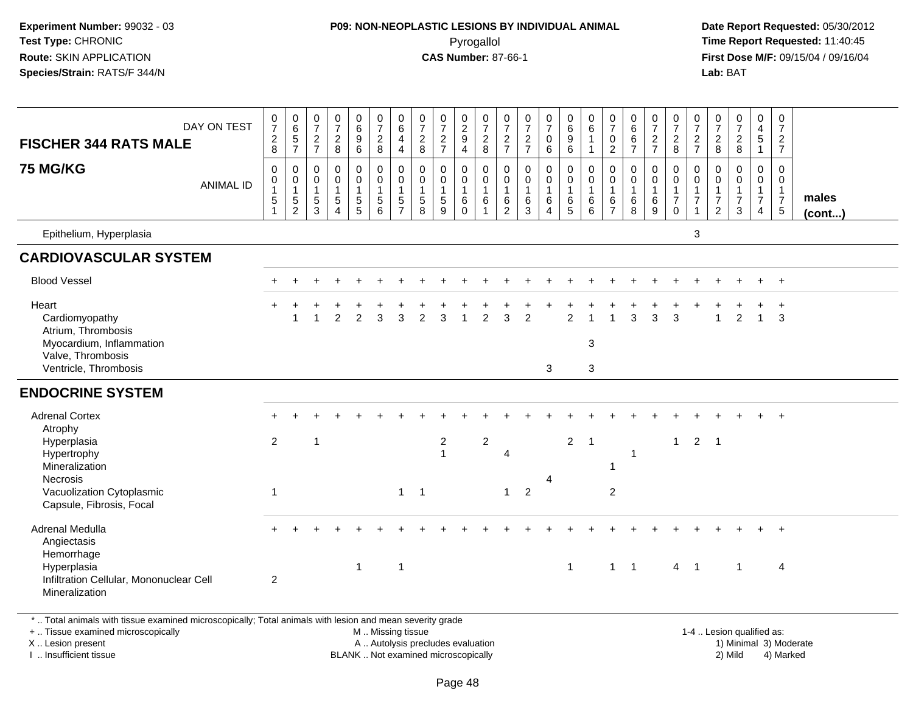## **P09: NON-NEOPLASTIC LESIONS BY INDIVIDUAL ANIMAL**Pyrogallol **Time Report Requested:** 11:40:45

 **Date Report Requested:** 05/30/2012 **First Dose M/F:** 09/15/04 / 09/16/04 Lab: BAT **Lab:** BAT

| <b>FISCHER 344 RATS MALE</b><br><b>75 MG/KG</b><br>Epithelium, Hyperplasia                                                                            | DAY ON TEST<br><b>ANIMAL ID</b> | $\frac{0}{7}$<br>$_{\rm 8}^2$<br>0<br>$\mathbf 0$<br>1<br>$\sqrt{5}$ | $065$<br>7<br>$\boldsymbol{0}$<br>$\begin{array}{c} 0 \\ 1 \\ 5 \\ 2 \end{array}$ | 0<br>$\overline{7}$<br>$\frac{2}{7}$<br>$\mathbf 0$<br>0<br>$\mathbf{1}$<br>$\,$ 5 $\,$<br>3 | $\frac{0}{7}$<br>$\boldsymbol{2}$<br>$\,8\,$<br>$\mathbf 0$<br>$\mathbf 0$<br>$\mathbf{1}$<br>$\sqrt{5}$<br>$\boldsymbol{\Lambda}$ | $\begin{matrix} 0 \\ 6 \end{matrix}$<br>$\overline{9}$<br>6<br>$\mathbf 0$<br>$\mathsf{O}\xspace$<br>$\mathbf{1}$<br>$\sqrt{5}$<br>5 | $\begin{array}{c} 0 \\ 7 \\ 2 \end{array}$<br>8<br>0<br>$\ddot{\mathbf{0}}$<br>$\mathbf{1}$<br>$\sqrt{5}$<br>6 | $\begin{array}{c} 0 \\ 6 \end{array}$<br>$\overline{\mathbf{4}}$<br>$\overline{4}$<br>$\pmb{0}$<br>$\ddot{\mathbf{0}}$<br>$\mathbf{1}$<br>$\frac{5}{7}$ | 0<br>$\overline{7}$<br>$\overline{c}$<br>8<br>0<br>0<br>$\mathbf{1}$<br>$\sqrt{5}$<br>8 | $\frac{0}{7}$<br>$\frac{2}{7}$<br>$\pmb{0}$<br>$\ddot{\mathbf{0}}$<br>$\mathbf{1}$<br>$\sqrt{5}$<br>9 | $\begin{array}{c} 0 \\ 2 \\ 9 \end{array}$<br>4<br>0<br>$\mathbf 0$<br>$\mathbf{1}$<br>$\,6\,$<br>$\Omega$ | $\frac{0}{7}$<br>$\frac{2}{8}$<br>$\pmb{0}$<br>$\overline{0}$<br>$\overline{1}$<br>$6\phantom{1}6$<br>$\mathbf{1}$ | 0<br>$\overline{7}$<br>$\frac{2}{7}$<br>0<br>0<br>$\mathbf{1}$<br>6<br>2 | $\begin{array}{c} 0 \\ 7 \\ 2 \\ 7 \end{array}$<br>$\mathsf 0$<br>$\mathsf{O}\xspace$<br>$\mathbf{1}$<br>6<br>3 | $\frac{0}{7}$<br>$\mathsf{O}\xspace$<br>6<br>$\mathbf 0$<br>$\bar{0}$<br>$\mathbf{1}$<br>6<br>$\Delta$ | 0<br>0<br>0<br>0<br>0<br>0<br>$\overline{0}$<br>$\mathbf{1}$<br>$^6$ 5 | $\begin{array}{c} 0 \\ 6 \end{array}$<br>$\mathbf{1}$<br>$\overline{1}$<br>$\mathbf 0$<br>$\ddot{\mathbf{0}}$<br>$\mathbf{1}$<br>$\,6\,$<br>6 | $\frac{0}{7}$<br>$\pmb{0}$<br>$\overline{2}$<br>0<br>$\mathbf 0$<br>$\overline{1}$<br>6<br>$\overline{7}$ | $0$<br>6<br>6<br>$\overline{7}$<br>$\mathbf 0$<br>$\mathbf 0$<br>$\mathbf{1}$<br>$\,6$<br>8 | $\frac{0}{7}$<br>$\frac{2}{7}$<br>0<br>$\mathbf 0$<br>$\mathbf{1}$<br>$\,6$<br>9 | $\frac{0}{7}$<br>8<br>0<br>$\ddot{\mathbf{0}}$<br>$\frac{1}{7}$<br>$\mathbf 0$ | $\frac{0}{7}$<br>$\frac{2}{7}$<br>$\mathbf 0$<br>0<br>$\mathbf{1}$<br>$\overline{7}$<br>3 | $\frac{0}{7}$<br>$\frac{2}{8}$<br>$\mathbf 0$<br>$\pmb{0}$<br>$\mathbf{1}$<br>$\overline{7}$<br>$\overline{2}$ | $\frac{0}{7}$<br>$\frac{2}{8}$<br>$\mathbf 0$<br>$\pmb{0}$<br>1<br>$\overline{7}$<br>3 | $\mathbf 0$<br>$\frac{4}{5}$<br>$\mathbf{1}$<br>0<br>$\mathbf 0$<br>$\frac{1}{7}$<br>$\overline{4}$ | 0<br>$\overline{7}$<br>$\frac{2}{7}$<br>$\mathbf 0$<br>0<br>$\mathbf{1}$<br>$\overline{7}$<br>$5\phantom{.0}$ | males<br>$($ cont $)$ |
|-------------------------------------------------------------------------------------------------------------------------------------------------------|---------------------------------|----------------------------------------------------------------------|-----------------------------------------------------------------------------------|----------------------------------------------------------------------------------------------|------------------------------------------------------------------------------------------------------------------------------------|--------------------------------------------------------------------------------------------------------------------------------------|----------------------------------------------------------------------------------------------------------------|---------------------------------------------------------------------------------------------------------------------------------------------------------|-----------------------------------------------------------------------------------------|-------------------------------------------------------------------------------------------------------|------------------------------------------------------------------------------------------------------------|--------------------------------------------------------------------------------------------------------------------|--------------------------------------------------------------------------|-----------------------------------------------------------------------------------------------------------------|--------------------------------------------------------------------------------------------------------|------------------------------------------------------------------------|-----------------------------------------------------------------------------------------------------------------------------------------------|-----------------------------------------------------------------------------------------------------------|---------------------------------------------------------------------------------------------|----------------------------------------------------------------------------------|--------------------------------------------------------------------------------|-------------------------------------------------------------------------------------------|----------------------------------------------------------------------------------------------------------------|----------------------------------------------------------------------------------------|-----------------------------------------------------------------------------------------------------|---------------------------------------------------------------------------------------------------------------|-----------------------|
| <b>CARDIOVASCULAR SYSTEM</b>                                                                                                                          |                                 |                                                                      |                                                                                   |                                                                                              |                                                                                                                                    |                                                                                                                                      |                                                                                                                |                                                                                                                                                         |                                                                                         |                                                                                                       |                                                                                                            |                                                                                                                    |                                                                          |                                                                                                                 |                                                                                                        |                                                                        |                                                                                                                                               |                                                                                                           |                                                                                             |                                                                                  |                                                                                |                                                                                           |                                                                                                                |                                                                                        |                                                                                                     |                                                                                                               |                       |
| <b>Blood Vessel</b>                                                                                                                                   |                                 |                                                                      |                                                                                   |                                                                                              |                                                                                                                                    |                                                                                                                                      |                                                                                                                |                                                                                                                                                         |                                                                                         |                                                                                                       |                                                                                                            |                                                                                                                    |                                                                          |                                                                                                                 |                                                                                                        |                                                                        |                                                                                                                                               |                                                                                                           |                                                                                             |                                                                                  |                                                                                |                                                                                           |                                                                                                                |                                                                                        | $+$                                                                                                 | $+$                                                                                                           |                       |
| Heart<br>Cardiomyopathy<br>Atrium, Thrombosis<br>Myocardium, Inflammation<br>Valve, Thrombosis                                                        |                                 |                                                                      |                                                                                   |                                                                                              | 2                                                                                                                                  | 2                                                                                                                                    | 3                                                                                                              | 3                                                                                                                                                       | $\overline{2}$                                                                          | 3                                                                                                     |                                                                                                            | 2                                                                                                                  | 3                                                                        | $\overline{2}$                                                                                                  |                                                                                                        | $\overline{2}$                                                         | $\mathbf{3}$                                                                                                                                  |                                                                                                           | 3                                                                                           | 3                                                                                | 3                                                                              |                                                                                           |                                                                                                                | 2                                                                                      | $\mathbf{1}$                                                                                        | $\ddot{}$<br>3                                                                                                |                       |
| Ventricle, Thrombosis                                                                                                                                 |                                 |                                                                      |                                                                                   |                                                                                              |                                                                                                                                    |                                                                                                                                      |                                                                                                                |                                                                                                                                                         |                                                                                         |                                                                                                       |                                                                                                            |                                                                                                                    |                                                                          |                                                                                                                 | 3                                                                                                      |                                                                        | $\mathbf{3}$                                                                                                                                  |                                                                                                           |                                                                                             |                                                                                  |                                                                                |                                                                                           |                                                                                                                |                                                                                        |                                                                                                     |                                                                                                               |                       |
| <b>ENDOCRINE SYSTEM</b>                                                                                                                               |                                 |                                                                      |                                                                                   |                                                                                              |                                                                                                                                    |                                                                                                                                      |                                                                                                                |                                                                                                                                                         |                                                                                         |                                                                                                       |                                                                                                            |                                                                                                                    |                                                                          |                                                                                                                 |                                                                                                        |                                                                        |                                                                                                                                               |                                                                                                           |                                                                                             |                                                                                  |                                                                                |                                                                                           |                                                                                                                |                                                                                        |                                                                                                     |                                                                                                               |                       |
| <b>Adrenal Cortex</b><br>Atrophy<br>Hyperplasia<br>Hypertrophy<br>Mineralization<br>Necrosis<br>Vacuolization Cytoplasmic<br>Capsule, Fibrosis, Focal |                                 | 2<br>$\overline{1}$                                                  |                                                                                   | $\overline{\mathbf{1}}$                                                                      |                                                                                                                                    |                                                                                                                                      |                                                                                                                | 1                                                                                                                                                       | $\overline{1}$                                                                          | 2<br>$\overline{1}$                                                                                   |                                                                                                            | $\overline{c}$                                                                                                     | $\overline{4}$<br>$\mathbf{1}$                                           | $\overline{2}$                                                                                                  | 4                                                                                                      | $\overline{2}$                                                         | $\overline{1}$                                                                                                                                | -1<br>$\overline{2}$                                                                                      | $\overline{1}$                                                                              |                                                                                  | $\mathbf{1}$                                                                   | $\overline{2}$                                                                            | $\overline{1}$                                                                                                 |                                                                                        |                                                                                                     | $\ddot{}$                                                                                                     |                       |
| Adrenal Medulla<br>Angiectasis<br>Hemorrhage<br>Hyperplasia<br>Infiltration Cellular, Mononuclear Cell<br>Mineralization                              |                                 | $\overline{c}$                                                       |                                                                                   |                                                                                              |                                                                                                                                    | $\mathbf{1}$                                                                                                                         |                                                                                                                | $\overline{1}$                                                                                                                                          |                                                                                         |                                                                                                       |                                                                                                            |                                                                                                                    |                                                                          |                                                                                                                 |                                                                                                        | $\mathbf{1}$                                                           |                                                                                                                                               | $1 \quad 1$                                                                                               |                                                                                             |                                                                                  |                                                                                | $4 \quad 1$                                                                               |                                                                                                                | $\overline{1}$                                                                         |                                                                                                     | $+$<br>4                                                                                                      |                       |

\* .. Total animals with tissue examined microscopically; Total animals with lesion and mean severity grade

+ .. Tissue examined microscopically

X .. Lesion present

I .. Insufficient tissue

 M .. Missing tissueA .. Autolysis precludes evaluation

BLANK .. Not examined microscopically 2) Mild 4) Marked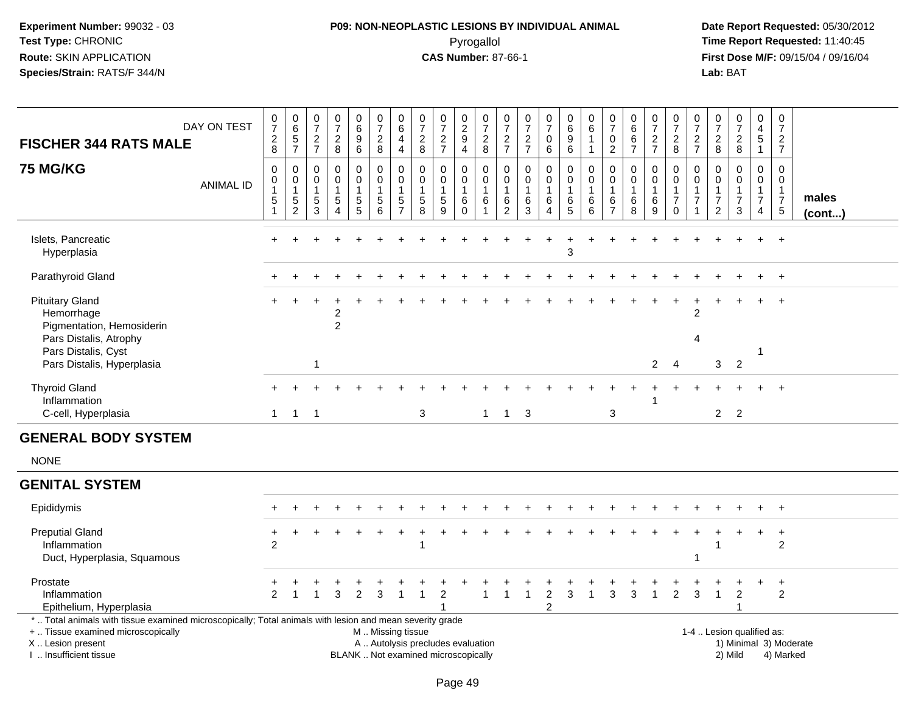# **P09: NON-NEOPLASTIC LESIONS BY INDIVIDUAL ANIMAL**Pyrogallol **Time Report Requested:** 11:40:45

| <b>FISCHER 344 RATS MALE</b>                                                                                                                                                                  | DAY ON TEST      | $\begin{array}{c} 0 \\ 7 \end{array}$<br>$_{\rm 8}^2$                              | $\begin{array}{c} 0 \\ 6 \end{array}$<br>$\frac{5}{7}$           | 0<br>$\overline{7}$<br>$\frac{2}{7}$                                | $\frac{0}{7}$<br>$\frac{2}{8}$                                    | $_{6}^{\rm 0}$<br>$\boldsymbol{9}$<br>$6\overline{6}$ | $\begin{smallmatrix}0\\7\end{smallmatrix}$<br>$_{\rm 8}^2$                        | $\begin{array}{c} 0 \\ 6 \end{array}$<br>$\overline{4}$<br>$\overline{4}$ | $\begin{smallmatrix}0\\7\end{smallmatrix}$<br>$_{\rm 8}^2$               | $\begin{array}{c} 0 \\ 7 \end{array}$<br>$\frac{2}{7}$            | 0<br>$\overline{2}$<br>9<br>4                         | $\frac{0}{7}$<br>$\frac{2}{8}$                                          | $\frac{0}{7}$<br>$\frac{2}{7}$                                        | $\frac{0}{7}$<br>$\frac{2}{7}$                              | $\frac{0}{7}$<br>$\mathbf 0$<br>$6\phantom{a}$                      | $_{6}^{\rm 0}$<br>9<br>$6\phantom{a}$         | $\begin{array}{c} 0 \\ 6 \end{array}$<br>$\overline{1}$<br>$\overline{1}$ | 0<br>$\overline{7}$<br>$\mathbf 0$<br>$\overline{2}$            | $\mathbf 0$<br>6<br>6<br>$\overline{7}$       | $\frac{0}{7}$<br>$\frac{2}{7}$ | $\frac{0}{7}$<br>$_{8}^2$                                           | $\frac{0}{7}$<br>$\frac{2}{7}$                                                       | 0<br>$\overline{7}$<br>$_{\rm 8}^2$         | $\begin{smallmatrix}0\\7\end{smallmatrix}$<br>$\frac{2}{8}$       | 0<br>$\overline{\mathbf{4}}$<br>$\overline{5}$<br>$\overline{1}$     | $\mathbf 0$<br>$\overline{7}$<br>$\frac{2}{7}$                                   |                        |
|-----------------------------------------------------------------------------------------------------------------------------------------------------------------------------------------------|------------------|------------------------------------------------------------------------------------|------------------------------------------------------------------|---------------------------------------------------------------------|-------------------------------------------------------------------|-------------------------------------------------------|-----------------------------------------------------------------------------------|---------------------------------------------------------------------------|--------------------------------------------------------------------------|-------------------------------------------------------------------|-------------------------------------------------------|-------------------------------------------------------------------------|-----------------------------------------------------------------------|-------------------------------------------------------------|---------------------------------------------------------------------|-----------------------------------------------|---------------------------------------------------------------------------|-----------------------------------------------------------------|-----------------------------------------------|--------------------------------|---------------------------------------------------------------------|--------------------------------------------------------------------------------------|---------------------------------------------|-------------------------------------------------------------------|----------------------------------------------------------------------|----------------------------------------------------------------------------------|------------------------|
| <b>75 MG/KG</b>                                                                                                                                                                               | <b>ANIMAL ID</b> | $\mathbf 0$<br>$\mathbf 0$<br>$\mathbf 1$<br>$\sqrt{5}$<br>$\overline{\mathbf{1}}$ | $\boldsymbol{0}$<br>$\pmb{0}$<br>$\overline{1}$<br>$\frac{5}{2}$ | $\mathbf 0$<br>$\mathbf 0$<br>$\overline{1}$<br>$\overline{5}$<br>3 | $\mathbf 0$<br>$\Omega$<br>$\mathbf{1}$<br>$\sqrt{5}$<br>$\Delta$ | 0<br>$\mathbf 0$<br>$\mathbf 1$<br>$\frac{5}{5}$      | $\pmb{0}$<br>$\mathbf 0$<br>$\mathbf{1}$<br>$\begin{array}{c} 5 \\ 6 \end{array}$ | $\pmb{0}$<br>$\mathbf 0$<br>$\mathbf{1}$<br>$\frac{5}{7}$                 | $\mathbf 0$<br>$\mathbf 0$<br>$\overline{1}$<br>$\sqrt{5}$<br>8          | $\mathbf 0$<br>$\mathbf 0$<br>$\mathbf{1}$<br>$\overline{5}$<br>9 | 0<br>$\mathbf 0$<br>$\mathbf{1}$<br>$\,6$<br>$\Omega$ | 0<br>$\mathbf 0$<br>$\overline{1}$<br>$6\phantom{1}6$<br>$\overline{1}$ | $\mathbf 0$<br>$\mathbf 0$<br>$\mathbf{1}$<br>$\,6$<br>$\overline{2}$ | 0<br>$\mathbf 0$<br>$\mathbf{1}$<br>$\,6$<br>$\overline{3}$ | $\mathsf 0$<br>0<br>$\mathbf{1}$<br>$\,6$<br>$\boldsymbol{\Lambda}$ | 0<br>$\mathbf 0$<br>$\,6\,$<br>$\overline{5}$ | $\mathbf 0$<br>$\mathsf{O}\xspace$<br>$\overline{1}$<br>$\,6$<br>6        | 0<br>$\mathbf 0$<br>$\overline{1}$<br>$\,6\,$<br>$\overline{7}$ | 0<br>$\Omega$<br>$\overline{1}$<br>$\,6$<br>8 | 0<br>$\Omega$<br>6<br>9        | 0<br>$\mathbf 0$<br>$\mathbf{1}$<br>$\boldsymbol{7}$<br>$\mathbf 0$ | $\mathsf{O}\xspace$<br>$\mathbf 0$<br>$\mathbf{1}$<br>$\overline{7}$<br>$\mathbf{1}$ | $\Omega$<br>$\Omega$<br>$\overline{7}$<br>2 | $\mathbf 0$<br>$\mathbf 0$<br>$\mathbf{1}$<br>$\overline{7}$<br>3 | 0<br>$\mathbf 0$<br>$\mathbf{1}$<br>$\overline{7}$<br>$\overline{4}$ | $\mathbf 0$<br>$\mathbf 0$<br>$\overline{1}$<br>$\overline{7}$<br>$\overline{5}$ | males<br>(cont)        |
| Islets, Pancreatic<br>Hyperplasia                                                                                                                                                             |                  |                                                                                    |                                                                  |                                                                     |                                                                   |                                                       |                                                                                   |                                                                           |                                                                          |                                                                   |                                                       |                                                                         |                                                                       |                                                             |                                                                     | 3                                             |                                                                           |                                                                 |                                               |                                |                                                                     |                                                                                      |                                             |                                                                   |                                                                      |                                                                                  |                        |
| Parathyroid Gland                                                                                                                                                                             |                  |                                                                                    |                                                                  |                                                                     |                                                                   |                                                       |                                                                                   |                                                                           |                                                                          |                                                                   |                                                       |                                                                         |                                                                       |                                                             |                                                                     |                                               |                                                                           |                                                                 |                                               |                                |                                                                     |                                                                                      |                                             |                                                                   |                                                                      |                                                                                  |                        |
| <b>Pituitary Gland</b><br>Hemorrhage<br>Pigmentation, Hemosiderin                                                                                                                             |                  |                                                                                    |                                                                  |                                                                     | 2<br>$\overline{c}$                                               |                                                       |                                                                                   |                                                                           |                                                                          |                                                                   |                                                       |                                                                         |                                                                       |                                                             |                                                                     |                                               |                                                                           |                                                                 |                                               |                                |                                                                     | 2                                                                                    |                                             |                                                                   |                                                                      |                                                                                  |                        |
| Pars Distalis, Atrophy<br>Pars Distalis, Cyst<br>Pars Distalis, Hyperplasia                                                                                                                   |                  |                                                                                    |                                                                  | 1                                                                   |                                                                   |                                                       |                                                                                   |                                                                           |                                                                          |                                                                   |                                                       |                                                                         |                                                                       |                                                             |                                                                     |                                               |                                                                           |                                                                 |                                               | $\overline{2}$                 | $\overline{4}$                                                      | 4                                                                                    | 3                                           | $\overline{2}$                                                    | -1                                                                   |                                                                                  |                        |
| <b>Thyroid Gland</b><br>Inflammation<br>C-cell, Hyperplasia                                                                                                                                   |                  |                                                                                    | $1 \quad 1 \quad 1$                                              |                                                                     |                                                                   |                                                       |                                                                                   |                                                                           | 3                                                                        |                                                                   |                                                       | $\mathbf{1}$                                                            | $1 \quad 3$                                                           |                                                             |                                                                     |                                               |                                                                           | 3                                                               |                                               |                                |                                                                     |                                                                                      |                                             | $2 \quad 2$                                                       |                                                                      |                                                                                  |                        |
| <b>GENERAL BODY SYSTEM</b>                                                                                                                                                                    |                  |                                                                                    |                                                                  |                                                                     |                                                                   |                                                       |                                                                                   |                                                                           |                                                                          |                                                                   |                                                       |                                                                         |                                                                       |                                                             |                                                                     |                                               |                                                                           |                                                                 |                                               |                                |                                                                     |                                                                                      |                                             |                                                                   |                                                                      |                                                                                  |                        |
| <b>NONE</b>                                                                                                                                                                                   |                  |                                                                                    |                                                                  |                                                                     |                                                                   |                                                       |                                                                                   |                                                                           |                                                                          |                                                                   |                                                       |                                                                         |                                                                       |                                                             |                                                                     |                                               |                                                                           |                                                                 |                                               |                                |                                                                     |                                                                                      |                                             |                                                                   |                                                                      |                                                                                  |                        |
| <b>GENITAL SYSTEM</b>                                                                                                                                                                         |                  |                                                                                    |                                                                  |                                                                     |                                                                   |                                                       |                                                                                   |                                                                           |                                                                          |                                                                   |                                                       |                                                                         |                                                                       |                                                             |                                                                     |                                               |                                                                           |                                                                 |                                               |                                |                                                                     |                                                                                      |                                             |                                                                   |                                                                      |                                                                                  |                        |
| Epididymis                                                                                                                                                                                    |                  |                                                                                    |                                                                  |                                                                     |                                                                   |                                                       |                                                                                   |                                                                           |                                                                          |                                                                   |                                                       |                                                                         |                                                                       |                                                             |                                                                     |                                               |                                                                           |                                                                 |                                               |                                |                                                                     |                                                                                      |                                             |                                                                   |                                                                      |                                                                                  |                        |
| <b>Preputial Gland</b><br>Inflammation<br>Duct, Hyperplasia, Squamous                                                                                                                         |                  | $\ddot{}$<br>2                                                                     |                                                                  |                                                                     |                                                                   |                                                       |                                                                                   |                                                                           |                                                                          |                                                                   |                                                       |                                                                         |                                                                       |                                                             |                                                                     |                                               |                                                                           |                                                                 |                                               |                                |                                                                     | $\overline{\mathbf{1}}$                                                              |                                             |                                                                   | $\ddot{}$                                                            | $\ddot{}$<br>2                                                                   |                        |
| Prostate<br>Inflammation<br>Epithelium, Hyperplasia                                                                                                                                           |                  | 2                                                                                  |                                                                  |                                                                     |                                                                   | 2                                                     | 3                                                                                 |                                                                           |                                                                          |                                                                   |                                                       |                                                                         |                                                                       |                                                             | $\overline{c}$<br>$\overline{c}$                                    | 3                                             |                                                                           | 3                                                               | 3                                             |                                | 2                                                                   | 3                                                                                    |                                             | 2                                                                 |                                                                      | $\overline{c}$                                                                   |                        |
| *  Total animals with tissue examined microscopically; Total animals with lesion and mean severity grade<br>+  Tissue examined microscopically<br>X  Lesion present<br>I. Insufficient tissue |                  |                                                                                    |                                                                  |                                                                     |                                                                   |                                                       | M  Missing tissue                                                                 |                                                                           | A  Autolysis precludes evaluation<br>BLANK  Not examined microscopically |                                                                   |                                                       |                                                                         |                                                                       |                                                             |                                                                     |                                               |                                                                           |                                                                 |                                               |                                |                                                                     |                                                                                      |                                             | 1-4  Lesion qualified as:<br>2) Mild                              |                                                                      | 4) Marked                                                                        | 1) Minimal 3) Moderate |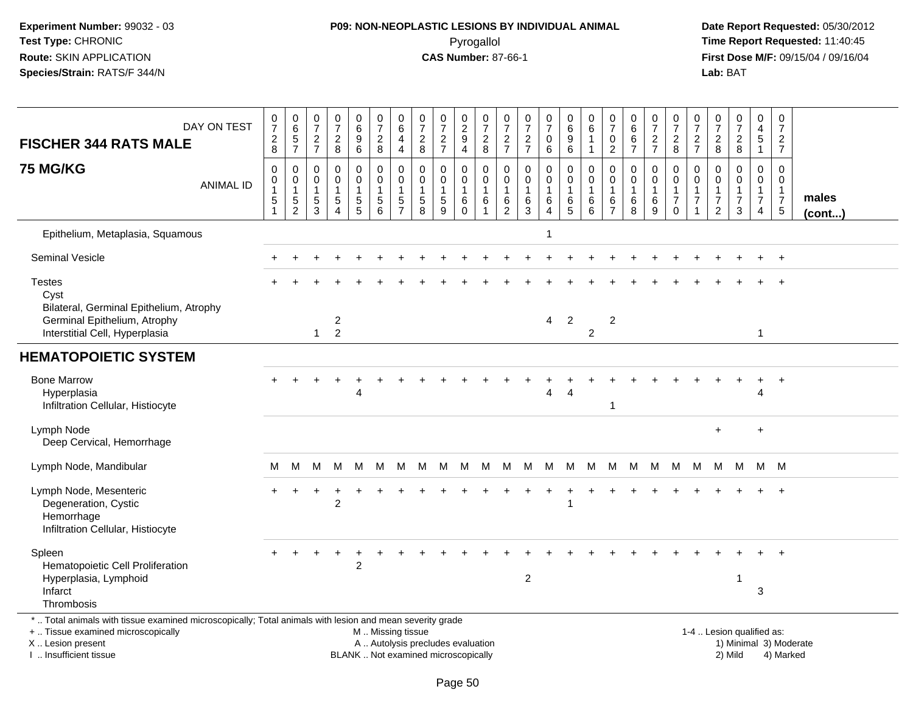## **P09: NON-NEOPLASTIC LESIONS BY INDIVIDUAL ANIMAL**Pyrogallol **Time Report Requested:** 11:40:45

 **Date Report Requested:** 05/30/2012 **First Dose M/F:** 09/15/04 / 09/16/04<br>Lab: BAT **Lab:** BAT

| <b>FISCHER 344 RATS MALE</b>                                                                                                                                        | DAY ON TEST      | 0<br>$\boldsymbol{7}$<br>$\overline{c}$<br>8 | $\begin{array}{c} 0 \\ 6 \end{array}$<br>$\frac{5}{7}$      | 0<br>$\overline{7}$<br>$\overline{c}$<br>$\overline{7}$ | 0<br>$\overline{7}$<br>$\overline{c}$<br>8                                         | 0<br>$\overline{6}$<br>$\boldsymbol{9}$<br>6 | $\frac{0}{7}$<br>$\boldsymbol{2}$<br>8                 | $_{6}^{\rm 0}$<br>4<br>$\overline{4}$           | 0<br>$\overline{7}$<br>$\overline{c}$<br>8           | $\frac{0}{7}$<br>$\frac{2}{7}$                                | $\begin{array}{c} 0 \\ 2 \\ 9 \end{array}$<br>$\overline{4}$ | $\frac{0}{7}$<br>$\boldsymbol{2}$<br>$\,8\,$           | 0<br>$\overline{7}$<br>$\overline{c}$<br>$\overline{7}$           | 0<br>$\overline{7}$<br>$\frac{2}{7}$       | $\frac{0}{7}$<br>$\pmb{0}$<br>$\,6\,$                    | $\begin{array}{c} 0 \\ 6 \end{array}$<br>$\boldsymbol{9}$<br>$\,6\,$ | 0<br>$\,6\,$<br>1<br>$\mathbf{1}$                        | 0<br>$\overline{7}$<br>0<br>$\overline{2}$                        | 0<br>6<br>6<br>$\overline{7}$                        | $\frac{0}{7}$<br>$\overline{a}$<br>$\overline{7}$ | $\frac{0}{7}$<br>$\overline{c}$<br>8                                      | 0<br>$\frac{5}{7}$<br>$\boldsymbol{2}$<br>$\overline{7}$ | $\mathbf 0$<br>$\overline{7}$<br>$\overline{c}$<br>$\bf8$                                 | $\begin{array}{c} 0 \\ 7 \end{array}$<br>$\overline{c}$<br>8   | 0<br>$\overline{\mathbf{4}}$<br>5<br>$\mathbf{1}$      | $\begin{array}{c} 0 \\ 7 \end{array}$<br>$\overline{2}$<br>$\overline{7}$ |                       |
|---------------------------------------------------------------------------------------------------------------------------------------------------------------------|------------------|----------------------------------------------|-------------------------------------------------------------|---------------------------------------------------------|------------------------------------------------------------------------------------|----------------------------------------------|--------------------------------------------------------|-------------------------------------------------|------------------------------------------------------|---------------------------------------------------------------|--------------------------------------------------------------|--------------------------------------------------------|-------------------------------------------------------------------|--------------------------------------------|----------------------------------------------------------|----------------------------------------------------------------------|----------------------------------------------------------|-------------------------------------------------------------------|------------------------------------------------------|---------------------------------------------------|---------------------------------------------------------------------------|----------------------------------------------------------|-------------------------------------------------------------------------------------------|----------------------------------------------------------------|--------------------------------------------------------|---------------------------------------------------------------------------|-----------------------|
| <b>75 MG/KG</b>                                                                                                                                                     | <b>ANIMAL ID</b> | $\mathbf 0$<br>0<br>5                        | $\mathbf 0$<br>$\mathbf 0$<br>$\mathbf{1}$<br>$\frac{5}{2}$ | 0<br>0<br>$\overline{1}$<br>$\sqrt{5}$<br>3             | $\mathbf 0$<br>$\mathbf 0$<br>$\mathbf{1}$<br>$\sqrt{5}$<br>$\boldsymbol{\Lambda}$ | 0<br>$\mathbf 0$<br>1<br>$\sqrt{5}$<br>5     | 0<br>$\mathbf 0$<br>1<br>$\sqrt{5}$<br>6               | 0<br>$\pmb{0}$<br>$\mathbf{1}$<br>$\frac{5}{7}$ | $\mathbf 0$<br>$\mathbf{0}$<br>-1<br>$\sqrt{5}$<br>8 | $\mathbf 0$<br>$\mathbf 0$<br>$\mathbf{1}$<br>$\sqrt{5}$<br>9 | 0<br>$\mathbf 0$<br>$\mathbf{1}$<br>6<br>$\Omega$            | $\mathbf 0$<br>$\mathbf 0$<br>$\overline{1}$<br>6<br>1 | $\mathbf 0$<br>$\mathbf 0$<br>$\mathbf{1}$<br>6<br>$\overline{2}$ | $\mathbf 0$<br>$\mathbf 0$<br>-1<br>6<br>3 | $\mathbf 0$<br>$\pmb{0}$<br>1<br>$\,6$<br>$\overline{4}$ | $\mathbf 0$<br>$\mathbf 0$<br>$\overline{1}$<br>$\,6$<br>5           | $\mathbf 0$<br>$\mathbf 0$<br>$\mathbf{1}$<br>$\,6$<br>6 | $\mathbf 0$<br>$\mathbf 0$<br>$\mathbf{1}$<br>6<br>$\overline{7}$ | $\mathbf 0$<br>$\mathbf 0$<br>$\mathbf{1}$<br>6<br>8 | 0<br>0<br>$\mathbf{1}$<br>6<br>9                  | 0<br>$\mathsf{O}\xspace$<br>$\mathbf{1}$<br>$\overline{7}$<br>$\mathbf 0$ | 0<br>$\mathbf 0$<br>1<br>$\overline{7}$                  | $\mathbf 0$<br>$\mathbf 0$<br>$\overline{\mathbf{1}}$<br>$\overline{7}$<br>$\overline{2}$ | $\mathbf 0$<br>$\Omega$<br>$\mathbf{1}$<br>$\overline{7}$<br>3 | 0<br>$\mathbf 0$<br>$\mathbf 1$<br>$\overline{7}$<br>4 | 0<br>$\mathbf 0$<br>$\mathbf{1}$<br>$\begin{array}{c} 7 \\ 5 \end{array}$ | males<br>$($ cont $)$ |
| Epithelium, Metaplasia, Squamous                                                                                                                                    |                  |                                              |                                                             |                                                         |                                                                                    |                                              |                                                        |                                                 |                                                      |                                                               |                                                              |                                                        |                                                                   |                                            |                                                          |                                                                      |                                                          |                                                                   |                                                      |                                                   |                                                                           |                                                          |                                                                                           |                                                                |                                                        |                                                                           |                       |
| <b>Seminal Vesicle</b>                                                                                                                                              |                  |                                              |                                                             |                                                         |                                                                                    |                                              |                                                        |                                                 |                                                      |                                                               |                                                              |                                                        |                                                                   |                                            |                                                          |                                                                      |                                                          |                                                                   |                                                      |                                                   |                                                                           |                                                          |                                                                                           |                                                                |                                                        |                                                                           |                       |
| <b>Testes</b><br>Cyst<br>Bilateral, Germinal Epithelium, Atrophy                                                                                                    |                  |                                              |                                                             |                                                         |                                                                                    |                                              |                                                        |                                                 |                                                      |                                                               |                                                              |                                                        |                                                                   |                                            |                                                          |                                                                      |                                                          |                                                                   |                                                      |                                                   |                                                                           |                                                          |                                                                                           |                                                                |                                                        |                                                                           |                       |
| Germinal Epithelium, Atrophy<br>Interstitial Cell, Hyperplasia                                                                                                      |                  |                                              |                                                             | $\mathbf 1$                                             | $\overline{c}$<br>$\overline{2}$                                                   |                                              |                                                        |                                                 |                                                      |                                                               |                                                              |                                                        |                                                                   |                                            | $\overline{4}$                                           | $\overline{2}$                                                       | $\overline{2}$                                           | $\overline{c}$                                                    |                                                      |                                                   |                                                                           |                                                          |                                                                                           |                                                                | $\mathbf{1}$                                           |                                                                           |                       |
| <b>HEMATOPOIETIC SYSTEM</b>                                                                                                                                         |                  |                                              |                                                             |                                                         |                                                                                    |                                              |                                                        |                                                 |                                                      |                                                               |                                                              |                                                        |                                                                   |                                            |                                                          |                                                                      |                                                          |                                                                   |                                                      |                                                   |                                                                           |                                                          |                                                                                           |                                                                |                                                        |                                                                           |                       |
| <b>Bone Marrow</b><br>Hyperplasia<br>Infiltration Cellular, Histiocyte                                                                                              |                  |                                              |                                                             |                                                         |                                                                                    | 4                                            |                                                        |                                                 |                                                      |                                                               |                                                              |                                                        |                                                                   |                                            | Δ                                                        | Δ                                                                    |                                                          | 1                                                                 |                                                      |                                                   |                                                                           |                                                          |                                                                                           |                                                                | $\ddot{}$<br>4                                         | $\ddot{}$                                                                 |                       |
| Lymph Node<br>Deep Cervical, Hemorrhage                                                                                                                             |                  |                                              |                                                             |                                                         |                                                                                    |                                              |                                                        |                                                 |                                                      |                                                               |                                                              |                                                        |                                                                   |                                            |                                                          |                                                                      |                                                          |                                                                   |                                                      |                                                   |                                                                           |                                                          | $+$                                                                                       |                                                                | $\ddot{}$                                              |                                                                           |                       |
| Lymph Node, Mandibular                                                                                                                                              |                  | M                                            | м                                                           | м                                                       | M                                                                                  | м                                            | м                                                      | M                                               | M                                                    | M                                                             | М                                                            | M                                                      | M                                                                 | M                                          | M                                                        | M                                                                    | М                                                        | M                                                                 | M                                                    | M                                                 | M                                                                         | M                                                        | М                                                                                         | м                                                              |                                                        | M M                                                                       |                       |
| Lymph Node, Mesenteric<br>Degeneration, Cystic<br>Hemorrhage<br>Infiltration Cellular, Histiocyte                                                                   |                  |                                              |                                                             |                                                         | $\overline{2}$                                                                     |                                              |                                                        |                                                 |                                                      |                                                               |                                                              |                                                        |                                                                   |                                            |                                                          |                                                                      |                                                          |                                                                   |                                                      |                                                   |                                                                           |                                                          |                                                                                           |                                                                |                                                        |                                                                           |                       |
| Spleen<br>Hematopoietic Cell Proliferation<br>Hyperplasia, Lymphoid<br>Infarct<br>Thrombosis                                                                        |                  |                                              |                                                             |                                                         |                                                                                    | $\overline{2}$                               |                                                        |                                                 |                                                      |                                                               |                                                              |                                                        |                                                                   | $\overline{c}$                             |                                                          |                                                                      |                                                          |                                                                   |                                                      |                                                   |                                                                           |                                                          |                                                                                           | -1                                                             | 3                                                      |                                                                           |                       |
| *  Total animals with tissue examined microscopically; Total animals with lesion and mean severity grade<br>+  Tissue examined microscopically<br>X  Lesion present |                  |                                              |                                                             |                                                         |                                                                                    |                                              | M  Missing tissue<br>A  Autolysis precludes evaluation |                                                 |                                                      |                                                               |                                                              |                                                        |                                                                   |                                            |                                                          |                                                                      |                                                          |                                                                   |                                                      |                                                   |                                                                           |                                                          |                                                                                           | 1-4  Lesion qualified as:                                      |                                                        | 1) Minimal 3) Moderate                                                    |                       |

I .. Insufficient tissue

Page 50

BLANK .. Not examined microscopically 2) Mild 4) Marked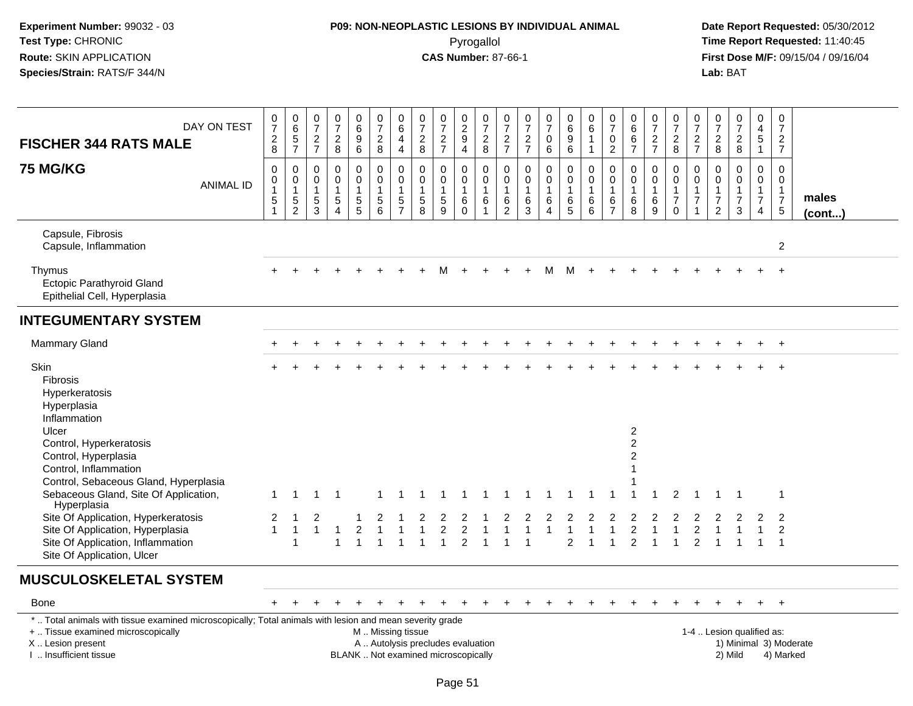# **P09: NON-NEOPLASTIC LESIONS BY INDIVIDUAL ANIMAL**Pyrogallol **Time Report Requested:** 11:40:45

| DAY ON TEST<br><b>FISCHER 344 RATS MALE</b>                                                                                                                                                  | $\frac{0}{7}$<br>$\overline{c}$<br>$\overline{8}$ | $\begin{array}{c} 0 \\ 6 \end{array}$<br>$\frac{5}{7}$   | $\begin{array}{c} 0 \\ 7 \end{array}$<br>$\overline{2}$<br>$\overline{7}$ | $\begin{array}{c} 0 \\ 7 \end{array}$<br>$\overline{c}$<br>8 | $\begin{array}{c} 0 \\ 6 \end{array}$<br>$\boldsymbol{9}$<br>$\,6\,$ | $\begin{array}{c} 0 \\ 7 \end{array}$<br>$\overline{2}$<br>$\overline{8}$                     | $\boldsymbol{0}$<br>$\overline{6}$<br>$\overline{4}$<br>$\overline{4}$     | 0<br>$\overline{7}$<br>$\overline{2}$<br>8                       | $\begin{array}{c} 0 \\ 7 \end{array}$<br>$rac{2}{7}$            | $\begin{smallmatrix} 0\\2\\9 \end{smallmatrix}$<br>$\overline{4}$ | $\mathbf 0$<br>$\overline{7}$<br>$\overline{c}$<br>8                          | $\frac{0}{7}$<br>$\overline{2}$<br>$\overline{7}$                 | $\frac{0}{7}$<br>$\overline{c}$<br>$\overline{7}$                     | $\frac{0}{7}$<br>$\mathbf 0$<br>6                                 | $_{6}^{\rm 0}$<br>$9\,$<br>6                                           | $\mathbf 0$<br>$\overline{6}$<br>$\overline{1}$<br>$\mathbf 1$  | $\begin{array}{c} 0 \\ 7 \end{array}$<br>$\mathbf 0$<br>$\overline{2}$ | $\begin{array}{c} 0 \\ 6 \end{array}$<br>$\,6\,$<br>$\overline{7}$        | $\begin{array}{c} 0 \\ 7 \end{array}$<br>$\sqrt{2}$<br>$\overline{7}$ | 0<br>$\overline{7}$<br>$\sqrt{2}$<br>$\overline{8}$                         | $\,0\,$<br>$\overline{7}$<br>$\overline{2}$<br>$\overline{7}$  | 0<br>$\overline{7}$<br>$\overline{c}$<br>8                                       | $\frac{0}{7}$<br>$\overline{2}$<br>8                              | $\mathbf 0$<br>$\overline{4}$<br>$\overline{5}$<br>$\mathbf{1}$            | 0<br>$\overline{7}$<br>$\overline{2}$<br>$\overline{7}$                        |                        |
|----------------------------------------------------------------------------------------------------------------------------------------------------------------------------------------------|---------------------------------------------------|----------------------------------------------------------|---------------------------------------------------------------------------|--------------------------------------------------------------|----------------------------------------------------------------------|-----------------------------------------------------------------------------------------------|----------------------------------------------------------------------------|------------------------------------------------------------------|-----------------------------------------------------------------|-------------------------------------------------------------------|-------------------------------------------------------------------------------|-------------------------------------------------------------------|-----------------------------------------------------------------------|-------------------------------------------------------------------|------------------------------------------------------------------------|-----------------------------------------------------------------|------------------------------------------------------------------------|---------------------------------------------------------------------------|-----------------------------------------------------------------------|-----------------------------------------------------------------------------|----------------------------------------------------------------|----------------------------------------------------------------------------------|-------------------------------------------------------------------|----------------------------------------------------------------------------|--------------------------------------------------------------------------------|------------------------|
| <b>75 MG/KG</b><br><b>ANIMAL ID</b>                                                                                                                                                          | 0<br>0<br>$\mathbf{1}$<br>5<br>$\mathbf{1}$       | 0<br>$\overline{0}$<br>1<br>$\sqrt{5}$<br>$\overline{2}$ | $\mathbf 0$<br>$\mathsf{O}\xspace$<br>$\mathbf{1}$<br>$5\,$<br>3          | $\pmb{0}$<br>0<br>$\mathbf{1}$<br>5<br>$\overline{4}$        | $\mathbf 0$<br>$\pmb{0}$<br>$\mathbf{1}$<br>$\sqrt{5}$<br>5          | $\mathbf 0$<br>$\mathbf 0$<br>$\mathbf{1}$<br>$\sqrt{5}$<br>$6\phantom{1}$                    | $\mathbf 0$<br>$\pmb{0}$<br>$\overline{1}$<br>$\sqrt{5}$<br>$\overline{7}$ | $\mathbf{0}$<br>$\mathbf 0$<br>$\overline{1}$<br>$\sqrt{5}$<br>8 | $\mathbf 0$<br>$\pmb{0}$<br>$\mathbf{1}$<br>$\overline{5}$<br>9 | $\mathbf 0$<br>$\pmb{0}$<br>$\mathbf{1}$<br>$\,6$<br>$\mathbf 0$  | $\mathbf 0$<br>$\mathbf 0$<br>$\mathbf{1}$<br>$6\phantom{1}6$<br>$\mathbf{1}$ | $\mathbf 0$<br>$\mathbf 0$<br>$\mathbf{1}$<br>6<br>$\overline{2}$ | $\mathbf 0$<br>$\mathbf 0$<br>$\mathbf{1}$<br>$\,6\,$<br>$\mathbf{3}$ | $\mathbf 0$<br>$\mathbf 0$<br>$\mathbf{1}$<br>6<br>$\overline{4}$ | $\mathbf 0$<br>$\pmb{0}$<br>$\mathbf{1}$<br>$\,6\,$<br>$5\phantom{.0}$ | $\mathbf 0$<br>$\pmb{0}$<br>$\mathbf{1}$<br>6<br>$6\phantom{1}$ | $\mathbf 0$<br>$\mathbf 0$<br>$\overline{1}$<br>6<br>$\overline{7}$    | $\mathbf 0$<br>$\boldsymbol{0}$<br>$\overline{1}$<br>$6\phantom{1}6$<br>8 | 0<br>0<br>$\overline{1}$<br>$\,6\,$<br>$9\,$                          | $\mathbf 0$<br>$\mathsf 0$<br>$\mathbf{1}$<br>$\overline{7}$<br>$\mathbf 0$ | $\Omega$<br>$\mathbf 0$<br>$\mathbf{1}$<br>$\overline{7}$<br>1 | $\mathbf 0$<br>$\mathbf 0$<br>$\mathbf{1}$<br>$\boldsymbol{7}$<br>$\overline{2}$ | $\mathbf 0$<br>$\mathsf 0$<br>$\mathbf{1}$<br>$\overline{7}$<br>3 | $\pmb{0}$<br>$\pmb{0}$<br>$\mathbf{1}$<br>$\overline{7}$<br>$\overline{4}$ | $\mathbf 0$<br>$\mathbf 0$<br>$\mathbf{1}$<br>$\overline{7}$<br>5 <sup>5</sup> | males<br>(cont)        |
| Capsule, Fibrosis<br>Capsule, Inflammation                                                                                                                                                   |                                                   |                                                          |                                                                           |                                                              |                                                                      |                                                                                               |                                                                            |                                                                  |                                                                 |                                                                   |                                                                               |                                                                   |                                                                       |                                                                   |                                                                        |                                                                 |                                                                        |                                                                           |                                                                       |                                                                             |                                                                |                                                                                  |                                                                   |                                                                            | $\overline{c}$                                                                 |                        |
| Thymus<br><b>Ectopic Parathyroid Gland</b><br>Epithelial Cell, Hyperplasia                                                                                                                   |                                                   |                                                          |                                                                           |                                                              |                                                                      |                                                                                               |                                                                            |                                                                  | м                                                               |                                                                   |                                                                               |                                                                   |                                                                       | м                                                                 | M                                                                      |                                                                 |                                                                        |                                                                           |                                                                       |                                                                             |                                                                |                                                                                  |                                                                   |                                                                            | $\overline{+}$                                                                 |                        |
| <b>INTEGUMENTARY SYSTEM</b>                                                                                                                                                                  |                                                   |                                                          |                                                                           |                                                              |                                                                      |                                                                                               |                                                                            |                                                                  |                                                                 |                                                                   |                                                                               |                                                                   |                                                                       |                                                                   |                                                                        |                                                                 |                                                                        |                                                                           |                                                                       |                                                                             |                                                                |                                                                                  |                                                                   |                                                                            |                                                                                |                        |
| <b>Mammary Gland</b>                                                                                                                                                                         |                                                   |                                                          |                                                                           |                                                              |                                                                      |                                                                                               |                                                                            |                                                                  |                                                                 |                                                                   |                                                                               |                                                                   |                                                                       |                                                                   |                                                                        |                                                                 |                                                                        |                                                                           |                                                                       |                                                                             |                                                                |                                                                                  |                                                                   |                                                                            | $\overline{1}$                                                                 |                        |
| Skin<br>Fibrosis<br>Hyperkeratosis<br>Hyperplasia<br>Inflammation                                                                                                                            |                                                   |                                                          |                                                                           |                                                              |                                                                      |                                                                                               |                                                                            |                                                                  |                                                                 |                                                                   |                                                                               |                                                                   |                                                                       |                                                                   |                                                                        |                                                                 |                                                                        |                                                                           |                                                                       |                                                                             |                                                                |                                                                                  |                                                                   |                                                                            | $\overline{+}$                                                                 |                        |
| Ulcer<br>Control, Hyperkeratosis<br>Control, Hyperplasia<br>Control, Inflammation                                                                                                            |                                                   |                                                          |                                                                           |                                                              |                                                                      |                                                                                               |                                                                            |                                                                  |                                                                 |                                                                   |                                                                               |                                                                   |                                                                       |                                                                   |                                                                        |                                                                 |                                                                        | $\overline{c}$<br>$\overline{c}$<br>$\overline{2}$<br>1                   |                                                                       |                                                                             |                                                                |                                                                                  |                                                                   |                                                                            |                                                                                |                        |
| Control, Sebaceous Gland, Hyperplasia<br>Sebaceous Gland, Site Of Application,                                                                                                               | $\mathbf 1$                                       |                                                          |                                                                           |                                                              |                                                                      |                                                                                               |                                                                            |                                                                  |                                                                 |                                                                   |                                                                               |                                                                   |                                                                       |                                                                   |                                                                        |                                                                 |                                                                        |                                                                           |                                                                       | $\mathcal{P}$                                                               |                                                                |                                                                                  |                                                                   |                                                                            | -1                                                                             |                        |
| Hyperplasia<br>Site Of Application, Hyperkeratosis<br>Site Of Application, Hyperplasia<br>Site Of Application, Inflammation<br>Site Of Application, Ulcer                                    | $\overline{2}$<br>$\mathbf{1}$                    | -1                                                       | 2<br>$\overline{1}$                                                       |                                                              | $\overline{c}$                                                       |                                                                                               |                                                                            |                                                                  | $\overline{c}$                                                  | $\boldsymbol{2}$<br>$\mathfrak{p}$                                |                                                                               |                                                                   |                                                                       | $\overline{1}$                                                    | 2                                                                      |                                                                 |                                                                        | $\overline{c}$<br>$\mathfrak{p}$                                          |                                                                       | 1                                                                           | 2<br>$\mathfrak{p}$                                            |                                                                                  |                                                                   |                                                                            | $\overline{2}$<br>2<br>$\overline{1}$                                          |                        |
| <b>MUSCULOSKELETAL SYSTEM</b>                                                                                                                                                                |                                                   |                                                          |                                                                           |                                                              |                                                                      |                                                                                               |                                                                            |                                                                  |                                                                 |                                                                   |                                                                               |                                                                   |                                                                       |                                                                   |                                                                        |                                                                 |                                                                        |                                                                           |                                                                       |                                                                             |                                                                |                                                                                  |                                                                   |                                                                            |                                                                                |                        |
| Bone                                                                                                                                                                                         |                                                   |                                                          |                                                                           |                                                              |                                                                      |                                                                                               |                                                                            |                                                                  |                                                                 |                                                                   |                                                                               |                                                                   |                                                                       |                                                                   |                                                                        |                                                                 |                                                                        |                                                                           |                                                                       |                                                                             |                                                                |                                                                                  |                                                                   |                                                                            | $\overline{+}$                                                                 |                        |
| * Total animals with tissue examined microscopically; Total animals with lesion and mean severity grade<br>+  Tissue examined microscopically<br>X  Lesion present<br>I. Insufficient tissue |                                                   |                                                          |                                                                           |                                                              |                                                                      | M  Missing tissue<br>A  Autolysis precludes evaluation<br>BLANK  Not examined microscopically |                                                                            |                                                                  |                                                                 |                                                                   |                                                                               |                                                                   |                                                                       |                                                                   |                                                                        |                                                                 |                                                                        |                                                                           |                                                                       |                                                                             |                                                                | 1-4  Lesion qualified as:                                                        | 2) Mild                                                           |                                                                            | 4) Marked                                                                      | 1) Minimal 3) Moderate |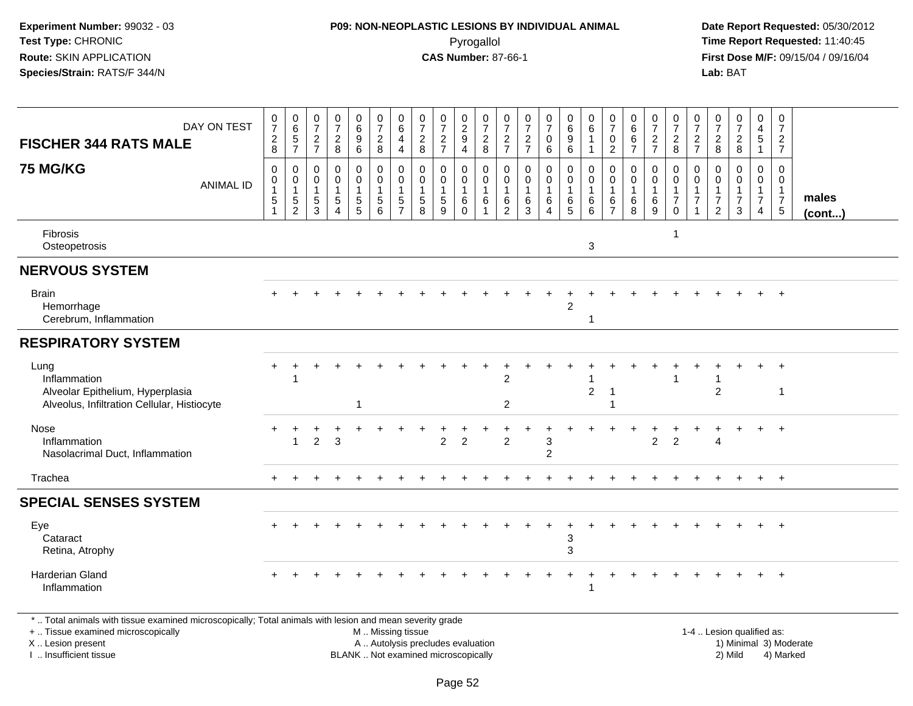## **P09: NON-NEOPLASTIC LESIONS BY INDIVIDUAL ANIMAL**Pyrogallol **Time Report Requested:** 11:40:45

 **Date Report Requested:** 05/30/2012 **First Dose M/F:** 09/15/04 / 09/16/04<br>**Lab:** BAT **Lab:** BAT

|                                                                                                                                                               |                      |                                                               | 0                                      | 0                                          | 0                          |                                                     | 0                                       | 0                                             | 0                                                                     | 0                                                     | 0                                                  | 0                                | 0                                       |                                                   |                                                                 | 0                                              | 0                                    | 0                                              |                                 |                                            | 0                                  | 0                                | 0                                | 0                                                | 0                                                       |                 |
|---------------------------------------------------------------------------------------------------------------------------------------------------------------|----------------------|---------------------------------------------------------------|----------------------------------------|--------------------------------------------|----------------------------|-----------------------------------------------------|-----------------------------------------|-----------------------------------------------|-----------------------------------------------------------------------|-------------------------------------------------------|----------------------------------------------------|----------------------------------|-----------------------------------------|---------------------------------------------------|-----------------------------------------------------------------|------------------------------------------------|--------------------------------------|------------------------------------------------|---------------------------------|--------------------------------------------|------------------------------------|----------------------------------|----------------------------------|--------------------------------------------------|---------------------------------------------------------|-----------------|
| DAY ON TEST                                                                                                                                                   | $\frac{0}{7}$        | $\begin{array}{c} 0 \\ 6 \end{array}$<br>$\overline{5}$       | $\overline{7}$<br>$\overline{2}$       | $\overline{7}$<br>$\overline{c}$           | $\,6\,$<br>9               | $\frac{0}{7}$<br>$\boldsymbol{2}$                   | $\,6\,$<br>4                            | $\overline{7}$                                | $\overline{7}$                                                        | $\frac{2}{9}$                                         | $\overline{7}$<br>$\overline{2}$                   | $\overline{7}$<br>$\overline{a}$ | $\overline{7}$<br>$\overline{2}$        | $\begin{array}{c} 0 \\ 7 \end{array}$<br>0        | $\begin{array}{c} 0 \\ 6 \end{array}$<br>9                      | $\,6\,$<br>$\mathbf{1}$                        | $\overline{7}$<br>0                  | $\,6$<br>6                                     | $\frac{0}{7}$<br>$\overline{c}$ | $\begin{smallmatrix}0\\7\end{smallmatrix}$ | $\overline{7}$                     | $\overline{7}$<br>$\overline{2}$ | $\overline{7}$<br>$\overline{2}$ | 4<br>5                                           | $\overline{7}$<br>$\overline{2}$                        |                 |
| <b>FISCHER 344 RATS MALE</b>                                                                                                                                  | $\frac{2}{8}$        | $\overline{7}$                                                | $\overline{7}$                         | 8                                          | 6                          | 8                                                   | $\overline{4}$                          | $\frac{2}{8}$                                 | $\frac{2}{7}$                                                         | 4                                                     | 8                                                  | $\overline{7}$                   | $\overline{7}$                          | 6                                                 | 6                                                               | $\mathbf{1}$                                   | $\overline{2}$                       | $\overline{7}$                                 | $\overline{7}$                  | $_{8}^2$                                   | $rac{2}{7}$                        | 8                                | 8                                |                                                  | $\overline{7}$                                          |                 |
| <b>75 MG/KG</b><br><b>ANIMAL ID</b>                                                                                                                           | 0<br>0<br>$\sqrt{5}$ | $\mathbf 0$<br>$\mathbf 0$<br>$\overline{1}$<br>$\frac{5}{2}$ | 0<br>$\Omega$<br>$\mathbf 1$<br>5<br>3 | $\Omega$<br>$\Omega$<br>1<br>5<br>$\Delta$ | 0<br>$\mathbf 0$<br>5<br>5 | $\mathbf 0$<br>$\mathbf 0$<br>-1<br>$\sqrt{5}$<br>6 | 0<br>$\mathbf 0$<br>5<br>$\overline{7}$ | $\mathbf 0$<br>$\mathbf 0$<br>$\sqrt{5}$<br>8 | $\mathbf{0}$<br>$\mathbf 0$<br>$\overline{1}$<br>$5\phantom{.0}$<br>9 | 0<br>0<br>$\mathbf{1}$<br>$6\phantom{1}6$<br>$\Omega$ | 0<br>$\mathbf 0$<br>1<br>6<br>$\blacktriangleleft$ | 0<br>$\Omega$<br>1<br>6<br>2     | 0<br>$\Omega$<br>$\mathbf{1}$<br>6<br>3 | $\mathbf 0$<br>$\mathbf 0$<br>$\,6\,$<br>$\Delta$ | 0<br>$\mathbf 0$<br>-1<br>$\begin{array}{c} 6 \\ 5 \end{array}$ | 0<br>$\mathbf 0$<br>$\mathbf{1}$<br>$\,6$<br>6 | 0<br>$\Omega$<br>6<br>$\overline{7}$ | 0<br>$\mathbf 0$<br>$\mathbf{1}$<br>$\,6$<br>8 | $\Omega$<br>0<br>6<br>9         | 0<br>0<br>$\boldsymbol{7}$<br>$\mathbf 0$  | 0<br>$\mathbf 0$<br>$\overline{7}$ | 0<br>7<br>2                      | $\Omega$<br>$\Omega$<br>7<br>3   | $\Omega$<br>$\Omega$<br>1<br>$\overline{7}$<br>4 | 0<br>$\mathbf 0$<br>$\mathbf{1}$<br>$\overline{7}$<br>5 | males<br>(cont) |
| Fibrosis<br>Osteopetrosis                                                                                                                                     |                      |                                                               |                                        |                                            |                            |                                                     |                                         |                                               |                                                                       |                                                       |                                                    |                                  |                                         |                                                   |                                                                 | $\ensuremath{\mathsf{3}}$                      |                                      |                                                |                                 |                                            |                                    |                                  |                                  |                                                  |                                                         |                 |
| <b>NERVOUS SYSTEM</b>                                                                                                                                         |                      |                                                               |                                        |                                            |                            |                                                     |                                         |                                               |                                                                       |                                                       |                                                    |                                  |                                         |                                                   |                                                                 |                                                |                                      |                                                |                                 |                                            |                                    |                                  |                                  |                                                  |                                                         |                 |
| <b>Brain</b><br>Hemorrhage<br>Cerebrum, Inflammation                                                                                                          |                      |                                                               |                                        |                                            |                            |                                                     |                                         |                                               |                                                                       |                                                       |                                                    |                                  |                                         |                                                   | $\overline{c}$                                                  | 1                                              |                                      |                                                |                                 |                                            |                                    |                                  |                                  |                                                  | $\ddot{}$                                               |                 |
| <b>RESPIRATORY SYSTEM</b>                                                                                                                                     |                      |                                                               |                                        |                                            |                            |                                                     |                                         |                                               |                                                                       |                                                       |                                                    |                                  |                                         |                                                   |                                                                 |                                                |                                      |                                                |                                 |                                            |                                    |                                  |                                  |                                                  |                                                         |                 |
| Lung<br>Inflammation<br>Alveolar Epithelium, Hyperplasia<br>Alveolus, Infiltration Cellular, Histiocyte                                                       | +                    |                                                               |                                        |                                            | $\mathbf 1$                |                                                     |                                         |                                               |                                                                       |                                                       |                                                    | $\overline{2}$<br>2              |                                         |                                                   |                                                                 | $\overline{2}$                                 | -1<br>$\overline{\phantom{a}}$       |                                                |                                 |                                            |                                    | $\overline{c}$                   |                                  |                                                  | -1                                                      |                 |
| Nose<br>Inflammation<br>Nasolacrimal Duct, Inflammation                                                                                                       |                      | -1                                                            | $\overline{2}$                         | 3                                          |                            |                                                     |                                         |                                               | $\overline{c}$                                                        | $\overline{c}$                                        |                                                    | $\overline{2}$                   |                                         | 3<br>$\overline{2}$                               |                                                                 |                                                |                                      |                                                | $\overline{c}$                  | $\overline{2}$                             |                                    | 4                                |                                  |                                                  |                                                         |                 |
| Trachea                                                                                                                                                       |                      |                                                               |                                        |                                            |                            |                                                     |                                         |                                               |                                                                       |                                                       |                                                    |                                  |                                         |                                                   |                                                                 |                                                |                                      |                                                |                                 |                                            |                                    |                                  |                                  |                                                  | $+$                                                     |                 |
| <b>SPECIAL SENSES SYSTEM</b>                                                                                                                                  |                      |                                                               |                                        |                                            |                            |                                                     |                                         |                                               |                                                                       |                                                       |                                                    |                                  |                                         |                                                   |                                                                 |                                                |                                      |                                                |                                 |                                            |                                    |                                  |                                  |                                                  |                                                         |                 |
| Eye<br>Cataract<br>Retina, Atrophy                                                                                                                            |                      |                                                               |                                        |                                            |                            |                                                     |                                         |                                               |                                                                       |                                                       |                                                    |                                  |                                         |                                                   | 3<br>3                                                          |                                                |                                      |                                                |                                 |                                            |                                    |                                  |                                  |                                                  |                                                         |                 |
| Harderian Gland<br>Inflammation                                                                                                                               |                      |                                                               |                                        |                                            |                            |                                                     |                                         |                                               |                                                                       |                                                       |                                                    |                                  |                                         |                                                   |                                                                 |                                                |                                      |                                                |                                 |                                            |                                    |                                  |                                  |                                                  | $\ddot{}$                                               |                 |
| *  Total animals with tissue examined microscopically; Total animals with lesion and mean severity grade<br>The sure is considered as because a substantially |                      |                                                               |                                        |                                            |                            | <b>MARAGEMENT</b>                                   |                                         |                                               |                                                                       |                                                       |                                                    |                                  |                                         |                                                   |                                                                 |                                                |                                      |                                                |                                 |                                            |                                    |                                  |                                  | A A I distance in a lift and some                |                                                         |                 |

+ .. Tissue examined microscopicallyX .. Lesion present

I .. Insufficient tissue

 M .. Missing tissueA .. Autolysis precludes evaluation

 1-4 .. Lesion qualified as: BLANK .. Not examined microscopically 2) Mild 4) Marked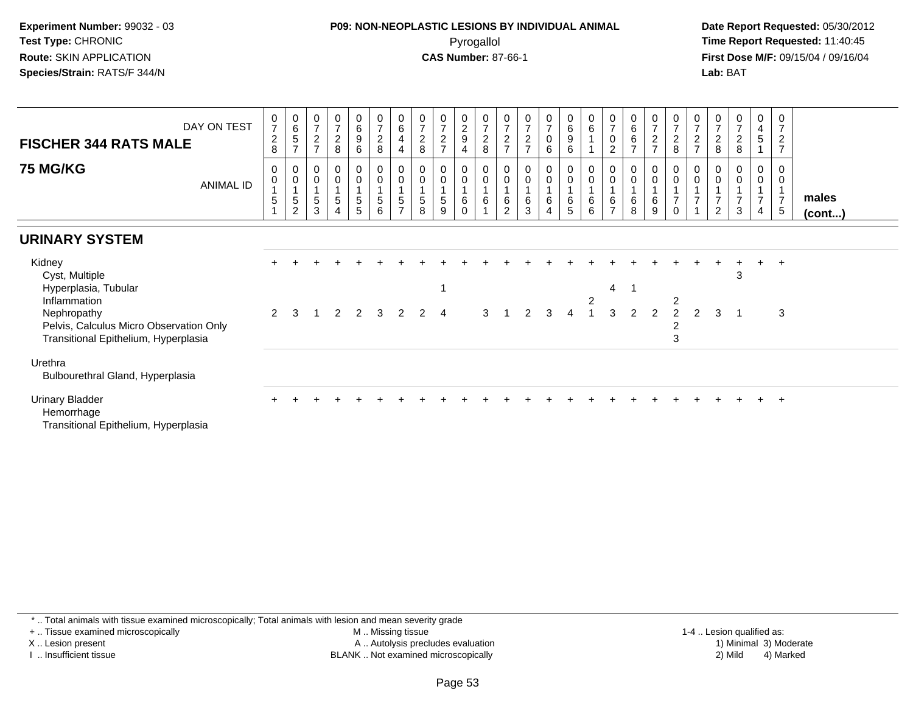## **P09: NON-NEOPLASTIC LESIONS BY INDIVIDUAL ANIMAL**Pyrogallol **Time Report Requested:** 11:40:45

 **Date Report Requested:** 05/30/2012 **First Dose M/F:** 09/15/04 / 09/16/04 Lab: BAT **Lab:** BAT

| DAY ON TEST<br><b>FISCHER 344 RATS MALE</b><br><b>75 MG/KG</b><br><b>ANIMAL ID</b>                                                                                 | 0<br>$\overline{7}$<br>$\overline{c}$<br>8<br>0<br>0<br>5 | $\begin{matrix} 0 \\ 6 \\ 5 \end{matrix}$<br>$\overline{7}$<br>$\mathbf 0$<br>$\pmb{0}$<br>$\sqrt{5}$<br>$\overline{2}$ | $\frac{0}{7}$<br>$\boldsymbol{2}$<br>$\overline{z}$<br>0<br>$\pmb{0}$<br>5<br>3 | $\begin{array}{c} 0 \\ 7 \\ 2 \end{array}$<br>8<br>$\boldsymbol{0}$<br>$\mathbf 0$<br>$\mathbf{1}$<br>$\sqrt{5}$<br>$\overline{4}$ | $\begin{matrix} 0 \\ 6 \end{matrix}$<br>$\boldsymbol{9}$<br>6<br>0<br>$\mathsf 0$<br>5<br>5 | 0728<br>$_{\rm 0}^{\rm 0}$<br>$\mathbf 1$<br>$\frac{5}{6}$ | $\begin{array}{c} 0 \\ 6 \\ 4 \end{array}$<br>$\overline{4}$<br>$_0^0$<br>$\mathbf{1}$<br>$\frac{5}{7}$ | 0<br>$\frac{7}{2}$<br>8<br>0<br>$\pmb{0}$<br>$5\phantom{.0}$<br>8 | $\frac{0}{7}$<br>$\frac{2}{7}$<br>$\boldsymbol{0}$<br>$\pmb{0}$<br>$\sqrt{5}$<br>9 | $\begin{smallmatrix} 0\\2\\9 \end{smallmatrix}$<br>4<br>0<br>$\mathbf 0$<br>$\,6\,$<br>$\Omega$ | 0728<br>$\begin{smallmatrix} 0\\0 \end{smallmatrix}$<br>$\mathbf{1}$<br>$\,6\,$<br>$\overline{1}$ | 0<br>$\overline{7}$<br>$\boldsymbol{2}$<br>$\overline{7}$<br>0<br>$\mathbf 0$<br>6<br>2 | $\frac{0}{7}$<br>$\overline{7}$<br>0<br>$\pmb{0}$<br>$\,6\,$<br>3 | $\frac{0}{7}$<br>$\overline{0}$<br>6<br>$_0^0$<br>6<br>$\overline{4}$ | $\begin{matrix} 0 \ 6 \ 9 \end{matrix}$<br>6<br>0<br>$\boldsymbol{0}$<br>6<br>5 | $\begin{array}{c} 0 \\ 6 \end{array}$<br>$_{\rm 0}^{\rm 0}$<br>$\,6\,$<br>6 | $\frac{0}{7}$<br>$\pmb{0}$<br>$\overline{2}$<br>0<br>$\mathsf{O}\xspace$<br>6<br>$\overline{ }$ | $\begin{matrix} 0 \\ 6 \\ 6 \end{matrix}$<br>$\overline{7}$<br>0<br>$\pmb{0}$<br>1<br>6<br>8 | $\begin{array}{c} 0 \\ 7 \\ 2 \end{array}$<br>$\overline{ }$<br>0<br>$\mathbf 0$<br>6<br>9 | 0728<br>$_{\rm 0}^{\rm 0}$<br>$\overline{7}$<br>$\Omega$ | $\frac{0}{7}$<br>$\overline{c}$<br>$\overline{ }$<br>0<br>0<br>$\overline{7}$<br>$\overline{A}$ | 0<br>$\overline{7}$<br>$\boldsymbol{2}$<br>8<br>0<br>$\overline{2}$ | $\frac{0}{7}$<br>$\boldsymbol{2}$<br>$\,8\,$<br>0<br>$\pmb{0}$<br>$\overline{7}$<br>3 | 0<br>$\frac{4}{5}$<br>$\mathbf 0$<br>$\mathsf{O}\xspace$<br>$\overline{7}$<br>4 | 0<br>$\overline{7}$<br>$\sqrt{2}$<br>$\overline{7}$<br>0<br>$\mathbf 0$<br>$\mathbf{1}$<br>$\overline{7}$<br>$\sqrt{5}$ | males<br>$($ cont $)$ |
|--------------------------------------------------------------------------------------------------------------------------------------------------------------------|-----------------------------------------------------------|-------------------------------------------------------------------------------------------------------------------------|---------------------------------------------------------------------------------|------------------------------------------------------------------------------------------------------------------------------------|---------------------------------------------------------------------------------------------|------------------------------------------------------------|---------------------------------------------------------------------------------------------------------|-------------------------------------------------------------------|------------------------------------------------------------------------------------|-------------------------------------------------------------------------------------------------|---------------------------------------------------------------------------------------------------|-----------------------------------------------------------------------------------------|-------------------------------------------------------------------|-----------------------------------------------------------------------|---------------------------------------------------------------------------------|-----------------------------------------------------------------------------|-------------------------------------------------------------------------------------------------|----------------------------------------------------------------------------------------------|--------------------------------------------------------------------------------------------|----------------------------------------------------------|-------------------------------------------------------------------------------------------------|---------------------------------------------------------------------|---------------------------------------------------------------------------------------|---------------------------------------------------------------------------------|-------------------------------------------------------------------------------------------------------------------------|-----------------------|
| <b>URINARY SYSTEM</b>                                                                                                                                              |                                                           |                                                                                                                         |                                                                                 |                                                                                                                                    |                                                                                             |                                                            |                                                                                                         |                                                                   |                                                                                    |                                                                                                 |                                                                                                   |                                                                                         |                                                                   |                                                                       |                                                                                 |                                                                             |                                                                                                 |                                                                                              |                                                                                            |                                                          |                                                                                                 |                                                                     |                                                                                       |                                                                                 |                                                                                                                         |                       |
| Kidney<br>Cyst, Multiple<br>Hyperplasia, Tubular<br>Inflammation<br>Nephropathy<br>Pelvis, Calculus Micro Observation Only<br>Transitional Epithelium, Hyperplasia | $\mathcal{P}$                                             | 3                                                                                                                       | -1                                                                              | 2                                                                                                                                  | 2                                                                                           | $\overline{\mathbf{3}}$                                    | $\overline{2}$                                                                                          | $\overline{2}$                                                    | $\overline{4}$                                                                     |                                                                                                 | 3                                                                                                 |                                                                                         | $\mathcal{P}$                                                     | 3                                                                     | 4                                                                               | $\overline{c}$                                                              | 4<br>3                                                                                          | 2                                                                                            | $\mathfrak{p}$                                                                             | 2<br>$\mathcal{P}$<br>2<br>3                             | $\mathcal{P}$                                                                                   | 3                                                                   | 3                                                                                     | $\ddot{}$                                                                       | $+$<br>3                                                                                                                |                       |
| Urethra<br>Bulbourethral Gland, Hyperplasia                                                                                                                        |                                                           |                                                                                                                         |                                                                                 |                                                                                                                                    |                                                                                             |                                                            |                                                                                                         |                                                                   |                                                                                    |                                                                                                 |                                                                                                   |                                                                                         |                                                                   |                                                                       |                                                                                 |                                                                             |                                                                                                 |                                                                                              |                                                                                            |                                                          |                                                                                                 |                                                                     |                                                                                       |                                                                                 |                                                                                                                         |                       |
| <b>Urinary Bladder</b><br>Hemorrhage<br>Transitional Epithelium, Hyperplasia                                                                                       |                                                           |                                                                                                                         |                                                                                 |                                                                                                                                    |                                                                                             |                                                            |                                                                                                         |                                                                   |                                                                                    |                                                                                                 |                                                                                                   |                                                                                         |                                                                   |                                                                       |                                                                                 |                                                                             |                                                                                                 |                                                                                              |                                                                                            |                                                          |                                                                                                 |                                                                     |                                                                                       |                                                                                 | $\overline{+}$                                                                                                          |                       |

\* .. Total animals with tissue examined microscopically; Total animals with lesion and mean severity grade

+ .. Tissue examined microscopically

X .. Lesion present

I .. Insufficient tissue

 M .. Missing tissueA .. Autolysis precludes evaluation

BLANK .. Not examined microscopically 2) Mild 4) Marked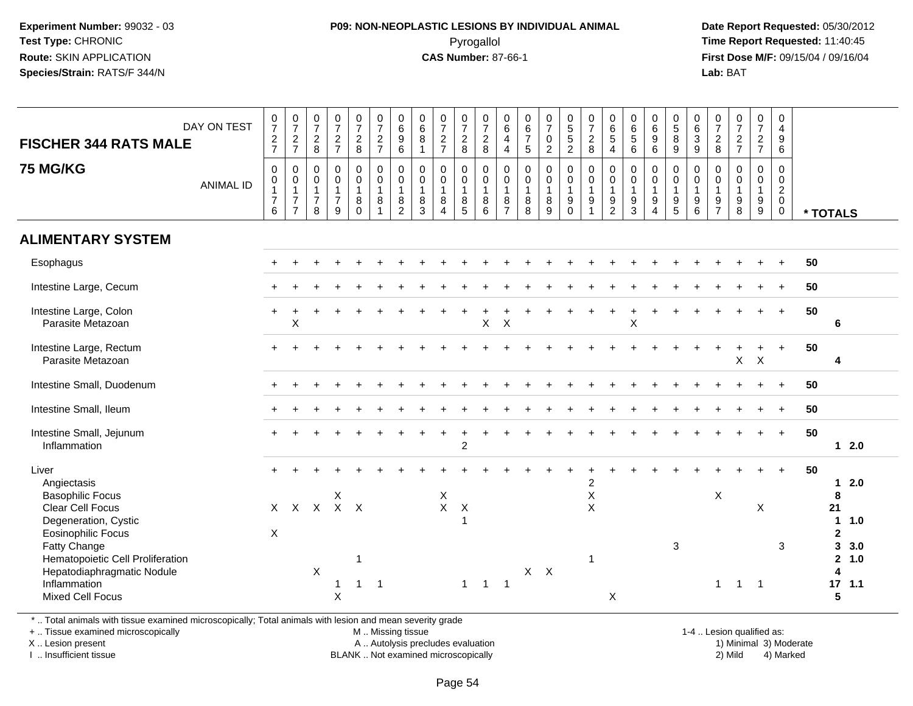## **P09: NON-NEOPLASTIC LESIONS BY INDIVIDUAL ANIMAL**Pyrogallol **Time Report Requested:** 11:40:45

 **Date Report Requested:** 05/30/2012 **First Dose M/F:** 09/15/04 / 09/16/04 Lab: BAT **Lab:** BAT

| DAY ON TEST<br><b>FISCHER 344 RATS MALE</b><br><b>75 MG/KG</b><br><b>ANIMAL ID</b>                                                                                                                                                                           | $\frac{0}{7}$<br>$\frac{2}{7}$<br>$\pmb{0}$<br>$\boldsymbol{0}$<br>$\mathbf{1}$<br>$\overline{7}$<br>6 | $\begin{smallmatrix}0\\7\end{smallmatrix}$<br>$\frac{2}{7}$<br>$\pmb{0}$<br>$\overline{0}$<br>1<br>$\overline{7}$<br>$\overline{7}$ | $\frac{0}{7}$<br>$\frac{2}{8}$<br>$\pmb{0}$<br>$\pmb{0}$<br>$\mathbf{1}$<br>$\overline{7}$<br>8 | $\frac{0}{7}$<br>$\frac{2}{7}$<br>$\pmb{0}$<br>$\mathbf 0$<br>$\overline{1}$<br>$\overline{7}$<br>9 | $\frac{0}{7}$<br>$\frac{2}{8}$<br>$\boldsymbol{0}$<br>$\mathbf 0$<br>$\mathbf{1}$<br>$\bf 8$<br>$\mathbf 0$ | $\frac{0}{7}$<br>$\frac{2}{7}$<br>$\begin{smallmatrix} 0\\0 \end{smallmatrix}$<br>$\overline{1}$<br>$\bf 8$<br>$\mathbf{1}$ | 0<br>0<br>0<br>0<br>0<br>0<br>$\mathbf 0$<br>$\mathbf{1}$<br>$\bf 8$<br>$\overline{2}$ | $\begin{array}{c} 0 \\ 6 \\ 8 \end{array}$<br>$\mathbf{1}$<br>$\pmb{0}$<br>$\mathsf{O}\xspace$<br>$\mathbf{1}$<br>$\frac{8}{3}$ | $\frac{0}{7}$<br>$\frac{2}{7}$<br>$\pmb{0}$<br>$\pmb{0}$<br>$\mathbf{1}$<br>$\bf 8$<br>$\boldsymbol{\Lambda}$ | $\begin{smallmatrix}0\\7\end{smallmatrix}$<br>$\frac{2}{8}$<br>$\pmb{0}$<br>$\mathbf 0$<br>$\mathbf{1}$<br>$\bf 8$<br>$\overline{5}$ | 0728<br>$\pmb{0}$<br>$\overline{0}$<br>$\overline{1}$<br>$\,8\,$<br>6 | 0<br>6<br>$\overline{4}$<br>$\overline{a}$<br>$\mathsf{O}\xspace$<br>$\mathbf 0$<br>$\mathbf{1}$<br>8<br>$\overline{7}$ | $\begin{array}{c} 0 \\ 6 \\ 7 \end{array}$<br>$\overline{5}$<br>$\pmb{0}$<br>$\mathbf 0$<br>$\mathbf{1}$<br>$\bf 8$<br>8 | $\frac{0}{7}$<br>$\mathsf{O}\xspace$<br>$\overline{2}$<br>$\mathsf{O}$<br>$\mathbf 0$<br>$\mathbf{1}$<br>8<br>9 | 0<br>5<br>5<br>2<br>$\begin{smallmatrix}0\0\0\end{smallmatrix}$<br>$\overline{1}$<br>$\boldsymbol{9}$<br>$\mathbf 0$ | $\frac{0}{7}$<br>$\overline{2}$<br>$\overline{8}$<br>$\pmb{0}$<br>$\ddot{\mathbf{0}}$<br>$\mathbf{1}$<br>$\boldsymbol{9}$<br>$\overline{ }$ | $\begin{array}{c} 0 \\ 6 \\ 5 \end{array}$<br>4<br>$\pmb{0}$<br>$\mathbf 0$<br>$\mathbf{1}$<br>$\boldsymbol{9}$<br>$\overline{2}$ | 0<br>6<br>5<br>6<br>$\pmb{0}$<br>$\ddot{\mathbf{0}}$<br>$\mathbf{1}$<br>$\boldsymbol{9}$<br>$\overline{3}$ | $\begin{smallmatrix}0\0\0\end{smallmatrix}$<br>$\overline{9}$<br>$\,6\,$<br>0<br>$\mathbf 0$<br>$\mathbf{1}$<br>$\boldsymbol{9}$<br>$\overline{4}$ | $\begin{array}{c} 0 \\ 5 \\ 8 \end{array}$<br>$9\,$<br>$\pmb{0}$<br>$\mathsf{O}\xspace$<br>$\overline{1}$<br>$\frac{9}{5}$ | 0<br>$\frac{6}{3}$<br>9<br>0<br>$\mathbf 0$<br>$\mathbf{1}$<br>$9\,$<br>6 | $\frac{0}{7}$<br>8<br>$\mathbf 0$<br>$\mathbf 0$<br>$\mathbf{1}$<br>$\frac{9}{7}$ | $\frac{0}{7}$<br>$\frac{2}{7}$<br>$\mathbf 0$<br>$\mathbf 0$<br>$\mathbf{1}$<br>$\begin{array}{c} 9 \\ 8 \end{array}$ | $\begin{smallmatrix}0\\7\end{smallmatrix}$<br>$rac{2}{7}$<br>$_{\rm 0}^{\rm 0}$<br>$\overline{1}$<br>$^9_9$ | 0<br>$\overline{4}$<br>$9\,$<br>6<br>$\mathbf 0$<br>$\mathsf 0$<br>$\overline{2}$<br>$\mathbf 0$<br>$\mathbf 0$ | * TOTALS                                                                                                             |
|--------------------------------------------------------------------------------------------------------------------------------------------------------------------------------------------------------------------------------------------------------------|--------------------------------------------------------------------------------------------------------|-------------------------------------------------------------------------------------------------------------------------------------|-------------------------------------------------------------------------------------------------|-----------------------------------------------------------------------------------------------------|-------------------------------------------------------------------------------------------------------------|-----------------------------------------------------------------------------------------------------------------------------|----------------------------------------------------------------------------------------|---------------------------------------------------------------------------------------------------------------------------------|---------------------------------------------------------------------------------------------------------------|--------------------------------------------------------------------------------------------------------------------------------------|-----------------------------------------------------------------------|-------------------------------------------------------------------------------------------------------------------------|--------------------------------------------------------------------------------------------------------------------------|-----------------------------------------------------------------------------------------------------------------|----------------------------------------------------------------------------------------------------------------------|---------------------------------------------------------------------------------------------------------------------------------------------|-----------------------------------------------------------------------------------------------------------------------------------|------------------------------------------------------------------------------------------------------------|----------------------------------------------------------------------------------------------------------------------------------------------------|----------------------------------------------------------------------------------------------------------------------------|---------------------------------------------------------------------------|-----------------------------------------------------------------------------------|-----------------------------------------------------------------------------------------------------------------------|-------------------------------------------------------------------------------------------------------------|-----------------------------------------------------------------------------------------------------------------|----------------------------------------------------------------------------------------------------------------------|
| <b>ALIMENTARY SYSTEM</b>                                                                                                                                                                                                                                     |                                                                                                        |                                                                                                                                     |                                                                                                 |                                                                                                     |                                                                                                             |                                                                                                                             |                                                                                        |                                                                                                                                 |                                                                                                               |                                                                                                                                      |                                                                       |                                                                                                                         |                                                                                                                          |                                                                                                                 |                                                                                                                      |                                                                                                                                             |                                                                                                                                   |                                                                                                            |                                                                                                                                                    |                                                                                                                            |                                                                           |                                                                                   |                                                                                                                       |                                                                                                             |                                                                                                                 |                                                                                                                      |
| Esophagus                                                                                                                                                                                                                                                    |                                                                                                        |                                                                                                                                     |                                                                                                 |                                                                                                     |                                                                                                             |                                                                                                                             |                                                                                        |                                                                                                                                 |                                                                                                               |                                                                                                                                      |                                                                       |                                                                                                                         |                                                                                                                          |                                                                                                                 |                                                                                                                      |                                                                                                                                             |                                                                                                                                   |                                                                                                            |                                                                                                                                                    |                                                                                                                            |                                                                           |                                                                                   |                                                                                                                       |                                                                                                             |                                                                                                                 | 50                                                                                                                   |
| Intestine Large, Cecum                                                                                                                                                                                                                                       |                                                                                                        |                                                                                                                                     |                                                                                                 |                                                                                                     |                                                                                                             |                                                                                                                             |                                                                                        |                                                                                                                                 |                                                                                                               |                                                                                                                                      |                                                                       |                                                                                                                         |                                                                                                                          |                                                                                                                 |                                                                                                                      |                                                                                                                                             |                                                                                                                                   |                                                                                                            |                                                                                                                                                    |                                                                                                                            |                                                                           |                                                                                   |                                                                                                                       |                                                                                                             |                                                                                                                 | 50                                                                                                                   |
| Intestine Large, Colon<br>Parasite Metazoan                                                                                                                                                                                                                  |                                                                                                        | $\mathsf X$                                                                                                                         |                                                                                                 |                                                                                                     |                                                                                                             |                                                                                                                             |                                                                                        |                                                                                                                                 |                                                                                                               |                                                                                                                                      | $\mathsf{X}$                                                          | $\times$                                                                                                                |                                                                                                                          |                                                                                                                 |                                                                                                                      |                                                                                                                                             |                                                                                                                                   | X                                                                                                          |                                                                                                                                                    |                                                                                                                            |                                                                           |                                                                                   |                                                                                                                       | $+$                                                                                                         | $\ddot{}$                                                                                                       | 50<br>6                                                                                                              |
| Intestine Large, Rectum<br>Parasite Metazoan                                                                                                                                                                                                                 |                                                                                                        |                                                                                                                                     |                                                                                                 |                                                                                                     |                                                                                                             |                                                                                                                             |                                                                                        |                                                                                                                                 |                                                                                                               |                                                                                                                                      |                                                                       |                                                                                                                         |                                                                                                                          |                                                                                                                 |                                                                                                                      |                                                                                                                                             |                                                                                                                                   |                                                                                                            |                                                                                                                                                    |                                                                                                                            |                                                                           |                                                                                   | $\pmb{\times}$                                                                                                        | $\mathsf{X}$                                                                                                |                                                                                                                 | 50<br>4                                                                                                              |
| Intestine Small, Duodenum                                                                                                                                                                                                                                    |                                                                                                        |                                                                                                                                     |                                                                                                 |                                                                                                     |                                                                                                             |                                                                                                                             |                                                                                        |                                                                                                                                 |                                                                                                               |                                                                                                                                      |                                                                       |                                                                                                                         |                                                                                                                          |                                                                                                                 |                                                                                                                      |                                                                                                                                             |                                                                                                                                   |                                                                                                            |                                                                                                                                                    |                                                                                                                            |                                                                           |                                                                                   |                                                                                                                       |                                                                                                             |                                                                                                                 | 50                                                                                                                   |
| Intestine Small, Ileum                                                                                                                                                                                                                                       |                                                                                                        |                                                                                                                                     |                                                                                                 |                                                                                                     |                                                                                                             |                                                                                                                             |                                                                                        |                                                                                                                                 |                                                                                                               |                                                                                                                                      |                                                                       |                                                                                                                         |                                                                                                                          |                                                                                                                 |                                                                                                                      |                                                                                                                                             |                                                                                                                                   |                                                                                                            |                                                                                                                                                    |                                                                                                                            |                                                                           |                                                                                   |                                                                                                                       |                                                                                                             |                                                                                                                 | 50                                                                                                                   |
| Intestine Small, Jejunum<br>Inflammation                                                                                                                                                                                                                     |                                                                                                        |                                                                                                                                     |                                                                                                 |                                                                                                     |                                                                                                             |                                                                                                                             |                                                                                        |                                                                                                                                 |                                                                                                               | $\overline{c}$                                                                                                                       |                                                                       |                                                                                                                         |                                                                                                                          |                                                                                                                 |                                                                                                                      |                                                                                                                                             |                                                                                                                                   |                                                                                                            |                                                                                                                                                    |                                                                                                                            |                                                                           |                                                                                   |                                                                                                                       | $+$                                                                                                         | $+$                                                                                                             | 50<br>$12.0$                                                                                                         |
| Liver<br>Angiectasis<br><b>Basophilic Focus</b><br><b>Clear Cell Focus</b><br>Degeneration, Cystic<br><b>Eosinophilic Focus</b><br>Fatty Change<br>Hematopoietic Cell Proliferation<br>Hepatodiaphragmatic Nodule<br>Inflammation<br><b>Mixed Cell Focus</b> | X                                                                                                      |                                                                                                                                     | $X$ $X$ $X$ $X$ $X$<br>$\times$                                                                 | X<br>$\mathbf{1}$<br>X                                                                              | 1<br>$\mathbf{1}$                                                                                           | $\overline{1}$                                                                                                              |                                                                                        |                                                                                                                                 | Χ<br>$\mathsf{X}$                                                                                             | X<br>$\overline{1}$<br>$\mathbf{1}$                                                                                                  | $\overline{1}$                                                        | $\overline{1}$                                                                                                          | $X$ $X$                                                                                                                  |                                                                                                                 |                                                                                                                      | $\overline{c}$<br>$\mathsf X$<br>$\pmb{\times}$<br>-1                                                                                       | X                                                                                                                                 |                                                                                                            |                                                                                                                                                    | 3                                                                                                                          |                                                                           | $\mathsf X$<br>$\mathbf{1}$                                                       | $\overline{1}$                                                                                                        | X<br>$\overline{\phantom{0}}$                                                                               | 3                                                                                                               | 50<br>2.0<br>$\mathbf 1$<br>8<br>21<br>1.0<br>$\mathbf{2}$<br>3<br>3.0<br>$\overline{2}$<br>1.0<br>Δ<br>17, 1.1<br>5 |

\* .. Total animals with tissue examined microscopically; Total animals with lesion and mean severity grade

+ .. Tissue examined microscopically

X .. Lesion present

I .. Insufficient tissue

M .. Missing tissue

A .. Autolysis precludes evaluation BLANK .. Not examined microscopically 2) Mild 4) Marked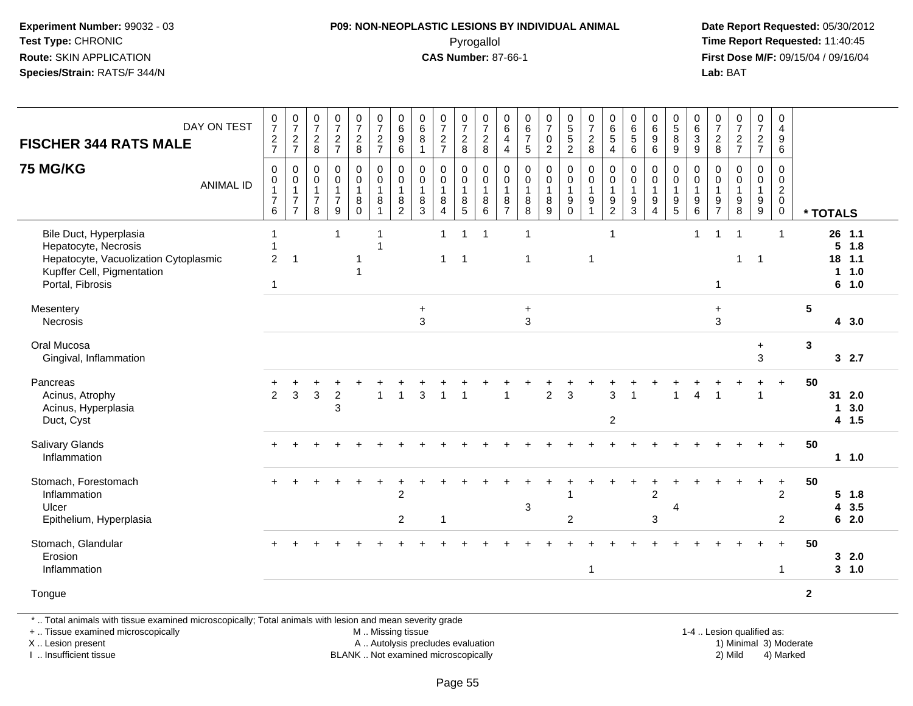#### **P09: NON-NEOPLASTIC LESIONS BY INDIVIDUAL ANIMAL**Pyrogallol **Time Report Requested:** 11:40:45

 **Date Report Requested:** 05/30/2012 **First Dose M/F:** 09/15/04 / 09/16/04 Lab: BAT **Lab:** BAT

| DAY ON TEST<br><b>FISCHER 344 RATS MALE</b>                                                                                               |                  | $\frac{0}{7}$<br>$\frac{2}{7}$                                                         | $\frac{0}{7}$<br>$\frac{2}{7}$                                                 | $\frac{0}{7}$<br>$\frac{2}{8}$                                    | $\frac{0}{7}$<br>$\frac{2}{7}$                                    | $\frac{0}{7}$<br>$\frac{2}{8}$                                   | $\frac{0}{7}$<br>$\frac{2}{7}$                                                | $\begin{array}{c} 0 \\ 6 \end{array}$<br>$\boldsymbol{9}$<br>$\,6\,$ | $\begin{array}{c} 0 \\ 6 \end{array}$<br>8<br>$\overline{1}$  | $\frac{0}{7}$<br>$\frac{2}{7}$                                      | $\frac{0}{7}$<br>$\overline{c}$<br>8       | $\frac{0}{7}$<br>$\overline{c}$<br>8                                              | $\begin{array}{c} 0 \\ 6 \end{array}$<br>$\overline{4}$<br>$\overline{4}$ | $\pmb{0}$<br>$\,6\,$<br>$\boldsymbol{7}$<br>$\sqrt{5}$             | $\begin{array}{c} 0 \\ 7 \end{array}$<br>$\pmb{0}$<br>$\overline{2}$ | $\begin{array}{c} 0 \\ 5 \\ 5 \end{array}$<br>$\overline{2}$        | $\frac{0}{7}$<br>$\overline{c}$<br>8                                                   | $\begin{array}{c} 0 \\ 6 \end{array}$<br>5<br>$\overline{4}$ | $\begin{array}{c} 0 \\ 6 \end{array}$<br>$\,$ 5 $\,$<br>6 | $\begin{array}{c} 0 \\ 6 \end{array}$<br>$\boldsymbol{9}$<br>$\,6\,$           | $\begin{array}{c} 0 \\ 5 \end{array}$<br>$\bf 8$<br>9                                         | $\pmb{0}$<br>$\,6\,$<br>$\ensuremath{\mathsf{3}}$<br>9  | $\begin{array}{c} 0 \\ 7 \end{array}$<br>$\boldsymbol{2}$<br>8 | $\frac{0}{7}$<br>$\frac{2}{7}$                                            | $\frac{0}{7}$<br>$\frac{2}{7}$                               | $\mathbf 0$<br>$\overline{4}$<br>9<br>6                                          |                |             |                                       |  |
|-------------------------------------------------------------------------------------------------------------------------------------------|------------------|----------------------------------------------------------------------------------------|--------------------------------------------------------------------------------|-------------------------------------------------------------------|-------------------------------------------------------------------|------------------------------------------------------------------|-------------------------------------------------------------------------------|----------------------------------------------------------------------|---------------------------------------------------------------|---------------------------------------------------------------------|--------------------------------------------|-----------------------------------------------------------------------------------|---------------------------------------------------------------------------|--------------------------------------------------------------------|----------------------------------------------------------------------|---------------------------------------------------------------------|----------------------------------------------------------------------------------------|--------------------------------------------------------------|-----------------------------------------------------------|--------------------------------------------------------------------------------|-----------------------------------------------------------------------------------------------|---------------------------------------------------------|----------------------------------------------------------------|---------------------------------------------------------------------------|--------------------------------------------------------------|----------------------------------------------------------------------------------|----------------|-------------|---------------------------------------|--|
| <b>75 MG/KG</b>                                                                                                                           | <b>ANIMAL ID</b> | $\mathbf 0$<br>$\mathsf{O}\xspace$<br>$\mathbf{1}$<br>$\overline{7}$<br>$6\phantom{1}$ | $\mathbf 0$<br>$\pmb{0}$<br>$\overline{1}$<br>$\overline{7}$<br>$\overline{7}$ | $\mathbf 0$<br>$\mathbf 0$<br>$\mathbf{1}$<br>$\overline{7}$<br>8 | $\mathbf 0$<br>$\pmb{0}$<br>$\mathbf{1}$<br>$\boldsymbol{7}$<br>9 | $\mathbf 0$<br>$\boldsymbol{0}$<br>$\mathbf{1}$<br>8<br>$\Omega$ | $\pmb{0}$<br>$\mathsf{O}\xspace$<br>$\mathbf{1}$<br>$\bf 8$<br>$\overline{1}$ | $\pmb{0}$<br>$\pmb{0}$<br>$\mathbf{1}$<br>$\frac{8}{2}$              | $\mathbf 0$<br>0<br>$\overline{1}$<br>$\bf 8$<br>$\mathbf{3}$ | $\pmb{0}$<br>$\pmb{0}$<br>$\mathbf{1}$<br>$\bf 8$<br>$\overline{4}$ | 0<br>$\mathbf 0$<br>$\mathbf{1}$<br>8<br>5 | $\pmb{0}$<br>$\pmb{0}$<br>$\overline{1}$<br>$\begin{array}{c} 8 \\ 6 \end{array}$ | $\mathbf 0$<br>$\mathbf 0$<br>$\mathbf{1}$<br>$\frac{8}{7}$               | $\mathbf 0$<br>$\mathsf{O}\xspace$<br>$\mathbf{1}$<br>$\bf 8$<br>8 | $\pmb{0}$<br>$\pmb{0}$<br>$\mathbf{1}$<br>$\, 8$<br>9                | 0<br>$\mathbf 0$<br>$\mathbf{1}$<br>$\boldsymbol{9}$<br>$\mathbf 0$ | $\mathbf 0$<br>$\mathsf{O}\xspace$<br>$\mathbf{1}$<br>$\boldsymbol{9}$<br>$\mathbf{1}$ | 0<br>$\pmb{0}$<br>$\mathbf{1}$<br>$\frac{9}{2}$              | 0<br>$\pmb{0}$<br>$\mathbf{1}$<br>$\frac{9}{3}$           | $\mathbf 0$<br>$\pmb{0}$<br>$\mathbf{1}$<br>$\boldsymbol{9}$<br>$\overline{4}$ | $\mathbf 0$<br>$\mathsf{O}\xspace$<br>$\overline{1}$<br>$\begin{array}{c} 9 \\ 5 \end{array}$ | 0<br>$\mathbf 0$<br>$\mathbf{1}$<br>9<br>$6\phantom{1}$ | 0<br>0<br>$\mathbf{1}$<br>9<br>$\overline{7}$                  | 0<br>$\mathsf 0$<br>$\mathbf{1}$<br>$\begin{array}{c} 9 \\ 8 \end{array}$ | $\mathsf 0$<br>$\mathsf{O}\xspace$<br>$\mathbf{1}$<br>$^9_9$ | $\mathbf 0$<br>$\mathbf 0$<br>$\overline{2}$<br>$\overline{0}$<br>$\overline{0}$ |                | * TOTALS    |                                       |  |
| Bile Duct, Hyperplasia<br>Hepatocyte, Necrosis<br>Hepatocyte, Vacuolization Cytoplasmic<br>Kupffer Cell, Pigmentation<br>Portal, Fibrosis |                  | 1<br>1<br>$\overline{c}$<br>$\mathbf{1}$                                               | $\overline{\mathbf{1}}$                                                        |                                                                   | $\mathbf{1}$                                                      |                                                                  | -1                                                                            |                                                                      |                                                               | $\mathbf{1}$<br>$\mathbf{1}$                                        | $\mathbf{1}$<br>$\overline{1}$             | $\overline{1}$                                                                    |                                                                           | $\overline{1}$<br>1                                                |                                                                      |                                                                     | -1                                                                                     | $\mathbf{1}$                                                 |                                                           |                                                                                |                                                                                               | $\mathbf{1}$                                            | $\mathbf{1}$<br>$\mathbf{1}$                                   | $\mathbf 1$<br>1                                                          | $\overline{1}$                                               | 1                                                                                |                | 5<br>18     | 26 1.1<br>1.8<br>1.1<br>11.0<br>6 1.0 |  |
| Mesentery<br>Necrosis                                                                                                                     |                  |                                                                                        |                                                                                |                                                                   |                                                                   |                                                                  |                                                                               |                                                                      | $\ddot{}$<br>$\mathbf{3}$                                     |                                                                     |                                            |                                                                                   |                                                                           | $\ddot{}$<br>$\mathbf{3}$                                          |                                                                      |                                                                     |                                                                                        |                                                              |                                                           |                                                                                |                                                                                               |                                                         | $\ddot{}$<br>3                                                 |                                                                           |                                                              |                                                                                  | $5\phantom{1}$ |             | 4 3.0                                 |  |
| Oral Mucosa<br>Gingival, Inflammation                                                                                                     |                  |                                                                                        |                                                                                |                                                                   |                                                                   |                                                                  |                                                                               |                                                                      |                                                               |                                                                     |                                            |                                                                                   |                                                                           |                                                                    |                                                                      |                                                                     |                                                                                        |                                                              |                                                           |                                                                                |                                                                                               |                                                         |                                                                |                                                                           | $+$<br>3                                                     |                                                                                  | $\mathbf{3}$   |             | 32.7                                  |  |
| Pancreas<br>Acinus, Atrophy<br>Acinus, Hyperplasia<br>Duct, Cyst                                                                          |                  | 2                                                                                      | 3                                                                              | 3                                                                 | 2<br>3                                                            |                                                                  |                                                                               |                                                                      | 3                                                             |                                                                     |                                            |                                                                                   | 1                                                                         |                                                                    | $\overline{2}$                                                       | $\mathbf{3}$                                                        |                                                                                        | 3<br>$\overline{2}$                                          |                                                           |                                                                                | 1                                                                                             | 4                                                       | 1                                                              |                                                                           | $\mathbf{1}$                                                 | $+$                                                                              | 50             | $\mathbf 1$ | 31 2.0<br>3.0<br>4 1.5                |  |
| Salivary Glands<br>Inflammation                                                                                                           |                  |                                                                                        |                                                                                |                                                                   |                                                                   |                                                                  |                                                                               |                                                                      |                                                               |                                                                     |                                            |                                                                                   |                                                                           |                                                                    |                                                                      |                                                                     |                                                                                        |                                                              |                                                           |                                                                                |                                                                                               |                                                         |                                                                |                                                                           |                                                              | $+$                                                                              | 50             |             | 11.0                                  |  |
| Stomach, Forestomach<br>Inflammation<br>Ulcer<br>Epithelium, Hyperplasia                                                                  |                  |                                                                                        |                                                                                |                                                                   |                                                                   |                                                                  |                                                                               | $\overline{c}$<br>$\overline{2}$                                     |                                                               | 1                                                                   |                                            |                                                                                   |                                                                           | 3                                                                  |                                                                      | $\overline{\mathbf{c}}$                                             |                                                                                        |                                                              |                                                           | $\overline{2}$<br>$\sqrt{3}$                                                   | 4                                                                                             |                                                         |                                                                |                                                                           |                                                              | +<br>$\overline{c}$<br>$\overline{2}$                                            | 50             | 4           | 5 1.8<br>3.5<br>62.0                  |  |
| Stomach, Glandular<br>Erosion<br>Inflammation                                                                                             |                  |                                                                                        |                                                                                |                                                                   |                                                                   |                                                                  |                                                                               |                                                                      |                                                               |                                                                     |                                            |                                                                                   |                                                                           |                                                                    |                                                                      |                                                                     | $\overline{1}$                                                                         |                                                              |                                                           |                                                                                |                                                                                               |                                                         |                                                                |                                                                           |                                                              | $+$                                                                              | 50             | 3           | 2.0<br>$3 - 1.0$                      |  |
| Tongue                                                                                                                                    |                  |                                                                                        |                                                                                |                                                                   |                                                                   |                                                                  |                                                                               |                                                                      |                                                               |                                                                     |                                            |                                                                                   |                                                                           |                                                                    |                                                                      |                                                                     |                                                                                        |                                                              |                                                           |                                                                                |                                                                                               |                                                         |                                                                |                                                                           |                                                              |                                                                                  | $\overline{2}$ |             |                                       |  |
| *  Total animals with tissue examined microscopically; Total animals with lesion and mean severity grade                                  |                  |                                                                                        |                                                                                |                                                                   |                                                                   |                                                                  |                                                                               |                                                                      |                                                               |                                                                     |                                            |                                                                                   |                                                                           |                                                                    |                                                                      |                                                                     |                                                                                        |                                                              |                                                           |                                                                                |                                                                                               |                                                         |                                                                |                                                                           |                                                              |                                                                                  |                |             |                                       |  |

+ .. Tissue examined microscopically

X .. Lesion present

I .. Insufficient tissue

M .. Missing tissue

 Lesion present A .. Autolysis precludes evaluation 1) Minimal 3) ModerateBLANK .. Not examined microscopically 2) Mild 4) Marked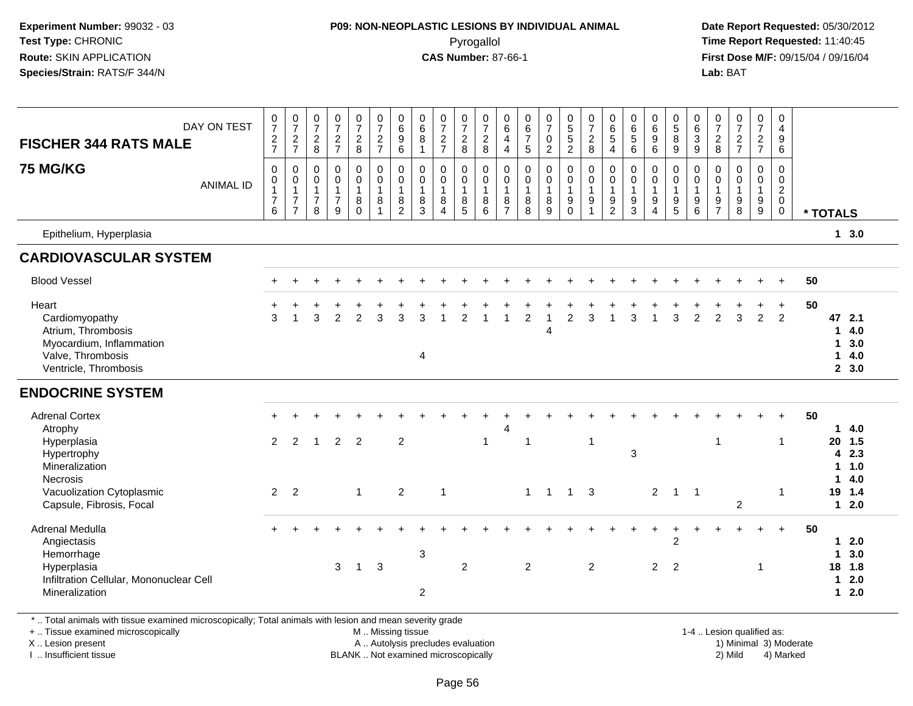### **P09: NON-NEOPLASTIC LESIONS BY INDIVIDUAL ANIMAL**Pyrogallol **Time Report Requested:** 11:40:45

 **Date Report Requested:** 05/30/2012 **First Dose M/F:** 09/15/04 / 09/16/04 Lab: BAT **Lab:** BAT

| <b>FISCHER 344 RATS MALE</b><br><b>75 MG/KG</b><br>Epithelium, Hyperplasia                                                                            | DAY ON TEST<br><b>ANIMAL ID</b> | $\frac{0}{7}$<br>$\frac{2}{7}$<br>$\pmb{0}$<br>0<br>$\mathbf{1}$<br>$\overline{7}$<br>6 | $\frac{0}{7}$<br>$\frac{2}{7}$<br>$\mathbf 0$<br>$\mathsf 0$<br>$\mathbf{1}$<br>$\overline{7}$<br>$\overline{7}$ | $\frac{0}{7}$<br>$\frac{2}{8}$<br>0<br>0<br>$\mathbf{1}$<br>$\overline{7}$<br>8 | $\frac{0}{7}$<br>$\frac{2}{7}$<br>$\pmb{0}$<br>$\mathbf 0$<br>$\mathbf{1}$<br>$\overline{7}$<br>$\overline{9}$ | $\frac{0}{7}$<br>$\frac{2}{8}$<br>0<br>$\mathbf 0$<br>$\mathbf{1}$<br>8<br>$\Omega$ | $\frac{0}{7}$<br>$\frac{2}{7}$<br>$\pmb{0}$<br>$\ddot{\mathbf{0}}$<br>$\mathbf{1}$<br>8<br>$\overline{1}$ | $\begin{array}{c} 0 \\ 6 \end{array}$<br>9<br>$\overline{6}$<br>$\mathsf{O}$<br>$\mathbf 0$<br>$\mathbf{1}$<br>8<br>$\overline{2}$ | $\pmb{0}$<br>$\,6\,$<br>$\bf 8$<br>$\mathbf{1}$<br>0<br>$\mathbf 0$<br>$\mathbf{1}$<br>8<br>3 | $\frac{0}{7}$<br>$rac{2}{7}$<br>$\mathbf 0$<br>$\ddot{\mathbf{0}}$<br>$\mathbf{1}$<br>8<br>$\overline{4}$ | $\frac{0}{7}$<br>$\frac{2}{8}$<br>0<br>$\mathbf 0$<br>$\mathbf{1}$<br>8<br>$\sqrt{5}$ | $\frac{0}{7}$<br>$\frac{2}{8}$<br>$\pmb{0}$<br>$\mathbf 0$<br>$\mathbf{1}$<br>8<br>6 | 0<br>6<br>4<br>$\overline{4}$<br>0<br>$\mathbf 0$<br>$\mathbf{1}$<br>8<br>$\overline{7}$ | $\begin{array}{c} 0 \\ 6 \\ 7 \end{array}$<br>5<br>0<br>$\pmb{0}$<br>$\mathbf{1}$<br>8<br>8 | $\frac{0}{7}$<br>$\pmb{0}$<br>$\overline{2}$<br>$\mathsf 0$<br>0<br>$\mathbf{1}$<br>8<br>9 | $\begin{array}{c} 0 \\ 5 \\ 5 \end{array}$<br>$\overline{2}$<br>$\overline{0}$<br>$\mathbf 0$<br>$\mathbf{1}$<br>9<br>$\mathbf 0$ | $\frac{0}{7}$<br>$\frac{2}{8}$<br>$\pmb{0}$<br>$\pmb{0}$<br>$\mathbf{1}$<br>$9\,$<br>$\overline{1}$ | 0<br>$\,6\,$<br>$\sqrt{5}$<br>$\overline{4}$<br>0<br>$\mathbf 0$<br>$\mathbf{1}$<br>$\boldsymbol{9}$<br>$\overline{c}$ | $\pmb{0}$<br>$\,6\,$<br>$\overline{5}$<br>6<br>$\mathbf 0$<br>$\mathbf 0$<br>$\mathbf{1}$<br>9<br>3 | $_6^0$<br>9<br>6<br>0<br>$\mathbf 0$<br>$\mathbf{1}$<br>9<br>$\overline{4}$ | $\begin{array}{c} 0 \\ 5 \end{array}$<br>$\bf 8$<br>9<br>$\mathbf 0$<br>$\mathbf 0$<br>$\mathbf{1}$<br>$\boldsymbol{9}$<br>$5\phantom{.0}$ | $\pmb{0}$<br>$\,6\,$<br>$\ensuremath{\mathsf{3}}$<br>9<br>$\pmb{0}$<br>$\mathbf 0$<br>$\mathbf{1}$<br>$9\,$<br>$\,6$ | 0<br>$\boldsymbol{7}$<br>$_{\rm 8}^2$<br>0<br>0<br>$\mathbf{1}$<br>9<br>$\overline{7}$ | $\frac{0}{7}$<br>$\frac{2}{7}$<br>$\mathbf 0$<br>$\mathsf{O}\xspace$<br>$\mathbf{1}$<br>$\boldsymbol{9}$<br>8 | $\begin{smallmatrix}0\\7\end{smallmatrix}$<br>$\frac{2}{7}$<br>0<br>$\mathbf{0}$<br>$\mathbf{1}$<br>9<br>9 | 0<br>$\overline{4}$<br>$\boldsymbol{9}$<br>6<br>0<br>$\mathbf 0$<br>$\overline{2}$<br>$\mathbf 0$<br>$\mathbf 0$ | * TOTALS |                                                         | 13.0                                |  |
|-------------------------------------------------------------------------------------------------------------------------------------------------------|---------------------------------|-----------------------------------------------------------------------------------------|------------------------------------------------------------------------------------------------------------------|---------------------------------------------------------------------------------|----------------------------------------------------------------------------------------------------------------|-------------------------------------------------------------------------------------|-----------------------------------------------------------------------------------------------------------|------------------------------------------------------------------------------------------------------------------------------------|-----------------------------------------------------------------------------------------------|-----------------------------------------------------------------------------------------------------------|---------------------------------------------------------------------------------------|--------------------------------------------------------------------------------------|------------------------------------------------------------------------------------------|---------------------------------------------------------------------------------------------|--------------------------------------------------------------------------------------------|-----------------------------------------------------------------------------------------------------------------------------------|-----------------------------------------------------------------------------------------------------|------------------------------------------------------------------------------------------------------------------------|-----------------------------------------------------------------------------------------------------|-----------------------------------------------------------------------------|--------------------------------------------------------------------------------------------------------------------------------------------|----------------------------------------------------------------------------------------------------------------------|----------------------------------------------------------------------------------------|---------------------------------------------------------------------------------------------------------------|------------------------------------------------------------------------------------------------------------|------------------------------------------------------------------------------------------------------------------|----------|---------------------------------------------------------|-------------------------------------|--|
| <b>CARDIOVASCULAR SYSTEM</b>                                                                                                                          |                                 |                                                                                         |                                                                                                                  |                                                                                 |                                                                                                                |                                                                                     |                                                                                                           |                                                                                                                                    |                                                                                               |                                                                                                           |                                                                                       |                                                                                      |                                                                                          |                                                                                             |                                                                                            |                                                                                                                                   |                                                                                                     |                                                                                                                        |                                                                                                     |                                                                             |                                                                                                                                            |                                                                                                                      |                                                                                        |                                                                                                               |                                                                                                            |                                                                                                                  |          |                                                         |                                     |  |
| <b>Blood Vessel</b>                                                                                                                                   |                                 |                                                                                         |                                                                                                                  |                                                                                 |                                                                                                                |                                                                                     |                                                                                                           |                                                                                                                                    |                                                                                               |                                                                                                           |                                                                                       |                                                                                      |                                                                                          |                                                                                             |                                                                                            |                                                                                                                                   |                                                                                                     |                                                                                                                        |                                                                                                     |                                                                             |                                                                                                                                            |                                                                                                                      |                                                                                        |                                                                                                               |                                                                                                            |                                                                                                                  | 50       |                                                         |                                     |  |
| Heart<br>Cardiomyopathy<br>Atrium, Thrombosis<br>Myocardium, Inflammation<br>Valve, Thrombosis<br>Ventricle, Thrombosis                               |                                 | 3                                                                                       |                                                                                                                  | 3                                                                               | $\mathfrak{p}$                                                                                                 | $\overline{2}$                                                                      | 3                                                                                                         | 3                                                                                                                                  | 3<br>4                                                                                        |                                                                                                           | $\overline{2}$                                                                        |                                                                                      |                                                                                          | 2                                                                                           | $\overline{4}$                                                                             | $\overline{2}$                                                                                                                    | 3                                                                                                   |                                                                                                                        | з                                                                                                   |                                                                             | 3                                                                                                                                          | 2                                                                                                                    | $\mathcal{P}$                                                                          | 3                                                                                                             | $\overline{2}$                                                                                             | $\ddot{}$<br>$\overline{2}$                                                                                      | 50       | 47 2.1<br>1<br>1<br>1                                   | 4.0<br>3.0<br>4.0<br>2, 3.0         |  |
| <b>ENDOCRINE SYSTEM</b>                                                                                                                               |                                 |                                                                                         |                                                                                                                  |                                                                                 |                                                                                                                |                                                                                     |                                                                                                           |                                                                                                                                    |                                                                                               |                                                                                                           |                                                                                       |                                                                                      |                                                                                          |                                                                                             |                                                                                            |                                                                                                                                   |                                                                                                     |                                                                                                                        |                                                                                                     |                                                                             |                                                                                                                                            |                                                                                                                      |                                                                                        |                                                                                                               |                                                                                                            |                                                                                                                  |          |                                                         |                                     |  |
| <b>Adrenal Cortex</b><br>Atrophy<br>Hyperplasia<br>Hypertrophy<br>Mineralization<br>Necrosis<br>Vacuolization Cytoplasmic<br>Capsule, Fibrosis, Focal |                                 | 2<br>$\overline{2}$                                                                     | 2<br>2                                                                                                           | $\overline{1}$                                                                  | 2                                                                                                              | $\overline{2}$<br>$\mathbf{1}$                                                      |                                                                                                           | $\overline{2}$<br>$\overline{2}$                                                                                                   |                                                                                               | $\overline{1}$                                                                                            |                                                                                       | $\mathbf{1}$                                                                         | 4                                                                                        | -1<br>$\mathbf{1}$                                                                          | $\mathbf{1}$                                                                               |                                                                                                                                   | $\overline{1}$<br>$1 \quad 3$                                                                       |                                                                                                                        | 3                                                                                                   | $\overline{2}$                                                              | $\mathbf 1$                                                                                                                                | $\overline{1}$                                                                                                       | $\overline{1}$                                                                         | $\overline{2}$                                                                                                |                                                                                                            | 1<br>-1                                                                                                          | 50       | 20 1.5<br>$\overline{\mathbf{4}}$<br>1.<br>1.<br>19 1.4 | 14.0<br>2.3<br>1.0<br>4.0<br>$12.0$ |  |
| Adrenal Medulla<br>Angiectasis<br>Hemorrhage<br>Hyperplasia<br>Infiltration Cellular, Mononuclear Cell<br>Mineralization                              |                                 |                                                                                         |                                                                                                                  |                                                                                 | 3                                                                                                              | $\mathbf{1}$                                                                        | 3                                                                                                         |                                                                                                                                    | $\sqrt{3}$<br>$\overline{2}$                                                                  |                                                                                                           | 2                                                                                     |                                                                                      |                                                                                          | $\overline{2}$                                                                              |                                                                                            |                                                                                                                                   | 2                                                                                                   |                                                                                                                        |                                                                                                     | $\overline{2}$                                                              | $\overline{2}$<br>2                                                                                                                        |                                                                                                                      |                                                                                        |                                                                                                               | $+$<br>1                                                                                                   | $+$                                                                                                              | 50       | 1<br>18 1.8<br>1<br>1                                   | 12.0<br>3.0<br>2.0<br>2.0           |  |

\* .. Total animals with tissue examined microscopically; Total animals with lesion and mean severity grade

+ .. Tissue examined microscopically

X .. Lesion present

I .. Insufficient tissue

 M .. Missing tissueA .. Autolysis precludes evaluation

BLANK .. Not examined microscopically 2) Mild 4) Marked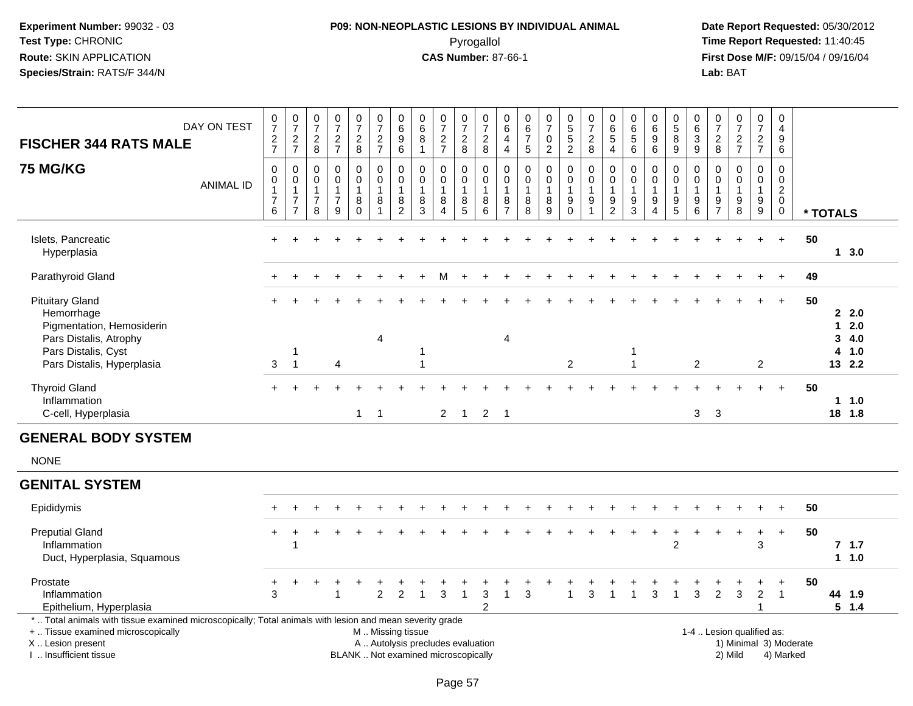# **P09: NON-NEOPLASTIC LESIONS BY INDIVIDUAL ANIMAL**Pyrogallol **Time Report Requested:** 11:40:45

| <b>FISCHER 344 RATS MALE</b>                                                                                                                                                                  | DAY ON TEST      | $\frac{0}{7}$<br>$\frac{2}{7}$                                    | $\frac{0}{7}$<br>$\frac{2}{7}$                                                          | $\frac{0}{7}$<br>$_{\rm 8}^2$              | $\frac{0}{7}$<br>$\frac{2}{7}$                                      | $\frac{0}{7}$<br>$_{\rm 8}^2$                                     | $\begin{smallmatrix}0\\7\end{smallmatrix}$<br>$\frac{2}{7}$                                   | $\begin{array}{c} 0 \\ 6 \end{array}$<br>$\boldsymbol{9}$<br>6 | $\pmb{0}$<br>$6\phantom{a}$<br>8<br>$\mathbf{1}$ | $\begin{array}{c} 0 \\ 7 \end{array}$<br>$\frac{2}{7}$                 | $\frac{0}{7}$<br>$_{\rm 8}^2$                           | $\frac{0}{7}$<br>$_{\rm 8}^2$                    | $\pmb{0}$<br>$6\phantom{a}$<br>$\overline{4}$<br>$\overline{4}$ | $\pmb{0}$<br>$6\phantom{a}$<br>$\overline{7}$<br>$\sqrt{5}$ | $\frac{0}{7}$<br>$\pmb{0}$<br>$\overline{2}$            | $\begin{array}{c} 0 \\ 5 \\ 2 \end{array}$                                     | $\frac{0}{7}$<br>$_{\rm 8}^2$                                        | $\begin{array}{c} 0 \\ 6 \end{array}$<br>5<br>$\overline{\mathbf{4}}$ | $\begin{array}{c} 0 \\ 6 \\ 5 \end{array}$<br>$\overline{6}$ | $_{6}^{\rm 0}$<br>$\boldsymbol{9}$<br>6                                          | $\begin{array}{c} 0 \\ 5 \\ 8 \end{array}$<br>$\overline{9}$                | 0<br>$6\phantom{a}$<br>$\sqrt{3}$<br>$\overline{9}$         | $\pmb{0}$<br>$\overline{7}$<br>$\frac{2}{8}$            | $\frac{0}{7}$<br>$\frac{2}{7}$                                                 | $\frac{0}{7}$<br>$\frac{2}{7}$                        | $\begin{smallmatrix}0\\4\end{smallmatrix}$<br>$\boldsymbol{9}$<br>$\overline{6}$ |                        |          |                                         |  |
|-----------------------------------------------------------------------------------------------------------------------------------------------------------------------------------------------|------------------|-------------------------------------------------------------------|-----------------------------------------------------------------------------------------|--------------------------------------------|---------------------------------------------------------------------|-------------------------------------------------------------------|-----------------------------------------------------------------------------------------------|----------------------------------------------------------------|--------------------------------------------------|------------------------------------------------------------------------|---------------------------------------------------------|--------------------------------------------------|-----------------------------------------------------------------|-------------------------------------------------------------|---------------------------------------------------------|--------------------------------------------------------------------------------|----------------------------------------------------------------------|-----------------------------------------------------------------------|--------------------------------------------------------------|----------------------------------------------------------------------------------|-----------------------------------------------------------------------------|-------------------------------------------------------------|---------------------------------------------------------|--------------------------------------------------------------------------------|-------------------------------------------------------|----------------------------------------------------------------------------------|------------------------|----------|-----------------------------------------|--|
| <b>75 MG/KG</b>                                                                                                                                                                               | <b>ANIMAL ID</b> | $\mathbf 0$<br>0<br>$\overline{1}$<br>$\boldsymbol{7}$<br>$\,6\,$ | $\boldsymbol{0}$<br>$\mathbf 0$<br>$\overline{1}$<br>$\boldsymbol{7}$<br>$\overline{7}$ | 0<br>$\mathbf 0$<br>$\mathbf{1}$<br>7<br>8 | $\mathbf 0$<br>$\mathbf 0$<br>$\mathbf{1}$<br>$\boldsymbol{7}$<br>9 | $\mathsf 0$<br>$\mathsf 0$<br>$\mathbf{1}$<br>$\bf 8$<br>$\Omega$ | $\mathsf 0$<br>$\mathbf 0$<br>$\mathbf{1}$<br>8<br>$\overline{1}$                             | $\pmb{0}$<br>$\pmb{0}$<br>$\mathbf{1}$<br>$\frac{8}{2}$        | 0<br>$\mathbf 0$<br>$\mathbf{1}$<br>8<br>3       | $\mathbf 0$<br>$\mathbf 0$<br>$\mathbf{1}$<br>$\bf8$<br>$\overline{4}$ | 0<br>$\mathbf 0$<br>$\mathbf{1}$<br>8<br>$\overline{5}$ | 0<br>$\mathbf 0$<br>$\mathbf{1}$<br>$\bf 8$<br>6 | $\pmb{0}$<br>$\mathbf 0$<br>$\mathbf{1}$<br>$\frac{8}{7}$       | $\mathbf 0$<br>$\mathbf 0$<br>$\mathbf{1}$<br>$\bf 8$<br>8  | $\pmb{0}$<br>$\mathbf 0$<br>$\mathbf{1}$<br>$\, 8$<br>9 | $\pmb{0}$<br>$\mathbf 0$<br>$\mathbf{1}$<br>$\boldsymbol{9}$<br>$\overline{0}$ | $\mathbf 0$<br>0<br>$\mathbf{1}$<br>$\boldsymbol{9}$<br>$\mathbf{1}$ | 0<br>0<br>$\mathbf{1}$<br>$\frac{9}{2}$                               | 0<br>0<br>$\mathbf{1}$<br>$\frac{9}{3}$                      | $\mathbf 0$<br>$\mathbf 0$<br>$\mathbf{1}$<br>$\boldsymbol{9}$<br>$\overline{4}$ | 0<br>$\mathbf 0$<br>$\overline{1}$<br>$\begin{array}{c} 9 \\ 5 \end{array}$ | 0<br>$\mathbf 0$<br>$\overline{1}$<br>$\boldsymbol{9}$<br>6 | 0<br>$\mathbf 0$<br>$\mathbf{1}$<br>9<br>$\overline{7}$ | $\pmb{0}$<br>$\mathbf 0$<br>$\mathbf{1}$<br>$\boldsymbol{9}$<br>$\overline{8}$ | $\mathsf{O}$<br>$\mathbf 0$<br>$\mathbf{1}$<br>$^9_9$ | $\pmb{0}$<br>$\mathbf 0$<br>$\overline{c}$<br>$\mathbf 0$<br>$\pmb{0}$           |                        | * TOTALS |                                         |  |
| Islets, Pancreatic<br>Hyperplasia                                                                                                                                                             |                  |                                                                   |                                                                                         |                                            |                                                                     |                                                                   |                                                                                               |                                                                |                                                  |                                                                        |                                                         |                                                  |                                                                 |                                                             |                                                         |                                                                                |                                                                      |                                                                       |                                                              |                                                                                  |                                                                             |                                                             |                                                         |                                                                                |                                                       | $+$                                                                              | 50                     |          | 13.0                                    |  |
| Parathyroid Gland                                                                                                                                                                             |                  |                                                                   |                                                                                         |                                            |                                                                     |                                                                   |                                                                                               |                                                                |                                                  |                                                                        |                                                         |                                                  |                                                                 |                                                             |                                                         |                                                                                |                                                                      |                                                                       |                                                              |                                                                                  |                                                                             |                                                             |                                                         |                                                                                |                                                       |                                                                                  | 49                     |          |                                         |  |
| <b>Pituitary Gland</b><br>Hemorrhage<br>Pigmentation, Hemosiderin<br>Pars Distalis, Atrophy<br>Pars Distalis, Cyst<br>Pars Distalis, Hyperplasia                                              |                  | 3                                                                 | 1<br>$\overline{1}$                                                                     |                                            | $\boldsymbol{\Lambda}$                                              |                                                                   | 4                                                                                             |                                                                | 1                                                |                                                                        |                                                         |                                                  | $\overline{4}$                                                  |                                                             |                                                         | $\overline{c}$                                                                 |                                                                      |                                                                       | 1<br>$\mathbf{1}$                                            |                                                                                  |                                                                             | $\overline{2}$                                              |                                                         |                                                                                | $\overline{2}$                                        | $\ddot{}$                                                                        | 50                     | 4        | 22.0<br>$12.0$<br>34.0<br>1.0<br>13 2.2 |  |
| <b>Thyroid Gland</b><br>Inflammation<br>C-cell, Hyperplasia                                                                                                                                   |                  |                                                                   |                                                                                         |                                            |                                                                     | $\mathbf{1}$                                                      | $\overline{1}$                                                                                |                                                                |                                                  | $2^{\circ}$                                                            | $\overline{1}$                                          | $\overline{2}$                                   | $\overline{\phantom{0}}$                                        |                                                             |                                                         |                                                                                |                                                                      |                                                                       |                                                              |                                                                                  |                                                                             | 3                                                           | 3                                                       |                                                                                |                                                       | $+$                                                                              | 50                     |          | 11.0<br>18 1.8                          |  |
| <b>GENERAL BODY SYSTEM</b>                                                                                                                                                                    |                  |                                                                   |                                                                                         |                                            |                                                                     |                                                                   |                                                                                               |                                                                |                                                  |                                                                        |                                                         |                                                  |                                                                 |                                                             |                                                         |                                                                                |                                                                      |                                                                       |                                                              |                                                                                  |                                                                             |                                                             |                                                         |                                                                                |                                                       |                                                                                  |                        |          |                                         |  |
| <b>NONE</b>                                                                                                                                                                                   |                  |                                                                   |                                                                                         |                                            |                                                                     |                                                                   |                                                                                               |                                                                |                                                  |                                                                        |                                                         |                                                  |                                                                 |                                                             |                                                         |                                                                                |                                                                      |                                                                       |                                                              |                                                                                  |                                                                             |                                                             |                                                         |                                                                                |                                                       |                                                                                  |                        |          |                                         |  |
| <b>GENITAL SYSTEM</b>                                                                                                                                                                         |                  |                                                                   |                                                                                         |                                            |                                                                     |                                                                   |                                                                                               |                                                                |                                                  |                                                                        |                                                         |                                                  |                                                                 |                                                             |                                                         |                                                                                |                                                                      |                                                                       |                                                              |                                                                                  |                                                                             |                                                             |                                                         |                                                                                |                                                       |                                                                                  |                        |          |                                         |  |
| Epididymis                                                                                                                                                                                    |                  |                                                                   |                                                                                         |                                            |                                                                     |                                                                   |                                                                                               |                                                                |                                                  |                                                                        |                                                         |                                                  |                                                                 |                                                             |                                                         |                                                                                |                                                                      |                                                                       |                                                              |                                                                                  |                                                                             |                                                             |                                                         |                                                                                |                                                       |                                                                                  | 50                     |          |                                         |  |
| <b>Preputial Gland</b><br>Inflammation<br>Duct, Hyperplasia, Squamous                                                                                                                         |                  | $+$                                                               |                                                                                         |                                            |                                                                     |                                                                   |                                                                                               |                                                                |                                                  |                                                                        |                                                         |                                                  |                                                                 |                                                             |                                                         |                                                                                |                                                                      |                                                                       |                                                              |                                                                                  | $\ddot{}$<br>$\overline{2}$                                                 |                                                             |                                                         |                                                                                | $\ddot{}$<br>3                                        | $+$                                                                              | 50                     |          | 7, 1.7<br>11.0                          |  |
| Prostate<br>Inflammation<br>Epithelium, Hyperplasia                                                                                                                                           |                  | +<br>3                                                            |                                                                                         |                                            |                                                                     |                                                                   | $\overline{2}$                                                                                | 2                                                              |                                                  | 3                                                                      | $\mathbf{1}$                                            | 3<br>2                                           | $\mathbf 1$                                                     | 3                                                           |                                                         |                                                                                | 3                                                                    |                                                                       |                                                              | 3                                                                                |                                                                             | 3                                                           | $\overline{2}$                                          | 3                                                                              | $\overline{2}$<br>1                                   | $\ddot{}$<br>$\overline{1}$                                                      | 50                     |          | 44 1.9<br>$5 \t1.4$                     |  |
| *  Total animals with tissue examined microscopically; Total animals with lesion and mean severity grade<br>+  Tissue examined microscopically<br>X  Lesion present<br>I. Insufficient tissue |                  |                                                                   |                                                                                         |                                            |                                                                     |                                                                   | M  Missing tissue<br>A  Autolysis precludes evaluation<br>BLANK  Not examined microscopically |                                                                |                                                  |                                                                        |                                                         |                                                  |                                                                 |                                                             |                                                         |                                                                                |                                                                      |                                                                       |                                                              |                                                                                  |                                                                             |                                                             |                                                         | 1-4  Lesion qualified as:<br>2) Mild                                           |                                                       | 4) Marked                                                                        | 1) Minimal 3) Moderate |          |                                         |  |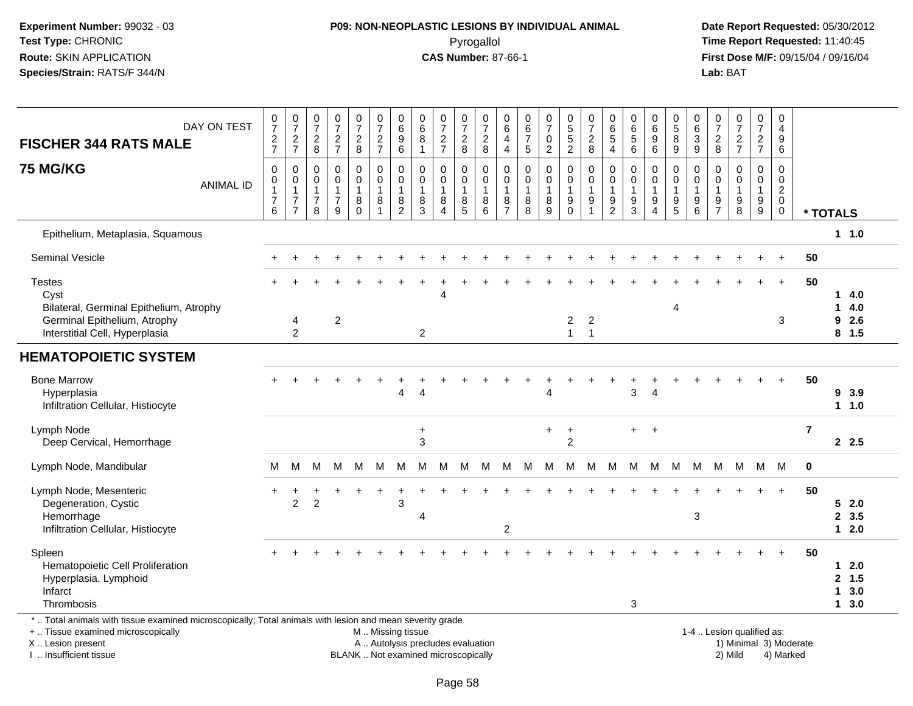### **P09: NON-NEOPLASTIC LESIONS BY INDIVIDUAL ANIMAL**Pyrogallol **Time Report Requested:** 11:40:45

 **Date Report Requested:** 05/30/2012 **First Dose M/F:** 09/15/04 / 09/16/04<br>Lab: BAT **Lab:** BAT

| DAY ON TEST<br><b>FISCHER 344 RATS MALE</b>                                                                                                                         | $\frac{0}{7}$<br>$\frac{2}{7}$     | $\frac{0}{7}$<br>$\frac{2}{7}$                                               | 0<br>$\overline{7}$<br>$\overline{2}$<br>8             | 0<br>$\overline{7}$<br>$\frac{2}{7}$                            | $\frac{0}{7}$<br>$_{\rm 8}^2$          | 0<br>$\overline{7}$<br>$\overline{c}$<br>$\overline{7}$ | $\begin{array}{c} 0 \\ 6 \end{array}$<br>$\boldsymbol{9}$<br>6 | $\boldsymbol{0}$<br>$6\phantom{a}$<br>$\bf 8$<br>$\overline{1}$ | $\frac{0}{7}$<br>$\frac{2}{7}$                                            | 0<br>$\overline{7}$<br>$\sqrt{2}$<br>8                  | 0<br>$\overline{7}$<br>$\boldsymbol{2}$<br>8         | 0<br>$\,6$<br>4<br>$\overline{4}$            | 0<br>$\,6\,$<br>$\overline{7}$<br>$\sqrt{5}$ | $\frac{0}{7}$<br>$\pmb{0}$<br>$\overline{2}$           | $\begin{array}{c} 0 \\ 5 \\ 5 \end{array}$<br>$\overline{2}$ | 0<br>$\overline{7}$<br>$\sqrt{2}$<br>8                              | 0<br>$\,6$<br>$\sqrt{5}$<br>4                                     | 0<br>$\,6$<br>$\sqrt{5}$<br>6                                         | $\begin{matrix} 0 \ 6 \end{matrix}$<br>9<br>6        | $\begin{array}{c} 0 \\ 5 \end{array}$<br>$\bf 8$<br>$9\,$   | $\pmb{0}$<br>$6\phantom{a}$<br>$\ensuremath{\mathsf{3}}$<br>$\boldsymbol{9}$ | $\frac{0}{7}$<br>$\frac{2}{8}$                                | $\frac{0}{7}$<br>$\frac{2}{7}$                       | 0<br>$\overline{7}$<br>$\frac{2}{7}$                                             | 0<br>$\overline{4}$<br>9<br>6                                            |                        |                                   |                              |
|---------------------------------------------------------------------------------------------------------------------------------------------------------------------|------------------------------------|------------------------------------------------------------------------------|--------------------------------------------------------|-----------------------------------------------------------------|----------------------------------------|---------------------------------------------------------|----------------------------------------------------------------|-----------------------------------------------------------------|---------------------------------------------------------------------------|---------------------------------------------------------|------------------------------------------------------|----------------------------------------------|----------------------------------------------|--------------------------------------------------------|--------------------------------------------------------------|---------------------------------------------------------------------|-------------------------------------------------------------------|-----------------------------------------------------------------------|------------------------------------------------------|-------------------------------------------------------------|------------------------------------------------------------------------------|---------------------------------------------------------------|------------------------------------------------------|----------------------------------------------------------------------------------|--------------------------------------------------------------------------|------------------------|-----------------------------------|------------------------------|
| <b>75 MG/KG</b><br><b>ANIMAL ID</b>                                                                                                                                 | 0<br>0<br>1<br>$\overline{7}$<br>6 | $\mathbf 0$<br>$\pmb{0}$<br>$\mathbf{1}$<br>$\overline{7}$<br>$\overline{7}$ | 0<br>$\Omega$<br>$\overline{1}$<br>$\overline{7}$<br>8 | $\Omega$<br>$\Omega$<br>$\overline{1}$<br>$\boldsymbol{7}$<br>9 | 0<br>$\mathbf 0$<br>1<br>8<br>$\Omega$ | $\mathbf 0$<br>$\Omega$<br>$\mathbf{1}$<br>8<br>1       | $\pmb{0}$<br>$\mathbf 0$<br>$\mathbf 1$<br>8<br>$\overline{2}$ | $\mathbf 0$<br>$\Omega$<br>$\overline{1}$<br>8<br>$\mathbf{3}$  | $\mathbf 0$<br>$\mathbf 0$<br>$\mathbf{1}$<br>8<br>$\boldsymbol{\Lambda}$ | 0<br>$\mathbf 0$<br>$\mathbf{1}$<br>8<br>$\overline{5}$ | $\mathbf 0$<br>$\mathbf 0$<br>$\mathbf{1}$<br>8<br>6 | 0<br>$\mathbf 0$<br>1<br>8<br>$\overline{7}$ | 0<br>$\Omega$<br>$\mathbf{1}$<br>8<br>8      | $\mathbf 0$<br>$\mathbf 0$<br>1<br>8<br>$\overline{9}$ | 0<br>$\mathbf 0$<br>$\overline{1}$<br>9<br>$\mathbf 0$       | $\mathbf 0$<br>$\mathbf 0$<br>$\mathbf{1}$<br>$\boldsymbol{9}$<br>1 | $\mathbf 0$<br>$\mathbf 0$<br>$\mathbf{1}$<br>9<br>$\overline{2}$ | $\mathbf 0$<br>$\mathbf 0$<br>$\mathbf{1}$<br>$9\,$<br>$\overline{3}$ | 0<br>$\Omega$<br>$\mathbf{1}$<br>9<br>$\overline{4}$ | $\mathbf 0$<br>$\mathbf 0$<br>$\mathbf{1}$<br>$\frac{9}{5}$ | 0<br>$\mathbf 0$<br>$\mathbf{1}$<br>9<br>$6\phantom{a}$                      | $\mathbf 0$<br>$\mathbf 0$<br>$\overline{1}$<br>$\frac{9}{7}$ | $\mathbf 0$<br>$\mathbf 0$<br>$\mathbf{1}$<br>9<br>8 | $\mathbf 0$<br>$\mathbf 0$<br>$\mathbf{1}$<br>$\boldsymbol{9}$<br>$\overline{9}$ | 0<br>$\mathbf 0$<br>$\overline{a}$<br>$\overline{0}$<br>$\boldsymbol{0}$ |                        | * TOTALS                          |                              |
| Epithelium, Metaplasia, Squamous                                                                                                                                    |                                    |                                                                              |                                                        |                                                                 |                                        |                                                         |                                                                |                                                                 |                                                                           |                                                         |                                                      |                                              |                                              |                                                        |                                                              |                                                                     |                                                                   |                                                                       |                                                      |                                                             |                                                                              |                                                               |                                                      |                                                                                  |                                                                          |                        |                                   | 1 1.0                        |
| <b>Seminal Vesicle</b>                                                                                                                                              |                                    |                                                                              |                                                        |                                                                 |                                        |                                                         |                                                                |                                                                 |                                                                           |                                                         |                                                      |                                              |                                              |                                                        |                                                              |                                                                     |                                                                   |                                                                       |                                                      |                                                             |                                                                              |                                                               |                                                      |                                                                                  |                                                                          | 50                     |                                   |                              |
| <b>Testes</b><br>Cyst<br>Bilateral, Germinal Epithelium, Atrophy<br>Germinal Epithelium, Atrophy<br>Interstitial Cell, Hyperplasia                                  |                                    | 4<br>2                                                                       |                                                        | $\overline{c}$                                                  |                                        |                                                         |                                                                | $\overline{2}$                                                  | 4                                                                         |                                                         |                                                      |                                              |                                              |                                                        | $\overline{a}$<br>$\mathbf{1}$                               | $\overline{2}$<br>$\overline{1}$                                    |                                                                   |                                                                       |                                                      | 4                                                           |                                                                              |                                                               |                                                      |                                                                                  | $\ddot{}$<br>3                                                           | 50                     | 1.<br>1<br>9                      | 4.0<br>4.0<br>2.6<br>$8$ 1.5 |
| <b>HEMATOPOIETIC SYSTEM</b>                                                                                                                                         |                                    |                                                                              |                                                        |                                                                 |                                        |                                                         |                                                                |                                                                 |                                                                           |                                                         |                                                      |                                              |                                              |                                                        |                                                              |                                                                     |                                                                   |                                                                       |                                                      |                                                             |                                                                              |                                                               |                                                      |                                                                                  |                                                                          |                        |                                   |                              |
| <b>Bone Marrow</b><br>Hyperplasia<br>Infiltration Cellular, Histiocyte                                                                                              |                                    |                                                                              |                                                        |                                                                 |                                        |                                                         | $\overline{4}$                                                 | 4                                                               |                                                                           |                                                         |                                                      |                                              |                                              | 4                                                      |                                                              |                                                                     |                                                                   | 3                                                                     | $\overline{4}$                                       |                                                             |                                                                              |                                                               |                                                      |                                                                                  |                                                                          | 50                     |                                   | 9 3.9<br>11.0                |
| Lymph Node<br>Deep Cervical, Hemorrhage                                                                                                                             |                                    |                                                                              |                                                        |                                                                 |                                        |                                                         |                                                                | $\ddot{}$<br>3                                                  |                                                                           |                                                         |                                                      |                                              |                                              | $+$                                                    | $+$<br>2                                                     |                                                                     |                                                                   | $+$                                                                   | $+$                                                  |                                                             |                                                                              |                                                               |                                                      |                                                                                  |                                                                          | $\overline{7}$         |                                   | 2.5                          |
| Lymph Node, Mandibular                                                                                                                                              | М                                  | м                                                                            | м                                                      | M                                                               | M                                      | M                                                       | M                                                              | M                                                               | м                                                                         | M                                                       | M                                                    | M                                            | M                                            | M                                                      | М                                                            | м                                                                   | M                                                                 | М                                                                     | M                                                    | M                                                           | M                                                                            | М                                                             | м                                                    | M                                                                                | - M                                                                      | 0                      |                                   |                              |
| Lymph Node, Mesenteric<br>Degeneration, Cystic<br>Hemorrhage<br>Infiltration Cellular, Histiocyte                                                                   | +                                  | +<br>$\overline{2}$                                                          | $\overline{c}$                                         |                                                                 |                                        |                                                         | 3                                                              | 4                                                               |                                                                           |                                                         |                                                      | $\overline{c}$                               |                                              |                                                        |                                                              |                                                                     |                                                                   |                                                                       |                                                      |                                                             | 3                                                                            |                                                               |                                                      |                                                                                  | $\ddot{}$                                                                | 50                     | 5.                                | 2.0<br>2, 3.5<br>12.0        |
| Spleen<br>Hematopoietic Cell Proliferation<br>Hyperplasia, Lymphoid<br>Infarct<br>Thrombosis                                                                        |                                    |                                                                              |                                                        |                                                                 |                                        |                                                         |                                                                |                                                                 |                                                                           |                                                         |                                                      |                                              |                                              |                                                        |                                                              |                                                                     |                                                                   | 3                                                                     |                                                      |                                                             |                                                                              |                                                               |                                                      |                                                                                  |                                                                          | 50                     | $\mathbf{1}$<br>$\mathbf{2}$<br>1 | 2.0<br>1.5<br>3.0<br>13.0    |
| *  Total animals with tissue examined microscopically; Total animals with lesion and mean severity grade<br>+  Tissue examined microscopically<br>X  Lesion present |                                    |                                                                              |                                                        |                                                                 |                                        | M  Missing tissue<br>A  Autolysis precludes evaluation  |                                                                |                                                                 |                                                                           |                                                         |                                                      |                                              |                                              |                                                        |                                                              |                                                                     |                                                                   |                                                                       |                                                      |                                                             |                                                                              |                                                               | 1-4  Lesion qualified as:                            |                                                                                  |                                                                          | 1) Minimal 3) Moderate |                                   |                              |

I .. Insufficient tissue

BLANK .. Not examined microscopically 2) Mild 4) Marked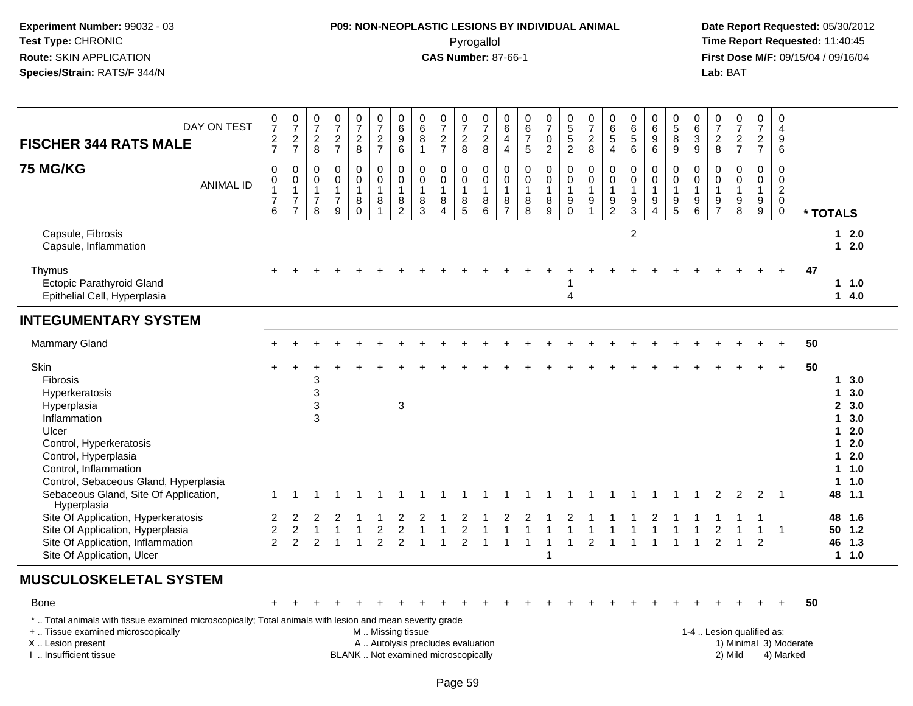## **P09: NON-NEOPLASTIC LESIONS BY INDIVIDUAL ANIMAL**Pyrogallol **Time Report Requested:** 11:40:45

| DAY ON TEST<br><b>FISCHER 344 RATS MALE</b>                                                                                                                                                                                                                                                                                                                                                                  | $\frac{0}{7}$<br>$\frac{2}{7}$                                    | $\frac{0}{7}$<br>$\frac{2}{7}$                                               | $\frac{0}{7}$<br>$^2_8$                                 | $\frac{0}{7}$<br>$\frac{2}{7}$                                | $\frac{0}{7}$<br>$\frac{2}{8}$                                       | $\frac{0}{7}$<br>$\frac{2}{7}$             | $\begin{array}{c} 0 \\ 6 \end{array}$<br>$\frac{9}{6}$                                             | $\begin{matrix} 0 \\ 6 \end{matrix}$<br>$\, 8$<br>$\overline{1}$         | $\frac{0}{7}$<br>$\frac{2}{7}$                                  | $\frac{0}{7}$<br>$_{\rm 8}^2$                                                   | $\frac{0}{7}$<br>$\boldsymbol{2}$<br>8                   | 0<br>$\,6\,$<br>$\overline{4}$<br>4                                   | $\begin{matrix} 0 \\ 6 \end{matrix}$<br>$\frac{7}{5}$ | $\frac{0}{7}$<br>$\mathbf 0$<br>$\overline{2}$             | 0<br>5<br>5<br>2                                             | $\frac{0}{7}$<br>$\frac{2}{8}$                                        | $\begin{matrix} 0 \\ 6 \end{matrix}$<br>$\overline{5}$<br>$\overline{4}$ | $\begin{array}{c} 0 \\ 6 \end{array}$<br>$\overline{5}$<br>6                          | $\begin{array}{c} 0 \\ 6 \end{array}$<br>$\overline{9}$<br>6 | $\begin{array}{c} 0 \\ 5 \end{array}$<br>$\boldsymbol{8}$<br>9            | 0<br>$\overline{6}$<br>$\frac{3}{9}$                       | $\frac{0}{7}$<br>$_{\rm 8}^2$                             | $\frac{0}{7}$<br>$\frac{2}{7}$                           | 0<br>$\frac{5}{7}$<br>$\frac{2}{7}$                                             |                                  | 0<br>$\overline{4}$<br>9<br>6                                            |          |                                                                                                           |                                                                        |
|--------------------------------------------------------------------------------------------------------------------------------------------------------------------------------------------------------------------------------------------------------------------------------------------------------------------------------------------------------------------------------------------------------------|-------------------------------------------------------------------|------------------------------------------------------------------------------|---------------------------------------------------------|---------------------------------------------------------------|----------------------------------------------------------------------|--------------------------------------------|----------------------------------------------------------------------------------------------------|--------------------------------------------------------------------------|-----------------------------------------------------------------|---------------------------------------------------------------------------------|----------------------------------------------------------|-----------------------------------------------------------------------|-------------------------------------------------------|------------------------------------------------------------|--------------------------------------------------------------|-----------------------------------------------------------------------|--------------------------------------------------------------------------|---------------------------------------------------------------------------------------|--------------------------------------------------------------|---------------------------------------------------------------------------|------------------------------------------------------------|-----------------------------------------------------------|----------------------------------------------------------|---------------------------------------------------------------------------------|----------------------------------|--------------------------------------------------------------------------|----------|-----------------------------------------------------------------------------------------------------------|------------------------------------------------------------------------|
| <b>75 MG/KG</b><br><b>ANIMAL ID</b>                                                                                                                                                                                                                                                                                                                                                                          | $\mathbf 0$<br>0<br>$\mathbf{1}$<br>$\overline{\mathcal{I}}$<br>6 | $\pmb{0}$<br>$\pmb{0}$<br>$\mathbf{1}$<br>$\boldsymbol{7}$<br>$\overline{7}$ | 0<br>$\mathbf 0$<br>$\mathbf{1}$<br>$\overline{7}$<br>8 | $\pmb{0}$<br>$\pmb{0}$<br>$\mathbf{1}$<br>$\overline{7}$<br>9 | $\pmb{0}$<br>$\ddot{\mathbf{0}}$<br>$\mathbf{1}$<br>8<br>$\mathbf 0$ | $\mathsf{O}$<br>$\mathbf 0$<br>1<br>8<br>1 | $\pmb{0}$<br>$\ddot{\mathbf{0}}$<br>$\mathbf{1}$<br>$\begin{smallmatrix} 8 \\ 2 \end{smallmatrix}$ | $\mathbf 0$<br>$\mathbf 0$<br>$\mathbf{1}$<br>$\frac{8}{3}$              | $\pmb{0}$<br>$\mathbf 0$<br>$\mathbf{1}$<br>8<br>$\overline{4}$ | $\mathsf{O}\xspace$<br>$\mathbf 0$<br>$\mathbf{1}$<br>$\,8\,$<br>$\overline{5}$ | $\pmb{0}$<br>$\mathbf 0$<br>$\mathbf{1}$<br>8<br>$\,6\,$ | 0<br>$\mathsf{O}\xspace$<br>$\mathbf{1}$<br>$\,8\,$<br>$\overline{7}$ | $\mathbf 0$<br>$\pmb{0}$<br>$\mathbf{1}$<br>8<br>8    | $\pmb{0}$<br>$\ddot{\mathbf{0}}$<br>$\mathbf{1}$<br>8<br>9 | $\pmb{0}$<br>$\pmb{0}$<br>$\mathbf{1}$<br>$_{\rm 0}^{\rm 9}$ | $\pmb{0}$<br>$\ddot{\mathbf{0}}$<br>$\mathbf{1}$<br>9<br>$\mathbf{1}$ | $\mathbf 0$<br>$\mathbf 0$<br>$\mathbf{1}$<br>$\frac{9}{2}$              | $\boldsymbol{0}$<br>$\mathbf 0$<br>$\mathbf{1}$<br>$\boldsymbol{9}$<br>$\overline{3}$ | 0<br>$\mathsf{O}$<br>$\mathbf{1}$<br>9<br>$\overline{4}$     | $\pmb{0}$<br>$\ddot{\mathbf{0}}$<br>$\mathbf{1}$<br>$\boldsymbol{9}$<br>5 | $\mathbf 0$<br>$\mathbf 0$<br>$\mathbf{1}$<br>9<br>$\,6\,$ | $\pmb{0}$<br>$\mathbf 0$<br>$\mathbf{1}$<br>$\frac{9}{7}$ | $\mathsf{O}$<br>$\mathsf{O}$<br>$\mathbf{1}$<br>$_{8}^9$ | $\mathsf 0$<br>$\mathsf{O}\xspace$<br>$\mathbf{1}$<br>$\boldsymbol{9}$<br>$9\,$ |                                  | $\mathsf 0$<br>$\pmb{0}$<br>$\overline{c}$<br>$\mathbf 0$<br>$\mathsf 0$ | * TOTALS |                                                                                                           |                                                                        |
| Capsule, Fibrosis<br>Capsule, Inflammation                                                                                                                                                                                                                                                                                                                                                                   |                                                                   |                                                                              |                                                         |                                                               |                                                                      |                                            |                                                                                                    |                                                                          |                                                                 |                                                                                 |                                                          |                                                                       |                                                       |                                                            |                                                              |                                                                       |                                                                          | 2                                                                                     |                                                              |                                                                           |                                                            |                                                           |                                                          |                                                                                 |                                  |                                                                          |          |                                                                                                           | $12.0$<br>$12.0$                                                       |
| Thymus<br>Ectopic Parathyroid Gland<br>Epithelial Cell, Hyperplasia                                                                                                                                                                                                                                                                                                                                          |                                                                   |                                                                              |                                                         |                                                               |                                                                      |                                            |                                                                                                    |                                                                          |                                                                 |                                                                                 |                                                          |                                                                       |                                                       |                                                            | 4                                                            |                                                                       |                                                                          |                                                                                       |                                                              |                                                                           |                                                            |                                                           |                                                          |                                                                                 |                                  |                                                                          | 47       |                                                                                                           | 11.0<br>14.0                                                           |
| <b>INTEGUMENTARY SYSTEM</b>                                                                                                                                                                                                                                                                                                                                                                                  |                                                                   |                                                                              |                                                         |                                                               |                                                                      |                                            |                                                                                                    |                                                                          |                                                                 |                                                                                 |                                                          |                                                                       |                                                       |                                                            |                                                              |                                                                       |                                                                          |                                                                                       |                                                              |                                                                           |                                                            |                                                           |                                                          |                                                                                 |                                  |                                                                          |          |                                                                                                           |                                                                        |
| Mammary Gland                                                                                                                                                                                                                                                                                                                                                                                                |                                                                   |                                                                              |                                                         |                                                               |                                                                      |                                            |                                                                                                    |                                                                          |                                                                 |                                                                                 |                                                          |                                                                       |                                                       |                                                            |                                                              |                                                                       |                                                                          |                                                                                       |                                                              |                                                                           |                                                            |                                                           |                                                          |                                                                                 |                                  |                                                                          | 50       |                                                                                                           |                                                                        |
| Skin<br><b>Fibrosis</b><br>Hyperkeratosis<br>Hyperplasia<br>Inflammation<br>Ulcer<br>Control, Hyperkeratosis<br>Control, Hyperplasia<br>Control, Inflammation<br>Control, Sebaceous Gland, Hyperplasia<br>Sebaceous Gland, Site Of Application,<br>Hyperplasia<br>Site Of Application, Hyperkeratosis<br>Site Of Application, Hyperplasia<br>Site Of Application, Inflammation<br>Site Of Application, Ulcer | 2<br>$\boldsymbol{2}$<br>$\overline{2}$                           | $\overline{\mathbf{c}}$<br>$\overline{2}$                                    | 3<br>3<br>3<br>3<br>$\overline{2}$                      |                                                               | $\overline{1}$                                                       | $\overline{c}$<br>$\overline{2}$           | 3<br>$\overline{2}$<br>$\overline{2}$                                                              |                                                                          |                                                                 | $\overline{\mathbf{c}}$<br>$\overline{2}$                                       |                                                          |                                                                       |                                                       | -1                                                         |                                                              | $\overline{2}$                                                        |                                                                          | -1                                                                                    | 1                                                            | 1                                                                         | $\mathbf{1}$                                               | 2<br>2                                                    | 2<br>$\overline{1}$                                      | 2<br>1<br>2                                                                     | $\overline{1}$<br>$\overline{1}$ |                                                                          | 50       | $\mathbf 1$<br>1.<br>$\mathbf 1$<br>1.<br>1.<br>1.<br>$\mathbf 1$<br>48 1.1<br>48 1.6<br>50 1.2<br>46 1.3 | 3.0<br>3.0<br>2, 3.0<br>3.0<br>2.0<br>2.0<br>2.0<br>1.0<br>1.0<br>11.0 |
| <b>MUSCULOSKELETAL SYSTEM</b>                                                                                                                                                                                                                                                                                                                                                                                |                                                                   |                                                                              |                                                         |                                                               |                                                                      |                                            |                                                                                                    |                                                                          |                                                                 |                                                                                 |                                                          |                                                                       |                                                       |                                                            |                                                              |                                                                       |                                                                          |                                                                                       |                                                              |                                                                           |                                                            |                                                           |                                                          |                                                                                 |                                  |                                                                          |          |                                                                                                           |                                                                        |
| Bone                                                                                                                                                                                                                                                                                                                                                                                                         |                                                                   |                                                                              |                                                         |                                                               |                                                                      |                                            |                                                                                                    |                                                                          |                                                                 |                                                                                 |                                                          |                                                                       |                                                       |                                                            |                                                              |                                                                       |                                                                          |                                                                                       |                                                              |                                                                           |                                                            |                                                           |                                                          |                                                                                 |                                  | $+$                                                                      | 50       |                                                                                                           |                                                                        |
| *  Total animals with tissue examined microscopically; Total animals with lesion and mean severity grade<br>+  Tissue examined microscopically<br>X  Lesion present<br>I  Insufficient tissue                                                                                                                                                                                                                |                                                                   |                                                                              |                                                         |                                                               |                                                                      | M  Missing tissue                          |                                                                                                    | A  Autolysis precludes evaluation<br>BLANK  Not examined microscopically |                                                                 |                                                                                 |                                                          |                                                                       |                                                       |                                                            |                                                              |                                                                       |                                                                          |                                                                                       |                                                              |                                                                           |                                                            |                                                           | 1-4  Lesion qualified as:<br>2) Mild                     |                                                                                 |                                  | 1) Minimal 3) Moderate<br>4) Marked                                      |          |                                                                                                           |                                                                        |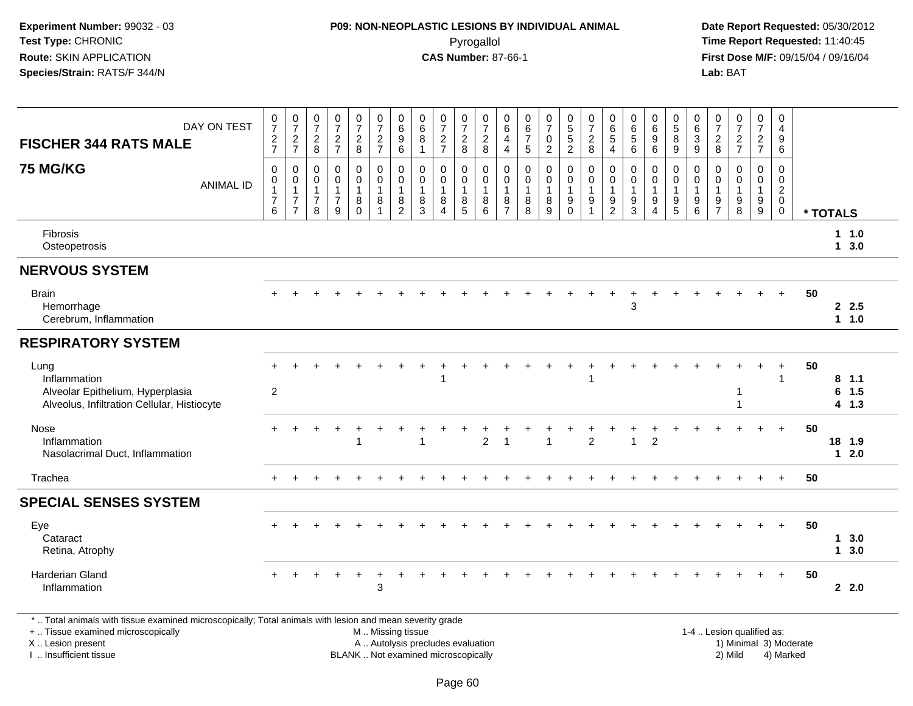## **P09: NON-NEOPLASTIC LESIONS BY INDIVIDUAL ANIMAL**Pyrogallol **Time Report Requested:** 11:40:45

 **Date Report Requested:** 05/30/2012 **First Dose M/F:** 09/15/04 / 09/16/04<br>**Lab:** BAT **Lab:** BAT

|                                                                                                         |                                                                  |                                                                      |                                                                   |                                                        |                                    |                                                                          |                                                           |                                                 |                                                                       |                                                                                               |                                                   | 0                                                                 |                                                      |                             |                                                                                  |                                                             |                                         |                                                                     |                                                                          | 0                                         | 0                                                      |                                                               |                                             |                                                            | 0                                                                          |    |                            |                   |
|---------------------------------------------------------------------------------------------------------|------------------------------------------------------------------|----------------------------------------------------------------------|-------------------------------------------------------------------|--------------------------------------------------------|------------------------------------|--------------------------------------------------------------------------|-----------------------------------------------------------|-------------------------------------------------|-----------------------------------------------------------------------|-----------------------------------------------------------------------------------------------|---------------------------------------------------|-------------------------------------------------------------------|------------------------------------------------------|-----------------------------|----------------------------------------------------------------------------------|-------------------------------------------------------------|-----------------------------------------|---------------------------------------------------------------------|--------------------------------------------------------------------------|-------------------------------------------|--------------------------------------------------------|---------------------------------------------------------------|---------------------------------------------|------------------------------------------------------------|----------------------------------------------------------------------------|----|----------------------------|-------------------|
| DAY ON TEST<br><b>FISCHER 344 RATS MALE</b>                                                             | $\frac{0}{7}$                                                    | $\frac{0}{7}$<br>$\frac{2}{7}$                                       | $\frac{0}{7}$<br>$\overline{c}$                                   | $\begin{array}{c} 0 \\ 7 \end{array}$<br>$\sqrt{2}$    | $\frac{0}{7}$<br>$\overline{c}$    | $\frac{0}{7}$<br>$\overline{2}$                                          | $\begin{array}{c} 0 \\ 6 \end{array}$<br>$\boldsymbol{9}$ | $\begin{matrix} 0 \\ 6 \end{matrix}$<br>$\bf 8$ | $\frac{0}{7}$<br>$\frac{2}{7}$                                        | $\frac{0}{7}$<br>$\sqrt{2}$                                                                   | $\frac{0}{7}$<br>$\overline{c}$                   | 6<br>4                                                            | $_{6}^{\rm 0}$<br>$\overline{7}$                     | $\frac{0}{7}$<br>$\pmb{0}$  | $\begin{array}{c} 0 \\ 5 \\ 5 \end{array}$                                       | $\frac{0}{7}$<br>$\overline{c}$                             | $_{6}^{\rm 0}$<br>$\sqrt{5}$            | $\begin{matrix} 0 \\ 6 \\ 5 \end{matrix}$                           | $\begin{matrix} 0 \\ 6 \\ 9 \end{matrix}$                                | $\overline{5}$<br>$\, 8$                  | $6\phantom{1}6$<br>$\mathbf{3}$                        | $\frac{0}{7}$<br>$\overline{c}$                               | $\frac{0}{7}$<br>$\overline{c}$             | $\frac{0}{7}$<br>$\mathbf{2}$                              | $\overline{4}$<br>9                                                        |    |                            |                   |
|                                                                                                         | $\frac{2}{7}$                                                    |                                                                      | 8                                                                 | $\overline{7}$                                         | 8                                  | $\overline{7}$                                                           | 6                                                         | $\overline{1}$                                  |                                                                       | 8                                                                                             | 8                                                 | $\overline{4}$                                                    | $\overline{5}$                                       | $\overline{2}$              | $\overline{2}$                                                                   | 8                                                           | $\overline{4}$                          | $\,6\,$                                                             | $\,6\,$                                                                  | 9                                         | $9\,$                                                  | 8                                                             | $\overline{7}$                              | $\overline{7}$                                             | 6                                                                          |    |                            |                   |
| <b>75 MG/KG</b><br><b>ANIMAL ID</b>                                                                     | $\mathbf 0$<br>$\pmb{0}$<br>$\mathbf 1$<br>$\boldsymbol{7}$<br>6 | 0<br>$\mathbf 0$<br>$\mathbf{1}$<br>$\overline{7}$<br>$\overline{7}$ | $\mathbf 0$<br>$\mathbf 0$<br>$\mathbf{1}$<br>$\overline{7}$<br>8 | $\mathbf 0$<br>$\mathbf 0$<br>1<br>$\overline{7}$<br>9 | 0<br>0<br>1<br>$\bf 8$<br>$\Omega$ | $\mathsf{O}$<br>$\mathbf 0$<br>$\mathbf{1}$<br>$\,8\,$<br>$\overline{1}$ | $\mathbf 0$<br>$\pmb{0}$<br>$\mathbf{1}$<br>$\frac{8}{2}$ | $\mathbf 0$<br>0<br>$\mathbf 1$<br>$^8_3$       | $\mathbf 0$<br>$\pmb{0}$<br>$\mathbf{1}$<br>$\bf 8$<br>$\overline{4}$ | $\mathsf{O}\xspace$<br>$\mathbf 0$<br>$\overline{1}$<br>$\begin{array}{c} 8 \\ 5 \end{array}$ | $\mathbf 0$<br>0<br>$\overline{1}$<br>$\, 8$<br>6 | $\mathbf 0$<br>$\mathbf 0$<br>$\mathbf{1}$<br>8<br>$\overline{7}$ | $\mathbf 0$<br>$\mathbf 0$<br>$\mathbf{1}$<br>8<br>8 | 0<br>0<br>1<br>$\bf 8$<br>9 | 0<br>$\mathsf{O}\xspace$<br>$\mathbf{1}$<br>$\begin{matrix} 9 \\ 0 \end{matrix}$ | $\pmb{0}$<br>$\pmb{0}$<br>$\mathbf{1}$<br>9<br>$\mathbf{1}$ | 0<br>0<br>$\mathbf{1}$<br>$\frac{9}{2}$ | $\mathbf 0$<br>$\mathsf{O}\xspace$<br>$\mathbf{1}$<br>$\frac{9}{3}$ | 0<br>$\mathbf 0$<br>$\overline{1}$<br>$\boldsymbol{9}$<br>$\overline{4}$ | $\Omega$<br>0<br>$\overline{1}$<br>9<br>5 | $\mathbf 0$<br>$\mathbf 0$<br>$\overline{1}$<br>9<br>6 | $\mathbf 0$<br>$\mathbf 0$<br>$\overline{1}$<br>$\frac{9}{7}$ | $\mathbf 0$<br>0<br>1<br>$_{\rm 8}^{\rm 9}$ | $\pmb{0}$<br>$\mathsf{O}\xspace$<br>$\mathbf{1}$<br>$^9_9$ | $\mathbf 0$<br>$\mathbf 0$<br>$\overline{2}$<br>$\mathbf 0$<br>$\mathbf 0$ |    | * TOTALS                   |                   |
| Fibrosis<br>Osteopetrosis                                                                               |                                                                  |                                                                      |                                                                   |                                                        |                                    |                                                                          |                                                           |                                                 |                                                                       |                                                                                               |                                                   |                                                                   |                                                      |                             |                                                                                  |                                                             |                                         |                                                                     |                                                                          |                                           |                                                        |                                                               |                                             |                                                            |                                                                            |    |                            | $1 \t1.0$<br>13.0 |
| <b>NERVOUS SYSTEM</b>                                                                                   |                                                                  |                                                                      |                                                                   |                                                        |                                    |                                                                          |                                                           |                                                 |                                                                       |                                                                                               |                                                   |                                                                   |                                                      |                             |                                                                                  |                                                             |                                         |                                                                     |                                                                          |                                           |                                                        |                                                               |                                             |                                                            |                                                                            |    |                            |                   |
| <b>Brain</b><br>Hemorrhage<br>Cerebrum, Inflammation                                                    | $+$                                                              |                                                                      |                                                                   |                                                        |                                    |                                                                          |                                                           |                                                 |                                                                       |                                                                                               |                                                   |                                                                   |                                                      |                             |                                                                                  |                                                             |                                         | $\sqrt{3}$                                                          |                                                                          |                                           |                                                        |                                                               |                                             |                                                            |                                                                            | 50 |                            | 2.5<br>1 1.0      |
| <b>RESPIRATORY SYSTEM</b>                                                                               |                                                                  |                                                                      |                                                                   |                                                        |                                    |                                                                          |                                                           |                                                 |                                                                       |                                                                                               |                                                   |                                                                   |                                                      |                             |                                                                                  |                                                             |                                         |                                                                     |                                                                          |                                           |                                                        |                                                               |                                             |                                                            |                                                                            |    |                            |                   |
| Lung<br>Inflammation<br>Alveolar Epithelium, Hyperplasia<br>Alveolus, Infiltration Cellular, Histiocyte | $+$<br>$\overline{2}$                                            |                                                                      |                                                                   |                                                        |                                    |                                                                          |                                                           |                                                 |                                                                       |                                                                                               |                                                   |                                                                   |                                                      |                             |                                                                                  | -1                                                          |                                         |                                                                     |                                                                          |                                           |                                                        |                                                               | 1<br>1                                      |                                                            | $\mathbf 1$                                                                | 50 | 8, 1.1<br>$6$ 1.5<br>4 1.3 |                   |
| Nose<br>Inflammation<br>Nasolacrimal Duct, Inflammation                                                 | $+$                                                              |                                                                      |                                                                   |                                                        |                                    |                                                                          |                                                           |                                                 |                                                                       |                                                                                               | $\overline{2}$                                    |                                                                   |                                                      | $\overline{1}$              |                                                                                  | $\overline{2}$                                              |                                         | $\overline{1}$                                                      | $\overline{2}$                                                           |                                           |                                                        |                                                               |                                             | $+$                                                        | $+$                                                                        | 50 | 18 1.9<br>$12.0$           |                   |
| Trachea                                                                                                 | $+$                                                              |                                                                      |                                                                   |                                                        |                                    |                                                                          |                                                           |                                                 |                                                                       |                                                                                               |                                                   |                                                                   |                                                      |                             |                                                                                  |                                                             |                                         |                                                                     |                                                                          |                                           |                                                        |                                                               |                                             |                                                            | $\ddot{}$                                                                  | 50 |                            |                   |
| <b>SPECIAL SENSES SYSTEM</b>                                                                            |                                                                  |                                                                      |                                                                   |                                                        |                                    |                                                                          |                                                           |                                                 |                                                                       |                                                                                               |                                                   |                                                                   |                                                      |                             |                                                                                  |                                                             |                                         |                                                                     |                                                                          |                                           |                                                        |                                                               |                                             |                                                            |                                                                            |    |                            |                   |
| Eye<br>Cataract<br>Retina, Atrophy                                                                      |                                                                  |                                                                      |                                                                   |                                                        |                                    |                                                                          |                                                           |                                                 |                                                                       |                                                                                               |                                                   |                                                                   |                                                      |                             |                                                                                  |                                                             |                                         |                                                                     |                                                                          |                                           |                                                        |                                                               |                                             |                                                            | $\ddot{}$                                                                  | 50 | 1<br>$\mathbf 1$           | 3.0<br>3.0        |
| Harderian Gland<br>Inflammation                                                                         |                                                                  |                                                                      |                                                                   |                                                        |                                    | 3                                                                        |                                                           |                                                 |                                                                       |                                                                                               |                                                   |                                                                   |                                                      |                             |                                                                                  |                                                             |                                         |                                                                     |                                                                          |                                           |                                                        |                                                               |                                             |                                                            | $+$                                                                        | 50 | $2 \quad 2.0$              |                   |

X .. Lesion present

I .. Insufficient tissue

A .. Autolysis precludes evaluation 1) Minimal 3) Moderate BLANK .. Not examined microscopically 2) Mild 4) Marked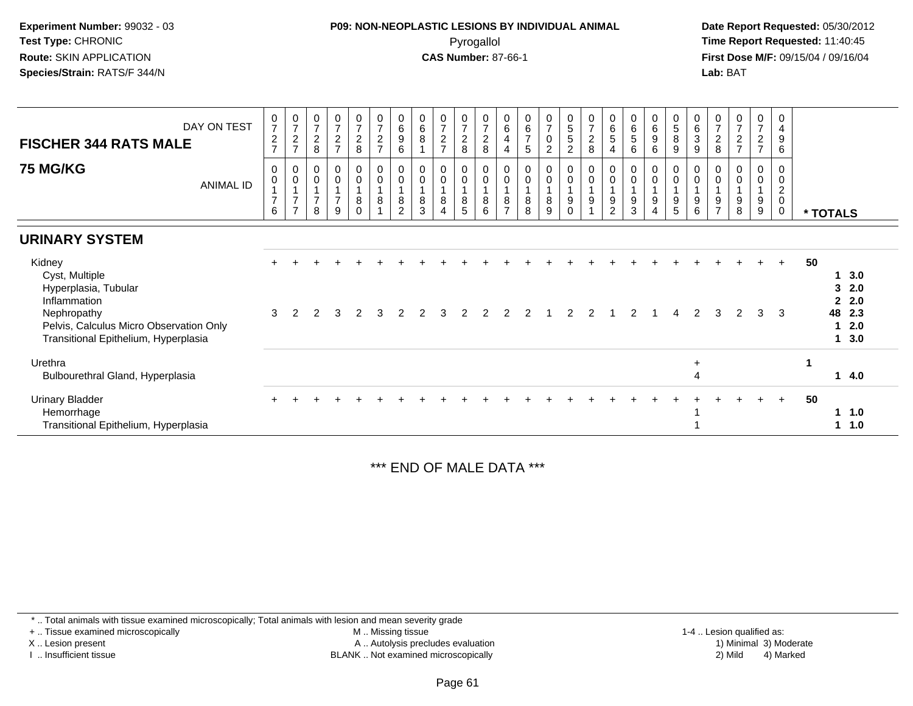### **P09: NON-NEOPLASTIC LESIONS BY INDIVIDUAL ANIMAL**Pyrogallol **Time Report Requested:** 11:40:45

 **Date Report Requested:** 05/30/2012 **First Dose M/F:** 09/15/04 / 09/16/04 Lab: BAT **Lab:** BAT

| DAY ON TEST<br><b>FISCHER 344 RATS MALE</b>                                                                                                                        | $\frac{0}{7}$<br>$\frac{2}{7}$                        | $\frac{0}{7}$<br>$\sqrt{2}$<br>$\overline{ }$              | $\frac{0}{7}$<br>$\frac{2}{8}$                                  | $\frac{0}{7}$<br>$\frac{2}{7}$            | 0728                                           | $\boldsymbol{0}$<br>$\overline{7}$<br>$\frac{2}{7}$ | 0<br>$\,6\,$<br>9<br>6        | $\begin{array}{c} 0 \\ 6 \end{array}$<br>8                 | $\begin{array}{c} 0 \\ 7 \\ 2 \end{array}$<br>$\overline{7}$ | $\frac{0}{7}$<br>$\frac{2}{8}$                                                        | $\begin{array}{c} 0 \\ 7 \end{array}$<br>$\frac{2}{8}$   | 0<br>$\,6$<br>4<br>4                  | $\begin{array}{c} 0 \\ 6 \\ 7 \end{array}$<br>5        | $\frac{0}{7}$<br>$\mathsf 0$<br>$\overline{2}$ | $\begin{array}{c} 0 \\ 5 \end{array}$<br>$\sqrt{5}$<br>$\overline{2}$ | $\frac{0}{7}$<br>$\frac{2}{8}$             | 0<br>$\,6\,$<br>$\overline{5}$<br>$\overline{4}$ | 0<br>$\,6\,$<br>5<br>6                   | 0<br>6<br>9<br>6           | $\begin{array}{c} 0 \\ 5 \\ 8 \end{array}$<br>$\boldsymbol{9}$ | $_{6}^{\rm 0}$<br>$\ensuremath{\mathsf{3}}$<br>$\boldsymbol{9}$   | 0<br>$\overline{7}$<br>$\boldsymbol{2}$<br>8 | $\begin{smallmatrix}0\\7\end{smallmatrix}$<br>$\sqrt{2}$<br>$\overline{ }$ | 0<br>$\overline{7}$<br>$\frac{2}{7}$ | 0<br>$\overline{4}$<br>$\boldsymbol{9}$<br>6                          |    |                                        |                                        |  |
|--------------------------------------------------------------------------------------------------------------------------------------------------------------------|-------------------------------------------------------|------------------------------------------------------------|-----------------------------------------------------------------|-------------------------------------------|------------------------------------------------|-----------------------------------------------------|-------------------------------|------------------------------------------------------------|--------------------------------------------------------------|---------------------------------------------------------------------------------------|----------------------------------------------------------|---------------------------------------|--------------------------------------------------------|------------------------------------------------|-----------------------------------------------------------------------|--------------------------------------------|--------------------------------------------------|------------------------------------------|----------------------------|----------------------------------------------------------------|-------------------------------------------------------------------|----------------------------------------------|----------------------------------------------------------------------------|--------------------------------------|-----------------------------------------------------------------------|----|----------------------------------------|----------------------------------------|--|
| <b>75 MG/KG</b><br><b>ANIMAL ID</b>                                                                                                                                | 0<br>$\pmb{0}$<br>$\mathbf{1}$<br>$\overline{7}$<br>6 | $\pmb{0}$<br>$\pmb{0}$<br>$\overline{z}$<br>$\overline{ }$ | $\pmb{0}$<br>$\pmb{0}$<br>$\overline{1}$<br>$\overline{7}$<br>8 | $_{\rm 0}^{\rm 0}$<br>$\overline{7}$<br>9 | $_{\rm 0}^{\rm 0}$<br>1<br>$\bf 8$<br>$\Omega$ | $\,0\,$<br>$\pmb{0}$<br>$\mathbf{1}$<br>8           | 0<br>0<br>8<br>$\overline{2}$ | 0<br>$\pmb{0}$<br>$\overline{ }$<br>$\bf 8$<br>$\mathsf 3$ | $_{\rm 0}^{\rm 0}$<br>$\bf 8$<br>$\overline{4}$              | $\begin{smallmatrix} 0\\0 \end{smallmatrix}$<br>$\overline{1}$<br>8<br>$\overline{5}$ | $\pmb{0}$<br>$\pmb{0}$<br>$\overline{1}$<br>$\bf 8$<br>6 | 0<br>$\pmb{0}$<br>8<br>$\overline{ }$ | $\pmb{0}$<br>$\pmb{0}$<br>$\mathbf{1}$<br>$\bf 8$<br>8 | $_0^0$<br>8<br>9                               | 0<br>0<br>9<br>0                                                      | $\pmb{0}$<br>$\pmb{0}$<br>$\boldsymbol{9}$ | 0<br>$\mathbf 0$<br>9<br>$\overline{c}$          | 0<br>$\pmb{0}$<br>$\mathbf{1}$<br>9<br>3 | 0<br>$\mathbf 0$<br>9<br>4 | $\,0\,$<br>$\pmb{0}$<br>$\boldsymbol{9}$<br>5                  | $\pmb{0}$<br>$\pmb{0}$<br>$\overline{1}$<br>$\boldsymbol{9}$<br>6 | 0<br>9<br>$\overline{ }$                     | $\pmb{0}$<br>$\pmb{0}$<br>$\boldsymbol{9}$<br>$\,8\,$                      | 0<br>0<br>1<br>$\boldsymbol{9}$<br>9 | 0<br>$\overline{0}$<br>$\boldsymbol{2}$<br>$\mathbf 0$<br>$\mathbf 0$ |    | * TOTALS                               |                                        |  |
| <b>URINARY SYSTEM</b>                                                                                                                                              |                                                       |                                                            |                                                                 |                                           |                                                |                                                     |                               |                                                            |                                                              |                                                                                       |                                                          |                                       |                                                        |                                                |                                                                       |                                            |                                                  |                                          |                            |                                                                |                                                                   |                                              |                                                                            |                                      |                                                                       |    |                                        |                                        |  |
| Kidney<br>Cyst, Multiple<br>Hyperplasia, Tubular<br>Inflammation<br>Nephropathy<br>Pelvis, Calculus Micro Observation Only<br>Transitional Epithelium, Hyperplasia | 3                                                     | 2                                                          | っ                                                               |                                           | 2                                              |                                                     |                               |                                                            |                                                              |                                                                                       |                                                          |                                       |                                                        |                                                |                                                                       |                                            |                                                  |                                          |                            |                                                                | $\mathcal{P}$                                                     | 3                                            | $\mathcal{P}$                                                              | 3                                    | $\ddot{}$<br>3                                                        | 50 | 1<br>3<br>$\mathbf{2}$<br>48<br>1<br>1 | 3.0<br>2.0<br>2.0<br>2.3<br>2.0<br>3.0 |  |
| Urethra<br>Bulbourethral Gland, Hyperplasia                                                                                                                        |                                                       |                                                            |                                                                 |                                           |                                                |                                                     |                               |                                                            |                                                              |                                                                                       |                                                          |                                       |                                                        |                                                |                                                                       |                                            |                                                  |                                          |                            |                                                                | $\ddot{}$<br>$\overline{4}$                                       |                                              |                                                                            |                                      |                                                                       | 1  |                                        | 14.0                                   |  |
| <b>Urinary Bladder</b><br>Hemorrhage<br>Transitional Epithelium, Hyperplasia                                                                                       |                                                       |                                                            |                                                                 |                                           |                                                |                                                     |                               |                                                            |                                                              |                                                                                       |                                                          |                                       |                                                        |                                                |                                                                       |                                            |                                                  |                                          |                            |                                                                |                                                                   |                                              |                                                                            |                                      | $+$                                                                   | 50 |                                        | $1 \t1.0$<br>$1 \t1.0$                 |  |

\*\*\* END OF MALE DATA \*\*\*

\* .. Total animals with tissue examined microscopically; Total animals with lesion and mean severity grade

+ .. Tissue examined microscopically

X .. Lesion present

I .. Insufficient tissue

 M .. Missing tissueA .. Autolysis precludes evaluation

BLANK .. Not examined microscopically 2) Mild 4) Marked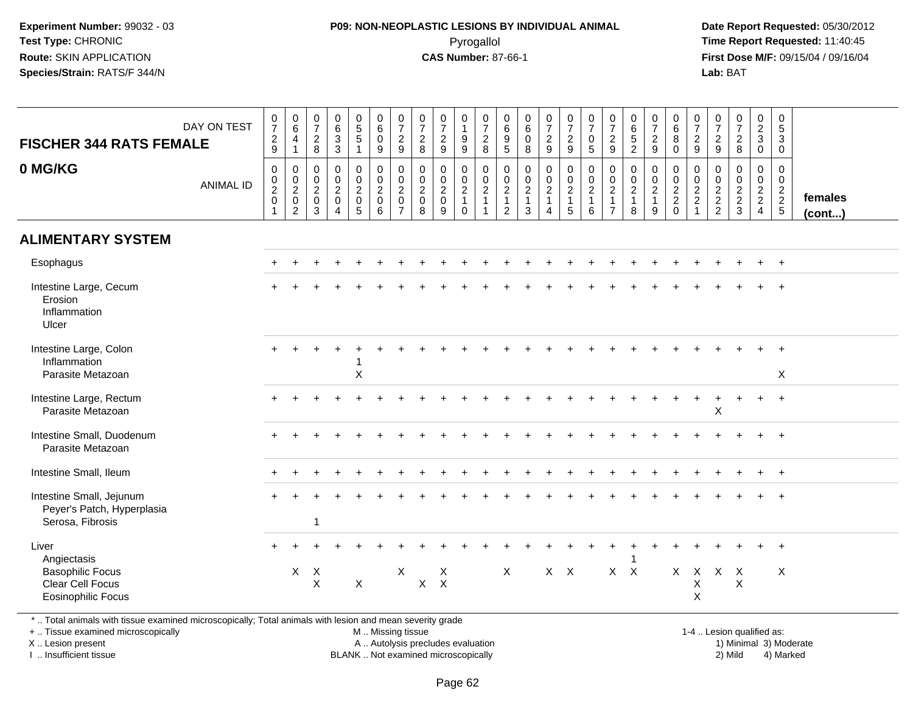## **P09: NON-NEOPLASTIC LESIONS BY INDIVIDUAL ANIMAL**Pyrogallol **Time Report Requested:** 11:40:45

 **Date Report Requested:** 05/30/2012 **First Dose M/F:** 09/15/04 / 09/16/04 Lab: BAT **Lab:** BAT

| <b>FISCHER 344 RATS FEMALE</b>                                                                   | DAY ON TEST      | $\frac{0}{7}$<br>$\frac{2}{9}$                                                  | $\begin{array}{c} 0 \\ 6 \end{array}$<br>4<br>$\overline{1}$                    | $\begin{array}{c} 0 \\ 7 \end{array}$<br>$\frac{2}{8}$           | $_{6}^{\rm 0}$<br>$\frac{3}{3}$                                             | $\begin{array}{c} 0 \\ 5 \\ 5 \end{array}$                     | 0<br>0<br>0<br>9                                               | $\frac{0}{7}$<br>$\frac{2}{9}$                                                               | $\frac{0}{7}$<br>$\frac{2}{8}$                                        | $\frac{0}{7}$<br>$\frac{2}{9}$                                                  | 0<br>$\mathbf{1}$<br>$\boldsymbol{9}$<br>9                     | $\frac{0}{7}$<br>$\frac{2}{8}$                                                                   | 0<br>$\overline{6}$<br>$\frac{9}{5}$                                 | 0<br>$\overline{6}$<br>$_{\rm 8}^{\rm 0}$               | $\begin{array}{c} 0 \\ 7 \end{array}$<br>$\frac{2}{9}$                              | $\begin{array}{c} 0 \\ 7 \end{array}$<br>$\frac{2}{9}$                                        | $\begin{array}{c} 0 \\ 7 \end{array}$<br>$\mathbf 0$<br>$\overline{5}$           | $\frac{0}{7}$<br>$\frac{2}{9}$                                                 | $\begin{array}{c} 0 \\ 6 \\ 5 \\ 2 \end{array}$                                  | $\frac{0}{7}$<br>$\frac{2}{9}$                           | $\begin{array}{c} 0 \\ 6 \\ 8 \\ 0 \end{array}$                     | $\frac{0}{7}$<br>$\frac{2}{9}$                                | $\frac{0}{7}$<br>$\frac{2}{9}$ | $\begin{array}{c} 0 \\ 7 \\ 2 \\ 8 \end{array}$                | $\begin{matrix} 0 \\ 2 \\ 3 \end{matrix}$<br>$\mathbf 0$ | $\begin{array}{c} 0 \\ 5 \end{array}$<br>$\overline{3}$<br>$\mathbf 0$  |                   |
|--------------------------------------------------------------------------------------------------|------------------|---------------------------------------------------------------------------------|---------------------------------------------------------------------------------|------------------------------------------------------------------|-----------------------------------------------------------------------------|----------------------------------------------------------------|----------------------------------------------------------------|----------------------------------------------------------------------------------------------|-----------------------------------------------------------------------|---------------------------------------------------------------------------------|----------------------------------------------------------------|--------------------------------------------------------------------------------------------------|----------------------------------------------------------------------|---------------------------------------------------------|-------------------------------------------------------------------------------------|-----------------------------------------------------------------------------------------------|----------------------------------------------------------------------------------|--------------------------------------------------------------------------------|----------------------------------------------------------------------------------|----------------------------------------------------------|---------------------------------------------------------------------|---------------------------------------------------------------|--------------------------------|----------------------------------------------------------------|----------------------------------------------------------|-------------------------------------------------------------------------|-------------------|
| 0 MG/KG                                                                                          | <b>ANIMAL ID</b> | $\boldsymbol{0}$<br>$\begin{smallmatrix} 0\\2 \end{smallmatrix}$<br>$\mathbf 0$ | $\mathbf 0$<br>$\begin{smallmatrix} 0\\2 \end{smallmatrix}$<br>$\mathbf 0$<br>2 | $\mathbf 0$<br>$\mathbf 0$<br>$\overline{2}$<br>$\mathbf 0$<br>3 | $\mathbf 0$<br>$\pmb{0}$<br>$\overline{2}$<br>$\mathbf 0$<br>$\overline{4}$ | 0<br>$\mathsf{O}\xspace$<br>$\overline{2}$<br>$\mathbf 0$<br>5 | $\pmb{0}$<br>$\mathbf 0$<br>$\overline{2}$<br>$\mathbf 0$<br>6 | $\mathbf 0$<br>$\begin{smallmatrix} 0\\2 \end{smallmatrix}$<br>$\mathbf 0$<br>$\overline{7}$ | 0<br>$\begin{smallmatrix} 0\\2 \end{smallmatrix}$<br>$\mathbf 0$<br>8 | $\mathbf 0$<br>$\begin{smallmatrix} 0\\2 \end{smallmatrix}$<br>$\mathbf 0$<br>9 | 0<br>$\mathbf 0$<br>$\overline{2}$<br>$\mathbf{1}$<br>$\Omega$ | $\boldsymbol{0}$<br>$\begin{smallmatrix} 0\\2 \end{smallmatrix}$<br>$\mathbf{1}$<br>$\mathbf{1}$ | 0<br>$\mathbf 0$<br>$\overline{a}$<br>$\mathbf{1}$<br>$\overline{2}$ | 0<br>$\mathbf 0$<br>$\overline{2}$<br>$\mathbf{1}$<br>3 | 0<br>$\begin{smallmatrix} 0\\2 \end{smallmatrix}$<br>$\mathbf{1}$<br>$\overline{4}$ | $\pmb{0}$<br>$\begin{smallmatrix} 0\\2 \end{smallmatrix}$<br>$\overline{1}$<br>$\overline{5}$ | $\mathbf 0$<br>$\begin{smallmatrix} 0\\2 \end{smallmatrix}$<br>$\mathbf{1}$<br>6 | $\mathbf 0$<br>$\mathbf 0$<br>$\overline{2}$<br>$\mathbf{1}$<br>$\overline{7}$ | $\mathbf 0$<br>$\begin{smallmatrix} 0\\2 \end{smallmatrix}$<br>$\mathbf{1}$<br>8 | $\mathbf{0}$<br>0<br>$\overline{2}$<br>$\mathbf{1}$<br>9 | 0<br>$\mathbf 0$<br>$\overline{a}$<br>$\overline{a}$<br>$\mathbf 0$ | $\mathbf 0$<br>$_{2}^{\rm 0}$<br>$\sqrt{2}$<br>$\overline{1}$ | 0<br>$\frac{0}{2}$<br>2        | $\mathbf 0$<br>$\begin{array}{c} 0 \\ 2 \\ 2 \end{array}$<br>3 | 0<br>$\overline{0}$<br>$\frac{2}{2}$<br>$\overline{4}$   | 0<br>$\mathbf 0$<br>$\overline{2}$<br>$\overline{2}$<br>$5\phantom{.0}$ | females<br>(cont) |
| <b>ALIMENTARY SYSTEM</b>                                                                         |                  |                                                                                 |                                                                                 |                                                                  |                                                                             |                                                                |                                                                |                                                                                              |                                                                       |                                                                                 |                                                                |                                                                                                  |                                                                      |                                                         |                                                                                     |                                                                                               |                                                                                  |                                                                                |                                                                                  |                                                          |                                                                     |                                                               |                                |                                                                |                                                          |                                                                         |                   |
| Esophagus                                                                                        |                  |                                                                                 |                                                                                 |                                                                  |                                                                             |                                                                |                                                                |                                                                                              |                                                                       |                                                                                 |                                                                |                                                                                                  |                                                                      |                                                         |                                                                                     |                                                                                               |                                                                                  |                                                                                |                                                                                  |                                                          |                                                                     |                                                               |                                |                                                                |                                                          | $\ddot{}$                                                               |                   |
| Intestine Large, Cecum<br>Erosion<br>Inflammation<br>Ulcer                                       |                  |                                                                                 |                                                                                 |                                                                  |                                                                             |                                                                |                                                                |                                                                                              |                                                                       |                                                                                 |                                                                |                                                                                                  |                                                                      |                                                         |                                                                                     |                                                                                               |                                                                                  |                                                                                |                                                                                  |                                                          |                                                                     |                                                               |                                |                                                                |                                                          |                                                                         |                   |
| Intestine Large, Colon<br>Inflammation<br>Parasite Metazoan                                      |                  |                                                                                 |                                                                                 |                                                                  |                                                                             | $\sf X$                                                        |                                                                |                                                                                              |                                                                       |                                                                                 |                                                                |                                                                                                  |                                                                      |                                                         |                                                                                     |                                                                                               |                                                                                  |                                                                                |                                                                                  |                                                          |                                                                     |                                                               |                                |                                                                |                                                          | X                                                                       |                   |
| Intestine Large, Rectum<br>Parasite Metazoan                                                     |                  | $+$                                                                             |                                                                                 |                                                                  |                                                                             |                                                                |                                                                |                                                                                              |                                                                       |                                                                                 |                                                                |                                                                                                  |                                                                      |                                                         |                                                                                     |                                                                                               |                                                                                  |                                                                                |                                                                                  |                                                          |                                                                     |                                                               | X                              |                                                                | $\div$                                                   | $+$                                                                     |                   |
| Intestine Small, Duodenum<br>Parasite Metazoan                                                   |                  |                                                                                 |                                                                                 |                                                                  |                                                                             |                                                                |                                                                |                                                                                              |                                                                       |                                                                                 |                                                                |                                                                                                  |                                                                      |                                                         |                                                                                     |                                                                                               |                                                                                  |                                                                                |                                                                                  |                                                          |                                                                     |                                                               |                                |                                                                |                                                          |                                                                         |                   |
| Intestine Small, Ileum                                                                           |                  |                                                                                 |                                                                                 |                                                                  |                                                                             |                                                                |                                                                |                                                                                              |                                                                       |                                                                                 |                                                                |                                                                                                  |                                                                      |                                                         |                                                                                     |                                                                                               |                                                                                  |                                                                                |                                                                                  |                                                          |                                                                     |                                                               |                                |                                                                |                                                          | $+$                                                                     |                   |
| Intestine Small, Jejunum<br>Peyer's Patch, Hyperplasia<br>Serosa, Fibrosis                       |                  |                                                                                 |                                                                                 | $\mathbf{1}$                                                     |                                                                             |                                                                |                                                                |                                                                                              |                                                                       |                                                                                 |                                                                |                                                                                                  |                                                                      |                                                         |                                                                                     |                                                                                               |                                                                                  |                                                                                |                                                                                  |                                                          |                                                                     |                                                               |                                |                                                                |                                                          | $\overline{+}$                                                          |                   |
| Liver<br>Angiectasis<br><b>Basophilic Focus</b><br>Clear Cell Focus<br><b>Eosinophilic Focus</b> |                  |                                                                                 | $\mathsf{X}$                                                                    | $\mathsf{X}$<br>$\pmb{\times}$                                   |                                                                             | X                                                              |                                                                | X                                                                                            | $\mathsf{X}$                                                          | X<br>$\sf X$                                                                    |                                                                |                                                                                                  | X                                                                    |                                                         |                                                                                     | $X$ $X$                                                                                       |                                                                                  |                                                                                | $X$ $X$                                                                          |                                                          | $\mathsf{X}$                                                        | $\times$<br>X<br>Χ                                            |                                | $X$ $X$<br>$\mathsf X$                                         |                                                          | $\times$                                                                |                   |

\* .. Total animals with tissue examined microscopically; Total animals with lesion and mean severity grade

+ .. Tissue examined microscopically

X .. Lesion present

I .. Insufficient tissue

 M .. Missing tissueA .. Autolysis precludes evaluation

1-4 .. Lesion qualified as:<br>1) Minimal 3) Moderate BLANK .. Not examined microscopically 2) Mild 4) Marked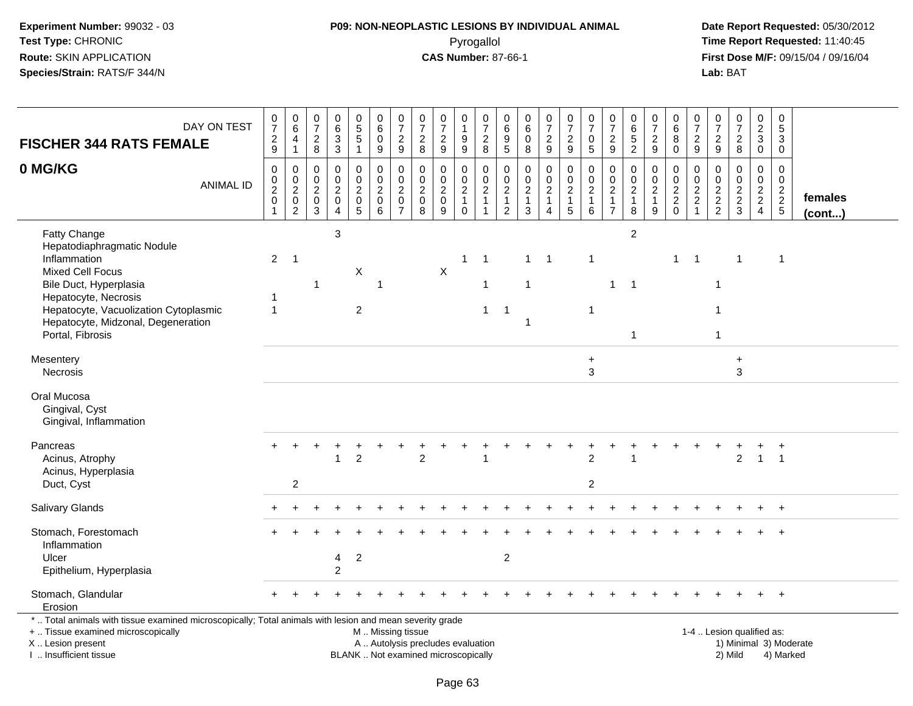# **P09: NON-NEOPLASTIC LESIONS BY INDIVIDUAL ANIMAL**Pyrogallol **Time Report Requested:** 11:40:45

| <b>FISCHER 344 RATS FEMALE</b>                                                                                                                                                                                         | DAY ON TEST      | $\frac{0}{7}$<br>$\frac{2}{9}$                            | $\begin{array}{c} 0 \\ 6 \end{array}$<br>4<br>$\mathbf{1}$ | $\frac{0}{7}$<br>$\sqrt{2}$<br>$\bf 8$                      | $\begin{array}{c} 0 \\ 6 \end{array}$<br>$\sqrt{3}$<br>$\sqrt{3}$ | $\begin{array}{c} 0 \\ 5 \\ 5 \end{array}$<br>$\mathbf{1}$                  | $\begin{array}{c} 0 \\ 6 \end{array}$<br>$\pmb{0}$<br>$\boldsymbol{9}$ | $\begin{array}{c} 0 \\ 7 \end{array}$<br>$\overline{c}$<br>9                  | $\frac{0}{7}$<br>$\overline{c}$<br>8                | $\begin{array}{c} 0 \\ 7 \end{array}$<br>$\sqrt{2}$<br>$\boldsymbol{9}$  | 0<br>$\overline{1}$<br>9<br>$\boldsymbol{9}$                    | $\begin{array}{c} 0 \\ 7 \end{array}$<br>$\overline{c}$<br>$\bf8$ | 0<br>$\,6$<br>$\boldsymbol{9}$<br>5                               | $\mathbf 0$<br>$\,6$<br>$\ddot{\mathbf{0}}$<br>$\bf 8$            | $\frac{0}{7}$<br>$\overline{c}$<br>9        | $\begin{smallmatrix}0\\7\end{smallmatrix}$<br>$\overline{a}$<br>9                 | $\frac{0}{7}$<br>$\mathbf 0$<br>$\sqrt{5}$                        | $\frac{0}{7}$<br>$\overline{\mathbf{c}}$<br>$\boldsymbol{9}$            | 0<br>$\,6\,$<br>5<br>$\sqrt{2}$                               | $\frac{0}{7}$<br>$\boldsymbol{2}$<br>9               | $\begin{array}{c} 0 \\ 6 \end{array}$<br>$\overline{8}$<br>$\mathbf 0$ | $\begin{array}{c} 0 \\ 7 \end{array}$<br>$\overline{c}$<br>9                                 | $\begin{smallmatrix}0\\7\end{smallmatrix}$<br>$\boldsymbol{2}$<br>$\boldsymbol{9}$ | $\begin{array}{c} 0 \\ 7 \end{array}$<br>$\boldsymbol{2}$<br>$\, 8$ | $\begin{smallmatrix} 0\\2\\3 \end{smallmatrix}$<br>$\mathbf 0$ | $\pmb{0}$<br>$\sqrt{5}$<br>3<br>$\mathbf 0$ |                   |
|------------------------------------------------------------------------------------------------------------------------------------------------------------------------------------------------------------------------|------------------|-----------------------------------------------------------|------------------------------------------------------------|-------------------------------------------------------------|-------------------------------------------------------------------|-----------------------------------------------------------------------------|------------------------------------------------------------------------|-------------------------------------------------------------------------------|-----------------------------------------------------|--------------------------------------------------------------------------|-----------------------------------------------------------------|-------------------------------------------------------------------|-------------------------------------------------------------------|-------------------------------------------------------------------|---------------------------------------------|-----------------------------------------------------------------------------------|-------------------------------------------------------------------|-------------------------------------------------------------------------|---------------------------------------------------------------|------------------------------------------------------|------------------------------------------------------------------------|----------------------------------------------------------------------------------------------|------------------------------------------------------------------------------------|---------------------------------------------------------------------|----------------------------------------------------------------|---------------------------------------------|-------------------|
| 0 MG/KG                                                                                                                                                                                                                | <b>ANIMAL ID</b> | $\pmb{0}$<br>$\pmb{0}$<br>$\frac{2}{0}$<br>$\overline{1}$ | $\mathbf 0$<br>$\frac{0}{2}$<br>$\overline{2}$             | $\mathbf 0$<br>0<br>$\sqrt{2}$<br>$\pmb{0}$<br>$\mathbf{3}$ | $\Omega$<br>$\mathbf 0$<br>$^2_{\rm 0}$<br>$\overline{4}$         | $\mathbf 0$<br>$\mathbf 0$<br>$\overline{a}$<br>$\pmb{0}$<br>$\overline{5}$ | $\Omega$<br>$\mathbf 0$<br>$\frac{2}{0}$<br>6                          | $\mathbf 0$<br>$\mathbf 0$<br>$\overline{2}$<br>$\mathbf 0$<br>$\overline{7}$ | $\Omega$<br>$\mathbf 0$<br>$\overline{c}$<br>0<br>8 | $\mathbf 0$<br>$\pmb{0}$<br>$\overline{2}$<br>$\pmb{0}$<br>$9\,$         | 0<br>$\pmb{0}$<br>$\overline{c}$<br>$\mathbf{1}$<br>$\mathbf 0$ | $\Omega$<br>$\mathbf 0$<br>$\frac{2}{1}$<br>$\overline{1}$        | $\Omega$<br>0<br>$\overline{c}$<br>$\mathbf{1}$<br>$\overline{c}$ | $\mathbf 0$<br>$\pmb{0}$<br>$\boldsymbol{2}$<br>$\mathbf{1}$<br>3 | $\pmb{0}$<br>$\frac{0}{2}$<br>1<br>$\Delta$ | $\mathbf 0$<br>$\overline{0}$<br>$\overline{a}$<br>$\mathbf{1}$<br>$\overline{5}$ | $\Omega$<br>$\begin{array}{c} 0 \\ 2 \\ 1 \end{array}$<br>$\,6\,$ | $\Omega$<br>$\mathbf 0$<br>$\sqrt{2}$<br>$\mathbf{1}$<br>$\overline{7}$ | $\Omega$<br>$\mathbf 0$<br>$\overline{2}$<br>$\mathbf 1$<br>8 | $\Omega$<br>0<br>$\overline{c}$<br>$\mathbf{1}$<br>9 | $\Omega$<br>$\mathbf 0$<br>$\frac{2}{2}$<br>0                          | $\mathbf 0$<br>$\mathsf{O}\xspace$<br>$\boldsymbol{2}$<br>$\boldsymbol{2}$<br>$\overline{1}$ | $\Omega$<br>0<br>$\frac{2}{2}$                                                     | $\Omega$<br>$\mathsf{O}\xspace$<br>$\frac{2}{3}$                    | $\Omega$<br>$\mathbf 0$<br>$\frac{2}{2}$                       | $\Omega$<br>$\mathbf 0$<br>$\frac{2}{2}$    | females<br>(cont) |
| Fatty Change<br>Hepatodiaphragmatic Nodule<br>Inflammation<br><b>Mixed Cell Focus</b><br>Bile Duct, Hyperplasia<br>Hepatocyte, Necrosis<br>Hepatocyte, Vacuolization Cytoplasmic<br>Hepatocyte, Midzonal, Degeneration |                  | $\overline{2}$<br>-1<br>$\overline{1}$                    | $\overline{1}$                                             | -1                                                          | $\mathbf{3}$                                                      | X<br>$\overline{2}$                                                         | $\overline{\mathbf{1}}$                                                |                                                                               |                                                     | X                                                                        | $\mathbf{1}$                                                    | $\overline{1}$<br>1<br>$\mathbf{1}$                               | $\overline{1}$                                                    | $\mathbf{1}$<br>$\mathbf{1}$<br>-1                                | $\overline{1}$                              |                                                                                   | $\mathbf 1$<br>$\overline{1}$                                     | $\mathbf{1}$                                                            | $\overline{c}$<br>$\overline{1}$                              |                                                      | $\mathbf 1$                                                            | $\overline{1}$                                                                               | 1                                                                                  | $\mathbf 1$                                                         |                                                                | $\mathbf{1}$                                |                   |
| Portal, Fibrosis<br>Mesentery<br>Necrosis                                                                                                                                                                              |                  |                                                           |                                                            |                                                             |                                                                   |                                                                             |                                                                        |                                                                               |                                                     |                                                                          |                                                                 |                                                                   |                                                                   |                                                                   |                                             |                                                                                   | $\ddot{}$<br>$\mathbf{3}$                                         |                                                                         | $\overline{1}$                                                |                                                      |                                                                        |                                                                                              | $\mathbf{1}$                                                                       | $\ddot{}$<br>$\sqrt{3}$                                             |                                                                |                                             |                   |
| Oral Mucosa<br>Gingival, Cyst<br>Gingival, Inflammation                                                                                                                                                                |                  |                                                           |                                                            |                                                             |                                                                   |                                                                             |                                                                        |                                                                               |                                                     |                                                                          |                                                                 |                                                                   |                                                                   |                                                                   |                                             |                                                                                   |                                                                   |                                                                         |                                                               |                                                      |                                                                        |                                                                                              |                                                                                    |                                                                     |                                                                |                                             |                   |
| Pancreas<br>Acinus, Atrophy<br>Acinus, Hyperplasia<br>Duct, Cyst                                                                                                                                                       |                  |                                                           | $\overline{2}$                                             |                                                             | 1                                                                 | $\overline{c}$                                                              |                                                                        |                                                                               | $\overline{2}$                                      |                                                                          |                                                                 |                                                                   |                                                                   |                                                                   |                                             |                                                                                   | $\overline{c}$<br>$\overline{c}$                                  |                                                                         |                                                               |                                                      |                                                                        |                                                                                              |                                                                                    | $\overline{c}$                                                      | $\mathbf{1}$                                                   | $\overline{1}$                              |                   |
| Salivary Glands                                                                                                                                                                                                        |                  |                                                           |                                                            |                                                             |                                                                   |                                                                             |                                                                        |                                                                               |                                                     |                                                                          |                                                                 |                                                                   |                                                                   |                                                                   |                                             |                                                                                   |                                                                   |                                                                         |                                                               |                                                      |                                                                        |                                                                                              |                                                                                    |                                                                     |                                                                |                                             |                   |
| Stomach, Forestomach<br>Inflammation<br>Ulcer<br>Epithelium, Hyperplasia                                                                                                                                               |                  |                                                           |                                                            |                                                             | 4<br>$\overline{2}$                                               | $\overline{2}$                                                              |                                                                        |                                                                               |                                                     |                                                                          |                                                                 |                                                                   | $\overline{c}$                                                    |                                                                   |                                             |                                                                                   |                                                                   |                                                                         |                                                               |                                                      |                                                                        |                                                                                              |                                                                                    |                                                                     |                                                                |                                             |                   |
| Stomach, Glandular<br>Erosion                                                                                                                                                                                          |                  |                                                           |                                                            |                                                             |                                                                   |                                                                             |                                                                        |                                                                               |                                                     |                                                                          |                                                                 |                                                                   |                                                                   |                                                                   |                                             |                                                                                   |                                                                   |                                                                         |                                                               |                                                      |                                                                        |                                                                                              |                                                                                    |                                                                     |                                                                | $\ddot{}$                                   |                   |
| *  Total animals with tissue examined microscopically; Total animals with lesion and mean severity grade<br>+  Tissue examined microscopically<br>X  Lesion present<br>I. Insufficient tissue                          |                  |                                                           |                                                            |                                                             |                                                                   |                                                                             | M  Missing tissue                                                      |                                                                               |                                                     | A  Autolysis precludes evaluation<br>BLANK  Not examined microscopically |                                                                 |                                                                   |                                                                   |                                                                   |                                             |                                                                                   |                                                                   |                                                                         |                                                               |                                                      |                                                                        |                                                                                              |                                                                                    | 1-4  Lesion qualified as:<br>2) Mild                                |                                                                | 1) Minimal 3) Moderate<br>4) Marked         |                   |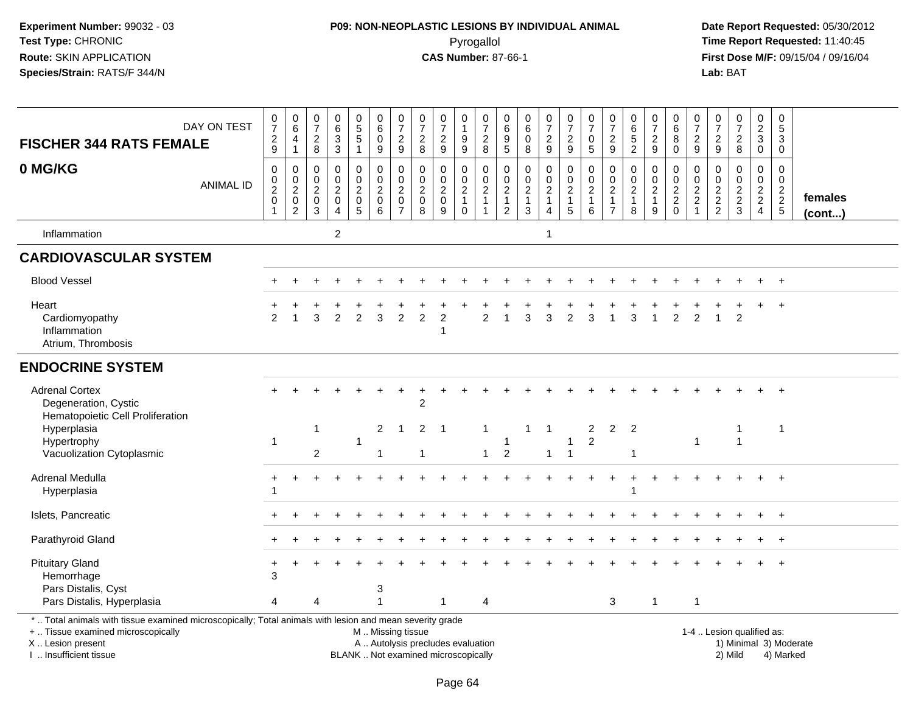# **P09: NON-NEOPLASTIC LESIONS BY INDIVIDUAL ANIMAL**Pyrogallol **Time Report Requested:** 11:40:45

| <b>FISCHER 344 RATS FEMALE</b>                                                                                                                                                                | DAY ON TEST      | $\begin{matrix}0\\7\end{matrix}$<br>$\frac{2}{9}$         | $_{6}^{\rm 0}$<br>4<br>$\mathbf{1}$                                 | 0<br>$\overline{7}$<br>$_{\rm 8}^2$                                         | $\begin{array}{c} 0 \\ 6 \\ 3 \end{array}$                                          | $\begin{array}{c} 0 \\ 5 \end{array}$<br>$\overline{5}$<br>$\mathbf{1}$ | $\begin{array}{c} 0 \\ 6 \end{array}$<br>$\mathbf 0$<br>$9\,$        | $\frac{0}{7}$<br>$\sqrt{2}$<br>9                                    | $\frac{0}{7}$<br>$\sqrt{2}$<br>8                               | $\frac{0}{7}$<br>$\sqrt{2}$<br>$\mathsf g$                               | 0<br>$\boldsymbol{9}$<br>9                                        | $\begin{array}{c} 0 \\ 7 \end{array}$<br>$\frac{2}{8}$ | $\mathbf 0$<br>$\,6\,$<br>$\boldsymbol{9}$<br>$\sqrt{5}$          | 0<br>$\,6\,$<br>$\pmb{0}$<br>8                                                          | $\frac{0}{7}$<br>$\frac{2}{9}$                                       | $\begin{smallmatrix}0\\7\end{smallmatrix}$<br>$\overline{2}$<br>$9\,$   | $\begin{array}{c} 0 \\ 7 \end{array}$<br>$\pmb{0}$<br>$\sqrt{5}$ | $\frac{0}{7}$<br>$\frac{2}{9}$                                | 0<br>$\overline{6}$<br>$\overline{5}$<br>$\overline{2}$ | $\begin{array}{c} 0 \\ 7 \end{array}$<br>$\frac{2}{9}$          | 0<br>6<br>8<br>$\mathbf 0$                                                | $\frac{0}{7}$<br>$\frac{2}{9}$                                                                | $\frac{0}{7}$<br>$\frac{2}{9}$    | $\frac{0}{7}$<br>$\frac{2}{8}$              | $\begin{smallmatrix} 0\\2\\3 \end{smallmatrix}$<br>$\pmb{0}$ | $\pmb{0}$<br>$\sqrt{5}$<br>$\sqrt{3}$<br>$\mathbf 0$           |                         |
|-----------------------------------------------------------------------------------------------------------------------------------------------------------------------------------------------|------------------|-----------------------------------------------------------|---------------------------------------------------------------------|-----------------------------------------------------------------------------|-------------------------------------------------------------------------------------|-------------------------------------------------------------------------|----------------------------------------------------------------------|---------------------------------------------------------------------|----------------------------------------------------------------|--------------------------------------------------------------------------|-------------------------------------------------------------------|--------------------------------------------------------|-------------------------------------------------------------------|-----------------------------------------------------------------------------------------|----------------------------------------------------------------------|-------------------------------------------------------------------------|------------------------------------------------------------------|---------------------------------------------------------------|---------------------------------------------------------|-----------------------------------------------------------------|---------------------------------------------------------------------------|-----------------------------------------------------------------------------------------------|-----------------------------------|---------------------------------------------|--------------------------------------------------------------|----------------------------------------------------------------|-------------------------|
| 0 MG/KG                                                                                                                                                                                       | <b>ANIMAL ID</b> | $\pmb{0}$<br>$\frac{0}{2}$<br>$\mathbf 0$<br>$\mathbf{1}$ | $\mathsf{O}\xspace$<br>$\frac{0}{2}$<br>$\pmb{0}$<br>$\overline{2}$ | $\mathbf 0$<br>$\mathsf 0$<br>$\overline{2}$<br>$\mathsf 0$<br>$\mathbf{3}$ | $\mathbf 0$<br>$\mathsf{O}\xspace$<br>$\overline{2}$<br>$\pmb{0}$<br>$\overline{4}$ | 0<br>$\mathbf 0$<br>$\overline{c}$<br>$\mathbf 0$<br>$5\phantom{.0}$    | $\mathbf 0$<br>$\mathbf 0$<br>$\overline{2}$<br>$\pmb{0}$<br>$\,6\,$ | 0<br>$\mathbf 0$<br>$\overline{2}$<br>$\mathbf 0$<br>$\overline{7}$ | $\mathbf 0$<br>$\pmb{0}$<br>$\overline{2}$<br>$\mathbf 0$<br>8 | $\mathbf 0$<br>$\pmb{0}$<br>$\overline{2}$<br>$\pmb{0}$<br>9             | 0<br>$\mathbf 0$<br>$\overline{2}$<br>$\mathbf{1}$<br>$\mathbf 0$ | $\mathbf 0$<br>$\frac{0}{2}$<br>1<br>$\overline{1}$    | $\mathbf 0$<br>$\pmb{0}$<br>$\boldsymbol{2}$<br>$\mathbf{1}$<br>2 | $\mathbf 0$<br>$\mathbf 0$<br>$\overline{2}$<br>$\overline{\mathbf{1}}$<br>$\mathbf{3}$ | 0<br>$\mathbf 0$<br>$\overline{2}$<br>$\mathbf{1}$<br>$\overline{4}$ | $\pmb{0}$<br>$\mathsf{O}\xspace$<br>$\overline{2}$<br>$\mathbf{1}$<br>5 | $\mathbf 0$<br>$\frac{0}{2}$<br>$\mathbf{1}$<br>$\,6\,$          | $\mathbf 0$<br>$\mathbf 0$<br>$\overline{2}$<br>$\frac{1}{7}$ | $\mathbf 0$<br>$\mathbf 0$<br>$\frac{2}{1}$<br>8        | 0<br>$\mathsf{O}\xspace$<br>$\overline{2}$<br>$\mathbf{1}$<br>9 | $\mathbf 0$<br>$\mathbf 0$<br>$\overline{2}$<br>$\sqrt{2}$<br>$\mathbf 0$ | $\mathbf 0$<br>$\begin{smallmatrix} 0\\2 \end{smallmatrix}$<br>$\overline{a}$<br>$\mathbf{1}$ | 0<br>$\mathbf 0$<br>$\frac{2}{2}$ | $\mathbf 0$<br>$\mathbf 0$<br>$\frac{2}{3}$ | 0<br>$\mathbf 0$<br>$\frac{2}{2}$<br>$\overline{4}$          | $\mathbf 0$<br>$\mathbf 0$<br>$\frac{2}{2}$<br>$5\phantom{.0}$ | females<br>$($ cont $)$ |
| Inflammation                                                                                                                                                                                  |                  |                                                           |                                                                     |                                                                             | $\overline{2}$                                                                      |                                                                         |                                                                      |                                                                     |                                                                |                                                                          |                                                                   |                                                        |                                                                   |                                                                                         | $\mathbf{1}$                                                         |                                                                         |                                                                  |                                                               |                                                         |                                                                 |                                                                           |                                                                                               |                                   |                                             |                                                              |                                                                |                         |
| <b>CARDIOVASCULAR SYSTEM</b>                                                                                                                                                                  |                  |                                                           |                                                                     |                                                                             |                                                                                     |                                                                         |                                                                      |                                                                     |                                                                |                                                                          |                                                                   |                                                        |                                                                   |                                                                                         |                                                                      |                                                                         |                                                                  |                                                               |                                                         |                                                                 |                                                                           |                                                                                               |                                   |                                             |                                                              |                                                                |                         |
| <b>Blood Vessel</b>                                                                                                                                                                           |                  |                                                           |                                                                     |                                                                             |                                                                                     |                                                                         |                                                                      |                                                                     |                                                                |                                                                          |                                                                   |                                                        |                                                                   |                                                                                         |                                                                      |                                                                         |                                                                  |                                                               |                                                         |                                                                 |                                                                           |                                                                                               |                                   |                                             |                                                              | $+$                                                            |                         |
| Heart<br>Cardiomyopathy<br>Inflammation<br>Atrium, Thrombosis                                                                                                                                 |                  | $\mathcal{P}$                                             | $\overline{1}$                                                      | 3                                                                           | $\overline{2}$                                                                      | $\overline{2}$                                                          | 3                                                                    | $\overline{2}$                                                      | 2                                                              | $\overline{2}$<br>-1                                                     |                                                                   | 2                                                      |                                                                   | 3                                                                                       | 3                                                                    | $\overline{2}$                                                          | 3                                                                |                                                               | 3                                                       | $\mathbf{1}$                                                    | $\overline{2}$                                                            | $\mathcal{P}$                                                                                 | $\mathbf{1}$                      | $\overline{2}$                              |                                                              | $\overline{+}$                                                 |                         |
| <b>ENDOCRINE SYSTEM</b>                                                                                                                                                                       |                  |                                                           |                                                                     |                                                                             |                                                                                     |                                                                         |                                                                      |                                                                     |                                                                |                                                                          |                                                                   |                                                        |                                                                   |                                                                                         |                                                                      |                                                                         |                                                                  |                                                               |                                                         |                                                                 |                                                                           |                                                                                               |                                   |                                             |                                                              |                                                                |                         |
| <b>Adrenal Cortex</b><br>Degeneration, Cystic<br>Hematopoietic Cell Proliferation                                                                                                             |                  |                                                           |                                                                     |                                                                             |                                                                                     |                                                                         |                                                                      |                                                                     | $\overline{2}$                                                 |                                                                          |                                                                   |                                                        |                                                                   |                                                                                         |                                                                      |                                                                         |                                                                  |                                                               |                                                         |                                                                 |                                                                           |                                                                                               |                                   |                                             |                                                              | $\ddot{}$                                                      |                         |
| Hyperplasia<br>Hypertrophy<br>Vacuolization Cytoplasmic                                                                                                                                       |                  | -1                                                        |                                                                     | 1<br>$\overline{c}$                                                         |                                                                                     | $\overline{\mathbf{1}}$                                                 | $\overline{2}$<br>1                                                  | 1                                                                   | $\mathbf{2}^{\circ}$                                           | - 1                                                                      |                                                                   | -1<br>-1                                               | 1<br>$\overline{c}$                                               | 1                                                                                       | $\mathbf 1$<br>1                                                     | 1<br>$\overline{1}$                                                     | $\overline{2}$<br>$\overline{2}$                                 | $2^{\circ}$                                                   | $\overline{2}$<br>-1                                    |                                                                 |                                                                           | $\mathbf{1}$                                                                                  |                                   | $\overline{1}$                              |                                                              | -1                                                             |                         |
| Adrenal Medulla<br>Hyperplasia                                                                                                                                                                |                  |                                                           |                                                                     |                                                                             |                                                                                     |                                                                         |                                                                      |                                                                     |                                                                |                                                                          |                                                                   |                                                        |                                                                   |                                                                                         |                                                                      |                                                                         |                                                                  |                                                               | 1                                                       |                                                                 |                                                                           |                                                                                               |                                   |                                             |                                                              |                                                                |                         |
| Islets, Pancreatic                                                                                                                                                                            |                  |                                                           |                                                                     |                                                                             |                                                                                     |                                                                         |                                                                      |                                                                     |                                                                |                                                                          |                                                                   |                                                        |                                                                   |                                                                                         |                                                                      |                                                                         |                                                                  |                                                               |                                                         |                                                                 |                                                                           |                                                                                               |                                   |                                             |                                                              |                                                                |                         |
| Parathyroid Gland                                                                                                                                                                             |                  |                                                           |                                                                     |                                                                             |                                                                                     |                                                                         |                                                                      |                                                                     |                                                                |                                                                          |                                                                   |                                                        |                                                                   |                                                                                         |                                                                      |                                                                         |                                                                  |                                                               |                                                         |                                                                 |                                                                           |                                                                                               |                                   |                                             |                                                              | $\overline{+}$                                                 |                         |
| <b>Pituitary Gland</b><br>Hemorrhage<br>Pars Distalis, Cyst<br>Pars Distalis, Hyperplasia                                                                                                     |                  | 3                                                         |                                                                     | Λ                                                                           |                                                                                     |                                                                         | 3                                                                    |                                                                     |                                                                | $\overline{1}$                                                           |                                                                   | 4                                                      |                                                                   |                                                                                         |                                                                      |                                                                         |                                                                  | 3                                                             |                                                         | $\mathbf{1}$                                                    |                                                                           | $\mathbf{1}$                                                                                  |                                   |                                             |                                                              |                                                                |                         |
| *  Total animals with tissue examined microscopically; Total animals with lesion and mean severity grade<br>+  Tissue examined microscopically<br>X  Lesion present<br>I. Insufficient tissue |                  |                                                           |                                                                     |                                                                             |                                                                                     |                                                                         | M  Missing tissue                                                    |                                                                     |                                                                | A  Autolysis precludes evaluation<br>BLANK  Not examined microscopically |                                                                   |                                                        |                                                                   |                                                                                         |                                                                      |                                                                         |                                                                  |                                                               |                                                         |                                                                 |                                                                           |                                                                                               |                                   | 1-4  Lesion qualified as:<br>2) Mild        |                                                              | 1) Minimal 3) Moderate<br>4) Marked                            |                         |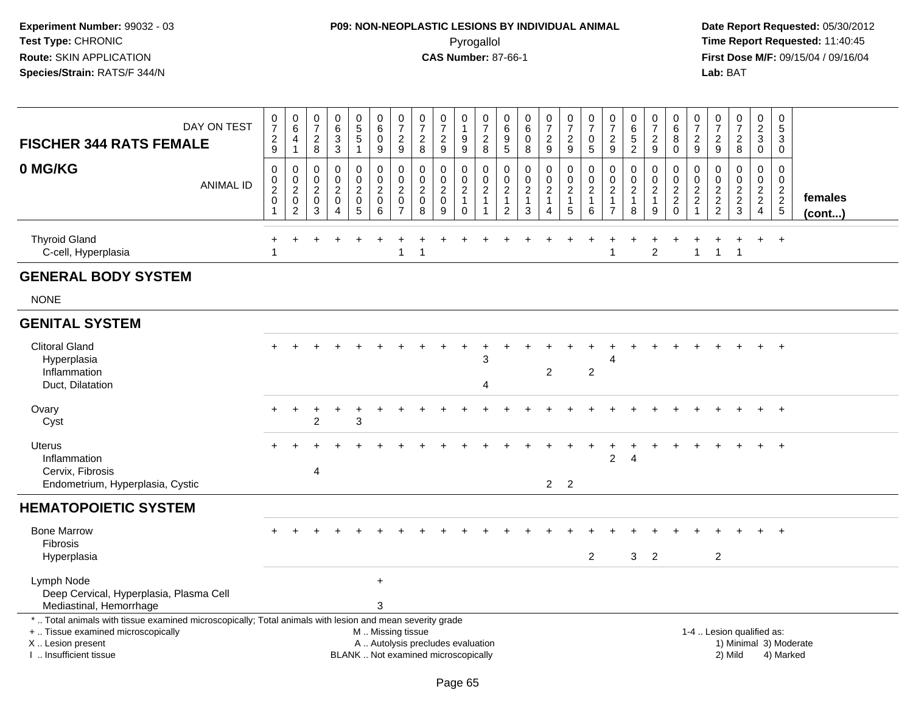# **P09: NON-NEOPLASTIC LESIONS BY INDIVIDUAL ANIMAL**Pyrogallol **Time Report Requested:** 11:40:45

| DAY ON TEST<br><b>FISCHER 344 RATS FEMALE</b>                                                                                                                                                 |   | $\frac{0}{7}$<br>$\frac{2}{9}$                                    | $\pmb{0}$<br>$6\phantom{a}$<br>4<br>$\mathbf{1}$          | $\boldsymbol{0}$<br>$\boldsymbol{7}$<br>$_{\rm 8}^2$             | 0<br>$\,6$<br>$\sqrt{3}$<br>3                               | $\pmb{0}$<br>$\frac{5}{5}$<br>$\mathbf{1}$                      | $\pmb{0}$<br>$\,6\,$<br>$\mathbf 0$<br>9     | 0<br>$\overline{7}$<br>$\overline{\mathbf{c}}$<br>9       | $\pmb{0}$<br>$\overline{7}$<br>$\overline{2}$<br>8 | $\begin{array}{c} 0 \\ 7 \end{array}$<br>$\overline{2}$<br>9             | $\pmb{0}$<br>$\mathbf{1}$<br>9<br>9                                 | $\pmb{0}$<br>$\overline{7}$<br>$\sqrt{2}$<br>8                      | $\mathbf 0$<br>6<br>9<br>5                                                     | 0<br>6<br>$\mathbf 0$<br>8                                        | $\pmb{0}$<br>$\overline{7}$<br>$\overline{2}$<br>9                 | $\pmb{0}$<br>$\overline{7}$<br>$\overline{c}$<br>9 | $\pmb{0}$<br>$\overline{7}$<br>$\mathbf 0$<br>5                   | $\pmb{0}$<br>$\overline{7}$<br>$\overline{c}$<br>9                         | $\pmb{0}$<br>$\,6\,$<br>$\overline{5}$<br>$\overline{2}$          | $\pmb{0}$<br>$\overline{7}$<br>$\sqrt{2}$<br>9      | $\mathbf 0$<br>$\,6\,$<br>8<br>$\mathbf 0$                                    | 0<br>$\overline{7}$<br>$\overline{c}$<br>9                 | 0<br>$\overline{7}$<br>$\overline{c}$<br>9 | $\frac{0}{7}$<br>$\overline{2}$<br>8            | $\pmb{0}$<br>$\overline{2}$<br>3<br>0                        | $\pmb{0}$<br>$\sqrt{5}$<br>3<br>0           |                   |
|-----------------------------------------------------------------------------------------------------------------------------------------------------------------------------------------------|---|-------------------------------------------------------------------|-----------------------------------------------------------|------------------------------------------------------------------|-------------------------------------------------------------|-----------------------------------------------------------------|----------------------------------------------|-----------------------------------------------------------|----------------------------------------------------|--------------------------------------------------------------------------|---------------------------------------------------------------------|---------------------------------------------------------------------|--------------------------------------------------------------------------------|-------------------------------------------------------------------|--------------------------------------------------------------------|----------------------------------------------------|-------------------------------------------------------------------|----------------------------------------------------------------------------|-------------------------------------------------------------------|-----------------------------------------------------|-------------------------------------------------------------------------------|------------------------------------------------------------|--------------------------------------------|-------------------------------------------------|--------------------------------------------------------------|---------------------------------------------|-------------------|
| 0 MG/KG<br><b>ANIMAL ID</b>                                                                                                                                                                   | 1 | $\mathbf 0$<br>$\pmb{0}$<br>$\overline{2}$<br>$\mathsf{O}\xspace$ | 0<br>0<br>$\overline{2}$<br>$\mathsf 0$<br>$\overline{2}$ | $\mathbf 0$<br>$\mathbf 0$<br>$\overline{c}$<br>$\mathbf 0$<br>3 | $\pmb{0}$<br>$\mathbf 0$<br>$\overline{c}$<br>$\Omega$<br>Δ | 0<br>$\mathbf 0$<br>$\overline{2}$<br>$\mathbf 0$<br>$\sqrt{5}$ | 0<br>0<br>$\overline{2}$<br>$\mathbf 0$<br>6 | 0<br>$\mathbf 0$<br>$\overline{c}$<br>0<br>$\overline{7}$ | 0<br>0<br>$\overline{c}$<br>$\mathbf 0$<br>8       | $\mathbf 0$<br>$\mathbf 0$<br>$\overline{2}$<br>$\mathsf{O}\xspace$<br>9 | 0<br>$\mathbf 0$<br>$\overline{2}$<br>$\overline{1}$<br>$\mathbf 0$ | $\mathbf 0$<br>$\mathbf 0$<br>$\boldsymbol{2}$<br>$\mathbf{1}$<br>1 | $\mathbf 0$<br>$\mathbf 0$<br>$\overline{c}$<br>$\mathbf{1}$<br>$\overline{2}$ | $\mathbf 0$<br>$\mathbf 0$<br>$\overline{c}$<br>$\mathbf{1}$<br>3 | 0<br>0<br>$\overline{2}$<br>$\mathbf{1}$<br>$\boldsymbol{\Lambda}$ | 0<br>0<br>$\overline{2}$<br>$\mathbf{1}$<br>5      | $\mathbf 0$<br>$\mathbf 0$<br>$\overline{2}$<br>$\mathbf{1}$<br>6 | $\mathbf 0$<br>$\mathbf 0$<br>$\sqrt{2}$<br>$\mathbf{1}$<br>$\overline{7}$ | $\mathbf 0$<br>$\mathbf 0$<br>$\overline{2}$<br>$\mathbf{1}$<br>8 | 0<br>$\mathbf 0$<br>$\sqrt{2}$<br>$\mathbf{1}$<br>9 | $\mathbf 0$<br>$\mathbf 0$<br>$\overline{2}$<br>$\overline{2}$<br>$\mathbf 0$ | 0<br>0<br>$\overline{c}$<br>$\overline{c}$<br>$\mathbf{1}$ | 0<br>0<br>$\sqrt{2}$<br>$\frac{2}{2}$      | 0<br>0<br>$\overline{2}$<br>$\overline{a}$<br>3 | 0<br>0<br>$\overline{2}$<br>$\overline{a}$<br>$\overline{4}$ | $\mathbf 0$<br>$\mathbf 0$<br>$\frac{2}{2}$ | females<br>(cont) |
| <b>Thyroid Gland</b><br>C-cell, Hyperplasia                                                                                                                                                   |   |                                                                   |                                                           |                                                                  |                                                             |                                                                 |                                              | $\mathbf{1}$                                              |                                                    |                                                                          |                                                                     |                                                                     |                                                                                |                                                                   |                                                                    |                                                    |                                                                   |                                                                            |                                                                   | $\overline{2}$                                      |                                                                               | $\mathbf{1}$                                               | $\mathbf{1}$                               | $\mathbf{1}$                                    | $+$                                                          | $+$                                         |                   |
| <b>GENERAL BODY SYSTEM</b>                                                                                                                                                                    |   |                                                                   |                                                           |                                                                  |                                                             |                                                                 |                                              |                                                           |                                                    |                                                                          |                                                                     |                                                                     |                                                                                |                                                                   |                                                                    |                                                    |                                                                   |                                                                            |                                                                   |                                                     |                                                                               |                                                            |                                            |                                                 |                                                              |                                             |                   |
| <b>NONE</b>                                                                                                                                                                                   |   |                                                                   |                                                           |                                                                  |                                                             |                                                                 |                                              |                                                           |                                                    |                                                                          |                                                                     |                                                                     |                                                                                |                                                                   |                                                                    |                                                    |                                                                   |                                                                            |                                                                   |                                                     |                                                                               |                                                            |                                            |                                                 |                                                              |                                             |                   |
| <b>GENITAL SYSTEM</b>                                                                                                                                                                         |   |                                                                   |                                                           |                                                                  |                                                             |                                                                 |                                              |                                                           |                                                    |                                                                          |                                                                     |                                                                     |                                                                                |                                                                   |                                                                    |                                                    |                                                                   |                                                                            |                                                                   |                                                     |                                                                               |                                                            |                                            |                                                 |                                                              |                                             |                   |
| <b>Clitoral Gland</b><br>Hyperplasia<br>Inflammation<br>Duct, Dilatation                                                                                                                      |   |                                                                   |                                                           |                                                                  |                                                             |                                                                 |                                              |                                                           |                                                    |                                                                          |                                                                     | 3<br>Δ                                                              |                                                                                |                                                                   | $\overline{c}$                                                     |                                                    | $\overline{2}$                                                    |                                                                            |                                                                   |                                                     |                                                                               |                                                            |                                            |                                                 |                                                              |                                             |                   |
| Ovary<br>Cyst                                                                                                                                                                                 |   |                                                                   |                                                           | $\overline{c}$                                                   |                                                             | 3                                                               |                                              |                                                           |                                                    |                                                                          |                                                                     |                                                                     |                                                                                |                                                                   |                                                                    |                                                    |                                                                   |                                                                            |                                                                   |                                                     |                                                                               |                                                            |                                            |                                                 |                                                              | $\overline{+}$                              |                   |
| <b>Uterus</b><br>Inflammation<br>Cervix, Fibrosis<br>Endometrium, Hyperplasia, Cystic                                                                                                         |   |                                                                   |                                                           | 4                                                                |                                                             |                                                                 |                                              |                                                           |                                                    |                                                                          |                                                                     |                                                                     |                                                                                |                                                                   |                                                                    | $2 \quad 2$                                        |                                                                   | 2                                                                          | Δ                                                                 |                                                     |                                                                               |                                                            |                                            |                                                 |                                                              | $\overline{+}$                              |                   |
| <b>HEMATOPOIETIC SYSTEM</b>                                                                                                                                                                   |   |                                                                   |                                                           |                                                                  |                                                             |                                                                 |                                              |                                                           |                                                    |                                                                          |                                                                     |                                                                     |                                                                                |                                                                   |                                                                    |                                                    |                                                                   |                                                                            |                                                                   |                                                     |                                                                               |                                                            |                                            |                                                 |                                                              |                                             |                   |
| <b>Bone Marrow</b><br><b>Fibrosis</b><br>Hyperplasia                                                                                                                                          |   |                                                                   |                                                           |                                                                  |                                                             |                                                                 |                                              |                                                           |                                                    |                                                                          |                                                                     |                                                                     |                                                                                |                                                                   |                                                                    |                                                    | $\overline{2}$                                                    |                                                                            | 3                                                                 | $\overline{2}$                                      |                                                                               |                                                            | $\overline{2}$                             |                                                 | $\ddot{}$                                                    | $+$                                         |                   |
| Lymph Node<br>Deep Cervical, Hyperplasia, Plasma Cell<br>Mediastinal, Hemorrhage                                                                                                              |   |                                                                   |                                                           |                                                                  |                                                             |                                                                 | $\ddot{}$<br>3                               |                                                           |                                                    |                                                                          |                                                                     |                                                                     |                                                                                |                                                                   |                                                                    |                                                    |                                                                   |                                                                            |                                                                   |                                                     |                                                                               |                                                            |                                            |                                                 |                                                              |                                             |                   |
| *  Total animals with tissue examined microscopically; Total animals with lesion and mean severity grade<br>+  Tissue examined microscopically<br>X  Lesion present<br>I. Insufficient tissue |   |                                                                   |                                                           |                                                                  |                                                             |                                                                 | M  Missing tissue                            |                                                           |                                                    | A  Autolysis precludes evaluation<br>BLANK  Not examined microscopically |                                                                     |                                                                     |                                                                                |                                                                   |                                                                    |                                                    |                                                                   |                                                                            |                                                                   |                                                     |                                                                               |                                                            |                                            | 1-4  Lesion qualified as:<br>2) Mild            |                                                              | 1) Minimal 3) Moderate<br>4) Marked         |                   |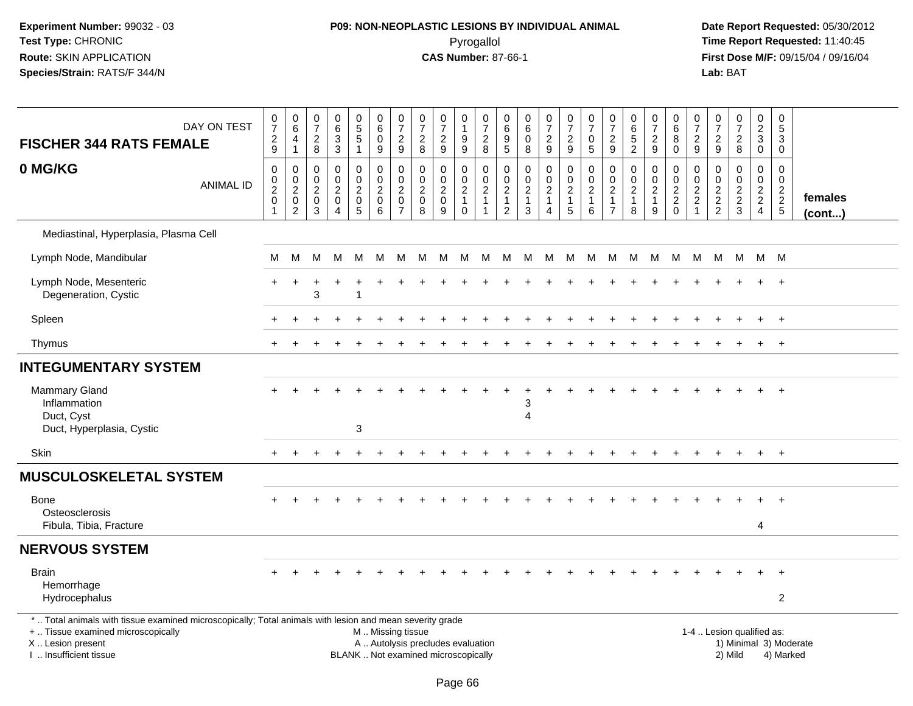# **P09: NON-NEOPLASTIC LESIONS BY INDIVIDUAL ANIMAL**Pyrogallol **Time Report Requested:** 11:40:45

| <b>FISCHER 344 RATS FEMALE</b>                                                                                                                                                                | DAY ON TEST      | $\begin{array}{c} 0 \\ 7 \end{array}$<br>$\frac{2}{9}$ | $_{6}^{\rm 0}$<br>$\overline{\mathbf{4}}$<br>$\mathbf{1}$          | $\frac{0}{7}$<br>$\sqrt{2}$<br>$\bf 8$                                | $\begin{array}{c} 0 \\ 6 \end{array}$<br>$\mathbf{3}$<br>$\mathbf{3}$                   | $\begin{array}{c} 0 \\ 5 \\ 5 \end{array}$<br>$\mathbf{1}$   | 0<br>6<br>$\mathbf 0$<br>9                                  | $\begin{array}{c} 0 \\ 7 \\ 2 \end{array}$<br>9                           | $\begin{array}{c} 0 \\ 7 \end{array}$<br>$\overline{2}$<br>8   | $\begin{array}{c} 0 \\ 7 \end{array}$<br>$\overline{c}$<br>$\mathsf g$   | $\pmb{0}$<br>$\mathbf{1}$<br>$\boldsymbol{9}$<br>$\mathsf g$            | $\begin{array}{c} 0 \\ 7 \end{array}$<br>$\overline{c}$<br>8                          | $\mathbf 0$<br>$\,6\,$<br>$\boldsymbol{9}$<br>$\overline{5}$               | $\pmb{0}$<br>$\,6\,$<br>$\Omega$<br>8                           | $\frac{0}{7}$<br>$\overline{a}$<br>9                              | $\begin{array}{c} 0 \\ 7 \end{array}$<br>$\overline{2}$<br>9   | $\frac{0}{7}$<br>$\pmb{0}$<br>$\overline{5}$           | $\frac{0}{7}$<br>$\frac{2}{9}$                                               | $\pmb{0}$<br>$6\phantom{a}$<br>$\overline{5}$<br>$\overline{2}$ | $\frac{0}{7}$<br>$\boldsymbol{2}$<br>$9\,$                        | 0<br>$6\overline{6}$<br>8<br>$\mathbf 0$                       | 0<br>$\overline{7}$<br>$\overline{a}$<br>9                                     | $\frac{0}{7}$<br>$\frac{2}{9}$                      | $\begin{smallmatrix}0\\7\end{smallmatrix}$<br>$\frac{2}{8}$ | $\begin{smallmatrix} 0\\2\\3 \end{smallmatrix}$<br>$\mathbf 0$ | $\pmb{0}$<br>$\overline{5}$<br>$\sqrt{3}$<br>$\mathbf 0$    |                        |
|-----------------------------------------------------------------------------------------------------------------------------------------------------------------------------------------------|------------------|--------------------------------------------------------|--------------------------------------------------------------------|-----------------------------------------------------------------------|-----------------------------------------------------------------------------------------|--------------------------------------------------------------|-------------------------------------------------------------|---------------------------------------------------------------------------|----------------------------------------------------------------|--------------------------------------------------------------------------|-------------------------------------------------------------------------|---------------------------------------------------------------------------------------|----------------------------------------------------------------------------|-----------------------------------------------------------------|-------------------------------------------------------------------|----------------------------------------------------------------|--------------------------------------------------------|------------------------------------------------------------------------------|-----------------------------------------------------------------|-------------------------------------------------------------------|----------------------------------------------------------------|--------------------------------------------------------------------------------|-----------------------------------------------------|-------------------------------------------------------------|----------------------------------------------------------------|-------------------------------------------------------------|------------------------|
| 0 MG/KG                                                                                                                                                                                       | <b>ANIMAL ID</b> | $\mathbf 0$<br>$\frac{0}{2}$<br>$\mathsf 0$<br>1       | $\mathbf 0$<br>$^{\rm 0}_{\rm 2}$<br>$\mathbf 0$<br>$\overline{2}$ | $\Omega$<br>$\mathbf 0$<br>$\overline{2}$<br>$\mathsf{O}\xspace$<br>3 | $\Omega$<br>$\mathbf 0$<br>$\overline{2}$<br>$\boldsymbol{0}$<br>$\boldsymbol{\Lambda}$ | $\mathbf 0$<br>$\mathbf 0$<br>$\sqrt{2}$<br>$\mathbf 0$<br>5 | $\Omega$<br>$\mathbf 0$<br>$\overline{2}$<br>$\pmb{0}$<br>6 | $\mathbf 0$<br>$\pmb{0}$<br>$\overline{2}$<br>$\pmb{0}$<br>$\overline{7}$ | $\mathbf 0$<br>$\mathbf 0$<br>$\overline{2}$<br>$\pmb{0}$<br>8 | $\mathbf 0$<br>$\mathsf{O}\xspace$<br>$\boldsymbol{2}$<br>$\pmb{0}$<br>9 | $\mathbf 0$<br>$\mathbf 0$<br>$\sqrt{2}$<br>$\mathbf{1}$<br>$\mathbf 0$ | $\Omega$<br>$\mathsf{O}\xspace$<br>$\overline{2}$<br>$\overline{1}$<br>$\overline{1}$ | $\mathbf 0$<br>$\mathbf 0$<br>$\sqrt{2}$<br>$\mathbf{1}$<br>$\overline{2}$ | $\mathbf 0$<br>$\pmb{0}$<br>$\overline{2}$<br>$\mathbf{1}$<br>3 | $\mathbf 0$<br>$\mathbf 0$<br>$\overline{2}$<br>$\mathbf{1}$<br>4 | $\mathbf 0$<br>$\frac{0}{2}$<br>$\mathbf{1}$<br>$\overline{5}$ | $\mathbf 0$<br>$^{\rm 0}_{\rm 2}$<br>$\mathbf{1}$<br>6 | $\mathbf 0$<br>$\pmb{0}$<br>$\overline{2}$<br>$\mathbf{1}$<br>$\overline{7}$ | $\mathbf 0$<br>$\pmb{0}$<br>$\overline{2}$<br>$\mathbf{1}$<br>8 | 0<br>$\mathsf{O}\xspace$<br>$\boldsymbol{2}$<br>$\mathbf{1}$<br>9 | $\mathbf 0$<br>$\begin{array}{c} 0 \\ 2 \\ 2 \\ 0 \end{array}$ | $\mathbf 0$<br>$\mathbf 0$<br>$\overline{2}$<br>$\overline{a}$<br>$\mathbf{1}$ | $\mathbf 0$<br>$\mathsf{O}\xspace$<br>$\frac{2}{2}$ | $\mathbf 0$<br>$\mathbf 0$<br>$\frac{2}{3}$                 | $\mathbf 0$<br>$\mathbf 0$<br>$\frac{2}{2}$<br>$\overline{4}$  | $\Omega$<br>$\mathbf 0$<br>$\frac{2}{2}$<br>$5\phantom{.0}$ | females<br>(cont)      |
| Mediastinal, Hyperplasia, Plasma Cell                                                                                                                                                         |                  |                                                        |                                                                    |                                                                       |                                                                                         |                                                              |                                                             |                                                                           |                                                                |                                                                          |                                                                         |                                                                                       |                                                                            |                                                                 |                                                                   |                                                                |                                                        |                                                                              |                                                                 |                                                                   |                                                                |                                                                                |                                                     |                                                             |                                                                |                                                             |                        |
| Lymph Node, Mandibular                                                                                                                                                                        |                  | M                                                      | M                                                                  | м                                                                     | M                                                                                       | M                                                            | M                                                           | M                                                                         | M M                                                            |                                                                          | <b>M</b>                                                                | M                                                                                     |                                                                            | M M M                                                           |                                                                   | <b>M</b>                                                       |                                                        |                                                                              | M M M M M                                                       |                                                                   |                                                                | M                                                                              |                                                     | M M M M                                                     |                                                                |                                                             |                        |
| Lymph Node, Mesenteric<br>Degeneration, Cystic                                                                                                                                                |                  | $+$                                                    | $\ddot{}$                                                          | 3                                                                     |                                                                                         |                                                              |                                                             |                                                                           |                                                                |                                                                          |                                                                         |                                                                                       |                                                                            |                                                                 |                                                                   |                                                                |                                                        |                                                                              |                                                                 |                                                                   |                                                                |                                                                                |                                                     |                                                             |                                                                | $+$                                                         |                        |
| Spleen                                                                                                                                                                                        |                  |                                                        |                                                                    |                                                                       |                                                                                         |                                                              |                                                             |                                                                           |                                                                |                                                                          |                                                                         |                                                                                       |                                                                            |                                                                 |                                                                   |                                                                |                                                        |                                                                              |                                                                 |                                                                   |                                                                |                                                                                |                                                     |                                                             | $+$                                                            | $+$                                                         |                        |
| Thymus                                                                                                                                                                                        |                  |                                                        |                                                                    |                                                                       |                                                                                         |                                                              |                                                             |                                                                           |                                                                |                                                                          |                                                                         |                                                                                       |                                                                            |                                                                 |                                                                   |                                                                |                                                        |                                                                              |                                                                 |                                                                   |                                                                |                                                                                |                                                     |                                                             | $\ddot{}$                                                      | $+$                                                         |                        |
| <b>INTEGUMENTARY SYSTEM</b>                                                                                                                                                                   |                  |                                                        |                                                                    |                                                                       |                                                                                         |                                                              |                                                             |                                                                           |                                                                |                                                                          |                                                                         |                                                                                       |                                                                            |                                                                 |                                                                   |                                                                |                                                        |                                                                              |                                                                 |                                                                   |                                                                |                                                                                |                                                     |                                                             |                                                                |                                                             |                        |
| <b>Mammary Gland</b><br>Inflammation<br>Duct, Cyst                                                                                                                                            |                  |                                                        |                                                                    |                                                                       |                                                                                         |                                                              |                                                             |                                                                           |                                                                |                                                                          |                                                                         |                                                                                       |                                                                            | 3<br>4                                                          |                                                                   |                                                                |                                                        |                                                                              |                                                                 |                                                                   |                                                                |                                                                                |                                                     |                                                             |                                                                | $+$                                                         |                        |
| Duct, Hyperplasia, Cystic                                                                                                                                                                     |                  |                                                        |                                                                    |                                                                       |                                                                                         | 3                                                            |                                                             |                                                                           |                                                                |                                                                          |                                                                         |                                                                                       |                                                                            |                                                                 |                                                                   |                                                                |                                                        |                                                                              |                                                                 |                                                                   |                                                                |                                                                                |                                                     |                                                             |                                                                |                                                             |                        |
| Skin                                                                                                                                                                                          |                  | $+$                                                    | $+$                                                                | $+$                                                                   | $\ddot{}$                                                                               | $\ddot{}$                                                    |                                                             |                                                                           |                                                                |                                                                          |                                                                         |                                                                                       |                                                                            |                                                                 |                                                                   |                                                                |                                                        |                                                                              |                                                                 |                                                                   |                                                                |                                                                                |                                                     | $\div$                                                      | $+$                                                            | $+$                                                         |                        |
| <b>MUSCULOSKELETAL SYSTEM</b>                                                                                                                                                                 |                  |                                                        |                                                                    |                                                                       |                                                                                         |                                                              |                                                             |                                                                           |                                                                |                                                                          |                                                                         |                                                                                       |                                                                            |                                                                 |                                                                   |                                                                |                                                        |                                                                              |                                                                 |                                                                   |                                                                |                                                                                |                                                     |                                                             |                                                                |                                                             |                        |
| Bone<br>Osteosclerosis                                                                                                                                                                        |                  |                                                        |                                                                    |                                                                       |                                                                                         |                                                              |                                                             |                                                                           |                                                                |                                                                          |                                                                         |                                                                                       |                                                                            |                                                                 |                                                                   |                                                                |                                                        |                                                                              |                                                                 |                                                                   |                                                                |                                                                                |                                                     |                                                             | ÷.                                                             | $+$                                                         |                        |
| Fibula, Tibia, Fracture                                                                                                                                                                       |                  |                                                        |                                                                    |                                                                       |                                                                                         |                                                              |                                                             |                                                                           |                                                                |                                                                          |                                                                         |                                                                                       |                                                                            |                                                                 |                                                                   |                                                                |                                                        |                                                                              |                                                                 |                                                                   |                                                                |                                                                                |                                                     |                                                             | 4                                                              |                                                             |                        |
| <b>NERVOUS SYSTEM</b>                                                                                                                                                                         |                  |                                                        |                                                                    |                                                                       |                                                                                         |                                                              |                                                             |                                                                           |                                                                |                                                                          |                                                                         |                                                                                       |                                                                            |                                                                 |                                                                   |                                                                |                                                        |                                                                              |                                                                 |                                                                   |                                                                |                                                                                |                                                     |                                                             |                                                                |                                                             |                        |
| <b>Brain</b><br>Hemorrhage<br>Hydrocephalus                                                                                                                                                   |                  |                                                        |                                                                    |                                                                       |                                                                                         |                                                              |                                                             |                                                                           |                                                                |                                                                          |                                                                         |                                                                                       |                                                                            |                                                                 |                                                                   |                                                                |                                                        |                                                                              |                                                                 |                                                                   |                                                                |                                                                                |                                                     |                                                             | $+$                                                            | $+$<br>$\overline{c}$                                       |                        |
| *  Total animals with tissue examined microscopically; Total animals with lesion and mean severity grade<br>+  Tissue examined microscopically<br>X  Lesion present<br>I  Insufficient tissue |                  |                                                        |                                                                    |                                                                       |                                                                                         |                                                              | M  Missing tissue                                           |                                                                           |                                                                | A  Autolysis precludes evaluation<br>BLANK  Not examined microscopically |                                                                         |                                                                                       |                                                                            |                                                                 |                                                                   |                                                                |                                                        |                                                                              |                                                                 |                                                                   |                                                                |                                                                                |                                                     | 1-4  Lesion qualified as:<br>2) Mild                        |                                                                | 4) Marked                                                   | 1) Minimal 3) Moderate |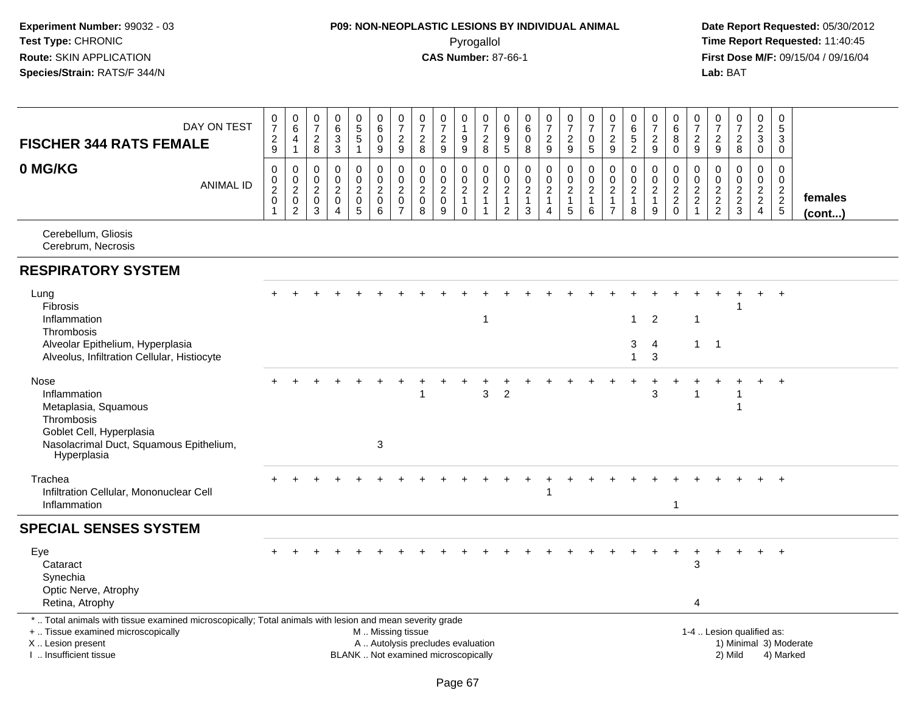# **P09: NON-NEOPLASTIC LESIONS BY INDIVIDUAL ANIMAL**Pyrogallol **Time Report Requested:** 11:40:45

| DAY ON TEST<br><b>FISCHER 344 RATS FEMALE</b>                                                                                                                                                 | $\pmb{0}$<br>$\overline{7}$<br>$\boldsymbol{2}$<br>$9\,$ | $\mathsf 0$<br>$\,6\,$<br>$\overline{4}$<br>$\mathbf{1}$                    | $\mathbf 0$<br>$\overline{7}$<br>$\sqrt{2}$<br>$\,8\,$            | $\pmb{0}$<br>6<br>$\mathbf{3}$<br>$\mathbf{3}$                   | $\begin{array}{c} 0 \\ 5 \\ 5 \end{array}$<br>1 | $\pmb{0}$<br>$\,6\,$<br>$\mathsf{O}\xspace$<br>9                 | $\frac{0}{7}$<br>$\overline{2}$<br>$9\,$                                       | $\pmb{0}$<br>$\overline{7}$<br>$\overline{2}$<br>8           | $\pmb{0}$<br>$\overline{7}$<br>$\overline{2}$<br>9                       | 0<br>$\mathbf{1}$<br>9<br>$\boldsymbol{9}$                       | $\boldsymbol{0}$<br>$\overline{7}$<br>$\sqrt{2}$<br>8                          | 0<br>6<br>9<br>5                                                       | $\begin{array}{c} 0 \\ 6 \end{array}$<br>$\mathbf 0$<br>8 | $\frac{0}{7}$<br>$\overline{2}$<br>$\boldsymbol{9}$                          | $\begin{smallmatrix}0\\7\end{smallmatrix}$<br>$\overline{2}$<br>9 | $\pmb{0}$<br>$\overline{7}$<br>$\mathbf 0$<br>$\sqrt{5}$      | $\pmb{0}$<br>$\overline{7}$<br>$\overline{2}$<br>9                 | $\pmb{0}$<br>$\,6\,$<br>$\sqrt{5}$<br>$\overline{2}$ | $\pmb{0}$<br>$\overline{7}$<br>$\sqrt{2}$<br>$\boldsymbol{9}$ | 0<br>6<br>8<br>$\mathbf 0$                                    | 0<br>$\overline{7}$<br>$\mathbf{2}$<br>9 | $\pmb{0}$<br>$\overline{7}$<br>$\overline{2}$<br>$\boldsymbol{9}$ | $\frac{0}{7}$<br>$\boldsymbol{2}$<br>$\,8\,$ | $\mathbf 0$<br>$\overline{2}$<br>3<br>$\mathbf 0$                                  | $\mathbf 0$<br>5<br>3<br>$\mathbf 0$                                     |                         |
|-----------------------------------------------------------------------------------------------------------------------------------------------------------------------------------------------|----------------------------------------------------------|-----------------------------------------------------------------------------|-------------------------------------------------------------------|------------------------------------------------------------------|-------------------------------------------------|------------------------------------------------------------------|--------------------------------------------------------------------------------|--------------------------------------------------------------|--------------------------------------------------------------------------|------------------------------------------------------------------|--------------------------------------------------------------------------------|------------------------------------------------------------------------|-----------------------------------------------------------|------------------------------------------------------------------------------|-------------------------------------------------------------------|---------------------------------------------------------------|--------------------------------------------------------------------|------------------------------------------------------|---------------------------------------------------------------|---------------------------------------------------------------|------------------------------------------|-------------------------------------------------------------------|----------------------------------------------|------------------------------------------------------------------------------------|--------------------------------------------------------------------------|-------------------------|
| 0 MG/KG<br><b>ANIMAL ID</b>                                                                                                                                                                   | 0<br>$\pmb{0}$<br>$\overline{2}$<br>$\mathbf 0$          | 0<br>$\mathbf 0$<br>$\overline{2}$<br>$\mathsf{O}\xspace$<br>$\overline{2}$ | $\mathbf 0$<br>$\mathbf 0$<br>$\sqrt{2}$<br>$\boldsymbol{0}$<br>3 | $\mathbf 0$<br>$\mathbf 0$<br>$\overline{c}$<br>$\mathbf 0$<br>4 | 0<br>0<br>$\overline{2}$<br>$\mathbf 0$<br>5    | $\mathsf 0$<br>$\mathbf 0$<br>$\overline{2}$<br>$\mathbf 0$<br>6 | $\boldsymbol{0}$<br>$\pmb{0}$<br>$\overline{2}$<br>$\pmb{0}$<br>$\overline{7}$ | $\mathbf 0$<br>$\mathbf 0$<br>$\sqrt{2}$<br>$\mathbf 0$<br>8 | $\boldsymbol{0}$<br>$\mathbf 0$<br>$\overline{2}$<br>$\mathbf 0$<br>9    | 0<br>$\mathbf 0$<br>$\boldsymbol{2}$<br>$\mathbf{1}$<br>$\Omega$ | $\mathbf 0$<br>$\mathbf 0$<br>$\overline{2}$<br>$\mathbf{1}$<br>$\overline{1}$ | 0<br>$\mathbf 0$<br>$\boldsymbol{2}$<br>$\mathbf{1}$<br>$\overline{2}$ | 0<br>$\pmb{0}$<br>$\overline{2}$<br>$\mathbf{1}$<br>3     | $\mathbf 0$<br>$\pmb{0}$<br>$\overline{2}$<br>$\mathbf{1}$<br>$\overline{4}$ | 0<br>$_2^0$<br>$\mathbf{1}$<br>$\overline{5}$                     | $\pmb{0}$<br>$\pmb{0}$<br>$\overline{2}$<br>$\mathbf{1}$<br>6 | 0<br>$\mathbf 0$<br>$\sqrt{2}$<br>$\overline{1}$<br>$\overline{7}$ | $\mathbf 0$<br>$\pmb{0}$<br>$\frac{2}{1}$<br>8       | 0<br>$\pmb{0}$<br>$\overline{2}$<br>$\mathbf{1}$<br>9         | $\mathbf 0$<br>$\mathbf 0$<br>$\overline{2}$<br>$\frac{2}{0}$ | 0<br>$\mathbf 0$<br>$\frac{2}{2}$        | $\Omega$<br>$\mathbf 0$<br>$\frac{2}{2}$                          | $\mathbf 0$<br>$\pmb{0}$<br>$\frac{2}{3}$    | $\mathbf 0$<br>$\mathbf 0$<br>$\overline{c}$<br>$\boldsymbol{2}$<br>$\overline{4}$ | $\mathbf 0$<br>$\mathbf 0$<br>$\begin{array}{c} 2 \\ 2 \\ 5 \end{array}$ | females<br>$($ cont $)$ |
| Cerebellum, Gliosis<br>Cerebrum, Necrosis                                                                                                                                                     |                                                          |                                                                             |                                                                   |                                                                  |                                                 |                                                                  |                                                                                |                                                              |                                                                          |                                                                  |                                                                                |                                                                        |                                                           |                                                                              |                                                                   |                                                               |                                                                    |                                                      |                                                               |                                                               |                                          |                                                                   |                                              |                                                                                    |                                                                          |                         |
| <b>RESPIRATORY SYSTEM</b>                                                                                                                                                                     |                                                          |                                                                             |                                                                   |                                                                  |                                                 |                                                                  |                                                                                |                                                              |                                                                          |                                                                  |                                                                                |                                                                        |                                                           |                                                                              |                                                                   |                                                               |                                                                    |                                                      |                                                               |                                                               |                                          |                                                                   |                                              |                                                                                    |                                                                          |                         |
| Lung<br>Fibrosis<br>Inflammation<br>Thrombosis                                                                                                                                                |                                                          |                                                                             |                                                                   |                                                                  |                                                 |                                                                  |                                                                                |                                                              |                                                                          |                                                                  | -1                                                                             |                                                                        |                                                           |                                                                              |                                                                   |                                                               |                                                                    | 1                                                    | $\overline{c}$                                                |                                                               | -1                                       |                                                                   |                                              |                                                                                    | $\pm$                                                                    |                         |
| Alveolar Epithelium, Hyperplasia<br>Alveolus, Infiltration Cellular, Histiocyte                                                                                                               |                                                          |                                                                             |                                                                   |                                                                  |                                                 |                                                                  |                                                                                |                                                              |                                                                          |                                                                  |                                                                                |                                                                        |                                                           |                                                                              |                                                                   |                                                               |                                                                    | 3<br>$\mathbf{1}$                                    | $\overline{a}$<br>3                                           |                                                               | $\mathbf{1}$                             | $\mathbf 1$                                                       |                                              |                                                                                    |                                                                          |                         |
| <b>Nose</b><br>Inflammation<br>Metaplasia, Squamous<br>Thrombosis<br>Goblet Cell, Hyperplasia<br>Nasolacrimal Duct, Squamous Epithelium,<br>Hyperplasia                                       | $+$                                                      |                                                                             |                                                                   |                                                                  |                                                 | 3                                                                |                                                                                |                                                              |                                                                          |                                                                  | 3                                                                              | $\overline{2}$                                                         |                                                           |                                                                              |                                                                   |                                                               |                                                                    |                                                      | 3                                                             |                                                               | $\overline{1}$                           |                                                                   |                                              |                                                                                    | $\ddot{}$                                                                |                         |
| Trachea<br>Infiltration Cellular, Mononuclear Cell<br>Inflammation                                                                                                                            |                                                          |                                                                             |                                                                   |                                                                  |                                                 |                                                                  |                                                                                |                                                              |                                                                          |                                                                  |                                                                                |                                                                        |                                                           |                                                                              |                                                                   |                                                               |                                                                    |                                                      |                                                               | $\mathbf 1$                                                   |                                          |                                                                   |                                              |                                                                                    |                                                                          |                         |
| <b>SPECIAL SENSES SYSTEM</b>                                                                                                                                                                  |                                                          |                                                                             |                                                                   |                                                                  |                                                 |                                                                  |                                                                                |                                                              |                                                                          |                                                                  |                                                                                |                                                                        |                                                           |                                                                              |                                                                   |                                                               |                                                                    |                                                      |                                                               |                                                               |                                          |                                                                   |                                              |                                                                                    |                                                                          |                         |
| Eye<br>Cataract<br>Synechia<br>Optic Nerve, Atrophy<br>Retina, Atrophy                                                                                                                        |                                                          |                                                                             |                                                                   |                                                                  |                                                 |                                                                  |                                                                                |                                                              |                                                                          |                                                                  |                                                                                |                                                                        |                                                           |                                                                              |                                                                   |                                                               |                                                                    |                                                      |                                                               |                                                               | 3<br>4                                   |                                                                   |                                              |                                                                                    | $\div$                                                                   |                         |
| *  Total animals with tissue examined microscopically; Total animals with lesion and mean severity grade<br>+  Tissue examined microscopically<br>X  Lesion present<br>I. Insufficient tissue |                                                          |                                                                             |                                                                   |                                                                  |                                                 | M  Missing tissue                                                |                                                                                |                                                              | A  Autolysis precludes evaluation<br>BLANK  Not examined microscopically |                                                                  |                                                                                |                                                                        |                                                           |                                                                              |                                                                   |                                                               |                                                                    |                                                      |                                                               |                                                               |                                          |                                                                   | 1-4  Lesion qualified as:<br>2) Mild         |                                                                                    | 4) Marked                                                                | 1) Minimal 3) Moderate  |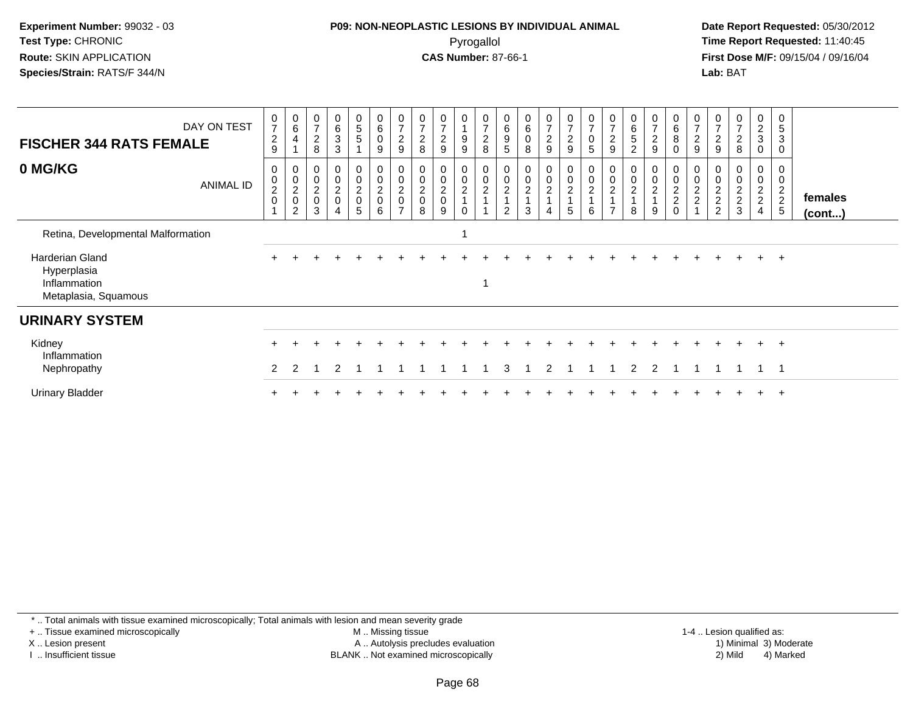## **P09: NON-NEOPLASTIC LESIONS BY INDIVIDUAL ANIMAL**Pyrogallol **Time Report Requested:** 11:40:45

 **Date Report Requested:** 05/30/2012 **First Dose M/F:** 09/15/04 / 09/16/04 Lab: BAT **Lab:** BAT

| <b>FISCHER 344 RATS FEMALE</b>                                         | DAY ON TEST | $\frac{0}{7}$<br>$\overline{c}$<br>$\boldsymbol{9}$ | $\begin{array}{c} 0 \\ 6 \end{array}$<br>$\overline{4}$ | $\mathbf 0$<br>$\overline{7}$<br>$\overline{c}$<br>8 | $\mathbf 0$<br>6<br>3<br>3                                                  | 0<br>5<br>5                  | $\begin{array}{c} 0 \\ 6 \end{array}$<br>0<br>9 | $\frac{0}{7}$<br>$\overline{c}$<br>9             | 0<br>$\overline{ }$<br>$\overline{c}$<br>8 | $\frac{0}{7}$<br>$\boldsymbol{2}$<br>9 | 0<br>$\overline{A}$<br>9<br>9 | $\mathbf 0$<br>$\overline{7}$<br>$\overline{c}$<br>8  | $\mathbf 0$<br>6<br>9<br>5                     | $_{6}^{\rm 0}$<br>$\mathbf 0$<br>8   | $\frac{0}{7}$<br>$\overline{c}$<br>9 | $\frac{0}{7}$<br>$\overline{a}$<br>9 | $\begin{array}{c} 0 \\ 7 \end{array}$<br>$\pmb{0}$<br>$\sqrt{5}$   | $\frac{0}{7}$<br>$\overline{c}$<br>9                                   | 0<br>$\,6\,$<br>5<br>$\overline{c}$                 | 0<br>$\overline{ }$<br>$\overline{\mathbf{c}}$<br>9 | $_{6}^{\rm 0}$<br>$\bf 8$                             | $\frac{0}{7}$<br>$\boldsymbol{2}$<br>9              | 0<br>$\rightarrow$<br>$\overline{c}$<br>9       | $\frac{0}{7}$<br>$\overline{c}$<br>8 | 0<br>$\overline{c}$<br>3<br>0             | $\mathbf 0$<br>$\sqrt{5}$<br>3<br>0  |                   |
|------------------------------------------------------------------------|-------------|-----------------------------------------------------|---------------------------------------------------------|------------------------------------------------------|-----------------------------------------------------------------------------|------------------------------|-------------------------------------------------|--------------------------------------------------|--------------------------------------------|----------------------------------------|-------------------------------|-------------------------------------------------------|------------------------------------------------|--------------------------------------|--------------------------------------|--------------------------------------|--------------------------------------------------------------------|------------------------------------------------------------------------|-----------------------------------------------------|-----------------------------------------------------|-------------------------------------------------------|-----------------------------------------------------|-------------------------------------------------|--------------------------------------|-------------------------------------------|--------------------------------------|-------------------|
| 0 MG/KG                                                                | ANIMAL ID   | 0<br>$\pmb{0}$<br>$\frac{2}{0}$                     | $\mathbf 0$<br>$\frac{0}{2}$<br>$\overline{2}$          | 0<br>$\pmb{0}$<br>$^2_{\rm 0}$<br>3                  | 0<br>$\mathbf 0$<br>$\begin{array}{c} 2 \\ 0 \end{array}$<br>$\overline{4}$ | 0<br>0<br>$\frac{2}{0}$<br>5 | 0<br>$\pmb{0}$<br>$^2_{\rm 0}$<br>6             | 0<br>$\pmb{0}$<br>$^2_{\rm 0}$<br>$\overline{ }$ | $\mathbf 0$<br>$^2_{\rm 0}$<br>8           | 0<br>$\pmb{0}$<br>$^2_{\rm 0}$<br>9    | 0<br>0<br>$\frac{2}{1}$<br>0  | $\boldsymbol{0}$<br>$\boldsymbol{0}$<br>$\frac{2}{1}$ | 0<br>$\pmb{0}$<br>$\overline{\mathbf{c}}$<br>2 | 0<br>$\pmb{0}$<br>$\frac{2}{1}$<br>3 | 0<br>0<br>$\frac{2}{1}$<br>4         | 0<br>0<br>$\frac{2}{4}$<br>5         | $\begin{smallmatrix} 0\\0 \end{smallmatrix}$<br>$\frac{2}{1}$<br>6 | 0<br>$\pmb{0}$<br>$\boldsymbol{2}$<br>$\overline{A}$<br>$\overline{ }$ | 0<br>$\boldsymbol{0}$<br>$\boldsymbol{2}$<br>1<br>8 | 0<br>$\pmb{0}$<br>$\overline{\mathbf{c}}$<br>9      | $\boldsymbol{0}$<br>$\mathbf 0$<br>$\frac{2}{2}$<br>0 | 0<br>$\mathbf 0$<br>$\frac{2}{2}$<br>$\overline{A}$ | 0<br>$\begin{array}{c} 2 \\ 2 \\ 2 \end{array}$ | 0<br>$\pmb{0}$<br>$\frac{2}{3}$      | 0<br>0<br>$\frac{2}{2}$<br>$\overline{4}$ | 0<br>$\pmb{0}$<br>$\frac{2}{2}$<br>5 | females<br>(cont) |
| Retina, Developmental Malformation                                     |             |                                                     |                                                         |                                                      |                                                                             |                              |                                                 |                                                  |                                            |                                        |                               |                                                       |                                                |                                      |                                      |                                      |                                                                    |                                                                        |                                                     |                                                     |                                                       |                                                     |                                                 |                                      |                                           |                                      |                   |
| Harderian Gland<br>Hyperplasia<br>Inflammation<br>Metaplasia, Squamous |             |                                                     |                                                         |                                                      |                                                                             |                              |                                                 |                                                  |                                            |                                        |                               | 1                                                     |                                                |                                      |                                      |                                      |                                                                    |                                                                        |                                                     |                                                     |                                                       |                                                     |                                                 |                                      | $+$                                       | $+$                                  |                   |
| <b>URINARY SYSTEM</b>                                                  |             |                                                     |                                                         |                                                      |                                                                             |                              |                                                 |                                                  |                                            |                                        |                               |                                                       |                                                |                                      |                                      |                                      |                                                                    |                                                                        |                                                     |                                                     |                                                       |                                                     |                                                 |                                      |                                           |                                      |                   |
| Kidney<br>Inflammation<br>Nephropathy                                  |             |                                                     |                                                         |                                                      |                                                                             |                              |                                                 |                                                  |                                            |                                        |                               |                                                       |                                                |                                      |                                      |                                      |                                                                    |                                                                        |                                                     |                                                     |                                                       |                                                     |                                                 |                                      | $+$                                       | $+$<br>-1                            |                   |
| <b>Urinary Bladder</b>                                                 |             |                                                     |                                                         |                                                      |                                                                             |                              |                                                 |                                                  |                                            |                                        |                               |                                                       |                                                |                                      |                                      |                                      |                                                                    |                                                                        |                                                     |                                                     |                                                       |                                                     |                                                 |                                      |                                           | $\pm$                                |                   |

\* .. Total animals with tissue examined microscopically; Total animals with lesion and mean severity grade

+ .. Tissue examined microscopically

X .. Lesion present

I .. Insufficient tissue

 M .. Missing tissueA .. Autolysis precludes evaluation

1-4 .. Lesion qualified as:<br>1) Minimal 3) Moderate BLANK .. Not examined microscopically 2) Mild 4) Marked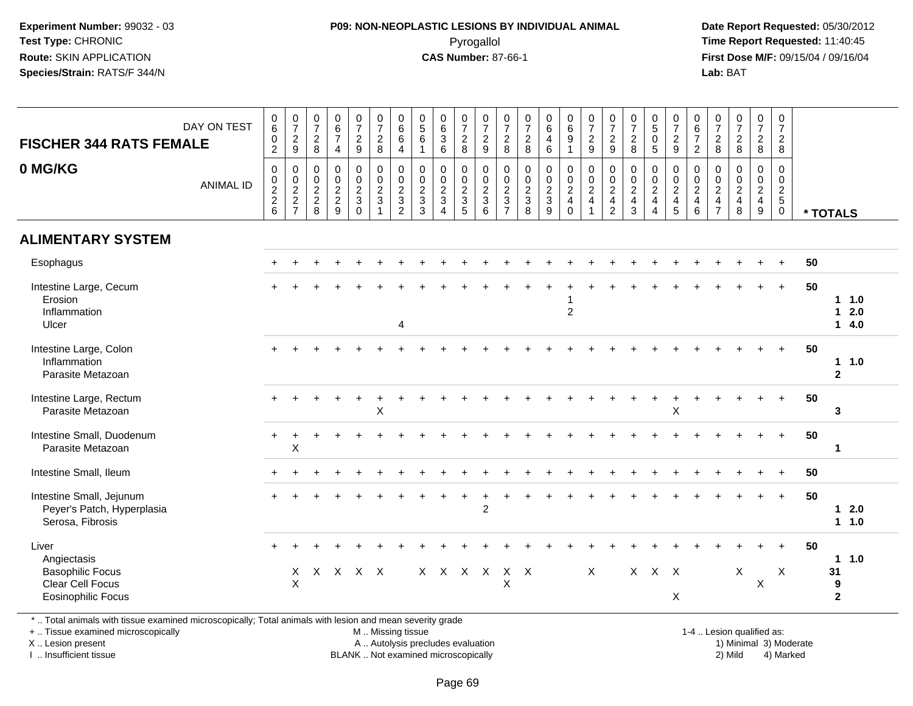## **P09: NON-NEOPLASTIC LESIONS BY INDIVIDUAL ANIMAL**Pyrogallol **Time Report Requested:** 11:40:45

 **Date Report Requested:** 05/30/2012 **First Dose M/F:** 09/15/04 / 09/16/04 Lab: BAT **Lab:** BAT

| <b>FISCHER 344 RATS FEMALE</b>                                                                   | DAY ON TEST      | $\pmb{0}$<br>$\,6$<br>$\pmb{0}$<br>$\overline{2}$ | $\begin{smallmatrix} 0\\7 \end{smallmatrix}$<br>$\sqrt{2}$<br>$\mathsf g$ | $\frac{0}{7}$<br>$\overline{c}$<br>8 | $\begin{array}{c} 0 \\ 6 \end{array}$<br>$\overline{7}$<br>$\overline{4}$ | $\begin{array}{c} 0 \\ 7 \end{array}$<br>$\overline{c}$<br>$\boldsymbol{9}$ | $\frac{0}{7}$<br>$\overline{c}$<br>$\bf8$     | $\begin{array}{c} 0 \\ 6 \end{array}$<br>6<br>$\overline{4}$ | $\begin{array}{c} 0 \\ 5 \end{array}$<br>$\,6\,$<br>1     | $_{6}^{\rm 0}$<br>$\mathbf{3}$<br>$\,6\,$ | $\frac{0}{7}$<br>$\overline{a}$<br>8 | $\frac{0}{7}$<br>$\overline{c}$<br>9 | $\frac{0}{7}$<br>$\overline{c}$<br>8           | $\frac{0}{7}$<br>$\overline{c}$<br>8                            | $\pmb{0}$<br>$\,6\,$<br>$\overline{4}$<br>$\,6\,$                                | $_{6}^{\rm 0}$<br>9<br>$\mathbf{1}$                         | $\begin{smallmatrix} 0\\7 \end{smallmatrix}$<br>$\overline{c}$<br>$9\,$ | $\begin{array}{c} 0 \\ 7 \end{array}$<br>$\overline{c}$<br>9 | $\frac{0}{7}$<br>$\overline{2}$<br>8                                     | $\begin{array}{c} 0 \\ 5 \end{array}$<br>$\pmb{0}$<br>$5\phantom{1}$                   | $\frac{0}{7}$<br>$\overline{c}$<br>9 | 0<br>$\,6\,$<br>$\overline{7}$<br>$\overline{2}$         | $\frac{0}{7}$<br>$\overline{c}$<br>8       | $\begin{smallmatrix}0\\7\end{smallmatrix}$<br>$\overline{2}$<br>$\,8\,$ | $\begin{smallmatrix}0\\7\end{smallmatrix}$<br>$\overline{2}$<br>$\bf 8$ | $\pmb{0}$<br>$\boldsymbol{7}$<br>$\overline{c}$<br>$\,8\,$    |    |                                                |
|--------------------------------------------------------------------------------------------------|------------------|---------------------------------------------------|---------------------------------------------------------------------------|--------------------------------------|---------------------------------------------------------------------------|-----------------------------------------------------------------------------|-----------------------------------------------|--------------------------------------------------------------|-----------------------------------------------------------|-------------------------------------------|--------------------------------------|--------------------------------------|------------------------------------------------|-----------------------------------------------------------------|----------------------------------------------------------------------------------|-------------------------------------------------------------|-------------------------------------------------------------------------|--------------------------------------------------------------|--------------------------------------------------------------------------|----------------------------------------------------------------------------------------|--------------------------------------|----------------------------------------------------------|--------------------------------------------|-------------------------------------------------------------------------|-------------------------------------------------------------------------|---------------------------------------------------------------|----|------------------------------------------------|
| 0 MG/KG                                                                                          | <b>ANIMAL ID</b> | $\mathbf 0$<br>$\frac{0}{2}$<br>$6\phantom{1}$    | 0<br>$\frac{0}{2}$<br>$\overline{7}$                                      | 0<br>$_2^0$<br>$\overline{a}$<br>8   | $\mathbf 0$<br>$\begin{smallmatrix} 0\\2\\2 \end{smallmatrix}$<br>9       | $\mathbf 0$<br>$\frac{0}{2}$<br>$\Omega$                                    | 0<br>$\frac{0}{2}$<br>$\overline{\mathbf{1}}$ | $\pmb{0}$<br>$\frac{0}{2}$<br>$\overline{2}$                 | 0<br>$\begin{smallmatrix} 0\\2\\3 \end{smallmatrix}$<br>3 | 0<br>$\frac{0}{2}$<br>$\overline{A}$      | 0<br>$\frac{0}{2}$<br>5              | 0<br>$\frac{0}{2}$<br>6              | $\mathbf 0$<br>$\frac{0}{2}$<br>$\overline{7}$ | $\mathbf 0$<br>$\pmb{0}$<br>$\overline{2}$<br>$\mathbf{3}$<br>8 | $\mathbf 0$<br>$\begin{smallmatrix} 0\\2 \end{smallmatrix}$<br>$\mathbf{3}$<br>9 | 0<br>$\begin{array}{c} 0 \\ 2 \\ 4 \end{array}$<br>$\Omega$ | 0<br>$\frac{0}{2}$<br>$\overline{1}$                                    | $\mathbf 0$<br>$\frac{0}{2}$<br>$\overline{2}$               | 0<br>$\begin{smallmatrix} 0\\2 \end{smallmatrix}$<br>$\overline{4}$<br>3 | $\mathbf 0$<br>$\pmb{0}$<br>$\overline{2}$<br>$\overline{4}$<br>$\boldsymbol{\Lambda}$ | 0<br>$\frac{0}{2}$<br>5              | $\mathbf 0$<br>$\mathsf{O}\xspace$<br>$\frac{2}{4}$<br>6 | 0<br>$_{2}^{\rm 0}$<br>4<br>$\overline{7}$ | 0<br>$\begin{array}{c} 0 \\ 2 \\ 4 \end{array}$<br>8                    | $\mathbf 0$<br>$\frac{0}{2}$<br>9                                       | $\mathbf 0$<br>$\mathbf 0$<br>$rac{2}{5}$<br>$\boldsymbol{0}$ |    | * TOTALS                                       |
| <b>ALIMENTARY SYSTEM</b>                                                                         |                  |                                                   |                                                                           |                                      |                                                                           |                                                                             |                                               |                                                              |                                                           |                                           |                                      |                                      |                                                |                                                                 |                                                                                  |                                                             |                                                                         |                                                              |                                                                          |                                                                                        |                                      |                                                          |                                            |                                                                         |                                                                         |                                                               |    |                                                |
| Esophagus                                                                                        |                  |                                                   |                                                                           |                                      |                                                                           |                                                                             |                                               |                                                              |                                                           |                                           |                                      |                                      |                                                |                                                                 |                                                                                  |                                                             |                                                                         |                                                              |                                                                          |                                                                                        |                                      |                                                          |                                            |                                                                         |                                                                         |                                                               | 50 |                                                |
| Intestine Large, Cecum<br>Erosion<br>Inflammation<br>Ulcer                                       |                  | $\pm$                                             |                                                                           |                                      |                                                                           |                                                                             |                                               | 4                                                            |                                                           |                                           |                                      |                                      |                                                |                                                                 |                                                                                  | $\overline{c}$                                              |                                                                         |                                                              |                                                                          |                                                                                        |                                      |                                                          |                                            |                                                                         |                                                                         | $+$                                                           | 50 | $1 \t1.0$<br>2.0<br>1<br>14.0                  |
| Intestine Large, Colon<br>Inflammation<br>Parasite Metazoan                                      |                  |                                                   |                                                                           |                                      |                                                                           |                                                                             |                                               |                                                              |                                                           |                                           |                                      |                                      |                                                |                                                                 |                                                                                  |                                                             |                                                                         |                                                              |                                                                          |                                                                                        |                                      |                                                          |                                            |                                                                         |                                                                         | $+$                                                           | 50 | 11.0<br>$\mathbf{2}$                           |
| Intestine Large, Rectum<br>Parasite Metazoan                                                     |                  |                                                   |                                                                           |                                      |                                                                           |                                                                             | $\sf X$                                       |                                                              |                                                           |                                           |                                      |                                      |                                                |                                                                 |                                                                                  |                                                             |                                                                         |                                                              |                                                                          |                                                                                        | $\sf X$                              |                                                          |                                            |                                                                         |                                                                         | $+$                                                           | 50 | 3                                              |
| Intestine Small, Duodenum<br>Parasite Metazoan                                                   |                  | +                                                 | $\times$                                                                  |                                      |                                                                           |                                                                             |                                               |                                                              |                                                           |                                           |                                      |                                      |                                                |                                                                 |                                                                                  |                                                             |                                                                         |                                                              |                                                                          |                                                                                        |                                      |                                                          |                                            |                                                                         |                                                                         | $\ddot{}$                                                     | 50 | $\mathbf{1}$                                   |
| Intestine Small, Ileum                                                                           |                  |                                                   |                                                                           |                                      |                                                                           |                                                                             |                                               |                                                              |                                                           |                                           |                                      |                                      |                                                |                                                                 |                                                                                  |                                                             |                                                                         |                                                              |                                                                          |                                                                                        |                                      |                                                          |                                            |                                                                         |                                                                         | $+$                                                           | 50 |                                                |
| Intestine Small, Jejunum<br>Peyer's Patch, Hyperplasia<br>Serosa, Fibrosis                       |                  |                                                   |                                                                           |                                      |                                                                           |                                                                             |                                               |                                                              |                                                           |                                           | $\ddot{}$                            | $\ddot{}$<br>$\overline{c}$          |                                                |                                                                 |                                                                                  |                                                             |                                                                         |                                                              |                                                                          |                                                                                        |                                      |                                                          |                                            |                                                                         |                                                                         | $+$                                                           | 50 | $12.0$<br>1 1.0                                |
| Liver<br>Angiectasis<br><b>Basophilic Focus</b><br>Clear Cell Focus<br><b>Eosinophilic Focus</b> |                  | $+$                                               | X<br>$\sf X$                                                              |                                      | X X X X                                                                   |                                                                             |                                               |                                                              |                                                           |                                           | $X$ $X$ $X$ $X$                      |                                      | $\mathsf{X}$<br>X                              | $\mathsf{X}$                                                    |                                                                                  |                                                             | X                                                                       |                                                              |                                                                          | $X$ $X$ $X$                                                                            | X                                    |                                                          |                                            | X                                                                       | Χ                                                                       | $+$<br>X                                                      | 50 | 1.0<br>$\mathbf{1}$<br>31<br>9<br>$\mathbf{2}$ |

\* .. Total animals with tissue examined microscopically; Total animals with lesion and mean severity grade

+ .. Tissue examined microscopically

X .. Lesion present

I .. Insufficient tissue

 M .. Missing tissueA .. Autolysis precludes evaluation

BLANK .. Not examined microscopically 2) Mild 4) Marked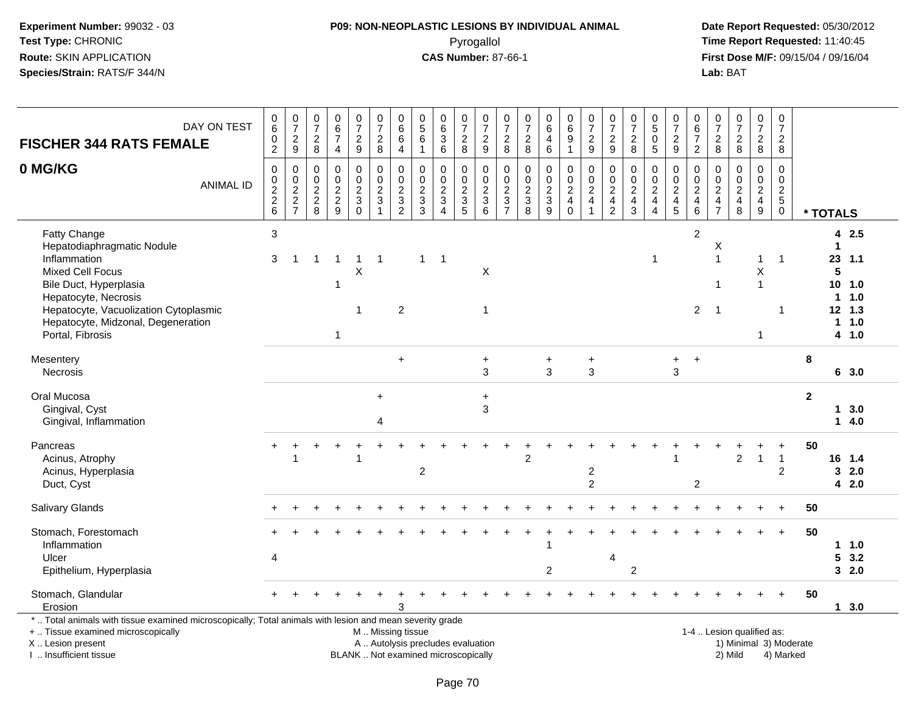# **P09: NON-NEOPLASTIC LESIONS BY INDIVIDUAL ANIMAL**Pyrogallol **Time Report Requested:** 11:40:45

| DAY ON TEST<br><b>FISCHER 344 RATS FEMALE</b>                                                                                                                                                                                              |                  | 0<br>$\overline{6}$<br>$\begin{smallmatrix} 0 \\ 2 \end{smallmatrix}$ | $\begin{array}{c} 0 \\ 7 \end{array}$<br>$\frac{2}{9}$ | $\frac{0}{7}$<br>$_{\rm 8}^2$                      | $\pmb{0}$<br>$\overline{6}$<br>$\overline{7}$<br>$\overline{4}$ | $\frac{0}{7}$<br>$\frac{2}{9}$          | $\boldsymbol{0}$<br>$\overline{7}$<br>$\frac{2}{8}$                 | $\mathbf 0$<br>$\overline{6}$<br>$\,6\,$<br>$\overline{4}$ | $\mathbf 0$<br>$\overline{5}$<br>$\,6$<br>$\mathbf{1}$                   | $\pmb{0}$<br>$6\phantom{a}$<br>$\ensuremath{\mathsf{3}}$<br>6                | $\frac{0}{7}$<br>$_{\rm 8}^2$     | $\frac{0}{7}$<br>$\frac{2}{9}$  | $\frac{0}{7}$<br>$_{\rm 8}^2$             | $\begin{array}{c} 0 \\ 7 \end{array}$<br>$\frac{2}{8}$ | $\pmb{0}$<br>$\overline{6}$<br>$\overline{4}$<br>$\overline{6}$ | $\begin{array}{c} 0 \\ 6 \end{array}$<br>9<br>1                             | $\begin{smallmatrix}0\\7\end{smallmatrix}$<br>$\frac{2}{9}$ | $\frac{0}{7}$<br>$\overline{\mathbf{c}}$<br>9                  | $\pmb{0}$<br>$\overline{7}$<br>$\boldsymbol{2}$<br>8         | $\boldsymbol{0}$<br>$\overline{5}$<br>$\mathbf 0$<br>5      | 0<br>$\overline{7}$<br>$\overline{\mathbf{c}}$<br>$\boldsymbol{9}$ | $\mathbf 0$<br>$6\phantom{a}$<br>$\overline{7}$<br>$\overline{2}$ | $\frac{0}{7}$<br>$\overline{\mathbf{c}}$<br>8                | $\begin{array}{c} 0 \\ 7 \end{array}$<br>$_{\rm 8}^2$ | $\frac{0}{7}$<br>$\frac{2}{8}$                              | $\mathbf 0$<br>$\overline{7}$<br>$\frac{2}{8}$             |              |                                             |                                             |
|--------------------------------------------------------------------------------------------------------------------------------------------------------------------------------------------------------------------------------------------|------------------|-----------------------------------------------------------------------|--------------------------------------------------------|----------------------------------------------------|-----------------------------------------------------------------|-----------------------------------------|---------------------------------------------------------------------|------------------------------------------------------------|--------------------------------------------------------------------------|------------------------------------------------------------------------------|-----------------------------------|---------------------------------|-------------------------------------------|--------------------------------------------------------|-----------------------------------------------------------------|-----------------------------------------------------------------------------|-------------------------------------------------------------|----------------------------------------------------------------|--------------------------------------------------------------|-------------------------------------------------------------|--------------------------------------------------------------------|-------------------------------------------------------------------|--------------------------------------------------------------|-------------------------------------------------------|-------------------------------------------------------------|------------------------------------------------------------|--------------|---------------------------------------------|---------------------------------------------|
| 0 MG/KG                                                                                                                                                                                                                                    | <b>ANIMAL ID</b> | 0<br>$\pmb{0}$<br>$\overline{2}$<br>$\frac{2}{6}$                     | $\mathbf 0$<br>$0$<br>$2$<br>$7$                       | $\mathbf 0$<br>0<br>$\overline{c}$<br>$_{\rm 8}^2$ | $\mathbf 0$<br>$\pmb{0}$<br>$\overline{2}$<br>$\frac{2}{9}$     | $\pmb{0}$<br>$\pmb{0}$<br>$\frac{2}{3}$ | 0<br>$\mathbf 0$<br>$\overline{2}$<br>$\mathsf 3$<br>$\overline{1}$ | $\mathbf 0$<br>$\pmb{0}$<br>$\frac{2}{3}$                  | $\mathbf 0$<br>$\mathbf 0$<br>$\boldsymbol{2}$<br>$\frac{3}{3}$          | $\mathbf 0$<br>$\mathbf 0$<br>$\overline{2}$<br>$\sqrt{3}$<br>$\overline{4}$ | 0<br>$\mathbf 0$<br>$\frac{2}{3}$ | 0<br>$\pmb{0}$<br>$\frac{2}{3}$ | $\mathbf 0$<br>$\pmb{0}$<br>$\frac{2}{3}$ | $\mathbf 0$<br>$0$<br>$3$<br>$8$                       | $\pmb{0}$<br>$\mathbf 0$<br>$rac{2}{9}$                         | 0<br>$\mathsf 0$<br>$\overline{2}$<br>$\begin{array}{c} 4 \\ 0 \end{array}$ | 0<br>$\frac{0}{2}$<br>$\overline{1}$                        | $\mathbf 0$<br>$\begin{array}{c} 0 \\ 2 \\ 4 \\ 2 \end{array}$ | 0<br>$\pmb{0}$<br>$\begin{array}{c} 2 \\ 4 \\ 3 \end{array}$ | $\mathbf 0$<br>$\pmb{0}$<br>$\frac{2}{4}$<br>$\overline{4}$ | 0<br>$\pmb{0}$<br>$\boldsymbol{2}$<br>$\frac{4}{5}$                | 0<br>$\pmb{0}$<br>$\overline{2}$<br>$\frac{4}{6}$                 | $\Omega$<br>$\mathbf 0$<br>$\boldsymbol{2}$<br>$\frac{4}{7}$ | $\mathbf 0$<br>$\pmb{0}$<br>$\frac{2}{4}$             | $\mathbf 0$<br>$\pmb{0}$<br>$\overline{2}$<br>$\frac{4}{9}$ | $\mathbf 0$<br>$\mathbf 0$<br>$\frac{2}{5}$<br>$\mathbf 0$ |              | * TOTALS                                    |                                             |
| Fatty Change<br>Hepatodiaphragmatic Nodule<br>Inflammation<br><b>Mixed Cell Focus</b><br>Bile Duct, Hyperplasia<br>Hepatocyte, Necrosis<br>Hepatocyte, Vacuolization Cytoplasmic<br>Hepatocyte, Midzonal, Degeneration<br>Portal, Fibrosis |                  | 3<br>3                                                                | 1                                                      | 1                                                  | -1<br>1                                                         | $\mathbf{1}$<br>X<br>-1                 | $\overline{1}$                                                      | $\overline{c}$                                             | $\mathbf{1}$                                                             | -1                                                                           |                                   | X<br>1                          |                                           |                                                        |                                                                 |                                                                             |                                                             |                                                                |                                                              | -1                                                          |                                                                    | $\overline{2}$<br>$\overline{2}$                                  | Χ<br>$\mathbf{1}$<br>$\mathbf 1$<br>$\overline{1}$           |                                                       | -1<br>Χ<br>$\overline{1}$<br>1                              | $\mathbf 1$<br>-1                                          |              | 23<br>5<br>10<br>$\overline{1}$<br>$12$ 1.3 | 42.5<br>1.1<br>1.0<br>1.0<br>1 1.0<br>4 1.0 |
| Mesentery<br>Necrosis                                                                                                                                                                                                                      |                  |                                                                       |                                                        |                                                    |                                                                 |                                         |                                                                     | $\ddot{}$                                                  |                                                                          |                                                                              |                                   | +<br>3                          |                                           |                                                        | +<br>3                                                          |                                                                             | $\ddot{}$<br>3                                              |                                                                |                                                              |                                                             | $\ddot{}$<br>3                                                     | $\ddot{}$                                                         |                                                              |                                                       |                                                             |                                                            | 8            |                                             | 6 3.0                                       |
| Oral Mucosa<br>Gingival, Cyst<br>Gingival, Inflammation                                                                                                                                                                                    |                  |                                                                       |                                                        |                                                    |                                                                 |                                         | $+$<br>4                                                            |                                                            |                                                                          |                                                                              |                                   | $+$<br>3                        |                                           |                                                        |                                                                 |                                                                             |                                                             |                                                                |                                                              |                                                             |                                                                    |                                                                   |                                                              |                                                       |                                                             |                                                            | $\mathbf{2}$ |                                             | 13.0<br>14.0                                |
| Pancreas<br>Acinus, Atrophy<br>Acinus, Hyperplasia<br>Duct, Cyst                                                                                                                                                                           |                  |                                                                       |                                                        |                                                    |                                                                 |                                         |                                                                     |                                                            | $\sqrt{2}$                                                               |                                                                              |                                   |                                 |                                           | 2                                                      |                                                                 |                                                                             | 2<br>$\overline{2}$                                         |                                                                |                                                              |                                                             |                                                                    | $\overline{c}$                                                    |                                                              | $\overline{a}$                                        | $\mathbf{1}$                                                | $\mathbf{1}$<br>$\overline{c}$                             | 50           | 16 1.4<br>3                                 | 2.0<br>42.0                                 |
| <b>Salivary Glands</b>                                                                                                                                                                                                                     |                  |                                                                       |                                                        |                                                    |                                                                 |                                         |                                                                     |                                                            |                                                                          |                                                                              |                                   |                                 |                                           |                                                        |                                                                 |                                                                             |                                                             |                                                                |                                                              |                                                             |                                                                    |                                                                   |                                                              |                                                       |                                                             |                                                            | 50           |                                             |                                             |
| Stomach, Forestomach<br>Inflammation<br>Ulcer<br>Epithelium, Hyperplasia                                                                                                                                                                   |                  | 4                                                                     |                                                        |                                                    |                                                                 |                                         |                                                                     |                                                            |                                                                          |                                                                              |                                   |                                 |                                           |                                                        | $\overline{2}$                                                  |                                                                             |                                                             | 4                                                              | $\overline{2}$                                               |                                                             |                                                                    |                                                                   |                                                              |                                                       |                                                             |                                                            | 50           | 5                                           | 1 1.0<br>3.2<br>32.0                        |
| Stomach, Glandular<br>Erosion                                                                                                                                                                                                              |                  |                                                                       |                                                        |                                                    |                                                                 |                                         |                                                                     |                                                            |                                                                          |                                                                              |                                   |                                 |                                           |                                                        |                                                                 |                                                                             |                                                             |                                                                |                                                              |                                                             |                                                                    |                                                                   |                                                              |                                                       |                                                             |                                                            | 50           |                                             | $1 \quad 3.0$                               |
| *  Total animals with tissue examined microscopically; Total animals with lesion and mean severity grade<br>+  Tissue examined microscopically<br>X  Lesion present<br>I. Insufficient tissue                                              |                  |                                                                       |                                                        |                                                    |                                                                 |                                         | M  Missing tissue                                                   |                                                            | A  Autolysis precludes evaluation<br>BLANK  Not examined microscopically |                                                                              |                                   |                                 |                                           |                                                        |                                                                 |                                                                             |                                                             |                                                                |                                                              |                                                             |                                                                    |                                                                   |                                                              | 1-4  Lesion qualified as:<br>2) Mild                  |                                                             | 1) Minimal 3) Moderate<br>4) Marked                        |              |                                             |                                             |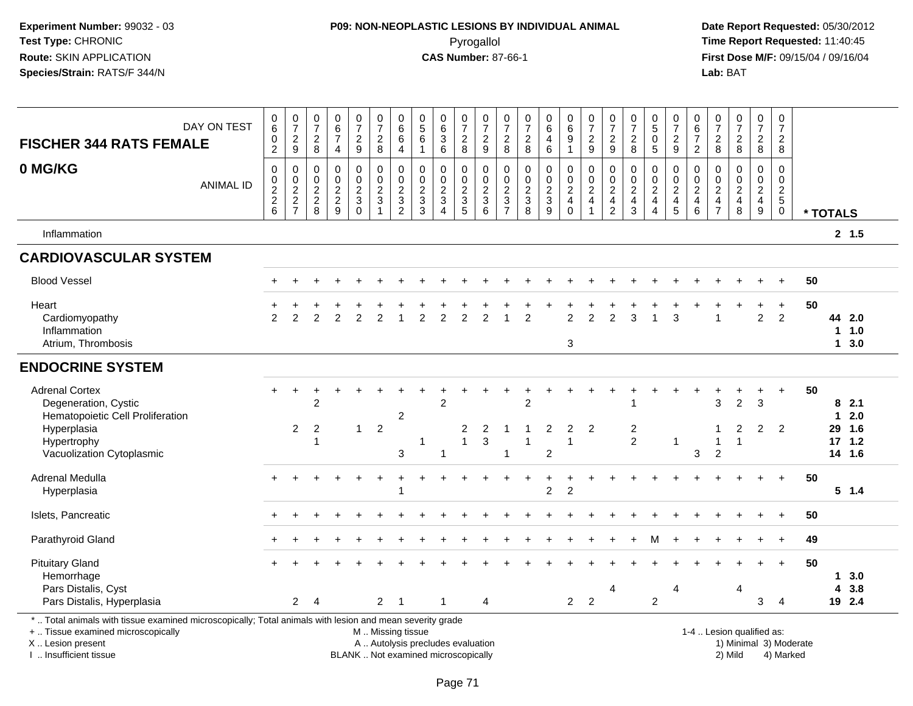## **P09: NON-NEOPLASTIC LESIONS BY INDIVIDUAL ANIMAL**Pyrogallol **Time Report Requested:** 11:40:45

 **Date Report Requested:** 05/30/2012 **First Dose M/F:** 09/15/04 / 09/16/04<br>Lab: BAT **Lab:** BAT

| <b>FISCHER 344 RATS FEMALE</b>                                                                                                                                                                    | DAY ON TEST      | $_6^0$<br>$\frac{0}{2}$                                            | $\frac{0}{7}$<br>$\frac{2}{9}$ | $\begin{smallmatrix}0\\7\end{smallmatrix}$<br>$\begin{array}{c} 2 \\ 8 \end{array}$ | $\begin{array}{c} 0 \\ 6 \end{array}$<br>$\overline{7}$<br>4 | $\frac{0}{7}$<br>$\frac{2}{9}$                               | $\frac{0}{7}$<br>$\frac{2}{8}$                              | 0<br>$\,6$<br>$\,6\,$<br>$\overline{4}$                             | $\begin{smallmatrix}0\0\5\end{smallmatrix}$<br>$\,6\,$<br>$\overline{1}$ | $_{6}^{\rm 0}$<br>3<br>6                            | 0728                                  | $\frac{0}{7}$<br>$\frac{2}{9}$             | $\frac{0}{7}$<br>$\frac{2}{8}$            | $\frac{0}{7}$<br>$\frac{2}{8}$    | $\begin{matrix} 0 \\ 6 \end{matrix}$<br>$\overline{\mathbf{4}}$<br>6 | $\begin{matrix} 0 \\ 6 \end{matrix}$<br>$\boldsymbol{9}$<br>$\overline{1}$ | $\frac{0}{7}$<br>$\frac{2}{9}$                                              | $\frac{0}{7}$<br>$\frac{2}{9}$                              | $\frac{0}{7}$<br>8                         | $\begin{array}{c} 0 \\ 5 \\ 0 \end{array}$<br>$\overline{5}$      | $\frac{0}{7}$<br>$\frac{2}{9}$                  | 0<br>$\,6\,$<br>$\overline{7}$<br>$\overline{2}$                      | $\frac{0}{7}$<br>$_{\rm 8}^2$             | $\frac{0}{7}$<br>$\frac{2}{8}$                            | $\frac{0}{7}$<br>$\frac{2}{8}$    | $\begin{array}{c} 0 \\ 7 \end{array}$<br>$\overline{2}$<br>8 |                        |             |                       |
|---------------------------------------------------------------------------------------------------------------------------------------------------------------------------------------------------|------------------|--------------------------------------------------------------------|--------------------------------|-------------------------------------------------------------------------------------|--------------------------------------------------------------|--------------------------------------------------------------|-------------------------------------------------------------|---------------------------------------------------------------------|--------------------------------------------------------------------------|-----------------------------------------------------|---------------------------------------|--------------------------------------------|-------------------------------------------|-----------------------------------|----------------------------------------------------------------------|----------------------------------------------------------------------------|-----------------------------------------------------------------------------|-------------------------------------------------------------|--------------------------------------------|-------------------------------------------------------------------|-------------------------------------------------|-----------------------------------------------------------------------|-------------------------------------------|-----------------------------------------------------------|-----------------------------------|--------------------------------------------------------------|------------------------|-------------|-----------------------|
| 0 MG/KG                                                                                                                                                                                           | <b>ANIMAL ID</b> | $\boldsymbol{0}$<br>$\begin{matrix} 0 \\ 2 \\ 2 \end{matrix}$<br>6 | $\,0\,$<br>$\frac{0}{2}$<br>7  | 0<br>0<br>$\frac{2}{8}$                                                             | $\mathsf 0$<br>$0$<br>$2$<br>$9$                             | 0<br>$\pmb{0}$<br>$\overline{2}$<br>$\mathsf 3$<br>$\pmb{0}$ | $\mathbf 0$<br>$\mathbf 0$<br>$\frac{2}{3}$<br>$\mathbf{1}$ | $\mathbf 0$<br>$\mathbf 0$<br>$\overline{c}$<br>3<br>$\overline{c}$ | $\mathbf 0$<br>$\mathsf{O}\xspace$<br>$\frac{2}{3}$<br>3                 | $\mathbf 0$<br>0<br>$\frac{2}{3}$<br>$\overline{4}$ | 0<br>$\frac{0}{2}$<br>$5\phantom{.0}$ | 0<br>$\pmb{0}$<br>$\frac{2}{3}$<br>$\,6\,$ | 0<br>0<br>$\frac{2}{3}$<br>$\overline{7}$ | $\mathbf 0$<br>$\frac{0}{2}$<br>8 | 0<br>$\pmb{0}$<br>$\frac{2}{3}$<br>9                                 | 0<br>$\frac{0}{2}$<br>$\mathsf 0$                                          | $\mathbf 0$<br>$\begin{array}{c} 0 \\ 2 \\ 4 \end{array}$<br>$\overline{ }$ | $\mathbf 0$<br>$\pmb{0}$<br>$\frac{2}{4}$<br>$\overline{2}$ | $\pmb{0}$<br>$\frac{0}{2}$<br>$\mathbf{3}$ | 0<br>$\begin{array}{c} 0 \\ 2 \\ 4 \end{array}$<br>$\overline{4}$ | 0<br>$\mathbf 0$<br>$\frac{2}{4}$<br>$\sqrt{5}$ | $\mathbf 0$<br>$\mathbf 0$<br>$\sqrt{2}$<br>$\overline{4}$<br>$\,6\,$ | 0<br>0<br>$\frac{2}{4}$<br>$\overline{7}$ | 0<br>$\begin{smallmatrix} 0\ 2\ 4 \end{smallmatrix}$<br>8 | $\mathsf 0$<br>$\frac{0}{2}$<br>9 | $\mathbf 0$<br>$\pmb{0}$<br>$\frac{2}{5}$<br>0               |                        | * TOTALS    |                       |
| Inflammation                                                                                                                                                                                      |                  |                                                                    |                                |                                                                                     |                                                              |                                                              |                                                             |                                                                     |                                                                          |                                                     |                                       |                                            |                                           |                                   |                                                                      |                                                                            |                                                                             |                                                             |                                            |                                                                   |                                                 |                                                                       |                                           |                                                           |                                   |                                                              |                        |             | 2, 1.5                |
| <b>CARDIOVASCULAR SYSTEM</b>                                                                                                                                                                      |                  |                                                                    |                                |                                                                                     |                                                              |                                                              |                                                             |                                                                     |                                                                          |                                                     |                                       |                                            |                                           |                                   |                                                                      |                                                                            |                                                                             |                                                             |                                            |                                                                   |                                                 |                                                                       |                                           |                                                           |                                   |                                                              |                        |             |                       |
| <b>Blood Vessel</b>                                                                                                                                                                               |                  |                                                                    |                                |                                                                                     |                                                              |                                                              |                                                             |                                                                     |                                                                          |                                                     |                                       |                                            |                                           |                                   |                                                                      |                                                                            |                                                                             |                                                             |                                            |                                                                   |                                                 |                                                                       |                                           |                                                           |                                   | $\ddot{}$                                                    | 50                     |             |                       |
| Heart<br>Cardiomyopathy<br>Inflammation<br>Atrium, Thrombosis                                                                                                                                     |                  | 2                                                                  | $\mathfrak{p}$                 | 2                                                                                   | $\overline{2}$                                               | $\overline{2}$                                               | 2                                                           |                                                                     | $\mathfrak{p}$                                                           | $\overline{2}$                                      | 2                                     | $\mathfrak{p}$                             |                                           | $\overline{2}$                    |                                                                      | $\overline{2}$<br>3                                                        | $\overline{2}$                                                              | 2                                                           | 3                                          |                                                                   | 3                                               |                                                                       |                                           |                                                           | $\ddot{}$<br>$\overline{2}$       | $\ddot{}$<br>$\overline{2}$                                  | 50                     | $\mathbf 1$ | 44 2.0<br>1.0<br>13.0 |
| <b>ENDOCRINE SYSTEM</b>                                                                                                                                                                           |                  |                                                                    |                                |                                                                                     |                                                              |                                                              |                                                             |                                                                     |                                                                          |                                                     |                                       |                                            |                                           |                                   |                                                                      |                                                                            |                                                                             |                                                             |                                            |                                                                   |                                                 |                                                                       |                                           |                                                           |                                   |                                                              |                        |             |                       |
| <b>Adrenal Cortex</b><br>Degeneration, Cystic<br>Hematopoietic Cell Proliferation<br>Hyperplasia                                                                                                  |                  | $+$                                                                | $\ddot{}$<br>$\overline{2}$    | +<br>$\overline{2}$<br>2                                                            |                                                              | $\mathbf{1}$                                                 | $\overline{2}$                                              | $\overline{c}$                                                      |                                                                          | $\overline{2}$                                      | $\overline{2}$                        | 2                                          |                                           | 2                                 | $\overline{c}$                                                       | $\overline{2}$                                                             | 2                                                                           |                                                             | $\overline{2}$                             |                                                                   |                                                 |                                                                       | 3<br>-1                                   | $\overline{2}$<br>2                                       | +<br>$\overline{3}$<br>2          | $\ddot{}$<br>$\overline{2}$                                  | 50                     | $\mathbf 1$ | 82.1<br>2.0<br>29 1.6 |
| Hypertrophy<br>Vacuolization Cytoplasmic                                                                                                                                                          |                  |                                                                    |                                |                                                                                     |                                                              |                                                              |                                                             | 3                                                                   | 1                                                                        | $\mathbf{1}$                                        |                                       | $\mathbf{3}$                               | $\overline{1}$                            |                                   | $\overline{c}$                                                       | -1                                                                         |                                                                             |                                                             | $\overline{2}$                             |                                                                   | $\overline{1}$                                  | 3                                                                     | 1<br>$\overline{2}$                       | $\overline{1}$                                            |                                   |                                                              |                        |             | $17$ 1.2<br>14 1.6    |
| Adrenal Medulla<br>Hyperplasia                                                                                                                                                                    |                  |                                                                    |                                |                                                                                     |                                                              |                                                              | $+$                                                         | ÷                                                                   |                                                                          |                                                     |                                       |                                            |                                           |                                   | $\ddot{}$<br>$\overline{2}$                                          | $\overline{2}$                                                             |                                                                             |                                                             |                                            |                                                                   |                                                 |                                                                       |                                           |                                                           |                                   | $+$                                                          | 50                     |             | $5 \t1.4$             |
| Islets, Pancreatic                                                                                                                                                                                |                  |                                                                    |                                |                                                                                     |                                                              |                                                              |                                                             |                                                                     |                                                                          |                                                     |                                       |                                            |                                           |                                   |                                                                      |                                                                            |                                                                             |                                                             |                                            |                                                                   |                                                 |                                                                       |                                           |                                                           |                                   | $+$                                                          | 50                     |             |                       |
| Parathyroid Gland                                                                                                                                                                                 |                  |                                                                    |                                |                                                                                     |                                                              |                                                              |                                                             |                                                                     |                                                                          |                                                     |                                       |                                            |                                           |                                   |                                                                      |                                                                            |                                                                             |                                                             |                                            |                                                                   |                                                 |                                                                       |                                           |                                                           |                                   | $\ddot{}$                                                    | 49                     |             |                       |
| <b>Pituitary Gland</b><br>Hemorrhage<br>Pars Distalis, Cyst                                                                                                                                       |                  |                                                                    |                                |                                                                                     |                                                              |                                                              |                                                             |                                                                     |                                                                          |                                                     |                                       |                                            |                                           |                                   |                                                                      |                                                                            |                                                                             | 4                                                           |                                            |                                                                   | 4                                               |                                                                       |                                           | 4                                                         |                                   | $\ddot{+}$                                                   | 50                     | 4           | 13.0<br>3.8           |
| Pars Distalis, Hyperplasia<br>*  Total animals with tissue examined microscopically; Total animals with lesion and mean severity grade<br>+  Tissue examined microscopically<br>X  Lesion present |                  |                                                                    | $\overline{2}$                 | $\overline{4}$                                                                      |                                                              |                                                              | $\overline{2}$<br>M  Missing tissue                         | $\overline{1}$                                                      | A  Autolysis precludes evaluation                                        | $\mathbf{1}$                                        |                                       | 4                                          |                                           |                                   |                                                                      | $2^{\circ}$                                                                | $\overline{c}$                                                              |                                                             |                                            | $\overline{2}$                                                    |                                                 |                                                                       |                                           | 1-4  Lesion qualified as:                                 | 3                                 | $\overline{4}$                                               | 1) Minimal 3) Moderate |             | 19 2.4                |

I .. Insufficient tissueBLANK .. Not examined microscopically 2) Mild 4) Marked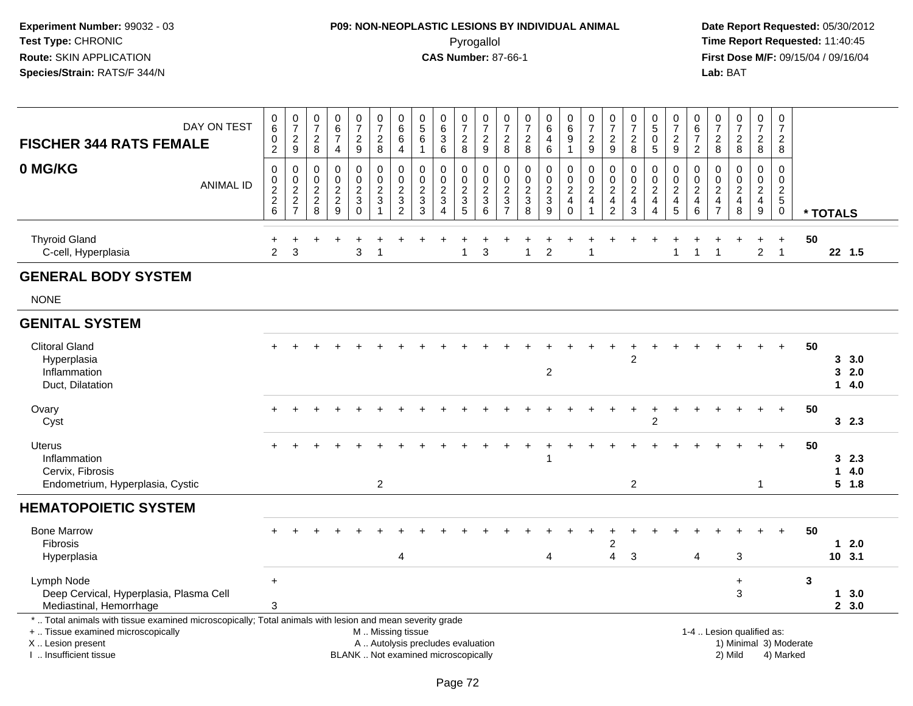# **P09: NON-NEOPLASTIC LESIONS BY INDIVIDUAL ANIMAL**Pyrogallol **Time Report Requested:** 11:40:45

| DAY ON TEST<br><b>FISCHER 344 RATS FEMALE</b>                                                                                                                                                |                  | 0<br>6<br>0<br>$\overline{2}$       | $\frac{0}{7}$<br>$\frac{2}{9}$    | 0<br>$\overline{7}$<br>$\overline{2}$<br>$\bf 8$                  | 0<br>$\,6\,$<br>$\overline{7}$<br>4                           | 0<br>$\overline{7}$<br>$\overline{2}$<br>$\boldsymbol{9}$               | 0<br>$\overline{7}$<br>$\overline{2}$<br>8                                                    | $\pmb{0}$<br>$6\phantom{a}$<br>6<br>$\overline{\mathbf{4}}$ | 0<br>$\sqrt{5}$<br>$\,6\,$<br>-1          | $_{6}^{\rm 0}$<br>$\mathbf{3}$<br>6                                                       | 0<br>$\overline{7}$<br>$\sqrt{2}$<br>8                                  | $\pmb{0}$<br>$\overline{7}$<br>$\sqrt{2}$<br>9                  | 0<br>$\overline{7}$<br>$\overline{c}$<br>8               | 0<br>$\overline{7}$<br>$\overline{c}$<br>8 | $\pmb{0}$<br>$6\overline{6}$<br>4<br>6                     | 0<br>$6\phantom{a}$<br>9<br>$\mathbf{1}$                                     | $\frac{0}{7}$<br>$\overline{2}$<br>9                                         | 0<br>$\overline{7}$<br>$\overline{2}$<br>9                         | $\pmb{0}$<br>$\overline{7}$<br>$\sqrt{2}$<br>8                     | 0<br>$\overline{5}$<br>$\mathbf 0$<br>$\sqrt{5}$             | 0<br>$\overline{7}$<br>$\overline{c}$<br>9                                       | 0<br>6<br>$\overline{7}$<br>$\overline{2}$                | 0<br>$\overline{7}$<br>$\mathbf{2}$<br>8                           | $\begin{array}{c} 0 \\ 7 \end{array}$<br>$\boldsymbol{2}$<br>$\bf 8$         | $\pmb{0}$<br>$\overline{7}$<br>$\overline{2}$<br>$\overline{8}$                    | 0<br>$\overline{7}$<br>$\overline{2}$<br>8                  |                        |              |                        |
|----------------------------------------------------------------------------------------------------------------------------------------------------------------------------------------------|------------------|-------------------------------------|-----------------------------------|-------------------------------------------------------------------|---------------------------------------------------------------|-------------------------------------------------------------------------|-----------------------------------------------------------------------------------------------|-------------------------------------------------------------|-------------------------------------------|-------------------------------------------------------------------------------------------|-------------------------------------------------------------------------|-----------------------------------------------------------------|----------------------------------------------------------|--------------------------------------------|------------------------------------------------------------|------------------------------------------------------------------------------|------------------------------------------------------------------------------|--------------------------------------------------------------------|--------------------------------------------------------------------|--------------------------------------------------------------|----------------------------------------------------------------------------------|-----------------------------------------------------------|--------------------------------------------------------------------|------------------------------------------------------------------------------|------------------------------------------------------------------------------------|-------------------------------------------------------------|------------------------|--------------|------------------------|
| 0 MG/KG                                                                                                                                                                                      | <b>ANIMAL ID</b> | $\mathsf 0$<br>0<br>$\frac{2}{2}$ 6 | $\mathbf 0$<br>$\frac{0}{2}$<br>7 | $\mathbf 0$<br>$\mathbf 0$<br>$\sqrt{2}$<br>$\boldsymbol{2}$<br>8 | $\mathbf 0$<br>$\mathbf 0$<br>$\overline{2}$<br>$\frac{2}{9}$ | $\mathbf 0$<br>0<br>$\sqrt{2}$<br>$\ensuremath{\mathsf{3}}$<br>$\Omega$ | 0<br>$\mathbf 0$<br>$\overline{2}$<br>$\sqrt{3}$<br>1                                         | 0<br>$\pmb{0}$<br>$\overline{2}$<br>$\frac{3}{2}$           | 0<br>0<br>$\sqrt{2}$<br>$\mathbf{3}$<br>3 | $\mathbf 0$<br>$\pmb{0}$<br>$\overline{2}$<br>$\ensuremath{\mathsf{3}}$<br>$\overline{4}$ | 0<br>0<br>$\overline{2}$<br>$\ensuremath{\mathsf{3}}$<br>$\overline{5}$ | $\mathbf 0$<br>$\mathbf 0$<br>$\overline{2}$<br>$\sqrt{3}$<br>6 | 0<br>0<br>$\overline{c}$<br>$\sqrt{3}$<br>$\overline{7}$ | $\pmb{0}$<br>$\mathbf 0$<br>$\frac{2}{3}$  | 0<br>0<br>$\overline{2}$<br>$\mathbf{3}$<br>$\overline{9}$ | 0<br>$\mathbf 0$<br>$\overline{2}$<br>$\overline{\mathbf{4}}$<br>$\mathbf 0$ | $\mathbf 0$<br>$\pmb{0}$<br>$\overline{2}$<br>$\overline{4}$<br>$\mathbf{1}$ | $\mathbf 0$<br>0<br>$\sqrt{2}$<br>$\overline{4}$<br>$\overline{2}$ | 0<br>$\pmb{0}$<br>$\overline{2}$<br>$\overline{4}$<br>$\mathbf{3}$ | 0<br>0<br>$\overline{2}$<br>$\overline{4}$<br>$\overline{4}$ | 0<br>$\mathbf 0$<br>$\overline{2}$<br>$\overline{\mathbf{4}}$<br>$5\overline{)}$ | 0<br>$\mathbf 0$<br>$\overline{c}$<br>$\overline{4}$<br>6 | $\mathbf 0$<br>0<br>$\sqrt{2}$<br>$\overline{4}$<br>$\overline{7}$ | $\mathbf 0$<br>$\mathbf 0$<br>$\overline{2}$<br>$\overline{\mathbf{4}}$<br>8 | $\mathsf 0$<br>$\mathbf 0$<br>$\overline{2}$<br>$\overline{4}$<br>$\boldsymbol{9}$ | $\mathbf 0$<br>$\mathbf 0$<br>$\sqrt{2}$<br>$\sqrt{5}$<br>0 |                        | * TOTALS     |                        |
| <b>Thyroid Gland</b><br>C-cell, Hyperplasia                                                                                                                                                  |                  | $\overline{2}$                      | $\mathbf{3}$                      |                                                                   |                                                               | $\mathbf{3}$                                                            | $\overline{1}$                                                                                |                                                             |                                           |                                                                                           | 1                                                                       | 3                                                               |                                                          | $\mathbf 1$                                | $\overline{1}$<br>$\overline{c}$                           | +                                                                            | 1                                                                            |                                                                    |                                                                    |                                                              | $\overline{1}$                                                                   | $\mathbf{1}$                                              | 1                                                                  |                                                                              | $\ddot{}$<br>$\overline{a}$                                                        | $\ddot{}$<br>$\overline{1}$                                 | 50                     |              | 22 1.5                 |
| <b>GENERAL BODY SYSTEM</b>                                                                                                                                                                   |                  |                                     |                                   |                                                                   |                                                               |                                                                         |                                                                                               |                                                             |                                           |                                                                                           |                                                                         |                                                                 |                                                          |                                            |                                                            |                                                                              |                                                                              |                                                                    |                                                                    |                                                              |                                                                                  |                                                           |                                                                    |                                                                              |                                                                                    |                                                             |                        |              |                        |
| <b>NONE</b>                                                                                                                                                                                  |                  |                                     |                                   |                                                                   |                                                               |                                                                         |                                                                                               |                                                             |                                           |                                                                                           |                                                                         |                                                                 |                                                          |                                            |                                                            |                                                                              |                                                                              |                                                                    |                                                                    |                                                              |                                                                                  |                                                           |                                                                    |                                                                              |                                                                                    |                                                             |                        |              |                        |
| <b>GENITAL SYSTEM</b>                                                                                                                                                                        |                  |                                     |                                   |                                                                   |                                                               |                                                                         |                                                                                               |                                                             |                                           |                                                                                           |                                                                         |                                                                 |                                                          |                                            |                                                            |                                                                              |                                                                              |                                                                    |                                                                    |                                                              |                                                                                  |                                                           |                                                                    |                                                                              |                                                                                    |                                                             |                        |              |                        |
| <b>Clitoral Gland</b><br>Hyperplasia<br>Inflammation<br>Duct, Dilatation                                                                                                                     |                  |                                     |                                   |                                                                   |                                                               |                                                                         |                                                                                               |                                                             |                                           |                                                                                           |                                                                         |                                                                 |                                                          |                                            | $\overline{c}$                                             |                                                                              |                                                                              |                                                                    | 2                                                                  |                                                              |                                                                                  |                                                           |                                                                    |                                                                              |                                                                                    |                                                             | 50                     | 3            | 3, 3.0<br>2.0<br>14.0  |
| Ovary<br>Cyst                                                                                                                                                                                |                  | $+$                                 | $\pm$                             | $\ddot{}$                                                         |                                                               |                                                                         |                                                                                               |                                                             |                                           |                                                                                           |                                                                         |                                                                 |                                                          |                                            |                                                            |                                                                              |                                                                              |                                                                    |                                                                    | $\overline{c}$                                               |                                                                                  |                                                           |                                                                    |                                                                              | $+$                                                                                | $+$                                                         | 50                     |              | 32.3                   |
| Uterus<br>Inflammation<br>Cervix, Fibrosis<br>Endometrium, Hyperplasia, Cystic                                                                                                               |                  |                                     |                                   |                                                                   |                                                               |                                                                         | $\overline{2}$                                                                                |                                                             |                                           |                                                                                           |                                                                         |                                                                 |                                                          |                                            |                                                            |                                                                              |                                                                              |                                                                    | $\overline{c}$                                                     |                                                              |                                                                                  |                                                           |                                                                    |                                                                              | 1                                                                                  | $\ddot{}$                                                   | 50                     | 1            | 32.3<br>4.0<br>$5$ 1.8 |
| <b>HEMATOPOIETIC SYSTEM</b>                                                                                                                                                                  |                  |                                     |                                   |                                                                   |                                                               |                                                                         |                                                                                               |                                                             |                                           |                                                                                           |                                                                         |                                                                 |                                                          |                                            |                                                            |                                                                              |                                                                              |                                                                    |                                                                    |                                                              |                                                                                  |                                                           |                                                                    |                                                                              |                                                                                    |                                                             |                        |              |                        |
| <b>Bone Marrow</b><br>Fibrosis<br>Hyperplasia                                                                                                                                                |                  |                                     |                                   |                                                                   |                                                               |                                                                         |                                                                                               | 4                                                           |                                           |                                                                                           |                                                                         |                                                                 |                                                          |                                            | $\overline{4}$                                             |                                                                              |                                                                              | 2<br>4                                                             | $\ensuremath{\mathsf{3}}$                                          |                                                              |                                                                                  | $\overline{4}$                                            |                                                                    | $\mathbf{3}$                                                                 |                                                                                    | $+$                                                         | 50                     | $\mathbf{1}$ | 2.0<br>10, 3.1         |
| Lymph Node<br>Deep Cervical, Hyperplasia, Plasma Cell<br>Mediastinal, Hemorrhage                                                                                                             |                  | $+$<br>3                            |                                   |                                                                   |                                                               |                                                                         |                                                                                               |                                                             |                                           |                                                                                           |                                                                         |                                                                 |                                                          |                                            |                                                            |                                                                              |                                                                              |                                                                    |                                                                    |                                                              |                                                                                  |                                                           |                                                                    | $\ddot{}$<br>$\mathbf{3}$                                                    |                                                                                    |                                                             | 3                      |              | 13.0<br>2, 3.0         |
| *  Total animals with tissue examined microscopically; Total animals with lesion and mean severity grade<br>+  Tissue examined microscopically<br>X Lesion present<br>I  Insufficient tissue |                  |                                     |                                   |                                                                   |                                                               |                                                                         | M. Missing tissue<br>A  Autolysis precludes evaluation<br>BLANK  Not examined microscopically |                                                             |                                           |                                                                                           |                                                                         |                                                                 |                                                          |                                            |                                                            |                                                                              |                                                                              |                                                                    |                                                                    |                                                              |                                                                                  |                                                           |                                                                    | 1-4  Lesion qualified as:<br>2) Mild                                         |                                                                                    | 4) Marked                                                   | 1) Minimal 3) Moderate |              |                        |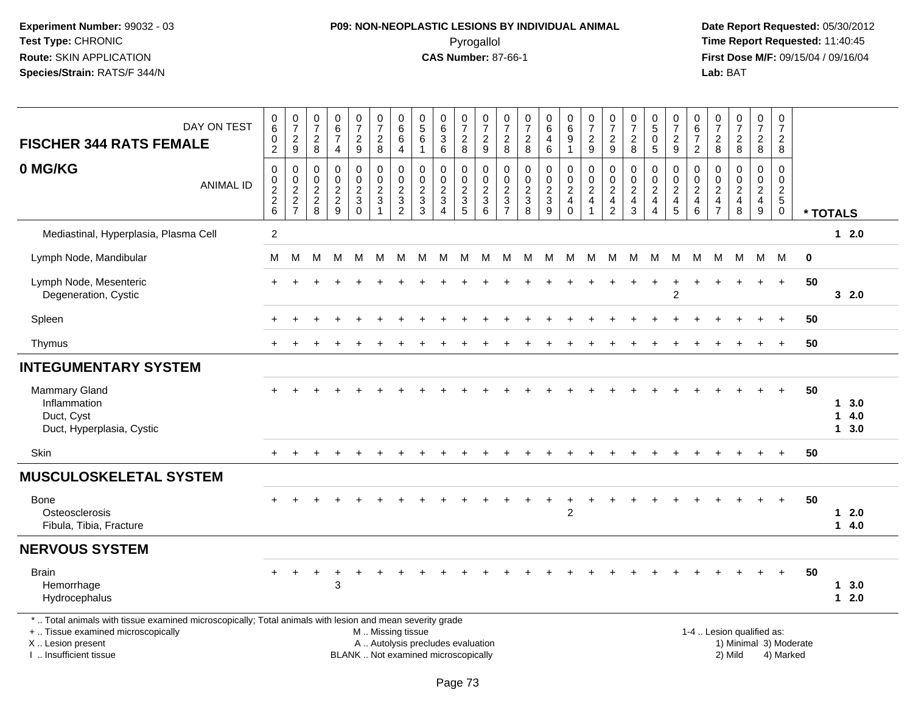# **P09: NON-NEOPLASTIC LESIONS BY INDIVIDUAL ANIMAL**Pyrogallol **Time Report Requested:** 11:40:45

| DAY ON TEST<br><b>FISCHER 344 RATS FEMALE</b>                                                                                                                                                 | $\begin{array}{c} 0 \\ 6 \end{array}$<br>$\pmb{0}$<br>$\overline{2}$ | $\frac{0}{7}$<br>$\overline{c}$<br>$\boldsymbol{9}$                | $\begin{array}{c} 0 \\ 7 \end{array}$<br>$\overline{c}$<br>$\bf 8$       | $\begin{array}{c} 0 \\ 6 \\ 7 \end{array}$<br>4                                  | $\frac{0}{7}$<br>$\overline{a}$<br>9                                                      | $\begin{array}{c} 0 \\ 7 \end{array}$<br>$\overline{c}$<br>8                                  | $\begin{array}{c} 0 \\ 6 \end{array}$<br>$\,6$<br>$\overline{4}$         | $\begin{array}{c} 0 \\ 5 \end{array}$<br>$\,6\,$<br>$\mathbf 1$    | 0<br>$\,6\,$<br>$\sqrt{3}$<br>$\,6\,$                                | $\frac{0}{7}$<br>$\overline{c}$<br>8                              | 0<br>$\overline{7}$<br>$\overline{c}$<br>9 | $\frac{0}{7}$<br>$\overline{c}$<br>8                                  | $\frac{0}{7}$<br>$\overline{c}$<br>8                              | $_{6}^{\rm 0}$<br>$\overline{4}$<br>6                         | $\begin{array}{c} 0 \\ 6 \end{array}$<br>$\boldsymbol{9}$<br>$\overline{1}$     | $\frac{0}{7}$<br>$\frac{2}{9}$                             | $\frac{0}{7}$<br>$\sqrt{2}$<br>9                                                 | $\frac{0}{7}$<br>$\boldsymbol{2}$<br>8                                     | $\begin{array}{c} 0 \\ 5 \end{array}$<br>$\mathbf 0$<br>$\overline{5}$ | 0<br>$\overline{7}$<br>$\boldsymbol{2}$<br>9              | $\begin{matrix} 0 \\ 6 \end{matrix}$<br>$\overline{7}$<br>$\overline{2}$ | $\frac{0}{7}$<br>$\overline{c}$<br>8                                             | $\frac{0}{7}$<br>$\overline{a}$<br>8                               | $\begin{array}{c} 0 \\ 7 \end{array}$<br>$\boldsymbol{2}$<br>8                       | $\mathbf 0$<br>$\overline{7}$<br>$\overline{2}$<br>8                   |                                     |             |                                              |
|-----------------------------------------------------------------------------------------------------------------------------------------------------------------------------------------------|----------------------------------------------------------------------|--------------------------------------------------------------------|--------------------------------------------------------------------------|----------------------------------------------------------------------------------|-------------------------------------------------------------------------------------------|-----------------------------------------------------------------------------------------------|--------------------------------------------------------------------------|--------------------------------------------------------------------|----------------------------------------------------------------------|-------------------------------------------------------------------|--------------------------------------------|-----------------------------------------------------------------------|-------------------------------------------------------------------|---------------------------------------------------------------|---------------------------------------------------------------------------------|------------------------------------------------------------|----------------------------------------------------------------------------------|----------------------------------------------------------------------------|------------------------------------------------------------------------|-----------------------------------------------------------|--------------------------------------------------------------------------|----------------------------------------------------------------------------------|--------------------------------------------------------------------|--------------------------------------------------------------------------------------|------------------------------------------------------------------------|-------------------------------------|-------------|----------------------------------------------|
| 0 MG/KG<br><b>ANIMAL ID</b>                                                                                                                                                                   | $\mathbf 0$<br>$\mathbf 0$<br>$\frac{2}{2}$<br>$6\phantom{1}6$       | 0<br>$\mathbf 0$<br>$\overline{c}$<br>$\sqrt{2}$<br>$\overline{7}$ | $\mathbf 0$<br>$\mathbf 0$<br>$\begin{array}{c} 2 \\ 2 \\ 8 \end{array}$ | $\mathbf 0$<br>$\mathbf 0$<br>$\overline{a}$<br>$\overline{a}$<br>$\overline{9}$ | $\mathbf 0$<br>$\mathsf{O}$<br>$\overline{c}$<br>$\ensuremath{\mathsf{3}}$<br>$\mathbf 0$ | $\mathbf 0$<br>$\pmb{0}$<br>$\boldsymbol{2}$<br>$\mathfrak{Z}$                                | $\mathbf 0$<br>$\mathbf 0$<br>$\begin{array}{c} 2 \\ 3 \\ 2 \end{array}$ | $\mathbf 0$<br>$\mathbf 0$<br>$\boldsymbol{2}$<br>$\mathbf 3$<br>3 | 0<br>$\mathbf 0$<br>$\boldsymbol{2}$<br>$\sqrt{3}$<br>$\overline{4}$ | $\mathbf 0$<br>$\mathbf 0$<br>$\boldsymbol{2}$<br>$\sqrt{3}$<br>5 | 0<br>$\mathbf 0$<br>2<br>3<br>6            | $\mathbf 0$<br>$\mathsf{O}\xspace$<br>$\overline{c}$<br>$\frac{3}{7}$ | $\mathbf 0$<br>$\mathbf 0$<br>$\overline{c}$<br>$\mathbf{3}$<br>8 | $\mathbf 0$<br>$\mathbf 0$<br>$\overline{c}$<br>$\frac{3}{9}$ | $\mathbf 0$<br>$\mathbf 0$<br>$\boldsymbol{2}$<br>$\overline{4}$<br>$\mathbf 0$ | $\mathbf 0$<br>$\mathbf 0$<br>$\sqrt{2}$<br>$\overline{4}$ | $\mathbf 0$<br>$\mathbf 0$<br>$\overline{c}$<br>$\overline{4}$<br>$\overline{2}$ | 0<br>$\mathsf{O}\xspace$<br>$\sqrt{2}$<br>$\overline{4}$<br>$\overline{3}$ | 0<br>$\mathbf 0$<br>$\overline{c}$<br>$\overline{4}$<br>$\overline{4}$ | 0<br>$\mathbf 0$<br>$\overline{c}$<br>$\overline{4}$<br>5 | 0<br>$\mathbf 0$<br>$\boldsymbol{2}$<br>$\overline{4}$<br>6              | $\mathbf 0$<br>$\mathbf 0$<br>$\overline{c}$<br>$\overline{4}$<br>$\overline{7}$ | 0<br>$\mathbf 0$<br>$\overline{a}$<br>$\overline{\mathbf{4}}$<br>8 | $\mathbf 0$<br>$\mathbf 0$<br>$\boldsymbol{2}$<br>$\overline{4}$<br>$\boldsymbol{9}$ | $\Omega$<br>$\mathbf 0$<br>$\overline{2}$<br>$\sqrt{5}$<br>$\mathbf 0$ |                                     | * TOTALS    |                                              |
| Mediastinal, Hyperplasia, Plasma Cell                                                                                                                                                         | $\overline{2}$                                                       |                                                                    |                                                                          |                                                                                  |                                                                                           |                                                                                               |                                                                          |                                                                    |                                                                      |                                                                   |                                            |                                                                       |                                                                   |                                                               |                                                                                 |                                                            |                                                                                  |                                                                            |                                                                        |                                                           |                                                                          |                                                                                  |                                                                    |                                                                                      |                                                                        |                                     |             | $12.0$                                       |
| Lymph Node, Mandibular                                                                                                                                                                        | M                                                                    | M                                                                  | М                                                                        | M                                                                                | M                                                                                         | M                                                                                             | м                                                                        | м                                                                  | M                                                                    | M                                                                 | M                                          | M                                                                     | M                                                                 | M                                                             | M                                                                               | M                                                          | M                                                                                | M                                                                          | M                                                                      | M                                                         | M                                                                        | M                                                                                | M                                                                  | M                                                                                    | M                                                                      |                                     | $\mathbf 0$ |                                              |
| Lymph Node, Mesenteric<br>Degeneration, Cystic                                                                                                                                                |                                                                      |                                                                    |                                                                          |                                                                                  |                                                                                           |                                                                                               |                                                                          |                                                                    |                                                                      |                                                                   |                                            |                                                                       |                                                                   |                                                               |                                                                                 |                                                            |                                                                                  |                                                                            |                                                                        | $\overline{c}$                                            |                                                                          |                                                                                  |                                                                    |                                                                                      | $+$                                                                    |                                     | 50          | 32.0                                         |
| Spleen                                                                                                                                                                                        |                                                                      |                                                                    |                                                                          |                                                                                  |                                                                                           |                                                                                               |                                                                          |                                                                    |                                                                      |                                                                   |                                            |                                                                       |                                                                   |                                                               |                                                                                 |                                                            |                                                                                  |                                                                            |                                                                        |                                                           |                                                                          |                                                                                  |                                                                    |                                                                                      |                                                                        |                                     | 50          |                                              |
| Thymus                                                                                                                                                                                        |                                                                      |                                                                    |                                                                          |                                                                                  |                                                                                           |                                                                                               |                                                                          |                                                                    |                                                                      |                                                                   |                                            |                                                                       |                                                                   |                                                               |                                                                                 |                                                            |                                                                                  |                                                                            |                                                                        |                                                           |                                                                          |                                                                                  |                                                                    |                                                                                      | $\div$                                                                 |                                     | 50          |                                              |
| <b>INTEGUMENTARY SYSTEM</b>                                                                                                                                                                   |                                                                      |                                                                    |                                                                          |                                                                                  |                                                                                           |                                                                                               |                                                                          |                                                                    |                                                                      |                                                                   |                                            |                                                                       |                                                                   |                                                               |                                                                                 |                                                            |                                                                                  |                                                                            |                                                                        |                                                           |                                                                          |                                                                                  |                                                                    |                                                                                      |                                                                        |                                     |             |                                              |
| Mammary Gland<br>Inflammation<br>Duct, Cyst<br>Duct, Hyperplasia, Cystic                                                                                                                      |                                                                      |                                                                    |                                                                          |                                                                                  |                                                                                           |                                                                                               |                                                                          |                                                                    |                                                                      |                                                                   |                                            |                                                                       |                                                                   |                                                               |                                                                                 |                                                            |                                                                                  |                                                                            |                                                                        |                                                           |                                                                          |                                                                                  |                                                                    |                                                                                      |                                                                        |                                     | 50          | $1 \quad 3.0$<br>4.0<br>$\mathbf{1}$<br>13.0 |
| <b>Skin</b>                                                                                                                                                                                   |                                                                      |                                                                    |                                                                          |                                                                                  |                                                                                           |                                                                                               |                                                                          |                                                                    |                                                                      |                                                                   |                                            |                                                                       |                                                                   |                                                               |                                                                                 |                                                            |                                                                                  |                                                                            |                                                                        |                                                           |                                                                          |                                                                                  |                                                                    |                                                                                      |                                                                        |                                     | 50          |                                              |
| <b>MUSCULOSKELETAL SYSTEM</b>                                                                                                                                                                 |                                                                      |                                                                    |                                                                          |                                                                                  |                                                                                           |                                                                                               |                                                                          |                                                                    |                                                                      |                                                                   |                                            |                                                                       |                                                                   |                                                               |                                                                                 |                                                            |                                                                                  |                                                                            |                                                                        |                                                           |                                                                          |                                                                                  |                                                                    |                                                                                      |                                                                        |                                     |             |                                              |
| <b>Bone</b><br>Osteosclerosis<br>Fibula, Tibia, Fracture                                                                                                                                      |                                                                      |                                                                    |                                                                          |                                                                                  |                                                                                           |                                                                                               |                                                                          |                                                                    |                                                                      |                                                                   |                                            |                                                                       | $\ddot{}$                                                         | $\ddot{}$                                                     | $\ddot{}$<br>$\overline{2}$                                                     | $\div$                                                     |                                                                                  |                                                                            |                                                                        |                                                           |                                                                          |                                                                                  |                                                                    |                                                                                      | $\ddot{}$                                                              |                                     | 50          | $12.0$<br>$1 \quad 4.0$                      |
| <b>NERVOUS SYSTEM</b>                                                                                                                                                                         |                                                                      |                                                                    |                                                                          |                                                                                  |                                                                                           |                                                                                               |                                                                          |                                                                    |                                                                      |                                                                   |                                            |                                                                       |                                                                   |                                                               |                                                                                 |                                                            |                                                                                  |                                                                            |                                                                        |                                                           |                                                                          |                                                                                  |                                                                    |                                                                                      |                                                                        |                                     |             |                                              |
| <b>Brain</b><br>Hemorrhage<br>Hydrocephalus                                                                                                                                                   |                                                                      |                                                                    |                                                                          | 3                                                                                |                                                                                           |                                                                                               |                                                                          |                                                                    |                                                                      |                                                                   |                                            |                                                                       |                                                                   |                                                               |                                                                                 |                                                            |                                                                                  |                                                                            |                                                                        |                                                           |                                                                          |                                                                                  |                                                                    |                                                                                      |                                                                        |                                     | 50          | $1 \quad 3.0$<br>$12.0$                      |
| *  Total animals with tissue examined microscopically; Total animals with lesion and mean severity grade<br>+  Tissue examined microscopically<br>X  Lesion present<br>I. Insufficient tissue |                                                                      |                                                                    |                                                                          |                                                                                  |                                                                                           | M  Missing tissue<br>A  Autolysis precludes evaluation<br>BLANK  Not examined microscopically |                                                                          |                                                                    |                                                                      |                                                                   |                                            |                                                                       |                                                                   |                                                               |                                                                                 |                                                            |                                                                                  |                                                                            |                                                                        |                                                           |                                                                          | 1-4  Lesion qualified as:                                                        | 2) Mild                                                            |                                                                                      |                                                                        | 1) Minimal 3) Moderate<br>4) Marked |             |                                              |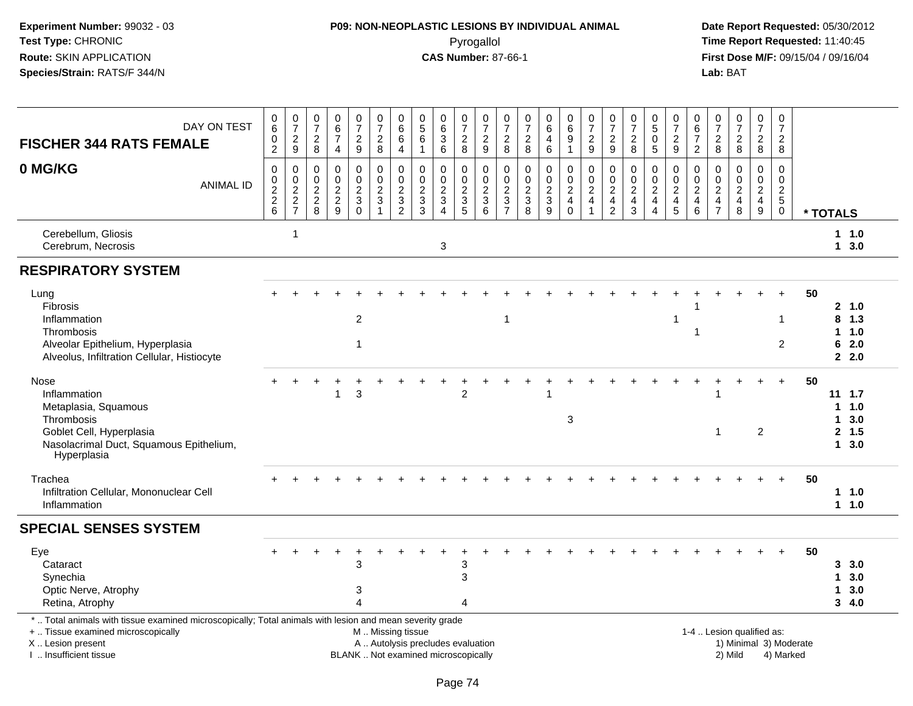# **P09: NON-NEOPLASTIC LESIONS BY INDIVIDUAL ANIMAL**Pyrogallol **Time Report Requested:** 11:40:45

| DAY ON TEST<br><b>FISCHER 344 RATS FEMALE</b>                                                                                                                                                 | $\begin{matrix} 0 \\ 6 \end{matrix}$<br>$\pmb{0}$<br>$\overline{2}$ | $\frac{0}{7}$<br>$\sqrt{2}$<br>9                      | 0<br>$\overline{7}$<br>$\overline{c}$<br>8                       | 0<br>6<br>$\overline{7}$<br>$\overline{4}$                      | $\frac{0}{7}$<br>$\frac{2}{9}$                | $\frac{0}{7}$<br>$\overline{2}$<br>8                               | $\begin{array}{c} 0 \\ 6 \end{array}$<br>$\,6$<br>$\overline{4}$ | $\begin{array}{c} 0 \\ 5 \end{array}$<br>$\,6\,$<br>$\overline{1}$         | $\begin{matrix} 0 \\ 6 \end{matrix}$<br>$\sqrt{3}$<br>6                    | $\frac{0}{7}$<br>$\sqrt{2}$<br>8                               | $\frac{0}{7}$<br>$\sqrt{2}$<br>9                            | 0<br>$\overline{7}$<br>$\overline{\mathbf{c}}$<br>8                         | $\frac{0}{7}$<br>$\sqrt{2}$<br>8          | $\begin{matrix} 0 \\ 6 \end{matrix}$<br>$\overline{4}$<br>6        | $\begin{array}{c} 0 \\ 6 \end{array}$<br>$\overline{9}$<br>$\mathbf{1}$ | $\frac{0}{7}$<br>$\frac{2}{9}$                                           | $\frac{0}{7}$<br>$\overline{c}$<br>9                                          | $\frac{0}{7}$<br>$\sqrt{2}$<br>8                                             | $^{\rm 0}_{\rm 5}$<br>$\pmb{0}$<br>5   | $\frac{0}{7}$<br>$\frac{2}{9}$            | 0<br>6<br>$\overline{7}$<br>$\overline{2}$ | $\frac{0}{7}$<br>$_{\rm 2}^2$                                 | $\frac{0}{7}$<br>$\frac{2}{8}$                 | $\frac{0}{7}$<br>$\frac{2}{8}$                   | 0<br>$\overline{7}$<br>$\overline{c}$<br>8                                     |          |                                   |                                               |
|-----------------------------------------------------------------------------------------------------------------------------------------------------------------------------------------------|---------------------------------------------------------------------|-------------------------------------------------------|------------------------------------------------------------------|-----------------------------------------------------------------|-----------------------------------------------|--------------------------------------------------------------------|------------------------------------------------------------------|----------------------------------------------------------------------------|----------------------------------------------------------------------------|----------------------------------------------------------------|-------------------------------------------------------------|-----------------------------------------------------------------------------|-------------------------------------------|--------------------------------------------------------------------|-------------------------------------------------------------------------|--------------------------------------------------------------------------|-------------------------------------------------------------------------------|------------------------------------------------------------------------------|----------------------------------------|-------------------------------------------|--------------------------------------------|---------------------------------------------------------------|------------------------------------------------|--------------------------------------------------|--------------------------------------------------------------------------------|----------|-----------------------------------|-----------------------------------------------|
| 0 MG/KG<br><b>ANIMAL ID</b>                                                                                                                                                                   | $\mathbf 0$<br>$\boldsymbol{0}$<br>$\frac{2}{2}$ 6                  | 0<br>$\mathbf 0$<br>$\boldsymbol{2}$<br>$\frac{2}{7}$ | $\mathbf 0$<br>$\overline{0}$<br>$\overline{c}$<br>$\frac{2}{8}$ | $\mathbf 0$<br>$\mathbf 0$<br>$\boldsymbol{2}$<br>$\frac{2}{9}$ | 0<br>$\mathbf 0$<br>$\frac{2}{3}$<br>$\Omega$ | $\mathbf 0$<br>$\mathbf 0$<br>$\overline{c}$<br>$\mathbf{3}$<br>-1 | $\mathbf 0$<br>$\pmb{0}$<br>$\sqrt{2}$<br>$\frac{3}{2}$          | $\mathbf 0$<br>$\mathbf 0$<br>$\sqrt{2}$<br>$\mathbf{3}$<br>$\overline{3}$ | $\mathbf 0$<br>$\mathbf 0$<br>$\sqrt{2}$<br>$\mathbf{3}$<br>$\overline{4}$ | 0<br>$\mathbf 0$<br>$\sqrt{2}$<br>$\sqrt{3}$<br>$\overline{5}$ | $\mathbf 0$<br>$\mathbf 0$<br>$\sqrt{2}$<br>$\sqrt{3}$<br>6 | $\mathbf 0$<br>$\Omega$<br>$\boldsymbol{2}$<br>$\sqrt{3}$<br>$\overline{7}$ | $\mathbf 0$<br>$\pmb{0}$<br>$\frac{2}{3}$ | 0<br>$\pmb{0}$<br>$\overline{2}$<br>$\mathbf{3}$<br>$\overline{9}$ | 0<br>$\mathbf{0}$<br>$\overline{a}$<br>$\overline{4}$<br>$\mathbf 0$    | $\mathbf 0$<br>$\pmb{0}$<br>$\sqrt{2}$<br>$\overline{4}$<br>$\mathbf{1}$ | $\mathbf 0$<br>$\Omega$<br>$\overline{c}$<br>$\overline{4}$<br>$\overline{2}$ | $\mathbf 0$<br>$\mathbf 0$<br>$\sqrt{2}$<br>$\overline{4}$<br>$\overline{3}$ | 0<br>$\mathbf 0$<br>$\frac{2}{4}$<br>4 | $\pmb{0}$<br>$\mathbf 0$<br>$\frac{2}{4}$ | 0<br>$\Omega$<br>$\overline{c}$<br>4<br>6  | $\mathbf 0$<br>$\mathbf 0$<br>$\frac{2}{4}$<br>$\overline{7}$ | $\pmb{0}$<br>$\mathbf 0$<br>$\frac{2}{4}$<br>8 | 0<br>$\mathbf 0$<br>$\frac{2}{4}$<br>$\mathsf g$ | $\mathbf 0$<br>$\mathbf 0$<br>$\overline{c}$<br>$5\phantom{.0}$<br>$\mathbf 0$ | * TOTALS |                                   |                                               |
| Cerebellum, Gliosis<br>Cerebrum, Necrosis                                                                                                                                                     |                                                                     | $\overline{\mathbf{1}}$                               |                                                                  |                                                                 |                                               |                                                                    |                                                                  |                                                                            | 3                                                                          |                                                                |                                                             |                                                                             |                                           |                                                                    |                                                                         |                                                                          |                                                                               |                                                                              |                                        |                                           |                                            |                                                               |                                                |                                                  |                                                                                |          |                                   | 1 1.0<br>13.0                                 |
| <b>RESPIRATORY SYSTEM</b>                                                                                                                                                                     |                                                                     |                                                       |                                                                  |                                                                 |                                               |                                                                    |                                                                  |                                                                            |                                                                            |                                                                |                                                             |                                                                             |                                           |                                                                    |                                                                         |                                                                          |                                                                               |                                                                              |                                        |                                           |                                            |                                                               |                                                |                                                  |                                                                                |          |                                   |                                               |
| Lung<br><b>Fibrosis</b><br>Inflammation<br>Thrombosis<br>Alveolar Epithelium, Hyperplasia<br>Alveolus, Infiltration Cellular, Histiocyte                                                      |                                                                     |                                                       |                                                                  |                                                                 | $\overline{2}$<br>1                           |                                                                    |                                                                  |                                                                            |                                                                            |                                                                |                                                             | $\mathbf{1}$                                                                |                                           |                                                                    |                                                                         |                                                                          |                                                                               |                                                                              |                                        | 1                                         | -1                                         |                                                               |                                                |                                                  | $\mathbf{1}$<br>$\overline{2}$                                                 | 50       | 8<br>$\mathbf{1}$<br>6            | 2, 1.0<br>1.3<br>1.0<br>2.0<br>2.0            |
| Nose<br>Inflammation<br>Metaplasia, Squamous<br>Thrombosis<br>Goblet Cell, Hyperplasia<br>Nasolacrimal Duct, Squamous Epithelium,<br>Hyperplasia                                              |                                                                     |                                                       |                                                                  |                                                                 | 3                                             |                                                                    |                                                                  |                                                                            |                                                                            | $\overline{2}$                                                 |                                                             |                                                                             |                                           |                                                                    | 3                                                                       |                                                                          |                                                                               |                                                                              |                                        |                                           |                                            | 1                                                             |                                                | $\overline{c}$                                   | $\ddot{}$                                                                      | 50       | $\mathbf 1$<br>1.<br>$\mathbf{1}$ | $11 \quad 1.7$<br>1.0<br>3.0<br>2, 1.5<br>3.0 |
| Trachea<br>Infiltration Cellular, Mononuclear Cell<br>Inflammation                                                                                                                            |                                                                     |                                                       |                                                                  |                                                                 |                                               |                                                                    |                                                                  |                                                                            |                                                                            |                                                                |                                                             |                                                                             |                                           |                                                                    |                                                                         |                                                                          |                                                                               |                                                                              |                                        |                                           |                                            |                                                               |                                                |                                                  |                                                                                | 50       |                                   | $1 \t1.0$<br>1 1.0                            |
| <b>SPECIAL SENSES SYSTEM</b>                                                                                                                                                                  |                                                                     |                                                       |                                                                  |                                                                 |                                               |                                                                    |                                                                  |                                                                            |                                                                            |                                                                |                                                             |                                                                             |                                           |                                                                    |                                                                         |                                                                          |                                                                               |                                                                              |                                        |                                           |                                            |                                                               |                                                |                                                  |                                                                                |          |                                   |                                               |
| Eye<br>Cataract<br>Synechia<br>Optic Nerve, Atrophy<br>Retina, Atrophy                                                                                                                        |                                                                     |                                                       |                                                                  |                                                                 | 3<br>3<br>$\boldsymbol{\Lambda}$              |                                                                    |                                                                  |                                                                            |                                                                            | 3<br>3<br>4                                                    |                                                             |                                                                             |                                           |                                                                    |                                                                         |                                                                          |                                                                               |                                                                              |                                        |                                           |                                            |                                                               |                                                |                                                  |                                                                                | 50       | 1<br>1                            | 3, 3.0<br>3.0<br>3.0<br>3, 4.0                |
| *  Total animals with tissue examined microscopically; Total animals with lesion and mean severity grade<br>+  Tissue examined microscopically<br>X  Lesion present<br>I  Insufficient tissue |                                                                     |                                                       |                                                                  |                                                                 | BLANK  Not examined microscopically           | M  Missing tissue                                                  |                                                                  | A  Autolysis precludes evaluation                                          |                                                                            |                                                                |                                                             |                                                                             |                                           |                                                                    |                                                                         |                                                                          |                                                                               |                                                                              |                                        |                                           |                                            |                                                               | 1-4  Lesion qualified as:<br>2) Mild           |                                                  | 1) Minimal 3) Moderate<br>4) Marked                                            |          |                                   |                                               |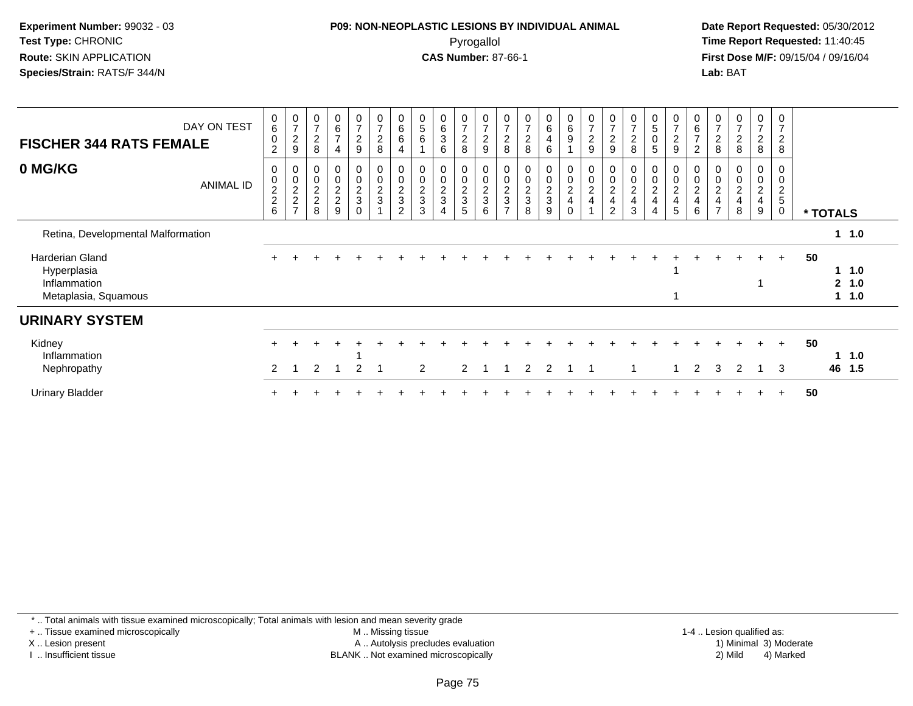## **P09: NON-NEOPLASTIC LESIONS BY INDIVIDUAL ANIMAL**Pyrogallol **Time Report Requested:** 11:40:45

 **Date Report Requested:** 05/30/2012 **First Dose M/F:** 09/15/04 / 09/16/04 Lab: BAT **Lab:** BAT

| <b>FISCHER 344 RATS FEMALE</b>                                                | DAY ON TEST | $\begin{array}{c} 0 \\ 6 \end{array}$<br>$\pmb{0}$<br>$\overline{c}$ | $\frac{0}{7}$<br>$\overline{c}$<br>$\boldsymbol{9}$ | $\frac{0}{7}$<br>$\overline{2}$<br>8                | $\,6$<br>$\overline{7}$<br>$\overline{4}$                     | $\frac{0}{7}$<br>$\overline{a}$<br>9   | $\frac{0}{7}$<br>$\frac{2}{8}$  | $_{6}^{\rm 0}$<br>$\,6$<br>$\overline{4}$         | $\begin{array}{c} 0 \\ 5 \end{array}$<br>$\,6\,$ | 0<br>$\,6\,$<br>$\ensuremath{\mathsf{3}}$<br>6    | $\frac{0}{7}$<br>$\overline{c}$<br>8 | $\overline{7}$<br>$\overline{c}$<br>$\boldsymbol{9}$ | $\frac{0}{7}$<br>$\overline{c}$<br>8 | $\overline{7}$<br>$\mathbf 2$<br>8 | 0<br>$\,6\,$<br>4<br>6       | $\begin{array}{c} 0 \\ 6 \end{array}$<br>$\boldsymbol{9}$ | $\frac{0}{7}$<br>$\boldsymbol{2}$<br>$\boldsymbol{9}$             | 0<br>$\overline{7}$<br>$\overline{2}$<br>9              | 7<br>$\overline{\mathbf{c}}$<br>8      | 0<br>5<br>0<br>5              | 0<br>$\overline{7}$<br>$\overline{c}$<br>9 | $\begin{matrix} 0 \\ 6 \end{matrix}$<br>$\overline{ }$<br>$\boldsymbol{2}$ | 0<br>$\overline{z}$<br>$\frac{2}{8}$                                   | $\boldsymbol{0}$<br>$\overline{7}$<br>$\frac{2}{8}$ | $\overline{0}$<br>$\overline{7}$<br>$\frac{2}{8}$ | 0<br>7<br>$\overline{c}$<br>8 |    |              |                           |  |
|-------------------------------------------------------------------------------|-------------|----------------------------------------------------------------------|-----------------------------------------------------|-----------------------------------------------------|---------------------------------------------------------------|----------------------------------------|---------------------------------|---------------------------------------------------|--------------------------------------------------|---------------------------------------------------|--------------------------------------|------------------------------------------------------|--------------------------------------|------------------------------------|------------------------------|-----------------------------------------------------------|-------------------------------------------------------------------|---------------------------------------------------------|----------------------------------------|-------------------------------|--------------------------------------------|----------------------------------------------------------------------------|------------------------------------------------------------------------|-----------------------------------------------------|---------------------------------------------------|-------------------------------|----|--------------|---------------------------|--|
| 0 MG/KG                                                                       | ANIMAL ID   | 0<br>$\mathbf 0$<br>$\frac{2}{2}$ 6                                  | 0<br>$\,0\,$<br>$\frac{2}{2}$<br>$\overline{ }$     | 0<br>$\pmb{0}$<br>$\overline{2}$<br>$\sqrt{2}$<br>8 | 0<br>$\mathbf 0$<br>$\boldsymbol{2}$<br>$\boldsymbol{2}$<br>9 | 0<br>0<br>$\frac{2}{3}$<br>$\mathbf 0$ | 0<br>$\pmb{0}$<br>$\frac{2}{3}$ | 0<br>$\pmb{0}$<br>$\frac{2}{3}$<br>$\overline{2}$ | $\pmb{0}$<br>$\pmb{0}$<br>$\frac{2}{3}$<br>3     | 0<br>$\pmb{0}$<br>$\sqrt{2}$<br>$\mathbf{3}$<br>4 | 0<br>$\pmb{0}$<br>$\frac{2}{3}$<br>5 | $\mathbf 0$<br>$\boldsymbol{2}$<br>3<br>6            | $\pmb{0}$<br>$\frac{2}{3}$           | $\,0\,$<br>$\frac{2}{3}$<br>8      | 0<br>0<br>$\frac{2}{3}$<br>9 | 0<br>$\mathbf 0$<br>$\frac{2}{4}$<br>$\mathbf 0$          | $\pmb{0}$<br>$\boldsymbol{0}$<br>$\overline{c}$<br>$\overline{4}$ | 0<br>$\pmb{0}$<br>$\overline{2}$<br>$\overline{4}$<br>2 | 0<br>$\pmb{0}$<br>$\sqrt{2}$<br>4<br>3 | 0<br>0<br>$\overline{c}$<br>4 | 0<br>0<br>$\frac{2}{4}$<br>5               | $\pmb{0}$<br>$\sqrt{2}$<br>4<br>6                                          | 0<br>$\pmb{0}$<br>$\boldsymbol{2}$<br>$\overline{4}$<br>$\overline{ }$ | 0<br>$\pmb{0}$<br>$\overline{c}$<br>4<br>8          | 0<br>$\pmb{0}$<br>$\overline{c}$<br>4<br>9        | 0<br>$\overline{c}$<br>5<br>0 |    | * TOTALS     |                           |  |
| Retina, Developmental Malformation                                            |             |                                                                      |                                                     |                                                     |                                                               |                                        |                                 |                                                   |                                                  |                                                   |                                      |                                                      |                                      |                                    |                              |                                                           |                                                                   |                                                         |                                        |                               |                                            |                                                                            |                                                                        |                                                     |                                                   |                               |    |              | $1 \t1.0$                 |  |
| <b>Harderian Gland</b><br>Hyperplasia<br>Inflammation<br>Metaplasia, Squamous |             |                                                                      |                                                     |                                                     |                                                               |                                        |                                 |                                                   |                                                  |                                                   |                                      |                                                      |                                      |                                    |                              |                                                           |                                                                   |                                                         |                                        |                               |                                            |                                                                            |                                                                        |                                                     | $\ddot{}$                                         | $+$                           | 50 | $\mathbf{2}$ | $1 \t1.0$<br>1.0<br>1 1.0 |  |
| <b>URINARY SYSTEM</b>                                                         |             |                                                                      |                                                     |                                                     |                                                               |                                        |                                 |                                                   |                                                  |                                                   |                                      |                                                      |                                      |                                    |                              |                                                           |                                                                   |                                                         |                                        |                               |                                            |                                                                            |                                                                        |                                                     |                                                   |                               |    |              |                           |  |
| Kidney<br>Inflammation<br>Nephropathy                                         |             | 2                                                                    |                                                     | $\overline{2}$                                      |                                                               | $\overline{2}$                         |                                 |                                                   | 2                                                |                                                   | $\overline{2}$                       |                                                      |                                      | $\mathcal{P}$                      | $\overline{2}$               |                                                           | -1                                                                |                                                         | 1                                      |                               |                                            | 2                                                                          | 3                                                                      | 2                                                   | $\div$<br>-1                                      | $+$<br>3                      | 50 | 1<br>46      | 1.0<br>1.5                |  |
| <b>Urinary Bladder</b>                                                        |             |                                                                      |                                                     |                                                     |                                                               |                                        |                                 |                                                   |                                                  |                                                   |                                      |                                                      |                                      |                                    |                              |                                                           |                                                                   |                                                         |                                        |                               |                                            |                                                                            |                                                                        |                                                     |                                                   | $\ddot{}$                     | 50 |              |                           |  |

\* .. Total animals with tissue examined microscopically; Total animals with lesion and mean severity grade

+ .. Tissue examined microscopically

X .. Lesion present

I .. Insufficient tissue

 M .. Missing tissueA .. Autolysis precludes evaluation

 1-4 .. Lesion qualified as: BLANK .. Not examined microscopically 2) Mild 4) Marked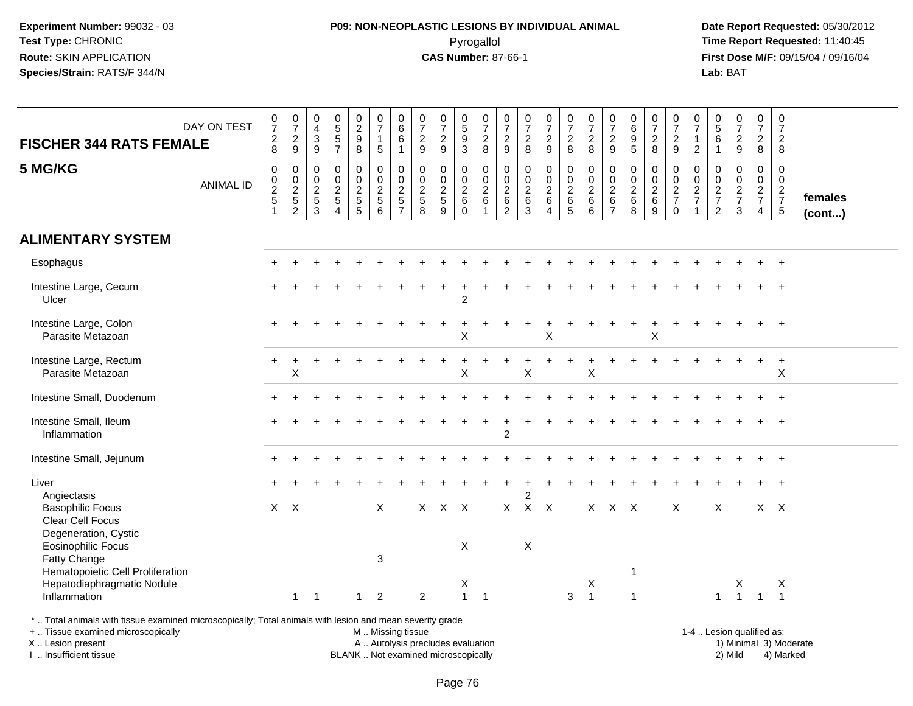#### **P09: NON-NEOPLASTIC LESIONS BY INDIVIDUAL ANIMAL**Pyrogallol **Time Report Requested:** 11:40:45

 **Date Report Requested:** 05/30/2012 **First Dose M/F:** 09/15/04 / 09/16/04 Lab: BAT **Lab:** BAT

| <b>FISCHER 344 RATS FEMALE</b>                                                                   | DAY ON TEST      | $\begin{array}{c} 0 \\ 7 \end{array}$<br>$_{8}^2$ | $\frac{0}{7}$<br>$\frac{2}{9}$                  | 0<br>$\overline{4}$<br>$\mathbf{3}$<br>9                    | $\begin{array}{c} 0 \\ 5 \end{array}$<br>$5\,$<br>$\overline{7}$                         | $\begin{array}{c} 0 \\ 2 \\ 9 \end{array}$<br>$\overline{8}$ | $\begin{smallmatrix}0\\7\end{smallmatrix}$<br>$\mathbf{1}$<br>$5\phantom{.0}$ | $\begin{array}{c} 0 \\ 6 \end{array}$<br>$\,6\,$<br>$\mathbf{1}$      | $\frac{0}{7}$<br>$\frac{2}{9}$  | $\begin{array}{c} 0 \\ 7 \end{array}$<br>$\frac{2}{9}$                             | $\begin{array}{c} 0 \\ 5 \end{array}$<br>$\overline{9}$<br>$\overline{3}$ | $\frac{0}{7}$<br>$\frac{2}{8}$                 | $\frac{0}{7}$<br>$\frac{2}{9}$                                         | $\frac{0}{7}$<br>$\frac{2}{8}$                           | $\begin{smallmatrix}0\\7\end{smallmatrix}$<br>$\frac{2}{9}$ | $\frac{0}{7}$<br>$_{\rm 8}^2$      | $\frac{0}{7}$<br>$\frac{2}{8}$                                              | $\frac{0}{7}$<br>$\overline{2}$<br>9                            | $\begin{array}{c} 0 \\ 6 \end{array}$<br>$\boldsymbol{9}$<br>$\overline{5}$ | $\frac{0}{7}$<br>$^2_8$                                | $\frac{0}{7}$<br>$\frac{2}{9}$                                             | 0<br>$\overline{7}$<br>$\mathbf{1}$<br>$\overline{2}$                       | $\begin{array}{c} 0 \\ 5 \end{array}$<br>$6\phantom{1}6$<br>$\mathbf{1}$ | $\frac{0}{7}$<br>$\frac{2}{9}$                        | $\frac{0}{7}$<br>$\frac{2}{8}$                                 | $\mathbf 0$<br>$\overline{7}$<br>$\frac{2}{8}$               |                         |
|--------------------------------------------------------------------------------------------------|------------------|---------------------------------------------------|-------------------------------------------------|-------------------------------------------------------------|------------------------------------------------------------------------------------------|--------------------------------------------------------------|-------------------------------------------------------------------------------|-----------------------------------------------------------------------|---------------------------------|------------------------------------------------------------------------------------|---------------------------------------------------------------------------|------------------------------------------------|------------------------------------------------------------------------|----------------------------------------------------------|-------------------------------------------------------------|------------------------------------|-----------------------------------------------------------------------------|-----------------------------------------------------------------|-----------------------------------------------------------------------------|--------------------------------------------------------|----------------------------------------------------------------------------|-----------------------------------------------------------------------------|--------------------------------------------------------------------------|-------------------------------------------------------|----------------------------------------------------------------|--------------------------------------------------------------|-------------------------|
| 5 MG/KG                                                                                          | <b>ANIMAL ID</b> | $\mathbf 0$<br>$\pmb{0}$<br>$\frac{2}{5}$         | $\mathsf{O}$<br>$\frac{0}{2}$<br>$\overline{2}$ | $\mathbf 0$<br>$\mathbf 0$<br>$\sqrt{2}$<br>$\sqrt{5}$<br>3 | $\pmb{0}$<br>$\boldsymbol{0}$<br>$\overline{c}$<br>$\,$ 5 $\,$<br>$\boldsymbol{\Lambda}$ | $\mathsf{O}$<br>$\frac{0}{2}$<br>5                           | $\pmb{0}$<br>$\frac{0}{2}$<br>6                                               | $\mathsf{O}\xspace$<br>$_{2}^{\rm 0}$<br>$\sqrt{5}$<br>$\overline{7}$ | $\pmb{0}$<br>$\frac{0}{2}$<br>8 | $\mathbf 0$<br>$\begin{smallmatrix} 0\\2 \end{smallmatrix}$<br>$\overline{5}$<br>9 | $\mathsf{O}$<br>$\mathbf 0$<br>$\sqrt{2}$<br>$\,6\,$<br>$\Omega$          | $\mathbf 0$<br>$\frac{0}{2}$ 6<br>$\mathbf{1}$ | $\pmb{0}$<br>$\boldsymbol{0}$<br>$\overline{c}$<br>6<br>$\overline{2}$ | $\mathbf 0$<br>$\pmb{0}$<br>$\overline{c}$<br>$\,6$<br>3 | $\mathsf 0$<br>$\frac{0}{2}$ 6<br>$\overline{4}$            | 0<br>$\frac{0}{2}$<br>$\,6\,$<br>5 | $\mathbf 0$<br>$\begin{smallmatrix} 0\\2 \end{smallmatrix}$<br>$\,6\,$<br>6 | $\mathbf 0$<br>$\mathbf 0$<br>$\sqrt{2}$<br>6<br>$\overline{7}$ | $\mathbf 0$<br>$_{2}^{\rm 0}$<br>$\,6$<br>8                                 | $\mathsf{O}\xspace$<br>$\pmb{0}$<br>$\frac{2}{6}$<br>9 | $\mathbf 0$<br>$\mathbf 0$<br>$\sqrt{2}$<br>$\overline{7}$<br>$\mathbf{0}$ | $\mathbf 0$<br>$\begin{array}{c} 0 \\ 2 \\ 7 \end{array}$<br>$\overline{1}$ | $\mathbf 0$<br>$\boldsymbol{0}$<br>$\frac{2}{7}$<br>$\overline{2}$       | $\mathbf 0$<br>$\boldsymbol{0}$<br>$\frac{2}{7}$<br>3 | $\mathsf{O}$<br>$\mathbf 0$<br>$\frac{2}{7}$<br>$\overline{4}$ | $\mathbf 0$<br>$\mathbf 0$<br>$rac{2}{7}$<br>$5\phantom{.0}$ | females<br>$($ cont $)$ |
| <b>ALIMENTARY SYSTEM</b>                                                                         |                  |                                                   |                                                 |                                                             |                                                                                          |                                                              |                                                                               |                                                                       |                                 |                                                                                    |                                                                           |                                                |                                                                        |                                                          |                                                             |                                    |                                                                             |                                                                 |                                                                             |                                                        |                                                                            |                                                                             |                                                                          |                                                       |                                                                |                                                              |                         |
| Esophagus                                                                                        |                  |                                                   |                                                 |                                                             |                                                                                          |                                                              |                                                                               |                                                                       |                                 |                                                                                    |                                                                           |                                                |                                                                        |                                                          |                                                             |                                    |                                                                             |                                                                 |                                                                             |                                                        |                                                                            |                                                                             |                                                                          |                                                       |                                                                |                                                              |                         |
| Intestine Large, Cecum<br>Ulcer                                                                  |                  |                                                   |                                                 |                                                             |                                                                                          |                                                              |                                                                               |                                                                       |                                 |                                                                                    | $\overline{c}$                                                            |                                                |                                                                        |                                                          |                                                             |                                    |                                                                             |                                                                 |                                                                             |                                                        |                                                                            |                                                                             |                                                                          |                                                       |                                                                |                                                              |                         |
| Intestine Large, Colon<br>Parasite Metazoan                                                      |                  |                                                   |                                                 |                                                             |                                                                                          |                                                              |                                                                               |                                                                       |                                 |                                                                                    | X                                                                         |                                                |                                                                        |                                                          | X                                                           |                                    |                                                                             |                                                                 |                                                                             | X                                                      |                                                                            |                                                                             |                                                                          |                                                       |                                                                | $+$                                                          |                         |
| Intestine Large, Rectum<br>Parasite Metazoan                                                     |                  | $\ddot{}$                                         | $\sf X$                                         |                                                             |                                                                                          |                                                              |                                                                               |                                                                       |                                 |                                                                                    | X                                                                         |                                                |                                                                        | $\sf X$                                                  |                                                             |                                    | $\sf X$                                                                     |                                                                 |                                                                             |                                                        |                                                                            |                                                                             |                                                                          |                                                       | $\ddot{}$                                                      | $+$<br>$\pmb{\times}$                                        |                         |
| Intestine Small, Duodenum                                                                        |                  |                                                   |                                                 |                                                             |                                                                                          |                                                              |                                                                               |                                                                       |                                 |                                                                                    |                                                                           |                                                |                                                                        |                                                          |                                                             |                                    |                                                                             |                                                                 |                                                                             |                                                        |                                                                            |                                                                             |                                                                          |                                                       |                                                                | $\ddot{}$                                                    |                         |
| Intestine Small, Ileum<br>Inflammation                                                           |                  |                                                   |                                                 |                                                             |                                                                                          |                                                              |                                                                               |                                                                       |                                 |                                                                                    |                                                                           |                                                | $\overline{c}$                                                         |                                                          |                                                             |                                    |                                                                             |                                                                 |                                                                             |                                                        |                                                                            |                                                                             |                                                                          |                                                       |                                                                |                                                              |                         |
| Intestine Small, Jejunum                                                                         |                  |                                                   |                                                 |                                                             |                                                                                          |                                                              |                                                                               |                                                                       |                                 |                                                                                    |                                                                           |                                                |                                                                        |                                                          |                                                             |                                    |                                                                             |                                                                 |                                                                             |                                                        |                                                                            |                                                                             |                                                                          |                                                       |                                                                | $\overline{+}$                                               |                         |
| Liver<br>Angiectasis                                                                             |                  |                                                   |                                                 |                                                             |                                                                                          |                                                              |                                                                               |                                                                       |                                 |                                                                                    |                                                                           |                                                |                                                                        | $\overline{c}$                                           |                                                             |                                    |                                                                             |                                                                 |                                                                             |                                                        |                                                                            |                                                                             |                                                                          |                                                       |                                                                |                                                              |                         |
| <b>Basophilic Focus</b><br>Clear Cell Focus<br>Degeneration, Cystic<br><b>Eosinophilic Focus</b> |                  |                                                   | $X$ $X$                                         |                                                             |                                                                                          |                                                              | X                                                                             |                                                                       | X                               | $X$ $X$                                                                            | X                                                                         |                                                | X                                                                      | $\times$                                                 | $X$ $X$                                                     |                                    |                                                                             | X X X                                                           |                                                                             |                                                        | X                                                                          |                                                                             | X                                                                        |                                                       |                                                                | $X$ $X$                                                      |                         |
| Fatty Change<br>Hematopoietic Cell Proliferation<br>Hepatodiaphragmatic Nodule<br>Inflammation   |                  |                                                   | $\mathbf{1}$                                    | $\overline{1}$                                              |                                                                                          | $\mathbf{1}$                                                 | 3<br>$\overline{2}$                                                           |                                                                       | $\overline{c}$                  |                                                                                    | X<br>$\mathbf{1}$                                                         | $\overline{1}$                                 |                                                                        |                                                          |                                                             | 3                                  | X<br>$\overline{1}$                                                         |                                                                 | -1<br>-1                                                                    |                                                        |                                                                            |                                                                             | $\mathbf{1}$                                                             | X<br>$\overline{1}$                                   | $\overline{1}$                                                 | Χ<br>$\overline{1}$                                          |                         |

\* .. Total animals with tissue examined microscopically; Total animals with lesion and mean severity grade

+ .. Tissue examined microscopicallyX .. Lesion present

I .. Insufficient tissue

 M .. Missing tissueA .. Autolysis precludes evaluation

 1-4 .. Lesion qualified as: BLANK .. Not examined microscopically 2) Mild 4) Marked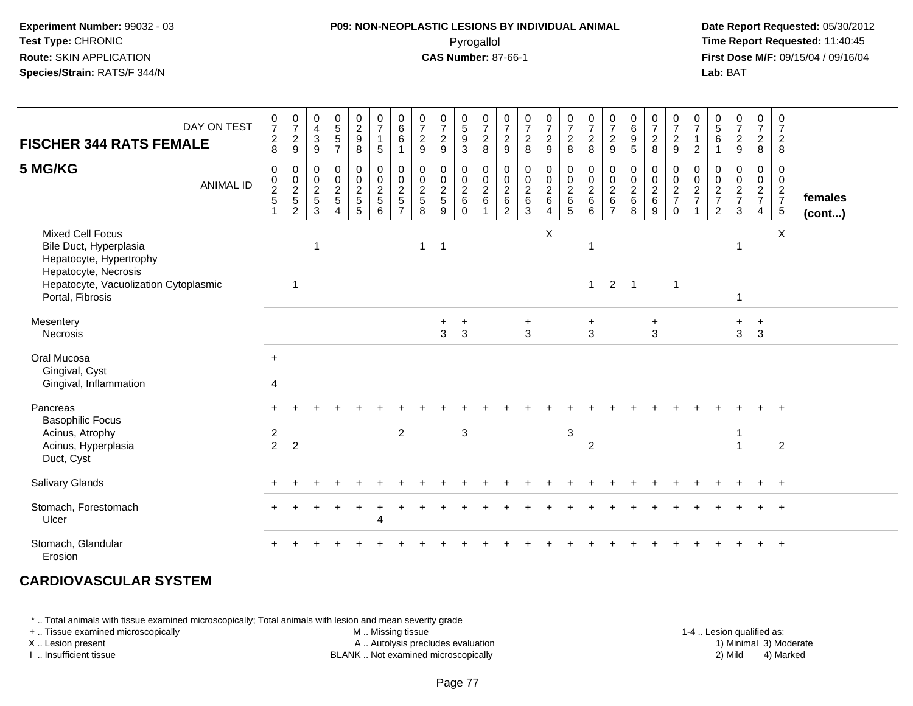#### **P09: NON-NEOPLASTIC LESIONS BY INDIVIDUAL ANIMAL**Pyrogallol **Time Report Requested:** 11:40:45

 **Date Report Requested:** 05/30/2012 **First Dose M/F:** 09/15/04 / 09/16/04 Lab: BAT **Lab:** BAT

| <b>FISCHER 344 RATS FEMALE</b><br>5 MG/KG                                                                                                                         | DAY ON TEST<br><b>ANIMAL ID</b> | $\frac{0}{7}$<br>$\begin{array}{c} 2 \\ 8 \end{array}$<br>0 | $\frac{0}{7}$<br>$\boldsymbol{2}$<br>$9\,$<br>0<br>$\mathbf 0$ | 0<br>$\overline{4}$<br>3<br>9<br>$\mathbf 0$<br>$\mathbf 0$ | $\begin{array}{c} 0 \\ 5 \\ 5 \end{array}$<br>$\overline{7}$<br>$\mathbf 0$<br>$\mathbf 0$ | $\begin{smallmatrix} 0\\2\\9 \end{smallmatrix}$<br>8<br>$\mathbf 0$<br>$\overline{0}$ | $\frac{0}{7}$<br>$\mathbf{1}$<br>$\sqrt{5}$<br>0<br>$\mathbf 0$ | $\begin{array}{c} 0 \\ 6 \end{array}$<br>$\,6\,$<br>$\mathbf{1}$<br>$\pmb{0}$<br>$\overline{0}$ | $\frac{0}{7}$<br>$\frac{2}{9}$<br>0<br>0 | $\frac{0}{7}$<br>$\boldsymbol{2}$<br>9<br>$\mathbf 0$<br>$\pmb{0}$ | $\begin{array}{c} 0 \\ 5 \end{array}$<br>9<br>3<br>0<br>$\mathsf{O}\xspace$ | $\frac{0}{7}$<br>$_{8}^2$<br>0<br>$\frac{0}{2}$ | $\frac{0}{7}$<br>$\overline{c}$<br>9<br>0<br>$\pmb{0}$ | 0<br>$\overline{7}$<br>$\overline{a}$<br>8<br>0<br>$\mathbf 0$ | $\frac{0}{7}$<br>$\sqrt{2}$<br>$\overline{9}$<br>$\pmb{0}$ | $\frac{0}{7}$<br>$\frac{2}{8}$<br>0<br>$\ddot{\mathbf{0}}$ | $\frac{0}{7}$<br>$\overline{c}$<br>8<br>$\mathbf 0$<br>$\mathbf 0$ | $\frac{0}{7}$<br>$\frac{2}{9}$<br>0<br>$\pmb{0}$ | $\begin{array}{c} 0 \\ 6 \end{array}$<br>$\boldsymbol{9}$<br>$\sqrt{5}$<br>0<br>$\mathbf 0$ | $\frac{0}{7}$<br>$\overline{c}$<br>8<br>0<br>$\pmb{0}$ | 0<br>$\overline{7}$<br>$\frac{2}{9}$<br>0<br>$\mathsf{O}\xspace$ | $\frac{0}{7}$<br>$\mathbf{1}$<br>$\overline{2}$<br>$\mathbf{0}$<br>$\,0\,$ | $\begin{array}{c} 0 \\ 5 \end{array}$<br>6<br>$\mathbf{1}$<br>$\mathbf 0$<br>0 | $\frac{0}{7}$<br>$\overline{c}$<br>9<br>0<br>$\mathbf 0$ | $\frac{0}{7}$<br>$\frac{2}{8}$<br>0<br>$\mathbf 0$ | $\frac{0}{7}$<br>$\frac{2}{8}$<br>0<br>$\mathbf 0$ |                         |
|-------------------------------------------------------------------------------------------------------------------------------------------------------------------|---------------------------------|-------------------------------------------------------------|----------------------------------------------------------------|-------------------------------------------------------------|--------------------------------------------------------------------------------------------|---------------------------------------------------------------------------------------|-----------------------------------------------------------------|-------------------------------------------------------------------------------------------------|------------------------------------------|--------------------------------------------------------------------|-----------------------------------------------------------------------------|-------------------------------------------------|--------------------------------------------------------|----------------------------------------------------------------|------------------------------------------------------------|------------------------------------------------------------|--------------------------------------------------------------------|--------------------------------------------------|---------------------------------------------------------------------------------------------|--------------------------------------------------------|------------------------------------------------------------------|----------------------------------------------------------------------------|--------------------------------------------------------------------------------|----------------------------------------------------------|----------------------------------------------------|----------------------------------------------------|-------------------------|
|                                                                                                                                                                   |                                 | $\begin{array}{c} 0 \\ 2 \\ 5 \end{array}$                  | $\frac{2}{5}$<br>$\overline{2}$                                | $\frac{2}{5}$<br>3                                          | $\frac{2}{5}$<br>$\overline{4}$                                                            | $\frac{2}{5}$                                                                         | $\frac{2}{6}$                                                   | $rac{2}{5}$                                                                                     | $\overline{c}$<br>$\overline{5}$<br>8    | $\sqrt{2}$<br>5<br>9                                               | $\overline{c}$<br>$\,6\,$<br>$\Omega$                                       | 6                                               | $\frac{2}{6}$<br>$\overline{2}$                        | $\frac{2}{6}$<br>3                                             | $\frac{0}{2}$ 6<br>$\overline{4}$                          | $\frac{2}{6}$                                              | $\overline{2}$<br>$\,6\,$<br>6                                     | $\frac{2}{6}$<br>$\overline{7}$                  | $\frac{2}{6}$<br>8                                                                          | $\sqrt{2}$<br>$\,6$<br>9                               | $\frac{2}{7}$<br>$\mathbf{0}$                                    | $\frac{2}{7}$<br>$\overline{1}$                                            | $\frac{2}{7}$<br>2                                                             | $\sqrt{2}$<br>$\overline{7}$<br>3                        | $\frac{2}{7}$<br>$\overline{4}$                    | $\frac{2}{7}$<br>$\sqrt{5}$                        | females<br>$($ cont $)$ |
| <b>Mixed Cell Focus</b><br>Bile Duct, Hyperplasia<br>Hepatocyte, Hypertrophy<br>Hepatocyte, Necrosis<br>Hepatocyte, Vacuolization Cytoplasmic<br>Portal, Fibrosis |                                 |                                                             | $\overline{1}$                                                 | $\mathbf 1$                                                 |                                                                                            |                                                                                       |                                                                 |                                                                                                 | $\mathbf{1}$                             | $\overline{\mathbf{1}}$                                            |                                                                             |                                                 |                                                        |                                                                | $\pmb{\times}$                                             |                                                            | $\overline{\phantom{a}}$<br>1                                      | $\overline{2}$                                   | $\mathbf{1}$                                                                                |                                                        | $\overline{1}$                                                   |                                                                            |                                                                                | $\overline{1}$<br>1                                      |                                                    | X                                                  |                         |
| Mesentery<br>Necrosis                                                                                                                                             |                                 |                                                             |                                                                |                                                             |                                                                                            |                                                                                       |                                                                 |                                                                                                 |                                          | $\ddot{}$<br>3                                                     | $\ddot{}$<br>3                                                              |                                                 |                                                        | $\ddot{}$<br>$\overline{3}$                                    |                                                            |                                                            | $\ddot{}$<br>3                                                     |                                                  |                                                                                             | $\ddot{}$<br>3                                         |                                                                  |                                                                            |                                                                                | +<br>3                                                   | $\ddot{}$<br>$\overline{3}$                        |                                                    |                         |
| Oral Mucosa<br>Gingival, Cyst<br>Gingival, Inflammation                                                                                                           |                                 | $+$<br>4                                                    |                                                                |                                                             |                                                                                            |                                                                                       |                                                                 |                                                                                                 |                                          |                                                                    |                                                                             |                                                 |                                                        |                                                                |                                                            |                                                            |                                                                    |                                                  |                                                                                             |                                                        |                                                                  |                                                                            |                                                                                |                                                          |                                                    |                                                    |                         |
| Pancreas<br><b>Basophilic Focus</b><br>Acinus, Atrophy<br>Acinus, Hyperplasia<br>Duct, Cyst                                                                       |                                 | $\overline{c}$<br>$\overline{2}$                            | $\overline{2}$                                                 |                                                             |                                                                                            |                                                                                       |                                                                 | $\overline{2}$                                                                                  |                                          |                                                                    | 3                                                                           |                                                 |                                                        |                                                                |                                                            | $\mathbf{3}$                                               | $\overline{c}$                                                     |                                                  |                                                                                             |                                                        |                                                                  |                                                                            |                                                                                |                                                          |                                                    | $\overline{2}$                                     |                         |
| <b>Salivary Glands</b>                                                                                                                                            |                                 |                                                             |                                                                |                                                             |                                                                                            |                                                                                       |                                                                 |                                                                                                 |                                          |                                                                    |                                                                             |                                                 |                                                        |                                                                |                                                            |                                                            |                                                                    |                                                  |                                                                                             |                                                        |                                                                  |                                                                            |                                                                                |                                                          |                                                    | $+$                                                |                         |
| Stomach, Forestomach<br>Ulcer                                                                                                                                     |                                 |                                                             |                                                                |                                                             |                                                                                            |                                                                                       | Δ                                                               |                                                                                                 |                                          |                                                                    |                                                                             |                                                 |                                                        |                                                                |                                                            |                                                            |                                                                    |                                                  |                                                                                             |                                                        |                                                                  |                                                                            |                                                                                |                                                          |                                                    |                                                    |                         |
| Stomach, Glandular<br>Erosion                                                                                                                                     |                                 |                                                             |                                                                |                                                             |                                                                                            |                                                                                       |                                                                 |                                                                                                 |                                          |                                                                    |                                                                             |                                                 |                                                        |                                                                |                                                            |                                                            |                                                                    |                                                  |                                                                                             |                                                        |                                                                  |                                                                            |                                                                                |                                                          |                                                    |                                                    |                         |

#### **CARDIOVASCULAR SYSTEM**

\* .. Total animals with tissue examined microscopically; Total animals with lesion and mean severity grade

+ .. Tissue examined microscopically

X .. Lesion present

I .. Insufficient tissue

M .. Missing tissue

A .. Autolysis precludes evaluation

BLANK .. Not examined microscopically 2) Mild 4) Marked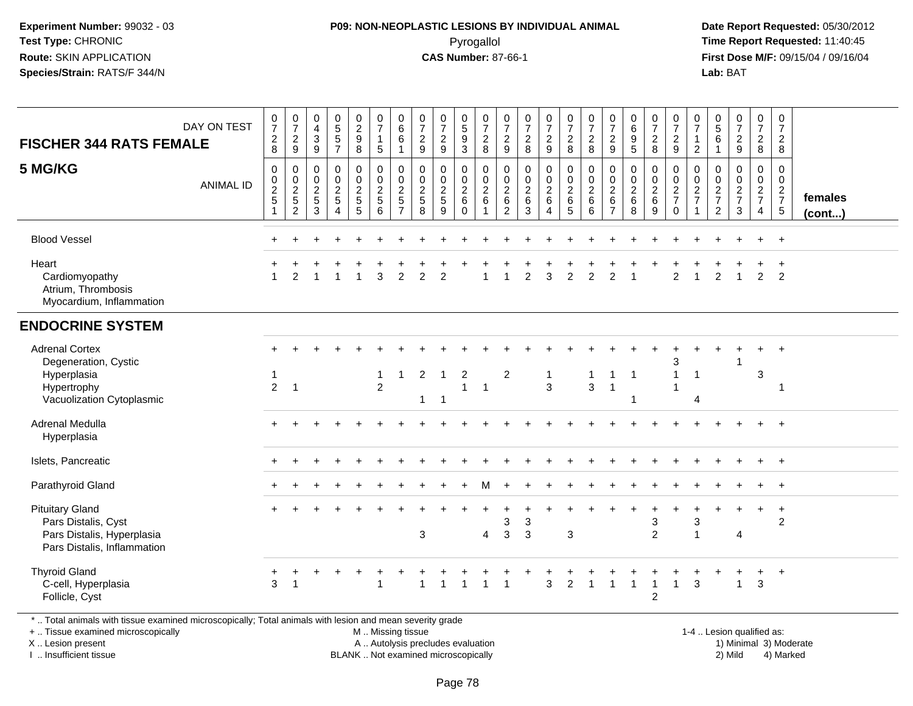## **P09: NON-NEOPLASTIC LESIONS BY INDIVIDUAL ANIMAL**Pyrogallol **Time Report Requested:** 11:40:45

 **Date Report Requested:** 05/30/2012 **First Dose M/F:** 09/15/04 / 09/16/04 Lab: BAT **Lab:** BAT

| <b>FISCHER 344 RATS FEMALE</b>                                                                                                                                         | DAY ON TEST      | $\begin{array}{c} 0 \\ 7 \end{array}$<br>$\sqrt{2}$<br>8  | $\frac{0}{7}$<br>$\boldsymbol{2}$<br>9         | $\,0\,$<br>$\overline{4}$<br>$\sqrt{3}$<br>9                    | $\begin{array}{c} 0 \\ 5 \end{array}$<br>$\sqrt{5}$<br>$\overline{7}$              | $\begin{smallmatrix} 0\\2 \end{smallmatrix}$<br>$\boldsymbol{9}$<br>8 | $\begin{array}{c} 0 \\ 7 \end{array}$<br>$\mathbf{1}$<br>$\sqrt{5}$ | 0<br>$\,6\,$<br>6<br>1             | $\begin{array}{c} 0 \\ 7 \end{array}$<br>$\sqrt{2}$<br>$9\,$    | $\frac{0}{7}$<br>$\overline{\mathbf{c}}$<br>9 | $\begin{array}{c} 0 \\ 5 \end{array}$<br>$\boldsymbol{9}$<br>3 | $\frac{0}{7}$<br>$\frac{2}{8}$                                     | $\frac{0}{7}$<br>$\overline{2}$<br>9                        | $\frac{0}{7}$<br>$\overline{c}$<br>8                     | $\frac{0}{7}$<br>$\overline{c}$<br>9       | $\begin{array}{c} 0 \\ 7 \end{array}$<br>$\overline{2}$<br>8        | $\begin{array}{c} 0 \\ 7 \end{array}$<br>$\sqrt{2}$<br>8 | $\begin{array}{c} 0 \\ 7 \end{array}$<br>$\overline{2}$<br>9          | $\pmb{0}$<br>$\,6\,$<br>$9\,$<br>5                     | $\frac{0}{7}$<br>$\sqrt{2}$<br>8                             | $\frac{0}{7}$<br>$\sqrt{2}$<br>9                                            | 0<br>$\overline{7}$<br>$\mathbf{1}$<br>$\overline{2}$               | $\begin{smallmatrix}0\0\0\end{smallmatrix}$<br>6<br>$\overline{1}$ | $\begin{smallmatrix}0\\7\end{smallmatrix}$<br>$\frac{2}{9}$         | $\frac{0}{7}$<br>$\mathbf{2}$<br>8                | $\pmb{0}$<br>$\overline{7}$<br>$\overline{2}$<br>8     |                   |
|------------------------------------------------------------------------------------------------------------------------------------------------------------------------|------------------|-----------------------------------------------------------|------------------------------------------------|-----------------------------------------------------------------|------------------------------------------------------------------------------------|-----------------------------------------------------------------------|---------------------------------------------------------------------|------------------------------------|-----------------------------------------------------------------|-----------------------------------------------|----------------------------------------------------------------|--------------------------------------------------------------------|-------------------------------------------------------------|----------------------------------------------------------|--------------------------------------------|---------------------------------------------------------------------|----------------------------------------------------------|-----------------------------------------------------------------------|--------------------------------------------------------|--------------------------------------------------------------|-----------------------------------------------------------------------------|---------------------------------------------------------------------|--------------------------------------------------------------------|---------------------------------------------------------------------|---------------------------------------------------|--------------------------------------------------------|-------------------|
| 5 MG/KG                                                                                                                                                                | <b>ANIMAL ID</b> | $\mathbf 0$<br>$\mathbf 0$<br>$\boldsymbol{2}$<br>5<br>-1 | $\mathbf 0$<br>$\pmb{0}$<br>$\frac{2}{5}$<br>2 | $\mathbf 0$<br>$\mathbf 0$<br>$\overline{c}$<br>$\sqrt{5}$<br>3 | $\mathbf 0$<br>$\pmb{0}$<br>$\overline{c}$<br>$\sqrt{5}$<br>$\boldsymbol{\Lambda}$ | $\pmb{0}$<br>$\pmb{0}$<br>$\frac{2}{5}$<br>$\sqrt{5}$                 | $\mathbf 0$<br>$\mathbf 0$<br>$\boldsymbol{2}$<br>$\sqrt{5}$<br>6   | 0<br>0<br>$\overline{2}$<br>5<br>7 | $\mathbf 0$<br>$\pmb{0}$<br>$\boldsymbol{2}$<br>$\sqrt{5}$<br>8 | 0<br>$\pmb{0}$<br>$\overline{2}$<br>5<br>9    | 0<br>$\mathsf 0$<br>$\overline{c}$<br>6<br>$\Omega$            | $\mathbf 0$<br>$\boldsymbol{0}$<br>$\overline{c}$<br>$\,6\,$<br>-1 | $\mathbf 0$<br>0<br>$\sqrt{2}$<br>$\,6\,$<br>$\overline{2}$ | $\mathbf 0$<br>$\mathbf 0$<br>$\sqrt{2}$<br>$\,6\,$<br>3 | 0<br>$\pmb{0}$<br>$\overline{c}$<br>6<br>4 | $\mathbf 0$<br>$\mathbf 0$<br>$\overline{c}$<br>$6\phantom{a}$<br>5 | $\mathbf 0$<br>$\pmb{0}$<br>$\overline{c}$<br>$\,6$<br>6 | $\mathbf 0$<br>$\mathbf 0$<br>$\sqrt{2}$<br>$\,6\,$<br>$\overline{7}$ | $\mathbf 0$<br>$\pmb{0}$<br>$\sqrt{2}$<br>$\,6\,$<br>8 | $\mathbf 0$<br>$\pmb{0}$<br>$\boldsymbol{2}$<br>$\,6\,$<br>9 | 0<br>$\mathsf{O}\xspace$<br>$\overline{c}$<br>$\overline{7}$<br>$\mathbf 0$ | $\mathbf 0$<br>$\mathbf 0$<br>$\overline{a}$<br>$\overline{7}$<br>1 | 0<br>0<br>$\boldsymbol{2}$<br>$\boldsymbol{7}$<br>$\overline{c}$   | $\mathbf 0$<br>$\pmb{0}$<br>$\boldsymbol{2}$<br>$\overline{7}$<br>3 | 0<br>$\mathbf 0$<br>$rac{2}{7}$<br>$\overline{4}$ | $\Omega$<br>$\mathbf 0$<br>$\frac{2}{7}$<br>$\sqrt{5}$ | females<br>(cont) |
| <b>Blood Vessel</b>                                                                                                                                                    |                  |                                                           |                                                |                                                                 |                                                                                    |                                                                       |                                                                     |                                    |                                                                 |                                               |                                                                |                                                                    |                                                             |                                                          |                                            |                                                                     |                                                          |                                                                       |                                                        |                                                              |                                                                             |                                                                     |                                                                    |                                                                     |                                                   | $+$                                                    |                   |
| Heart<br>Cardiomyopathy<br>Atrium, Thrombosis<br>Myocardium, Inflammation                                                                                              |                  |                                                           | $\mathfrak{p}$                                 |                                                                 |                                                                                    |                                                                       | 3                                                                   | $\mathfrak{p}$                     | $\mathfrak{D}$                                                  | $\mathcal{P}$                                 |                                                                |                                                                    |                                                             | $\mathfrak{D}$                                           | 3                                          | $\mathcal{P}$                                                       | $\mathcal{P}$                                            | $\mathcal{P}$                                                         |                                                        |                                                              | $\mathfrak{p}$                                                              |                                                                     | $\mathcal{P}$                                                      | $\overline{1}$                                                      | $\overline{2}$                                    | $\overline{2}$                                         |                   |
| <b>ENDOCRINE SYSTEM</b>                                                                                                                                                |                  |                                                           |                                                |                                                                 |                                                                                    |                                                                       |                                                                     |                                    |                                                                 |                                               |                                                                |                                                                    |                                                             |                                                          |                                            |                                                                     |                                                          |                                                                       |                                                        |                                                              |                                                                             |                                                                     |                                                                    |                                                                     |                                                   |                                                        |                   |
| <b>Adrenal Cortex</b><br>Degeneration, Cystic<br>Hyperplasia<br>Hypertrophy<br>Vacuolization Cytoplasmic                                                               |                  | -1<br>$\overline{2}$                                      | $\overline{1}$                                 |                                                                 |                                                                                    |                                                                       | $\mathbf{1}$<br>$\overline{2}$                                      | 1                                  | 2<br>1                                                          | $\mathbf 1$<br>$\overline{1}$                 | $\overline{c}$<br>$\mathbf{1}$                                 | $\overline{1}$                                                     | $\overline{c}$                                              |                                                          | $\mathbf{1}$<br>3                          |                                                                     | $\mathbf{1}$<br>$\mathbf{3}$                             | $\mathbf{1}$<br>$\overline{1}$                                        | $\overline{1}$<br>-1                                   |                                                              | 3<br>$\mathbf 1$<br>1                                                       | $\overline{1}$<br>4                                                 |                                                                    |                                                                     | $+$<br>3                                          | $+$<br>$\overline{\phantom{a}}$                        |                   |
| Adrenal Medulla<br>Hyperplasia                                                                                                                                         |                  |                                                           |                                                |                                                                 |                                                                                    |                                                                       |                                                                     |                                    |                                                                 |                                               |                                                                |                                                                    |                                                             |                                                          |                                            |                                                                     |                                                          |                                                                       |                                                        |                                                              |                                                                             |                                                                     |                                                                    |                                                                     |                                                   | $\div$                                                 |                   |
| Islets, Pancreatic                                                                                                                                                     |                  |                                                           |                                                |                                                                 |                                                                                    |                                                                       |                                                                     |                                    |                                                                 |                                               |                                                                |                                                                    |                                                             |                                                          |                                            |                                                                     |                                                          |                                                                       |                                                        |                                                              |                                                                             |                                                                     |                                                                    |                                                                     | $+$                                               | $+$                                                    |                   |
| Parathyroid Gland                                                                                                                                                      |                  |                                                           |                                                |                                                                 |                                                                                    |                                                                       |                                                                     |                                    |                                                                 |                                               |                                                                | м                                                                  |                                                             |                                                          |                                            |                                                                     |                                                          |                                                                       |                                                        |                                                              |                                                                             |                                                                     |                                                                    |                                                                     |                                                   | $+$                                                    |                   |
| <b>Pituitary Gland</b><br>Pars Distalis, Cyst<br>Pars Distalis, Hyperplasia<br>Pars Distalis, Inflammation                                                             |                  |                                                           |                                                |                                                                 |                                                                                    |                                                                       |                                                                     |                                    | 3                                                               |                                               |                                                                | $\overline{4}$                                                     | $\div$<br>3<br>3                                            | 3<br>3                                                   |                                            | 3                                                                   |                                                          |                                                                       | $\ddot{}$                                              | $\ddot{}$<br>3<br>$\overline{2}$                             |                                                                             | $\ddot{}$<br>3<br>$\overline{1}$                                    |                                                                    | $\overline{4}$                                                      | $\ddot{}$                                         | $+$<br>$\overline{c}$                                  |                   |
| <b>Thyroid Gland</b><br>C-cell, Hyperplasia<br>Follicle, Cyst<br>Total animals with tissue examined microsconically: Total animals with lesion and mean severity grade |                  | 3                                                         | $\overline{1}$                                 |                                                                 | $\pm$                                                                              |                                                                       | 1                                                                   |                                    |                                                                 |                                               |                                                                | 1                                                                  | 1                                                           |                                                          | 3                                          | $\overline{2}$                                                      | $\overline{1}$                                           | 1                                                                     | -1                                                     | 1<br>$\boldsymbol{2}$                                        | $\mathbf{1}$                                                                | 3                                                                   |                                                                    | $\mathbf{1}$                                                        | $\ddot{}$<br>$\mathbf{3}$                         | $+$                                                    |                   |

\* .. Total animals with tissue examined microscopically; Total animals with lesion and mean severity grade

+ .. Tissue examined microscopically

X .. Lesion present

I .. Insufficient tissue

M .. Missing tissue

BLANK .. Not examined microscopically

 1-4 .. Lesion qualified as: A .. Autolysis precludes evaluation 19 and 10 minimal 3) Moderate 1 and 20 minimal 3) Moderate 19 minimal 3) Moderat<br>19 and 19 and 19 and 19 and 19 and 19 and 19 and 19 and 19 and 19 and 19 and 19 and 19 and 19 and 19 and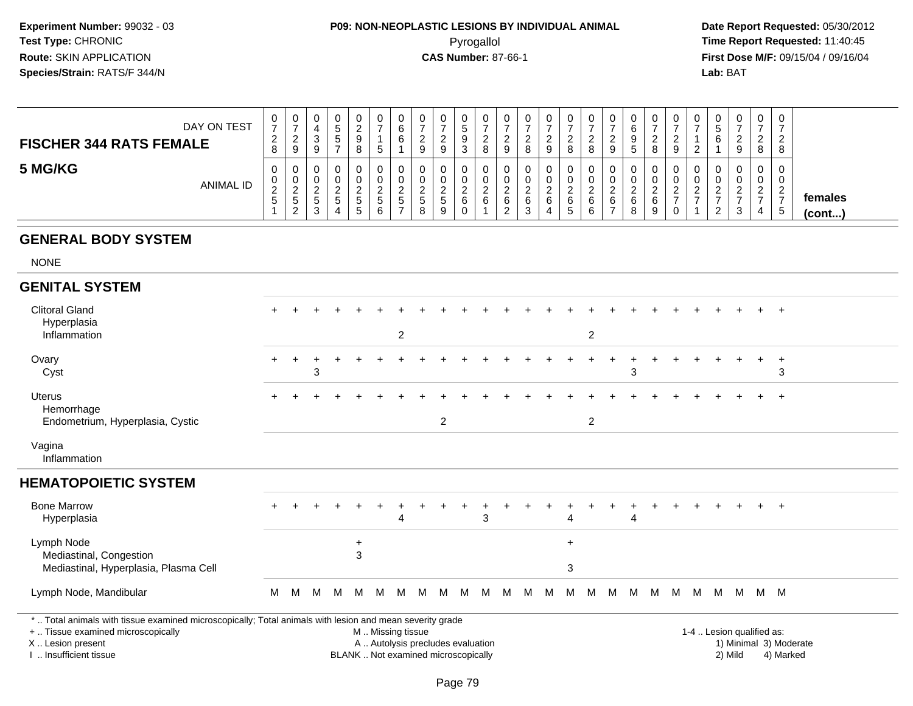## **P09: NON-NEOPLASTIC LESIONS BY INDIVIDUAL ANIMAL**Pyrogallol **Time Report Requested:** 11:40:45

 **Date Report Requested:** 05/30/2012 **First Dose M/F:** 09/15/04 / 09/16/04 Lab: BAT **Lab:** BAT

| DAY ON TEST<br><b>FISCHER 344 RATS FEMALE</b> | 0<br>$\rightarrow$<br>ົ<br>$\epsilon$<br>8 | ◡<br>9                                     |  | U<br><u>_</u><br>У<br>8                 | 0<br>⇁<br>$\mathbf{p}$                 | U<br>6<br>6                               | 0<br>9                           | 9            | υ<br>C | v<br>∼<br>8               | U<br>9                              |                    | U<br>9           |   |             | ັບ<br>▃<br>9                       |               | $\circ$     | 0<br><sup>o</sup><br>∼<br>9       |  | U             | 0<br>◠<br><u>_</u><br>8           | 0<br>$\overline{ }$<br>2<br>$\epsilon$<br>8                    |                         |
|-----------------------------------------------|--------------------------------------------|--------------------------------------------|--|-----------------------------------------|----------------------------------------|-------------------------------------------|----------------------------------|--------------|--------|---------------------------|-------------------------------------|--------------------|------------------|---|-------------|------------------------------------|---------------|-------------|-----------------------------------|--|---------------|-----------------------------------|----------------------------------------------------------------|-------------------------|
| 5 MG/KG<br><b>ANIMAL ID</b>                   | 0<br>U.<br>$\sim$<br><u>_</u><br>.5        | ν<br>U.<br>$\sqrt{2}$<br>-<br>.5<br>$\sim$ |  | 0<br>O<br><u>.</u><br><sub>5</sub><br>5 | 0<br>0<br><u>_</u><br>$5^{\circ}$<br>6 | U<br>υ<br><u>_</u><br>.5<br>$\rightarrow$ | 0<br>0<br>$\sim$<br>-<br>C.<br>8 | ∼<br>.5<br>9 | 6      | ν<br>U<br>$\epsilon$<br>6 | 0<br>U<br><u>_</u><br>6<br><u>_</u> | <u>_</u><br>6<br>◡ | 0<br>v<br>റ<br>6 | 6 | ∼<br>$\sim$ | ັບ<br>υ<br><u>_</u><br>$\sim$<br>b | <u>_</u><br>6 | ົ<br>6<br>9 | 0<br>U<br>$\sim$<br><u>_</u><br>0 |  | <u>_</u><br>చ | 0<br>0<br>$\sim$<br><u>_</u><br>4 | 0<br>0<br>$\sim$<br>$\epsilon$<br>$\rightarrow$<br>$5^{\circ}$ | females<br>$($ cont $)$ |

#### **GENERAL BODY SYSTEM**

NONE

#### **GENITAL SYSTEM**Clitoral Gland $\alpha$  <sup>+</sup> <sup>+</sup> <sup>+</sup> <sup>+</sup> <sup>+</sup> <sup>+</sup> <sup>+</sup> <sup>+</sup> <sup>+</sup> <sup>+</sup> <sup>+</sup> <sup>+</sup> <sup>+</sup> <sup>+</sup> <sup>+</sup> <sup>+</sup> <sup>+</sup> <sup>+</sup> <sup>+</sup> <sup>+</sup> <sup>+</sup> <sup>+</sup> <sup>+</sup> <sup>+</sup> Hyperplasia Inflammation <sup>2</sup> <sup>2</sup> **Ovary**  $\mathsf y$  <sup>+</sup> <sup>+</sup> <sup>+</sup> <sup>+</sup> <sup>+</sup> <sup>+</sup> <sup>+</sup> <sup>+</sup> <sup>+</sup> <sup>+</sup> <sup>+</sup> <sup>+</sup> <sup>+</sup> <sup>+</sup> <sup>+</sup> <sup>+</sup> <sup>+</sup> <sup>+</sup> <sup>+</sup> <sup>+</sup> <sup>+</sup> <sup>+</sup> <sup>+</sup> <sup>+</sup> Cystt and  $\sim$  3  $3 \hspace{2.5cm} 3 \hspace{2.5cm} 3$ Uterus <sup>+</sup> <sup>+</sup> <sup>+</sup> <sup>+</sup> <sup>+</sup> <sup>+</sup> <sup>+</sup> <sup>+</sup> <sup>+</sup> <sup>+</sup> <sup>+</sup> <sup>+</sup> <sup>+</sup> <sup>+</sup> <sup>+</sup> <sup>+</sup> <sup>+</sup> <sup>+</sup> <sup>+</sup> <sup>+</sup> <sup>+</sup> <sup>+</sup> <sup>+</sup> <sup>+</sup> <sup>+</sup> Hemorrhage Endometrium, Hyperplasia, Cysticc  $\sim$  2 <sup>2</sup> Vagina Inflammation**HEMATOPOIETIC SYSTEM**Bone Marrow <sup>+</sup> <sup>+</sup> <sup>+</sup> <sup>+</sup> <sup>+</sup> <sup>+</sup> <sup>+</sup> <sup>+</sup> <sup>+</sup> <sup>+</sup> <sup>+</sup> <sup>+</sup> <sup>+</sup> <sup>+</sup> <sup>+</sup> <sup>+</sup> <sup>+</sup> <sup>+</sup> <sup>+</sup> <sup>+</sup> <sup>+</sup> <sup>+</sup> <sup>+</sup> <sup>+</sup> <sup>+</sup> Hyperplasiaa a 3  $4$  4  $4$ Lymph Node <sup>+</sup> <sup>+</sup> Mediastinal, Congestion $\mathsf{n}$  3 Mediastinal, Hyperplasia, Plasma Cell $\blacksquare$ Lymph Node, Mandibularr M <sup>M</sup> <sup>M</sup> <sup>M</sup> <sup>M</sup> <sup>M</sup> <sup>M</sup> <sup>M</sup> <sup>M</sup> <sup>M</sup> <sup>M</sup> <sup>M</sup> <sup>M</sup> <sup>M</sup> <sup>M</sup> <sup>M</sup> <sup>M</sup> <sup>M</sup> <sup>M</sup> <sup>M</sup> <sup>M</sup> <sup>M</sup> <sup>M</sup> <sup>M</sup> <sup>M</sup> \* .. Total animals with tissue examined microscopically; Total animals with lesion and mean severity grade+ .. Tissue examined microscopicallyM .. Missing tissue

X .. Lesion present

I .. Insufficient tissue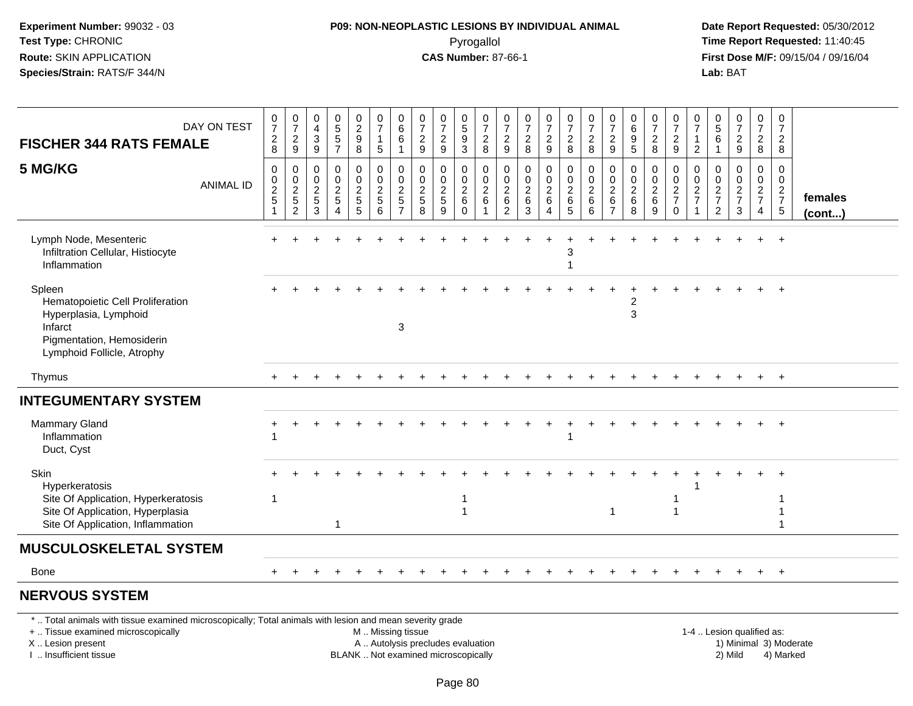## **P09: NON-NEOPLASTIC LESIONS BY INDIVIDUAL ANIMAL**Pyrogallol **Time Report Requested:** 11:40:45

 **Date Report Requested:** 05/30/2012 **First Dose M/F:** 09/15/04 / 09/16/04 Lab: BAT **Lab:** BAT

| DAY ON TEST<br><b>FISCHER 344 RATS FEMALE</b>                                                                                             | $\frac{0}{7}$<br>$_{\rm 8}^2$                                             | $\frac{0}{7}$<br>$\frac{2}{9}$       | $\pmb{0}$<br>$\overline{4}$<br>$\ensuremath{\mathsf{3}}$<br>9       | $\begin{array}{c} 0 \\ 5 \\ 5 \end{array}$<br>$\overline{7}$                     | $\begin{smallmatrix} 0\\2\\9 \end{smallmatrix}$<br>8 | $\begin{array}{c} 0 \\ 7 \end{array}$<br>$\mathbf{1}$<br>$5\phantom{.0}$ | $_{6}^{\rm 0}$<br>$\,6\,$<br>$\mathbf{1}$                         | $\frac{0}{7}$<br>$\sqrt{2}$<br>9            | $\frac{0}{7}$<br>$\frac{2}{9}$                      | $\begin{array}{c} 0 \\ 5 \\ 9 \end{array}$<br>3           | $\frac{0}{7}$<br>8                                                                               | $\frac{0}{7}$<br>$\frac{2}{9}$                   | $\frac{0}{7}$<br>$\frac{2}{8}$                   | $\frac{0}{7}$<br>$\frac{2}{9}$                         | $\begin{array}{c} 0 \\ 7 \\ 2 \\ 8 \end{array}$       | $\frac{0}{7}$<br>$\overline{c}$<br>8 | $\frac{0}{7}$<br>$\overline{2}$<br>9                           | $\boldsymbol{0}$<br>$\,6$<br>$9\,$<br>5          | $\frac{0}{7}$<br>$\overline{\mathbf{c}}$<br>8           | $\begin{array}{c} 0 \\ 7 \\ 2 \end{array}$<br>9       | $\begin{array}{c} 0 \\ 7 \end{array}$<br>$\mathbf{1}$<br>$\overline{2}$ | $\begin{array}{c} 0 \\ 5 \\ 6 \end{array}$<br>$\overline{1}$                | $\frac{0}{7}$<br>$\boldsymbol{2}$<br>9 | 0728                                                | $\begin{smallmatrix}0\\7\end{smallmatrix}$<br>$\frac{2}{8}$       |                   |
|-------------------------------------------------------------------------------------------------------------------------------------------|---------------------------------------------------------------------------|--------------------------------------|---------------------------------------------------------------------|----------------------------------------------------------------------------------|------------------------------------------------------|--------------------------------------------------------------------------|-------------------------------------------------------------------|---------------------------------------------|-----------------------------------------------------|-----------------------------------------------------------|--------------------------------------------------------------------------------------------------|--------------------------------------------------|--------------------------------------------------|--------------------------------------------------------|-------------------------------------------------------|--------------------------------------|----------------------------------------------------------------|--------------------------------------------------|---------------------------------------------------------|-------------------------------------------------------|-------------------------------------------------------------------------|-----------------------------------------------------------------------------|----------------------------------------|-----------------------------------------------------|-------------------------------------------------------------------|-------------------|
| 5 MG/KG<br><b>ANIMAL ID</b>                                                                                                               | $\pmb{0}$<br>$\begin{array}{c} 0 \\ 2 \\ 5 \end{array}$<br>$\overline{1}$ | 0<br>$\frac{0}{2}$<br>$\overline{c}$ | $\boldsymbol{0}$<br>$\begin{array}{c} 0 \\ 2 \\ 5 \end{array}$<br>3 | $\mathbf 0$<br>$\mathbf 0$<br>$\overline{2}$<br>$\overline{5}$<br>$\overline{A}$ | 0<br>$\mathsf{O}\xspace$<br>$\overline{2}$<br>5<br>5 | $\pmb{0}$<br>$\frac{0}{2}$<br>6                                          | 0<br>$\mathsf{O}\xspace$<br>$\overline{2}$<br>5<br>$\overline{7}$ | 0<br>0<br>$\overline{2}$<br>$\sqrt{5}$<br>8 | 0<br>$\pmb{0}$<br>$\overline{2}$<br>$\sqrt{5}$<br>9 | 0<br>$\mathsf 0$<br>$\overline{2}$<br>$\,6\,$<br>$\Omega$ | $\mathbf 0$<br>$\begin{smallmatrix} 0\\2 \end{smallmatrix}$<br>$6\phantom{1}6$<br>$\overline{1}$ | 0<br>$\pmb{0}$<br>$\overline{2}$<br>$\,6\,$<br>2 | 0<br>$\pmb{0}$<br>$\overline{2}$<br>$\,6\,$<br>3 | 0<br>$^{\rm 0}_{\rm 2}$<br>6<br>$\boldsymbol{\Lambda}$ | 0<br>$\overline{0}$<br>$\overline{2}$<br>$\,6\,$<br>5 | 0<br>$\frac{0}{2}$<br>$\,6\,$<br>6   | 0<br>$\boldsymbol{0}$<br>$\overline{2}$<br>6<br>$\overline{7}$ | 0<br>$\pmb{0}$<br>$\overline{2}$<br>$\,6\,$<br>8 | 0<br>$\pmb{0}$<br>$\overline{2}$<br>$6\phantom{a}$<br>9 | 0<br>$\mathsf{O}\xspace$<br>$\frac{2}{7}$<br>$\Omega$ | 0<br>$\begin{array}{c} 0 \\ 2 \\ 7 \end{array}$                         | $\mathbf 0$<br>$\begin{array}{c} 0 \\ 2 \\ 7 \end{array}$<br>$\overline{2}$ | 0<br>$\mathbf 0$<br>$\frac{2}{7}$<br>3 | 0<br>$\mathbf 0$<br>$\frac{2}{7}$<br>$\overline{4}$ | $\mathbf 0$<br>$\overline{0}$<br>$\frac{2}{7}$<br>$5\phantom{.0}$ | females<br>(cont) |
| Lymph Node, Mesenteric<br>Infiltration Cellular, Histiocyte<br>Inflammation                                                               | $+$                                                                       |                                      |                                                                     |                                                                                  |                                                      |                                                                          |                                                                   |                                             |                                                     |                                                           |                                                                                                  |                                                  |                                                  |                                                        | 3                                                     |                                      |                                                                |                                                  |                                                         |                                                       |                                                                         |                                                                             |                                        |                                                     | $\overline{+}$                                                    |                   |
| Spleen<br>Hematopoietic Cell Proliferation<br>Hyperplasia, Lymphoid<br>Infarct<br>Pigmentation, Hemosiderin<br>Lymphoid Follicle, Atrophy |                                                                           |                                      |                                                                     |                                                                                  |                                                      |                                                                          | 3                                                                 |                                             |                                                     |                                                           |                                                                                                  |                                                  |                                                  |                                                        |                                                       |                                      |                                                                | 2<br>$\mathbf{3}$                                |                                                         |                                                       |                                                                         |                                                                             |                                        |                                                     |                                                                   |                   |
| Thymus                                                                                                                                    |                                                                           |                                      |                                                                     |                                                                                  |                                                      |                                                                          |                                                                   |                                             |                                                     |                                                           |                                                                                                  |                                                  |                                                  |                                                        |                                                       |                                      |                                                                |                                                  |                                                         |                                                       |                                                                         |                                                                             |                                        | $\ddot{}$                                           | $^{+}$                                                            |                   |
| <b>INTEGUMENTARY SYSTEM</b>                                                                                                               |                                                                           |                                      |                                                                     |                                                                                  |                                                      |                                                                          |                                                                   |                                             |                                                     |                                                           |                                                                                                  |                                                  |                                                  |                                                        |                                                       |                                      |                                                                |                                                  |                                                         |                                                       |                                                                         |                                                                             |                                        |                                                     |                                                                   |                   |
| <b>Mammary Gland</b><br>Inflammation<br>Duct, Cyst                                                                                        |                                                                           |                                      |                                                                     |                                                                                  |                                                      |                                                                          |                                                                   |                                             |                                                     |                                                           |                                                                                                  |                                                  |                                                  |                                                        |                                                       |                                      |                                                                |                                                  |                                                         |                                                       |                                                                         |                                                                             |                                        |                                                     | $+$                                                               |                   |
| Skin<br>Hyperkeratosis<br>Site Of Application, Hyperkeratosis<br>Site Of Application, Hyperplasia<br>Site Of Application, Inflammation    | -1                                                                        |                                      |                                                                     | $\mathbf{1}$                                                                     |                                                      |                                                                          |                                                                   |                                             |                                                     |                                                           |                                                                                                  |                                                  |                                                  |                                                        |                                                       |                                      | $\mathbf{1}$                                                   |                                                  |                                                         |                                                       |                                                                         |                                                                             |                                        |                                                     |                                                                   |                   |
| <b>MUSCULOSKELETAL SYSTEM</b>                                                                                                             |                                                                           |                                      |                                                                     |                                                                                  |                                                      |                                                                          |                                                                   |                                             |                                                     |                                                           |                                                                                                  |                                                  |                                                  |                                                        |                                                       |                                      |                                                                |                                                  |                                                         |                                                       |                                                                         |                                                                             |                                        |                                                     |                                                                   |                   |
| <b>Bone</b>                                                                                                                               |                                                                           |                                      |                                                                     |                                                                                  |                                                      |                                                                          |                                                                   |                                             |                                                     |                                                           |                                                                                                  |                                                  |                                                  |                                                        |                                                       |                                      |                                                                |                                                  |                                                         |                                                       |                                                                         |                                                                             |                                        | $\ddot{}$                                           | $+$                                                               |                   |
| <b>NERVOUS SYSTEM</b>                                                                                                                     |                                                                           |                                      |                                                                     |                                                                                  |                                                      |                                                                          |                                                                   |                                             |                                                     |                                                           |                                                                                                  |                                                  |                                                  |                                                        |                                                       |                                      |                                                                |                                                  |                                                         |                                                       |                                                                         |                                                                             |                                        |                                                     |                                                                   |                   |

\* .. Total animals with tissue examined microscopically; Total animals with lesion and mean severity grade

+ .. Tissue examined microscopically

X .. Lesion present

I .. Insufficient tissue

M .. Missing tissue

A .. Autolysis precludes evaluation

BLANK .. Not examined microscopically 2) Mild 4) Marked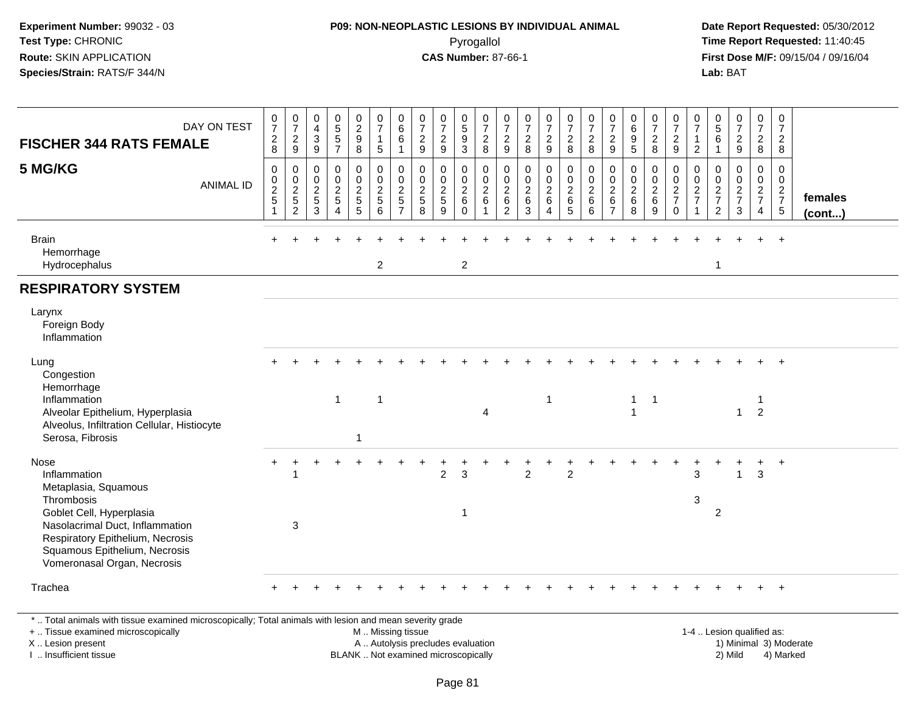#### **P09: NON-NEOPLASTIC LESIONS BY INDIVIDUAL ANIMAL**Pyrogallol **Time Report Requested:** 11:40:45

 **Date Report Requested:** 05/30/2012 **First Dose M/F:** 09/15/04 / 09/16/04 Lab: BAT **Lab:** BAT

| DAY ON TEST<br><b>FISCHER 344 RATS FEMALE</b><br>5 MG/KG<br><b>ANIMAL ID</b>                                                                                                                          | $\frac{0}{7}$<br>$\sqrt{2}$<br>8<br>$\mathbf 0$<br>$\mathbf 0$<br>$\frac{2}{5}$<br>$\overline{1}$ | $\frac{0}{7}$<br>$\frac{2}{9}$<br>$\mathbf 0$<br>$\mathbf 0$<br>$\frac{2}{5}$<br>$\boldsymbol{2}$ | $\begin{array}{c} 0 \\ 4 \\ 3 \\ 9 \end{array}$<br>$\mathbf 0$<br>$\frac{0}{2}$<br>3 | $0$<br>5<br>5<br>5<br>7<br>$\begin{smallmatrix}0\0\0\end{smallmatrix}$<br>$\frac{2}{5}$<br>$\overline{4}$ | $\begin{smallmatrix} 0\\2\\9 \end{smallmatrix}$<br>8<br>0<br>$\ddot{\mathbf{0}}$<br>$\frac{2}{5}$<br>5 | $\frac{0}{7}$<br>$\mathbf{1}$<br>5<br>$\begin{array}{c}\n0 \\ 0 \\ 2 \\ 5\n\end{array}$<br>6 | $\begin{array}{c} 0 \\ 6 \end{array}$<br>$\,6\,$<br>$\overline{1}$<br>0<br>$\mathbf 0$<br>$\sqrt{2}$<br>5<br>$\overline{7}$ | $\frac{0}{7}$<br>$\overline{2}$<br>9<br>$\mathsf{O}\xspace$<br>$\mathbf 0$<br>$\boldsymbol{2}$<br>5<br>8 | $\frac{0}{7}$<br>$\frac{2}{9}$<br>0<br>$\mathsf{O}\xspace$<br>$\frac{2}{5}$<br>9 | $\begin{array}{c} 0 \\ 5 \\ 9 \end{array}$<br>$\overline{3}$<br>0<br>$\ddot{\mathbf{0}}$<br>$\frac{2}{6}$<br>$\Omega$ | $\frac{0}{7}$<br>$\frac{2}{8}$<br>$\pmb{0}$<br>$\ddot{\mathbf{0}}$<br>$\frac{2}{6}$ | $\frac{0}{7}$<br>$\frac{2}{9}$<br>$\boldsymbol{0}$<br>$\frac{0}{2}$ 6<br>2 | $\frac{0}{7}$<br>$\frac{2}{8}$<br>$\pmb{0}$<br>$\ddot{\mathbf{0}}$<br>$\frac{2}{6}$<br>3 | $\frac{0}{7}$<br>$\frac{2}{9}$<br>0<br>$\overline{0}$<br>$\overline{a}$<br>6<br>4 | $\frac{0}{7}$<br>8<br>$\begin{array}{c} 0 \\ 0 \\ 2 \\ 6 \end{array}$<br>5 | $\begin{smallmatrix}0\\7\end{smallmatrix}$<br>$\overline{2}$<br>8<br>$_{\rm 0}^{\rm 0}$<br>$\frac{2}{6}$<br>6 | $\frac{0}{7}$<br>$\sqrt{2}$<br>9<br>0<br>$\pmb{0}$<br>$\overline{c}$<br>6 | 0<br>9<br>5<br>5<br>$\mathbf 0$<br>$\ddot{\mathbf{0}}$<br>$\frac{2}{6}$<br>8 | $\frac{0}{7}$<br>$_{8}^{\rm 2}$<br>0<br>$\pmb{0}$<br>$\frac{2}{6}$<br>9 | $\frac{0}{7}$<br>$\sqrt{2}$<br>9<br>$\mathbf 0$<br>$\ddot{\mathbf{0}}$<br>$\frac{2}{7}$<br>$\mathbf 0$ | $\frac{0}{7}$<br>$\mathbf{1}$<br>$\overline{2}$<br>0<br>$\pmb{0}$<br>$\frac{2}{7}$ | $\begin{array}{c} 0 \\ 5 \\ 6 \end{array}$<br>$\mathbf{1}$<br>$\,0\,$<br>$\pmb{0}$<br>$\frac{2}{7}$<br>$\overline{2}$ | $\frac{0}{7}$<br>$\frac{2}{9}$<br>00027<br>3 | $\frac{0}{7}$<br>$_{8}^{\rm 2}$<br>$\begin{smallmatrix} 0\\0 \end{smallmatrix}$<br>$rac{2}{7}$<br>$\overline{4}$ | 0<br>$\overline{7}$<br>$\overline{2}$<br>8<br>0<br>$\ddot{\mathbf{0}}$<br>$\frac{2}{7}$<br>$5\phantom{.0}$ | females<br>$($ cont $)$ |
|-------------------------------------------------------------------------------------------------------------------------------------------------------------------------------------------------------|---------------------------------------------------------------------------------------------------|---------------------------------------------------------------------------------------------------|--------------------------------------------------------------------------------------|-----------------------------------------------------------------------------------------------------------|--------------------------------------------------------------------------------------------------------|----------------------------------------------------------------------------------------------|-----------------------------------------------------------------------------------------------------------------------------|----------------------------------------------------------------------------------------------------------|----------------------------------------------------------------------------------|-----------------------------------------------------------------------------------------------------------------------|-------------------------------------------------------------------------------------|----------------------------------------------------------------------------|------------------------------------------------------------------------------------------|-----------------------------------------------------------------------------------|----------------------------------------------------------------------------|---------------------------------------------------------------------------------------------------------------|---------------------------------------------------------------------------|------------------------------------------------------------------------------|-------------------------------------------------------------------------|--------------------------------------------------------------------------------------------------------|------------------------------------------------------------------------------------|-----------------------------------------------------------------------------------------------------------------------|----------------------------------------------|------------------------------------------------------------------------------------------------------------------|------------------------------------------------------------------------------------------------------------|-------------------------|
| <b>Brain</b><br>Hemorrhage<br>Hydrocephalus                                                                                                                                                           |                                                                                                   |                                                                                                   |                                                                                      |                                                                                                           |                                                                                                        | $\overline{2}$                                                                               |                                                                                                                             |                                                                                                          |                                                                                  | $\overline{c}$                                                                                                        |                                                                                     |                                                                            |                                                                                          |                                                                                   |                                                                            |                                                                                                               |                                                                           |                                                                              |                                                                         |                                                                                                        |                                                                                    | $\mathbf{1}$                                                                                                          |                                              |                                                                                                                  |                                                                                                            |                         |
| <b>RESPIRATORY SYSTEM</b>                                                                                                                                                                             |                                                                                                   |                                                                                                   |                                                                                      |                                                                                                           |                                                                                                        |                                                                                              |                                                                                                                             |                                                                                                          |                                                                                  |                                                                                                                       |                                                                                     |                                                                            |                                                                                          |                                                                                   |                                                                            |                                                                                                               |                                                                           |                                                                              |                                                                         |                                                                                                        |                                                                                    |                                                                                                                       |                                              |                                                                                                                  |                                                                                                            |                         |
| Larynx<br>Foreign Body<br>Inflammation                                                                                                                                                                |                                                                                                   |                                                                                                   |                                                                                      |                                                                                                           |                                                                                                        |                                                                                              |                                                                                                                             |                                                                                                          |                                                                                  |                                                                                                                       |                                                                                     |                                                                            |                                                                                          |                                                                                   |                                                                            |                                                                                                               |                                                                           |                                                                              |                                                                         |                                                                                                        |                                                                                    |                                                                                                                       |                                              |                                                                                                                  |                                                                                                            |                         |
| Lung<br>Congestion<br>Hemorrhage                                                                                                                                                                      |                                                                                                   |                                                                                                   |                                                                                      |                                                                                                           |                                                                                                        |                                                                                              |                                                                                                                             |                                                                                                          |                                                                                  |                                                                                                                       |                                                                                     |                                                                            |                                                                                          |                                                                                   |                                                                            |                                                                                                               |                                                                           |                                                                              |                                                                         |                                                                                                        |                                                                                    |                                                                                                                       |                                              |                                                                                                                  | $\overline{+}$                                                                                             |                         |
| Inflammation<br>Alveolar Epithelium, Hyperplasia<br>Alveolus, Infiltration Cellular, Histiocyte<br>Serosa, Fibrosis                                                                                   |                                                                                                   |                                                                                                   |                                                                                      | $\mathbf{1}$                                                                                              |                                                                                                        | $\overline{1}$                                                                               |                                                                                                                             |                                                                                                          |                                                                                  |                                                                                                                       | $\overline{4}$                                                                      |                                                                            |                                                                                          | 1                                                                                 |                                                                            |                                                                                                               |                                                                           | $\mathbf{1}$<br>$\overline{1}$                                               | $\overline{1}$                                                          |                                                                                                        |                                                                                    |                                                                                                                       | $\mathbf{1}$                                 | $\overline{2}$                                                                                                   |                                                                                                            |                         |
| <b>Nose</b><br>Inflammation                                                                                                                                                                           |                                                                                                   | 1                                                                                                 |                                                                                      |                                                                                                           |                                                                                                        |                                                                                              |                                                                                                                             |                                                                                                          | $\overline{2}$                                                                   | 3                                                                                                                     |                                                                                     |                                                                            | $\overline{2}$                                                                           |                                                                                   | $\overline{2}$                                                             |                                                                                                               |                                                                           |                                                                              |                                                                         |                                                                                                        | 3                                                                                  |                                                                                                                       | $\overline{1}$                               | +<br>$\mathbf{3}$                                                                                                | $\ddot{}$                                                                                                  |                         |
| Metaplasia, Squamous<br>Thrombosis<br>Goblet Cell, Hyperplasia<br>Nasolacrimal Duct, Inflammation<br>Respiratory Epithelium, Necrosis<br>Squamous Epithelium, Necrosis<br>Vomeronasal Organ, Necrosis |                                                                                                   | 3                                                                                                 |                                                                                      |                                                                                                           |                                                                                                        |                                                                                              |                                                                                                                             |                                                                                                          |                                                                                  | -1                                                                                                                    |                                                                                     |                                                                            |                                                                                          |                                                                                   |                                                                            |                                                                                                               |                                                                           |                                                                              |                                                                         |                                                                                                        | 3                                                                                  | 2                                                                                                                     |                                              |                                                                                                                  |                                                                                                            |                         |
| Trachea                                                                                                                                                                                               |                                                                                                   |                                                                                                   |                                                                                      |                                                                                                           |                                                                                                        |                                                                                              |                                                                                                                             |                                                                                                          |                                                                                  |                                                                                                                       |                                                                                     |                                                                            |                                                                                          |                                                                                   |                                                                            |                                                                                                               |                                                                           |                                                                              |                                                                         |                                                                                                        |                                                                                    |                                                                                                                       |                                              |                                                                                                                  | $\ddot{}$                                                                                                  |                         |

\* .. Total animals with tissue examined microscopically; Total animals with lesion and mean severity grade

+ .. Tissue examined microscopically

X .. Lesion present

I .. Insufficient tissue

M .. Missing tissue

A .. Autolysis precludes evaluation

BLANK .. Not examined microscopically 2) Mild 4) Marked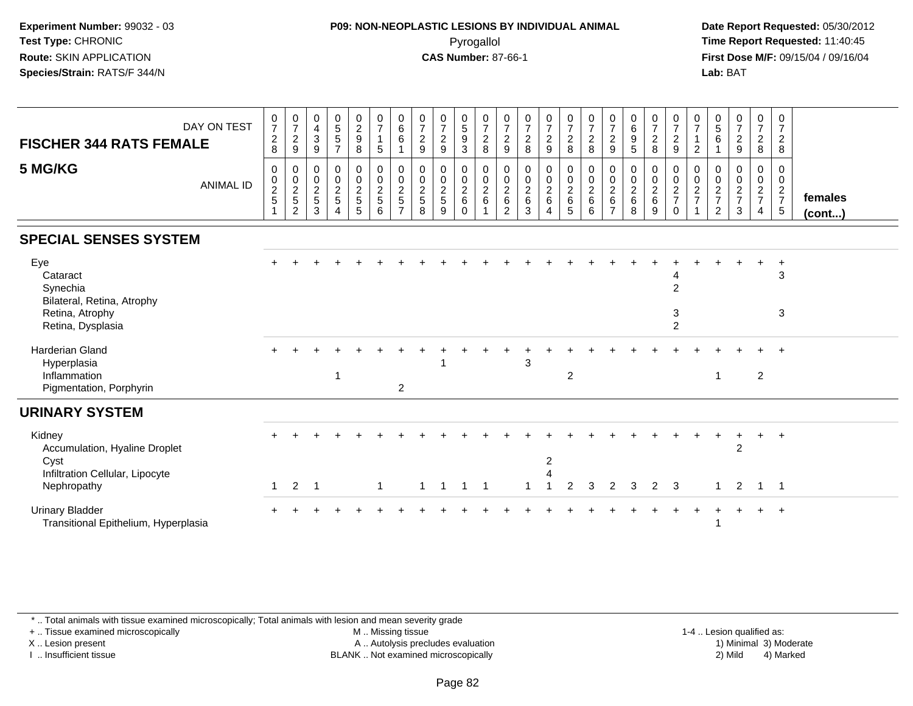#### **P09: NON-NEOPLASTIC LESIONS BY INDIVIDUAL ANIMAL**Pyrogallol **Time Report Requested:** 11:40:45

 **Date Report Requested:** 05/30/2012 **First Dose M/F:** 09/15/04 / 09/16/04 Lab: BAT **Lab:** BAT

| <b>FISCHER 344 RATS FEMALE</b><br>5 MG/KG                                        | DAY ON TEST<br><b>ANIMAL ID</b> | $\pmb{0}$<br>$\overline{7}$<br>$\sqrt{2}$<br>8<br>$\mathbf 0$<br>$\boldsymbol{0}$<br>$\frac{2}{5}$<br>1 | 0<br>$\overline{7}$<br>$\overline{c}$<br>9<br>0<br>$\mathbf 0$<br>$\overline{c}$<br>5<br>2 | 0<br>$\overline{4}$<br>$\ensuremath{\mathsf{3}}$<br>9<br>0<br>$\pmb{0}$<br>$\overline{c}$<br>$\sqrt{5}$<br>3 | $\begin{array}{c} 0 \\ 5 \\ 5 \end{array}$<br>$\overline{7}$<br>0<br>$\mathsf{O}$<br>$\overline{c}$<br>5<br>4 | $\begin{smallmatrix} 0\\2\\9 \end{smallmatrix}$<br>8<br>0<br>$\mathbf 0$<br>$\frac{2}{5}$<br>5 | $\frac{0}{7}$<br>$\mathbf 1$<br>5<br>$\pmb{0}$<br>$\pmb{0}$<br>$\boldsymbol{2}$<br>$\sqrt{5}$<br>6 | $\begin{array}{c} 0 \\ 6 \end{array}$<br>6<br>0<br>$\mathbf 0$<br>$\sqrt{2}$<br>5<br>$\overline{ }$ | 0<br>$\overline{7}$<br>$\overline{2}$<br>9<br>0<br>$\pmb{0}$<br>$\overline{2}$<br>$\sqrt{5}$<br>8 | $\frac{0}{7}$<br>$\overline{c}$<br>9<br>0<br>0<br>$\overline{c}$<br>5<br>9 | $\begin{array}{c} 0 \\ 5 \\ 9 \end{array}$<br>3<br>0<br>$\pmb{0}$<br>$\boldsymbol{2}$<br>6<br>$\Omega$ | $\frac{0}{7}$<br>$\overline{c}$<br>8<br>0<br>$\mathbf 0$<br>$\frac{2}{6}$ | 0<br>$\overline{7}$<br>$\sqrt{2}$<br>9<br>0<br>$\mathbf 0$<br>$\frac{2}{6}$<br>$\overline{2}$ | $\frac{0}{7}$<br>$\boldsymbol{2}$<br>$\bf8$<br>$\mathbf 0$<br>$\pmb{0}$<br>$\frac{2}{6}$<br>3 | $\frac{0}{7}$<br>$\sqrt{2}$<br>$9\,$<br>0<br>$\mathsf 0$<br>$\frac{2}{6}$<br>$\overline{4}$ | $\frac{0}{7}$<br>$\overline{a}$<br>8<br>0<br>$\pmb{0}$<br>$\overline{a}$<br>$\,6$<br>5 | $\frac{0}{7}$<br>$\overline{c}$<br>8<br>0<br>$\pmb{0}$<br>$\boldsymbol{2}$<br>6<br>6 | $\frac{0}{7}$<br>$\sqrt{2}$<br>$\boldsymbol{9}$<br>0<br>0<br>$\overline{2}$<br>6<br>$\overline{7}$ | $_{6}^{\rm 0}$<br>$\boldsymbol{9}$<br>$\sqrt{5}$<br>0<br>$\pmb{0}$<br>$\boldsymbol{2}$<br>$\,6\,$<br>8 | $\frac{0}{7}$<br>$\sqrt{2}$<br>8<br>0<br>$\pmb{0}$<br>$\frac{2}{6}$<br>9 | $\frac{0}{7}$<br>$\boldsymbol{2}$<br>$\boldsymbol{9}$<br>0<br>0<br>$\frac{2}{7}$<br>$\Omega$ | 0<br>$\overline{7}$<br>$\overline{2}$<br>0<br>$\mathbf 0$<br>$\sqrt{2}$<br>$\overline{7}$ | 0<br>$5\,$<br>6<br>0<br>0<br>$\boldsymbol{2}$<br>$\overline{7}$<br>$\overline{2}$ | $\frac{0}{7}$<br>$\overline{a}$<br>9<br>0<br>$\boldsymbol{0}$<br>$\frac{2}{7}$<br>3 | $\frac{0}{7}$<br>$\frac{2}{8}$<br>0<br>$\pmb{0}$<br>$\frac{2}{7}$<br>$\overline{4}$ | 0<br>$\overline{7}$<br>$\overline{a}$<br>8<br>0<br>0<br>$\frac{2}{7}$<br>$\sqrt{5}$ | females<br>$($ cont $)$ |
|----------------------------------------------------------------------------------|---------------------------------|---------------------------------------------------------------------------------------------------------|--------------------------------------------------------------------------------------------|--------------------------------------------------------------------------------------------------------------|---------------------------------------------------------------------------------------------------------------|------------------------------------------------------------------------------------------------|----------------------------------------------------------------------------------------------------|-----------------------------------------------------------------------------------------------------|---------------------------------------------------------------------------------------------------|----------------------------------------------------------------------------|--------------------------------------------------------------------------------------------------------|---------------------------------------------------------------------------|-----------------------------------------------------------------------------------------------|-----------------------------------------------------------------------------------------------|---------------------------------------------------------------------------------------------|----------------------------------------------------------------------------------------|--------------------------------------------------------------------------------------|----------------------------------------------------------------------------------------------------|--------------------------------------------------------------------------------------------------------|--------------------------------------------------------------------------|----------------------------------------------------------------------------------------------|-------------------------------------------------------------------------------------------|-----------------------------------------------------------------------------------|-------------------------------------------------------------------------------------|-------------------------------------------------------------------------------------|-------------------------------------------------------------------------------------|-------------------------|
| <b>SPECIAL SENSES SYSTEM</b>                                                     |                                 |                                                                                                         |                                                                                            |                                                                                                              |                                                                                                               |                                                                                                |                                                                                                    |                                                                                                     |                                                                                                   |                                                                            |                                                                                                        |                                                                           |                                                                                               |                                                                                               |                                                                                             |                                                                                        |                                                                                      |                                                                                                    |                                                                                                        |                                                                          |                                                                                              |                                                                                           |                                                                                   |                                                                                     |                                                                                     |                                                                                     |                         |
| Eye<br>Cataract<br>Synechia<br>Bilateral, Retina, Atrophy                        |                                 |                                                                                                         |                                                                                            |                                                                                                              |                                                                                                               |                                                                                                |                                                                                                    |                                                                                                     |                                                                                                   |                                                                            |                                                                                                        |                                                                           |                                                                                               |                                                                                               |                                                                                             |                                                                                        |                                                                                      |                                                                                                    |                                                                                                        |                                                                          | $\overline{2}$                                                                               |                                                                                           |                                                                                   |                                                                                     |                                                                                     | $\ddot{}$<br>$\mathbf{3}$                                                           |                         |
| Retina, Atrophy<br>Retina, Dysplasia                                             |                                 |                                                                                                         |                                                                                            |                                                                                                              |                                                                                                               |                                                                                                |                                                                                                    |                                                                                                     |                                                                                                   |                                                                            |                                                                                                        |                                                                           |                                                                                               |                                                                                               |                                                                                             |                                                                                        |                                                                                      |                                                                                                    |                                                                                                        |                                                                          | $\sqrt{3}$<br>$\overline{2}$                                                                 |                                                                                           |                                                                                   |                                                                                     |                                                                                     | 3                                                                                   |                         |
| <b>Harderian Gland</b><br>Hyperplasia<br>Inflammation<br>Pigmentation, Porphyrin |                                 |                                                                                                         |                                                                                            |                                                                                                              |                                                                                                               |                                                                                                |                                                                                                    | $\overline{c}$                                                                                      |                                                                                                   |                                                                            |                                                                                                        |                                                                           |                                                                                               | 3                                                                                             |                                                                                             | $\overline{c}$                                                                         |                                                                                      |                                                                                                    |                                                                                                        |                                                                          |                                                                                              |                                                                                           |                                                                                   |                                                                                     | $\overline{2}$                                                                      | $\overline{ }$                                                                      |                         |
| <b>URINARY SYSTEM</b>                                                            |                                 |                                                                                                         |                                                                                            |                                                                                                              |                                                                                                               |                                                                                                |                                                                                                    |                                                                                                     |                                                                                                   |                                                                            |                                                                                                        |                                                                           |                                                                                               |                                                                                               |                                                                                             |                                                                                        |                                                                                      |                                                                                                    |                                                                                                        |                                                                          |                                                                                              |                                                                                           |                                                                                   |                                                                                     |                                                                                     |                                                                                     |                         |
| Kidney<br>Accumulation, Hyaline Droplet<br>Cyst                                  |                                 |                                                                                                         |                                                                                            |                                                                                                              |                                                                                                               |                                                                                                |                                                                                                    |                                                                                                     |                                                                                                   |                                                                            |                                                                                                        |                                                                           |                                                                                               |                                                                                               | $\overline{\mathbf{c}}$                                                                     |                                                                                        |                                                                                      |                                                                                                    |                                                                                                        |                                                                          |                                                                                              |                                                                                           |                                                                                   | $\overline{2}$                                                                      | $^+$                                                                                | $^{+}$                                                                              |                         |
| Infiltration Cellular, Lipocyte<br>Nephropathy                                   |                                 | $\mathbf 1$                                                                                             | $\overline{2}$                                                                             | -1                                                                                                           |                                                                                                               |                                                                                                | $\overline{1}$                                                                                     |                                                                                                     | $\mathbf{1}$                                                                                      | $\mathbf 1$                                                                |                                                                                                        | -1                                                                        |                                                                                               |                                                                                               |                                                                                             | 2                                                                                      | 3                                                                                    | 2                                                                                                  | 3                                                                                                      | $\overline{2}$                                                           | 3                                                                                            |                                                                                           | 1                                                                                 | $\overline{2}$                                                                      | $\mathbf{1}$                                                                        | $\overline{\phantom{0}}$                                                            |                         |
| <b>Urinary Bladder</b><br>Transitional Epithelium, Hyperplasia                   |                                 |                                                                                                         |                                                                                            |                                                                                                              |                                                                                                               |                                                                                                |                                                                                                    |                                                                                                     |                                                                                                   |                                                                            |                                                                                                        |                                                                           |                                                                                               |                                                                                               |                                                                                             |                                                                                        |                                                                                      |                                                                                                    |                                                                                                        |                                                                          |                                                                                              |                                                                                           |                                                                                   |                                                                                     |                                                                                     |                                                                                     |                         |

\* .. Total animals with tissue examined microscopically; Total animals with lesion and mean severity grade

+ .. Tissue examined microscopically

X .. Lesion present

I .. Insufficient tissue

 M .. Missing tissueA .. Autolysis precludes evaluation

 1-4 .. Lesion qualified as: BLANK .. Not examined microscopically 2) Mild 4) Marked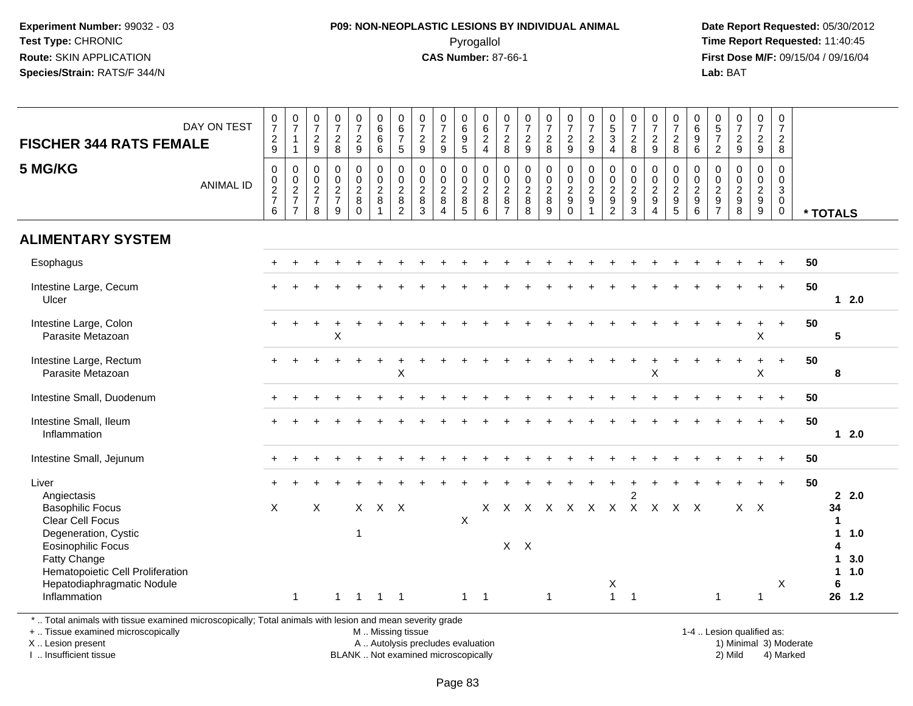### **P09: NON-NEOPLASTIC LESIONS BY INDIVIDUAL ANIMAL**Pyrogallol **Time Report Requested:** 11:40:45

 **Date Report Requested:** 05/30/2012 **First Dose M/F:** 09/15/04 / 09/16/04 Lab: BAT **Lab:** BAT

| DAY ON TEST<br><b>FISCHER 344 RATS FEMALE</b>                                         | $\frac{0}{7}$<br>$\frac{2}{9}$                               | $\begin{array}{c} 0 \\ 7 \end{array}$<br>$\mathbf{1}$<br>$\mathbf{1}$ | $\frac{0}{7}$<br>$\frac{2}{9}$    | $\frac{0}{7}$<br>$\frac{2}{8}$  | $\frac{0}{7}$<br>$\frac{2}{9}$                                   | 0<br>$\,6\,$<br>$6\phantom{1}6$<br>$6\phantom{1}6$              | $\begin{array}{c} 0 \\ 6 \\ 7 \end{array}$<br>5  | $\frac{0}{7}$<br>$\frac{2}{9}$  | $\frac{0}{7}$<br>$\frac{2}{9}$                   | 0<br>0<br>0<br>9<br>5                                | 0624                                                              | $\frac{0}{7}$<br>8                             | 0729                            | $\frac{0}{7}$<br>8                                          | $\frac{0}{7}$<br>$\frac{2}{9}$                              | 0729                                   | $\begin{array}{c} 0 \\ 5 \\ 3 \end{array}$<br>$\overline{4}$ | $\frac{0}{7}$<br>$_{\rm 8}^2$                                     | $\frac{0}{7}$<br>$\frac{2}{9}$                                                | $\frac{0}{7}$<br>8                                                | $\begin{array}{c} 0 \\ 6 \end{array}$<br>9<br>$\,6\,$ | $\begin{array}{c} 0 \\ 5 \\ 7 \end{array}$<br>$\overline{2}$ | 0729                                   | 0729                  | 0<br>$\overline{7}$<br>$\overline{2}$<br>8                    |    |                                               |
|---------------------------------------------------------------------------------------|--------------------------------------------------------------|-----------------------------------------------------------------------|-----------------------------------|---------------------------------|------------------------------------------------------------------|-----------------------------------------------------------------|--------------------------------------------------|---------------------------------|--------------------------------------------------|------------------------------------------------------|-------------------------------------------------------------------|------------------------------------------------|---------------------------------|-------------------------------------------------------------|-------------------------------------------------------------|----------------------------------------|--------------------------------------------------------------|-------------------------------------------------------------------|-------------------------------------------------------------------------------|-------------------------------------------------------------------|-------------------------------------------------------|--------------------------------------------------------------|----------------------------------------|-----------------------|---------------------------------------------------------------|----|-----------------------------------------------|
| 5 MG/KG<br><b>ANIMAL ID</b>                                                           | $\pmb{0}$<br>$\begin{array}{c} 0 \\ 2 \\ 7 \end{array}$<br>6 | $\pmb{0}$<br>$\frac{0}{2}$<br>$\overline{7}$                          | $\mathbf 0$<br>$\frac{0}{2}$<br>8 | $\pmb{0}$<br>$\frac{0}{2}$<br>9 | $\pmb{0}$<br>$\mathsf{O}\xspace$<br>$\frac{2}{8}$<br>$\mathbf 0$ | $\pmb{0}$<br>$\pmb{0}$<br>$\overline{2}$<br>8<br>$\overline{1}$ | $\mathbf 0$<br>$\mathbf 0$<br>$\frac{2}{8}$<br>2 | $\pmb{0}$<br>$\frac{0}{2}$<br>3 | $\mathsf{O}\xspace$<br>$\frac{0}{2}$<br>$\Delta$ | 0<br>$\begin{array}{c} 0 \\ 2 \\ 8 \\ 5 \end{array}$ | $\begin{array}{c} 0 \\ 0 \\ 2 \\ 8 \end{array}$<br>$6\phantom{1}$ | $\mathbf 0$<br>$\frac{0}{2}$<br>$\overline{7}$ | $\pmb{0}$<br>$\frac{0}{2}$<br>8 | 0<br>$\mathsf{O}\xspace$<br>$\frac{2}{8}$<br>$\overline{9}$ | $\begin{array}{c} 0 \\ 0 \\ 2 \\ 9 \end{array}$<br>$\Omega$ | $\boldsymbol{0}$<br>$\frac{0}{2}$<br>1 | $\pmb{0}$<br>$\begin{array}{c} 0 \\ 2 \\ 9 \\ 2 \end{array}$ | $\pmb{0}$<br>$\begin{smallmatrix} 0\\2\\9 \end{smallmatrix}$<br>3 | $\mathbf 0$<br>$\mathsf{O}\xspace$<br>$\frac{2}{9}$<br>$\boldsymbol{\Lambda}$ | $\begin{array}{c} 0 \\ 0 \\ 2 \\ 9 \end{array}$<br>$\overline{5}$ | 0<br>$\mathbf 0$<br>$\frac{2}{9}$<br>6                | $\pmb{0}$<br>$0$<br>$2$<br>$9$<br>$7$                        | 0<br>$\mathbf 0$<br>$\frac{2}{9}$<br>8 | 0<br>0<br>0<br>9<br>0 | $\mathbf 0$<br>$\mathbf 0$<br>3<br>$\mathbf 0$<br>$\mathbf 0$ |    | * TOTALS                                      |
| <b>ALIMENTARY SYSTEM</b>                                                              |                                                              |                                                                       |                                   |                                 |                                                                  |                                                                 |                                                  |                                 |                                                  |                                                      |                                                                   |                                                |                                 |                                                             |                                                             |                                        |                                                              |                                                                   |                                                                               |                                                                   |                                                       |                                                              |                                        |                       |                                                               |    |                                               |
| Esophagus                                                                             |                                                              |                                                                       |                                   |                                 |                                                                  |                                                                 |                                                  |                                 |                                                  |                                                      |                                                                   |                                                |                                 |                                                             |                                                             |                                        |                                                              |                                                                   |                                                                               |                                                                   |                                                       |                                                              |                                        |                       |                                                               | 50 |                                               |
| Intestine Large, Cecum<br>Ulcer                                                       |                                                              |                                                                       |                                   |                                 |                                                                  |                                                                 |                                                  |                                 |                                                  |                                                      |                                                                   |                                                |                                 |                                                             |                                                             |                                        |                                                              |                                                                   |                                                                               |                                                                   |                                                       |                                                              |                                        |                       | $\ddot{}$                                                     | 50 | $12.0$                                        |
| Intestine Large, Colon<br>Parasite Metazoan                                           |                                                              |                                                                       |                                   | $\pmb{\times}$                  |                                                                  |                                                                 |                                                  |                                 |                                                  |                                                      |                                                                   |                                                |                                 |                                                             |                                                             |                                        |                                                              |                                                                   |                                                                               |                                                                   |                                                       |                                                              |                                        | X                     | $\ddot{}$                                                     | 50 | $5\phantom{.0}$                               |
| Intestine Large, Rectum<br>Parasite Metazoan                                          |                                                              |                                                                       |                                   |                                 |                                                                  | $\ddot{}$                                                       | X                                                |                                 |                                                  |                                                      |                                                                   |                                                |                                 |                                                             |                                                             |                                        |                                                              | $\ddot{}$                                                         | X                                                                             |                                                                   |                                                       |                                                              | $\ddot{}$                              | $\ddot{}$<br>X        | $+$                                                           | 50 | 8                                             |
| Intestine Small, Duodenum                                                             |                                                              |                                                                       |                                   |                                 |                                                                  |                                                                 |                                                  |                                 |                                                  |                                                      |                                                                   |                                                |                                 |                                                             |                                                             |                                        |                                                              |                                                                   |                                                                               |                                                                   |                                                       |                                                              |                                        |                       | $\ddot{}$                                                     | 50 |                                               |
| Intestine Small, Ileum<br>Inflammation                                                |                                                              |                                                                       |                                   |                                 |                                                                  |                                                                 |                                                  |                                 |                                                  |                                                      |                                                                   |                                                |                                 |                                                             |                                                             |                                        |                                                              |                                                                   |                                                                               |                                                                   |                                                       |                                                              |                                        |                       | $+$                                                           | 50 | $12.0$                                        |
| Intestine Small, Jejunum                                                              |                                                              |                                                                       |                                   |                                 |                                                                  |                                                                 |                                                  |                                 |                                                  |                                                      |                                                                   |                                                |                                 |                                                             |                                                             |                                        |                                                              |                                                                   |                                                                               |                                                                   |                                                       |                                                              |                                        |                       |                                                               | 50 |                                               |
| Liver<br>Angiectasis<br><b>Basophilic Focus</b>                                       | X                                                            |                                                                       | X                                 |                                 |                                                                  | $X$ $X$ $X$                                                     |                                                  |                                 |                                                  |                                                      |                                                                   |                                                |                                 |                                                             | X X X X X X X X X X                                         |                                        |                                                              | $\overline{2}$                                                    |                                                                               |                                                                   |                                                       |                                                              |                                        | $X$ $X$               | $\ddot{}$                                                     | 50 | 2.0<br>34                                     |
| Clear Cell Focus<br>Degeneration, Cystic<br><b>Eosinophilic Focus</b><br>Fatty Change |                                                              |                                                                       |                                   |                                 | 1                                                                |                                                                 |                                                  |                                 |                                                  | X                                                    |                                                                   |                                                | $X$ $X$                         |                                                             |                                                             |                                        |                                                              |                                                                   |                                                                               |                                                                   |                                                       |                                                              |                                        |                       |                                                               |    | $\blacktriangleleft$<br>1.0<br>Δ<br>3.0<br>1. |
| Hematopoietic Cell Proliferation<br>Hepatodiaphragmatic Nodule<br>Inflammation        |                                                              | $\mathbf{1}$                                                          |                                   | $\overline{1}$                  | $\overline{\mathbf{1}}$                                          | $1 \quad 1$                                                     |                                                  |                                 |                                                  | $1 \quad 1$                                          |                                                                   |                                                |                                 | $\mathbf{1}$                                                |                                                             |                                        | $\mathsf X$<br>$\mathbf{1}$                                  | $\overline{1}$                                                    |                                                                               |                                                                   |                                                       | $\mathbf{1}$                                                 |                                        | 1                     | X                                                             |    | 1.0<br>1<br>6<br>26 1.2                       |

\* .. Total animals with tissue examined microscopically; Total animals with lesion and mean severity grade

+ .. Tissue examined microscopically

X .. Lesion present

I .. Insufficient tissue

 M .. Missing tissueA .. Autolysis precludes evaluation

BLANK .. Not examined microscopically 2) Mild 4) Marked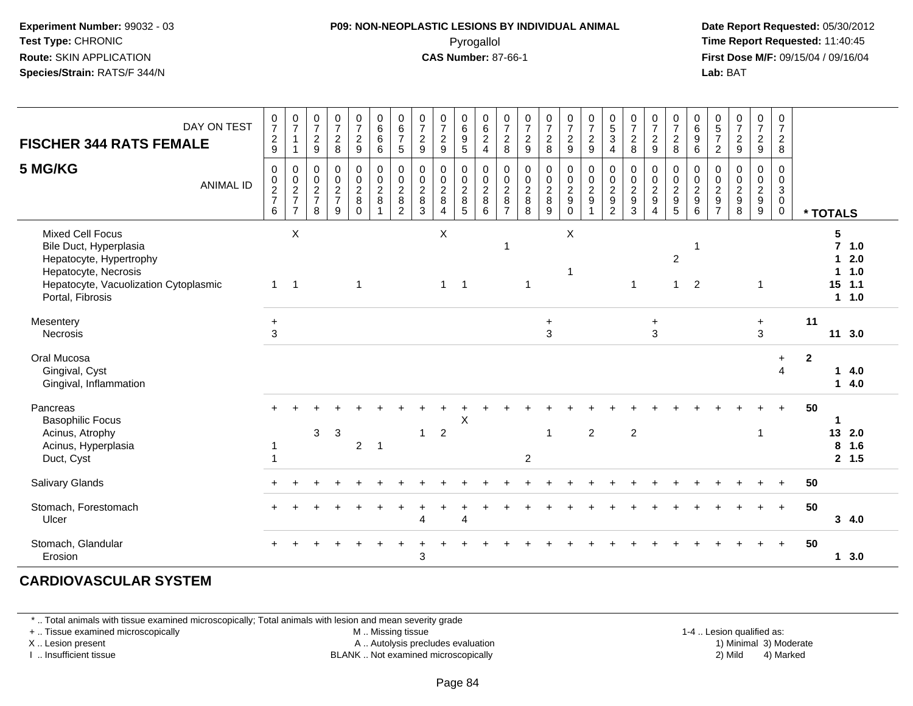#### **P09: NON-NEOPLASTIC LESIONS BY INDIVIDUAL ANIMAL**Pyrogallol **Time Report Requested:** 11:40:45

 **Date Report Requested:** 05/30/2012 **First Dose M/F:** 09/15/04 / 09/16/04 Lab: BAT **Lab:** BAT

| DAY ON TEST<br><b>FISCHER 344 RATS FEMALE</b>                                                                                                                     | $\frac{0}{7}$<br>$\frac{2}{9}$         | $\frac{0}{7}$<br>$\overline{1}$<br>$\mathbf{1}$                             | $\frac{0}{7}$<br>$\frac{2}{9}$                  | $\begin{array}{c} 0 \\ 7 \end{array}$<br>$_{\rm 8}^2$     | $\begin{array}{c} 0 \\ 7 \end{array}$<br>$\frac{2}{9}$                           | $\begin{array}{c} 0 \\ 6 \\ 6 \end{array}$<br>$\overline{6}$ | $\begin{array}{c} 0 \\ 6 \\ 7 \end{array}$<br>$\overline{5}$              | $\frac{0}{7}$<br>$\frac{2}{9}$                         | 0729                                                                             | 0<br>9<br>5                                                  | 0624                    | 0728                                                                    | $\frac{0}{7}$<br>$\frac{2}{9}$                     | $\frac{0}{7}$<br>$\frac{2}{8}$                         | $\frac{0}{7}$<br>$\frac{2}{9}$                                               | 0729                                                  | $\begin{array}{c} 0 \\ 5 \\ 3 \end{array}$<br>4                     | $\frac{0}{7}$<br>$\frac{2}{8}$                                      | 0729                                                                               | $\frac{0}{7}$<br>$_{\rm 8}^2$                                       | $_{6}^{\rm 0}$<br>9<br>6                                    | $\begin{array}{c} 0 \\ 5 \\ 7 \end{array}$<br>$\overline{2}$ | $\frac{0}{7}$<br>$\frac{2}{9}$ | $\begin{smallmatrix}0\\7\end{smallmatrix}$<br>$\frac{2}{9}$ | 0<br>$\overline{7}$<br>$\frac{2}{8}$         |                |                                                           |  |
|-------------------------------------------------------------------------------------------------------------------------------------------------------------------|----------------------------------------|-----------------------------------------------------------------------------|-------------------------------------------------|-----------------------------------------------------------|----------------------------------------------------------------------------------|--------------------------------------------------------------|---------------------------------------------------------------------------|--------------------------------------------------------|----------------------------------------------------------------------------------|--------------------------------------------------------------|-------------------------|-------------------------------------------------------------------------|----------------------------------------------------|--------------------------------------------------------|------------------------------------------------------------------------------|-------------------------------------------------------|---------------------------------------------------------------------|---------------------------------------------------------------------|------------------------------------------------------------------------------------|---------------------------------------------------------------------|-------------------------------------------------------------|--------------------------------------------------------------|--------------------------------|-------------------------------------------------------------|----------------------------------------------|----------------|-----------------------------------------------------------|--|
| 5 MG/KG<br><b>ANIMAL ID</b>                                                                                                                                       | $\mathbf 0$<br>0<br>$\frac{2}{7}$<br>6 | $\mathbf 0$<br>$\begin{array}{c} 0 \\ 2 \\ 7 \end{array}$<br>$\overline{7}$ | 0<br>0<br>$\overline{c}$<br>$\overline{7}$<br>8 | 0<br>$\mathbf 0$<br>$\overline{2}$<br>$\overline{7}$<br>9 | $\pmb{0}$<br>$\begin{smallmatrix} 0\\2 \end{smallmatrix}$<br>$\bf 8$<br>$\Omega$ | 0<br>$\frac{0}{2}$<br>$\overline{1}$                         | $\mathbf 0$<br>$\mathbf 0$<br>$\overline{2}$<br>$\bf 8$<br>$\overline{2}$ | $\mathbf 0$<br>$\mathbf 0$<br>$\overline{2}$<br>8<br>3 | $\mathbf 0$<br>$\begin{smallmatrix} 0\\2\\8 \end{smallmatrix}$<br>$\overline{4}$ | $\mathbf 0$<br>$\mathbf 0$<br>$\overline{2}$<br>$\bf 8$<br>5 | 0<br>$\frac{0}{2}$<br>6 | $\mathbf 0$<br>$\pmb{0}$<br>$\overline{2}$<br>$\bf 8$<br>$\overline{7}$ | $\mathbf 0$<br>0<br>$\overline{c}$<br>$\bf 8$<br>8 | $\pmb{0}$<br>$\mathbf{0} \\ \mathbf{2}$<br>$\, 8$<br>9 | $\mathbf 0$<br>$\mathbf 0$<br>$\overline{2}$<br>$\boldsymbol{9}$<br>$\Omega$ | $\mathsf 0$<br>$\mathbf 0$<br>$\overline{2}$<br>$9\,$ | $\mathbf 0$<br>$_{2}^{\rm 0}$<br>$\boldsymbol{9}$<br>$\overline{2}$ | $\mathbf 0$<br>$\begin{smallmatrix} 0\\2\\9 \end{smallmatrix}$<br>3 | $\mathbf 0$<br>$\mathbf 0$<br>$\overline{2}$<br>$\boldsymbol{9}$<br>$\overline{A}$ | 0<br>$\mathsf{O}\xspace$<br>$\overline{2}$<br>$\boldsymbol{9}$<br>5 | $\mathbf 0$<br>0<br>$\overline{2}$<br>$\boldsymbol{9}$<br>6 | $\mathbf 0$<br>0<br>$\overline{c}$<br>9<br>$\overline{7}$    | 0<br>0<br>$\frac{2}{9}$<br>8   | $\mathbf 0$<br>$\frac{0}{2}$<br>$9\,$                       | 0<br>$\mathbf 0$<br>$\mathfrak{S}$<br>0<br>0 |                | * TOTALS                                                  |  |
| <b>Mixed Cell Focus</b><br>Bile Duct, Hyperplasia<br>Hepatocyte, Hypertrophy<br>Hepatocyte, Necrosis<br>Hepatocyte, Vacuolization Cytoplasmic<br>Portal, Fibrosis | $\overline{1}$                         | X<br>$\overline{1}$                                                         |                                                 |                                                           | $\mathbf{1}$                                                                     |                                                              |                                                                           |                                                        | X<br>$\mathbf{1}$                                                                | $\overline{\phantom{0}}$ 1                                   |                         | -1                                                                      | $\overline{\mathbf{1}}$                            |                                                        | X<br>1                                                                       |                                                       |                                                                     | $\mathbf{1}$                                                        |                                                                                    | $\overline{2}$<br>$\mathbf{1}$                                      | -1<br>2                                                     |                                                              |                                | $\overline{1}$                                              |                                              |                | 5<br>$7 1.0$<br>2.0<br>1<br>1.0<br>1<br>15<br>1.1<br>11.0 |  |
| Mesentery<br><b>Necrosis</b>                                                                                                                                      | $\ddot{}$<br>3                         |                                                                             |                                                 |                                                           |                                                                                  |                                                              |                                                                           |                                                        |                                                                                  |                                                              |                         |                                                                         |                                                    | $\ddot{}$<br>3                                         |                                                                              |                                                       |                                                                     |                                                                     | $\ddot{}$<br>3                                                                     |                                                                     |                                                             |                                                              |                                | $+$<br>3                                                    |                                              | 11             | 11 3.0                                                    |  |
| Oral Mucosa<br>Gingival, Cyst<br>Gingival, Inflammation                                                                                                           |                                        |                                                                             |                                                 |                                                           |                                                                                  |                                                              |                                                                           |                                                        |                                                                                  |                                                              |                         |                                                                         |                                                    |                                                        |                                                                              |                                                       |                                                                     |                                                                     |                                                                                    |                                                                     |                                                             |                                                              |                                |                                                             | $+$<br>4                                     | $\overline{2}$ | 4.0<br>1<br>4.0<br>1                                      |  |
| Pancreas<br><b>Basophilic Focus</b><br>Acinus, Atrophy<br>Acinus, Hyperplasia<br>Duct, Cyst                                                                       |                                        |                                                                             | 3                                               | 3                                                         | $\overline{2}$                                                                   | $\overline{\phantom{0}}$                                     |                                                                           | $\mathbf{1}$                                           | $\overline{2}$                                                                   | $\mathsf X$                                                  |                         |                                                                         | $\overline{2}$                                     | 1                                                      |                                                                              | $\overline{2}$                                        |                                                                     | $\overline{2}$                                                      |                                                                                    |                                                                     |                                                             |                                                              |                                | $\overline{\mathbf{1}}$                                     |                                              | 50             | 13<br>2.0<br>8<br>1.6<br>2, 1.5                           |  |
| Salivary Glands                                                                                                                                                   |                                        |                                                                             |                                                 |                                                           |                                                                                  |                                                              |                                                                           |                                                        |                                                                                  |                                                              |                         |                                                                         |                                                    |                                                        |                                                                              |                                                       |                                                                     |                                                                     |                                                                                    |                                                                     |                                                             |                                                              |                                |                                                             |                                              | 50             |                                                           |  |
| Stomach, Forestomach<br>Ulcer                                                                                                                                     |                                        |                                                                             |                                                 |                                                           |                                                                                  |                                                              |                                                                           | 4                                                      |                                                                                  | $\Lambda$                                                    |                         |                                                                         |                                                    |                                                        |                                                                              |                                                       |                                                                     |                                                                     |                                                                                    |                                                                     |                                                             |                                                              |                                |                                                             | $+$                                          | 50             | 3, 4.0                                                    |  |
| Stomach, Glandular<br>Erosion                                                                                                                                     |                                        |                                                                             |                                                 |                                                           |                                                                                  |                                                              |                                                                           | 3                                                      |                                                                                  |                                                              |                         |                                                                         |                                                    |                                                        |                                                                              |                                                       |                                                                     |                                                                     |                                                                                    |                                                                     |                                                             |                                                              |                                |                                                             |                                              | 50             | 1, 3.0                                                    |  |

#### **CARDIOVASCULAR SYSTEM**

\* .. Total animals with tissue examined microscopically; Total animals with lesion and mean severity grade

+ .. Tissue examined microscopically

X .. Lesion present

I .. Insufficient tissue

M .. Missing tissue

A .. Autolysis precludes evaluation

BLANK .. Not examined microscopically 2) Mild 4) Marked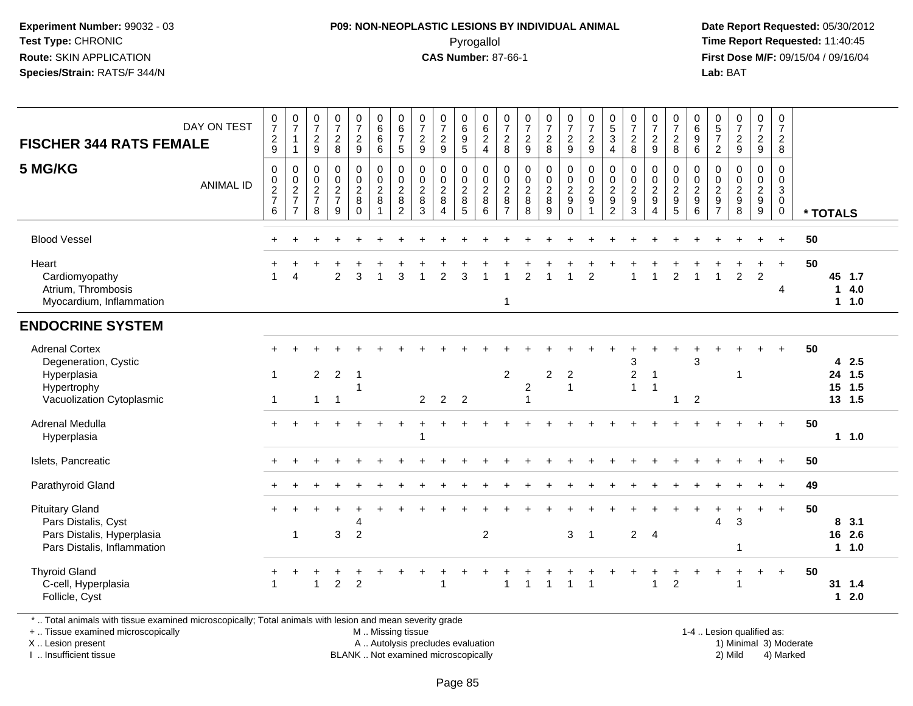## **P09: NON-NEOPLASTIC LESIONS BY INDIVIDUAL ANIMAL**Pyrogallol **Time Report Requested:** 11:40:45

 **Date Report Requested:** 05/30/2012 **First Dose M/F:** 09/15/04 / 09/16/04 Lab: BAT **Lab:** BAT

| <b>FISCHER 344 RATS FEMALE</b><br>5 MG/KG                                                                  | DAY ON TEST<br><b>ANIMAL ID</b> | $\begin{array}{c} 0 \\ 7 \end{array}$<br>$\frac{2}{9}$<br>$\mathsf 0$<br>$\begin{array}{c} 0 \\ 2 \\ 7 \end{array}$<br>6 | $\frac{0}{7}$<br>$\mathbf{1}$<br>$\overline{1}$<br>$\mathbf 0$<br>$\frac{0}{2}$<br>$\overline{7}$ | $\begin{matrix} 0 \\ 7 \end{matrix}$<br>$\sqrt{2}$<br>9<br>$\pmb{0}$<br>$\boldsymbol{0}$<br>$\frac{2}{7}$<br>8 | $\frac{0}{7}$<br>$\sqrt{2}$<br>$\bf 8$<br>$\pmb{0}$<br>$\frac{0}{2}$<br>$\overline{7}$<br>9 | $\frac{0}{7}$<br>$\frac{2}{9}$<br>$\mathsf{O}$<br>$\frac{0}{2}$<br>$\Omega$ | $\begin{array}{c} 0 \\ 6 \\ 6 \end{array}$<br>6<br>$\pmb{0}$<br>$\frac{0}{2}$<br>$\overline{1}$ | $\begin{array}{c} 0 \\ 6 \\ 7 \end{array}$<br>$\sqrt{5}$<br>$\pmb{0}$<br>$\begin{array}{c} 0 \\ 2 \\ 8 \\ 2 \end{array}$ | $\frac{0}{7}$<br>$\sqrt{2}$<br>9<br>0<br>$\mathop{2}\limits^{\mathbb{O}}$<br>$\bf8$<br>3 | $\frac{0}{7}$<br>$\sqrt{2}$<br>9<br>$\pmb{0}$<br>$\frac{0}{2}$<br>$\, 8$<br>$\Delta$ | $_{6}^{\rm 0}$<br>$\boldsymbol{9}$<br>5<br>0<br>$\mathbf 0$<br>$\frac{2}{8}$<br>5 | $062$<br>4<br>$\mathsf 0$<br>$\frac{0}{2}$<br>6 | $\begin{array}{c} 0 \\ 7 \\ 2 \end{array}$<br>8<br>$\pmb{0}$<br>$\frac{0}{2}$<br>$\overline{7}$ | $\frac{0}{7}$<br>$\sqrt{2}$<br>$\boldsymbol{9}$<br>$\mathbf 0$<br>$\frac{0}{2}$<br>8 | $\frac{0}{7}$<br>$\sqrt{2}$<br>8<br>$\mathbf 0$<br>$\frac{0}{2}$<br>9 | $\frac{0}{7}$<br>$\frac{2}{9}$<br>$\pmb{0}$<br>$\frac{0}{2}$<br>$\Omega$ | $\begin{array}{c} 0 \\ 7 \\ 2 \\ 9 \end{array}$<br>$\pmb{0}$<br>$\frac{0}{2}$<br>1 | $\begin{array}{c} 0 \\ 5 \\ 3 \end{array}$<br>$\overline{4}$<br>0<br>$\frac{0}{2}$<br>$\overline{2}$ | $\begin{smallmatrix} 0\\7 \end{smallmatrix}$<br>$\sqrt{2}$<br>8<br>0<br>$\frac{0}{2}$<br>3 | $\begin{array}{c} 0 \\ 7 \end{array}$<br>$\frac{2}{9}$<br>$\pmb{0}$<br>$\frac{0}{2}$<br>$\boldsymbol{\Lambda}$ | $\frac{0}{7}$<br>$\sqrt{2}$<br>8<br>0<br>$\frac{0}{2}$<br>5 | $\begin{array}{c} 0 \\ 6 \\ 9 \end{array}$<br>6<br>$\boldsymbol{0}$<br>$\frac{0}{2}$<br>6 | $\begin{array}{c} 0 \\ 5 \\ 7 \end{array}$<br>$\overline{c}$<br>0<br>$\mathbf 0$<br>$\frac{2}{9}$<br>$\overline{7}$ | $\frac{0}{7}$<br>$\overline{2}$<br>9<br>0<br>$\pmb{0}$<br>$\frac{2}{9}$<br>8 | $\begin{array}{c} 0 \\ 7 \\ 2 \end{array}$<br>$\boldsymbol{9}$<br>$\pmb{0}$<br>$\frac{0}{2}$<br>$\boldsymbol{9}$ | $\begin{array}{c} 0 \\ 7 \end{array}$<br>$\frac{2}{8}$<br>$\mathsf 0$<br>$\mathbf 0$<br>$\frac{3}{0}$<br>$\mathbf 0$ |    | * TOTALS              |                    |
|------------------------------------------------------------------------------------------------------------|---------------------------------|--------------------------------------------------------------------------------------------------------------------------|---------------------------------------------------------------------------------------------------|----------------------------------------------------------------------------------------------------------------|---------------------------------------------------------------------------------------------|-----------------------------------------------------------------------------|-------------------------------------------------------------------------------------------------|--------------------------------------------------------------------------------------------------------------------------|------------------------------------------------------------------------------------------|--------------------------------------------------------------------------------------|-----------------------------------------------------------------------------------|-------------------------------------------------|-------------------------------------------------------------------------------------------------|--------------------------------------------------------------------------------------|-----------------------------------------------------------------------|--------------------------------------------------------------------------|------------------------------------------------------------------------------------|------------------------------------------------------------------------------------------------------|--------------------------------------------------------------------------------------------|----------------------------------------------------------------------------------------------------------------|-------------------------------------------------------------|-------------------------------------------------------------------------------------------|---------------------------------------------------------------------------------------------------------------------|------------------------------------------------------------------------------|------------------------------------------------------------------------------------------------------------------|----------------------------------------------------------------------------------------------------------------------|----|-----------------------|--------------------|
| <b>Blood Vessel</b>                                                                                        |                                 |                                                                                                                          |                                                                                                   |                                                                                                                |                                                                                             |                                                                             |                                                                                                 |                                                                                                                          |                                                                                          |                                                                                      |                                                                                   |                                                 |                                                                                                 |                                                                                      |                                                                       |                                                                          |                                                                                    |                                                                                                      |                                                                                            |                                                                                                                |                                                             |                                                                                           |                                                                                                                     |                                                                              |                                                                                                                  | $\ddot{}$                                                                                                            | 50 |                       |                    |
| Heart<br>Cardiomyopathy<br>Atrium, Thrombosis<br>Myocardium, Inflammation                                  |                                 |                                                                                                                          | $\boldsymbol{\Lambda}$                                                                            |                                                                                                                | $\overline{2}$                                                                              | 3                                                                           | $\overline{1}$                                                                                  | 3                                                                                                                        |                                                                                          | $\overline{2}$                                                                       | 3                                                                                 |                                                 | $\mathbf{1}$                                                                                    | $\overline{2}$                                                                       |                                                                       | 1                                                                        | $\overline{2}$                                                                     |                                                                                                      |                                                                                            |                                                                                                                | $\overline{2}$                                              |                                                                                           | 1                                                                                                                   | $\overline{a}$                                                               | $\div$<br>$\overline{c}$                                                                                         | $+$<br>4                                                                                                             | 50 | 45 1.7<br>11.0        | 14.0               |
| <b>ENDOCRINE SYSTEM</b>                                                                                    |                                 |                                                                                                                          |                                                                                                   |                                                                                                                |                                                                                             |                                                                             |                                                                                                 |                                                                                                                          |                                                                                          |                                                                                      |                                                                                   |                                                 |                                                                                                 |                                                                                      |                                                                       |                                                                          |                                                                                    |                                                                                                      |                                                                                            |                                                                                                                |                                                             |                                                                                           |                                                                                                                     |                                                                              |                                                                                                                  |                                                                                                                      |    |                       |                    |
| <b>Adrenal Cortex</b><br>Degeneration, Cystic<br>Hyperplasia<br>Hypertrophy<br>Vacuolization Cytoplasmic   |                                 | $\mathbf{1}$                                                                                                             |                                                                                                   | $\overline{c}$<br>1                                                                                            | $\overline{2}$<br>-1                                                                        | $\overline{1}$                                                              |                                                                                                 |                                                                                                                          | $\overline{2}$                                                                           | $\overline{2}$                                                                       | $\overline{2}$                                                                    |                                                 | $\overline{2}$                                                                                  | $\overline{2}$                                                                       | $\overline{c}$                                                        | $\overline{2}$<br>$\mathbf{1}$                                           |                                                                                    |                                                                                                      | 3<br>$\overline{c}$<br>1                                                                   | $\mathbf{1}$<br>$\overline{\mathbf{1}}$                                                                        | 1                                                           | 3<br>$\overline{2}$                                                                       |                                                                                                                     | -1                                                                           |                                                                                                                  |                                                                                                                      | 50 | 24<br>15<br>13 1.5    | 42.5<br>1.5<br>1.5 |
| Adrenal Medulla<br>Hyperplasia                                                                             |                                 |                                                                                                                          |                                                                                                   |                                                                                                                |                                                                                             |                                                                             |                                                                                                 |                                                                                                                          |                                                                                          |                                                                                      |                                                                                   |                                                 |                                                                                                 |                                                                                      |                                                                       |                                                                          |                                                                                    |                                                                                                      |                                                                                            |                                                                                                                |                                                             |                                                                                           |                                                                                                                     |                                                                              |                                                                                                                  | $+$                                                                                                                  | 50 |                       | 11.0               |
| Islets, Pancreatic                                                                                         |                                 |                                                                                                                          |                                                                                                   |                                                                                                                |                                                                                             |                                                                             |                                                                                                 |                                                                                                                          |                                                                                          |                                                                                      |                                                                                   |                                                 |                                                                                                 |                                                                                      |                                                                       |                                                                          |                                                                                    |                                                                                                      |                                                                                            |                                                                                                                |                                                             |                                                                                           |                                                                                                                     |                                                                              |                                                                                                                  | $\ddot{}$                                                                                                            | 50 |                       |                    |
| Parathyroid Gland                                                                                          |                                 |                                                                                                                          |                                                                                                   |                                                                                                                |                                                                                             |                                                                             |                                                                                                 |                                                                                                                          |                                                                                          |                                                                                      |                                                                                   |                                                 |                                                                                                 |                                                                                      |                                                                       |                                                                          |                                                                                    |                                                                                                      |                                                                                            |                                                                                                                |                                                             |                                                                                           |                                                                                                                     |                                                                              |                                                                                                                  | $\ddot{}$                                                                                                            | 49 |                       |                    |
| <b>Pituitary Gland</b><br>Pars Distalis, Cyst<br>Pars Distalis, Hyperplasia<br>Pars Distalis, Inflammation |                                 |                                                                                                                          | -1                                                                                                |                                                                                                                | 3                                                                                           | $\overline{2}$                                                              |                                                                                                 |                                                                                                                          |                                                                                          |                                                                                      |                                                                                   | $\overline{2}$                                  |                                                                                                 |                                                                                      |                                                                       | 3                                                                        | $\overline{1}$                                                                     |                                                                                                      | $\overline{2}$                                                                             | $\overline{a}$                                                                                                 |                                                             |                                                                                           | $\overline{\mathbf{A}}$                                                                                             | 3                                                                            | $\div$                                                                                                           | $\ddot{}$                                                                                                            | 50 | 16<br>$1 1.0$         | 8, 3.1<br>2.6      |
| <b>Thyroid Gland</b><br>C-cell, Hyperplasia<br>Follicle, Cyst                                              |                                 | $\mathbf{1}$                                                                                                             |                                                                                                   | $\mathbf{1}$                                                                                                   | $\overline{2}$                                                                              | $\overline{2}$                                                              |                                                                                                 |                                                                                                                          |                                                                                          | 1                                                                                    |                                                                                   |                                                 | $\overline{1}$                                                                                  |                                                                                      | $\overline{\mathbf{1}}$                                               | $\mathbf{1}$                                                             | $\mathbf{1}$                                                                       |                                                                                                      |                                                                                            | $\overline{1}$                                                                                                 | $\overline{2}$                                              |                                                                                           |                                                                                                                     |                                                                              | $\ddot{}$                                                                                                        | $+$                                                                                                                  | 50 | 31 1.4<br>$\mathbf 1$ | 2.0                |

\* .. Total animals with tissue examined microscopically; Total animals with lesion and mean severity grade

+ .. Tissue examined microscopically

X .. Lesion present

I .. Insufficient tissue

 M .. Missing tissueA .. Autolysis precludes evaluation

BLANK .. Not examined microscopically 2) Mild 4) Marked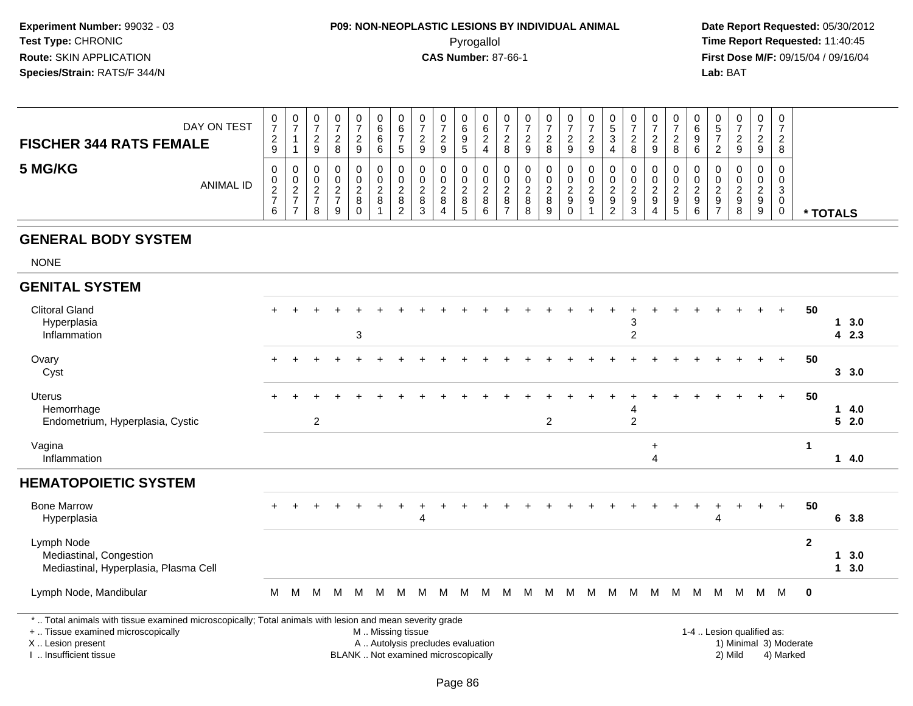# **P09: NON-NEOPLASTIC LESIONS BY INDIVIDUAL ANIMAL**Pyrogallol **Time Report Requested:** 11:40:45

 **Date Report Requested:** 05/30/2012 **First Dose M/F:** 09/15/04 / 09/16/04<br>Lab: BAT **Lab:** BAT

| DAY ON TEST<br><b>FISCHER 344 RATS FEMALE</b> | v<br>$\overline{\phantom{a}}$<br>$\epsilon$<br>9 | U                  | 0<br><u>_</u><br>9      | 0<br>-<br>ົ<br><u>_</u><br>8                 | 0<br>ົ<br><u>_</u><br>9    | $\sim$ | ⌒ | υ<br><u>_</u><br>9 | 0<br><u>_</u><br>9                | 0<br>6<br>9<br>$\mathbf{p}$                            | U<br>6<br>4      | υ<br>8 | 0<br>∼<br>9 | 0<br>◠<br>8 | U<br><u>.</u><br>9 | 0<br><u>_</u><br>9 | ◡<br>- 11<br>ົ<br>4 | 0<br>ົ<br>-<br>8      |               | ∸       | υ<br>6<br>a<br>J<br>6 | <u>_</u> | 0<br><u>_</u><br>9    | U<br><sup>o</sup><br><u>_</u><br>9 | 0<br>ົ<br>-<br>8      |          |
|-----------------------------------------------|--------------------------------------------------|--------------------|-------------------------|----------------------------------------------|----------------------------|--------|---|--------------------|-----------------------------------|--------------------------------------------------------|------------------|--------|-------------|-------------|--------------------|--------------------|---------------------|-----------------------|---------------|---------|-----------------------|----------|-----------------------|------------------------------------|-----------------------|----------|
| 5 MG/KG<br>ANIMAL ID                          | υ<br>U<br>∼<br>6                                 | U<br>U<br><u>.</u> | 0<br>0<br><u>_</u><br>o | 0<br>0<br>ົ<br>$\overline{\phantom{a}}$<br>9 | 0<br>0<br>ົ<br>∼<br>8<br>0 |        |   | 8                  | 0<br>0<br>$\circ$<br>$\circ$<br>4 | $\mathbf{0}$<br>0<br>◠<br><u>_</u><br>8<br>$5^{\circ}$ | U<br>U<br>8<br>6 | υ<br>8 |             | 0<br>8<br>Q | 9                  | 0<br>9             | ÷<br>ົ<br><u>_</u>  | 0<br>0<br>ົ<br>9<br>3 | $\Omega$<br>4 | C<br>৾৾ | υ<br>υ<br>9<br>⌒<br>6 | 9        | 0<br>0<br>ົ<br>9<br>8 | U<br>v<br>9<br>У                   | 0<br>ີ<br>J<br>U<br>◡ | * TOTALS |

#### **GENERAL BODY SYSTEM**

NONE

| <b>GENITAL SYSTEM</b>                                                                                                                                               |           |   |                |   |                           |   |                                                        |   |   |   |   |   |   |   |   |   |   |                     |                |   |   |   |   |                           |                        |              |   |             |  |
|---------------------------------------------------------------------------------------------------------------------------------------------------------------------|-----------|---|----------------|---|---------------------------|---|--------------------------------------------------------|---|---|---|---|---|---|---|---|---|---|---------------------|----------------|---|---|---|---|---------------------------|------------------------|--------------|---|-------------|--|
| <b>Clitoral Gland</b><br>Hyperplasia<br>Inflammation                                                                                                                | $+$       |   |                |   | $\ensuremath{\mathsf{3}}$ |   |                                                        |   |   |   |   |   |   |   |   |   |   | 3<br>$\overline{2}$ |                |   |   |   |   |                           |                        | 50           |   | 3.0<br>42.3 |  |
| Ovary<br>Cyst                                                                                                                                                       | $+$       |   |                |   |                           |   |                                                        |   |   |   |   |   |   |   |   |   |   |                     |                |   |   |   |   |                           | $\ddot{}$              | 50           |   | 3, 3.0      |  |
| Uterus<br>Hemorrhage<br>Endometrium, Hyperplasia, Cystic                                                                                                            | $\ddot{}$ |   | $\overline{2}$ |   |                           |   |                                                        |   |   |   |   |   |   | 2 |   |   |   | $\overline{2}$      |                |   |   |   |   |                           | $+$                    | 50           | 1 | 4.0<br>52.0 |  |
| Vagina<br>Inflammation                                                                                                                                              |           |   |                |   |                           |   |                                                        |   |   |   |   |   |   |   |   |   |   |                     | $\ddot{}$<br>4 |   |   |   |   |                           |                        | 1            |   | 14.0        |  |
| <b>HEMATOPOIETIC SYSTEM</b>                                                                                                                                         |           |   |                |   |                           |   |                                                        |   |   |   |   |   |   |   |   |   |   |                     |                |   |   |   |   |                           |                        |              |   |             |  |
| <b>Bone Marrow</b><br>Hyperplasia                                                                                                                                   | $+$       |   |                |   |                           |   |                                                        | 4 |   |   |   |   |   |   |   |   |   |                     |                |   |   | 4 |   |                           |                        | 50           |   | 6 3.8       |  |
| Lymph Node<br>Mediastinal, Congestion<br>Mediastinal, Hyperplasia, Plasma Cell                                                                                      |           |   |                |   |                           |   |                                                        |   |   |   |   |   |   |   |   |   |   |                     |                |   |   |   |   |                           |                        | $\mathbf{2}$ | 1 | 3.0<br>13.0 |  |
| Lymph Node, Mandibular                                                                                                                                              | M         | M | M              | M | M                         | М | M                                                      | M | м | м | м | M | M | M | M | м | M | M                   | M              | M | M | M | M | <b>M</b>                  | M                      | 0            |   |             |  |
| *  Total animals with tissue examined microscopically; Total animals with lesion and mean severity grade<br>+  Tissue examined microscopically<br>X  Lesion present |           |   |                |   |                           |   | M  Missing tissue<br>A  Autolysis precludes evaluation |   |   |   |   |   |   |   |   |   |   |                     |                |   |   |   |   | 1-4  Lesion qualified as: | 1) Minimal 3) Moderate |              |   |             |  |

I .. Insufficient tissue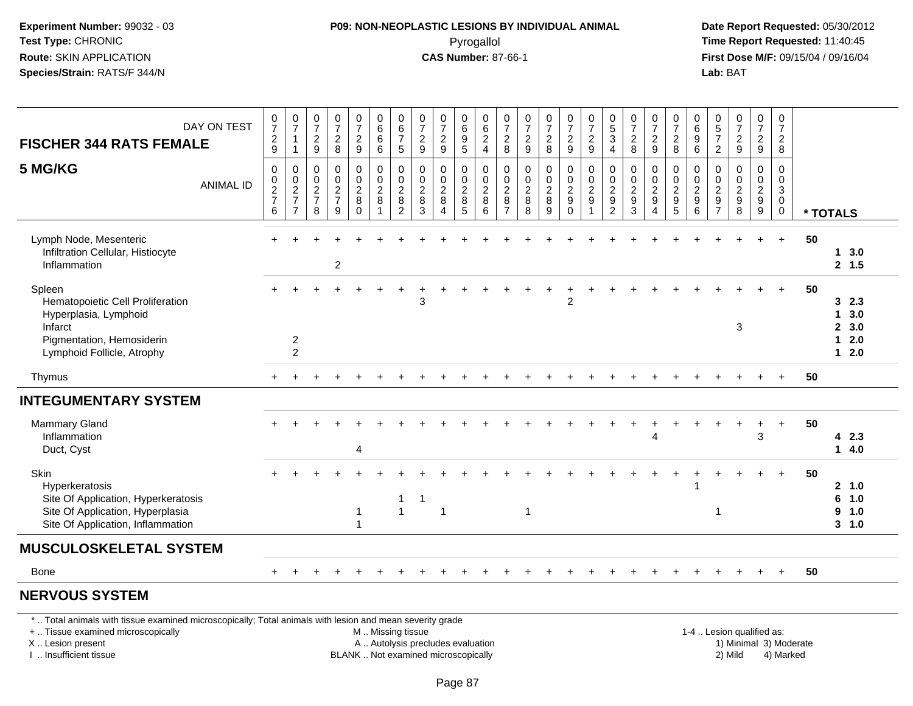#### **P09: NON-NEOPLASTIC LESIONS BY INDIVIDUAL ANIMAL**Pyrogallol **Time Report Requested:** 11:40:45

 **Date Report Requested:** 05/30/2012 **First Dose M/F:** 09/15/04 / 09/16/04 Lab: BAT **Lab:** BAT

| DAY ON TEST<br><b>FISCHER 344 RATS FEMALE</b>                                                                                             | $\frac{0}{7}$<br>$\frac{2}{9}$                                     | $\frac{0}{7}$<br>$\mathbf{1}$<br>$\mathbf{1}$                     | $\frac{0}{7}$<br>$\overline{2}$<br>$\boldsymbol{9}$ | $\frac{0}{7}$<br>$\overline{2}$<br>$\,8\,$           | $\frac{0}{7}$<br>$\overline{c}$<br>$\boldsymbol{9}$ | $_{6}^{\rm 0}$<br>$\,6\,$<br>$\,6\,$ | $\begin{array}{c} 0 \\ 6 \\ 7 \end{array}$<br>$\sqrt{5}$          | $\pmb{0}$<br>$\overline{7}$<br>$\overline{2}$<br>$9\,$ | $\begin{array}{c} 0 \\ 7 \end{array}$<br>$\boldsymbol{2}$<br>9  | 0<br>6<br>9<br>5                            | $\begin{matrix} 0 \\ 6 \\ 2 \end{matrix}$<br>$\overline{4}$ | $\frac{0}{7}$<br>$\overline{c}$<br>8                                      | $\frac{0}{7}$<br>$\overline{a}$<br>$\boldsymbol{9}$ | $\frac{0}{7}$<br>$\overline{c}$<br>$\,8\,$                         | $\begin{smallmatrix}0\\7\end{smallmatrix}$<br>$\overline{c}$<br>$\boldsymbol{9}$ | $\begin{array}{c} 0 \\ 7 \end{array}$<br>$\boldsymbol{2}$<br>9 | $\begin{array}{c} 0 \\ 5 \end{array}$<br>$\sqrt{3}$<br>$\overline{4}$ | $\frac{0}{7}$<br>$\overline{2}$<br>$\,8\,$       | $\frac{0}{7}$<br>$\overline{c}$<br>$\boldsymbol{9}$                         | $\frac{0}{7}$<br>$\overline{c}$<br>8                                | 0<br>$\,6\,$<br>$\boldsymbol{9}$<br>$6\phantom{1}6$         | $\begin{array}{c} 0 \\ 5 \end{array}$<br>$\overline{7}$<br>$\sqrt{2}$ | $\begin{smallmatrix}0\\7\end{smallmatrix}$<br>$\overline{2}$<br>$\boldsymbol{9}$ | $\frac{0}{7}$<br>$\overline{a}$<br>9                  | $\pmb{0}$<br>$\overline{7}$<br>$\overline{2}$<br>8               |    |                                                             |                                    |
|-------------------------------------------------------------------------------------------------------------------------------------------|--------------------------------------------------------------------|-------------------------------------------------------------------|-----------------------------------------------------|------------------------------------------------------|-----------------------------------------------------|--------------------------------------|-------------------------------------------------------------------|--------------------------------------------------------|-----------------------------------------------------------------|---------------------------------------------|-------------------------------------------------------------|---------------------------------------------------------------------------|-----------------------------------------------------|--------------------------------------------------------------------|----------------------------------------------------------------------------------|----------------------------------------------------------------|-----------------------------------------------------------------------|--------------------------------------------------|-----------------------------------------------------------------------------|---------------------------------------------------------------------|-------------------------------------------------------------|-----------------------------------------------------------------------|----------------------------------------------------------------------------------|-------------------------------------------------------|------------------------------------------------------------------|----|-------------------------------------------------------------|------------------------------------|
| 5 MG/KG<br><b>ANIMAL ID</b>                                                                                                               | $\mathbf 0$<br>$\begin{array}{c} 0 \\ 2 \\ 7 \end{array}$<br>$\,6$ | 0<br>$\begin{array}{c} 0 \\ 2 \\ 7 \end{array}$<br>$\overline{7}$ | 0<br>0<br>$\frac{2}{7}$<br>8                        | 0<br>$\begin{array}{c} 0 \\ 2 \\ 7 \end{array}$<br>9 | 0<br>$\frac{0}{2}$<br>8<br>$\Omega$                 | 0<br>$_{2}^{\rm 0}$<br>8             | 0<br>$\begin{array}{c} 0 \\ 2 \\ 8 \end{array}$<br>$\overline{2}$ | 0<br>0<br>$\boldsymbol{2}$<br>8<br>3                   | $\mathbf 0$<br>$\mathbf 0$<br>$\boldsymbol{2}$<br>8<br>$\Delta$ | 0<br>0<br>$\overline{\mathbf{c}}$<br>8<br>5 | 0<br>$\frac{0}{2}$<br>8<br>6                                | 0<br>$\begin{smallmatrix} 0\\ 2 \end{smallmatrix}$<br>8<br>$\overline{7}$ | 0<br>0<br>$\overline{a}$<br>$\bf 8$<br>8            | 0<br>$\begin{smallmatrix} 0\\ 2 \end{smallmatrix}$<br>$\,8\,$<br>9 | 0<br>$\pmb{0}$<br>$\frac{2}{9}$<br>$\Omega$                                      | 0<br>$\boldsymbol{0}$<br>$\boldsymbol{2}$<br>$\boldsymbol{9}$  | 0<br>$\frac{0}{2}$<br>$\overline{2}$                                  | 0<br>$\pmb{0}$<br>$\boldsymbol{2}$<br>$9\,$<br>3 | $\mathbf 0$<br>$\mathbf 0$<br>$\overline{c}$<br>9<br>$\boldsymbol{\Lambda}$ | $\mathbf 0$<br>$\begin{smallmatrix} 0\\2\\9 \end{smallmatrix}$<br>5 | 0<br>$\mathbf 0$<br>$\overline{2}$<br>$\boldsymbol{9}$<br>6 | $\mathbf 0$<br>0<br>$\overline{c}$<br>$9\,$<br>$\overline{7}$         | 0<br>$\mathbf 0$<br>$\overline{c}$<br>9<br>8                                     | 0<br>$\boldsymbol{0}$<br>$\overline{2}$<br>$9\,$<br>9 | 0<br>$\mathbf 0$<br>$\overline{3}$<br>$\mathbf 0$<br>$\mathbf 0$ |    | * TOTALS                                                    |                                    |
| Lymph Node, Mesenteric<br>Infiltration Cellular, Histiocyte<br>Inflammation                                                               |                                                                    |                                                                   |                                                     | $\overline{2}$                                       |                                                     |                                      |                                                                   |                                                        |                                                                 |                                             |                                                             |                                                                           |                                                     |                                                                    |                                                                                  |                                                                |                                                                       |                                                  |                                                                             |                                                                     |                                                             |                                                                       |                                                                                  |                                                       | $+$                                                              | 50 |                                                             | 13.0<br>2, 1.5                     |
| Spleen<br>Hematopoietic Cell Proliferation<br>Hyperplasia, Lymphoid<br>Infarct<br>Pigmentation, Hemosiderin<br>Lymphoid Follicle, Atrophy |                                                                    | $\overline{c}$<br>$\overline{c}$                                  |                                                     |                                                      |                                                     |                                      |                                                                   | 3                                                      |                                                                 |                                             |                                                             |                                                                           |                                                     |                                                                    | $\overline{2}$                                                                   |                                                                |                                                                       |                                                  |                                                                             |                                                                     |                                                             |                                                                       | 3                                                                                |                                                       |                                                                  | 50 | 3<br>$\mathbf{1}$<br>$\overline{2}$<br>$\blacktriangleleft$ | 2.3<br>3.0<br>3.0<br>2.0<br>$12.0$ |
| Thymus                                                                                                                                    |                                                                    |                                                                   |                                                     |                                                      |                                                     |                                      |                                                                   |                                                        |                                                                 |                                             |                                                             |                                                                           |                                                     |                                                                    |                                                                                  |                                                                |                                                                       |                                                  |                                                                             |                                                                     |                                                             |                                                                       |                                                                                  |                                                       | $\ddot{}$                                                        | 50 |                                                             |                                    |
| <b>INTEGUMENTARY SYSTEM</b>                                                                                                               |                                                                    |                                                                   |                                                     |                                                      |                                                     |                                      |                                                                   |                                                        |                                                                 |                                             |                                                             |                                                                           |                                                     |                                                                    |                                                                                  |                                                                |                                                                       |                                                  |                                                                             |                                                                     |                                                             |                                                                       |                                                                                  |                                                       |                                                                  |    |                                                             |                                    |
| <b>Mammary Gland</b><br>Inflammation<br>Duct, Cyst                                                                                        |                                                                    |                                                                   |                                                     |                                                      | $\overline{4}$                                      |                                      |                                                                   |                                                        |                                                                 |                                             |                                                             |                                                                           |                                                     |                                                                    |                                                                                  |                                                                |                                                                       |                                                  | $\boldsymbol{\Lambda}$                                                      |                                                                     |                                                             |                                                                       |                                                                                  | 3                                                     | $\ddot{}$                                                        | 50 |                                                             | 42.3<br>14.0                       |
| Skin<br>Hyperkeratosis<br>Site Of Application, Hyperkeratosis<br>Site Of Application, Hyperplasia<br>Site Of Application, Inflammation    |                                                                    |                                                                   |                                                     |                                                      | -1<br>$\overline{1}$                                |                                      | $\overline{1}$<br>$\overline{1}$                                  | -1                                                     | $\overline{1}$                                                  |                                             |                                                             |                                                                           | $\mathbf 1$                                         |                                                                    |                                                                                  |                                                                |                                                                       |                                                  |                                                                             |                                                                     |                                                             | 1                                                                     |                                                                                  |                                                       | $+$                                                              | 50 | 6<br>9                                                      | 2, 1.0<br>1.0<br>1.0<br>3, 1.0     |
| <b>MUSCULOSKELETAL SYSTEM</b>                                                                                                             |                                                                    |                                                                   |                                                     |                                                      |                                                     |                                      |                                                                   |                                                        |                                                                 |                                             |                                                             |                                                                           |                                                     |                                                                    |                                                                                  |                                                                |                                                                       |                                                  |                                                                             |                                                                     |                                                             |                                                                       |                                                                                  |                                                       |                                                                  |    |                                                             |                                    |
| <b>Bone</b>                                                                                                                               | $\pm$                                                              |                                                                   |                                                     |                                                      |                                                     |                                      |                                                                   |                                                        |                                                                 |                                             |                                                             |                                                                           |                                                     |                                                                    |                                                                                  |                                                                |                                                                       |                                                  |                                                                             |                                                                     |                                                             |                                                                       |                                                                                  | $\div$                                                | $\ddot{}$                                                        | 50 |                                                             |                                    |
| <b>NERVOUS SYSTEM</b>                                                                                                                     |                                                                    |                                                                   |                                                     |                                                      |                                                     |                                      |                                                                   |                                                        |                                                                 |                                             |                                                             |                                                                           |                                                     |                                                                    |                                                                                  |                                                                |                                                                       |                                                  |                                                                             |                                                                     |                                                             |                                                                       |                                                                                  |                                                       |                                                                  |    |                                                             |                                    |

\* .. Total animals with tissue examined microscopically; Total animals with lesion and mean severity grade

+ .. Tissue examined microscopically

X .. Lesion present

I .. Insufficient tissue

M .. Missing tissue

A .. Autolysis precludes evaluation

BLANK .. Not examined microscopically 2) Mild 4) Marked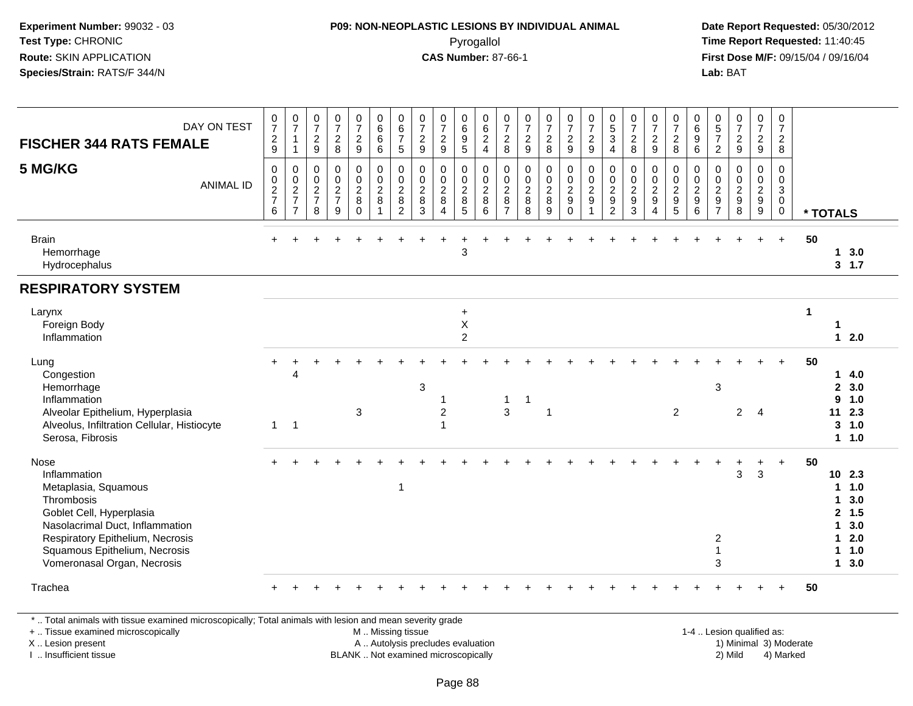#### **P09: NON-NEOPLASTIC LESIONS BY INDIVIDUAL ANIMAL**Pyrogallol **Time Report Requested:** 11:40:45

 **Date Report Requested:** 05/30/2012 **First Dose M/F:** 09/15/04 / 09/16/04 Lab: BAT **Lab:** BAT

| DAY ON TEST<br><b>FISCHER 344 RATS FEMALE</b>                                                                                                                                                                                        | $\frac{0}{7}$<br>$\frac{2}{9}$                         | $\frac{0}{7}$<br>$\mathbf{1}$<br>$\mathbf{1}$ | $\frac{0}{7}$<br>$\frac{2}{9}$                            | $\begin{array}{c} 0 \\ 7 \end{array}$<br>$\frac{2}{8}$ | $\frac{0}{7}$<br>$\frac{2}{9}$                                                   | 0<br>6<br>$6\phantom{1}$<br>$\,6\,$                                   | $\begin{array}{c} 0 \\ 6 \end{array}$<br>$\overline{7}$<br>$\sqrt{5}$ | $\frac{0}{7}$<br>$\frac{2}{9}$                               | $\frac{0}{7}$<br>$\frac{2}{9}$                               | 0<br>$6\overline{6}$<br>$\frac{9}{5}$                                      | 0<br>$\,6\,$<br>$\frac{2}{4}$                | $\frac{0}{7}$<br>$\frac{2}{8}$                                           | $\frac{0}{7}$<br>$\frac{2}{9}$                                | $\frac{0}{7}$<br>$\frac{2}{8}$                | $\begin{smallmatrix}0\\7\end{smallmatrix}$<br>$\frac{2}{9}$        | $\frac{0}{7}$<br>$\frac{2}{9}$                                                      | $\begin{smallmatrix}0\\5\\3\end{smallmatrix}$<br>$\overline{4}$                    | $\frac{0}{7}$<br>$\frac{2}{8}$                                                         | $\frac{0}{7}$<br>$\frac{2}{9}$                                           | $\frac{0}{7}$<br>$\frac{2}{8}$                       | $_{6}^{\rm 0}$<br>$\overline{9}$<br>$\overline{6}$                  | $\begin{array}{c} 0 \\ 5 \\ 7 \end{array}$<br>$\overline{2}$   | $\begin{smallmatrix}0\\7\end{smallmatrix}$<br>$\frac{2}{9}$  | $\frac{0}{7}$<br>$\frac{2}{9}$                            | 0<br>$\overline{7}$<br>$\frac{2}{8}$                                          |                      |                                                  |                                                                     |  |
|--------------------------------------------------------------------------------------------------------------------------------------------------------------------------------------------------------------------------------------|--------------------------------------------------------|-----------------------------------------------|-----------------------------------------------------------|--------------------------------------------------------|----------------------------------------------------------------------------------|-----------------------------------------------------------------------|-----------------------------------------------------------------------|--------------------------------------------------------------|--------------------------------------------------------------|----------------------------------------------------------------------------|----------------------------------------------|--------------------------------------------------------------------------|---------------------------------------------------------------|-----------------------------------------------|--------------------------------------------------------------------|-------------------------------------------------------------------------------------|------------------------------------------------------------------------------------|----------------------------------------------------------------------------------------|--------------------------------------------------------------------------|------------------------------------------------------|---------------------------------------------------------------------|----------------------------------------------------------------|--------------------------------------------------------------|-----------------------------------------------------------|-------------------------------------------------------------------------------|----------------------|--------------------------------------------------|---------------------------------------------------------------------|--|
| 5 MG/KG<br><b>ANIMAL ID</b>                                                                                                                                                                                                          | $\mathsf{O}\xspace$<br>$\frac{0}{2}$<br>$6\phantom{1}$ | $\pmb{0}$<br>$\frac{0}{2}$<br>$\overline{7}$  | $\mathbf 0$<br>0<br>$\overline{2}$<br>$\overline{7}$<br>8 | $\pmb{0}$<br>$\frac{0}{2}$<br>9                        | $\boldsymbol{0}$<br>$\mathsf{O}\xspace$<br>$\overline{2}$<br>$\bf 8$<br>$\Omega$ | 0<br>$\ddot{\mathbf{0}}$<br>$\overline{2}$<br>$\bf 8$<br>$\mathbf{1}$ | 0<br>$\pmb{0}$<br>$\overline{2}$<br>8<br>$\overline{2}$               | $\mathbf 0$<br>$\mathbf 0$<br>$\overline{2}$<br>$\bf 8$<br>3 | 0<br>$\pmb{0}$<br>$\overline{2}$<br>$\, 8$<br>$\overline{4}$ | $\mathbf 0$<br>$\mathbf 0$<br>$\overline{2}$<br>$\bf 8$<br>$5\phantom{.0}$ | 0<br>$\mathbf 0$<br>$\overline{2}$<br>8<br>6 | $\mathbf 0$<br>$\boldsymbol{0}$<br>$\overline{2}$<br>8<br>$\overline{7}$ | $\pmb{0}$<br>$\overline{0}$<br>$\overline{2}$<br>$\bf 8$<br>8 | 0<br>$\mathsf{O}$<br>$\overline{2}$<br>8<br>9 | $\boldsymbol{0}$<br>$\frac{0}{2}$<br>$\boldsymbol{9}$<br>$\pmb{0}$ | $\begin{smallmatrix} 0\\0\\2 \end{smallmatrix}$<br>$\boldsymbol{9}$<br>$\mathbf{1}$ | $\mathbf 0$<br>$\mathbf 0$<br>$\overline{2}$<br>$\boldsymbol{9}$<br>$\overline{2}$ | $\pmb{0}$<br>$\ddot{\mathbf{0}}$<br>$\overline{2}$<br>$\boldsymbol{9}$<br>$\mathbf{3}$ | 0<br>$\mathbf 0$<br>$\overline{2}$<br>$\boldsymbol{9}$<br>$\overline{4}$ | 0<br>$\begin{array}{c} 0 \\ 2 \\ 9 \\ 5 \end{array}$ | 0<br>$\mathsf{O}\xspace$<br>$\overline{2}$<br>$\boldsymbol{9}$<br>6 | 0<br>0<br>$\overline{2}$<br>$\boldsymbol{9}$<br>$\overline{7}$ | $\pmb{0}$<br>$\begin{array}{c} 0 \\ 2 \\ 9 \\ 8 \end{array}$ | 0<br>$\pmb{0}$<br>$\overline{2}$<br>$\boldsymbol{9}$<br>9 | $\mathbf 0$<br>$\mathbf 0$<br>$\mathbf{3}$<br>$\mathbf 0$<br>$\boldsymbol{0}$ |                      | * TOTALS                                         |                                                                     |  |
| <b>Brain</b><br>Hemorrhage<br>Hydrocephalus                                                                                                                                                                                          | $+$                                                    |                                               |                                                           |                                                        |                                                                                  |                                                                       |                                                                       |                                                              |                                                              | $\mathbf{3}$                                                               |                                              |                                                                          |                                                               |                                               |                                                                    |                                                                                     |                                                                                    |                                                                                        |                                                                          |                                                      |                                                                     |                                                                |                                                              | $+$                                                       | $+$                                                                           | 50                   |                                                  | 13.0<br>3, 1.7                                                      |  |
| <b>RESPIRATORY SYSTEM</b>                                                                                                                                                                                                            |                                                        |                                               |                                                           |                                                        |                                                                                  |                                                                       |                                                                       |                                                              |                                                              |                                                                            |                                              |                                                                          |                                                               |                                               |                                                                    |                                                                                     |                                                                                    |                                                                                        |                                                                          |                                                      |                                                                     |                                                                |                                                              |                                                           |                                                                               |                      |                                                  |                                                                     |  |
| Larynx<br>Foreign Body<br>Inflammation                                                                                                                                                                                               |                                                        |                                               |                                                           |                                                        |                                                                                  |                                                                       |                                                                       |                                                              |                                                              | $\ddot{}$<br>$\mathsf X$<br>$\overline{c}$                                 |                                              |                                                                          |                                                               |                                               |                                                                    |                                                                                     |                                                                                    |                                                                                        |                                                                          |                                                      |                                                                     |                                                                |                                                              |                                                           |                                                                               | $\blacktriangleleft$ | 1                                                | $12.0$                                                              |  |
| Lung<br>Congestion<br>Hemorrhage<br>Inflammation<br>Alveolar Epithelium, Hyperplasia                                                                                                                                                 |                                                        | $\overline{4}$                                |                                                           |                                                        | 3                                                                                |                                                                       |                                                                       | 3                                                            | 2                                                            |                                                                            |                                              | 1<br>3                                                                   | 1                                                             | 1                                             |                                                                    |                                                                                     |                                                                                    |                                                                                        |                                                                          | 2                                                    |                                                                     | 3                                                              | $\overline{2}$                                               | $\overline{4}$                                            | $+$                                                                           | 50                   | $\mathbf{2}$<br>9<br>11                          | 14.0<br>3.0<br>1.0<br>2.3                                           |  |
| Alveolus, Infiltration Cellular, Histiocyte<br>Serosa, Fibrosis                                                                                                                                                                      | $\mathbf{1}$                                           | $\overline{1}$                                |                                                           |                                                        |                                                                                  |                                                                       |                                                                       |                                                              | 1                                                            |                                                                            |                                              |                                                                          |                                                               |                                               |                                                                    |                                                                                     |                                                                                    |                                                                                        |                                                                          |                                                      |                                                                     |                                                                |                                                              |                                                           |                                                                               |                      | 3                                                | 1.0<br>11.0                                                         |  |
| <b>Nose</b><br>Inflammation<br>Metaplasia, Squamous<br>Thrombosis<br>Goblet Cell, Hyperplasia<br>Nasolacrimal Duct, Inflammation<br>Respiratory Epithelium, Necrosis<br>Squamous Epithelium, Necrosis<br>Vomeronasal Organ, Necrosis |                                                        |                                               |                                                           |                                                        |                                                                                  |                                                                       | $\mathbf{1}$                                                          |                                                              |                                                              |                                                                            |                                              |                                                                          |                                                               |                                               |                                                                    |                                                                                     |                                                                                    |                                                                                        |                                                                          |                                                      |                                                                     | $\overline{c}$<br>3                                            | $\mathbf{3}$                                                 | $\ddot{}$<br>$\mathbf{3}$                                 | $\ddot{}$                                                                     | 50                   | 1<br>1<br>$\mathbf{2}$<br>1<br>1.<br>$\mathbf 1$ | $10$ 2.3<br>1.0<br>3.0<br>1.5<br>3.0<br>2.0<br>1.0<br>$1 \quad 3.0$ |  |
| Trachea                                                                                                                                                                                                                              |                                                        |                                               |                                                           |                                                        |                                                                                  |                                                                       |                                                                       |                                                              |                                                              |                                                                            |                                              |                                                                          |                                                               |                                               |                                                                    |                                                                                     |                                                                                    |                                                                                        |                                                                          |                                                      |                                                                     |                                                                |                                                              |                                                           |                                                                               | 50                   |                                                  |                                                                     |  |

\* .. Total animals with tissue examined microscopically; Total animals with lesion and mean severity grade

+ .. Tissue examined microscopically

X .. Lesion present

I .. Insufficient tissue

M .. Missing tissue

A .. Autolysis precludes evaluation

BLANK .. Not examined microscopically 2) Mild 4) Marked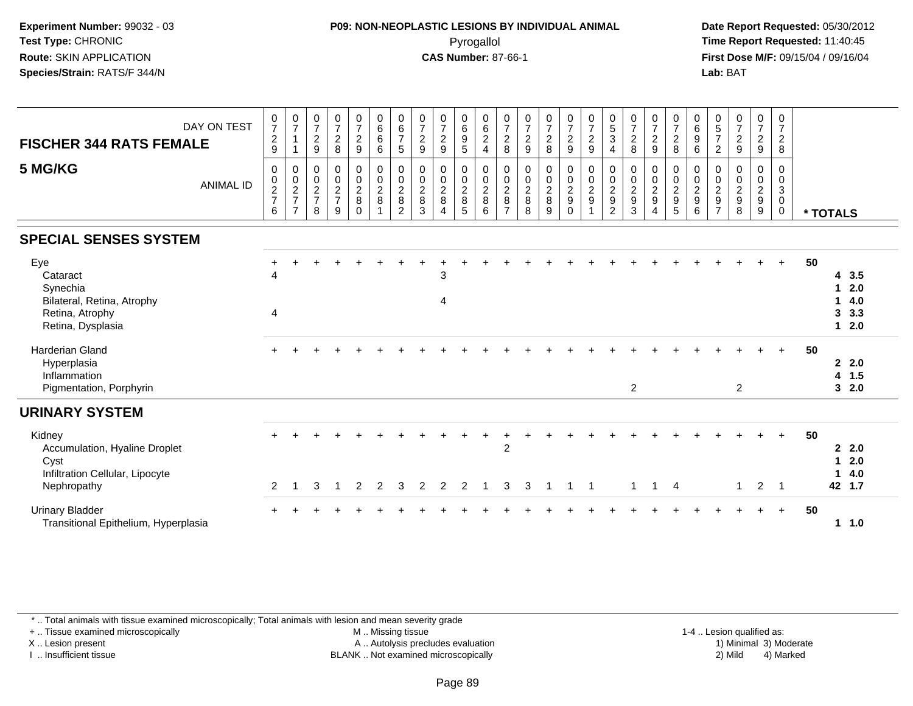### **P09: NON-NEOPLASTIC LESIONS BY INDIVIDUAL ANIMAL**Pyrogallol **Time Report Requested:** 11:40:45

 **Date Report Requested:** 05/30/2012 **First Dose M/F:** 09/15/04 / 09/16/04 Lab: BAT **Lab:** BAT

| DAY ON TEST<br><b>FISCHER 344 RATS FEMALE</b>                                                     | $\frac{0}{7}$<br>$\boldsymbol{2}$<br>$\boldsymbol{9}$ | $\begin{array}{c} 0 \\ 7 \end{array}$<br>1<br>1 | $\frac{0}{7}$<br>$\overline{c}$<br>$\mathsf g$        | $\frac{0}{7}$<br>$\boldsymbol{2}$<br>8       | $\frac{0}{7}$<br>$\overline{a}$<br>$\boldsymbol{9}$         | $_{6}^{\rm 0}$<br>6<br>6                                    | $\begin{array}{c} 0 \\ 6 \end{array}$<br>$\overline{7}$<br>5 | $\frac{0}{7}$<br>$\overline{2}$<br>9 | $\frac{0}{7}$<br>$\overline{2}$<br>$9\,$                          | 0<br>$6\phantom{a}$<br>9<br>$\sqrt{5}$       | $\mathbf 0$<br>$6\phantom{a}$<br>$\overline{2}$<br>$\overline{4}$ | $\frac{0}{7}$<br>$\overline{c}$<br>8                        | $\frac{0}{7}$<br>$\overline{c}$<br>9 | $\frac{0}{7}$<br>$\overline{c}$<br>$\,8\,$ | $\frac{0}{7}$<br>$\boldsymbol{2}$<br>$\boldsymbol{9}$                         | $\frac{0}{7}$<br>$\overline{2}$<br>9                                | $\begin{array}{c} 0 \\ 5 \end{array}$<br>3<br>4 | $\frac{0}{7}$<br>$\mathbf{2}$<br>8                        | $\frac{0}{7}$<br>$\overline{2}$<br>9                                  | $\frac{0}{7}$<br>$\overline{c}$<br>8                   | 0<br>$6\phantom{a}$<br>$\boldsymbol{9}$<br>6 | 0<br>$\overline{5}$<br>$\overline{7}$<br>$\overline{c}$   | $\frac{0}{7}$<br>$\overline{c}$<br>9 | $\frac{0}{7}$<br>$\overline{c}$<br>9 | 0<br>$\overline{7}$<br>$\overline{c}$<br>8            |    |                            |                          |
|---------------------------------------------------------------------------------------------------|-------------------------------------------------------|-------------------------------------------------|-------------------------------------------------------|----------------------------------------------|-------------------------------------------------------------|-------------------------------------------------------------|--------------------------------------------------------------|--------------------------------------|-------------------------------------------------------------------|----------------------------------------------|-------------------------------------------------------------------|-------------------------------------------------------------|--------------------------------------|--------------------------------------------|-------------------------------------------------------------------------------|---------------------------------------------------------------------|-------------------------------------------------|-----------------------------------------------------------|-----------------------------------------------------------------------|--------------------------------------------------------|----------------------------------------------|-----------------------------------------------------------|--------------------------------------|--------------------------------------|-------------------------------------------------------|----|----------------------------|--------------------------|
| 5 MG/KG<br><b>ANIMAL ID</b>                                                                       | $\boldsymbol{0}$<br>$\pmb{0}$<br>$\frac{2}{7}$<br>6   | $\pmb{0}$<br>$\frac{0}{2}$<br>$\overline{7}$    | $\mathbf 0$<br>$\boldsymbol{0}$<br>$\frac{2}{7}$<br>8 | $\pmb{0}$<br>$\pmb{0}$<br>$\frac{2}{7}$<br>9 | 0<br>$\mathsf{O}\xspace$<br>$\overline{a}$<br>8<br>$\Omega$ | 0<br>$\mathsf{O}\xspace$<br>$\frac{2}{8}$<br>$\overline{1}$ | 0<br>$\mathbf 0$<br>$\overline{c}$<br>8<br>$\overline{2}$    | 0<br>0<br>$\overline{c}$<br>8<br>3   | 0<br>$\mathbf 0$<br>$\overline{2}$<br>8<br>$\boldsymbol{\Lambda}$ | 0<br>$\pmb{0}$<br>$\sqrt{2}$<br>$\bf 8$<br>5 | 0<br>$\mathbf 0$<br>$\overline{2}$<br>8<br>6                      | 0<br>$\mathbf 0$<br>$\boldsymbol{2}$<br>8<br>$\overline{7}$ | 0<br>$\pmb{0}$<br>$\frac{2}{8}$<br>8 | $\mathbf 0$<br>$\frac{0}{2}$<br>9          | 0<br>$\mathsf{O}\xspace$<br>$\overline{2}$<br>$\boldsymbol{9}$<br>$\mathbf 0$ | $\pmb{0}$<br>$\pmb{0}$<br>$\overline{2}$<br>$9\,$<br>$\overline{1}$ | 0<br>$\mathbf 0$<br>$\overline{2}$<br>9<br>2    | 0<br>$\pmb{0}$<br>$\overline{2}$<br>$\boldsymbol{9}$<br>3 | 0<br>$\mathsf{O}\xspace$<br>$\boldsymbol{2}$<br>$\boldsymbol{9}$<br>4 | 0<br>$\mathbf 0$<br>$\sqrt{2}$<br>9<br>$5\phantom{.0}$ | 0<br>$\mathbf 0$<br>$\overline{2}$<br>9<br>6 | 0<br>$\mathbf 0$<br>$\overline{c}$<br>9<br>$\overline{7}$ | 0<br>$\pmb{0}$<br>$\frac{2}{9}$<br>8 | 0<br>$\pmb{0}$<br>$\frac{2}{9}$<br>9 | $\mathbf{0}$<br>0<br>$\mathbf{3}$<br>0<br>$\mathbf 0$ |    | * TOTALS                   |                          |
| <b>SPECIAL SENSES SYSTEM</b>                                                                      |                                                       |                                                 |                                                       |                                              |                                                             |                                                             |                                                              |                                      |                                                                   |                                              |                                                                   |                                                             |                                      |                                            |                                                                               |                                                                     |                                                 |                                                           |                                                                       |                                                        |                                              |                                                           |                                      |                                      |                                                       |    |                            |                          |
| Eye<br>Cataract<br>Synechia<br>Bilateral, Retina, Atrophy<br>Retina, Atrophy<br>Retina, Dysplasia | 4<br>4                                                |                                                 |                                                       |                                              |                                                             |                                                             |                                                              |                                      | 3<br>4                                                            |                                              |                                                                   |                                                             |                                      |                                            |                                                                               |                                                                     |                                                 |                                                           |                                                                       |                                                        |                                              |                                                           |                                      |                                      | $\ddot{}$                                             | 50 | 43.5<br>1<br>3<br>1        | 2.0<br>4.0<br>3.3<br>2.0 |
| <b>Harderian Gland</b><br>Hyperplasia<br>Inflammation<br>Pigmentation, Porphyrin                  |                                                       |                                                 |                                                       |                                              |                                                             |                                                             |                                                              |                                      |                                                                   |                                              |                                                                   |                                                             |                                      |                                            |                                                                               |                                                                     |                                                 | $\overline{c}$                                            |                                                                       |                                                        |                                              |                                                           | $\overline{c}$                       |                                      |                                                       | 50 | 2.0<br>4<br>3              | 1.5<br>2.0               |
| <b>URINARY SYSTEM</b>                                                                             |                                                       |                                                 |                                                       |                                              |                                                             |                                                             |                                                              |                                      |                                                                   |                                              |                                                                   |                                                             |                                      |                                            |                                                                               |                                                                     |                                                 |                                                           |                                                                       |                                                        |                                              |                                                           |                                      |                                      |                                                       |    |                            |                          |
| Kidney<br>Accumulation, Hyaline Droplet<br>Cyst<br>Infiltration Cellular, Lipocyte<br>Nephropathy | 2                                                     |                                                 | 3                                                     |                                              | 2                                                           | $\overline{2}$                                              | 3                                                            | 2                                    | $\overline{2}$                                                    | 2                                            |                                                                   | $\overline{2}$<br>3                                         | 3                                    |                                            |                                                                               | -1                                                                  |                                                 |                                                           |                                                                       | $\overline{4}$                                         |                                              |                                                           | $\mathbf 1$                          | $\overline{2}$                       | $\ddot{}$<br>$\overline{\phantom{0}}$                 | 50 | 2.2.0<br>-1<br>1<br>42 1.7 | 2.0<br>4.0               |
| <b>Urinary Bladder</b><br>Transitional Epithelium, Hyperplasia                                    |                                                       |                                                 |                                                       |                                              |                                                             |                                                             |                                                              |                                      |                                                                   |                                              |                                                                   |                                                             |                                      |                                            |                                                                               |                                                                     |                                                 |                                                           |                                                                       |                                                        |                                              |                                                           |                                      |                                      | $\ddot{}$                                             | 50 | 11.0                       |                          |

\* .. Total animals with tissue examined microscopically; Total animals with lesion and mean severity grade

+ .. Tissue examined microscopically

X .. Lesion present

I .. Insufficient tissue

 M .. Missing tissueA .. Autolysis precludes evaluation

 1-4 .. Lesion qualified as: BLANK .. Not examined microscopically 2) Mild 4) Marked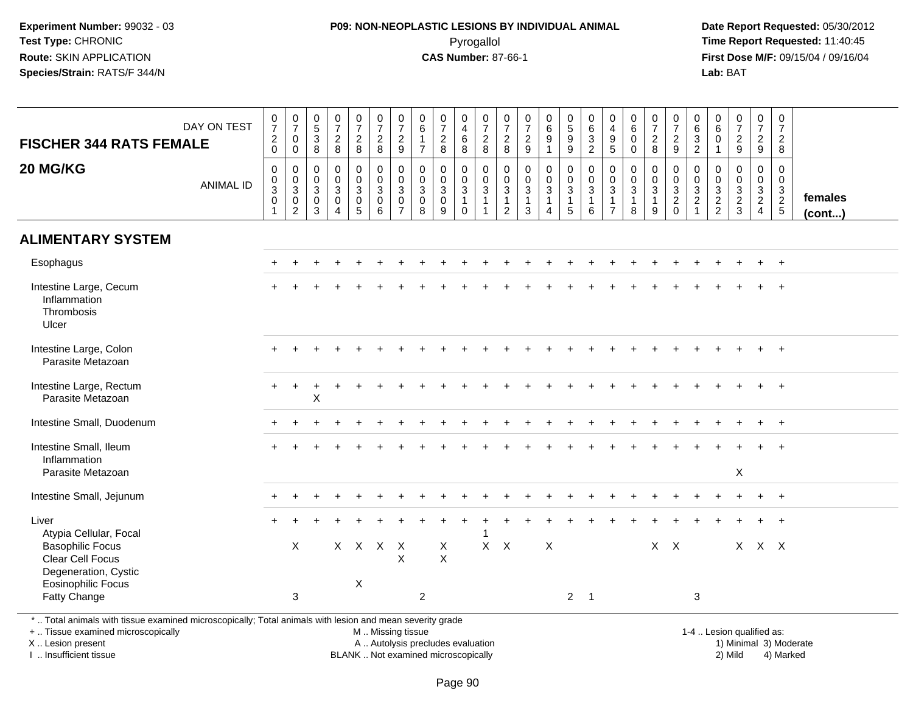## **P09: NON-NEOPLASTIC LESIONS BY INDIVIDUAL ANIMAL**Pyrogallol **Time Report Requested:** 11:40:45

 **Date Report Requested:** 05/30/2012 **First Dose M/F:** 09/15/04 / 09/16/04 Lab: BAT **Lab:** BAT

| <b>FISCHER 344 RATS FEMALE</b>                                                                                                                        | DAY ON TEST      | $\frac{0}{7}$<br>$\frac{2}{0}$                                          | $\frac{0}{7}$<br>$\mathbf 0$<br>$\mathbf 0$                    | $\begin{array}{c} 0 \\ 5 \\ 3 \\ 8 \end{array}$                | $\begin{smallmatrix}0\\7\end{smallmatrix}$<br>$\frac{2}{8}$                           | $\frac{0}{7}$<br>$\overline{2}$<br>8                                                | $\frac{0}{7}$<br>$\frac{2}{8}$                | $\frac{0}{7}$<br>$\overline{c}$<br>9                                                  | 0<br>$\,6\,$<br>$\mathbf{1}$<br>$\overline{7}$     | $\frac{0}{7}$<br>$\frac{2}{8}$                                       | $\boldsymbol{0}$<br>$\overline{4}$<br>$\,6\,$<br>8                             | $\frac{0}{7}$<br>$\frac{2}{8}$                                 | 0<br>$\overline{7}$<br>$\overline{c}$<br>8                           | $\frac{0}{7}$<br>$\frac{2}{9}$                                                     | $\begin{array}{c} 0 \\ 6 \\ 9 \end{array}$<br>$\mathbf{1}$ | $\frac{0}{5}$<br>9<br>9                              | $\begin{matrix} 0 \\ 6 \end{matrix}$<br>$\frac{3}{2}$ | 0<br>$\overline{4}$<br>$9\,$<br>$5\phantom{1}$                               | 0<br>$\,6$<br>$\mathbf 0$<br>$\Omega$                           | $\frac{0}{7}$<br>$\overline{a}$<br>8                    | $\frac{0}{7}$<br>$\overline{a}$<br>9           | 0<br>6<br>$\ensuremath{\mathsf{3}}$<br>$\overline{c}$ | $\begin{smallmatrix}0\0\0\end{smallmatrix}$<br>$\boldsymbol{0}$<br>$\mathbf{1}$ | $\begin{smallmatrix}0\\7\end{smallmatrix}$<br>$\frac{2}{9}$ | $\frac{0}{7}$<br>$\overline{2}$<br>9 | $\begin{smallmatrix}0\\7\end{smallmatrix}$<br>$\overline{2}$<br>8 |                   |
|-------------------------------------------------------------------------------------------------------------------------------------------------------|------------------|-------------------------------------------------------------------------|----------------------------------------------------------------|----------------------------------------------------------------|---------------------------------------------------------------------------------------|-------------------------------------------------------------------------------------|-----------------------------------------------|---------------------------------------------------------------------------------------|----------------------------------------------------|----------------------------------------------------------------------|--------------------------------------------------------------------------------|----------------------------------------------------------------|----------------------------------------------------------------------|------------------------------------------------------------------------------------|------------------------------------------------------------|------------------------------------------------------|-------------------------------------------------------|------------------------------------------------------------------------------|-----------------------------------------------------------------|---------------------------------------------------------|------------------------------------------------|-------------------------------------------------------|---------------------------------------------------------------------------------|-------------------------------------------------------------|--------------------------------------|-------------------------------------------------------------------|-------------------|
| 20 MG/KG                                                                                                                                              | <b>ANIMAL ID</b> | $\pmb{0}$<br>$\begin{array}{c} 0 \\ 3 \\ 0 \end{array}$<br>$\mathbf{1}$ | $\mathbf 0$<br>$\begin{array}{c} 0 \\ 3 \\ 0 \\ 2 \end{array}$ | $\mathbf 0$<br>$\begin{array}{c} 0 \\ 3 \\ 0 \\ 3 \end{array}$ | $\mathbf 0$<br>$\mathbf 0$<br>$\overline{3}$<br>$\mathsf{O}\xspace$<br>$\overline{4}$ | 0<br>$\mathsf{O}\xspace$<br>$\overline{3}$<br>$\mathsf{O}\xspace$<br>$\overline{5}$ | $\pmb{0}$<br>$\frac{0}{3}$<br>$6\overline{6}$ | $\mathbf 0$<br>$\mathsf{O}\xspace$<br>$\overline{3}$<br>$\mathbf 0$<br>$\overline{7}$ | 0<br>0<br>$\mathbf{3}$<br>$\mathsf{O}\xspace$<br>8 | $\pmb{0}$<br>$\overline{0}$<br>3<br>$\overline{0}$<br>$\overline{9}$ | $\mathsf{O}$<br>$\mathbf 0$<br>$\overline{3}$<br>$\overline{1}$<br>$\mathbf 0$ | $\pmb{0}$<br>$\frac{0}{3}$<br>$\overline{1}$<br>$\overline{1}$ | 0<br>$\mathsf 0$<br>$\overline{3}$<br>$\mathbf{1}$<br>$\overline{c}$ | $\pmb{0}$<br>$\ddot{\mathbf{0}}$<br>$\overline{3}$<br>$\mathbf{1}$<br>$\mathbf{3}$ | 0<br>$\frac{0}{3}$<br>$\mathbf{1}$<br>$\overline{4}$       | $\overline{0}$<br>$\frac{0}{3}$<br>$\mathbf{1}$<br>5 | $\mathbf 0$<br>$\frac{0}{3}$<br>$\,6\,$               | $\mathbf 0$<br>$\mathbf 0$<br>$\mathbf{3}$<br>$\mathbf{1}$<br>$\overline{7}$ | $\mathbf 0$<br>$\pmb{0}$<br>$\overline{3}$<br>$\mathbf{1}$<br>8 | 0<br>$\mathbf 0$<br>$\overline{3}$<br>$\mathbf{1}$<br>9 | 0<br>$\mathsf{O}\xspace$<br>$\frac{3}{2}$<br>0 | 0<br>$\frac{0}{3}$                                    | 0<br>$\mathsf{O}\xspace$<br>$\frac{3}{2}$                                       | $\mathbf 0$<br>$\mathbf 0$<br>$\frac{3}{2}$                 | 0<br>$\mathbf 0$<br>$\frac{3}{2}$    | $\mathbf 0$<br>$\mathsf{O}\xspace$<br>$\frac{3}{2}$<br>5          | females<br>(cont) |
| <b>ALIMENTARY SYSTEM</b>                                                                                                                              |                  |                                                                         |                                                                |                                                                |                                                                                       |                                                                                     |                                               |                                                                                       |                                                    |                                                                      |                                                                                |                                                                |                                                                      |                                                                                    |                                                            |                                                      |                                                       |                                                                              |                                                                 |                                                         |                                                |                                                       |                                                                                 |                                                             |                                      |                                                                   |                   |
| Esophagus                                                                                                                                             |                  | $+$                                                                     | $\div$                                                         |                                                                |                                                                                       |                                                                                     |                                               |                                                                                       |                                                    |                                                                      |                                                                                |                                                                |                                                                      |                                                                                    |                                                            |                                                      |                                                       |                                                                              |                                                                 |                                                         |                                                |                                                       |                                                                                 |                                                             | $+$                                  | $+$                                                               |                   |
| Intestine Large, Cecum<br>Inflammation<br>Thrombosis<br>Ulcer                                                                                         |                  |                                                                         |                                                                |                                                                |                                                                                       |                                                                                     |                                               |                                                                                       |                                                    |                                                                      |                                                                                |                                                                |                                                                      |                                                                                    |                                                            |                                                      |                                                       |                                                                              |                                                                 |                                                         |                                                |                                                       |                                                                                 |                                                             |                                      |                                                                   |                   |
| Intestine Large, Colon<br>Parasite Metazoan                                                                                                           |                  |                                                                         |                                                                |                                                                |                                                                                       |                                                                                     |                                               |                                                                                       |                                                    |                                                                      |                                                                                |                                                                |                                                                      |                                                                                    |                                                            |                                                      |                                                       |                                                                              |                                                                 |                                                         |                                                |                                                       |                                                                                 |                                                             |                                      |                                                                   |                   |
| Intestine Large, Rectum<br>Parasite Metazoan                                                                                                          |                  |                                                                         |                                                                | $\boldsymbol{\mathsf{X}}$                                      |                                                                                       |                                                                                     |                                               |                                                                                       |                                                    |                                                                      |                                                                                |                                                                |                                                                      |                                                                                    |                                                            |                                                      |                                                       |                                                                              |                                                                 |                                                         |                                                |                                                       |                                                                                 |                                                             |                                      |                                                                   |                   |
| Intestine Small, Duodenum                                                                                                                             |                  |                                                                         |                                                                |                                                                |                                                                                       |                                                                                     |                                               |                                                                                       |                                                    |                                                                      |                                                                                |                                                                |                                                                      |                                                                                    |                                                            |                                                      |                                                       |                                                                              |                                                                 |                                                         |                                                |                                                       |                                                                                 |                                                             | $\ddot{}$                            | $\overline{+}$                                                    |                   |
| Intestine Small, Ileum<br>Inflammation<br>Parasite Metazoan                                                                                           |                  |                                                                         |                                                                |                                                                |                                                                                       |                                                                                     |                                               |                                                                                       |                                                    |                                                                      |                                                                                |                                                                |                                                                      |                                                                                    |                                                            |                                                      |                                                       |                                                                              |                                                                 |                                                         |                                                |                                                       |                                                                                 | X                                                           |                                      |                                                                   |                   |
|                                                                                                                                                       |                  |                                                                         |                                                                |                                                                |                                                                                       |                                                                                     |                                               |                                                                                       |                                                    |                                                                      |                                                                                |                                                                |                                                                      |                                                                                    |                                                            |                                                      |                                                       |                                                                              |                                                                 |                                                         |                                                |                                                       |                                                                                 |                                                             |                                      |                                                                   |                   |
| Intestine Small, Jejunum                                                                                                                              |                  |                                                                         |                                                                |                                                                |                                                                                       |                                                                                     |                                               |                                                                                       |                                                    |                                                                      |                                                                                |                                                                |                                                                      |                                                                                    |                                                            |                                                      |                                                       |                                                                              |                                                                 |                                                         |                                                |                                                       |                                                                                 |                                                             |                                      | $+$                                                               |                   |
| Liver<br>Atypia Cellular, Focal<br><b>Basophilic Focus</b><br>Clear Cell Focus<br>Degeneration, Cystic                                                |                  |                                                                         | X                                                              |                                                                |                                                                                       |                                                                                     | X X X X                                       | $\pmb{\times}$                                                                        |                                                    | X<br>$\sf X$                                                         |                                                                                | -1                                                             | $X$ $X$                                                              |                                                                                    | $\boldsymbol{\mathsf{X}}$                                  |                                                      |                                                       |                                                                              |                                                                 |                                                         | $X$ $X$                                        |                                                       |                                                                                 |                                                             | X X X                                |                                                                   |                   |
| <b>Eosinophilic Focus</b><br>Fatty Change<br>*  Total animals with tissue examined microscopically; Total animals with lesion and mean severity grade |                  |                                                                         | 3                                                              |                                                                |                                                                                       | X                                                                                   |                                               |                                                                                       | $\overline{2}$                                     |                                                                      |                                                                                |                                                                |                                                                      |                                                                                    |                                                            |                                                      | $2 \quad 1$                                           |                                                                              |                                                                 |                                                         |                                                | 3                                                     |                                                                                 |                                                             |                                      |                                                                   |                   |

+ .. Tissue examined microscopically

X .. Lesion present

I .. Insufficient tissue

M .. Missing tissue

A .. Autolysis precludes evaluation 1999 (1999) 1999 (1999) 1999 (1999) 1999 (1999) 1999 (1999) 1999 (1999) 1<br>1) Minimal 3) Mild 3) Mild 3) Mild 3) Mild 3, 2009 (1999) 1999 (1999) 1999 (1999) 1999 (1999) 1999 (1999) 199 BLANK .. Not examined microscopically 2) Mild 4) Marked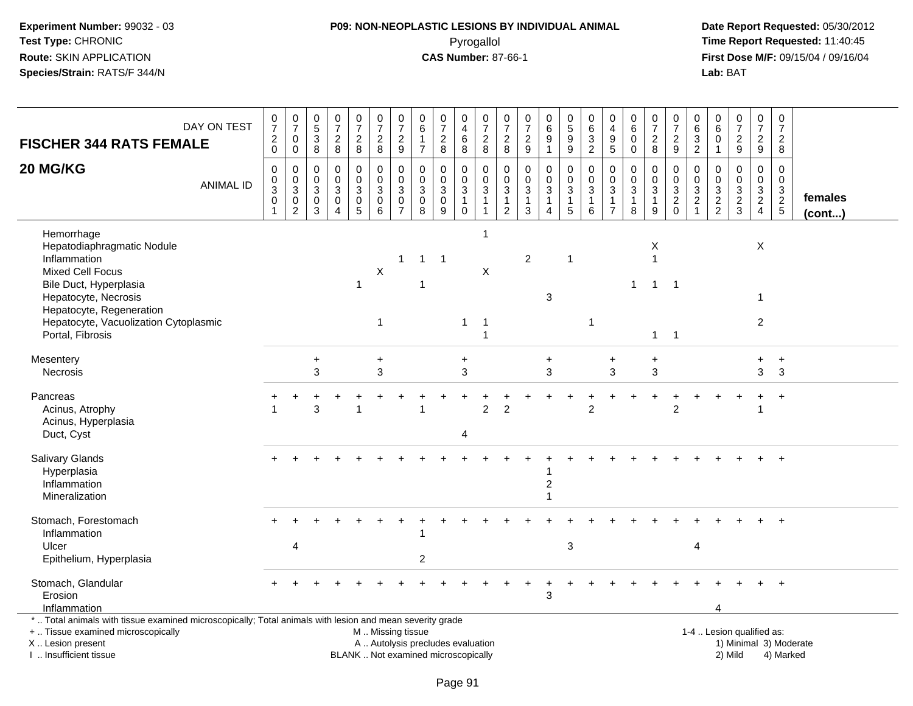# **P09: NON-NEOPLASTIC LESIONS BY INDIVIDUAL ANIMAL**Pyrogallol **Time Report Requested:** 11:40:45

| <b>FISCHER 344 RATS FEMALE</b>                                                                                                                                                                                                 | DAY ON TEST      | $\frac{0}{7}$<br>$\overline{c}$<br>$\mathbf 0$ | $\begin{array}{c} 0 \\ 7 \end{array}$<br>$\mathbf 0$<br>$\mathbf 0$                      | $\begin{array}{c} 0 \\ 5 \end{array}$<br>$\sqrt{3}$<br>8 | $\frac{0}{7}$<br>$\sqrt{2}$<br>8                                         | $\frac{0}{7}$<br>$\overline{c}$<br>8               | $\frac{0}{7}$<br>$\overline{c}$<br>8                                                          | $\frac{0}{7}$<br>$\overline{c}$<br>9                       | $\pmb{0}$<br>6<br>$\overline{7}$                     | $\begin{array}{c} 0 \\ 7 \end{array}$<br>$\boldsymbol{2}$<br>8        | 0<br>4<br>$\,6\,$<br>8                             | $\begin{array}{c} 0 \\ 7 \end{array}$<br>$\boldsymbol{2}$<br>8 | $\begin{array}{c} 0 \\ 7 \end{array}$<br>$\overline{c}$<br>8 | $\begin{array}{c} 0 \\ 7 \end{array}$<br>$\boldsymbol{2}$<br>$\boldsymbol{9}$ | $\begin{array}{c} 0 \\ 6 \\ 9 \end{array}$<br>$\overline{1}$      | $\begin{array}{c} 0 \\ 5 \\ 9 \end{array}$<br>9                 | $\mathbf 0$<br>$\,6\,$<br>$\sqrt{3}$<br>$\overline{2}$     | $\pmb{0}$<br>$\overline{4}$<br>$\boldsymbol{9}$<br>5                          | $\pmb{0}$<br>6<br>$\mathbf 0$<br>$\mathbf 0$                   | $\frac{0}{7}$<br>$\overline{c}$<br>8                 | $\begin{array}{c} 0 \\ 7 \end{array}$<br>$\boldsymbol{2}$<br>9 | $\mathbf 0$<br>$\,6\,$<br>$\ensuremath{\mathsf{3}}$<br>$\overline{2}$ | $\boldsymbol{0}$<br>$6\phantom{1}6$<br>$\mathbf 0$<br>$\overline{1}$ | $\begin{array}{c} 0 \\ 7 \end{array}$<br>$\sqrt{2}$<br>9     | $\frac{0}{7}$<br>$\frac{2}{9}$                                                 | $\frac{0}{7}$<br>$\overline{a}$<br>8                           |                         |
|--------------------------------------------------------------------------------------------------------------------------------------------------------------------------------------------------------------------------------|------------------|------------------------------------------------|------------------------------------------------------------------------------------------|----------------------------------------------------------|--------------------------------------------------------------------------|----------------------------------------------------|-----------------------------------------------------------------------------------------------|------------------------------------------------------------|------------------------------------------------------|-----------------------------------------------------------------------|----------------------------------------------------|----------------------------------------------------------------|--------------------------------------------------------------|-------------------------------------------------------------------------------|-------------------------------------------------------------------|-----------------------------------------------------------------|------------------------------------------------------------|-------------------------------------------------------------------------------|----------------------------------------------------------------|------------------------------------------------------|----------------------------------------------------------------|-----------------------------------------------------------------------|----------------------------------------------------------------------|--------------------------------------------------------------|--------------------------------------------------------------------------------|----------------------------------------------------------------|-------------------------|
| 20 MG/KG                                                                                                                                                                                                                       | <b>ANIMAL ID</b> | $\mathbf 0$<br>0<br>3<br>$\overline{0}$        | $\mathbf 0$<br>$\mathsf{O}\xspace$<br>$\overline{3}$<br>$\overline{0}$<br>$\overline{2}$ | 0<br>0<br>3<br>0<br>3                                    | $\Omega$<br>$\mathbf 0$<br>$\mathbf{3}$<br>$\mathbf 0$<br>$\overline{4}$ | $\mathbf 0$<br>0<br>$\mathbf{3}$<br>$\pmb{0}$<br>5 | $\Omega$<br>0<br>$\sqrt{3}$<br>$\pmb{0}$<br>6                                                 | $\Omega$<br>0<br>$\sqrt{3}$<br>$\pmb{0}$<br>$\overline{7}$ | $\mathbf{0}$<br>$\mathbf 0$<br>3<br>$\mathbf 0$<br>8 | $\mathbf 0$<br>$\mathbf 0$<br>$\overline{3}$<br>$\boldsymbol{0}$<br>9 | 0<br>0<br>$\mathbf{3}$<br>$\mathbf{1}$<br>$\Omega$ | $\Omega$<br>$\mathbf 0$<br>$\overline{3}$<br>$\mathbf{1}$<br>1 | $\Omega$<br>0<br>$\mathbf{3}$<br>1<br>$\overline{2}$         | $\Omega$<br>$\mathbf 0$<br>$\sqrt{3}$<br>$\mathbf{1}$<br>3                    | $\mathbf 0$<br>$\pmb{0}$<br>$\overline{3}$<br>1<br>$\overline{A}$ | $\mathbf 0$<br>$\mathbf 0$<br>$\mathbf{3}$<br>$\mathbf{1}$<br>5 | $\Omega$<br>$\mathbf 0$<br>$\sqrt{3}$<br>$\mathbf{1}$<br>6 | $\mathbf{0}$<br>$\mathbf 0$<br>$\mathbf{3}$<br>$\mathbf{1}$<br>$\overline{7}$ | $\mathbf{0}$<br>$\mathbf 0$<br>$\sqrt{3}$<br>$\mathbf{1}$<br>8 | $\Omega$<br>0<br>$\overline{3}$<br>$\mathbf{1}$<br>9 | $\mathbf 0$<br>0<br>$\mathbf{3}$<br>$\overline{2}$<br>$\Omega$ | $\Omega$<br>0<br>$\sqrt{3}$<br>$\overline{2}$                         | $\mathbf 0$<br>$\mathbf 0$<br>$\frac{3}{2}$                          | $\Omega$<br>$\mathbf 0$<br>$\sqrt{3}$<br>$\overline{2}$<br>3 | $\mathbf 0$<br>$\mathbf 0$<br>$\mathbf{3}$<br>$\overline{2}$<br>$\overline{4}$ | $\mathbf 0$<br>$\mathbf 0$<br>$\frac{3}{2}$<br>$5\phantom{.0}$ | females<br>$($ cont $)$ |
| Hemorrhage<br>Hepatodiaphragmatic Nodule<br>Inflammation<br><b>Mixed Cell Focus</b><br>Bile Duct, Hyperplasia<br>Hepatocyte, Necrosis<br>Hepatocyte, Regeneration<br>Hepatocyte, Vacuolization Cytoplasmic<br>Portal, Fibrosis |                  |                                                |                                                                                          |                                                          |                                                                          | $\mathbf{1}$                                       | $\mathsf X$<br>-1                                                                             | -1                                                         | $1 \quad$                                            | $\overline{1}$                                                        | $\mathbf{1}$                                       | -1<br>X<br>-1<br>1                                             |                                                              | $\overline{c}$                                                                | 3                                                                 | -1                                                              | -1                                                         |                                                                               | 1                                                              | X<br>$\overline{1}$<br>$\mathbf{1}$<br>$\mathbf{1}$  | $\overline{\phantom{0}}$<br>$\overline{1}$                     |                                                                       |                                                                      |                                                              | $\sf X$<br>$\mathbf{1}$<br>$\overline{c}$                                      |                                                                |                         |
| Mesentery<br><b>Necrosis</b>                                                                                                                                                                                                   |                  |                                                |                                                                                          | $\ddot{}$<br>3                                           |                                                                          |                                                    | $\ddot{}$<br>3                                                                                |                                                            |                                                      |                                                                       | +<br>3                                             |                                                                |                                                              |                                                                               | +<br>3                                                            |                                                                 |                                                            | +<br>3                                                                        |                                                                | +<br>3                                               |                                                                |                                                                       |                                                                      |                                                              | +<br>3                                                                         | $\ddot{}$<br>3                                                 |                         |
| Pancreas<br>Acinus, Atrophy<br>Acinus, Hyperplasia<br>Duct, Cyst                                                                                                                                                               |                  |                                                |                                                                                          | 3                                                        |                                                                          |                                                    |                                                                                               |                                                            |                                                      |                                                                       | 4                                                  | $\overline{2}$                                                 | $\overline{2}$                                               |                                                                               |                                                                   |                                                                 | $\overline{2}$                                             |                                                                               |                                                                |                                                      | $\overline{2}$                                                 |                                                                       |                                                                      |                                                              | 1                                                                              | $\ddot{}$                                                      |                         |
| Salivary Glands<br>Hyperplasia<br>Inflammation<br>Mineralization                                                                                                                                                               |                  |                                                |                                                                                          |                                                          |                                                                          |                                                    |                                                                                               |                                                            |                                                      |                                                                       |                                                    |                                                                |                                                              |                                                                               | $\overline{c}$                                                    |                                                                 |                                                            |                                                                               |                                                                |                                                      |                                                                |                                                                       |                                                                      |                                                              |                                                                                |                                                                |                         |
| Stomach, Forestomach<br>Inflammation<br>Ulcer<br>Epithelium, Hyperplasia                                                                                                                                                       |                  |                                                | $\boldsymbol{\Delta}$                                                                    |                                                          |                                                                          |                                                    |                                                                                               |                                                            | $\overline{2}$                                       |                                                                       |                                                    |                                                                |                                                              |                                                                               |                                                                   | 3                                                               |                                                            |                                                                               |                                                                |                                                      |                                                                | $\overline{4}$                                                        |                                                                      |                                                              |                                                                                |                                                                |                         |
| Stomach, Glandular<br>Erosion<br>Inflammation                                                                                                                                                                                  |                  |                                                |                                                                                          |                                                          |                                                                          |                                                    |                                                                                               |                                                            |                                                      |                                                                       |                                                    |                                                                |                                                              |                                                                               | 3                                                                 |                                                                 |                                                            |                                                                               |                                                                |                                                      |                                                                |                                                                       |                                                                      |                                                              |                                                                                |                                                                |                         |
| *  Total animals with tissue examined microscopically; Total animals with lesion and mean severity grade<br>+  Tissue examined microscopically<br>X  Lesion present<br>I. Insufficient tissue                                  |                  |                                                |                                                                                          |                                                          |                                                                          |                                                    | M  Missing tissue<br>A  Autolysis precludes evaluation<br>BLANK  Not examined microscopically |                                                            |                                                      |                                                                       |                                                    |                                                                |                                                              |                                                                               |                                                                   |                                                                 |                                                            |                                                                               |                                                                |                                                      |                                                                |                                                                       |                                                                      | 1-4  Lesion qualified as:<br>2) Mild                         |                                                                                | 1) Minimal 3) Moderate<br>4) Marked                            |                         |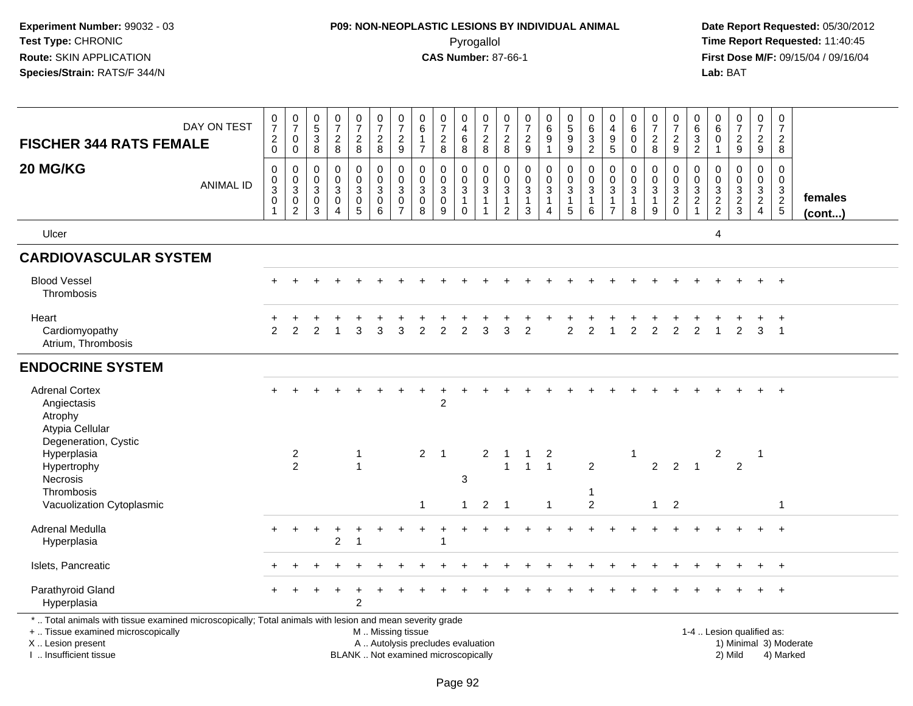# **P09: NON-NEOPLASTIC LESIONS BY INDIVIDUAL ANIMAL**Pyrogallol **Time Report Requested:** 11:40:45

| <b>FISCHER 344 RATS FEMALE</b>                                                                                                                                                                | DAY ON TEST      | $\frac{0}{7}$<br>$\frac{2}{0}$                                        | $\begin{array}{c} 0 \\ 7 \end{array}$<br>$\pmb{0}$<br>$\mathbf 0$       | $\begin{array}{c} 0 \\ 5 \end{array}$<br>$\frac{3}{8}$             | $\frac{0}{7}$<br>$\overline{c}$<br>$\bf 8$                                  | $\begin{array}{c} 0 \\ 7 \end{array}$<br>$\frac{2}{8}$                    | $\frac{0}{7}$<br>$_{8}^2$                                                         | $\frac{0}{7}$<br>$\frac{2}{9}$                                          | 0<br>6<br>$\mathbf{1}$<br>$\overline{7}$            | $\frac{0}{7}$<br>$\overline{c}$<br>8                                     | $\pmb{0}$<br>$\overline{4}$<br>$\,6\,$<br>8                             | $\frac{0}{7}$<br>$\frac{2}{8}$                                   | $\pmb{0}$<br>$\overline{7}$<br>$\frac{2}{8}$                                              | 0<br>$\overline{7}$<br>$\frac{2}{9}$                                       | $_{6}^{\rm 0}$<br>9<br>$\mathbf{1}$                   | $\begin{array}{c} 0 \\ 5 \end{array}$<br>9<br>$\overline{9}$         | $\pmb{0}$<br>6<br>$\sqrt{3}$<br>$\overline{2}$ | $\begin{smallmatrix}0\\4\end{smallmatrix}$<br>$\begin{array}{c} 9 \\ 5 \end{array}$ | $\pmb{0}$<br>$\,6$<br>$\mathbf 0$<br>$\mathbf 0$                   | $\frac{0}{7}$<br>$_{\rm 8}^2$                               | 0<br>$\overline{7}$<br>$\frac{2}{9}$             | 0<br>$\,6\,$<br>$\ensuremath{\mathsf{3}}$<br>$\overline{2}$                     | $\mathbf 0$<br>$\,6\,$<br>0<br>$\mathbf{1}$ | $\begin{array}{c} 0 \\ 7 \end{array}$<br>$\frac{2}{9}$ | $\mathbf 0$<br>$\overline{7}$<br>$\frac{2}{9}$                | 0<br>$\overline{7}$<br>$\boldsymbol{2}$<br>8 |                        |
|-----------------------------------------------------------------------------------------------------------------------------------------------------------------------------------------------|------------------|-----------------------------------------------------------------------|-------------------------------------------------------------------------|--------------------------------------------------------------------|-----------------------------------------------------------------------------|---------------------------------------------------------------------------|-----------------------------------------------------------------------------------|-------------------------------------------------------------------------|-----------------------------------------------------|--------------------------------------------------------------------------|-------------------------------------------------------------------------|------------------------------------------------------------------|-------------------------------------------------------------------------------------------|----------------------------------------------------------------------------|-------------------------------------------------------|----------------------------------------------------------------------|------------------------------------------------|-------------------------------------------------------------------------------------|--------------------------------------------------------------------|-------------------------------------------------------------|--------------------------------------------------|---------------------------------------------------------------------------------|---------------------------------------------|--------------------------------------------------------|---------------------------------------------------------------|----------------------------------------------|------------------------|
| 20 MG/KG                                                                                                                                                                                      | <b>ANIMAL ID</b> | $\pmb{0}$<br>$\pmb{0}$<br>$\overline{3}$<br>$\pmb{0}$<br>$\mathbf{1}$ | $\pmb{0}$<br>$\pmb{0}$<br>$\overline{3}$<br>$\pmb{0}$<br>$\overline{c}$ | $\mathbf 0$<br>$\mathbf 0$<br>$\mathsf 3$<br>$\boldsymbol{0}$<br>3 | $\pmb{0}$<br>$\mathbf 0$<br>$\mathfrak{Z}$<br>$\mathbf 0$<br>$\overline{4}$ | $\pmb{0}$<br>$\mathsf{O}\xspace$<br>$\sqrt{3}$<br>$\pmb{0}$<br>$\sqrt{5}$ | $\pmb{0}$<br>$\mathsf{O}\xspace$<br>$\ensuremath{\mathsf{3}}$<br>$\mathbf 0$<br>6 | $\pmb{0}$<br>$\mathbf 0$<br>$\mathbf{3}$<br>$\pmb{0}$<br>$\overline{7}$ | $\mathbf 0$<br>$\mathbf 0$<br>3<br>$\mathbf 0$<br>8 | 0<br>$\mathbf 0$<br>$\sqrt{3}$<br>$\pmb{0}$<br>9                         | $\mathbf 0$<br>$\mathbf 0$<br>$\sqrt{3}$<br>$\mathbf{1}$<br>$\mathbf 0$ | 0<br>$\mathbf 0$<br>$\sqrt{3}$<br>$\mathbf{1}$<br>$\overline{1}$ | $\mathbf 0$<br>$\mathbf 0$<br>$\ensuremath{\mathsf{3}}$<br>$\mathbf{1}$<br>$\overline{2}$ | $\pmb{0}$<br>$\mathbf 0$<br>$\ensuremath{\mathsf{3}}$<br>$\mathbf{1}$<br>3 | 0<br>$\mathbf 0$<br>$\mathbf{3}$<br>$\mathbf{1}$<br>4 | $\pmb{0}$<br>$\mathsf{O}\xspace$<br>$\mathsf 3$<br>$\mathbf{1}$<br>5 | $\pmb{0}$<br>$\pmb{0}$<br>$\sqrt{3}$<br>1<br>6 | $\mathbf 0$<br>$\mathbf 0$<br>$\sqrt{3}$<br>$\overline{1}$<br>$\overline{7}$        | 0<br>$\mathbf 0$<br>$\ensuremath{\mathsf{3}}$<br>$\mathbf{1}$<br>8 | 0<br>$\mathsf{O}\xspace$<br>$\sqrt{3}$<br>$\mathbf{1}$<br>9 | 0<br>$\mathbf 0$<br>$\frac{3}{2}$<br>$\mathbf 0$ | 0<br>$\mathbf 0$<br>$\ensuremath{\mathsf{3}}$<br>$\overline{c}$<br>$\mathbf{1}$ | $\pmb{0}$<br>$\mathbf{0}$<br>$\frac{3}{2}$  | $\pmb{0}$<br>$\mathbf 0$<br>$\frac{3}{2}$              | $\mathbf 0$<br>$\mathbf 0$<br>$\frac{3}{2}$<br>$\overline{4}$ | $\Omega$<br>$\mathbf 0$<br>$\frac{3}{2}$     | females<br>(cont)      |
| Ulcer                                                                                                                                                                                         |                  |                                                                       |                                                                         |                                                                    |                                                                             |                                                                           |                                                                                   |                                                                         |                                                     |                                                                          |                                                                         |                                                                  |                                                                                           |                                                                            |                                                       |                                                                      |                                                |                                                                                     |                                                                    |                                                             |                                                  |                                                                                 | 4                                           |                                                        |                                                               |                                              |                        |
| <b>CARDIOVASCULAR SYSTEM</b>                                                                                                                                                                  |                  |                                                                       |                                                                         |                                                                    |                                                                             |                                                                           |                                                                                   |                                                                         |                                                     |                                                                          |                                                                         |                                                                  |                                                                                           |                                                                            |                                                       |                                                                      |                                                |                                                                                     |                                                                    |                                                             |                                                  |                                                                                 |                                             |                                                        |                                                               |                                              |                        |
| <b>Blood Vessel</b><br>Thrombosis                                                                                                                                                             |                  |                                                                       |                                                                         |                                                                    |                                                                             |                                                                           |                                                                                   |                                                                         |                                                     |                                                                          |                                                                         |                                                                  |                                                                                           |                                                                            |                                                       |                                                                      |                                                |                                                                                     |                                                                    |                                                             |                                                  |                                                                                 |                                             |                                                        |                                                               | $+$                                          |                        |
| Heart<br>Cardiomyopathy<br>Atrium, Thrombosis                                                                                                                                                 |                  | $\overline{2}$                                                        | $\mathcal{P}$                                                           | 2                                                                  | -1                                                                          | 3                                                                         | 3                                                                                 | 3                                                                       | $\overline{2}$                                      | $\overline{2}$                                                           | 2                                                                       | 3                                                                | 3                                                                                         | $\overline{2}$                                                             |                                                       | $\overline{2}$                                                       | $\overline{2}$                                 |                                                                                     | 2                                                                  | 2                                                           | $\mathcal{P}$                                    | $\overline{2}$                                                                  | $\overline{1}$                              | 2                                                      | 3                                                             | $\overline{1}$                               |                        |
| <b>ENDOCRINE SYSTEM</b>                                                                                                                                                                       |                  |                                                                       |                                                                         |                                                                    |                                                                             |                                                                           |                                                                                   |                                                                         |                                                     |                                                                          |                                                                         |                                                                  |                                                                                           |                                                                            |                                                       |                                                                      |                                                |                                                                                     |                                                                    |                                                             |                                                  |                                                                                 |                                             |                                                        |                                                               |                                              |                        |
| <b>Adrenal Cortex</b><br>Angiectasis<br>Atrophy<br>Atypia Cellular                                                                                                                            |                  | $+$                                                                   |                                                                         |                                                                    |                                                                             |                                                                           |                                                                                   |                                                                         |                                                     | $\overline{2}$                                                           |                                                                         |                                                                  |                                                                                           |                                                                            |                                                       |                                                                      |                                                |                                                                                     |                                                                    |                                                             |                                                  |                                                                                 |                                             |                                                        |                                                               | $\ddot{}$                                    |                        |
| Degeneration, Cystic<br>Hyperplasia<br>Hypertrophy<br>Necrosis                                                                                                                                |                  |                                                                       | $\overline{2}$<br>2                                                     |                                                                    |                                                                             | 1<br>$\mathbf{1}$                                                         |                                                                                   |                                                                         |                                                     | $2 \quad 1$                                                              | 3                                                                       | 2                                                                | -1<br>$\mathbf{1}$                                                                        | 1<br>$\mathbf{1}$                                                          | 2<br>$\overline{1}$                                   |                                                                      | $\overline{2}$                                 |                                                                                     | $\overline{1}$                                                     | $\overline{2}$                                              | $\overline{2}$                                   | $\overline{1}$                                                                  | $\overline{2}$                              | $\overline{2}$                                         | $\overline{1}$                                                |                                              |                        |
| <b>Thrombosis</b><br>Vacuolization Cytoplasmic                                                                                                                                                |                  |                                                                       |                                                                         |                                                                    |                                                                             |                                                                           |                                                                                   |                                                                         | $\mathbf{1}$                                        |                                                                          | $\mathbf{1}$                                                            | $\overline{2}$                                                   | $\overline{1}$                                                                            |                                                                            | $\mathbf{1}$                                          |                                                                      | -1<br>$\overline{2}$                           |                                                                                     |                                                                    | 1                                                           | 2                                                |                                                                                 |                                             |                                                        |                                                               | $\overline{1}$                               |                        |
| Adrenal Medulla<br>Hyperplasia                                                                                                                                                                |                  |                                                                       | $\ddot{}$                                                               |                                                                    | $\overline{2}$                                                              | $\overline{\phantom{a}}$                                                  |                                                                                   |                                                                         |                                                     |                                                                          |                                                                         |                                                                  |                                                                                           |                                                                            |                                                       |                                                                      |                                                |                                                                                     |                                                                    |                                                             |                                                  |                                                                                 |                                             |                                                        |                                                               | $+$                                          |                        |
| Islets, Pancreatic                                                                                                                                                                            |                  |                                                                       |                                                                         |                                                                    |                                                                             |                                                                           |                                                                                   |                                                                         |                                                     |                                                                          |                                                                         |                                                                  |                                                                                           |                                                                            |                                                       |                                                                      |                                                |                                                                                     |                                                                    |                                                             |                                                  |                                                                                 |                                             |                                                        |                                                               | $+$                                          |                        |
| Parathyroid Gland<br>Hyperplasia                                                                                                                                                              |                  |                                                                       |                                                                         |                                                                    |                                                                             | $\overline{2}$                                                            |                                                                                   |                                                                         |                                                     |                                                                          |                                                                         |                                                                  |                                                                                           |                                                                            |                                                       |                                                                      |                                                |                                                                                     |                                                                    |                                                             |                                                  |                                                                                 |                                             |                                                        |                                                               |                                              |                        |
| *  Total animals with tissue examined microscopically; Total animals with lesion and mean severity grade<br>+  Tissue examined microscopically<br>X  Lesion present<br>I. Insufficient tissue |                  |                                                                       |                                                                         |                                                                    |                                                                             |                                                                           |                                                                                   | M  Missing tissue                                                       |                                                     | A  Autolysis precludes evaluation<br>BLANK  Not examined microscopically |                                                                         |                                                                  |                                                                                           |                                                                            |                                                       |                                                                      |                                                |                                                                                     |                                                                    |                                                             |                                                  |                                                                                 |                                             | 1-4  Lesion qualified as:<br>2) Mild                   |                                                               | 4) Marked                                    | 1) Minimal 3) Moderate |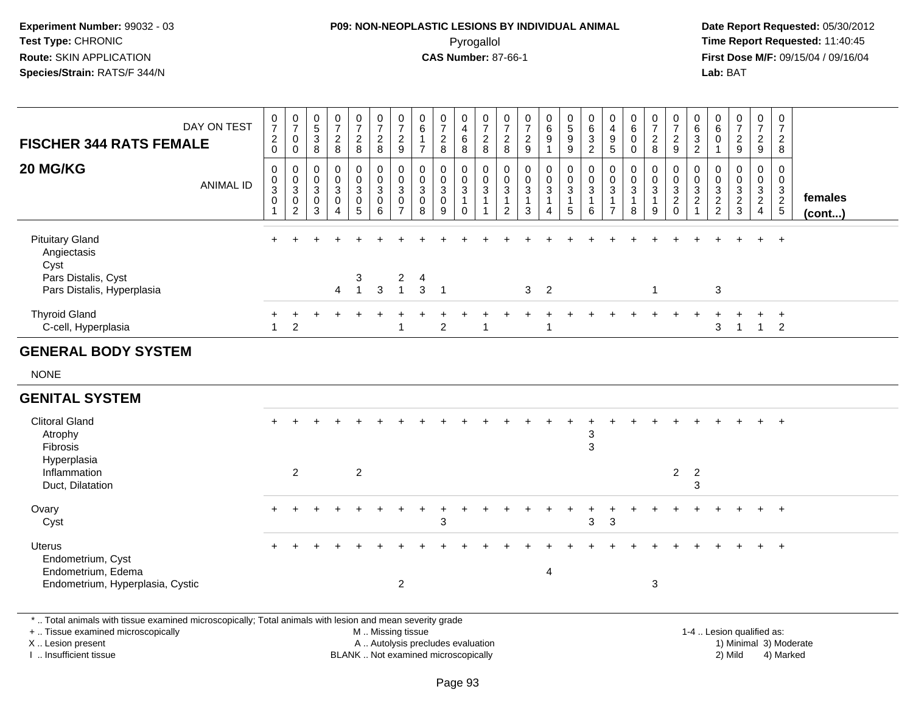# **P09: NON-NEOPLASTIC LESIONS BY INDIVIDUAL ANIMAL**Pyrogallol **Time Report Requested:** 11:40:45

 **Date Report Requested:** 05/30/2012 **First Dose M/F:** 09/15/04 / 09/16/04 Lab: BAT **Lab:** BAT

|                                                                                                          | DAY ON TEST      | $\frac{0}{7}$<br>$\overline{c}$            | $\begin{array}{c} 0 \\ 7 \end{array}$<br>$\pmb{0}$         | $\begin{array}{c} 0 \\ 5 \end{array}$<br>$\mathbf{3}$ | $\frac{0}{7}$<br>$\overline{2}$                                  | $\frac{0}{7}$<br>$\overline{2}$                        | $\frac{0}{7}$<br>$\overline{c}$ | $\frac{0}{7}$<br>$\sqrt{2}$                                         | $\pmb{0}$<br>$\,6\,$<br>$\mathbf{1}$                 | $\frac{0}{7}$<br>$\boldsymbol{2}$                              | 0<br>$\overline{4}$<br>$\,6\,$                                  | 0<br>$\boldsymbol{7}$<br>$\overline{2}$                         | 0<br>$\overline{7}$<br>$\overline{a}$         | $\frac{0}{7}$<br>$\overline{a}$  | $_{6}^{\rm 0}$<br>$\boldsymbol{9}$                                      | $\begin{smallmatrix} 0\\5 \end{smallmatrix}$<br>$\boldsymbol{9}$ | $\pmb{0}$<br>$\,6\,$<br>$\mathbf{3}$               | 0<br>4<br>9                   | 0<br>$\,6\,$<br>0                           | $\pmb{0}$<br>$\overline{7}$<br>$\overline{c}$     | 0<br>$\boldsymbol{7}$<br>$\overline{c}$             | 0<br>$^6_3$                                                                  | 0<br>$6\phantom{1}6$<br>$\mathbf 0$              | $\frac{0}{7}$<br>$\overline{c}$                                 | $\begin{smallmatrix}0\\7\end{smallmatrix}$<br>$\overline{c}$         | $\pmb{0}$<br>$\overline{7}$<br>$\overline{2}$                           |                   |
|----------------------------------------------------------------------------------------------------------|------------------|--------------------------------------------|------------------------------------------------------------|-------------------------------------------------------|------------------------------------------------------------------|--------------------------------------------------------|---------------------------------|---------------------------------------------------------------------|------------------------------------------------------|----------------------------------------------------------------|-----------------------------------------------------------------|-----------------------------------------------------------------|-----------------------------------------------|----------------------------------|-------------------------------------------------------------------------|------------------------------------------------------------------|----------------------------------------------------|-------------------------------|---------------------------------------------|---------------------------------------------------|-----------------------------------------------------|------------------------------------------------------------------------------|--------------------------------------------------|-----------------------------------------------------------------|----------------------------------------------------------------------|-------------------------------------------------------------------------|-------------------|
| <b>FISCHER 344 RATS FEMALE</b>                                                                           |                  | $\mathbf 0$                                | $\mathbf 0$                                                | 8                                                     | 8                                                                | 8                                                      | 8                               | 9                                                                   | $\overline{7}$                                       | 8                                                              | 8                                                               | 8                                                               | 8                                             | 9                                |                                                                         | 9                                                                | $\overline{2}$                                     | 5                             | $\Omega$                                    | 8                                                 | 9                                                   | $\overline{2}$                                                               | $\mathbf 1$                                      | 9                                                               | 9                                                                    | 8                                                                       |                   |
| 20 MG/KG                                                                                                 | <b>ANIMAL ID</b> | $\pmb{0}$<br>0<br>3<br>$\mathsf{O}\xspace$ | $\pmb{0}$<br>$_{3}^{\rm 0}$<br>$\pmb{0}$<br>$\overline{2}$ | 0<br>0<br>3<br>0<br>3                                 | $\mathbf 0$<br>$\mathbf 0$<br>3<br>$\mathbf 0$<br>$\overline{4}$ | $\pmb{0}$<br>$\mathbf 0$<br>3<br>$\boldsymbol{0}$<br>5 | 0<br>0<br>3<br>$\mathbf 0$<br>6 | $\pmb{0}$<br>$\pmb{0}$<br>$\sqrt{3}$<br>$\pmb{0}$<br>$\overline{7}$ | $\mathbf 0$<br>0<br>$\mathbf{3}$<br>$\mathbf 0$<br>8 | $\mathbf 0$<br>$\mathbf 0$<br>$\mathbf{3}$<br>$\mathbf 0$<br>9 | 0<br>$\boldsymbol{0}$<br>$\sqrt{3}$<br>$\mathbf{1}$<br>$\Omega$ | 0<br>$\mathbf 0$<br>$\mathsf 3$<br>$\mathbf{1}$<br>$\mathbf{1}$ | 0<br>0<br>3<br>$\mathbf{1}$<br>$\overline{2}$ | 0<br>0<br>3<br>$\mathbf{1}$<br>3 | $\mathsf 0$<br>$_{3}^{\rm 0}$<br>$\mathbf{1}$<br>$\boldsymbol{\Lambda}$ | $\pmb{0}$<br>$\mathbf 0$<br>$\sqrt{3}$<br>$\overline{1}$<br>5    | $\mathbf 0$<br>$_{3}^{\rm 0}$<br>$\mathbf{1}$<br>6 | 0<br>0<br>3<br>$\overline{7}$ | 0<br>0<br>$\mathbf{3}$<br>$\mathbf{1}$<br>8 | 0<br>$\pmb{0}$<br>$\sqrt{3}$<br>$\mathbf{1}$<br>9 | 0<br>$\mathbf 0$<br>3<br>$\overline{c}$<br>$\Omega$ | $\mathbf 0$<br>$\begin{smallmatrix}0\3\2\end{smallmatrix}$<br>$\overline{1}$ | $\mathbf 0$<br>$\mathbf 0$<br>3<br>$\frac{2}{2}$ | $\mathbf 0$<br>$\mathbf 0$<br>3<br>$\overline{\mathbf{c}}$<br>3 | $\mathsf{O}$<br>$\mathbf 0$<br>3<br>$\overline{2}$<br>$\overline{4}$ | $\mathsf{O}$<br>$\mathbf 0$<br>$\ensuremath{\mathsf{3}}$<br>$rac{2}{5}$ | females<br>(cont) |
| <b>Pituitary Gland</b><br>Angiectasis<br>Cyst<br>Pars Distalis, Cyst<br>Pars Distalis, Hyperplasia       |                  | $\ddot{}$                                  |                                                            |                                                       | $\overline{4}$                                                   | 3<br>$\mathbf{1}$                                      | $\mathfrak{S}$                  | $\overline{c}$<br>$\overline{1}$                                    | $\overline{4}$<br>$\mathbf{3}$                       | $\overline{1}$                                                 |                                                                 |                                                                 |                                               | 3 <sup>1</sup>                   | $\overline{2}$                                                          |                                                                  |                                                    |                               |                                             | $\mathbf{1}$                                      |                                                     |                                                                              | $\sqrt{3}$                                       |                                                                 |                                                                      | $\ddot{}$                                                               |                   |
| <b>Thyroid Gland</b><br>C-cell, Hyperplasia                                                              |                  | $\mathbf{1}$                               | $\overline{2}$                                             |                                                       |                                                                  |                                                        |                                 | $\overline{1}$                                                      |                                                      | $\overline{2}$                                                 |                                                                 |                                                                 |                                               |                                  | -1                                                                      |                                                                  |                                                    |                               |                                             |                                                   |                                                     |                                                                              | 3                                                | 1                                                               | $\mathbf{1}$                                                         | $\ddot{}$<br>$\overline{2}$                                             |                   |
| <b>GENERAL BODY SYSTEM</b>                                                                               |                  |                                            |                                                            |                                                       |                                                                  |                                                        |                                 |                                                                     |                                                      |                                                                |                                                                 |                                                                 |                                               |                                  |                                                                         |                                                                  |                                                    |                               |                                             |                                                   |                                                     |                                                                              |                                                  |                                                                 |                                                                      |                                                                         |                   |
| <b>NONE</b>                                                                                              |                  |                                            |                                                            |                                                       |                                                                  |                                                        |                                 |                                                                     |                                                      |                                                                |                                                                 |                                                                 |                                               |                                  |                                                                         |                                                                  |                                                    |                               |                                             |                                                   |                                                     |                                                                              |                                                  |                                                                 |                                                                      |                                                                         |                   |
| <b>GENITAL SYSTEM</b>                                                                                    |                  |                                            |                                                            |                                                       |                                                                  |                                                        |                                 |                                                                     |                                                      |                                                                |                                                                 |                                                                 |                                               |                                  |                                                                         |                                                                  |                                                    |                               |                                             |                                                   |                                                     |                                                                              |                                                  |                                                                 |                                                                      |                                                                         |                   |
| <b>Clitoral Gland</b><br>Atrophy<br>Fibrosis<br>Hyperplasia<br>Inflammation<br>Duct, Dilatation          |                  |                                            | $\overline{2}$                                             |                                                       |                                                                  | $\overline{2}$                                         |                                 |                                                                     |                                                      |                                                                |                                                                 |                                                                 |                                               |                                  |                                                                         |                                                                  | $\ensuremath{\mathsf{3}}$<br>$\mathbf{3}$          |                               |                                             |                                                   | $\overline{2}$                                      | $\overline{2}$<br>3                                                          |                                                  |                                                                 |                                                                      | $\overline{+}$                                                          |                   |
| Ovary<br>Cyst                                                                                            |                  |                                            |                                                            |                                                       |                                                                  |                                                        |                                 |                                                                     |                                                      | 3                                                              |                                                                 |                                                                 |                                               |                                  |                                                                         |                                                                  | 3                                                  | $\mathbf{3}$                  |                                             |                                                   |                                                     |                                                                              |                                                  |                                                                 | $\ddot{}$                                                            | $\ddot{}$                                                               |                   |
| <b>Uterus</b><br>Endometrium, Cyst<br>Endometrium, Edema<br>Endometrium, Hyperplasia, Cystic             |                  |                                            |                                                            |                                                       |                                                                  |                                                        |                                 | $\overline{2}$                                                      |                                                      |                                                                |                                                                 |                                                                 |                                               |                                  | $\overline{\mathbf{4}}$                                                 |                                                                  |                                                    |                               |                                             | $\mathbf{3}$                                      |                                                     |                                                                              |                                                  |                                                                 |                                                                      | $\ddot{}$                                                               |                   |
| *  Total animals with tissue examined microscopically; Total animals with lesion and mean severity grade |                  |                                            |                                                            |                                                       |                                                                  |                                                        |                                 |                                                                     |                                                      |                                                                |                                                                 |                                                                 |                                               |                                  |                                                                         |                                                                  |                                                    |                               |                                             |                                                   |                                                     |                                                                              |                                                  |                                                                 |                                                                      |                                                                         |                   |

+ .. Tissue examined microscopically

X .. Lesion present

I .. Insufficient tissue

M .. Missing tissue

A .. Autolysis precludes evaluation 1999 (1999) 1999 (1999) 1999 (1999) 1999 (1999) 1999 (1999) 1999 (1999) 1<br>1) Minimal 3) Mild 3) Mild 3) Mild 3) Mild 3, 2009 (1999) 1999 (1999) 1999 (1999) 1999 (1999) 1999 (1999) 199 BLANK .. Not examined microscopically 2) Mild 4) Marked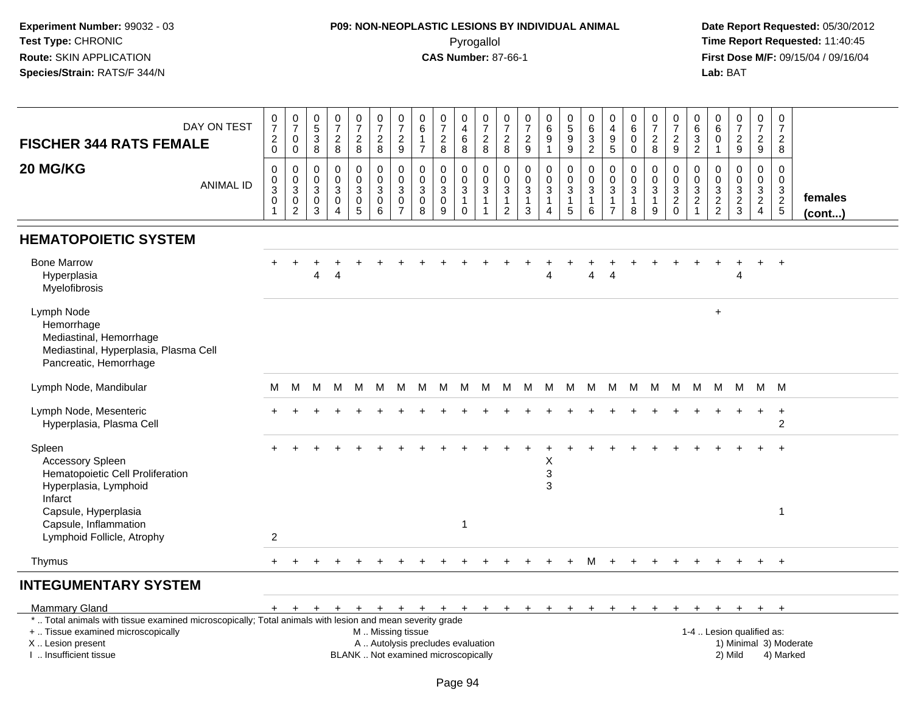### **P09: NON-NEOPLASTIC LESIONS BY INDIVIDUAL ANIMAL**Pyrogallol **Time Report Requested:** 11:40:45

 **Date Report Requested:** 05/30/2012 **First Dose M/F:** 09/15/04 / 09/16/04<br>**Lab:** BAT **Lab:** BAT

| DAY ON TEST<br><b>FISCHER 344 RATS FEMALE</b>                                                                                                  | $\frac{0}{7}$<br>$^2_{\rm 0}$        | $\begin{array}{c} 0 \\ 7 \end{array}$<br>0<br>$\mathbf 0$      | $\begin{array}{c} 0 \\ 5 \end{array}$<br>$\mathbf{3}$<br>8 | $\frac{0}{7}$<br>$\frac{2}{8}$                                              | $\frac{0}{7}$<br>$_{\rm 8}^2$    | $\frac{0}{7}$<br>$\frac{2}{8}$                                   | $\begin{array}{c} 0 \\ 7 \end{array}$<br>$\frac{2}{9}$ | 0<br>$\,6\,$<br>$\mathbf{1}$<br>$\overline{7}$ | $\frac{0}{7}$<br>$^2_8$                                      | $\pmb{0}$<br>$\overline{4}$<br>$\overline{6}$<br>8                | 0<br>$\overline{7}$<br>$\frac{2}{8}$                                       | 0<br>$\overline{7}$<br>$\overline{c}$<br>8             | $\frac{0}{7}$<br>$\frac{2}{9}$                        | 0<br>6<br>9<br>1                                | $\begin{array}{c} 0 \\ 5 \\ 9 \end{array}$<br>$\overline{9}$         | $\begin{array}{c} 0 \\ 6 \end{array}$<br>$\overline{3}$<br>$\overline{2}$ | 0<br>$\overline{a}$<br>$\frac{9}{5}$                                         | $\mathbf 0$<br>$\,6\,$<br>$\mathbf 0$<br>$\Omega$               | $\frac{0}{7}$<br>$\overline{c}$<br>8     | 0<br>$\overline{7}$<br>$\boldsymbol{2}$<br>$\overline{9}$                        | 0<br>6<br>3<br>$\overline{2}$                                           | 0<br>6<br>0                              | $\frac{0}{7}$<br>$\frac{2}{9}$  |     | 0<br>$\overline{7}$<br>$\frac{2}{9}$        | 0<br>$\overline{7}$<br>$\overline{2}$<br>8                       |
|------------------------------------------------------------------------------------------------------------------------------------------------|--------------------------------------|----------------------------------------------------------------|------------------------------------------------------------|-----------------------------------------------------------------------------|----------------------------------|------------------------------------------------------------------|--------------------------------------------------------|------------------------------------------------|--------------------------------------------------------------|-------------------------------------------------------------------|----------------------------------------------------------------------------|--------------------------------------------------------|-------------------------------------------------------|-------------------------------------------------|----------------------------------------------------------------------|---------------------------------------------------------------------------|------------------------------------------------------------------------------|-----------------------------------------------------------------|------------------------------------------|----------------------------------------------------------------------------------|-------------------------------------------------------------------------|------------------------------------------|---------------------------------|-----|---------------------------------------------|------------------------------------------------------------------|
| 20 MG/KG<br><b>ANIMAL ID</b>                                                                                                                   | 0<br>$\mathbf 0$<br>3<br>$\mathbf 0$ | 0<br>$\begin{bmatrix} 0 \\ 3 \\ 0 \end{bmatrix}$<br>$\sqrt{2}$ | 0<br>$\mathbf 0$<br>3<br>0<br>3                            | $\mathbf 0$<br>$\mathbf 0$<br>$\mathbf{3}$<br>$\mathbf 0$<br>$\overline{4}$ | 0<br>0<br>$\mathbf{3}$<br>0<br>5 | $\pmb{0}$<br>$\pmb{0}$<br>$\mathbf{3}$<br>$\mathbf 0$<br>$\,6\,$ | $\Omega$<br>$\mathbf 0$<br>3<br>0<br>$\overline{7}$    | $\mathbf 0$<br>0<br>3<br>$\mathbf 0$<br>8      | $\mathbf 0$<br>$\pmb{0}$<br>$\mathbf{3}$<br>$\mathbf 0$<br>9 | 0<br>$\mathbf 0$<br>$\mathbf{3}$<br>$\overline{1}$<br>$\mathbf 0$ | $\mathbf 0$<br>$\mathbf 0$<br>$\mathbf{3}$<br>$\mathbf{1}$<br>$\mathbf{1}$ | $\mathbf 0$<br>$\mathbf 0$<br>3<br>1<br>$\overline{c}$ | $\mathbf 0$<br>0<br>$\mathbf{3}$<br>$\mathbf{1}$<br>3 | 0<br>$\boldsymbol{0}$<br>3<br>$\mathbf{1}$<br>4 | $\pmb{0}$<br>$\mathsf{O}\xspace$<br>$\mathsf 3$<br>$\mathbf{1}$<br>5 | $\mathbf 0$<br>$\pmb{0}$<br>$\mathbf{3}$<br>1<br>6                        | $\mathbf 0$<br>$\mathbf 0$<br>$\mathbf{3}$<br>$\mathbf{1}$<br>$\overline{7}$ | $\mathbf 0$<br>$\mathbf 0$<br>$\mathbf{3}$<br>$\mathbf{1}$<br>8 | 0<br>$\pmb{0}$<br>3<br>$\mathbf{1}$<br>9 | $\mathbf 0$<br>$\boldsymbol{0}$<br>$\sqrt{3}$<br>$\boldsymbol{2}$<br>$\mathbf 0$ | $\Omega$<br>$\mathbf 0$<br>3<br>$\overline{\mathbf{c}}$<br>$\mathbf{1}$ | $\Omega$<br>$\mathbf 0$<br>$\frac{3}{2}$ | 0<br>$\pmb{0}$<br>$\frac{3}{2}$ |     | $\mathbf 0$<br>$\mathbf 0$<br>$\frac{3}{2}$ | $\mathbf 0$<br>$\mathsf 0$<br>$\frac{3}{2}$<br>females<br>(cont) |
| <b>HEMATOPOIETIC SYSTEM</b>                                                                                                                    |                                      |                                                                |                                                            |                                                                             |                                  |                                                                  |                                                        |                                                |                                                              |                                                                   |                                                                            |                                                        |                                                       |                                                 |                                                                      |                                                                           |                                                                              |                                                                 |                                          |                                                                                  |                                                                         |                                          |                                 |     |                                             |                                                                  |
| <b>Bone Marrow</b><br>Hyperplasia<br>Myelofibrosis                                                                                             |                                      |                                                                | 4                                                          | 4                                                                           |                                  |                                                                  |                                                        |                                                |                                                              |                                                                   |                                                                            |                                                        |                                                       | 4                                               |                                                                      | 4                                                                         | 4                                                                            |                                                                 |                                          |                                                                                  |                                                                         |                                          | 4                               |     |                                             | $\overline{+}$                                                   |
| Lymph Node<br>Hemorrhage<br>Mediastinal, Hemorrhage<br>Mediastinal, Hyperplasia, Plasma Cell<br>Pancreatic, Hemorrhage                         |                                      |                                                                |                                                            |                                                                             |                                  |                                                                  |                                                        |                                                |                                                              |                                                                   |                                                                            |                                                        |                                                       |                                                 |                                                                      |                                                                           |                                                                              |                                                                 |                                          |                                                                                  |                                                                         | $+$                                      |                                 |     |                                             |                                                                  |
| Lymph Node, Mandibular                                                                                                                         | м                                    | М                                                              | M                                                          | M                                                                           | M                                | M                                                                | M                                                      | M                                              | M                                                            | M                                                                 | M                                                                          | M                                                      | M                                                     | M                                               | M                                                                    | M                                                                         | M                                                                            | M                                                               | M                                        | M                                                                                | M                                                                       | M                                        | M                               |     | M M                                         |                                                                  |
| Lymph Node, Mesenteric<br>Hyperplasia, Plasma Cell                                                                                             |                                      |                                                                |                                                            |                                                                             |                                  |                                                                  |                                                        |                                                |                                                              |                                                                   |                                                                            |                                                        |                                                       |                                                 |                                                                      |                                                                           |                                                                              |                                                                 |                                          |                                                                                  |                                                                         |                                          |                                 |     |                                             | $\ddot{}$<br>2                                                   |
| Spleen<br>Accessory Spleen<br>Hematopoietic Cell Proliferation<br>Hyperplasia, Lymphoid                                                        |                                      |                                                                |                                                            |                                                                             |                                  |                                                                  |                                                        |                                                |                                                              |                                                                   |                                                                            |                                                        |                                                       | X<br>3<br>3                                     |                                                                      |                                                                           |                                                                              |                                                                 |                                          |                                                                                  |                                                                         |                                          |                                 |     |                                             |                                                                  |
| Infarct<br>Capsule, Hyperplasia<br>Capsule, Inflammation<br>Lymphoid Follicle, Atrophy                                                         | 2                                    |                                                                |                                                            |                                                                             |                                  |                                                                  |                                                        |                                                |                                                              | 1                                                                 |                                                                            |                                                        |                                                       |                                                 |                                                                      |                                                                           |                                                                              |                                                                 |                                          |                                                                                  |                                                                         |                                          |                                 |     |                                             | $\overline{1}$                                                   |
| Thymus                                                                                                                                         | $^+$                                 |                                                                |                                                            |                                                                             |                                  |                                                                  |                                                        |                                                |                                                              |                                                                   |                                                                            |                                                        |                                                       |                                                 |                                                                      | м                                                                         |                                                                              |                                                                 |                                          |                                                                                  |                                                                         |                                          |                                 |     | $+$                                         | $+$                                                              |
| <b>INTEGUMENTARY SYSTEM</b>                                                                                                                    |                                      |                                                                |                                                            |                                                                             |                                  |                                                                  |                                                        |                                                |                                                              |                                                                   |                                                                            |                                                        |                                                       |                                                 |                                                                      |                                                                           |                                                                              |                                                                 |                                          |                                                                                  |                                                                         |                                          |                                 |     |                                             |                                                                  |
| <b>Mammary Gland</b>                                                                                                                           | $+$                                  | $+$                                                            | $+$                                                        | $+$                                                                         | $+$                              | $+$                                                              | $+$                                                    |                                                | $+$ $+$                                                      | $+$                                                               | $+$                                                                        | $+$                                                    | $+$                                                   | $+$                                             | $+$                                                                  | $+$                                                                       | $+$                                                                          | $\div$                                                          | $+$                                      | $+$                                                                              | $+$                                                                     | $+$                                      | $+$                             | $+$ |                                             | $+$                                                              |
| *  Total animals with tissue examined microscopically; Total animals with lesion and mean severity grade<br>+  Tissue examined microscopically |                                      |                                                                |                                                            |                                                                             |                                  | M  Missing tissue                                                |                                                        |                                                |                                                              |                                                                   |                                                                            |                                                        |                                                       |                                                 |                                                                      |                                                                           |                                                                              |                                                                 |                                          |                                                                                  |                                                                         |                                          | 1-4  Lesion qualified as:       |     |                                             |                                                                  |

X .. Lesion present

I .. Insufficient tissue

A .. Autolysis precludes evaluation

BLANK .. Not examined microscopically 2) Mild 4) Marked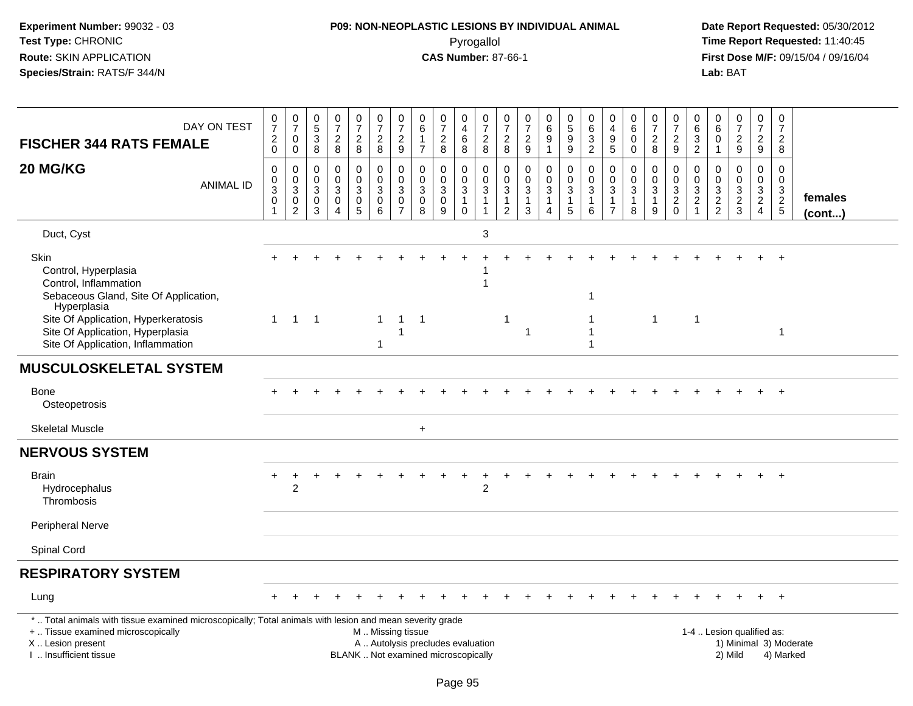# **P09: NON-NEOPLASTIC LESIONS BY INDIVIDUAL ANIMAL**Pyrogallol **Time Report Requested:** 11:40:45

| DAY ON TEST<br><b>FISCHER 344 RATS FEMALE</b>                                                                                                                                                 | $\frac{0}{7}$<br>$\sqrt{2}$<br>$\mathsf{O}\xspace$                      | $\frac{0}{7}$<br>$\mathbf 0$<br>$\mathbf 0$                              | $\pmb{0}$<br>$\frac{5}{3}$<br>8                   | $\begin{array}{c} 0 \\ 7 \end{array}$<br>$\overline{2}$<br>8       | $\frac{0}{7}$<br>$\sqrt{2}$<br>$\bf 8$                   | $\begin{smallmatrix}0\\7\end{smallmatrix}$<br>$\overline{2}$<br>8                             | $\begin{array}{c} 0 \\ 7 \end{array}$<br>$\overline{2}$<br>9          | $\pmb{0}$<br>$\,6$<br>$\mathbf{1}$<br>$\overline{7}$    | $\begin{array}{c} 0 \\ 7 \end{array}$<br>$\sqrt{2}$<br>$\, 8$ | $\pmb{0}$<br>$\overline{4}$<br>$6\phantom{a}$<br>8                             | $\frac{0}{7}$<br>$\overline{2}$<br>8                      | $\frac{0}{7}$<br>$\sqrt{2}$<br>8                                   | 0<br>$\overline{7}$<br>$\sqrt{2}$<br>9 | $\pmb{0}$<br>$\,6\,$<br>$\overline{9}$<br>$\overline{1}$                   | $\begin{array}{c} 0 \\ 5 \end{array}$<br>9<br>9 | $\mathbf 0$<br>$\,6\,$<br>3<br>$\overline{2}$                  | 0<br>$\overline{\mathbf{4}}$<br>$\mathsf g$<br>5 | $\pmb{0}$<br>$\,6\,$<br>$\Omega$<br>0           | $\frac{0}{7}$<br>$\overline{2}$<br>8                            | $\frac{0}{7}$<br>$\overline{c}$<br>9    | $\mathbf 0$<br>$\,6\,$<br>$\sqrt{3}$<br>2                | 0<br>6<br>$\Omega$<br>$\mathbf{1}$     | $\frac{0}{7}$<br>$\sqrt{2}$<br>$9\,$                                    | $\frac{0}{7}$<br>$\overline{c}$<br>9                                 | $\frac{0}{7}$<br>$\overline{2}$<br>8                                     |                         |
|-----------------------------------------------------------------------------------------------------------------------------------------------------------------------------------------------|-------------------------------------------------------------------------|--------------------------------------------------------------------------|---------------------------------------------------|--------------------------------------------------------------------|----------------------------------------------------------|-----------------------------------------------------------------------------------------------|-----------------------------------------------------------------------|---------------------------------------------------------|---------------------------------------------------------------|--------------------------------------------------------------------------------|-----------------------------------------------------------|--------------------------------------------------------------------|----------------------------------------|----------------------------------------------------------------------------|-------------------------------------------------|----------------------------------------------------------------|--------------------------------------------------|-------------------------------------------------|-----------------------------------------------------------------|-----------------------------------------|----------------------------------------------------------|----------------------------------------|-------------------------------------------------------------------------|----------------------------------------------------------------------|--------------------------------------------------------------------------|-------------------------|
| 20 MG/KG<br><b>ANIMAL ID</b>                                                                                                                                                                  | $\mathbf 0$<br>$\pmb{0}$<br>$\overline{3}$<br>$\pmb{0}$<br>$\mathbf{1}$ | $\Omega$<br>$\mathbf 0$<br>$\overline{3}$<br>$\pmb{0}$<br>$\overline{c}$ | $\Omega$<br>0<br>$\mathbf{3}$<br>$\mathbf 0$<br>3 | $\Omega$<br>$\mathbf 0$<br>$\mathbf{3}$<br>$\mathbf 0$<br>$\Delta$ | $\mathbf 0$<br>$\pmb{0}$<br>$\sqrt{3}$<br>$\pmb{0}$<br>5 | 0<br>$\mathbf 0$<br>$\mathbf{3}$<br>$\mathbf 0$<br>6                                          | $\mathbf 0$<br>$\pmb{0}$<br>$\sqrt{3}$<br>$\pmb{0}$<br>$\overline{7}$ | 0<br>$\pmb{0}$<br>$\mathbf{3}$<br>$\mathbf 0$<br>$\bf8$ | $\Omega$<br>$\pmb{0}$<br>$\sqrt{3}$<br>$\mathbf 0$<br>9       | $\mathbf 0$<br>$\mathsf{O}\xspace$<br>$\mathbf{3}$<br>$\mathbf{1}$<br>$\Omega$ | 0<br>$\mathbf 0$<br>$\overline{3}$<br>$\overline{1}$<br>1 | 0<br>$\mathbf 0$<br>$\mathbf{3}$<br>$\mathbf{1}$<br>$\overline{2}$ | 0<br>0<br>3<br>1<br>3                  | $\mathbf 0$<br>$\pmb{0}$<br>$\overline{3}$<br>-1<br>$\boldsymbol{\Lambda}$ | 0<br>$\mathsf 0$<br>$\mathbf{3}$<br>1<br>5      | $\Omega$<br>$\mathbf 0$<br>$\sqrt{3}$<br>$\mathbf{1}$<br>$\,6$ | 0<br>$\pmb{0}$<br>3<br>1<br>$\overline{7}$       | $\Omega$<br>$\mathbf 0$<br>$\sqrt{3}$<br>1<br>8 | $\mathbf 0$<br>$\pmb{0}$<br>$\overline{3}$<br>$\mathbf{1}$<br>9 | 0<br>$\mathsf{O}$<br>3<br>$\frac{2}{0}$ | $\Omega$<br>$\mathbf 0$<br>$\frac{3}{2}$<br>$\mathbf{1}$ | 0<br>$\mathbf 0$<br>3<br>$\frac{2}{2}$ | $\Omega$<br>$\mathbf 0$<br>$\sqrt{3}$<br>$\overline{2}$<br>$\mathbf{3}$ | $\mathbf 0$<br>$\mathsf{O}$<br>3<br>$\overline{2}$<br>$\overline{4}$ | $\mathbf 0$<br>$\mathbf 0$<br>$\begin{array}{c} 3 \\ 2 \\ 5 \end{array}$ | females<br>$($ cont $)$ |
| Duct, Cyst                                                                                                                                                                                    |                                                                         |                                                                          |                                                   |                                                                    |                                                          |                                                                                               |                                                                       |                                                         |                                                               |                                                                                | 3                                                         |                                                                    |                                        |                                                                            |                                                 |                                                                |                                                  |                                                 |                                                                 |                                         |                                                          |                                        |                                                                         |                                                                      |                                                                          |                         |
| Skin<br>Control, Hyperplasia<br>Control, Inflammation<br>Sebaceous Gland, Site Of Application,<br>Hyperplasia                                                                                 |                                                                         |                                                                          |                                                   |                                                                    |                                                          |                                                                                               |                                                                       |                                                         |                                                               |                                                                                |                                                           |                                                                    |                                        |                                                                            |                                                 | -1                                                             |                                                  |                                                 |                                                                 |                                         |                                                          |                                        |                                                                         |                                                                      |                                                                          |                         |
| Site Of Application, Hyperkeratosis<br>Site Of Application, Hyperplasia<br>Site Of Application, Inflammation                                                                                  | $\mathbf{1}$                                                            | $\overline{1}$                                                           | $\overline{1}$                                    |                                                                    |                                                          | $\mathbf{1}$<br>$\mathbf{1}$                                                                  | $\overline{1}$<br>-1                                                  | $\overline{1}$                                          |                                                               |                                                                                |                                                           | $\overline{1}$                                                     | $\mathbf{1}$                           |                                                                            |                                                 |                                                                |                                                  |                                                 | $\mathbf{1}$                                                    |                                         | $\overline{1}$                                           |                                        |                                                                         |                                                                      | -1                                                                       |                         |
| <b>MUSCULOSKELETAL SYSTEM</b>                                                                                                                                                                 |                                                                         |                                                                          |                                                   |                                                                    |                                                          |                                                                                               |                                                                       |                                                         |                                                               |                                                                                |                                                           |                                                                    |                                        |                                                                            |                                                 |                                                                |                                                  |                                                 |                                                                 |                                         |                                                          |                                        |                                                                         |                                                                      |                                                                          |                         |
| <b>Bone</b><br>Osteopetrosis                                                                                                                                                                  |                                                                         |                                                                          |                                                   |                                                                    |                                                          |                                                                                               |                                                                       |                                                         |                                                               |                                                                                |                                                           |                                                                    |                                        |                                                                            |                                                 |                                                                |                                                  |                                                 |                                                                 |                                         |                                                          |                                        |                                                                         |                                                                      |                                                                          |                         |
| <b>Skeletal Muscle</b>                                                                                                                                                                        |                                                                         |                                                                          |                                                   |                                                                    |                                                          |                                                                                               |                                                                       | $\ddot{}$                                               |                                                               |                                                                                |                                                           |                                                                    |                                        |                                                                            |                                                 |                                                                |                                                  |                                                 |                                                                 |                                         |                                                          |                                        |                                                                         |                                                                      |                                                                          |                         |
| <b>NERVOUS SYSTEM</b>                                                                                                                                                                         |                                                                         |                                                                          |                                                   |                                                                    |                                                          |                                                                                               |                                                                       |                                                         |                                                               |                                                                                |                                                           |                                                                    |                                        |                                                                            |                                                 |                                                                |                                                  |                                                 |                                                                 |                                         |                                                          |                                        |                                                                         |                                                                      |                                                                          |                         |
| <b>Brain</b><br>Hydrocephalus<br>Thrombosis                                                                                                                                                   | $+$                                                                     | $\ddot{}$<br>$\overline{c}$                                              |                                                   |                                                                    |                                                          |                                                                                               |                                                                       |                                                         |                                                               |                                                                                | $\boldsymbol{2}$                                          |                                                                    |                                        |                                                                            |                                                 |                                                                |                                                  |                                                 |                                                                 |                                         |                                                          |                                        |                                                                         |                                                                      | $+$                                                                      |                         |
| Peripheral Nerve                                                                                                                                                                              |                                                                         |                                                                          |                                                   |                                                                    |                                                          |                                                                                               |                                                                       |                                                         |                                                               |                                                                                |                                                           |                                                                    |                                        |                                                                            |                                                 |                                                                |                                                  |                                                 |                                                                 |                                         |                                                          |                                        |                                                                         |                                                                      |                                                                          |                         |
| Spinal Cord                                                                                                                                                                                   |                                                                         |                                                                          |                                                   |                                                                    |                                                          |                                                                                               |                                                                       |                                                         |                                                               |                                                                                |                                                           |                                                                    |                                        |                                                                            |                                                 |                                                                |                                                  |                                                 |                                                                 |                                         |                                                          |                                        |                                                                         |                                                                      |                                                                          |                         |
| <b>RESPIRATORY SYSTEM</b>                                                                                                                                                                     |                                                                         |                                                                          |                                                   |                                                                    |                                                          |                                                                                               |                                                                       |                                                         |                                                               |                                                                                |                                                           |                                                                    |                                        |                                                                            |                                                 |                                                                |                                                  |                                                 |                                                                 |                                         |                                                          |                                        |                                                                         |                                                                      |                                                                          |                         |
| Lung                                                                                                                                                                                          |                                                                         |                                                                          |                                                   |                                                                    |                                                          |                                                                                               |                                                                       |                                                         |                                                               |                                                                                |                                                           |                                                                    |                                        |                                                                            |                                                 |                                                                |                                                  |                                                 |                                                                 |                                         |                                                          |                                        |                                                                         |                                                                      |                                                                          |                         |
| *  Total animals with tissue examined microscopically; Total animals with lesion and mean severity grade<br>+  Tissue examined microscopically<br>X  Lesion present<br>I. Insufficient tissue |                                                                         |                                                                          |                                                   |                                                                    |                                                          | M  Missing tissue<br>A  Autolysis precludes evaluation<br>BLANK  Not examined microscopically |                                                                       |                                                         |                                                               |                                                                                |                                                           |                                                                    |                                        |                                                                            |                                                 |                                                                |                                                  |                                                 |                                                                 |                                         |                                                          |                                        | 1-4  Lesion qualified as:<br>2) Mild                                    |                                                                      | 1) Minimal 3) Moderate<br>4) Marked                                      |                         |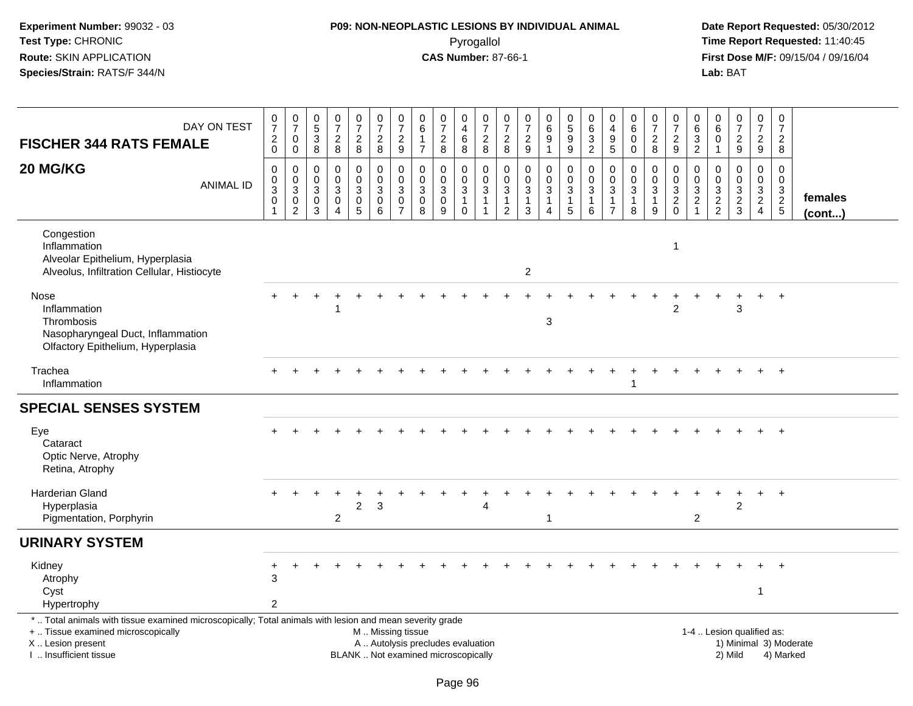# **P09: NON-NEOPLASTIC LESIONS BY INDIVIDUAL ANIMAL**Pyrogallol **Time Report Requested:** 11:40:45

| <b>FISCHER 344 RATS FEMALE</b>                                                                                                                                                               | DAY ON TEST      | $\frac{0}{7}$<br>$^2_{\rm 0}$                      | $\frac{0}{7}$<br>$\mathbf 0$<br>0                                       | $\pmb{0}$<br>$\sqrt{5}$<br>$\mathbf{3}$<br>8 | $\begin{array}{c} 0 \\ 7 \end{array}$<br>$\sqrt{2}$<br>8 | $\frac{0}{7}$<br>$\overline{a}$<br>8 | $\begin{array}{c} 0 \\ 7 \end{array}$<br>$\overline{c}$<br>8 | $\frac{0}{7}$<br>$\sqrt{2}$<br>$\boldsymbol{9}$                       | $\boldsymbol{0}$<br>$\,6\,$<br>$\mathbf{1}$<br>$\overline{7}$ | $\begin{array}{c} 0 \\ 7 \end{array}$<br>$\sqrt{2}$<br>8                 | 0<br>$\overline{4}$<br>$\,6$<br>8                                       | $\frac{0}{7}$<br>$\sqrt{2}$<br>8                                  | 0<br>$\overline{7}$<br>$\overline{c}$<br>8    | 0<br>$\boldsymbol{7}$<br>$\overline{2}$<br>9 | $\begin{array}{c} 0 \\ 6 \end{array}$<br>$\overline{9}$<br>$\mathbf{1}$ | $\begin{array}{c} 0 \\ 5 \\ 9 \end{array}$<br>$\boldsymbol{9}$ | $\pmb{0}$<br>$\,6\,$<br>$\sqrt{3}$<br>$\overline{2}$      | 0<br>$\overline{4}$<br>9<br>5             | 0<br>$\,6\,$<br>$\mathbf 0$<br>0                             | $\pmb{0}$<br>$\overline{7}$<br>$\overline{2}$<br>8 | $\frac{0}{7}$<br>$\sqrt{2}$<br>9                | 0<br>$\,6\,$<br>$\sqrt{3}$<br>2                                             | 0<br>6<br>$\Omega$<br>$\overline{1}$    | $\begin{array}{c} 0 \\ 7 \end{array}$<br>$\sqrt{2}$<br>9                | $\frac{0}{7}$<br>$\overline{a}$<br>9                     | $\begin{array}{c} 0 \\ 7 \end{array}$<br>$\overline{c}$<br>8   |                         |
|----------------------------------------------------------------------------------------------------------------------------------------------------------------------------------------------|------------------|----------------------------------------------------|-------------------------------------------------------------------------|----------------------------------------------|----------------------------------------------------------|--------------------------------------|--------------------------------------------------------------|-----------------------------------------------------------------------|---------------------------------------------------------------|--------------------------------------------------------------------------|-------------------------------------------------------------------------|-------------------------------------------------------------------|-----------------------------------------------|----------------------------------------------|-------------------------------------------------------------------------|----------------------------------------------------------------|-----------------------------------------------------------|-------------------------------------------|--------------------------------------------------------------|----------------------------------------------------|-------------------------------------------------|-----------------------------------------------------------------------------|-----------------------------------------|-------------------------------------------------------------------------|----------------------------------------------------------|----------------------------------------------------------------|-------------------------|
| 20 MG/KG                                                                                                                                                                                     | <b>ANIMAL ID</b> | 0<br>$\pmb{0}$<br>$\overline{3}$<br>$\pmb{0}$<br>1 | $\mathbf 0$<br>$\mathbf 0$<br>$\overline{3}$<br>$\pmb{0}$<br>$\sqrt{2}$ | $\Omega$<br>$\mathbf 0$<br>3<br>0<br>3       | 0<br>$\mathbf 0$<br>3<br>0<br>$\overline{4}$             | 0<br>$\mathbf 0$<br>3<br>0<br>5      | 0<br>$\mathbf 0$<br>$\sqrt{3}$<br>$\overline{0}$<br>6        | $\mathbf 0$<br>$\pmb{0}$<br>$\sqrt{3}$<br>$\pmb{0}$<br>$\overline{7}$ | $\mathbf 0$<br>$\mathsf{O}\xspace$<br>$\mathbf{3}$<br>0<br>8  | 0<br>$\pmb{0}$<br>$\mathbf{3}$<br>$\mathbf 0$<br>9                       | 0<br>$\mathsf{O}\xspace$<br>$\mathbf{3}$<br>$\mathbf{1}$<br>$\mathbf 0$ | 0<br>$\mathbf 0$<br>$\mathsf 3$<br>$\overline{1}$<br>$\mathbf{1}$ | 0<br>0<br>3<br>$\mathbf{1}$<br>$\overline{2}$ | 0<br>0<br>3<br>$\mathbf{1}$<br>$\mathbf{3}$  | 0<br>$\mathbf 0$<br>$\sqrt{3}$<br>$\mathbf{1}$<br>$\overline{4}$        | 0<br>$\pmb{0}$<br>$\sqrt{3}$<br>$\mathbf{1}$<br>$\sqrt{5}$     | 0<br>$\mathbf 0$<br>$\sqrt{3}$<br>$\mathbf{1}$<br>$\,6\,$ | $\Omega$<br>0<br>3<br>1<br>$\overline{7}$ | $\mathbf 0$<br>$\pmb{0}$<br>$\mathbf 3$<br>$\mathbf{1}$<br>8 | 0<br>$\mathbf 0$<br>3<br>$\mathbf{1}$<br>9         | 0<br>$\mathbf 0$<br>$\sqrt{3}$<br>$\frac{2}{0}$ | $\mathbf{0}$<br>$\mathbf 0$<br>$\sqrt{3}$<br>$\overline{2}$<br>$\mathbf{1}$ | 0<br>0<br>$\mathbf{3}$<br>$\frac{2}{2}$ | $\Omega$<br>$\mathbf 0$<br>$\sqrt{3}$<br>$\overline{2}$<br>$\mathbf{3}$ | $\Omega$<br>$\mathbf 0$<br>$\mathbf{3}$<br>$\frac{2}{4}$ | 0<br>$\mathbf 0$<br>$\begin{array}{c} 3 \\ 2 \\ 5 \end{array}$ | females<br>$($ cont $)$ |
| Congestion<br>Inflammation<br>Alveolar Epithelium, Hyperplasia<br>Alveolus, Infiltration Cellular, Histiocyte                                                                                |                  |                                                    |                                                                         |                                              |                                                          |                                      |                                                              |                                                                       |                                                               |                                                                          |                                                                         |                                                                   |                                               | $\overline{2}$                               |                                                                         |                                                                |                                                           |                                           |                                                              |                                                    | -1                                              |                                                                             |                                         |                                                                         |                                                          |                                                                |                         |
| Nose<br>Inflammation<br>Thrombosis<br>Nasopharyngeal Duct, Inflammation<br>Olfactory Epithelium, Hyperplasia                                                                                 |                  |                                                    |                                                                         |                                              |                                                          |                                      |                                                              |                                                                       |                                                               |                                                                          |                                                                         |                                                                   |                                               |                                              | 3                                                                       |                                                                |                                                           |                                           |                                                              |                                                    | 2                                               |                                                                             |                                         | 3                                                                       |                                                          | $\ddot{}$                                                      |                         |
| Trachea<br>Inflammation                                                                                                                                                                      |                  |                                                    |                                                                         |                                              |                                                          |                                      |                                                              |                                                                       |                                                               |                                                                          |                                                                         |                                                                   |                                               |                                              |                                                                         |                                                                |                                                           |                                           |                                                              | $\ddot{}$                                          |                                                 |                                                                             |                                         |                                                                         |                                                          | $+$                                                            |                         |
| <b>SPECIAL SENSES SYSTEM</b>                                                                                                                                                                 |                  |                                                    |                                                                         |                                              |                                                          |                                      |                                                              |                                                                       |                                                               |                                                                          |                                                                         |                                                                   |                                               |                                              |                                                                         |                                                                |                                                           |                                           |                                                              |                                                    |                                                 |                                                                             |                                         |                                                                         |                                                          |                                                                |                         |
| Eye<br>Cataract<br>Optic Nerve, Atrophy<br>Retina, Atrophy                                                                                                                                   |                  |                                                    |                                                                         |                                              |                                                          |                                      |                                                              |                                                                       |                                                               |                                                                          |                                                                         |                                                                   |                                               |                                              |                                                                         |                                                                |                                                           |                                           |                                                              |                                                    |                                                 |                                                                             |                                         |                                                                         |                                                          |                                                                |                         |
| <b>Harderian Gland</b><br>Hyperplasia<br>Pigmentation, Porphyrin                                                                                                                             |                  |                                                    |                                                                         |                                              | $\overline{2}$                                           | $\overline{2}$                       | 3                                                            |                                                                       |                                                               |                                                                          |                                                                         |                                                                   |                                               |                                              | $\mathbf 1$                                                             |                                                                |                                                           |                                           |                                                              |                                                    |                                                 | 2                                                                           |                                         | $\overline{2}$                                                          |                                                          | $\ddot{}$                                                      |                         |
| <b>URINARY SYSTEM</b>                                                                                                                                                                        |                  |                                                    |                                                                         |                                              |                                                          |                                      |                                                              |                                                                       |                                                               |                                                                          |                                                                         |                                                                   |                                               |                                              |                                                                         |                                                                |                                                           |                                           |                                                              |                                                    |                                                 |                                                                             |                                         |                                                                         |                                                          |                                                                |                         |
| Kidney<br>Atrophy<br>Cyst<br>Hypertrophy                                                                                                                                                     |                  | 3<br>$\overline{2}$                                |                                                                         |                                              |                                                          |                                      |                                                              |                                                                       |                                                               |                                                                          |                                                                         |                                                                   |                                               |                                              |                                                                         |                                                                |                                                           |                                           |                                                              |                                                    |                                                 |                                                                             |                                         |                                                                         | 1                                                        |                                                                |                         |
| *  Total animals with tissue examined microscopically; Total animals with lesion and mean severity grade<br>+  Tissue examined microscopically<br>X Lesion present<br>I. Insufficient tissue |                  |                                                    |                                                                         |                                              |                                                          |                                      | M  Missing tissue                                            |                                                                       |                                                               | A  Autolysis precludes evaluation<br>BLANK  Not examined microscopically |                                                                         |                                                                   |                                               |                                              |                                                                         |                                                                |                                                           |                                           |                                                              |                                                    |                                                 |                                                                             |                                         | 1-4  Lesion qualified as:<br>2) Mild                                    |                                                          | 1) Minimal 3) Moderate<br>4) Marked                            |                         |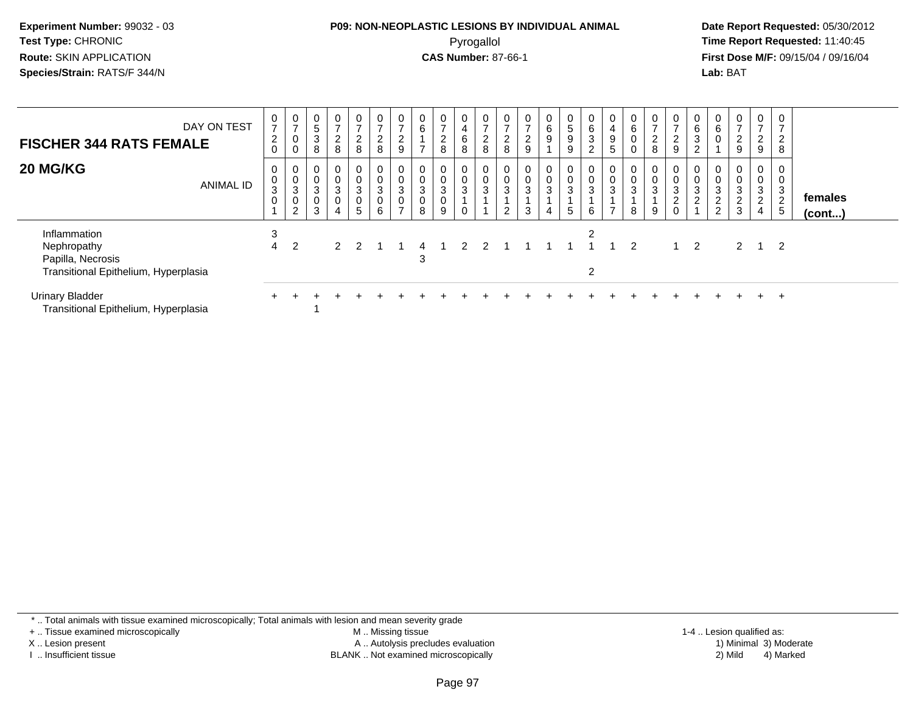#### **P09: NON-NEOPLASTIC LESIONS BY INDIVIDUAL ANIMAL**Pyrogallol **Time Report Requested:** 11:40:45

 **Date Report Requested:** 05/30/2012 **First Dose M/F:** 09/15/04 / 09/16/04 Lab: BAT **Lab:** BAT

| DAY ON TEST<br><b>FISCHER 344 RATS FEMALE</b>                                            | 0<br>$\overline{ }$<br>$\overline{c}$<br>$\mathbf 0$ | $\frac{0}{7}$<br>$\pmb{0}$<br>0                                 | $\mathbf 0$<br>$5\,$<br>3<br>8                     | $\overline{0}$<br>$\rightarrow$<br>$\overline{a}$<br>8 | $\overline{0}$<br>$\overline{ }$<br>$\overline{a}$<br>8 | $\overline{0}$<br>$\rightarrow$<br>$\overline{c}$<br>8       | $\frac{0}{7}$<br>$\overline{2}$<br>9                       | 0<br>$\,6$<br>$\overline{ }$                   | $\mathbf 0$<br>$\overline{ }$<br>$\overline{c}$<br>8 | $\mathbf 0$<br>4<br>6<br>8 | 0<br>$\rightarrow$<br>$\epsilon$<br>8 | $\overline{0}$<br>$\overline{7}$<br>$\Omega$<br>∠<br>8 | $\mathbf{0}$<br>$\rightarrow$<br>$\overline{a}$<br>9 | $\overline{0}$<br>6<br>9    | 0<br>$\frac{5}{9}$<br>9 | $\begin{matrix} 0 \\ 6 \end{matrix}$<br>$\sqrt{3}$<br>2 | 0<br>$\overline{\mathbf{4}}$<br>9<br>5             | $\mathbf 0$<br>6 | $\mathbf{0}$<br>$\overline{7}$<br>$\boldsymbol{2}$<br>8 | $\mathbf{0}$<br>$\overline{ }$<br>$\overline{c}$<br>9 | 0<br>6<br>3                               | $\mathbf{0}$<br>$\,6\,$<br>$\mathbf 0$ | $\overline{0}$<br>$\overline{ }$<br>$\overline{2}$<br>9 | 0<br>$\overline{7}$<br>$\overline{2}$<br>9               | 0<br>◠<br>8                   |                   |
|------------------------------------------------------------------------------------------|------------------------------------------------------|-----------------------------------------------------------------|----------------------------------------------------|--------------------------------------------------------|---------------------------------------------------------|--------------------------------------------------------------|------------------------------------------------------------|------------------------------------------------|------------------------------------------------------|----------------------------|---------------------------------------|--------------------------------------------------------|------------------------------------------------------|-----------------------------|-------------------------|---------------------------------------------------------|----------------------------------------------------|------------------|---------------------------------------------------------|-------------------------------------------------------|-------------------------------------------|----------------------------------------|---------------------------------------------------------|----------------------------------------------------------|-------------------------------|-------------------|
| 20 MG/KG<br><b>ANIMAL ID</b>                                                             | 0<br>0<br>$\mathsf 3$<br>0                           | 0<br>$\pmb{0}$<br>$\ensuremath{\mathsf{3}}$<br>$\mathbf 0$<br>2 | 0<br>$\mathbf 0$<br>$\sqrt{3}$<br>$\mathbf 0$<br>3 | 0<br>$\mathbf 0$<br>$\overline{3}$<br>$\mathbf 0$      | 0<br>$\frac{0}{3}$<br>$\overline{0}$<br>5               | 0<br>$\boldsymbol{0}$<br>$\sqrt{3}$<br>$\boldsymbol{0}$<br>6 | 0<br>$\pmb{0}$<br>$\sqrt{3}$<br>$\pmb{0}$<br>$\rightarrow$ | 0<br>$\pmb{0}$<br>$\sqrt{3}$<br>$\pmb{0}$<br>8 | 0<br>$\frac{0}{3}$<br>0<br>9                         | 0<br>$\mathbf 0$<br>3      | 3                                     | 0<br>$_{3}^{\rm 0}$<br>2                               | 0<br>$_{3}^{\rm 0}$<br>3                             | 0<br>0<br>$\mathbf{3}$<br>4 | 0<br>$\frac{0}{3}$<br>5 | 0<br>$\mathbf 0$<br>$\sqrt{3}$<br>6                     | 0<br>$\mathbf 0$<br>$\mathbf{3}$<br>$\overline{ }$ | 0<br>3<br>8      | 0<br>0<br>$\mathbf{3}$<br>9                             | 0<br>$\pmb{0}$<br>$\frac{3}{2}$<br>0                  | $\,0\,$<br>$\mathbf{3}$<br>$\overline{2}$ | 0<br>$_{3}^{\rm 0}$<br>$\frac{2}{2}$   | $\overline{0}$<br>0<br>$\mathbf{3}$<br>$\frac{2}{3}$    | 0<br>$\boldsymbol{0}$<br>$\frac{3}{2}$<br>$\overline{4}$ | 0<br>3<br>$\overline{2}$<br>5 | females<br>(cont) |
| Inflammation<br>Nephropathy<br>Papilla, Necrosis<br>Transitional Epithelium, Hyperplasia | 3<br>4                                               | 2                                                               |                                                    | $\mathcal{P}$                                          | $\mathcal{P}$                                           |                                                              |                                                            | 4<br>3                                         |                                                      |                            |                                       |                                                        |                                                      |                             |                         | 2<br>2                                                  |                                                    | 2                |                                                         |                                                       | $\overline{2}$                            |                                        | $\mathbf{2}$                                            | $\overline{1}$                                           | $\overline{\phantom{0}}^2$    |                   |
| <b>Urinary Bladder</b><br>Transitional Epithelium, Hyperplasia                           |                                                      |                                                                 |                                                    |                                                        |                                                         |                                                              |                                                            |                                                |                                                      |                            |                                       |                                                        |                                                      |                             |                         |                                                         |                                                    |                  |                                                         |                                                       |                                           |                                        |                                                         |                                                          | $\pm$                         |                   |

\* .. Total animals with tissue examined microscopically; Total animals with lesion and mean severity grade

+ .. Tissue examined microscopically

X .. Lesion present

I .. Insufficient tissue

 M .. Missing tissueA .. Autolysis precludes evaluation

BLANK .. Not examined microscopically 2) Mild 4) Marked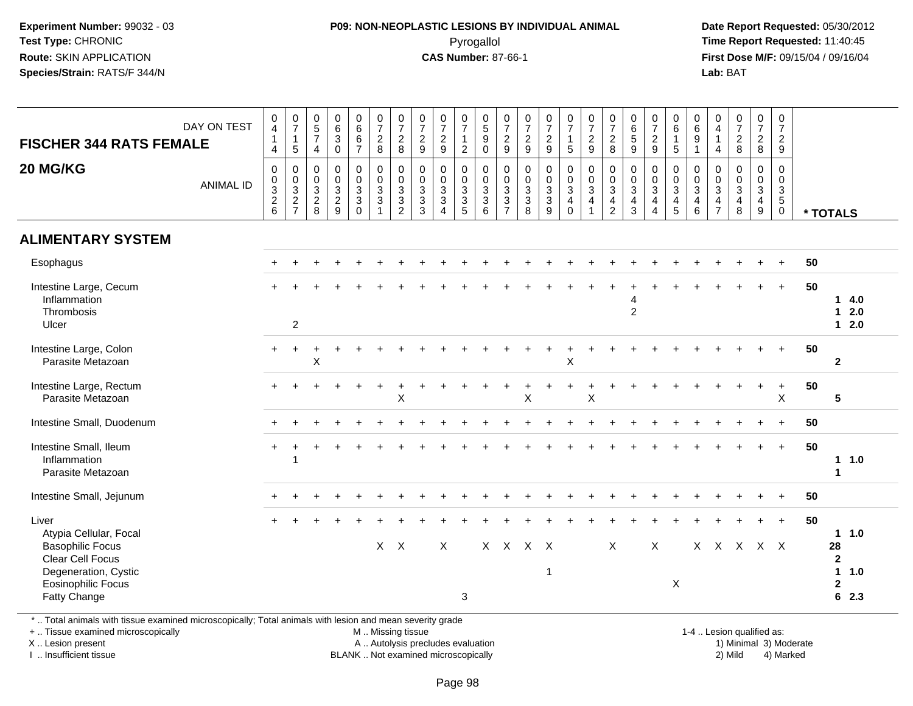## **P09: NON-NEOPLASTIC LESIONS BY INDIVIDUAL ANIMAL**Pyrogallol **Time Report Requested:** 11:40:45

 **Date Report Requested:** 05/30/2012 **First Dose M/F:** 09/15/04 / 09/16/04 Lab: BAT **Lab:** BAT

| DAY ON TEST<br><b>FISCHER 344 RATS FEMALE</b><br>20 MG/KG<br><b>ANIMAL ID</b>                                                                              | $\pmb{0}$<br>$\overline{\mathbf{4}}$<br>$\overline{1}$<br>4<br>0<br>$\frac{0}{2}$ 8 | $\frac{0}{7}$<br>$\overline{1}$<br>5<br>$\boldsymbol{0}$<br>$\begin{array}{c} 0 \\ 3 \\ 2 \\ 7 \end{array}$ | $^{\rm 0}_{\rm 5}$<br>$\overline{7}$<br>$\overline{4}$<br>0<br>0<br>$\overline{3}$<br>$^2_{\bf 8}$ | $\begin{array}{c} 0 \\ 6 \end{array}$<br>$\mathbf{3}$<br>$\mathbf 0$<br>$\pmb{0}$<br>$\pmb{0}$<br>$\overline{3}$<br>$\frac{2}{9}$ | $\begin{array}{c} 0 \\ 6 \end{array}$<br>$\,6\,$<br>$\overline{7}$<br>0<br>$\frac{0}{3}$<br>$\Omega$ | $\begin{smallmatrix} 0\\7 \end{smallmatrix}$<br>$\overline{2}$<br>8<br>0<br>$\overline{0}$<br>$\overline{3}$<br>3 | $\frac{0}{7}$<br>$\sqrt{2}$<br>8<br>$\pmb{0}$<br>$\begin{smallmatrix} 0\\ 3\\ 3 \end{smallmatrix}$<br>$\overline{2}$ | $\frac{0}{7}$<br>$\overline{c}$<br>9<br>0<br>$\boldsymbol{0}$<br>3<br>$\mathbf{3}$<br>3 | $\frac{0}{7}$<br>$\overline{c}$<br>9<br>$\pmb{0}$<br>$\pmb{0}$<br>$\overline{3}$<br>$\mathbf{3}$<br>$\overline{4}$ | $\frac{0}{7}$<br>$\mathbf{1}$<br>$\overline{2}$<br>0<br>$\pmb{0}$<br>$\mathfrak{S}$<br>$\overline{3}$<br>5 | $\begin{array}{c} 0 \\ 5 \end{array}$<br>$9\,$<br>$\mathbf 0$<br>0<br>$\mathsf{O}\xspace$<br>$\overline{3}$<br>$\overline{3}$<br>6 | $\frac{0}{7}$<br>$\boldsymbol{2}$<br>9<br>$\mathbf 0$<br>$\frac{0}{3}$<br>$\overline{7}$ | $\frac{0}{7}$<br>$\overline{c}$<br>9<br>0<br>$_{3}^{\rm 0}$<br>$\overline{3}$<br>8 | $\frac{0}{7}$<br>$\sqrt{2}$<br>9<br>$\pmb{0}$<br>$\frac{0}{3}$<br>9 | $\begin{array}{c} 0 \\ 7 \end{array}$<br>$\mathbf{1}$<br>$\sqrt{5}$<br>$\mathbf 0$<br>$\frac{0}{3}$<br>4<br>$\mathbf 0$ | $\begin{array}{c} 0 \\ 7 \end{array}$<br>$\overline{2}$<br>9<br>$\mathbf 0$<br>$\frac{0}{3}$<br>4<br>1 | $\begin{array}{c} 0 \\ 7 \end{array}$<br>$\overline{c}$<br>8<br>0<br>$\frac{0}{3}$<br>$\overline{4}$<br>$\overline{2}$ | $_{6}^{\rm 0}$<br>$\sqrt{5}$<br>9<br>0<br>$_{3}^{\rm 0}$<br>$\overline{4}$<br>$\mathbf{3}$ | $\frac{0}{7}$<br>$\boldsymbol{2}$<br>$\boldsymbol{9}$<br>$\pmb{0}$<br>$\frac{0}{3}$<br>$\overline{4}$<br>$\overline{4}$ | $\begin{array}{c} 0 \\ 6 \end{array}$<br>$\mathbf{1}$<br>$\sqrt{5}$<br>$\boldsymbol{0}$<br>$\pmb{0}$<br>$\overline{3}$<br>$\overline{a}$<br>$\overline{5}$ | $\begin{array}{c} 0 \\ 6 \end{array}$<br>$9\,$<br>$\overline{1}$<br>$\mathbf 0$<br>$\boldsymbol{0}$<br>$\overline{3}$<br>4<br>6 | 0<br>$\overline{a}$<br>$\overline{1}$<br>$\overline{4}$<br>$\mathbf 0$<br>0<br>$\mathbf{3}$<br>$\overline{4}$<br>$\overline{7}$ | $\begin{array}{c} 0 \\ 7 \\ 2 \end{array}$<br>8<br>$\mathbf 0$<br>$\frac{0}{3}$<br>$\overline{4}$<br>8 | $\frac{0}{7}$<br>$\overline{2}$<br>8<br>$\mathsf{O}$<br>$\mathbf 0$<br>$\overline{3}$<br>$\overline{4}$<br>9 | $\pmb{0}$<br>$\overline{7}$<br>$\overline{2}$<br>9<br>$\pmb{0}$<br>$\mathbf 0$<br>$\overline{3}$<br>$\overline{5}$<br>$\mathbf 0$ |    | * TOTALS                                                                  |
|------------------------------------------------------------------------------------------------------------------------------------------------------------|-------------------------------------------------------------------------------------|-------------------------------------------------------------------------------------------------------------|----------------------------------------------------------------------------------------------------|-----------------------------------------------------------------------------------------------------------------------------------|------------------------------------------------------------------------------------------------------|-------------------------------------------------------------------------------------------------------------------|----------------------------------------------------------------------------------------------------------------------|-----------------------------------------------------------------------------------------|--------------------------------------------------------------------------------------------------------------------|------------------------------------------------------------------------------------------------------------|------------------------------------------------------------------------------------------------------------------------------------|------------------------------------------------------------------------------------------|------------------------------------------------------------------------------------|---------------------------------------------------------------------|-------------------------------------------------------------------------------------------------------------------------|--------------------------------------------------------------------------------------------------------|------------------------------------------------------------------------------------------------------------------------|--------------------------------------------------------------------------------------------|-------------------------------------------------------------------------------------------------------------------------|------------------------------------------------------------------------------------------------------------------------------------------------------------|---------------------------------------------------------------------------------------------------------------------------------|---------------------------------------------------------------------------------------------------------------------------------|--------------------------------------------------------------------------------------------------------|--------------------------------------------------------------------------------------------------------------|-----------------------------------------------------------------------------------------------------------------------------------|----|---------------------------------------------------------------------------|
| <b>ALIMENTARY SYSTEM</b>                                                                                                                                   |                                                                                     |                                                                                                             |                                                                                                    |                                                                                                                                   |                                                                                                      |                                                                                                                   |                                                                                                                      |                                                                                         |                                                                                                                    |                                                                                                            |                                                                                                                                    |                                                                                          |                                                                                    |                                                                     |                                                                                                                         |                                                                                                        |                                                                                                                        |                                                                                            |                                                                                                                         |                                                                                                                                                            |                                                                                                                                 |                                                                                                                                 |                                                                                                        |                                                                                                              |                                                                                                                                   |    |                                                                           |
| Esophagus                                                                                                                                                  |                                                                                     |                                                                                                             |                                                                                                    |                                                                                                                                   |                                                                                                      |                                                                                                                   |                                                                                                                      |                                                                                         |                                                                                                                    |                                                                                                            |                                                                                                                                    |                                                                                          |                                                                                    |                                                                     |                                                                                                                         |                                                                                                        |                                                                                                                        |                                                                                            |                                                                                                                         |                                                                                                                                                            |                                                                                                                                 |                                                                                                                                 |                                                                                                        |                                                                                                              |                                                                                                                                   | 50 |                                                                           |
| Intestine Large, Cecum<br>Inflammation<br>Thrombosis<br>Ulcer                                                                                              |                                                                                     | $\overline{2}$                                                                                              |                                                                                                    |                                                                                                                                   |                                                                                                      |                                                                                                                   |                                                                                                                      |                                                                                         |                                                                                                                    |                                                                                                            |                                                                                                                                    |                                                                                          |                                                                                    |                                                                     |                                                                                                                         |                                                                                                        |                                                                                                                        | 4<br>$\overline{2}$                                                                        |                                                                                                                         |                                                                                                                                                            |                                                                                                                                 |                                                                                                                                 |                                                                                                        |                                                                                                              | $+$                                                                                                                               | 50 | 14.0<br>2.0<br>$\mathbf{1}$<br>$12.0$                                     |
| Intestine Large, Colon<br>Parasite Metazoan                                                                                                                | $+$                                                                                 | $\ddot{}$                                                                                                   | ÷<br>Χ                                                                                             |                                                                                                                                   |                                                                                                      |                                                                                                                   |                                                                                                                      |                                                                                         |                                                                                                                    |                                                                                                            |                                                                                                                                    |                                                                                          |                                                                                    |                                                                     | Χ                                                                                                                       |                                                                                                        |                                                                                                                        |                                                                                            |                                                                                                                         |                                                                                                                                                            |                                                                                                                                 |                                                                                                                                 |                                                                                                        |                                                                                                              | $\ddot{}$                                                                                                                         | 50 | $\overline{2}$                                                            |
| Intestine Large, Rectum<br>Parasite Metazoan                                                                                                               |                                                                                     |                                                                                                             |                                                                                                    |                                                                                                                                   |                                                                                                      |                                                                                                                   | X                                                                                                                    |                                                                                         |                                                                                                                    |                                                                                                            |                                                                                                                                    |                                                                                          | Χ                                                                                  |                                                                     |                                                                                                                         | $\sf X$                                                                                                |                                                                                                                        |                                                                                            |                                                                                                                         |                                                                                                                                                            |                                                                                                                                 |                                                                                                                                 |                                                                                                        |                                                                                                              | $\ddot{}$<br>$\pmb{\times}$                                                                                                       | 50 | 5                                                                         |
| Intestine Small, Duodenum                                                                                                                                  |                                                                                     |                                                                                                             |                                                                                                    |                                                                                                                                   |                                                                                                      |                                                                                                                   |                                                                                                                      |                                                                                         |                                                                                                                    |                                                                                                            |                                                                                                                                    |                                                                                          |                                                                                    |                                                                     |                                                                                                                         |                                                                                                        |                                                                                                                        |                                                                                            |                                                                                                                         |                                                                                                                                                            |                                                                                                                                 |                                                                                                                                 |                                                                                                        |                                                                                                              | $\ddot{}$                                                                                                                         | 50 |                                                                           |
| Intestine Small, Ileum<br>Inflammation<br>Parasite Metazoan                                                                                                | $+$                                                                                 | 1                                                                                                           |                                                                                                    |                                                                                                                                   |                                                                                                      |                                                                                                                   |                                                                                                                      |                                                                                         |                                                                                                                    |                                                                                                            |                                                                                                                                    |                                                                                          |                                                                                    |                                                                     |                                                                                                                         |                                                                                                        |                                                                                                                        |                                                                                            |                                                                                                                         |                                                                                                                                                            |                                                                                                                                 |                                                                                                                                 |                                                                                                        |                                                                                                              | $+$                                                                                                                               | 50 | 11.0<br>-1                                                                |
| Intestine Small, Jejunum                                                                                                                                   |                                                                                     |                                                                                                             |                                                                                                    |                                                                                                                                   |                                                                                                      |                                                                                                                   |                                                                                                                      |                                                                                         |                                                                                                                    |                                                                                                            |                                                                                                                                    |                                                                                          |                                                                                    |                                                                     |                                                                                                                         |                                                                                                        |                                                                                                                        |                                                                                            |                                                                                                                         |                                                                                                                                                            |                                                                                                                                 |                                                                                                                                 |                                                                                                        |                                                                                                              |                                                                                                                                   | 50 |                                                                           |
| Liver<br>Atypia Cellular, Focal<br><b>Basophilic Focus</b><br><b>Clear Cell Focus</b><br>Degeneration, Cystic<br><b>Eosinophilic Focus</b><br>Fatty Change |                                                                                     |                                                                                                             |                                                                                                    |                                                                                                                                   |                                                                                                      |                                                                                                                   | $X$ $X$                                                                                                              |                                                                                         | X                                                                                                                  | 3                                                                                                          |                                                                                                                                    |                                                                                          | X X X X                                                                            | $\overline{\mathbf{1}}$                                             |                                                                                                                         |                                                                                                        | $\pmb{\times}$                                                                                                         |                                                                                            | X                                                                                                                       | X                                                                                                                                                          | $\mathsf{X}$                                                                                                                    |                                                                                                                                 |                                                                                                        | X X X X                                                                                                      | $\ddot{}$                                                                                                                         | 50 | 1.0<br>28<br>$\mathbf{2}$<br>$\mathbf{1}$<br>1.0<br>$\mathbf{2}$<br>6 2.3 |

\* .. Total animals with tissue examined microscopically; Total animals with lesion and mean severity grade

+ .. Tissue examined microscopically

X .. Lesion present

I .. Insufficient tissue

M .. Missing tissue

A .. Autolysis precludes evaluation

BLANK .. Not examined microscopically 2) Mild 4) Marked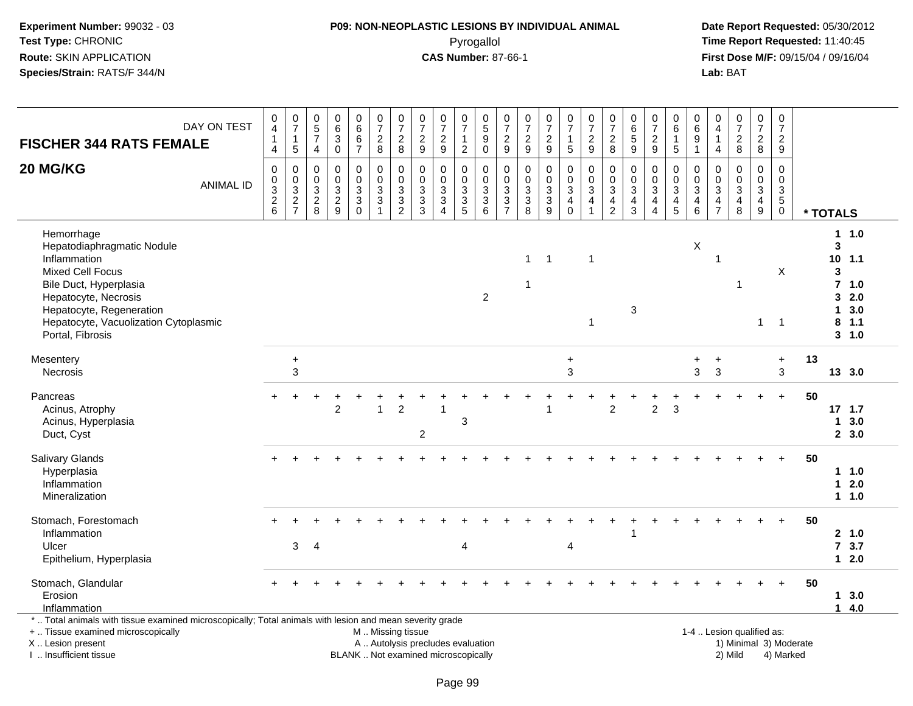#### **P09: NON-NEOPLASTIC LESIONS BY INDIVIDUAL ANIMAL**Pyrogallol **Time Report Requested:** 11:40:45

 **Date Report Requested:** 05/30/2012 **First Dose M/F:** 09/15/04 / 09/16/04<br>Lab: BAT **Lab:** BAT

| <b>FISCHER 344 RATS FEMALE</b>                                                                                                                                                                                                 | DAY ON TEST      | 0<br>$\overline{4}$<br>$\overline{1}$<br>4          | $\frac{0}{7}$<br>$\mathbf{1}$<br>$\overline{5}$               | 0<br>$\overline{5}$<br>$\overline{7}$<br>4       | 0<br>6<br>3<br>$\mathbf 0$                                  | $\begin{array}{c} 0 \\ 6 \end{array}$<br>$\frac{6}{7}$      | $\begin{array}{c} 0 \\ 7 \end{array}$<br>$\frac{2}{8}$                                        | $\begin{array}{c} 0 \\ 7 \end{array}$<br>$\frac{2}{8}$    | $\pmb{0}$<br>$\overline{7}$<br>$\frac{2}{9}$      | $\frac{0}{7}$<br>$\frac{2}{9}$                                  | $\frac{0}{7}$<br>1<br>$\overline{c}$              | $\begin{smallmatrix}0\0\5\end{smallmatrix}$<br>$\boldsymbol{9}$<br>$\overline{0}$ | $\frac{0}{7}$<br>$\frac{2}{9}$                           | $\begin{smallmatrix} 0\\7 \end{smallmatrix}$<br>$\frac{2}{9}$               | $\frac{0}{7}$<br>$\frac{2}{9}$                                 | $\frac{0}{7}$<br>1<br>5                              | $\frac{0}{7}$<br>$\frac{2}{9}$                                               | $\frac{0}{7}$<br>$\begin{array}{c} 2 \\ 8 \end{array}$        | $\pmb{0}$<br>$\,6$<br>5<br>$\boldsymbol{9}$      | $\frac{0}{7}$<br>$\frac{2}{9}$                                                            | 0<br>$\overline{6}$<br>1<br>5           | $\,0\,$<br>$6\phantom{1}6$<br>$\boldsymbol{9}$<br>$\overline{1}$                      | 0<br>4<br>4                                   | $\frac{0}{7}$<br>$_{\rm 8}^2$                                  | $\frac{0}{7}$<br>$_{8}^2$                           | $\frac{0}{7}$<br>$\frac{2}{9}$                                 |    |                             |                                                          |  |
|--------------------------------------------------------------------------------------------------------------------------------------------------------------------------------------------------------------------------------|------------------|-----------------------------------------------------|---------------------------------------------------------------|--------------------------------------------------|-------------------------------------------------------------|-------------------------------------------------------------|-----------------------------------------------------------------------------------------------|-----------------------------------------------------------|---------------------------------------------------|-----------------------------------------------------------------|---------------------------------------------------|-----------------------------------------------------------------------------------|----------------------------------------------------------|-----------------------------------------------------------------------------|----------------------------------------------------------------|------------------------------------------------------|------------------------------------------------------------------------------|---------------------------------------------------------------|--------------------------------------------------|-------------------------------------------------------------------------------------------|-----------------------------------------|---------------------------------------------------------------------------------------|-----------------------------------------------|----------------------------------------------------------------|-----------------------------------------------------|----------------------------------------------------------------|----|-----------------------------|----------------------------------------------------------|--|
| 20 MG/KG                                                                                                                                                                                                                       | <b>ANIMAL ID</b> | $\mathbf 0$<br>0<br>$\overline{3}$<br>$\frac{2}{6}$ | $\mathbf 0$<br>$\mathbf 0$<br>$\overline{3}$<br>$\frac{2}{7}$ | $\mathbf 0$<br>0<br>$\mathbf{3}$<br>$^2_{\bf 8}$ | $\mathbf 0$<br>$\mathbf 0$<br>$\mathbf{3}$<br>$\frac{2}{9}$ | $\mathbf 0$<br>$\pmb{0}$<br>$\overline{3}$<br>$\frac{3}{0}$ | $\mathbf 0$<br>$\mathbf 0$<br>$\sqrt{3}$<br>$\mathbf{3}$                                      | $\mathbf 0$<br>$\mathbf 0$<br>$\sqrt{3}$<br>$\frac{3}{2}$ | $\mathbf 0$<br>0<br>$\mathbf{3}$<br>$\frac{3}{3}$ | $\mathbf 0$<br>$\mathbf 0$<br>$\sqrt{3}$<br>3<br>$\overline{4}$ | $\mathbf 0$<br>0<br>$\mathbf{3}$<br>$\frac{3}{5}$ | $\mathbf 0$<br>0<br>$\mathfrak{S}$<br>$\frac{3}{6}$                               | $\Omega$<br>$\pmb{0}$<br>$\overline{3}$<br>$\frac{3}{7}$ | $\mathbf 0$<br>0<br>$\overline{3}$<br>$\begin{array}{c} 3 \\ 8 \end{array}$ | $\mathbf 0$<br>0<br>$\ensuremath{\mathsf{3}}$<br>$\frac{3}{9}$ | 0<br>0<br>3<br>$\begin{array}{c} 4 \\ 0 \end{array}$ | $\mathbf 0$<br>$\pmb{0}$<br>$\overline{3}$<br>$\overline{4}$<br>$\mathbf{1}$ | $\mathbf 0$<br>$\mathbf 0$<br>$\mathfrak{S}$<br>$\frac{4}{2}$ | $\Omega$<br>0<br>$\mathfrak{Z}$<br>$\frac{4}{3}$ | $\mathbf 0$<br>$\mathbf 0$<br>$\overline{3}$<br>$\overline{\mathbf{4}}$<br>$\overline{4}$ | 0<br>0<br>$\mathbf{3}$<br>$\frac{4}{5}$ | $\mathbf 0$<br>$\mathbf 0$<br>$\overline{3}$<br>$\begin{array}{c} 4 \\ 6 \end{array}$ | $\Omega$<br>$\mathbf 0$<br>3<br>$\frac{4}{7}$ | $\Omega$<br>$\Omega$<br>$\mathfrak{Z}$<br>$\frac{4}{8}$        | $\mathbf 0$<br>0<br>$\overline{3}$<br>$\frac{4}{9}$ | $\mathbf 0$<br>$\mathbf 0$<br>$\mathbf{3}$<br>5<br>$\mathbf 0$ |    | * TOTALS                    |                                                          |  |
| Hemorrhage<br>Hepatodiaphragmatic Nodule<br>Inflammation<br><b>Mixed Cell Focus</b><br>Bile Duct, Hyperplasia<br>Hepatocyte, Necrosis<br>Hepatocyte, Regeneration<br>Hepatocyte, Vacuolization Cytoplasmic<br>Portal, Fibrosis |                  |                                                     |                                                               |                                                  |                                                             |                                                             |                                                                                               |                                                           |                                                   |                                                                 |                                                   | $\overline{2}$                                                                    |                                                          | $\mathbf{1}$<br>$\overline{1}$                                              | $\overline{1}$                                                 |                                                      | $\mathbf 1$<br>$\mathbf 1$                                                   |                                                               | 3                                                |                                                                                           |                                         | $\mathsf X$                                                                           | 1                                             | -1                                                             | $\mathbf{1}$                                        | X<br>$\overline{1}$                                            |    | 3<br>10<br>3<br>3<br>1<br>8 | 11.0<br>1.1<br>$7$ 1.0<br>2.0<br>3.0<br>1.1<br>$3 - 1.0$ |  |
| Mesentery<br>Necrosis                                                                                                                                                                                                          |                  |                                                     | $\ddot{}$<br>3                                                |                                                  |                                                             |                                                             |                                                                                               |                                                           |                                                   |                                                                 |                                                   |                                                                                   |                                                          |                                                                             |                                                                | $\ddot{}$<br>3                                       |                                                                              |                                                               |                                                  |                                                                                           |                                         | 3                                                                                     | 3                                             |                                                                |                                                     | $\ddot{}$<br>$\mathbf{3}$                                      | 13 |                             | 13 3.0                                                   |  |
| Pancreas<br>Acinus, Atrophy<br>Acinus, Hyperplasia<br>Duct, Cyst                                                                                                                                                               |                  | $\div$                                              |                                                               |                                                  | $\overline{2}$                                              |                                                             | $\mathbf{1}$                                                                                  | $\overline{2}$                                            | $\overline{c}$                                    |                                                                 | 3                                                 |                                                                                   |                                                          |                                                                             |                                                                |                                                      |                                                                              | $\overline{2}$                                                |                                                  | $\overline{2}$                                                                            | 3                                       |                                                                                       |                                               |                                                                |                                                     | $\ddot{}$                                                      | 50 | 1                           | 17, 1.7<br>3.0<br>2, 3.0                                 |  |
| Salivary Glands<br>Hyperplasia<br>Inflammation<br>Mineralization                                                                                                                                                               |                  |                                                     |                                                               |                                                  |                                                             |                                                             |                                                                                               |                                                           |                                                   |                                                                 |                                                   |                                                                                   |                                                          |                                                                             |                                                                |                                                      |                                                                              |                                                               |                                                  |                                                                                           |                                         |                                                                                       |                                               |                                                                |                                                     | $\ddot{}$                                                      | 50 | $\mathbf 1$                 | 11.0<br>2.0<br>11.0                                      |  |
| Stomach, Forestomach<br>Inflammation<br>Ulcer<br>Epithelium, Hyperplasia                                                                                                                                                       |                  |                                                     | 3                                                             | $\overline{4}$                                   |                                                             |                                                             |                                                                                               |                                                           |                                                   |                                                                 | $\overline{4}$                                    |                                                                                   |                                                          |                                                                             |                                                                | 4                                                    |                                                                              |                                                               | 1                                                |                                                                                           |                                         |                                                                                       |                                               |                                                                |                                                     |                                                                | 50 | $\overline{7}$              | 2 1.0<br>3.7<br>$12.0$                                   |  |
| Stomach, Glandular<br>Erosion<br>Inflammation                                                                                                                                                                                  |                  |                                                     |                                                               |                                                  |                                                             |                                                             |                                                                                               |                                                           |                                                   |                                                                 |                                                   |                                                                                   |                                                          |                                                                             |                                                                |                                                      |                                                                              |                                                               |                                                  |                                                                                           |                                         |                                                                                       |                                               |                                                                |                                                     | $\ddot{}$                                                      | 50 | $\blacktriangleleft$        | 13.0<br>4.0                                              |  |
| *  Total animals with tissue examined microscopically; Total animals with lesion and mean severity grade<br>+  Tissue examined microscopically<br>X  Lesion present<br>Insufficient tissue                                     |                  |                                                     |                                                               |                                                  |                                                             |                                                             | M  Missing tissue<br>A  Autolysis precludes evaluation<br>BLANK  Not examined microscopically |                                                           |                                                   |                                                                 |                                                   |                                                                                   |                                                          |                                                                             |                                                                |                                                      |                                                                              |                                                               |                                                  |                                                                                           |                                         |                                                                                       |                                               | 1-4  Lesion qualified as:<br>1) Minimal 3) Moderate<br>2) Mild |                                                     | 4) Marked                                                      |    |                             |                                                          |  |

I .. Insufficient tissue

Page 99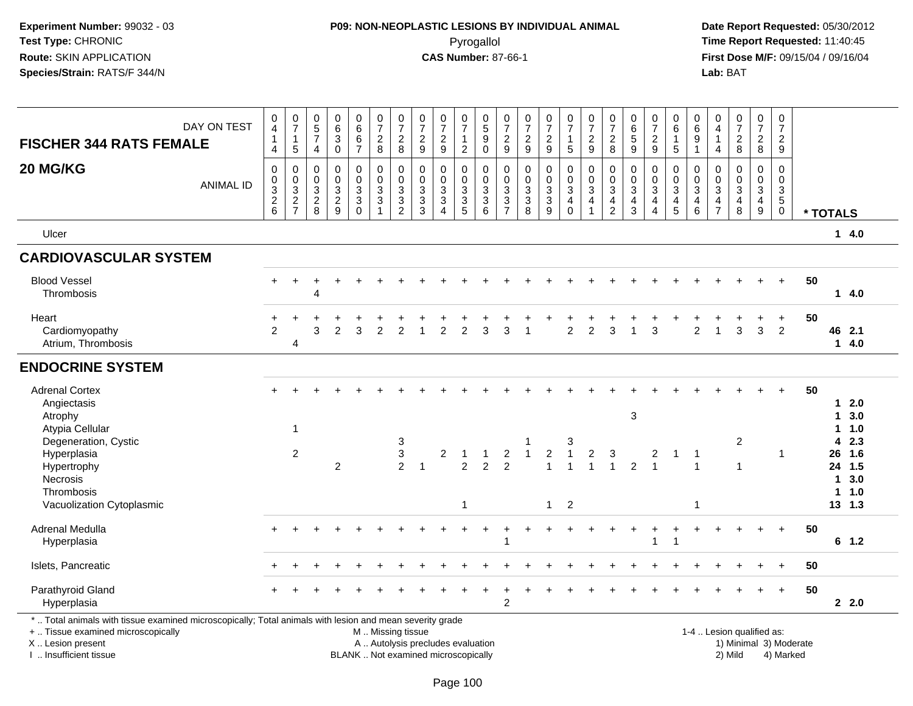### **P09: NON-NEOPLASTIC LESIONS BY INDIVIDUAL ANIMAL**Pyrogallol **Time Report Requested:** 11:40:45

 **Date Report Requested:** 05/30/2012 **First Dose M/F:** 09/15/04 / 09/16/04<br>Lab: BAT **Lab:** BAT

| <b>FISCHER 344 RATS FEMALE</b>                                                                                                                                                             | DAY ON TEST      | 0<br>$\overline{4}$<br>$\mathbf{1}$<br>4  | $\frac{0}{7}$<br>$\mathbf{1}$<br>$\overline{5}$ | 0<br>5<br>$\overline{7}$<br>4                | $\begin{matrix} 0 \\ 6 \end{matrix}$<br>$\ensuremath{\mathsf{3}}$<br>$\mathbf 0$ | $0$<br>6<br>6<br>$\overline{7}$                                          | $\frac{0}{7}$<br>$\overline{2}$<br>8                                                          | $\begin{array}{c} 0 \\ 7 \end{array}$<br>$\boldsymbol{2}$<br>$\,8\,$ | 0<br>$\overline{7}$<br>$\overline{2}$<br>$\boldsymbol{9}$    | $\frac{0}{7}$<br>$\overline{2}$<br>9                                             | 0<br>$\overline{7}$<br>1<br>$\overline{c}$ | $\begin{matrix} 0 \\ 5 \end{matrix}$<br>$\boldsymbol{9}$<br>$\mathbf 0$ | $\frac{0}{7}$<br>$\overline{c}$<br>9                                                | $\begin{smallmatrix}0\\7\end{smallmatrix}$<br>$\overline{2}$<br>$\overline{9}$ | $\frac{0}{7}$<br>$\frac{2}{9}$                 | 0<br>$\overline{7}$<br>$\mathbf{1}$<br>$\overline{5}$           | $\frac{0}{7}$<br>$\overline{2}$<br>9                                                    | 0<br>$\overline{7}$<br>$\overline{2}$<br>8                | 0<br>$\,6\,$<br>$\sqrt{5}$<br>$\overline{9}$              | $\begin{array}{c} 0 \\ 7 \end{array}$<br>$\overline{2}$<br>9           | 0<br>$\,6\,$<br>$\mathbf{1}$<br>$\sqrt{5}$   | 0<br>6<br>$\boldsymbol{9}$<br>$\overline{1}$                                             | 0<br>$\overline{4}$<br>$\mathbf{1}$<br>$\overline{4}$ | $\begin{array}{c} 0 \\ 7 \end{array}$<br>$\overline{2}$<br>8 | 0<br>$\overline{7}$<br>$\overline{2}$<br>8   | $\pmb{0}$<br>$\overline{7}$<br>$\overline{2}$<br>$\boldsymbol{9}$ |                        |          |                                         |  |
|--------------------------------------------------------------------------------------------------------------------------------------------------------------------------------------------|------------------|-------------------------------------------|-------------------------------------------------|----------------------------------------------|----------------------------------------------------------------------------------|--------------------------------------------------------------------------|-----------------------------------------------------------------------------------------------|----------------------------------------------------------------------|--------------------------------------------------------------|----------------------------------------------------------------------------------|--------------------------------------------|-------------------------------------------------------------------------|-------------------------------------------------------------------------------------|--------------------------------------------------------------------------------|------------------------------------------------|-----------------------------------------------------------------|-----------------------------------------------------------------------------------------|-----------------------------------------------------------|-----------------------------------------------------------|------------------------------------------------------------------------|----------------------------------------------|------------------------------------------------------------------------------------------|-------------------------------------------------------|--------------------------------------------------------------|----------------------------------------------|-------------------------------------------------------------------|------------------------|----------|-----------------------------------------|--|
| 20 MG/KG                                                                                                                                                                                   | <b>ANIMAL ID</b> | $\pmb{0}$<br>$\pmb{0}$<br>$\frac{3}{2}$ 6 | $\pmb{0}$<br>$\pmb{0}$<br>$\frac{3}{2}$<br>7    | 0<br>$\mathbf 0$<br>3<br>$\overline{c}$<br>8 | $\mathbf 0$<br>$\mathbf 0$<br>$\frac{3}{2}$                                      | $\mathsf 0$<br>$\mathbf 0$<br>$\mathbf{3}$<br>$\overline{3}$<br>$\Omega$ | 0<br>$\mathbf 0$<br>3<br>$\sqrt{3}$                                                           | $\pmb{0}$<br>$\mathbf 0$<br>$\frac{3}{2}$                            | $\mathbf 0$<br>$\Omega$<br>$\mathbf{3}$<br>$\mathbf{3}$<br>3 | $\mathbf 0$<br>$\Omega$<br>$\sqrt{3}$<br>$\mathbf 3$<br>$\boldsymbol{\varDelta}$ | 0<br>$\mathbf 0$<br>3<br>3<br>5            | 0<br>$\mathbf 0$<br>$\frac{3}{3}$<br>6                                  | $\boldsymbol{0}$<br>$\mathbf 0$<br>$\mathbf{3}$<br>$\overline{3}$<br>$\overline{7}$ | 0<br>$\mathbf 0$<br>$\mathbf{3}$<br>$\ensuremath{\mathsf{3}}$<br>8             | $\mathbf 0$<br>$\pmb{0}$<br>$\frac{3}{3}$<br>9 | 0<br>$\pmb{0}$<br>$\mathbf{3}$<br>$\overline{4}$<br>$\mathbf 0$ | $\mathbf 0$<br>$\mathbf 0$<br>$\mathbf{3}$<br>$\overline{\mathbf{4}}$<br>$\overline{1}$ | 0<br>$\mathbf 0$<br>3<br>$\overline{4}$<br>$\overline{2}$ | $\Omega$<br>$\Omega$<br>$\sqrt{3}$<br>$\overline{4}$<br>3 | $\mathbf 0$<br>$\mathbf 0$<br>$\sqrt{3}$<br>$\overline{4}$<br>$\Delta$ | 0<br>$\mathbf 0$<br>3<br>$\overline{4}$<br>5 | $\mathbf 0$<br>$\mathbf 0$<br>$\mathbf{3}$<br>$\overline{\mathbf{4}}$<br>$6\phantom{1}6$ | $\Omega$<br>$\Omega$<br>3<br>4<br>$\overline{7}$      | $\Omega$<br>$\Omega$<br>3<br>$\overline{4}$<br>8             | 0<br>$\mathbf 0$<br>3<br>$\overline{4}$<br>9 | $\Omega$<br>$\Omega$<br>$\frac{3}{5}$<br>$\pmb{0}$                |                        | * TOTALS |                                         |  |
| Ulcer                                                                                                                                                                                      |                  |                                           |                                                 |                                              |                                                                                  |                                                                          |                                                                                               |                                                                      |                                                              |                                                                                  |                                            |                                                                         |                                                                                     |                                                                                |                                                |                                                                 |                                                                                         |                                                           |                                                           |                                                                        |                                              |                                                                                          |                                                       |                                                              |                                              |                                                                   |                        |          | 14.0                                    |  |
| <b>CARDIOVASCULAR SYSTEM</b>                                                                                                                                                               |                  |                                           |                                                 |                                              |                                                                                  |                                                                          |                                                                                               |                                                                      |                                                              |                                                                                  |                                            |                                                                         |                                                                                     |                                                                                |                                                |                                                                 |                                                                                         |                                                           |                                                           |                                                                        |                                              |                                                                                          |                                                       |                                                              |                                              |                                                                   |                        |          |                                         |  |
| <b>Blood Vessel</b><br>Thrombosis                                                                                                                                                          |                  |                                           |                                                 | 4                                            |                                                                                  |                                                                          |                                                                                               |                                                                      |                                                              |                                                                                  |                                            |                                                                         |                                                                                     |                                                                                |                                                |                                                                 |                                                                                         |                                                           |                                                           |                                                                        |                                              |                                                                                          |                                                       |                                                              |                                              |                                                                   | 50                     |          | 14.0                                    |  |
| Heart<br>Cardiomyopathy<br>Atrium, Thrombosis                                                                                                                                              |                  | $\overline{2}$                            | $\overline{4}$                                  | 3                                            | $\mathfrak{p}$                                                                   | 3                                                                        | $\overline{2}$                                                                                | $\mathfrak{p}$                                                       |                                                              | $\mathfrak{p}$                                                                   | $\overline{2}$                             | 3                                                                       | 3                                                                                   |                                                                                |                                                | $\overline{2}$                                                  | $\overline{2}$                                                                          | 3                                                         |                                                           | 3                                                                      |                                              | $\overline{c}$                                                                           | 1                                                     | 3                                                            | $\mathbf{3}$                                 | $\ddot{}$<br>$\overline{2}$                                       | 50                     |          | 46 2.1<br>14.0                          |  |
| <b>ENDOCRINE SYSTEM</b>                                                                                                                                                                    |                  |                                           |                                                 |                                              |                                                                                  |                                                                          |                                                                                               |                                                                      |                                                              |                                                                                  |                                            |                                                                         |                                                                                     |                                                                                |                                                |                                                                 |                                                                                         |                                                           |                                                           |                                                                        |                                              |                                                                                          |                                                       |                                                              |                                              |                                                                   |                        |          |                                         |  |
| <b>Adrenal Cortex</b><br>Angiectasis<br>Atrophy                                                                                                                                            |                  |                                           | $\mathbf{1}$                                    |                                              |                                                                                  |                                                                          |                                                                                               |                                                                      |                                                              |                                                                                  |                                            |                                                                         |                                                                                     |                                                                                |                                                |                                                                 |                                                                                         |                                                           | $\mathbf{3}$                                              |                                                                        |                                              |                                                                                          |                                                       |                                                              |                                              |                                                                   | 50                     |          | 12.0<br>13.0<br>11.0                    |  |
| Atypia Cellular<br>Degeneration, Cystic<br>Hyperplasia<br>Hypertrophy<br>Necrosis<br>Thrombosis                                                                                            |                  |                                           | 2                                               |                                              | $\overline{2}$                                                                   |                                                                          |                                                                                               | 3<br>$\mathbf{3}$<br>2                                               | $\overline{1}$                                               | $\overline{2}$                                                                   | $\overline{1}$<br>$\overline{2}$           | $\blacktriangleleft$<br>$\overline{2}$                                  | $\overline{2}$<br>$\overline{2}$                                                    | $\mathbf{1}$                                                                   | $\overline{c}$<br>1                            | 3<br>$\overline{1}$<br>1                                        | 2<br>$\overline{1}$                                                                     | 3<br>$\overline{1}$                                       | $\overline{2}$                                            | 2<br>$\overline{1}$                                                    | $\mathbf 1$                                  | -1<br>$\overline{1}$                                                                     |                                                       | $\overline{c}$<br>1                                          |                                              | $\mathbf 1$                                                       |                        | 4        | 2.3<br>26 1.6<br>24 1.5<br>13.0<br>11.0 |  |
| Vacuolization Cytoplasmic                                                                                                                                                                  |                  |                                           |                                                 |                                              |                                                                                  |                                                                          |                                                                                               |                                                                      |                                                              |                                                                                  | $\mathbf{1}$                               |                                                                         |                                                                                     |                                                                                | $\mathbf{1}$                                   | $\overline{2}$                                                  |                                                                                         |                                                           |                                                           |                                                                        |                                              | -1                                                                                       |                                                       |                                                              |                                              |                                                                   |                        |          | 13, 1.3                                 |  |
| Adrenal Medulla<br>Hyperplasia                                                                                                                                                             |                  |                                           |                                                 |                                              |                                                                                  |                                                                          |                                                                                               |                                                                      |                                                              |                                                                                  |                                            |                                                                         | ÷                                                                                   |                                                                                |                                                |                                                                 |                                                                                         |                                                           |                                                           |                                                                        |                                              |                                                                                          |                                                       |                                                              |                                              | $+$                                                               | 50                     |          | $6$ 1.2                                 |  |
| Islets, Pancreatic                                                                                                                                                                         |                  |                                           |                                                 |                                              |                                                                                  |                                                                          |                                                                                               |                                                                      |                                                              |                                                                                  |                                            |                                                                         |                                                                                     |                                                                                |                                                |                                                                 |                                                                                         |                                                           |                                                           |                                                                        |                                              |                                                                                          |                                                       |                                                              |                                              |                                                                   | 50                     |          |                                         |  |
| Parathyroid Gland<br>Hyperplasia                                                                                                                                                           |                  |                                           |                                                 |                                              |                                                                                  |                                                                          |                                                                                               |                                                                      |                                                              |                                                                                  |                                            |                                                                         | ÷<br>$\overline{2}$                                                                 |                                                                                |                                                |                                                                 |                                                                                         |                                                           |                                                           |                                                                        |                                              |                                                                                          |                                                       |                                                              |                                              | $\ddot{}$                                                         | 50                     |          | 2.2.0                                   |  |
| *  Total animals with tissue examined microscopically; Total animals with lesion and mean severity grade<br>+  Tissue examined microscopically<br>X  Lesion present<br>Insufficient tissue |                  |                                           |                                                 |                                              |                                                                                  |                                                                          | M  Missing tissue<br>A  Autolysis precludes evaluation<br>BLANK  Not examined microscopically |                                                                      |                                                              |                                                                                  |                                            |                                                                         |                                                                                     |                                                                                |                                                |                                                                 |                                                                                         |                                                           |                                                           |                                                                        |                                              |                                                                                          |                                                       | 1-4  Lesion qualified as:<br>2) Mild                         |                                              | 4) Marked                                                         | 1) Minimal 3) Moderate |          |                                         |  |

I .. Insufficient tissue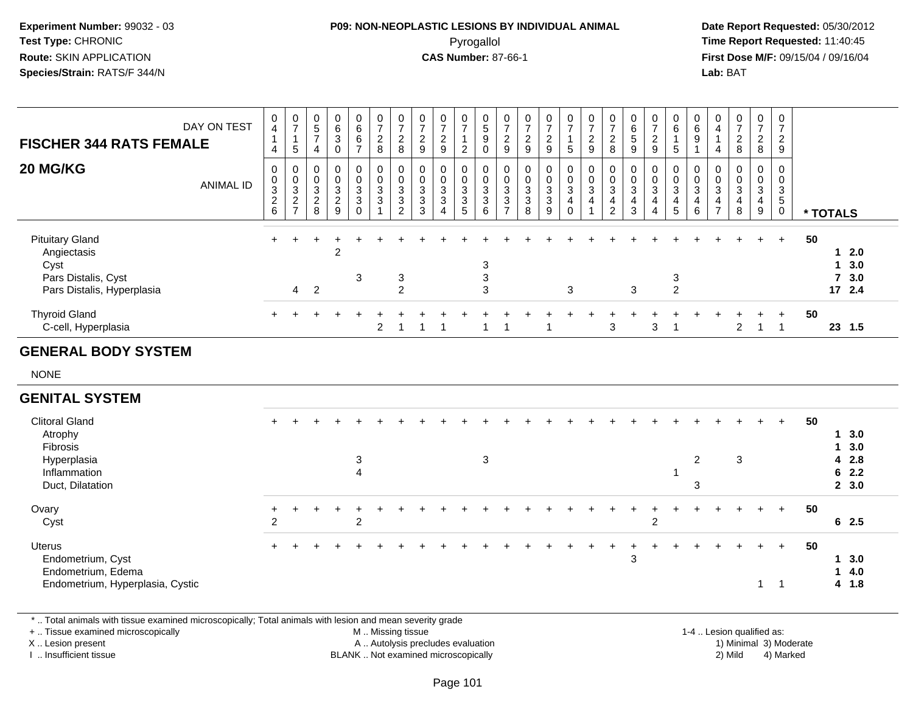## **P09: NON-NEOPLASTIC LESIONS BY INDIVIDUAL ANIMAL**Pyrogallol **Time Report Requested:** 11:40:45

 **Date Report Requested:** 05/30/2012 **First Dose M/F:** 09/15/04 / 09/16/04 Lab: BAT **Lab:** BAT

| <b>FISCHER 344 RATS FEMALE</b>                                                                     | DAY ON TEST      | 0<br>$\overline{\mathbf{4}}$<br>4                          | $\frac{0}{7}$<br>$\mathbf{1}$<br>$5\phantom{.0}$ | $\begin{array}{c} 0 \\ 5 \\ 7 \end{array}$<br>$\overline{4}$ | 0<br>$\,6\,$<br>3<br>0                       | $\begin{array}{c} 0 \\ 6 \end{array}$<br>6<br>$\overline{7}$ | $\frac{0}{7}$<br>$\sqrt{2}$<br>$\,8\,$                      | $\frac{0}{7}$<br>$_{\rm 8}^2$                                          | $\frac{0}{7}$<br>$\sqrt{2}$<br>9                        | 0<br>$\overline{7}$<br>$\overline{2}$<br>9 | $\begin{array}{c} 0 \\ 7 \end{array}$<br>$\mathbf{1}$<br>2 | $\begin{smallmatrix}0\0\5\end{smallmatrix}$<br>9<br>0            | $\begin{array}{c} 0 \\ 7 \\ 2 \end{array}$<br>$\boldsymbol{9}$   | $\frac{0}{7}$<br>$\overline{c}$<br>9 | $\begin{smallmatrix}0\\7\end{smallmatrix}$<br>$\overline{c}$<br>9                 | $\begin{smallmatrix}0\\7\end{smallmatrix}$<br>$\mathbf{1}$<br>5                                                  | $\frac{0}{7}$<br>$\overline{\mathbf{c}}$<br>$\boldsymbol{9}$ | $\begin{array}{c} 0 \\ 7 \\ 2 \end{array}$<br>8                              | $\begin{array}{c} 0 \\ 6 \\ 5 \end{array}$<br>9       | $\begin{array}{c} 0 \\ 7 \end{array}$<br>$\sqrt{2}$<br>9                                  | $\begin{array}{c} 0 \\ 6 \end{array}$<br>$\sqrt{5}$   | $\begin{array}{c} 0 \\ 6 \end{array}$<br>9<br>$\overline{1}$                  | $\pmb{0}$<br>$\overline{4}$<br>$\overline{1}$<br>$\overline{4}$      | $\boldsymbol{0}$<br>$\boldsymbol{7}$<br>$\overline{\mathbf{c}}$<br>8 | $\mathbf 0$<br>$\boldsymbol{7}$<br>$\overline{a}$<br>8 | $\pmb{0}$<br>$\overline{7}$<br>$\overline{c}$<br>9 |    |              |                                       |
|----------------------------------------------------------------------------------------------------|------------------|------------------------------------------------------------|--------------------------------------------------|--------------------------------------------------------------|----------------------------------------------|--------------------------------------------------------------|-------------------------------------------------------------|------------------------------------------------------------------------|---------------------------------------------------------|--------------------------------------------|------------------------------------------------------------|------------------------------------------------------------------|------------------------------------------------------------------|--------------------------------------|-----------------------------------------------------------------------------------|------------------------------------------------------------------------------------------------------------------|--------------------------------------------------------------|------------------------------------------------------------------------------|-------------------------------------------------------|-------------------------------------------------------------------------------------------|-------------------------------------------------------|-------------------------------------------------------------------------------|----------------------------------------------------------------------|----------------------------------------------------------------------|--------------------------------------------------------|----------------------------------------------------|----|--------------|---------------------------------------|
| 20 MG/KG                                                                                           | <b>ANIMAL ID</b> | 0<br>0<br>$\ensuremath{\mathsf{3}}$<br>$\overline{c}$<br>6 | 0<br>$\frac{0}{3}$<br>$\frac{2}{7}$              | 0<br>$\pmb{0}$<br>$\sqrt{3}$<br>$\boldsymbol{2}$<br>8        | 0<br>$\mathbf 0$<br>3<br>$\overline{c}$<br>9 | $\mathbf 0$<br>$\mathbf 0$<br>$\mathbf{3}$<br>3<br>$\Omega$  | 0<br>$\mathsf{O}\xspace$<br>3<br>$\sqrt{3}$<br>$\mathbf{1}$ | 0<br>$\overline{0}$<br>$\mathsf 3$<br>$\overline{3}$<br>$\overline{2}$ | 0<br>$\mathbf 0$<br>3<br>$\ensuremath{\mathsf{3}}$<br>3 | 0<br>0<br>3<br>3<br>$\boldsymbol{\Lambda}$ | $\mathbf 0$<br>$\boldsymbol{0}$<br>$\frac{3}{3}$<br>5      | 0<br>$\mathbf 0$<br>$\sqrt{3}$<br>$\ensuremath{\mathsf{3}}$<br>6 | 0<br>$\mathbf 0$<br>$\sqrt{3}$<br>$\mathbf{3}$<br>$\overline{7}$ | 0<br>$\pmb{0}$<br>3<br>3<br>8        | 0<br>$\pmb{0}$<br>$\ensuremath{\mathsf{3}}$<br>$\overline{3}$<br>$\boldsymbol{9}$ | $\begin{smallmatrix} 0\\0 \end{smallmatrix}$<br>$\ensuremath{\mathsf{3}}$<br>$\overline{\mathbf{4}}$<br>$\Omega$ | 0<br>$\tilde{0}$<br>$\mathbf{3}$<br>4<br>$\overline{ }$      | 0<br>$\ddot{\mathbf{0}}$<br>$\mathbf{3}$<br>$\overline{4}$<br>$\overline{2}$ | 0<br>$\mathbf 0$<br>3<br>$\overline{\mathbf{4}}$<br>3 | 0<br>$\mathbf 0$<br>$\ensuremath{\mathsf{3}}$<br>$\overline{4}$<br>$\boldsymbol{\Lambda}$ | 0<br>$\pmb{0}$<br>$\ensuremath{\mathsf{3}}$<br>4<br>5 | 0<br>$\mathsf{O}\xspace$<br>$\mathsf 3$<br>$\overline{\mathbf{4}}$<br>$\,6\,$ | 0<br>$\mathsf 0$<br>$\mathbf{3}$<br>$\overline{4}$<br>$\overline{7}$ | 0<br>0<br>3<br>4<br>8                                                | 0<br>0<br>$\sqrt{3}$<br>4<br>9                         | 0<br>0<br>3<br>$\sqrt{5}$<br>0                     |    | * TOTALS     |                                       |
| <b>Pituitary Gland</b><br>Angiectasis<br>Cyst<br>Pars Distalis, Cyst<br>Pars Distalis, Hyperplasia |                  |                                                            | $\overline{4}$                                   | $\overline{2}$                                               | $\overline{c}$                               | 3                                                            |                                                             | 3<br>$\overline{2}$                                                    |                                                         |                                            |                                                            | $\ensuremath{\mathsf{3}}$<br>3<br>3                              |                                                                  |                                      |                                                                                   | 3                                                                                                                |                                                              |                                                                              | 3                                                     |                                                                                           | $\sqrt{3}$<br>$\overline{2}$                          |                                                                               |                                                                      |                                                                      |                                                        | $+$                                                | 50 |              | 12.0<br>3.0<br>$7\quad 3.0$<br>17 2.4 |
| <b>Thyroid Gland</b><br>C-cell, Hyperplasia                                                        |                  | $+$                                                        |                                                  |                                                              |                                              |                                                              | $\overline{c}$                                              | -1                                                                     | $\overline{1}$                                          |                                            |                                                            | $\overline{1}$                                                   | 1                                                                |                                      | 1                                                                                 |                                                                                                                  |                                                              | 3                                                                            |                                                       | 3                                                                                         |                                                       |                                                                               |                                                                      | 2                                                                    | 1                                                      | $\overline{1}$                                     | 50 |              | 23 1.5                                |
| <b>GENERAL BODY SYSTEM</b>                                                                         |                  |                                                            |                                                  |                                                              |                                              |                                                              |                                                             |                                                                        |                                                         |                                            |                                                            |                                                                  |                                                                  |                                      |                                                                                   |                                                                                                                  |                                                              |                                                                              |                                                       |                                                                                           |                                                       |                                                                               |                                                                      |                                                                      |                                                        |                                                    |    |              |                                       |
| <b>NONE</b>                                                                                        |                  |                                                            |                                                  |                                                              |                                              |                                                              |                                                             |                                                                        |                                                         |                                            |                                                            |                                                                  |                                                                  |                                      |                                                                                   |                                                                                                                  |                                                              |                                                                              |                                                       |                                                                                           |                                                       |                                                                               |                                                                      |                                                                      |                                                        |                                                    |    |              |                                       |
| <b>GENITAL SYSTEM</b>                                                                              |                  |                                                            |                                                  |                                                              |                                              |                                                              |                                                             |                                                                        |                                                         |                                            |                                                            |                                                                  |                                                                  |                                      |                                                                                   |                                                                                                                  |                                                              |                                                                              |                                                       |                                                                                           |                                                       |                                                                               |                                                                      |                                                                      |                                                        |                                                    |    |              |                                       |
| <b>Clitoral Gland</b><br>Atrophy<br>Fibrosis<br>Hyperplasia<br>Inflammation                        |                  | $+$                                                        |                                                  |                                                              |                                              | $\mathbf{3}$<br>4                                            |                                                             |                                                                        |                                                         |                                            |                                                            | 3                                                                |                                                                  |                                      |                                                                                   |                                                                                                                  |                                                              |                                                                              |                                                       |                                                                                           | 1                                                     | $\overline{c}$                                                                |                                                                      | 3                                                                    |                                                        | $\ddot{}$                                          | 50 | 1.<br>4<br>6 | 3.0<br>3.0<br>2.8<br>2.2              |
| Duct, Dilatation                                                                                   |                  |                                                            |                                                  |                                                              |                                              |                                                              |                                                             |                                                                        |                                                         |                                            |                                                            |                                                                  |                                                                  |                                      |                                                                                   |                                                                                                                  |                                                              |                                                                              |                                                       |                                                                                           |                                                       | 3                                                                             |                                                                      |                                                                      |                                                        |                                                    |    |              | 2, 3.0                                |
| Ovary<br>Cyst                                                                                      |                  | ٠<br>2                                                     |                                                  |                                                              |                                              | $\overline{2}$                                               |                                                             |                                                                        |                                                         |                                            |                                                            |                                                                  |                                                                  |                                      |                                                                                   |                                                                                                                  |                                                              |                                                                              |                                                       | $\ddot{}$<br>$\overline{2}$                                                               | ÷                                                     |                                                                               |                                                                      |                                                                      |                                                        | $\ddot{}$                                          | 50 |              | 62.5                                  |
| <b>Uterus</b>                                                                                      |                  |                                                            |                                                  |                                                              |                                              |                                                              |                                                             |                                                                        |                                                         |                                            |                                                            |                                                                  |                                                                  |                                      |                                                                                   |                                                                                                                  |                                                              |                                                                              |                                                       |                                                                                           |                                                       |                                                                               |                                                                      |                                                                      |                                                        |                                                    | 50 |              |                                       |

 <sup>+</sup>Endometrium, Cyst 3 **1 3.0**Endometrium, Edema Endometrium, Hyperplasia, Cystic $\sim$  1

\* .. Total animals with tissue examined microscopically; Total animals with lesion and mean severity grade

+ .. Tissue examined microscopically

X .. Lesion present

I .. Insufficient tissue

 M .. Missing tissueA .. Autolysis precludes evaluation

 1-4 .. Lesion qualified as: BLANK .. Not examined microscopically 2) Mild 4) Marked

 $1 \quad 4.0$ 

<sup>1</sup> **4 1.8**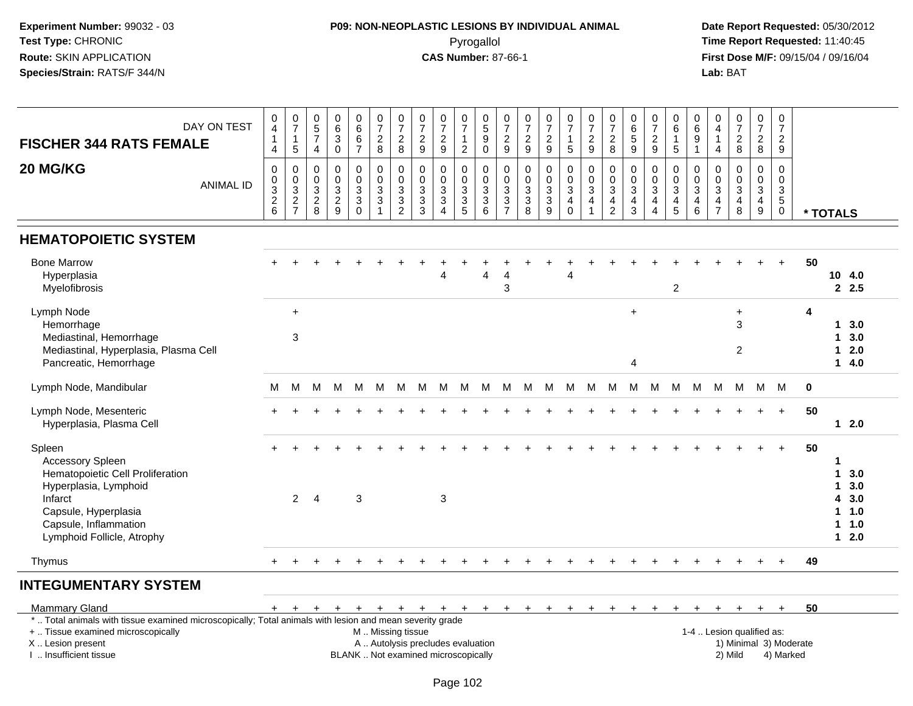# **P09: NON-NEOPLASTIC LESIONS BY INDIVIDUAL ANIMAL**Pyrogallol **Time Report Requested:** 11:40:45

| DAY ON TEST<br><b>FISCHER 344 RATS FEMALE</b>                                                                                                                                            | 0<br>$\overline{4}$<br>$\overline{1}$<br>$\overline{4}$ | $\frac{0}{7}$<br>$\mathbf{1}$<br>$5\phantom{.0}$ | $\begin{array}{c} 0 \\ 5 \end{array}$<br>$\overline{7}$<br>$\overline{4}$ | $\begin{array}{c} 0 \\ 6 \end{array}$<br>$\overline{3}$        | $\begin{array}{c} 0 \\ 6 \end{array}$<br>$\,6\,$<br>$\overline{7}$ | $\frac{0}{7}$<br>$\frac{2}{8}$                                 | $\frac{0}{7}$<br>$\overline{2}$<br>8 | $\frac{0}{7}$<br>$\frac{2}{9}$              | $\frac{0}{7}$<br>$\overline{c}$<br>9              | $\frac{0}{7}$<br>$\mathbf{1}$<br>$\overline{c}$ | $\begin{array}{c} 0 \\ 5 \end{array}$<br>$\boldsymbol{9}$<br>$\mathbf 0$ | $\frac{0}{7}$<br>$\frac{2}{9}$                         | $\frac{0}{7}$<br>$\frac{2}{9}$                               | $\frac{0}{7}$<br>$\frac{2}{9}$                                    | $\frac{0}{7}$<br>$\mathbf{1}$<br>5                 | $\frac{0}{7}$<br>$\frac{2}{9}$      | $\frac{0}{7}$<br>$_{8}^2$                                                    | $\begin{array}{c} 0 \\ 6 \\ 5 \end{array}$<br>$\overline{9}$ | $\frac{0}{7}$<br>$\frac{2}{9}$                                     | $\begin{array}{c} 0 \\ 6 \end{array}$<br>$\mathbf{1}$<br>$\overline{5}$ | $\boldsymbol{0}$<br>$\,6\,$<br>$\boldsymbol{9}$<br>$\overline{1}$ | $\begin{smallmatrix}0\\4\end{smallmatrix}$<br>$\overline{1}$<br>$\overline{4}$ | $\frac{0}{7}$<br>$\frac{2}{8}$       | $\frac{0}{7}$<br>$\frac{2}{8}$                | $\mathbf 0$<br>$\overline{7}$<br>$\overline{2}$<br>9 |             |                                                      |                                        |
|------------------------------------------------------------------------------------------------------------------------------------------------------------------------------------------|---------------------------------------------------------|--------------------------------------------------|---------------------------------------------------------------------------|----------------------------------------------------------------|--------------------------------------------------------------------|----------------------------------------------------------------|--------------------------------------|---------------------------------------------|---------------------------------------------------|-------------------------------------------------|--------------------------------------------------------------------------|--------------------------------------------------------|--------------------------------------------------------------|-------------------------------------------------------------------|----------------------------------------------------|-------------------------------------|------------------------------------------------------------------------------|--------------------------------------------------------------|--------------------------------------------------------------------|-------------------------------------------------------------------------|-------------------------------------------------------------------|--------------------------------------------------------------------------------|--------------------------------------|-----------------------------------------------|------------------------------------------------------|-------------|------------------------------------------------------|----------------------------------------|
| 20 MG/KG<br><b>ANIMAL ID</b>                                                                                                                                                             | $\mathbf 0$<br>$_3^0$<br>$\frac{2}{6}$                  | $\pmb{0}$<br>$_{3}^{\rm 0}$<br>$\frac{2}{7}$     | 0<br>0<br>$\mathbf{3}$<br>$\begin{array}{c} 2 \\ 8 \end{array}$           | $\begin{smallmatrix}0\\0\\3\end{smallmatrix}$<br>$\frac{2}{9}$ | 0<br>$\pmb{0}$<br>$\mathbf{3}$<br>$\mathfrak{Z}$<br>$\Omega$       | $\pmb{0}$<br>$\frac{0}{3}$<br>$\overline{3}$<br>$\overline{1}$ | 0<br>$\mathbf 0$<br>3<br>3<br>2      | $\pmb{0}$<br>$\frac{0}{3}$<br>$\frac{3}{3}$ | 0<br>$\mathbf 0$<br>$\mathbf{3}$<br>3<br>$\Delta$ | 0<br>0<br>3<br>3<br>5                           | $\mathbf 0$<br>$\pmb{0}$<br>$\sqrt{3}$<br>$\overline{3}$ 6               | $\pmb{0}$<br>$\pmb{0}$<br>$\mathsf 3$<br>$\frac{3}{7}$ | $\pmb{0}$<br>$\pmb{0}$<br>$\mathbf 3$<br>$\overline{3}$<br>8 | 0<br>$\pmb{0}$<br>$\mathsf 3$<br>$\overline{3}$<br>$\overline{9}$ | 0<br>$\pmb{0}$<br>$\mathbf{3}$<br>4<br>$\mathbf 0$ | 0<br>$\pmb{0}$<br>$\mathbf{3}$<br>4 | $\mathbf 0$<br>$\mathbf 0$<br>$\sqrt{3}$<br>$\overline{4}$<br>$\overline{2}$ | 0<br>$_{3}^{\rm 0}$<br>4<br>$\mathbf{3}$                     | 0<br>$\pmb{0}$<br>$\mathbf{3}$<br>$\overline{a}$<br>$\overline{4}$ | $\mathbf 0$<br>$\frac{0}{3}$<br>$\begin{array}{c} 4 \\ 5 \end{array}$   | 0<br>0<br>$\mathbf{3}$<br>$\overline{4}$<br>$\,6$                 | $\mathbf 0$<br>$_{3}^{\rm 0}$<br>$\frac{4}{7}$                                 | 0<br>$\pmb{0}$<br>3<br>$\frac{4}{8}$ | $\mathbf 0$<br>$\frac{0}{3}$<br>$\frac{4}{9}$ | 0<br>$\mathbf 0$<br>3<br>$5\phantom{.0}$<br>0        |             | * TOTALS                                             |                                        |
| <b>HEMATOPOIETIC SYSTEM</b>                                                                                                                                                              |                                                         |                                                  |                                                                           |                                                                |                                                                    |                                                                |                                      |                                             |                                                   |                                                 |                                                                          |                                                        |                                                              |                                                                   |                                                    |                                     |                                                                              |                                                              |                                                                    |                                                                         |                                                                   |                                                                                |                                      |                                               |                                                      |             |                                                      |                                        |
| <b>Bone Marrow</b><br>Hyperplasia<br>Myelofibrosis                                                                                                                                       |                                                         |                                                  |                                                                           |                                                                |                                                                    |                                                                |                                      |                                             |                                                   |                                                 | $\boldsymbol{\Delta}$                                                    | 4<br>3                                                 |                                                              |                                                                   | 4                                                  |                                     |                                                                              |                                                              |                                                                    | $\sqrt{2}$                                                              |                                                                   |                                                                                |                                      |                                               | $\div$                                               | 50          | 10 4.0                                               | 2.5                                    |
| Lymph Node<br>Hemorrhage<br>Mediastinal, Hemorrhage<br>Mediastinal, Hyperplasia, Plasma Cell<br>Pancreatic, Hemorrhage                                                                   |                                                         | $\ddot{}$<br>3                                   |                                                                           |                                                                |                                                                    |                                                                |                                      |                                             |                                                   |                                                 |                                                                          |                                                        |                                                              |                                                                   |                                                    |                                     |                                                                              | $\ddot{}$<br>$\overline{4}$                                  |                                                                    |                                                                         |                                                                   |                                                                                | $\ddot{}$<br>3<br>$\overline{2}$     |                                               |                                                      | 4           | $\mathbf 1$<br>1<br>1.<br>$\mathbf 1$                | 3.0<br>3.0<br>2.0<br>4.0               |
| Lymph Node, Mandibular                                                                                                                                                                   | м                                                       | м                                                | M                                                                         | м                                                              | м                                                                  | М                                                              | м                                    | м                                           | M                                                 | M                                               | М                                                                        | M                                                      | м                                                            | м                                                                 | м                                                  | м                                   | м                                                                            | M                                                            | M                                                                  | M                                                                       | M                                                                 | M                                                                              | М                                    | M                                             | M                                                    | $\mathbf 0$ |                                                      |                                        |
| Lymph Node, Mesenteric<br>Hyperplasia, Plasma Cell                                                                                                                                       |                                                         |                                                  |                                                                           |                                                                |                                                                    |                                                                |                                      |                                             |                                                   |                                                 |                                                                          |                                                        |                                                              |                                                                   |                                                    |                                     |                                                                              |                                                              |                                                                    |                                                                         |                                                                   |                                                                                |                                      |                                               | $+$                                                  | 50          | $\mathbf 1$                                          | 2.0                                    |
| Spleen<br><b>Accessory Spleen</b><br>Hematopoietic Cell Proliferation<br>Hyperplasia, Lymphoid<br>Infarct<br>Capsule, Hyperplasia<br>Capsule, Inflammation<br>Lymphoid Follicle, Atrophy |                                                         | $\overline{2}$                                   | $\overline{4}$                                                            |                                                                | 3                                                                  |                                                                |                                      |                                             | 3                                                 |                                                 |                                                                          |                                                        |                                                              |                                                                   |                                                    |                                     |                                                                              |                                                              |                                                                    |                                                                         |                                                                   |                                                                                |                                      |                                               |                                                      | 50          | 1<br>1<br>1<br>4<br>$\mathbf 1$<br>1.<br>$\mathbf 1$ | 3.0<br>3.0<br>3.0<br>1.0<br>1.0<br>2.0 |
| Thymus                                                                                                                                                                                   | $+$                                                     | $\pm$                                            |                                                                           |                                                                |                                                                    |                                                                |                                      |                                             |                                                   |                                                 |                                                                          |                                                        |                                                              |                                                                   |                                                    |                                     |                                                                              |                                                              |                                                                    |                                                                         |                                                                   |                                                                                |                                      |                                               | $+$                                                  | 49          |                                                      |                                        |
| <b>INTEGUMENTARY SYSTEM</b>                                                                                                                                                              |                                                         |                                                  |                                                                           |                                                                |                                                                    |                                                                |                                      |                                             |                                                   |                                                 |                                                                          |                                                        |                                                              |                                                                   |                                                    |                                     |                                                                              |                                                              |                                                                    |                                                                         |                                                                   |                                                                                |                                      |                                               |                                                      |             |                                                      |                                        |

| Mammary Gland                                                                                         |  |  |  |                                     |  |  |  |  |  |  |  |         |                           |           | 50 |  |
|-------------------------------------------------------------------------------------------------------|--|--|--|-------------------------------------|--|--|--|--|--|--|--|---------|---------------------------|-----------|----|--|
| Total animals with tissue examined microscopically; Total animals with lesion and mean severity grade |  |  |  |                                     |  |  |  |  |  |  |  |         |                           |           |    |  |
| +  Tissue examined microscopically                                                                    |  |  |  | M  Missing tissue                   |  |  |  |  |  |  |  |         | 1-4  Lesion qualified as: |           |    |  |
| X  Lesion present                                                                                     |  |  |  | A  Autolysis precludes evaluation   |  |  |  |  |  |  |  |         | 1) Minimal 3) Moderate    |           |    |  |
| Insufficient tissue                                                                                   |  |  |  | BLANK  Not examined microscopically |  |  |  |  |  |  |  | 2) Mild |                           | 4) Marked |    |  |
|                                                                                                       |  |  |  |                                     |  |  |  |  |  |  |  |         |                           |           |    |  |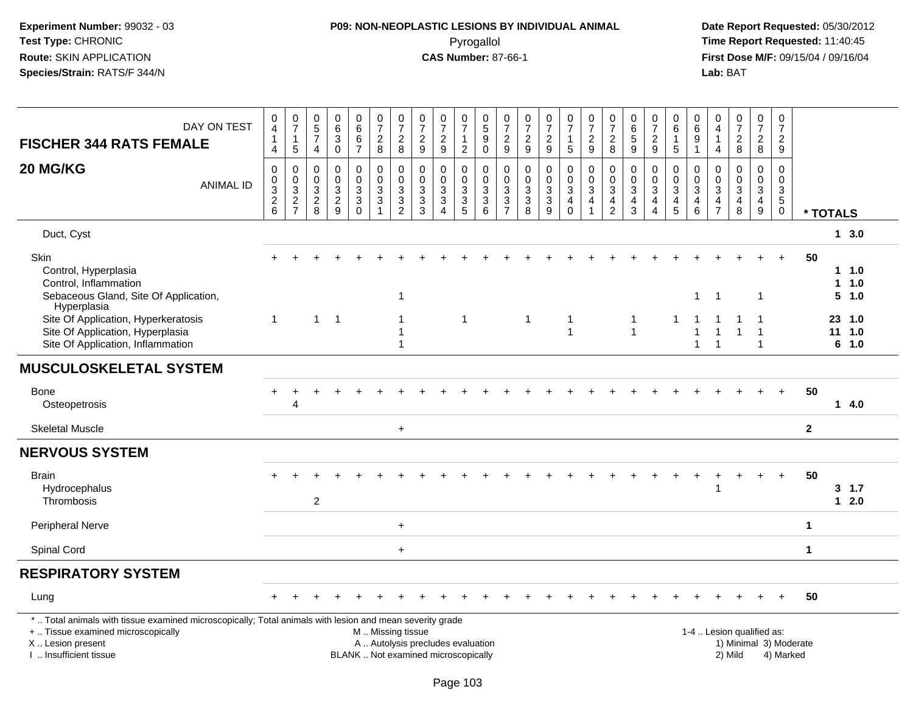# **P09: NON-NEOPLASTIC LESIONS BY INDIVIDUAL ANIMAL**Pyrogallol **Time Report Requested:** 11:40:45

| DAY ON TEST<br><b>FISCHER 344 RATS FEMALE</b>                                                                                                                                                 | 0<br>$\overline{4}$<br>$\mathbf{1}$<br>$\overline{4}$                  | $\begin{array}{c} 0 \\ 7 \end{array}$<br>1<br>$\sqrt{5}$  | $\begin{array}{c} 0 \\ 5 \end{array}$<br>$\overline{7}$<br>4 | $\pmb{0}$<br>$\,6$<br>3<br>$\ddot{\mathbf{0}}$                           | $\begin{array}{c} 0 \\ 6 \end{array}$<br>$\,6\,$<br>$\overline{7}$               | $\begin{smallmatrix} 0\\7 \end{smallmatrix}$<br>$_{\rm 8}^2$ | $\begin{array}{c} 0 \\ 7 \end{array}$<br>$\sqrt{2}$<br>$\,8\,$ | $\begin{array}{c} 0 \\ 7 \end{array}$<br>$\overline{c}$<br>$\boldsymbol{9}$ | $\frac{0}{7}$<br>$\frac{2}{9}$                | $\frac{0}{7}$<br>$\mathbf{1}$<br>$\overline{2}$      | $^{\rm 0}_{\rm 5}$<br>$_{0}^{9}$       | $\begin{array}{c} 0 \\ 7 \end{array}$<br>$\frac{2}{9}$                    | $\begin{array}{c} 0 \\ 7 \end{array}$<br>$\frac{2}{9}$      | $\frac{0}{7}$<br>$\overline{c}$<br>$9\,$                    | $\frac{0}{7}$<br>$\mathbf{1}$<br>5                                     | $\frac{0}{7}$<br>$\overline{c}$<br>9                                           | $\begin{array}{c} 0 \\ 7 \end{array}$<br>$\overline{c}$<br>8        | $\pmb{0}$<br>$\,6\,$<br>$\sqrt{5}$<br>9                         | $\frac{0}{7}$<br>$\sqrt{2}$<br>$\boldsymbol{9}$                                               | 0<br>$\,6$<br>$\mathbf{1}$<br>$\sqrt{5}$                                        | 0<br>6<br>9<br>$\mathbf{1}$                    | 0<br>$\overline{\mathbf{4}}$<br>1<br>$\overline{4}$                                  | $\begin{smallmatrix}0\\7\end{smallmatrix}$<br>$\overline{c}$<br>$\bf 8$ | $\begin{array}{c} 0 \\ 7 \end{array}$<br>$\boldsymbol{2}$<br>$\,8\,$             | $\pmb{0}$<br>$\overline{7}$<br>$\frac{2}{9}$                     |                      |                   |                         |
|-----------------------------------------------------------------------------------------------------------------------------------------------------------------------------------------------|------------------------------------------------------------------------|-----------------------------------------------------------|--------------------------------------------------------------|--------------------------------------------------------------------------|----------------------------------------------------------------------------------|--------------------------------------------------------------|----------------------------------------------------------------|-----------------------------------------------------------------------------|-----------------------------------------------|------------------------------------------------------|----------------------------------------|---------------------------------------------------------------------------|-------------------------------------------------------------|-------------------------------------------------------------|------------------------------------------------------------------------|--------------------------------------------------------------------------------|---------------------------------------------------------------------|-----------------------------------------------------------------|-----------------------------------------------------------------------------------------------|---------------------------------------------------------------------------------|------------------------------------------------|--------------------------------------------------------------------------------------|-------------------------------------------------------------------------|----------------------------------------------------------------------------------|------------------------------------------------------------------|----------------------|-------------------|-------------------------|
| 20 MG/KG<br><b>ANIMAL ID</b>                                                                                                                                                                  | $\mathbf 0$<br>$\pmb{0}$<br>$\ensuremath{\mathsf{3}}$<br>$\frac{2}{6}$ | $\mathbf 0$<br>$\pmb{0}$<br>$\mathbf{3}$<br>$\frac{2}{7}$ | $\mathbf 0$<br>$\pmb{0}$<br>$\sqrt{3}$<br>$\frac{2}{8}$      | $\mathbf 0$<br>$\mathbf 0$<br>$\ensuremath{\mathsf{3}}$<br>$\frac{2}{9}$ | $\mathbf 0$<br>$\ddot{\mathbf{0}}$<br>3<br>$\ensuremath{\mathsf{3}}$<br>$\Omega$ | $\mathbf 0$<br>$\pmb{0}$<br>$_3^3$<br>$\overline{1}$         | 0<br>$\overline{0}$<br>$\sqrt{3}$<br>$\frac{3}{2}$             | 0<br>$\pmb{0}$<br>3<br>3<br>3                                               | $\mathbf 0$<br>$\frac{0}{3}$<br>$\frac{3}{4}$ | 0<br>$\overline{0}$<br>$\mathbf{3}$<br>$\frac{3}{5}$ | 0<br>$\frac{0}{3}$<br>$\overline{3}$ 6 | $\pmb{0}$<br>$\overline{0}$<br>$\begin{array}{c} 3 \\ 3 \\ 7 \end{array}$ | $\mathbf 0$<br>$\mathbf 0$<br>$\sqrt{3}$<br>$\sqrt{3}$<br>8 | $\pmb{0}$<br>$\pmb{0}$<br>$\sqrt{3}$<br>$\overline{3}$<br>9 | 0<br>$\ddot{\mathbf{0}}$<br>$\mathbf{3}$<br>$\overline{4}$<br>$\Omega$ | 0<br>$\ddot{\mathbf{0}}$<br>$\overline{3}$<br>$\overline{4}$<br>$\overline{1}$ | $\pmb{0}$<br>$\ddot{\mathbf{0}}$<br>$\frac{3}{4}$<br>$\overline{2}$ | $\mathbf 0$<br>$\mathbf 0$<br>$\sqrt{3}$<br>$\overline{4}$<br>3 | $\mathbf 0$<br>$\mathbf 0$<br>$\sqrt{3}$<br>$\overline{\mathbf{4}}$<br>$\boldsymbol{\Lambda}$ | 0<br>$\mathsf{O}\xspace$<br>$\sqrt{3}$<br>$\begin{array}{c} 4 \\ 5 \end{array}$ | 0<br>$\mathsf 0$<br>$\sqrt{3}$<br>4<br>$\,6\,$ | $\mathbf 0$<br>$\mathsf{O}\xspace$<br>$\sqrt{3}$<br>$\overline{4}$<br>$\overline{7}$ | $\pmb{0}$<br>$\mathbf 0$<br>$\mathbf{3}$<br>$\overline{4}$<br>8         | $\mathbf 0$<br>$\mathbf 0$<br>$\mathbf{3}$<br>$\overline{4}$<br>$\boldsymbol{9}$ | $\mathbf 0$<br>$\pmb{0}$<br>$\frac{3}{5}$<br>$\mathsf{O}\xspace$ | * TOTALS             |                   |                         |
| Duct, Cyst                                                                                                                                                                                    |                                                                        |                                                           |                                                              |                                                                          |                                                                                  |                                                              |                                                                |                                                                             |                                               |                                                      |                                        |                                                                           |                                                             |                                                             |                                                                        |                                                                                |                                                                     |                                                                 |                                                                                               |                                                                                 |                                                |                                                                                      |                                                                         |                                                                                  |                                                                  |                      |                   | $1 \, 3.0$              |
| Skin<br>Control, Hyperplasia<br>Control, Inflammation<br>Sebaceous Gland, Site Of Application,<br>Hyperplasia                                                                                 |                                                                        |                                                           |                                                              |                                                                          |                                                                                  |                                                              | $\overline{\mathbf{1}}$                                        |                                                                             |                                               |                                                      |                                        |                                                                           |                                                             |                                                             |                                                                        |                                                                                |                                                                     |                                                                 |                                                                                               |                                                                                 | $\mathbf{1}$                                   | $\overline{1}$                                                                       |                                                                         | $\overline{1}$                                                                   | $+$                                                              | 50                   | $\mathbf{1}$<br>5 | $1 \t1.0$<br>1.0<br>1.0 |
| Site Of Application, Hyperkeratosis<br>Site Of Application, Hyperplasia<br>Site Of Application, Inflammation                                                                                  | $\overline{1}$                                                         |                                                           | $\mathbf{1}$                                                 | $\overline{1}$                                                           |                                                                                  |                                                              | -1<br>-1<br>-1                                                 |                                                                             |                                               | -1                                                   |                                        |                                                                           | $\overline{1}$                                              |                                                             | $\mathbf{1}$<br>1                                                      |                                                                                |                                                                     | $\mathbf{1}$<br>$\overline{1}$                                  |                                                                                               | 1                                                                               | 1                                              | $\overline{1}$                                                                       |                                                                         | 1                                                                                |                                                                  |                      | 23 1.0<br>11<br>6 | 1.0<br>1.0              |
| <b>MUSCULOSKELETAL SYSTEM</b>                                                                                                                                                                 |                                                                        |                                                           |                                                              |                                                                          |                                                                                  |                                                              |                                                                |                                                                             |                                               |                                                      |                                        |                                                                           |                                                             |                                                             |                                                                        |                                                                                |                                                                     |                                                                 |                                                                                               |                                                                                 |                                                |                                                                                      |                                                                         |                                                                                  |                                                                  |                      |                   |                         |
| <b>Bone</b><br>Osteopetrosis                                                                                                                                                                  |                                                                        | 4                                                         |                                                              |                                                                          |                                                                                  |                                                              |                                                                |                                                                             |                                               |                                                      |                                        |                                                                           |                                                             |                                                             |                                                                        |                                                                                |                                                                     |                                                                 |                                                                                               |                                                                                 |                                                |                                                                                      |                                                                         |                                                                                  | $+$                                                              | 50                   |                   | 14.0                    |
| <b>Skeletal Muscle</b>                                                                                                                                                                        |                                                                        |                                                           |                                                              |                                                                          |                                                                                  |                                                              | $\ddot{}$                                                      |                                                                             |                                               |                                                      |                                        |                                                                           |                                                             |                                                             |                                                                        |                                                                                |                                                                     |                                                                 |                                                                                               |                                                                                 |                                                |                                                                                      |                                                                         |                                                                                  |                                                                  | $\mathbf 2$          |                   |                         |
| <b>NERVOUS SYSTEM</b>                                                                                                                                                                         |                                                                        |                                                           |                                                              |                                                                          |                                                                                  |                                                              |                                                                |                                                                             |                                               |                                                      |                                        |                                                                           |                                                             |                                                             |                                                                        |                                                                                |                                                                     |                                                                 |                                                                                               |                                                                                 |                                                |                                                                                      |                                                                         |                                                                                  |                                                                  |                      |                   |                         |
| <b>Brain</b><br>Hydrocephalus<br>Thrombosis                                                                                                                                                   |                                                                        |                                                           | $\overline{2}$                                               |                                                                          |                                                                                  |                                                              |                                                                |                                                                             |                                               |                                                      |                                        |                                                                           |                                                             |                                                             |                                                                        |                                                                                |                                                                     |                                                                 |                                                                                               |                                                                                 |                                                | -1                                                                                   |                                                                         |                                                                                  | $+$                                                              | 50                   |                   | 3, 1.7<br>$12.0$        |
| <b>Peripheral Nerve</b>                                                                                                                                                                       |                                                                        |                                                           |                                                              |                                                                          |                                                                                  |                                                              | $\ddot{}$                                                      |                                                                             |                                               |                                                      |                                        |                                                                           |                                                             |                                                             |                                                                        |                                                                                |                                                                     |                                                                 |                                                                                               |                                                                                 |                                                |                                                                                      |                                                                         |                                                                                  |                                                                  | $\blacktriangleleft$ |                   |                         |
| Spinal Cord                                                                                                                                                                                   |                                                                        |                                                           |                                                              |                                                                          |                                                                                  |                                                              | $+$                                                            |                                                                             |                                               |                                                      |                                        |                                                                           |                                                             |                                                             |                                                                        |                                                                                |                                                                     |                                                                 |                                                                                               |                                                                                 |                                                |                                                                                      |                                                                         |                                                                                  |                                                                  | $\mathbf{1}$         |                   |                         |
| <b>RESPIRATORY SYSTEM</b>                                                                                                                                                                     |                                                                        |                                                           |                                                              |                                                                          |                                                                                  |                                                              |                                                                |                                                                             |                                               |                                                      |                                        |                                                                           |                                                             |                                                             |                                                                        |                                                                                |                                                                     |                                                                 |                                                                                               |                                                                                 |                                                |                                                                                      |                                                                         |                                                                                  |                                                                  |                      |                   |                         |
| Lung                                                                                                                                                                                          |                                                                        |                                                           |                                                              |                                                                          |                                                                                  |                                                              |                                                                |                                                                             |                                               |                                                      |                                        |                                                                           |                                                             |                                                             |                                                                        |                                                                                |                                                                     |                                                                 |                                                                                               |                                                                                 |                                                |                                                                                      |                                                                         |                                                                                  |                                                                  | 50                   |                   |                         |
| *  Total animals with tissue examined microscopically; Total animals with lesion and mean severity grade<br>+  Tissue examined microscopically<br>X  Lesion present<br>I  Insufficient tissue |                                                                        |                                                           |                                                              |                                                                          |                                                                                  | M  Missing tissue                                            |                                                                | A  Autolysis precludes evaluation<br>BLANK  Not examined microscopically    |                                               |                                                      |                                        |                                                                           |                                                             |                                                             |                                                                        |                                                                                |                                                                     |                                                                 |                                                                                               |                                                                                 |                                                |                                                                                      | 1-4  Lesion qualified as:<br>1) Minimal 3) Moderate<br>2) Mild          |                                                                                  | 4) Marked                                                        |                      |                   |                         |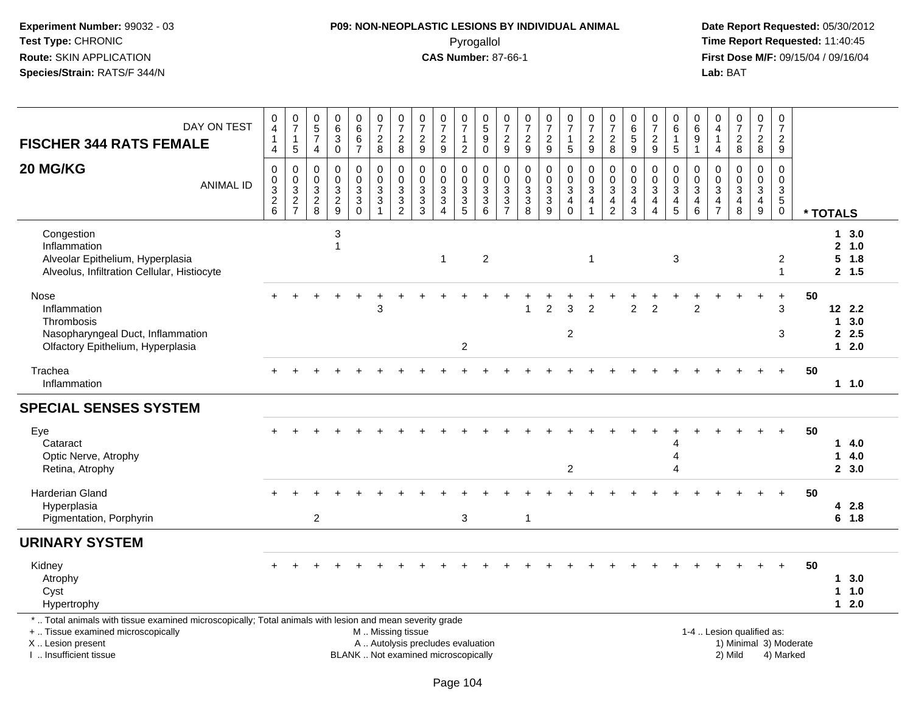#### **P09: NON-NEOPLASTIC LESIONS BY INDIVIDUAL ANIMAL**Pyrogallol **Time Report Requested:** 11:40:45

| DAY ON TEST<br><b>FISCHER 344 RATS FEMALE</b>                                                                                                                                                 | $\mathbf 0$<br>$\overline{4}$<br>$\overline{1}$<br>$\overline{4}$ | $\frac{0}{7}$<br>$\mathbf{1}$<br>$\overline{5}$ | $\pmb{0}$<br>$\sqrt{5}$<br>$\overline{7}$<br>$\overline{4}$ | 0<br>$\,6\,$<br>$\ensuremath{\mathsf{3}}$<br>$\mathbf 0$                                | $_{6}^{\rm 0}$<br>$\,6$<br>$\overline{7}$      | $\begin{array}{c} 0 \\ 7 \end{array}$<br>$\overline{c}$<br>$\bf 8$                  | $\begin{array}{c} 0 \\ 7 \end{array}$<br>$\overline{2}$<br>8         | $\frac{0}{7}$<br>$\frac{2}{9}$                                           | $\frac{0}{7}$<br>$\sqrt{2}$<br>9                                          | $\frac{0}{7}$<br>$\mathbf{1}$<br>$\overline{c}$ | 0<br>5<br>9<br>$\mathbf 0$                                           | $\frac{0}{7}$<br>$\frac{2}{9}$                                  | $\pmb{0}$<br>$\overline{7}$<br>$\frac{2}{9}$                                           | $\begin{array}{c} 0 \\ 7 \end{array}$<br>$\boldsymbol{2}$<br>$\overline{9}$  | $\frac{0}{7}$<br>$\mathbf{1}$<br>$\overline{5}$            | $\frac{0}{7}$<br>$\boldsymbol{2}$<br>$\overline{9}$                        | $\begin{array}{c} 0 \\ 7 \end{array}$<br>$\overline{\mathbf{c}}$<br>8 | $_{6}^{\rm 0}$<br>$\sqrt{5}$<br>$\overline{9}$                                            | $\frac{0}{7}$<br>$\boldsymbol{2}$<br>9                 | $\,0\,$<br>$\,6\,$<br>$\mathbf{1}$<br>5                            | $\mathbf 0$<br>$\,6\,$<br>$\boldsymbol{9}$<br>$\mathbf{1}$ | 0<br>$\overline{4}$<br>$\overline{1}$<br>$\overline{a}$                       | $\begin{array}{c} 0 \\ 7 \end{array}$<br>$\frac{2}{8}$          | 0<br>$\overline{7}$<br>$\overline{a}$<br>$\,8\,$                      | 0<br>$\boldsymbol{7}$<br>$\overline{a}$<br>$\mathsf g$                    |          |                                         |                              |  |
|-----------------------------------------------------------------------------------------------------------------------------------------------------------------------------------------------|-------------------------------------------------------------------|-------------------------------------------------|-------------------------------------------------------------|-----------------------------------------------------------------------------------------|------------------------------------------------|-------------------------------------------------------------------------------------|----------------------------------------------------------------------|--------------------------------------------------------------------------|---------------------------------------------------------------------------|-------------------------------------------------|----------------------------------------------------------------------|-----------------------------------------------------------------|----------------------------------------------------------------------------------------|------------------------------------------------------------------------------|------------------------------------------------------------|----------------------------------------------------------------------------|-----------------------------------------------------------------------|-------------------------------------------------------------------------------------------|--------------------------------------------------------|--------------------------------------------------------------------|------------------------------------------------------------|-------------------------------------------------------------------------------|-----------------------------------------------------------------|-----------------------------------------------------------------------|---------------------------------------------------------------------------|----------|-----------------------------------------|------------------------------|--|
| 20 MG/KG<br><b>ANIMAL ID</b>                                                                                                                                                                  | $\mathbf 0$<br>$\mathbf 0$<br>$\frac{3}{2}$ 6                     | $\mathbf 0$<br>$\frac{0}{2}$<br>$\frac{3}{7}$   | $\mathbf 0$<br>$\mathbf 0$<br>$\sqrt{3}$<br>$\frac{2}{8}$   | $\mathbf 0$<br>$\mathbf 0$<br>$\ensuremath{\mathsf{3}}$<br>$\sqrt{2}$<br>$\overline{9}$ | $\mathbf 0$<br>$\pmb{0}$<br>3<br>3<br>$\Omega$ | $\pmb{0}$<br>$\mathbf 0$<br>$\ensuremath{\mathsf{3}}$<br>$\sqrt{3}$<br>$\mathbf{1}$ | $\pmb{0}$<br>$\pmb{0}$<br>$\sqrt{3}$<br>$\sqrt{3}$<br>$\overline{2}$ | $\mathbf 0$<br>$\mathbf 0$<br>$\ensuremath{\mathsf{3}}$<br>$\frac{3}{3}$ | $\mathbf{0}$<br>$\mathbf 0$<br>$\sqrt{3}$<br>$\sqrt{3}$<br>$\overline{4}$ | 0<br>0<br>$\frac{3}{3}$<br>$\overline{5}$       | 0<br>$\mathbf 0$<br>$\ensuremath{\mathsf{3}}$<br>3<br>$\overline{6}$ | $\mathbf 0$<br>$\mathbf 0$<br>$\sqrt{3}$<br>3<br>$\overline{7}$ | $\pmb{0}$<br>$\mathbf 0$<br>$\ensuremath{\mathsf{3}}$<br>$\mathsf 3$<br>$\overline{8}$ | $\mathbf 0$<br>$\mathbf 0$<br>$\sqrt{3}$<br>$\overline{3}$<br>$\overline{9}$ | $\mathbf 0$<br>$\mathbf 0$<br>$\mathsf 3$<br>4<br>$\Omega$ | $\mathbf 0$<br>$\mathbf 0$<br>$\sqrt{3}$<br>$\overline{a}$<br>$\mathbf{1}$ | $\mathbf 0$<br>$\mathbf 0$<br>3<br>4<br>$\overline{2}$                | $\mathbf 0$<br>$\mathbf 0$<br>$\ensuremath{\mathsf{3}}$<br>$\overline{4}$<br>$\mathbf{3}$ | 0<br>$\Omega$<br>3<br>$\overline{4}$<br>$\overline{4}$ | 0<br>$\pmb{0}$<br>$\ensuremath{\mathsf{3}}$<br>$\overline{4}$<br>5 | $\mathbf 0$<br>$\mathbf 0$<br>$\sqrt{3}$<br>4<br>6         | $\mathbf 0$<br>$\mathbf 0$<br>$\mathsf 3$<br>$\overline{4}$<br>$\overline{7}$ | $\mathbf 0$<br>$\mathbf 0$<br>$\sqrt{3}$<br>$\overline{4}$<br>8 | $\mathbf 0$<br>$\mathbf 0$<br>3<br>$\overline{4}$<br>$\boldsymbol{9}$ | $\mathbf 0$<br>$\mathbf 0$<br>$\sqrt{3}$<br>$\overline{5}$<br>$\mathbf 0$ | * TOTALS |                                         |                              |  |
| Congestion<br>Inflammation<br>Alveolar Epithelium, Hyperplasia<br>Alveolus, Infiltration Cellular, Histiocyte                                                                                 |                                                                   |                                                 |                                                             | 3                                                                                       |                                                |                                                                                     |                                                                      |                                                                          | $\overline{1}$                                                            |                                                 | $\overline{c}$                                                       |                                                                 |                                                                                        |                                                                              |                                                            | $\overline{1}$                                                             |                                                                       |                                                                                           |                                                        | 3                                                                  |                                                            |                                                                               |                                                                 |                                                                       | $\overline{2}$<br>$\mathbf 1$                                             |          | $\mathbf{2}$<br>5                       | 13.0<br>1.0<br>1.8<br>2, 1.5 |  |
| Nose<br>Inflammation<br><b>Thrombosis</b><br>Nasopharyngeal Duct, Inflammation<br>Olfactory Epithelium, Hyperplasia                                                                           |                                                                   |                                                 |                                                             |                                                                                         |                                                | 3                                                                                   |                                                                      |                                                                          |                                                                           | 2                                               |                                                                      |                                                                 |                                                                                        | $\overline{2}$                                                               | 3<br>$\overline{c}$                                        | $\overline{2}$                                                             |                                                                       | 2                                                                                         | $\overline{2}$                                         |                                                                    | $\overline{2}$                                             |                                                                               |                                                                 |                                                                       | $+$<br>3<br>3                                                             | 50       | 12 2.2<br>$\mathbf 1$<br>$\overline{2}$ | 3.0<br>2.5<br>$12.0$         |  |
| Trachea<br>Inflammation                                                                                                                                                                       |                                                                   |                                                 |                                                             |                                                                                         |                                                |                                                                                     |                                                                      |                                                                          |                                                                           |                                                 |                                                                      |                                                                 |                                                                                        |                                                                              |                                                            |                                                                            |                                                                       |                                                                                           |                                                        |                                                                    |                                                            |                                                                               |                                                                 |                                                                       |                                                                           | 50       |                                         | $1 \t1.0$                    |  |
| <b>SPECIAL SENSES SYSTEM</b>                                                                                                                                                                  |                                                                   |                                                 |                                                             |                                                                                         |                                                |                                                                                     |                                                                      |                                                                          |                                                                           |                                                 |                                                                      |                                                                 |                                                                                        |                                                                              |                                                            |                                                                            |                                                                       |                                                                                           |                                                        |                                                                    |                                                            |                                                                               |                                                                 |                                                                       |                                                                           |          |                                         |                              |  |
| Eye<br>Cataract<br>Optic Nerve, Atrophy<br>Retina, Atrophy                                                                                                                                    | 4<br>$\overline{c}$<br>$\Delta$                                   |                                                 |                                                             |                                                                                         |                                                |                                                                                     |                                                                      |                                                                          |                                                                           |                                                 |                                                                      |                                                                 |                                                                                        |                                                                              |                                                            | 50                                                                         | 1                                                                     | 14.0<br>4.0<br>2, 3.0                                                                     |                                                        |                                                                    |                                                            |                                                                               |                                                                 |                                                                       |                                                                           |          |                                         |                              |  |
| <b>Harderian Gland</b><br>Hyperplasia<br>Pigmentation, Porphyrin                                                                                                                              |                                                                   |                                                 | $\overline{c}$                                              |                                                                                         |                                                |                                                                                     |                                                                      |                                                                          |                                                                           | 3                                               |                                                                      |                                                                 | $\mathbf{1}$                                                                           |                                                                              |                                                            |                                                                            |                                                                       |                                                                                           |                                                        |                                                                    |                                                            |                                                                               |                                                                 |                                                                       |                                                                           | 50       |                                         | 4 2.8<br>6 1.8               |  |
| <b>URINARY SYSTEM</b>                                                                                                                                                                         |                                                                   |                                                 |                                                             |                                                                                         |                                                |                                                                                     |                                                                      |                                                                          |                                                                           |                                                 |                                                                      |                                                                 |                                                                                        |                                                                              |                                                            |                                                                            |                                                                       |                                                                                           |                                                        |                                                                    |                                                            |                                                                               |                                                                 |                                                                       |                                                                           |          |                                         |                              |  |
| Kidney<br>Atrophy<br>Cyst<br>Hypertrophy                                                                                                                                                      |                                                                   |                                                 |                                                             |                                                                                         |                                                |                                                                                     |                                                                      |                                                                          |                                                                           |                                                 |                                                                      |                                                                 |                                                                                        |                                                                              |                                                            |                                                                            |                                                                       |                                                                                           |                                                        |                                                                    |                                                            |                                                                               |                                                                 |                                                                       |                                                                           | 50       | 1.<br>1                                 | 3.0<br>1.0<br>$12.0$         |  |
| *  Total animals with tissue examined microscopically; Total animals with lesion and mean severity grade<br>+  Tissue examined microscopically<br>X  Lesion present<br>I. Insufficient tissue |                                                                   |                                                 |                                                             |                                                                                         |                                                | M  Missing tissue                                                                   |                                                                      | A  Autolysis precludes evaluation<br>BLANK  Not examined microscopically |                                                                           |                                                 |                                                                      |                                                                 |                                                                                        |                                                                              |                                                            |                                                                            |                                                                       |                                                                                           |                                                        |                                                                    |                                                            |                                                                               | 1-4  Lesion qualified as:<br>1) Minimal 3) Moderate<br>2) Mild  |                                                                       | 4) Marked                                                                 |          |                                         |                              |  |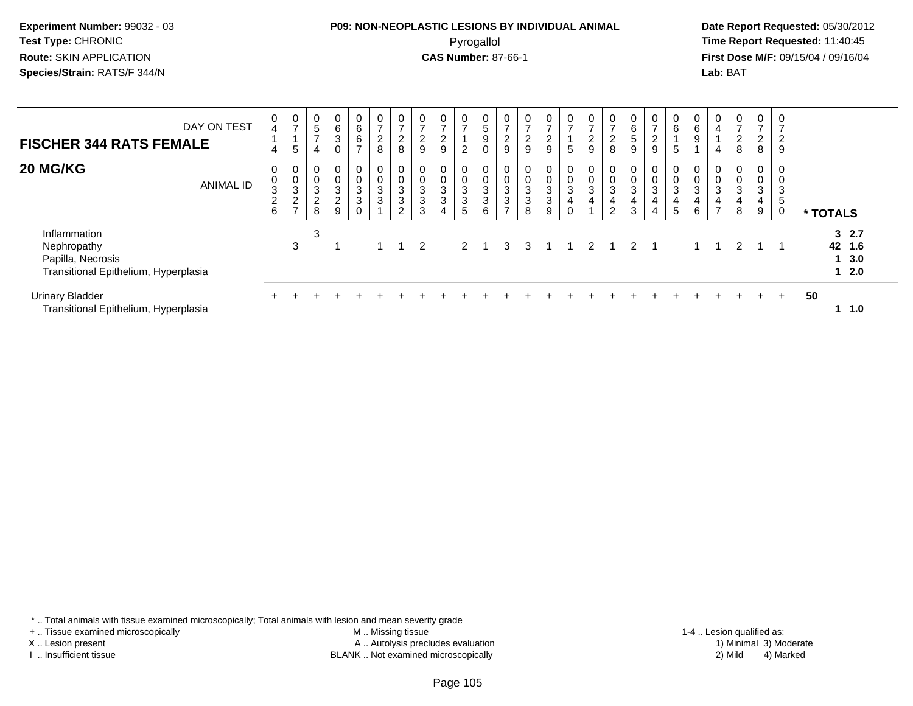#### **P09: NON-NEOPLASTIC LESIONS BY INDIVIDUAL ANIMAL**Pyrogallol **Time Report Requested:** 11:40:45

 **Date Report Requested:** 05/30/2012 **First Dose M/F:** 09/15/04 / 09/16/04 Lab: BAT **Lab:** BAT

| DAY ON TEST<br><b>FISCHER 344 RATS FEMALE</b>                                            | 0<br>$\overline{\mathbf{4}}$<br>4    | $\frac{0}{7}$<br>5                                                             | $\begin{matrix} 0 \\ 5 \end{matrix}$<br>$\rightarrow$<br>4 | $\begin{array}{c} 0 \\ 6 \end{array}$<br>$\sqrt{3}$<br>$\mathbf 0$ | 0<br>$\overline{6}$<br>6<br>$\overline{ }$       | $\mathbf 0$<br>$\overline{7}$<br>$\overline{a}$<br>8       | $\frac{0}{7}$<br>$\overline{c}$<br>8 | $\frac{0}{7}$<br>ົ<br>L<br>9                             | $\frac{0}{7}$<br>$\Omega$<br>9                           | $\frac{0}{7}$<br>$\overline{c}$ | 0<br>5<br>$\boldsymbol{9}$                           | $\frac{0}{7}$<br>ົ<br>$\epsilon$<br>9 | $\frac{0}{7}$<br>$\overline{2}$<br>9             | $\frac{0}{7}$<br>$\overline{2}$<br>9                                 | $\frac{0}{7}$<br>5                                        | $\frac{0}{7}$<br>$\overline{2}$<br>9             | $\mathbf{0}$<br>$\overline{ }$<br>$\epsilon$<br>8                 | $\begin{array}{c} 0 \\ 6 \end{array}$<br>5<br>9               | $\mathbf{0}$<br>$\rightarrow$<br>L<br>9 | $\mathbf 0$<br>$6\overline{6}$<br>5                   | 0<br>$6\phantom{a}$<br>$\boldsymbol{9}$                            | $\overline{0}$<br>4<br>4                 | $\mathbf 0$<br>$\overline{ }$<br>$\overline{c}$<br>8 | $\overline{0}$<br>$\rightarrow$<br>$\overline{2}$<br>8       | 0<br>$\overline{ }$<br>$\overline{\mathbf{c}}$<br>9 |                |            |
|------------------------------------------------------------------------------------------|--------------------------------------|--------------------------------------------------------------------------------|------------------------------------------------------------|--------------------------------------------------------------------|--------------------------------------------------|------------------------------------------------------------|--------------------------------------|----------------------------------------------------------|----------------------------------------------------------|---------------------------------|------------------------------------------------------|---------------------------------------|--------------------------------------------------|----------------------------------------------------------------------|-----------------------------------------------------------|--------------------------------------------------|-------------------------------------------------------------------|---------------------------------------------------------------|-----------------------------------------|-------------------------------------------------------|--------------------------------------------------------------------|------------------------------------------|------------------------------------------------------|--------------------------------------------------------------|-----------------------------------------------------|----------------|------------|
| 20 MG/KG<br><b>ANIMAL ID</b>                                                             | 0<br>$\pmb{0}$<br>3<br>$\frac{2}{6}$ | 0<br>$\pmb{0}$<br>$\ensuremath{\mathsf{3}}$<br>$\overline{c}$<br>$\rightarrow$ | 0<br>$\pmb{0}$<br>$\sqrt{3}$<br>$\sqrt{2}$<br>8            | $\mathbf 0$<br>$\pmb{0}$<br>$\frac{3}{2}$<br>9                     | $\mathbf 0$<br>0<br>$\frac{3}{3}$<br>$\mathbf 0$ | $\mathbf 0$<br>$\mathbf 0$<br>$\mathbf{3}$<br>$\mathbf{3}$ | 0<br>$\pmb{0}$<br>$\frac{3}{3}$<br>2 | 0<br>0<br>$\ensuremath{\mathsf{3}}$<br>$\mathbf{3}$<br>3 | 0<br>$\boldsymbol{0}$<br>$\frac{3}{3}$<br>$\overline{4}$ | 0<br>0<br>$\frac{3}{3}$<br>5    | $\mathbf 0$<br>$\mathbf 0$<br>$\mathbf{3}$<br>3<br>6 | 0<br>$\frac{3}{3}$<br>$\rightarrow$   | $\begin{smallmatrix}0\3\3\end{smallmatrix}$<br>8 | 0<br>$\begin{smallmatrix}0\3\3\end{smallmatrix}$<br>$\boldsymbol{9}$ | $\mathbf{0}$<br>$\begin{matrix} 0 \\ 3 \\ 4 \end{matrix}$ | 0<br>$\pmb{0}$<br>$\mathbf{3}$<br>$\overline{4}$ | $\mathbf 0$<br>$\mathbf 0$<br>$\ensuremath{\mathsf{3}}$<br>4<br>ົ | $\pmb{0}$<br>$\ensuremath{\mathsf{3}}$<br>$\overline{4}$<br>3 | 0<br>0<br>$\mathbf{3}$<br>4             | 0<br>$\pmb{0}$<br>$\mathsf 3$<br>4<br>$5\phantom{.0}$ | 0<br>$\pmb{0}$<br>$\ensuremath{\mathsf{3}}$<br>$\overline{4}$<br>6 | 0<br>0<br>$\ensuremath{\mathsf{3}}$<br>4 | 0<br>$\mathbf 0$<br>3<br>8                           | 0<br>$\boldsymbol{0}$<br>$\ensuremath{\mathsf{3}}$<br>4<br>9 | 0<br>0<br>3<br>5<br>0                               | * TOTALS       |            |
| Inflammation<br>Nephropathy<br>Papilla, Necrosis<br>Transitional Epithelium, Hyperplasia |                                      | 3                                                                              | 3                                                          |                                                                    |                                                  |                                                            |                                      | 2                                                        |                                                          |                                 | $2 \quad 1$                                          | 3                                     | 3                                                |                                                                      | - 1                                                       |                                                  | 2 1                                                               | $\overline{2}$                                                |                                         |                                                       |                                                                    |                                          | $\mathcal{P}$                                        |                                                              |                                                     | 32.7<br>42 1.6 | 3.0<br>2.0 |
| <b>Urinary Bladder</b><br>Transitional Epithelium, Hyperplasia                           |                                      |                                                                                |                                                            |                                                                    |                                                  |                                                            |                                      |                                                          |                                                          |                                 |                                                      |                                       |                                                  |                                                                      |                                                           |                                                  |                                                                   |                                                               |                                         |                                                       |                                                                    |                                          |                                                      |                                                              | $\pm$                                               | 50             | 1.0        |

\* .. Total animals with tissue examined microscopically; Total animals with lesion and mean severity grade

+ .. Tissue examined microscopically

X .. Lesion present

I .. Insufficient tissue

 M .. Missing tissueA .. Autolysis precludes evaluation

BLANK .. Not examined microscopically 2) Mild 4) Marked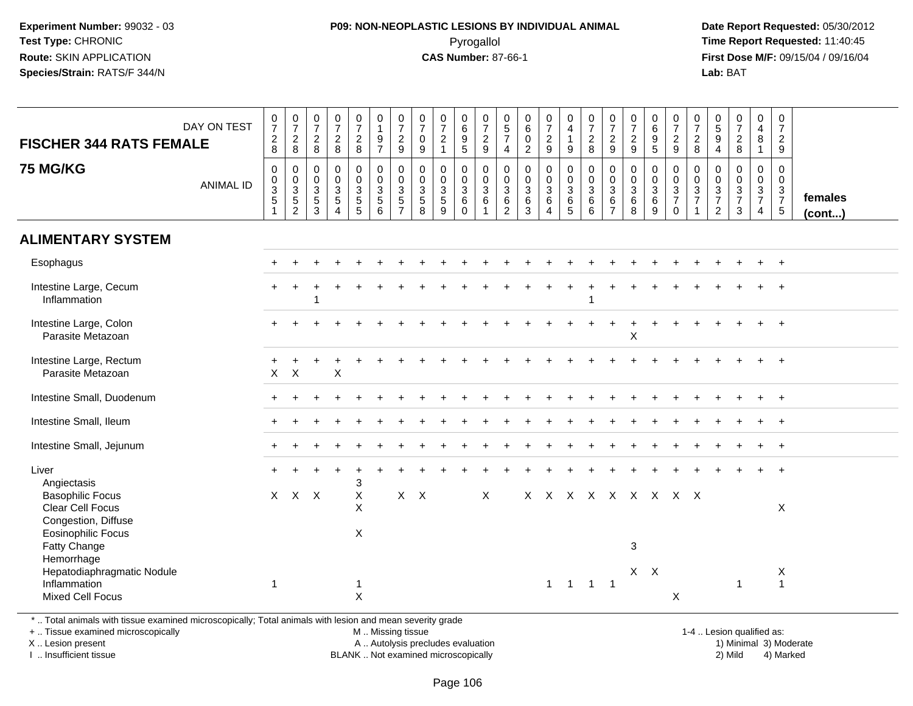## **P09: NON-NEOPLASTIC LESIONS BY INDIVIDUAL ANIMAL**Pyrogallol **Time Report Requested:** 11:40:45

 **Date Report Requested:** 05/30/2012 **First Dose M/F:** 09/15/04 / 09/16/04 Lab: BAT **Lab:** BAT

| <b>FISCHER 344 RATS FEMALE</b>                                        | DAY ON TEST      | $\frac{0}{7}$<br>$\begin{array}{c} 2 \\ 8 \end{array}$       | $\begin{array}{c} 0 \\ 7 \end{array}$<br>$\frac{2}{8}$                           | $\frac{0}{7}$<br>$_{8}^2$                      | $\frac{0}{7}$<br>$\frac{2}{8}$                                          | $\frac{0}{7}$<br>$_{8}^2$                 | $\begin{smallmatrix}0\\1\end{smallmatrix}$<br>$\frac{9}{7}$          | $\begin{array}{c} 0 \\ 7 \end{array}$<br>$\frac{2}{9}$                         | $\frac{0}{7}$<br>$\mathbf 0$<br>9                         | $\frac{0}{7}$<br>$\sqrt{2}$<br>$\mathbf{1}$                     | 0<br>0<br>0<br>5<br>5                                       | $\frac{0}{7}$<br>$\frac{2}{9}$                                 | $\begin{array}{c} 0 \\ 5 \\ 7 \end{array}$<br>$\overline{4}$     | $_{\rm 6}^{\rm 0}$<br>$\begin{smallmatrix} 0\\2 \end{smallmatrix}$ | $\begin{smallmatrix}0\\7\end{smallmatrix}$<br>$\frac{2}{9}$       | 0<br>$\ddot{4}$<br>$\mathbf{1}$<br>9                            | $\begin{array}{c} 0 \\ 7 \\ 2 \\ 8 \end{array}$         | $\frac{0}{7}$<br>$\frac{2}{9}$                                 | $\frac{0}{7}$<br>$\overline{c}$<br>9         | $\begin{array}{c} 0 \\ 6 \end{array}$<br>$\frac{9}{5}$ | $\frac{0}{7}$<br>$\frac{2}{9}$                                    | $\frac{0}{7}$<br>$\sqrt{2}$<br>8                                    | 0<br>$\overline{5}$<br>$\boldsymbol{9}$<br>$\overline{4}$             | $\frac{0}{7}$<br>$_{\rm 8}^2$                                                  | $\begin{smallmatrix}0\0\4\end{smallmatrix}$<br>$\bf 8$              | $\mathbf 0$<br>$\overline{7}$<br>$\frac{2}{9}$                 |                   |
|-----------------------------------------------------------------------|------------------|--------------------------------------------------------------|----------------------------------------------------------------------------------|------------------------------------------------|-------------------------------------------------------------------------|-------------------------------------------|----------------------------------------------------------------------|--------------------------------------------------------------------------------|-----------------------------------------------------------|-----------------------------------------------------------------|-------------------------------------------------------------|----------------------------------------------------------------|------------------------------------------------------------------|--------------------------------------------------------------------|-------------------------------------------------------------------|-----------------------------------------------------------------|---------------------------------------------------------|----------------------------------------------------------------|----------------------------------------------|--------------------------------------------------------|-------------------------------------------------------------------|---------------------------------------------------------------------|-----------------------------------------------------------------------|--------------------------------------------------------------------------------|---------------------------------------------------------------------|----------------------------------------------------------------|-------------------|
| <b>75 MG/KG</b>                                                       | <b>ANIMAL ID</b> | $\mathsf 0$<br>$\pmb{0}$<br>$\overline{3}$<br>$\overline{5}$ | $\boldsymbol{0}$<br>$\begin{array}{c} 0 \\ 3 \\ 5 \end{array}$<br>$\overline{2}$ | 0<br>$\mathsf 0$<br>$\mathbf{3}$<br>$5\,$<br>3 | $\pmb{0}$<br>$\pmb{0}$<br>$\overline{3}$<br>5<br>$\boldsymbol{\Lambda}$ | $\pmb{0}$<br>0<br>3<br>5<br>5             | $\mathsf{O}$<br>$\mathbf 0$<br>$\overline{3}$<br>$\overline{5}$<br>6 | $\pmb{0}$<br>$\mathsf 0$<br>$\overline{3}$<br>$\overline{5}$<br>$\overline{7}$ | $\pmb{0}$<br>$\mathbf 0$<br>$\sqrt{3}$<br>$\sqrt{5}$<br>8 | $\pmb{0}$<br>$\pmb{0}$<br>$\overline{3}$<br>$\overline{5}$<br>9 | 0<br>$\mathsf{O}\xspace$<br>$\overline{3}$<br>6<br>$\Omega$ | $\pmb{0}$<br>$\frac{0}{3}$<br>$6\phantom{1}$<br>$\overline{1}$ | $\mathsf 0$<br>$\frac{0}{3}$<br>$6\phantom{a}$<br>$\overline{2}$ | $\pmb{0}$<br>$0$<br>$36$<br>$3$                                    | $\mathbf 0$<br>$_{3}^{\rm 0}$<br>$6\phantom{a}$<br>$\overline{4}$ | 0<br>$\mathbf 0$<br>$\overline{3}$<br>$\,6\,$<br>$\overline{5}$ | $\pmb{0}$<br>$\frac{0}{3}$<br>$6\phantom{a}$<br>$\,6\,$ | $\pmb{0}$<br>$\frac{0}{3}$<br>$6\phantom{a}$<br>$\overline{7}$ | 0<br>$\mathbf 0$<br>$\overline{3}$<br>6<br>8 | $\mathbf 0$<br>$\mathbf 0$<br>$\overline{3}$<br>6<br>9 | 0<br>$\pmb{0}$<br>$\overline{3}$<br>$\overline{7}$<br>$\mathbf 0$ | $\mathbf 0$<br>$\mathbf 0$<br>$\overline{3}$<br>$\overline{7}$<br>1 | $\mathbf 0$<br>$\mathsf{O}\xspace$<br>$\frac{3}{7}$<br>$\overline{2}$ | $\mathbf 0$<br>$\mathbf 0$<br>$\ensuremath{\mathsf{3}}$<br>$\overline{7}$<br>3 | $\pmb{0}$<br>$\mathsf{O}\xspace$<br>$\frac{3}{7}$<br>$\overline{4}$ | $\mathbf 0$<br>$\boldsymbol{0}$<br>$\frac{3}{7}$<br>$\sqrt{5}$ | females<br>(cont) |
| <b>ALIMENTARY SYSTEM</b>                                              |                  |                                                              |                                                                                  |                                                |                                                                         |                                           |                                                                      |                                                                                |                                                           |                                                                 |                                                             |                                                                |                                                                  |                                                                    |                                                                   |                                                                 |                                                         |                                                                |                                              |                                                        |                                                                   |                                                                     |                                                                       |                                                                                |                                                                     |                                                                |                   |
| Esophagus                                                             |                  |                                                              |                                                                                  |                                                |                                                                         |                                           |                                                                      |                                                                                |                                                           |                                                                 |                                                             |                                                                |                                                                  |                                                                    |                                                                   |                                                                 |                                                         |                                                                |                                              |                                                        |                                                                   |                                                                     |                                                                       |                                                                                |                                                                     | $\ddot{}$                                                      |                   |
| Intestine Large, Cecum<br>Inflammation                                |                  |                                                              |                                                                                  | 1                                              |                                                                         |                                           |                                                                      |                                                                                |                                                           |                                                                 |                                                             |                                                                |                                                                  |                                                                    |                                                                   |                                                                 |                                                         |                                                                |                                              |                                                        |                                                                   |                                                                     |                                                                       |                                                                                |                                                                     |                                                                |                   |
| Intestine Large, Colon<br>Parasite Metazoan                           |                  |                                                              |                                                                                  |                                                |                                                                         |                                           |                                                                      |                                                                                |                                                           |                                                                 |                                                             |                                                                |                                                                  |                                                                    |                                                                   |                                                                 |                                                         |                                                                | X                                            |                                                        |                                                                   |                                                                     |                                                                       |                                                                                |                                                                     |                                                                |                   |
| Intestine Large, Rectum<br>Parasite Metazoan                          |                  | $\pmb{\times}$                                               | $\boldsymbol{\mathsf{X}}$                                                        |                                                | X                                                                       |                                           |                                                                      |                                                                                |                                                           |                                                                 |                                                             |                                                                |                                                                  |                                                                    |                                                                   |                                                                 |                                                         |                                                                |                                              |                                                        |                                                                   |                                                                     |                                                                       |                                                                                |                                                                     |                                                                |                   |
| Intestine Small, Duodenum                                             |                  |                                                              |                                                                                  |                                                |                                                                         |                                           |                                                                      |                                                                                |                                                           |                                                                 |                                                             |                                                                |                                                                  |                                                                    |                                                                   |                                                                 |                                                         |                                                                |                                              |                                                        |                                                                   |                                                                     |                                                                       |                                                                                |                                                                     |                                                                |                   |
| Intestine Small, Ileum                                                |                  |                                                              |                                                                                  |                                                |                                                                         |                                           |                                                                      |                                                                                |                                                           |                                                                 |                                                             |                                                                |                                                                  |                                                                    |                                                                   |                                                                 |                                                         |                                                                |                                              |                                                        |                                                                   |                                                                     |                                                                       |                                                                                |                                                                     | $+$                                                            |                   |
| Intestine Small, Jejunum                                              |                  |                                                              |                                                                                  |                                                |                                                                         |                                           |                                                                      |                                                                                |                                                           |                                                                 |                                                             |                                                                |                                                                  |                                                                    |                                                                   |                                                                 |                                                         |                                                                |                                              |                                                        |                                                                   |                                                                     |                                                                       |                                                                                |                                                                     | $\ddot{}$                                                      |                   |
| Liver<br>Angiectasis                                                  |                  |                                                              |                                                                                  |                                                |                                                                         | 3                                         |                                                                      |                                                                                |                                                           |                                                                 |                                                             |                                                                |                                                                  |                                                                    |                                                                   |                                                                 |                                                         |                                                                |                                              |                                                        |                                                                   |                                                                     |                                                                       |                                                                                |                                                                     | $\ddot{}$                                                      |                   |
| <b>Basophilic Focus</b><br>Clear Cell Focus<br>Congestion, Diffuse    |                  |                                                              | X X X                                                                            |                                                |                                                                         | $\boldsymbol{\mathsf{X}}$<br>$\mathsf{X}$ |                                                                      |                                                                                | $X$ $X$                                                   |                                                                 |                                                             | X                                                              |                                                                  |                                                                    |                                                                   | X X X X X X X X X                                               |                                                         |                                                                |                                              |                                                        |                                                                   |                                                                     |                                                                       |                                                                                |                                                                     | X                                                              |                   |
| <b>Eosinophilic Focus</b><br>Fatty Change<br>Hemorrhage               |                  |                                                              |                                                                                  |                                                |                                                                         | X                                         |                                                                      |                                                                                |                                                           |                                                                 |                                                             |                                                                |                                                                  |                                                                    |                                                                   |                                                                 |                                                         |                                                                | $\mathbf{3}$                                 |                                                        |                                                                   |                                                                     |                                                                       |                                                                                |                                                                     |                                                                |                   |
| Hepatodiaphragmatic Nodule<br>Inflammation<br><b>Mixed Cell Focus</b> |                  | $\overline{1}$                                               |                                                                                  |                                                |                                                                         | $\mathbf 1$<br>$\pmb{\times}$             |                                                                      |                                                                                |                                                           |                                                                 |                                                             |                                                                |                                                                  |                                                                    | $\mathbf{1}$                                                      | $\overline{1}$                                                  | $1 \quad 1$                                             |                                                                | $X$ $X$                                      |                                                        | $\boldsymbol{\mathsf{X}}$                                         |                                                                     |                                                                       | $\mathbf 1$                                                                    |                                                                     | X<br>$\mathbf{1}$                                              |                   |

\* .. Total animals with tissue examined microscopically; Total animals with lesion and mean severity grade

+ .. Tissue examined microscopically

X .. Lesion present

I .. Insufficient tissue

M .. Missing tissue

A .. Autolysis precludes evaluation

BLANK .. Not examined microscopically 2) Mild 4) Marked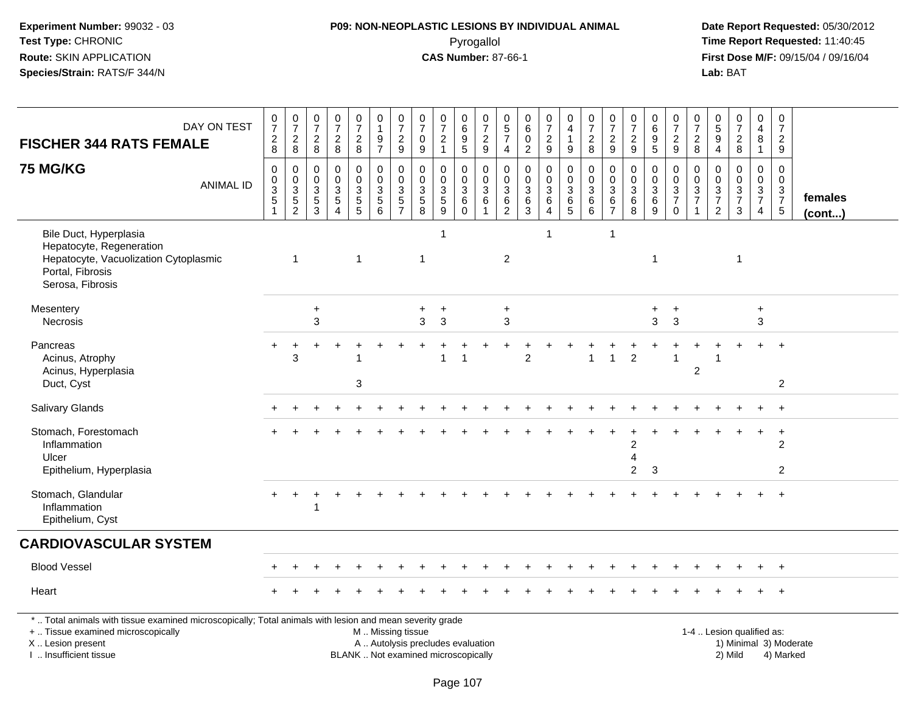#### **P09: NON-NEOPLASTIC LESIONS BY INDIVIDUAL ANIMAL**Pyrogallol **Time Report Requested:** 11:40:45

 **Date Report Requested:** 05/30/2012 **First Dose M/F:** 09/15/04 / 09/16/04<br>Lab: BAT **Lab:** BAT

| DAY ON TEST<br><b>FISCHER 344 RATS FEMALE</b>                                                                                                                                                                                                                                        |                  | $\frac{0}{7}$<br>$\frac{2}{8}$                                                     | $\frac{0}{7}$<br>$\overline{a}$<br>$\,8\,$          | 0<br>$\frac{5}{7}$<br>$\overline{c}$<br>8               | 0<br>$\overline{7}$<br>$\overline{c}$<br>8  | $\frac{0}{7}$<br>$\frac{2}{8}$                                | $\mathbf 0$<br>$\mathbf{1}$<br>$\frac{9}{7}$                               | $\begin{array}{c} 0 \\ 7 \end{array}$<br>$\frac{2}{9}$       | 0<br>$\overline{7}$<br>0<br>9                              | $\frac{0}{7}$<br>$\boldsymbol{2}$<br>$\mathbf{1}$                          | $\begin{array}{c} 0 \\ 6 \end{array}$<br>$\boldsymbol{9}$<br>5 | $\begin{array}{c} 0 \\ 7 \end{array}$<br>$\frac{2}{9}$   | $\begin{array}{c} 0 \\ 5 \\ 7 \end{array}$<br>4                | 0<br>$\,6\,$<br>0<br>$\overline{2}$            | $\frac{0}{7}$<br>$\frac{2}{9}$                                                       | 0<br>$\overline{4}$<br>$\mathbf{1}$<br>9       | $\frac{0}{7}$<br>$\overline{c}$<br>8                     | $\begin{array}{c} 0 \\ 7 \end{array}$<br>$\overline{c}$<br>9               | 0<br>$\frac{5}{7}$<br>$\overline{c}$<br>$9\,$  | $\begin{array}{c} 0 \\ 6 \end{array}$<br>$\overline{9}$<br>5 | $\frac{0}{7}$<br>$\frac{2}{9}$                                       | $\mathbf 0$<br>$\overline{7}$<br>$_{\rm 8}^2$ | 0<br>$\sqrt{5}$<br>9<br>$\overline{4}$    | $\frac{0}{7}$<br>$\sqrt{2}$<br>8                                            | 0<br>$\overline{4}$<br>8<br>$\mathbf{1}$                       | $\frac{0}{7}$<br>$\overline{2}$<br>9          |                   |
|--------------------------------------------------------------------------------------------------------------------------------------------------------------------------------------------------------------------------------------------------------------------------------------|------------------|------------------------------------------------------------------------------------|-----------------------------------------------------|---------------------------------------------------------|---------------------------------------------|---------------------------------------------------------------|----------------------------------------------------------------------------|--------------------------------------------------------------|------------------------------------------------------------|----------------------------------------------------------------------------|----------------------------------------------------------------|----------------------------------------------------------|----------------------------------------------------------------|------------------------------------------------|--------------------------------------------------------------------------------------|------------------------------------------------|----------------------------------------------------------|----------------------------------------------------------------------------|------------------------------------------------|--------------------------------------------------------------|----------------------------------------------------------------------|-----------------------------------------------|-------------------------------------------|-----------------------------------------------------------------------------|----------------------------------------------------------------|-----------------------------------------------|-------------------|
| <b>75 MG/KG</b>                                                                                                                                                                                                                                                                      | <b>ANIMAL ID</b> | $\mathbf 0$<br>$\boldsymbol{0}$<br>$\overline{3}$<br>$\mathbf 5$<br>$\overline{1}$ | 0<br>$\mathbf 0$<br>$\overline{3}$<br>$\frac{5}{2}$ | 0<br>0<br>$\ensuremath{\mathsf{3}}$<br>$\,$ 5 $\,$<br>3 | 0<br>$\Omega$<br>$\mathbf{3}$<br>$\sqrt{5}$ | 0<br>$\pmb{0}$<br>$\ensuremath{\mathsf{3}}$<br>$\overline{5}$ | $\mathbf 0$<br>$\mathbf 0$<br>$\ensuremath{\mathsf{3}}$<br>$\sqrt{5}$<br>6 | $\mathbf 0$<br>$\overline{0}$<br>$\sqrt{3}$<br>$\frac{5}{7}$ | $\mathbf 0$<br>$\Omega$<br>$\mathbf{3}$<br>$\sqrt{5}$<br>8 | $\mathbf 0$<br>$\mathbf 0$<br>$\ensuremath{\mathsf{3}}$<br>$\sqrt{5}$<br>9 | 0<br>$\mathbf 0$<br>$\mathbf{3}$<br>6<br>$\Omega$              | 0<br>$\mathbf 0$<br>$\ensuremath{\mathsf{3}}$<br>$\,6\,$ | 0<br>$\mathbf 0$<br>$\ensuremath{\mathsf{3}}$<br>$\frac{6}{2}$ | 0<br>$\mathbf 0$<br>$\sqrt{3}$<br>$\,6\,$<br>3 | $\mathbf 0$<br>$\overline{0}$<br>$\overline{3}$<br>$\,6\,$<br>$\boldsymbol{\Lambda}$ | 0<br>$\mathbf 0$<br>$\mathsf 3$<br>$rac{6}{5}$ | $\mathbf 0$<br>$\mathbf 0$<br>$\sqrt{3}$<br>$\,6\,$<br>6 | 0<br>$\mathbf 0$<br>$\ensuremath{\mathsf{3}}$<br>$\,6\,$<br>$\overline{7}$ | 0<br>$\mathbf 0$<br>$\sqrt{3}$<br>$\,6\,$<br>8 | 0<br>$\mathsf{O}\xspace$<br>$\overline{3}$<br>$\,6$<br>9     | 0<br>0<br>$\ensuremath{\mathsf{3}}$<br>$\overline{7}$<br>$\mathbf 0$ | $\mathbf 0$<br>$\mathbf 0$<br>$\frac{3}{7}$   | 0<br>$\Omega$<br>3<br>$\overline{7}$<br>2 | $\mathbf 0$<br>$\Omega$<br>$\ensuremath{\mathsf{3}}$<br>$\overline{7}$<br>3 | $\mathbf{0}$<br>$\mathbf 0$<br>$\frac{3}{7}$<br>$\overline{4}$ | 0<br>$\mathbf 0$<br>$\frac{3}{7}$             | females<br>(cont) |
| Bile Duct, Hyperplasia<br>Hepatocyte, Regeneration<br>Hepatocyte, Vacuolization Cytoplasmic<br>Portal, Fibrosis<br>Serosa, Fibrosis                                                                                                                                                  |                  |                                                                                    | 1                                                   |                                                         |                                             | $\overline{1}$                                                |                                                                            |                                                              | $\mathbf{1}$                                               | -1                                                                         |                                                                |                                                          | $\overline{2}$                                                 |                                                | -1                                                                                   |                                                |                                                          | $\mathbf{1}$                                                               |                                                | -1                                                           |                                                                      |                                               |                                           | 1                                                                           |                                                                |                                               |                   |
| Mesentery<br>Necrosis                                                                                                                                                                                                                                                                |                  |                                                                                    |                                                     | $\ddot{}$<br>3                                          |                                             |                                                               |                                                                            |                                                              | +<br>3                                                     | $\ddot{}$<br>3                                                             |                                                                |                                                          | $\ddot{}$<br>3                                                 |                                                |                                                                                      |                                                |                                                          |                                                                            |                                                | $\ddot{}$<br>3                                               | $\ddot{}$<br>3                                                       |                                               |                                           |                                                                             | $\ddot{}$<br>$\mathbf{3}$                                      |                                               |                   |
| Pancreas<br>Acinus, Atrophy<br>Acinus, Hyperplasia<br>Duct, Cyst                                                                                                                                                                                                                     |                  |                                                                                    | 3                                                   |                                                         |                                             | 3                                                             |                                                                            |                                                              |                                                            | 1                                                                          | 1                                                              |                                                          |                                                                | $\overline{2}$                                 |                                                                                      |                                                | 1                                                        | $\overline{1}$                                                             | $\overline{2}$                                 |                                                              |                                                                      | $\overline{2}$                                |                                           |                                                                             |                                                                | $\ddot{}$<br>$\overline{2}$                   |                   |
| Salivary Glands                                                                                                                                                                                                                                                                      |                  |                                                                                    |                                                     |                                                         |                                             |                                                               |                                                                            |                                                              |                                                            |                                                                            |                                                                |                                                          |                                                                |                                                |                                                                                      |                                                |                                                          |                                                                            |                                                |                                                              |                                                                      |                                               |                                           |                                                                             |                                                                | $\ddot{}$                                     |                   |
| Stomach, Forestomach<br>Inflammation<br>Ulcer<br>Epithelium, Hyperplasia                                                                                                                                                                                                             |                  |                                                                                    |                                                     |                                                         |                                             |                                                               |                                                                            |                                                              |                                                            |                                                                            |                                                                |                                                          |                                                                |                                                |                                                                                      |                                                |                                                          |                                                                            | 2<br>4<br>$\overline{2}$                       | 3                                                            |                                                                      |                                               |                                           |                                                                             |                                                                | $\ddot{}$<br>$\overline{2}$<br>$\overline{2}$ |                   |
| Stomach, Glandular<br>Inflammation<br>Epithelium, Cyst                                                                                                                                                                                                                               |                  | $+$                                                                                | $\overline{+}$                                      |                                                         |                                             |                                                               |                                                                            |                                                              |                                                            |                                                                            |                                                                |                                                          |                                                                |                                                |                                                                                      |                                                |                                                          |                                                                            |                                                |                                                              |                                                                      |                                               |                                           |                                                                             |                                                                |                                               |                   |
| <b>CARDIOVASCULAR SYSTEM</b>                                                                                                                                                                                                                                                         |                  |                                                                                    |                                                     |                                                         |                                             |                                                               |                                                                            |                                                              |                                                            |                                                                            |                                                                |                                                          |                                                                |                                                |                                                                                      |                                                |                                                          |                                                                            |                                                |                                                              |                                                                      |                                               |                                           |                                                                             |                                                                |                                               |                   |
| <b>Blood Vessel</b>                                                                                                                                                                                                                                                                  |                  |                                                                                    |                                                     |                                                         |                                             |                                                               |                                                                            |                                                              |                                                            |                                                                            |                                                                |                                                          |                                                                |                                                |                                                                                      |                                                |                                                          |                                                                            |                                                |                                                              |                                                                      |                                               |                                           |                                                                             |                                                                |                                               |                   |
| Heart                                                                                                                                                                                                                                                                                |                  |                                                                                    |                                                     |                                                         |                                             |                                                               |                                                                            |                                                              |                                                            |                                                                            |                                                                |                                                          |                                                                |                                                |                                                                                      |                                                |                                                          |                                                                            |                                                |                                                              |                                                                      |                                               |                                           |                                                                             |                                                                |                                               |                   |
| *  Total animals with tissue examined microscopically; Total animals with lesion and mean severity grade<br>+  Tissue examined microscopically<br>M  Missing tissue<br>1-4  Lesion qualified as:<br>X  Lesion present<br>A  Autolysis precludes evaluation<br>1) Minimal 3) Moderate |                  |                                                                                    |                                                     |                                                         |                                             |                                                               |                                                                            |                                                              |                                                            |                                                                            |                                                                |                                                          |                                                                |                                                |                                                                                      |                                                |                                                          |                                                                            |                                                |                                                              |                                                                      |                                               |                                           |                                                                             |                                                                |                                               |                   |

BLANK .. Not examined microscopically 2) Mild 4) Marked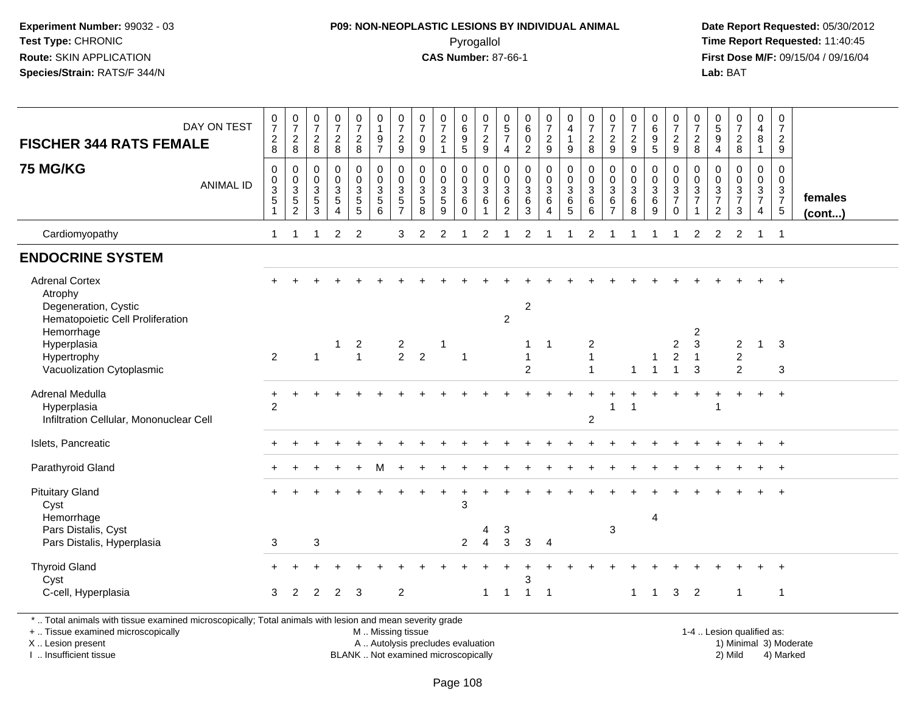#### **P09: NON-NEOPLASTIC LESIONS BY INDIVIDUAL ANIMAL**Pyrogallol **Time Report Requested:** 11:40:45

 **Date Report Requested:** 05/30/2012 **First Dose M/F:** 09/15/04 / 09/16/04 Lab: BAT **Lab:** BAT

| <b>FISCHER 344 RATS FEMALE</b>                                                               | DAY ON TEST      | $\frac{0}{7}$<br>$_{\rm 8}^2$                            | $\frac{0}{7}$<br>$_{\rm 8}^2$                                  | $\begin{smallmatrix}0\\7\end{smallmatrix}$<br>$_{8}^2$           | $\frac{0}{7}$<br>$\frac{2}{8}$                                                 | $\begin{smallmatrix}0\\7\end{smallmatrix}$<br>$\frac{2}{8}$ | $\begin{smallmatrix}0\\1\end{smallmatrix}$<br>9<br>$\overline{7}$ | $\frac{0}{7}$<br>$\frac{2}{9}$             | $\frac{0}{7}$<br>$\mathbf 0$<br>$\boldsymbol{9}$   | $\frac{0}{7}$<br>$\overline{2}$<br>$\mathbf{1}$ | 0<br>0<br>0<br>5                                          | $\frac{0}{7}$<br>$\frac{2}{9}$                        | $\begin{array}{c} 0 \\ 5 \\ 7 \end{array}$<br>$\overline{4}$        | $\begin{array}{c} 0 \\ 6 \end{array}$<br>$\mathbf 0$<br>$\overline{2}$ | $\frac{0}{7}$<br>$\frac{2}{9}$             | $\begin{smallmatrix}0\0\4\end{smallmatrix}$<br>$\mathbf{1}$<br>9 | $\frac{0}{7}$<br>$\frac{2}{8}$                 | $\frac{0}{7}$<br>$\frac{2}{9}$                          | $\frac{0}{7}$<br>$\frac{2}{9}$               | $\begin{array}{c} 0 \\ 6 \end{array}$<br>$\frac{9}{5}$                  | $\frac{0}{7}$<br>$\frac{2}{9}$                                            | 0<br>$\overline{7}$<br>$\frac{2}{8}$                                           | $\begin{array}{c} 0 \\ 5 \end{array}$<br>9<br>$\overline{4}$                   | $\frac{0}{7}$<br>$_{8}^2$                              | $\pmb{0}$<br>$\overline{\mathbf{4}}$<br>8<br>$\overline{1}$                    | $\pmb{0}$<br>$\overline{7}$<br>$\overline{2}$<br>9        |                   |
|----------------------------------------------------------------------------------------------|------------------|----------------------------------------------------------|----------------------------------------------------------------|------------------------------------------------------------------|--------------------------------------------------------------------------------|-------------------------------------------------------------|-------------------------------------------------------------------|--------------------------------------------|----------------------------------------------------|-------------------------------------------------|-----------------------------------------------------------|-------------------------------------------------------|---------------------------------------------------------------------|------------------------------------------------------------------------|--------------------------------------------|------------------------------------------------------------------|------------------------------------------------|---------------------------------------------------------|----------------------------------------------|-------------------------------------------------------------------------|---------------------------------------------------------------------------|--------------------------------------------------------------------------------|--------------------------------------------------------------------------------|--------------------------------------------------------|--------------------------------------------------------------------------------|-----------------------------------------------------------|-------------------|
| <b>75 MG/KG</b>                                                                              | <b>ANIMAL ID</b> | $\mathbf 0$<br>0<br>$\ensuremath{\mathsf{3}}$<br>5<br>-1 | $\mathbf 0$<br>$_{3}^{\rm 0}$<br>$\,$ 5 $\,$<br>$\overline{2}$ | $\mathbf 0$<br>$\boldsymbol{0}$<br>$\sqrt{3}$<br>$\sqrt{5}$<br>3 | $\mathbf 0$<br>$\pmb{0}$<br>$\sqrt{3}$<br>$\sqrt{5}$<br>$\boldsymbol{\Lambda}$ | 0<br>$\mathbf 0$<br>$\mathsf 3$<br>$\sqrt{5}$<br>5          | $\mathbf 0$<br>$\pmb{0}$<br>$\mathbf{3}$<br>5<br>6                | 0<br>$\mathbf 0$<br>$\mathbf{3}$<br>5<br>7 | 0<br>$\mathsf 0$<br>$\mathbf 3$<br>$\sqrt{5}$<br>8 | 0<br>$\pmb{0}$<br>$\mathbf{3}$<br>5<br>9        | 0<br>$\mathsf{O}\xspace$<br>$\mathbf{3}$<br>6<br>$\Omega$ | $\mathbf 0$<br>$\pmb{0}$<br>$\overline{3}$<br>$\,6\,$ | $\mathbf 0$<br>$\pmb{0}$<br>$\sqrt{3}$<br>$\,6\,$<br>$\overline{2}$ | $\mathbf 0$<br>$\mathbf 0$<br>$\mathbf{3}$<br>6<br>3                   | 0<br>$\boldsymbol{0}$<br>3<br>$\,6\,$<br>4 | $\pmb{0}$<br>$\frac{0}{3}$<br>$6\phantom{1}$<br>5                | $\mathbf 0$<br>$\boldsymbol{0}$<br>3<br>6<br>6 | 0<br>$\mathsf 0$<br>$\mathbf{3}$<br>6<br>$\overline{7}$ | 0<br>$\pmb{0}$<br>$\sqrt{3}$<br>$\,6\,$<br>8 | $\mathbf 0$<br>$\mathbf 0$<br>$\ensuremath{\mathsf{3}}$<br>$\,6\,$<br>9 | $\mathbf 0$<br>$\mathbf 0$<br>$\sqrt{3}$<br>$\overline{7}$<br>$\mathbf 0$ | $\mathbf 0$<br>$\mathbf 0$<br>$\ensuremath{\mathsf{3}}$<br>$\overline{7}$<br>1 | $\mathbf 0$<br>$\mathbf 0$<br>$\mathbf{3}$<br>$\overline{7}$<br>$\overline{c}$ | 0<br>$\mathsf{O}$<br>$\sqrt{3}$<br>$\overline{7}$<br>3 | $\mathbf 0$<br>$\mathbf 0$<br>$\mathbf{3}$<br>$\overline{7}$<br>$\overline{4}$ | $\mathbf 0$<br>$\mathbf 0$<br>$\frac{3}{7}$<br>$\sqrt{5}$ | females<br>(cont) |
| Cardiomyopathy                                                                               |                  | 1                                                        | -1                                                             | 1                                                                | 2                                                                              | $\overline{2}$                                              |                                                                   | 3                                          | $\overline{2}$                                     | $\overline{2}$                                  |                                                           | 2                                                     |                                                                     | 2                                                                      |                                            |                                                                  | 2                                              |                                                         |                                              |                                                                         | -1                                                                        | 2                                                                              | 2                                                                              | $\overline{2}$                                         | $\mathbf 1$                                                                    | $\overline{1}$                                            |                   |
| <b>ENDOCRINE SYSTEM</b>                                                                      |                  |                                                          |                                                                |                                                                  |                                                                                |                                                             |                                                                   |                                            |                                                    |                                                 |                                                           |                                                       |                                                                     |                                                                        |                                            |                                                                  |                                                |                                                         |                                              |                                                                         |                                                                           |                                                                                |                                                                                |                                                        |                                                                                |                                                           |                   |
| <b>Adrenal Cortex</b><br>Atrophy<br>Degeneration, Cystic<br>Hematopoietic Cell Proliferation |                  |                                                          |                                                                |                                                                  |                                                                                |                                                             |                                                                   |                                            |                                                    |                                                 |                                                           |                                                       | $\overline{2}$                                                      | $\boldsymbol{2}$                                                       |                                            |                                                                  |                                                |                                                         |                                              |                                                                         |                                                                           |                                                                                |                                                                                |                                                        |                                                                                |                                                           |                   |
| Hemorrhage<br>Hyperplasia<br>Hypertrophy<br>Vacuolization Cytoplasmic                        |                  | $\overline{2}$                                           |                                                                | $\mathbf{1}$                                                     | $\overline{1}$                                                                 | $\overline{c}$<br>$\mathbf{1}$                              |                                                                   | $\overline{2}$<br>2                        | $\overline{2}$                                     | 1                                               | -1                                                        |                                                       |                                                                     | 1<br>$\mathbf{1}$<br>$\overline{2}$                                    | 1                                          |                                                                  | $\overline{c}$<br>1<br>$\overline{1}$          |                                                         | $\overline{1}$                               | $\overline{1}$                                                          | $\overline{c}$<br>$\overline{2}$<br>$\overline{1}$                        | 2<br>$\mathsf 3$<br>$\overline{1}$<br>3                                        |                                                                                | $\overline{c}$<br>$\overline{c}$<br>$\overline{2}$     | $\mathbf{1}$                                                                   | $\mathbf{3}$<br>3                                         |                   |
| Adrenal Medulla<br>Hyperplasia<br>Infiltration Cellular, Mononuclear Cell                    |                  | $\overline{2}$                                           |                                                                |                                                                  |                                                                                |                                                             |                                                                   |                                            |                                                    |                                                 |                                                           |                                                       |                                                                     |                                                                        |                                            |                                                                  | $\overline{c}$                                 | 1                                                       |                                              |                                                                         |                                                                           |                                                                                |                                                                                |                                                        |                                                                                | $\overline{+}$                                            |                   |
| Islets, Pancreatic                                                                           |                  |                                                          |                                                                |                                                                  |                                                                                |                                                             |                                                                   |                                            |                                                    |                                                 |                                                           |                                                       |                                                                     |                                                                        |                                            |                                                                  |                                                |                                                         |                                              |                                                                         |                                                                           |                                                                                |                                                                                |                                                        |                                                                                | $\overline{+}$                                            |                   |
| Parathyroid Gland                                                                            |                  |                                                          |                                                                |                                                                  |                                                                                |                                                             |                                                                   |                                            |                                                    |                                                 |                                                           |                                                       |                                                                     |                                                                        |                                            |                                                                  |                                                |                                                         |                                              |                                                                         |                                                                           |                                                                                |                                                                                |                                                        |                                                                                |                                                           |                   |
| <b>Pituitary Gland</b><br>Cyst<br>Hemorrhage                                                 |                  |                                                          |                                                                |                                                                  |                                                                                |                                                             |                                                                   |                                            |                                                    |                                                 | 3                                                         |                                                       |                                                                     |                                                                        |                                            |                                                                  |                                                |                                                         |                                              | $\overline{4}$                                                          |                                                                           |                                                                                |                                                                                |                                                        |                                                                                | $\overline{+}$                                            |                   |
| Pars Distalis, Cyst<br>Pars Distalis, Hyperplasia                                            |                  | 3                                                        |                                                                | $\sqrt{3}$                                                       |                                                                                |                                                             |                                                                   |                                            |                                                    |                                                 | $\overline{2}$                                            | 4<br>$\overline{4}$                                   | 3<br>3                                                              | 3                                                                      | $\overline{4}$                             |                                                                  |                                                | 3                                                       |                                              |                                                                         |                                                                           |                                                                                |                                                                                |                                                        |                                                                                |                                                           |                   |
| <b>Thyroid Gland</b><br>Cyst                                                                 |                  |                                                          |                                                                |                                                                  |                                                                                |                                                             |                                                                   |                                            |                                                    |                                                 |                                                           |                                                       |                                                                     | 3                                                                      |                                            |                                                                  |                                                |                                                         |                                              |                                                                         |                                                                           |                                                                                |                                                                                |                                                        |                                                                                |                                                           |                   |
| C-cell, Hyperplasia                                                                          |                  | 3                                                        | 2                                                              | 2                                                                | $\overline{2}$                                                                 | 3                                                           |                                                                   | $\overline{c}$                             |                                                    |                                                 |                                                           | $\mathbf{1}$                                          | $\overline{1}$                                                      | $\overline{1}$                                                         | -1                                         |                                                                  |                                                |                                                         | 1                                            | $\overline{1}$                                                          | 3                                                                         | $\overline{2}$                                                                 |                                                                                | $\mathbf 1$                                            |                                                                                | $\overline{1}$                                            |                   |

\* .. Total animals with tissue examined microscopically; Total animals with lesion and mean severity grade

+ .. Tissue examined microscopicallyX .. Lesion present

I .. Insufficient tissue

 M .. Missing tissueA .. Autolysis precludes evaluation

BLANK .. Not examined microscopically 2) Mild 4) Marked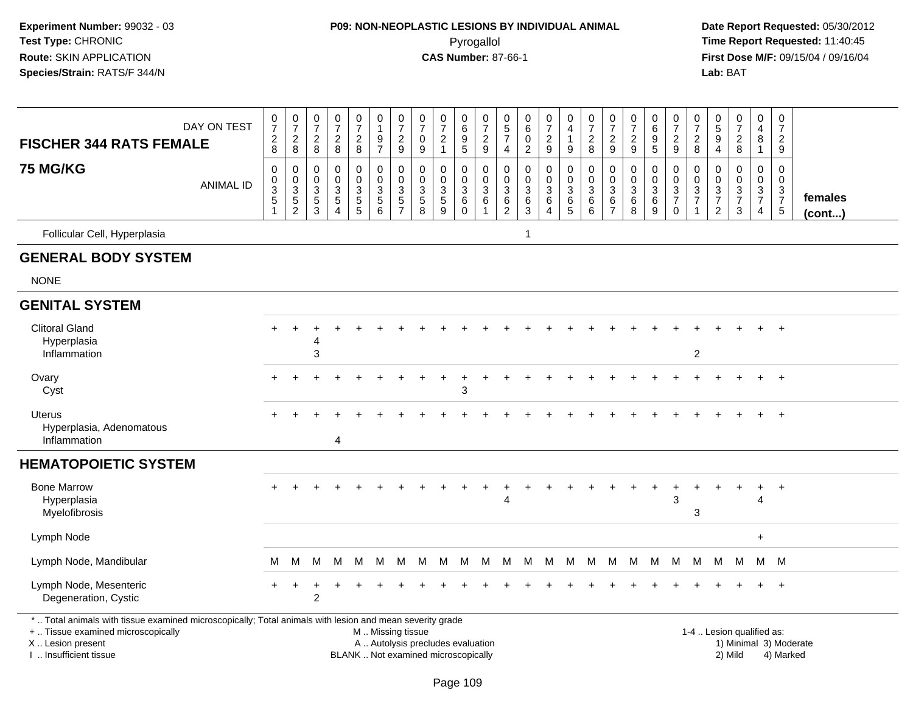# **P09: NON-NEOPLASTIC LESIONS BY INDIVIDUAL ANIMAL**Pyrogallol **Time Report Requested:** 11:40:45

| <b>FISCHER 344 RATS FEMALE</b>                                                                                                                                                               | DAY ON TEST      | $\frac{0}{7}$<br>$_{8}^2$         | $\begin{smallmatrix} 0\\7 \end{smallmatrix}$<br>$_{\rm 8}^2$ | $\frac{0}{7}$<br>$\frac{2}{8}$                                 | $\begin{array}{c} 0 \\ 7 \end{array}$<br>$\sqrt{2}$<br>$\,8\,$                   | $\frac{0}{7}$<br>$\frac{2}{8}$                   | $\begin{smallmatrix}0\1\end{smallmatrix}$<br>9<br>$\overline{7}$ | $\frac{0}{7}$<br>$\overline{c}$<br>9                   | $\begin{array}{c} 0 \\ 7 \end{array}$<br>0<br>9                                        | $\begin{array}{c} 0 \\ 7 \end{array}$<br>$\overline{c}$<br>$\mathbf{1}$  | $\mathbf 0$<br>$\overline{6}$<br>$\begin{array}{c} 9 \\ 5 \end{array}$ | $\begin{array}{c} 0 \\ 7 \end{array}$<br>$\frac{2}{9}$                | 0<br>$\overline{5}$<br>$\overline{7}$<br>$\overline{4}$               | $\mathbf 0$<br>$6\,$<br>$\mathbf 0$<br>$\overline{2}$   | $\frac{0}{7}$<br>$\overline{c}$<br>9                  | $\begin{smallmatrix}0\0\4\end{smallmatrix}$<br>$\overline{1}$<br>9 | $\frac{0}{7}$<br>$\boldsymbol{2}$<br>8                          | $\begin{array}{c} 0 \\ 7 \end{array}$<br>$\overline{c}$<br>$9\,$ | $\begin{array}{c} 0 \\ 7 \end{array}$<br>$\boldsymbol{2}$<br>$\boldsymbol{9}$ | 0<br>$6\phantom{a}$<br>$\boldsymbol{9}$<br>$\overline{5}$ | $\begin{matrix} 0 \\ 7 \end{matrix}$<br>$\frac{2}{9}$      | 0<br>$\overline{7}$<br>$_{\rm 8}^2$     | $\begin{array}{c} 0 \\ 5 \\ 9 \end{array}$<br>4               | $\frac{0}{7}$<br>$\frac{2}{8}$                   | $_4^{\rm O}$<br>8<br>$\mathbf{1}$                             | $\begin{array}{c} 0 \\ 7 \end{array}$<br>$\overline{2}$<br>$\boldsymbol{9}$ |                        |
|----------------------------------------------------------------------------------------------------------------------------------------------------------------------------------------------|------------------|-----------------------------------|--------------------------------------------------------------|----------------------------------------------------------------|----------------------------------------------------------------------------------|--------------------------------------------------|------------------------------------------------------------------|--------------------------------------------------------|----------------------------------------------------------------------------------------|--------------------------------------------------------------------------|------------------------------------------------------------------------|-----------------------------------------------------------------------|-----------------------------------------------------------------------|---------------------------------------------------------|-------------------------------------------------------|--------------------------------------------------------------------|-----------------------------------------------------------------|------------------------------------------------------------------|-------------------------------------------------------------------------------|-----------------------------------------------------------|------------------------------------------------------------|-----------------------------------------|---------------------------------------------------------------|--------------------------------------------------|---------------------------------------------------------------|-----------------------------------------------------------------------------|------------------------|
| <b>75 MG/KG</b>                                                                                                                                                                              | <b>ANIMAL ID</b> | $\mathbf 0$<br>0<br>$\frac{3}{5}$ | 0<br>$\begin{array}{c} 0 \\ 3 \\ 5 \\ 2 \end{array}$         | $\mathbf 0$<br>0<br>$\ensuremath{\mathsf{3}}$<br>$\frac{5}{3}$ | $\mathbf 0$<br>$\mathbf 0$<br>$\sqrt{3}$<br>$\sqrt{5}$<br>$\boldsymbol{\Lambda}$ | $\mathbf 0$<br>$\mathbf 0$<br>3<br>$\frac{5}{5}$ | $\mathbf 0$<br>$\pmb{0}$<br>$\frac{3}{5}$                        | $\mathbf 0$<br>$\mathbf 0$<br>3<br>5<br>$\overline{7}$ | $\mathbf 0$<br>0<br>$\ensuremath{\mathsf{3}}$<br>$\begin{array}{c} 5 \\ 8 \end{array}$ | $\mathbf 0$<br>0<br>$\frac{3}{5}$<br>9                                   | $\mathbf 0$<br>0<br>$\sqrt{3}$<br>$\,6\,$<br>$\mathbf 0$               | $\mathbf 0$<br>$\mathbf 0$<br>$\sqrt{3}$<br>$\,6\,$<br>$\overline{1}$ | $\mathbf 0$<br>$\mathbf 0$<br>$\sqrt{3}$<br>$\,6\,$<br>$\overline{2}$ | $\mathbf 0$<br>$\Omega$<br>$\mathbf{3}$<br>$\,6\,$<br>3 | 0<br>$\mathbf 0$<br>$\mathbf{3}$<br>$\,6$<br>$\Delta$ | $\mathbf 0$<br>$\mathbf 0$<br>$\mathfrak{Z}$<br>6<br>5             | $\mathbf 0$<br>$\pmb{0}$<br>$\ensuremath{\mathsf{3}}$<br>$^6_6$ | 0<br>$\mathbf 0$<br>$\mathbf{3}$<br>6<br>$\overline{7}$          | $\mathbf 0$<br>0<br>$\ensuremath{\mathsf{3}}$<br>$\,6\,$<br>8                 | 0<br>0<br>$\sqrt{3}$<br>$\,6\,$<br>$9\,$                  | $\mathbf 0$<br>$\mathsf 0$<br>$\frac{3}{7}$<br>$\mathbf 0$ | 0<br>$\mathbf 0$<br>3<br>$\overline{7}$ | $\mathbf 0$<br>$\mathbf 0$<br>$\frac{3}{7}$<br>$\overline{2}$ | $\mathbf 0$<br>$\mathbf 0$<br>$\frac{3}{7}$<br>3 | $\mathbf 0$<br>$\mathbf 0$<br>$\frac{3}{7}$<br>$\overline{4}$ | $\mathbf 0$<br>$\mathbf 0$<br>$\frac{3}{7}$<br>$5\phantom{.0}$              | females<br>(cont)      |
| Follicular Cell, Hyperplasia                                                                                                                                                                 |                  |                                   |                                                              |                                                                |                                                                                  |                                                  |                                                                  |                                                        |                                                                                        |                                                                          |                                                                        |                                                                       |                                                                       | 1                                                       |                                                       |                                                                    |                                                                 |                                                                  |                                                                               |                                                           |                                                            |                                         |                                                               |                                                  |                                                               |                                                                             |                        |
| <b>GENERAL BODY SYSTEM</b>                                                                                                                                                                   |                  |                                   |                                                              |                                                                |                                                                                  |                                                  |                                                                  |                                                        |                                                                                        |                                                                          |                                                                        |                                                                       |                                                                       |                                                         |                                                       |                                                                    |                                                                 |                                                                  |                                                                               |                                                           |                                                            |                                         |                                                               |                                                  |                                                               |                                                                             |                        |
| <b>NONE</b>                                                                                                                                                                                  |                  |                                   |                                                              |                                                                |                                                                                  |                                                  |                                                                  |                                                        |                                                                                        |                                                                          |                                                                        |                                                                       |                                                                       |                                                         |                                                       |                                                                    |                                                                 |                                                                  |                                                                               |                                                           |                                                            |                                         |                                                               |                                                  |                                                               |                                                                             |                        |
| <b>GENITAL SYSTEM</b>                                                                                                                                                                        |                  |                                   |                                                              |                                                                |                                                                                  |                                                  |                                                                  |                                                        |                                                                                        |                                                                          |                                                                        |                                                                       |                                                                       |                                                         |                                                       |                                                                    |                                                                 |                                                                  |                                                                               |                                                           |                                                            |                                         |                                                               |                                                  |                                                               |                                                                             |                        |
| <b>Clitoral Gland</b><br>Hyperplasia<br>Inflammation                                                                                                                                         |                  |                                   |                                                              | 4<br>3                                                         |                                                                                  |                                                  |                                                                  |                                                        |                                                                                        |                                                                          |                                                                        |                                                                       |                                                                       |                                                         |                                                       |                                                                    |                                                                 |                                                                  |                                                                               |                                                           |                                                            | $\overline{2}$                          |                                                               |                                                  |                                                               |                                                                             |                        |
| Ovary<br>Cyst                                                                                                                                                                                |                  | $+$                               |                                                              |                                                                |                                                                                  |                                                  |                                                                  |                                                        |                                                                                        |                                                                          | 3                                                                      |                                                                       |                                                                       |                                                         |                                                       |                                                                    |                                                                 |                                                                  |                                                                               |                                                           |                                                            |                                         |                                                               |                                                  |                                                               | $+$                                                                         |                        |
| <b>Uterus</b><br>Hyperplasia, Adenomatous<br>Inflammation                                                                                                                                    |                  |                                   |                                                              |                                                                | 4                                                                                |                                                  |                                                                  |                                                        |                                                                                        |                                                                          |                                                                        |                                                                       |                                                                       |                                                         |                                                       |                                                                    |                                                                 |                                                                  |                                                                               |                                                           |                                                            |                                         |                                                               |                                                  |                                                               | $+$                                                                         |                        |
| <b>HEMATOPOIETIC SYSTEM</b>                                                                                                                                                                  |                  |                                   |                                                              |                                                                |                                                                                  |                                                  |                                                                  |                                                        |                                                                                        |                                                                          |                                                                        |                                                                       |                                                                       |                                                         |                                                       |                                                                    |                                                                 |                                                                  |                                                                               |                                                           |                                                            |                                         |                                                               |                                                  |                                                               |                                                                             |                        |
| <b>Bone Marrow</b><br>Hyperplasia<br>Myelofibrosis                                                                                                                                           |                  |                                   |                                                              |                                                                |                                                                                  |                                                  |                                                                  |                                                        |                                                                                        |                                                                          |                                                                        |                                                                       | 4                                                                     |                                                         |                                                       |                                                                    |                                                                 |                                                                  |                                                                               | $\ddot{}$                                                 | 3                                                          | 3                                       |                                                               |                                                  | ÷<br>Δ                                                        | $^{+}$                                                                      |                        |
| Lymph Node                                                                                                                                                                                   |                  |                                   |                                                              |                                                                |                                                                                  |                                                  |                                                                  |                                                        |                                                                                        |                                                                          |                                                                        |                                                                       |                                                                       |                                                         |                                                       |                                                                    |                                                                 |                                                                  |                                                                               |                                                           |                                                            |                                         |                                                               |                                                  | $+$                                                           |                                                                             |                        |
| Lymph Node, Mandibular                                                                                                                                                                       |                  | М                                 | м                                                            | M                                                              | M                                                                                | М                                                | M                                                                | M                                                      | M                                                                                      | м                                                                        | M                                                                      | М                                                                     | M                                                                     |                                                         | M M                                                   | M                                                                  | M                                                               |                                                                  | M M                                                                           | M                                                         | M                                                          | M                                       | M                                                             | M                                                |                                                               | M M                                                                         |                        |
| Lymph Node, Mesenteric<br>Degeneration, Cystic                                                                                                                                               |                  | ╇                                 |                                                              | $\overline{c}$                                                 |                                                                                  |                                                  |                                                                  |                                                        |                                                                                        |                                                                          |                                                                        |                                                                       |                                                                       |                                                         |                                                       |                                                                    |                                                                 |                                                                  |                                                                               |                                                           |                                                            |                                         |                                                               |                                                  |                                                               | $\overline{+}$                                                              |                        |
| *  Total animals with tissue examined microscopically; Total animals with lesion and mean severity grade<br>+  Tissue examined microscopically<br>X Lesion present<br>I. Insufficient tissue |                  |                                   |                                                              |                                                                |                                                                                  |                                                  | M  Missing tissue                                                |                                                        |                                                                                        | A  Autolysis precludes evaluation<br>BLANK  Not examined microscopically |                                                                        |                                                                       |                                                                       |                                                         |                                                       |                                                                    |                                                                 |                                                                  |                                                                               |                                                           |                                                            |                                         |                                                               | 1-4  Lesion qualified as:<br>2) Mild             |                                                               | 4) Marked                                                                   | 1) Minimal 3) Moderate |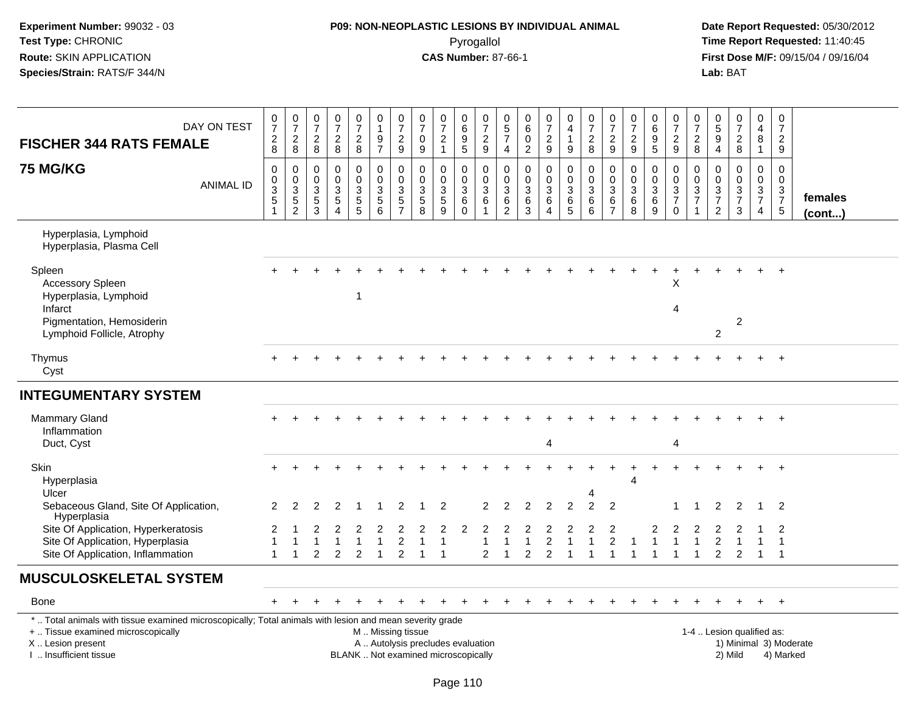## **P09: NON-NEOPLASTIC LESIONS BY INDIVIDUAL ANIMAL**Pyrogallol **Time Report Requested:** 11:40:45

| DAY ON TEST<br><b>FISCHER 344 RATS FEMALE</b>                                                                                                                                                 | 0<br>$\overline{7}$<br>$_{\rm 8}^2$           | $\pmb{0}$<br>$\overline{7}$<br>$\overline{2}$<br>8      | 0<br>$\overline{7}$<br>$\overline{c}$<br>8          | 0<br>$\overline{7}$<br>$\overline{2}$<br>8                          | $\frac{0}{7}$<br>$\overline{c}$<br>8                    | 0<br>$\mathbf{1}$<br>9<br>$\overline{7}$                 | 0<br>$\overline{7}$<br>$\sqrt{2}$<br>9                           | 0<br>$\overline{7}$<br>$\mathbf 0$<br>9 | 0<br>$\overline{7}$<br>$\sqrt{2}$<br>$\mathbf{1}$                | $\mathbf 0$<br>$6\phantom{1}6$<br>$9\,$<br>$\overline{5}$           | 0<br>$\overline{7}$<br>$\sqrt{2}$<br>$\boldsymbol{9}$                 | 0<br>$\overline{5}$<br>$\overline{7}$<br>$\overline{4}$            | 0<br>6<br>$\mathsf{O}\xspace$<br>$\overline{c}$                 | $\frac{0}{7}$<br>$\overline{c}$<br>9                              | $\pmb{0}$<br>$\overline{4}$<br>$\mathbf{1}$<br>9         | 0<br>$\overline{7}$<br>$\boldsymbol{2}$<br>8                                      | $\frac{0}{7}$<br>$\sqrt{2}$<br>$\boldsymbol{9}$     | 0<br>$\overline{7}$<br>$\overline{2}$<br>9        | $\mathbf 0$<br>$6\phantom{a}$<br>$\boldsymbol{9}$<br>$\sqrt{5}$ | 0<br>$\overline{7}$<br>$\overline{2}$<br>$\boldsymbol{9}$                  | 0<br>$\overline{7}$<br>$\overline{2}$<br>8                | 0<br>$\overline{5}$<br>9<br>$\overline{4}$                    | 0<br>$\overline{7}$<br>$\overline{a}$<br>8       | $\mathbf 0$<br>$\overline{4}$<br>8<br>$\mathbf{1}$     | $\mathbf 0$<br>$\overline{7}$<br>$\overline{2}$<br>9           |                         |
|-----------------------------------------------------------------------------------------------------------------------------------------------------------------------------------------------|-----------------------------------------------|---------------------------------------------------------|-----------------------------------------------------|---------------------------------------------------------------------|---------------------------------------------------------|----------------------------------------------------------|------------------------------------------------------------------|-----------------------------------------|------------------------------------------------------------------|---------------------------------------------------------------------|-----------------------------------------------------------------------|--------------------------------------------------------------------|-----------------------------------------------------------------|-------------------------------------------------------------------|----------------------------------------------------------|-----------------------------------------------------------------------------------|-----------------------------------------------------|---------------------------------------------------|-----------------------------------------------------------------|----------------------------------------------------------------------------|-----------------------------------------------------------|---------------------------------------------------------------|--------------------------------------------------|--------------------------------------------------------|----------------------------------------------------------------|-------------------------|
| <b>75 MG/KG</b><br><b>ANIMAL ID</b>                                                                                                                                                           | 0<br>$_3^0$<br>$\overline{5}$<br>$\mathbf{1}$ | 0<br>$_{3}^{\rm 0}$<br>$\overline{5}$<br>$\overline{2}$ | $\Omega$<br>$\mathbf 0$<br>$\sqrt{3}$<br>$5\,$<br>3 | $\Omega$<br>$\mathbf 0$<br>$\sqrt{3}$<br>$\overline{5}$<br>$\Delta$ | 0<br>$\mathsf 0$<br>$\mathbf{3}$<br>$\overline{5}$<br>5 | 0<br>$\mathbf 0$<br>$\mathbf{3}$<br>$\overline{5}$<br>6  | $\mathbf 0$<br>$\overline{0}$<br>$\frac{3}{5}$<br>$\overline{7}$ | 0<br>$\mathbf 0$<br>$\frac{3}{5}$<br>8  | $\mathbf{0}$<br>$\mathbf 0$<br>$\sqrt{3}$<br>$\overline{5}$<br>9 | $\mathbf 0$<br>$\mathbf 0$<br>$\mathsf 3$<br>$\,6\,$<br>$\mathbf 0$ | $\mathbf 0$<br>$\mathbf 0$<br>$\mathbf{3}$<br>$\,6\,$<br>$\mathbf{1}$ | $\Omega$<br>$\mathbf 0$<br>$\sqrt{3}$<br>$\,6\,$<br>$\overline{2}$ | $\mathbf 0$<br>$\mathbf 0$<br>$\sqrt{3}$<br>$6\phantom{a}$<br>3 | $\mathbf 0$<br>$\mathbf 0$<br>$\mathbf{3}$<br>6<br>$\overline{4}$ | 0<br>$\overline{0}$<br>3<br>$6\phantom{a}$<br>$\sqrt{5}$ | $\mathbf 0$<br>$\ddot{\mathbf{0}}$<br>$\overline{3}$<br>$6\phantom{a}$<br>$\,6\,$ | 0<br>$\mathbf 0$<br>$\frac{3}{6}$<br>$\overline{7}$ | $\Omega$<br>$\mathbf 0$<br>$\mathbf{3}$<br>6<br>8 | $\mathbf 0$<br>$\mathbf 0$<br>$\mathbf{3}$<br>$\,6\,$<br>9      | $\mathbf 0$<br>$\mathbf 0$<br>$\mathsf 3$<br>$\overline{7}$<br>$\mathbf 0$ | $\Omega$<br>$\mathbf 0$<br>$\mathbf{3}$<br>$\overline{7}$ | $\mathbf 0$<br>$\mathbf 0$<br>$\frac{3}{7}$<br>$\overline{2}$ | $\mathbf 0$<br>$\mathbf 0$<br>$\frac{3}{7}$<br>3 | 0<br>$\overline{0}$<br>$\frac{3}{7}$<br>$\overline{4}$ | $\mathbf 0$<br>$\mathbf 0$<br>$\frac{3}{7}$<br>$5\phantom{.0}$ | females<br>$($ cont $)$ |
| Hyperplasia, Lymphoid<br>Hyperplasia, Plasma Cell                                                                                                                                             |                                               |                                                         |                                                     |                                                                     |                                                         |                                                          |                                                                  |                                         |                                                                  |                                                                     |                                                                       |                                                                    |                                                                 |                                                                   |                                                          |                                                                                   |                                                     |                                                   |                                                                 |                                                                            |                                                           |                                                               |                                                  |                                                        |                                                                |                         |
| Spleen<br>Accessory Spleen<br>Hyperplasia, Lymphoid<br>Infarct<br>Pigmentation, Hemosiderin<br>Lymphoid Follicle, Atrophy                                                                     |                                               |                                                         |                                                     |                                                                     | $\mathbf{1}$                                            |                                                          |                                                                  |                                         |                                                                  |                                                                     |                                                                       |                                                                    |                                                                 |                                                                   |                                                          |                                                                                   |                                                     |                                                   |                                                                 | X<br>4                                                                     |                                                           | $\overline{c}$                                                | $\overline{c}$                                   |                                                        |                                                                |                         |
| Thymus<br>Cyst                                                                                                                                                                                |                                               |                                                         |                                                     |                                                                     |                                                         |                                                          |                                                                  |                                         |                                                                  |                                                                     |                                                                       |                                                                    |                                                                 |                                                                   |                                                          |                                                                                   |                                                     |                                                   |                                                                 |                                                                            |                                                           |                                                               |                                                  |                                                        |                                                                |                         |
| <b>INTEGUMENTARY SYSTEM</b>                                                                                                                                                                   |                                               |                                                         |                                                     |                                                                     |                                                         |                                                          |                                                                  |                                         |                                                                  |                                                                     |                                                                       |                                                                    |                                                                 |                                                                   |                                                          |                                                                                   |                                                     |                                                   |                                                                 |                                                                            |                                                           |                                                               |                                                  |                                                        |                                                                |                         |
| Mammary Gland<br>Inflammation<br>Duct, Cyst                                                                                                                                                   |                                               |                                                         |                                                     |                                                                     |                                                         |                                                          |                                                                  |                                         |                                                                  |                                                                     |                                                                       |                                                                    |                                                                 | $\overline{4}$                                                    |                                                          |                                                                                   |                                                     |                                                   |                                                                 | 4                                                                          |                                                           |                                                               |                                                  |                                                        |                                                                |                         |
| Skin<br>Hyperplasia<br>Ulcer                                                                                                                                                                  |                                               |                                                         |                                                     |                                                                     |                                                         |                                                          |                                                                  |                                         |                                                                  |                                                                     |                                                                       |                                                                    |                                                                 |                                                                   |                                                          |                                                                                   |                                                     | Δ                                                 |                                                                 |                                                                            |                                                           |                                                               |                                                  |                                                        |                                                                |                         |
| Sebaceous Gland, Site Of Application,<br>Hyperplasia                                                                                                                                          | 2                                             |                                                         |                                                     |                                                                     |                                                         |                                                          |                                                                  |                                         | 2                                                                |                                                                     |                                                                       |                                                                    |                                                                 | $\overline{2}$                                                    | 2                                                        | 2                                                                                 | $\overline{2}$                                      |                                                   |                                                                 |                                                                            |                                                           |                                                               | $\overline{2}$                                   | $\overline{1}$                                         | $\overline{2}$                                                 |                         |
| Site Of Application, Hyperkeratosis<br>Site Of Application, Hyperplasia<br>Site Of Application, Inflammation                                                                                  | 1<br>$\mathbf{1}$                             | -1                                                      | 1<br>2                                              | $\overline{2}$                                                      | $\overline{1}$<br>$\overline{2}$                        | 1<br>$\mathbf{1}$                                        | 2<br>2                                                           | -1<br>-1                                | -1<br>$\overline{1}$                                             |                                                                     | $\overline{c}$                                                        | 1<br>1                                                             | -1<br>$\overline{2}$                                            | $\overline{2}$<br>$\overline{2}$                                  | $\overline{1}$<br>$\overline{1}$                         | $\mathbf{1}$<br>$\mathbf 1$                                                       | 2<br>$\overline{c}$<br>$\overline{1}$               | -1<br>-1                                          | $\mathbf{1}$<br>$\mathbf{1}$                                    | 1<br>$\blacktriangleleft$                                                  | $\mathbf{1}$<br>$\mathbf{1}$                              | 2<br>$\overline{2}$                                           | $\overline{2}$                                   | 1<br>$\mathbf{1}$                                      | 2<br>$\overline{1}$<br>$\overline{\phantom{1}}$                |                         |
| <b>MUSCULOSKELETAL SYSTEM</b>                                                                                                                                                                 |                                               |                                                         |                                                     |                                                                     |                                                         |                                                          |                                                                  |                                         |                                                                  |                                                                     |                                                                       |                                                                    |                                                                 |                                                                   |                                                          |                                                                                   |                                                     |                                                   |                                                                 |                                                                            |                                                           |                                                               |                                                  |                                                        |                                                                |                         |
| <b>Bone</b>                                                                                                                                                                                   |                                               |                                                         |                                                     |                                                                     |                                                         |                                                          |                                                                  |                                         |                                                                  |                                                                     |                                                                       |                                                                    |                                                                 |                                                                   |                                                          |                                                                                   |                                                     |                                                   |                                                                 |                                                                            |                                                           |                                                               |                                                  | $+$                                                    | $+$                                                            |                         |
| *  Total animals with tissue examined microscopically; Total animals with lesion and mean severity grade<br>+  Tissue examined microscopically<br>X  Lesion present<br>I. Insufficient tissue |                                               |                                                         |                                                     |                                                                     |                                                         | M  Missing tissue<br>BLANK  Not examined microscopically |                                                                  |                                         |                                                                  |                                                                     | A  Autolysis precludes evaluation                                     |                                                                    |                                                                 |                                                                   |                                                          |                                                                                   |                                                     |                                                   |                                                                 |                                                                            |                                                           |                                                               | 1-4  Lesion qualified as:<br>2) Mild             |                                                        | 4) Marked                                                      | 1) Minimal 3) Moderate  |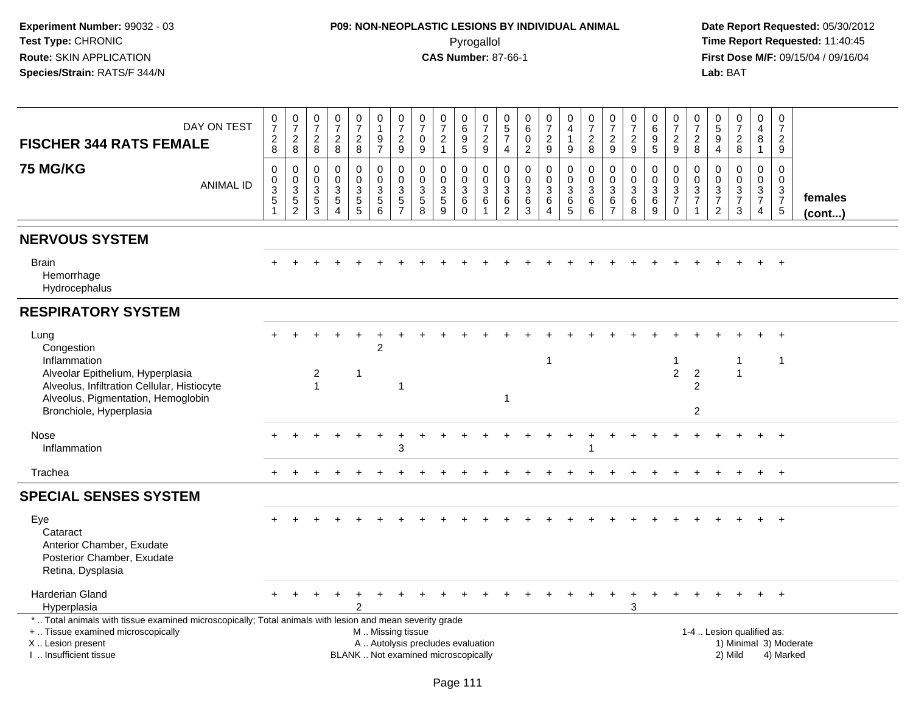# **P09: NON-NEOPLASTIC LESIONS BY INDIVIDUAL ANIMAL**Pyrogallol **Time Report Requested:** 11:40:45

| DAY ON TEST<br><b>FISCHER 344 RATS FEMALE</b>                                                                                                                                                 | $\frac{0}{7}$<br>$\frac{2}{8}$                                | $\frac{0}{7}$<br>$\overline{c}$<br>8                                                      | $\pmb{0}$<br>$\overline{7}$<br>$\frac{2}{8}$                | $\begin{array}{c} 0 \\ 7 \end{array}$<br>$\frac{2}{8}$                           | $\frac{0}{7}$<br>$\frac{2}{8}$                              | 0<br>$\mathbf{1}$<br>$\frac{9}{7}$                                         | $\frac{0}{7}$<br>$\frac{2}{9}$                                     | 0<br>$\overline{7}$<br>0<br>9                               | $\frac{0}{7}$<br>$\overline{2}$<br>$\overline{1}$                        | 0<br>$\,6\,$<br>$\begin{array}{c} 9 \\ 5 \end{array}$ | $\frac{0}{7}$<br>$\frac{2}{9}$                                     | 0<br>$\sqrt{5}$<br>$\overline{7}$<br>4 | 0<br>$\,6\,$<br>$\mathbf 0$<br>$\overline{2}$          | $\frac{0}{7}$<br>$\overline{2}$<br>$\boldsymbol{9}$ | 0<br>$\overline{\mathbf{4}}$<br>$\mathbf{1}$<br>$9\,$  | $\frac{0}{7}$<br>$\overline{c}$<br>$\bf 8$                                    | 0<br>$\overline{7}$<br>$\frac{2}{9}$                  | $\frac{0}{7}$<br>$\frac{2}{9}$                         | 0<br>$\,6\,$<br>$9\,$<br>$\overline{5}$                       | $\pmb{0}$<br>$\overline{7}$<br>$\frac{2}{9}$                     | 0<br>$\overline{7}$<br>$\overline{\mathbf{c}}$<br>8             | $\begin{matrix} 0 \\ 5 \end{matrix}$<br>9<br>$\overline{4}$                      | $\frac{0}{7}$<br>$\frac{2}{8}$            | 0<br>$\overline{\mathbf{4}}$<br>8<br>$\mathbf{1}$ | $\boldsymbol{0}$<br>$\overline{7}$<br>$\overline{2}$<br>$\mathsf g$ |                        |
|-----------------------------------------------------------------------------------------------------------------------------------------------------------------------------------------------|---------------------------------------------------------------|-------------------------------------------------------------------------------------------|-------------------------------------------------------------|----------------------------------------------------------------------------------|-------------------------------------------------------------|----------------------------------------------------------------------------|--------------------------------------------------------------------|-------------------------------------------------------------|--------------------------------------------------------------------------|-------------------------------------------------------|--------------------------------------------------------------------|----------------------------------------|--------------------------------------------------------|-----------------------------------------------------|--------------------------------------------------------|-------------------------------------------------------------------------------|-------------------------------------------------------|--------------------------------------------------------|---------------------------------------------------------------|------------------------------------------------------------------|-----------------------------------------------------------------|----------------------------------------------------------------------------------|-------------------------------------------|---------------------------------------------------|---------------------------------------------------------------------|------------------------|
| <b>75 MG/KG</b><br><b>ANIMAL ID</b>                                                                                                                                                           | 0<br>$\boldsymbol{0}$<br>$\ensuremath{\mathsf{3}}$<br>5<br>-1 | $\mathbf 0$<br>$\pmb{0}$<br>$\ensuremath{\mathsf{3}}$<br>$\overline{5}$<br>$\overline{2}$ | $\mathbf 0$<br>$\mathbf 0$<br>$\sqrt{3}$<br>$\sqrt{5}$<br>3 | $\mathbf 0$<br>$\mathbf 0$<br>$\sqrt{3}$<br>$\sqrt{5}$<br>$\boldsymbol{\Lambda}$ | 0<br>$\mathsf{O}\xspace$<br>$\mathbf{3}$<br>$\sqrt{5}$<br>5 | $\mathbf 0$<br>$\mathbf 0$<br>$\ensuremath{\mathsf{3}}$<br>$\sqrt{5}$<br>6 | 0<br>$\pmb{0}$<br>$\ensuremath{\mathsf{3}}$<br>5<br>$\overline{7}$ | $\mathbf 0$<br>$\mathbf 0$<br>$\sqrt{3}$<br>$\sqrt{5}$<br>8 | 0<br>$\pmb{0}$<br>$\sqrt{3}$<br>$\overline{5}$<br>9                      | 0<br>$\mathbf 0$<br>$\sqrt{3}$<br>6<br>$\Omega$       | $\mathbf 0$<br>$\overline{0}$<br>$\mathbf{3}$<br>6<br>$\mathbf{1}$ | 0<br>$\mathbf 0$<br>3<br>$\,6$<br>2    | $\mathbf 0$<br>$\mathbf 0$<br>$\sqrt{3}$<br>$\,6$<br>3 | 0<br>$\mathbf 0$<br>$\mathbf{3}$<br>6<br>4          | 0<br>$\ddot{\mathbf{0}}$<br>$\sqrt{3}$<br>$\,6\,$<br>5 | $\pmb{0}$<br>$\ddot{\mathbf{0}}$<br>$\ensuremath{\mathsf{3}}$<br>$\,6\,$<br>6 | 0<br>$\mathbf 0$<br>$\sqrt{3}$<br>6<br>$\overline{7}$ | $\mathbf 0$<br>$\pmb{0}$<br>$\sqrt{3}$<br>$\,6\,$<br>8 | 0<br>$\mathbf 0$<br>$\ensuremath{\mathsf{3}}$<br>$\,6\,$<br>9 | 0<br>$\mathbf 0$<br>$\mathsf 3$<br>$\overline{7}$<br>$\mathbf 0$ | 0<br>$\mathbf 0$<br>$\ensuremath{\mathsf{3}}$<br>$\overline{7}$ | $\mathbf 0$<br>$\mathbf 0$<br>$\mathbf{3}$<br>$\boldsymbol{7}$<br>$\overline{2}$ | 0<br>$\overline{0}$<br>$\frac{3}{7}$<br>3 | 0<br>$\overline{0}$<br>$\frac{3}{7}$<br>4         | $\mathbf 0$<br>$\boldsymbol{0}$<br>$\frac{3}{7}$<br>$5\phantom{.0}$ | females<br>(cont)      |
| <b>NERVOUS SYSTEM</b>                                                                                                                                                                         |                                                               |                                                                                           |                                                             |                                                                                  |                                                             |                                                                            |                                                                    |                                                             |                                                                          |                                                       |                                                                    |                                        |                                                        |                                                     |                                                        |                                                                               |                                                       |                                                        |                                                               |                                                                  |                                                                 |                                                                                  |                                           |                                                   |                                                                     |                        |
| <b>Brain</b><br>Hemorrhage<br>Hydrocephalus                                                                                                                                                   |                                                               |                                                                                           |                                                             |                                                                                  |                                                             |                                                                            |                                                                    |                                                             |                                                                          |                                                       |                                                                    |                                        |                                                        |                                                     |                                                        |                                                                               |                                                       |                                                        |                                                               |                                                                  |                                                                 |                                                                                  |                                           |                                                   | $\overline{+}$                                                      |                        |
| <b>RESPIRATORY SYSTEM</b>                                                                                                                                                                     |                                                               |                                                                                           |                                                             |                                                                                  |                                                             |                                                                            |                                                                    |                                                             |                                                                          |                                                       |                                                                    |                                        |                                                        |                                                     |                                                        |                                                                               |                                                       |                                                        |                                                               |                                                                  |                                                                 |                                                                                  |                                           |                                                   |                                                                     |                        |
| Lung<br>Congestion<br>Inflammation<br>Alveolar Epithelium, Hyperplasia<br>Alveolus, Infiltration Cellular, Histiocyte                                                                         |                                                               |                                                                                           | $\overline{c}$<br>$\mathbf{1}$                              |                                                                                  | $\mathbf 1$                                                 | $\overline{2}$                                                             | $\mathbf 1$                                                        |                                                             |                                                                          |                                                       |                                                                    |                                        |                                                        | $\mathbf 1$                                         |                                                        |                                                                               |                                                       |                                                        |                                                               | 1<br>$\overline{2}$                                              | $\overline{2}$<br>$\overline{c}$                                |                                                                                  | -1<br>$\mathbf{1}$                        |                                                   | $\overline{1}$                                                      |                        |
| Alveolus, Pigmentation, Hemoglobin<br>Bronchiole, Hyperplasia                                                                                                                                 |                                                               |                                                                                           |                                                             |                                                                                  |                                                             |                                                                            |                                                                    |                                                             |                                                                          |                                                       |                                                                    | $\mathbf{1}$                           |                                                        |                                                     |                                                        |                                                                               |                                                       |                                                        |                                                               |                                                                  | $\overline{c}$                                                  |                                                                                  |                                           |                                                   |                                                                     |                        |
| <b>Nose</b><br>Inflammation                                                                                                                                                                   |                                                               |                                                                                           |                                                             |                                                                                  |                                                             |                                                                            | 3                                                                  |                                                             |                                                                          |                                                       |                                                                    |                                        |                                                        |                                                     |                                                        | -1                                                                            |                                                       |                                                        |                                                               |                                                                  |                                                                 |                                                                                  |                                           |                                                   | $\overline{+}$                                                      |                        |
| Trachea                                                                                                                                                                                       | $+$                                                           |                                                                                           |                                                             |                                                                                  |                                                             |                                                                            |                                                                    |                                                             |                                                                          |                                                       |                                                                    |                                        |                                                        |                                                     |                                                        |                                                                               |                                                       |                                                        |                                                               |                                                                  |                                                                 |                                                                                  |                                           | $\ddot{}$                                         | $+$                                                                 |                        |
| <b>SPECIAL SENSES SYSTEM</b>                                                                                                                                                                  |                                                               |                                                                                           |                                                             |                                                                                  |                                                             |                                                                            |                                                                    |                                                             |                                                                          |                                                       |                                                                    |                                        |                                                        |                                                     |                                                        |                                                                               |                                                       |                                                        |                                                               |                                                                  |                                                                 |                                                                                  |                                           |                                                   |                                                                     |                        |
| Eye<br>Cataract<br>Anterior Chamber, Exudate<br>Posterior Chamber, Exudate<br>Retina, Dysplasia                                                                                               |                                                               |                                                                                           |                                                             |                                                                                  |                                                             |                                                                            |                                                                    |                                                             |                                                                          |                                                       |                                                                    |                                        |                                                        |                                                     |                                                        |                                                                               |                                                       |                                                        |                                                               |                                                                  |                                                                 |                                                                                  |                                           |                                                   | $+$                                                                 |                        |
| Harderian Gland<br>Hyperplasia                                                                                                                                                                |                                                               |                                                                                           |                                                             |                                                                                  |                                                             |                                                                            |                                                                    |                                                             |                                                                          |                                                       |                                                                    |                                        |                                                        |                                                     |                                                        |                                                                               |                                                       | 3                                                      | $\pm$                                                         |                                                                  |                                                                 |                                                                                  |                                           | $\ddot{}$                                         | $+$                                                                 |                        |
| *  Total animals with tissue examined microscopically; Total animals with lesion and mean severity grade<br>+  Tissue examined microscopically<br>X  Lesion present<br>I  Insufficient tissue |                                                               |                                                                                           |                                                             |                                                                                  |                                                             | M. Missing tissue                                                          |                                                                    |                                                             | A  Autolysis precludes evaluation<br>BLANK  Not examined microscopically |                                                       |                                                                    |                                        |                                                        |                                                     |                                                        |                                                                               |                                                       |                                                        |                                                               |                                                                  |                                                                 |                                                                                  | 1-4  Lesion qualified as:<br>2) Mild      |                                                   | 4) Marked                                                           | 1) Minimal 3) Moderate |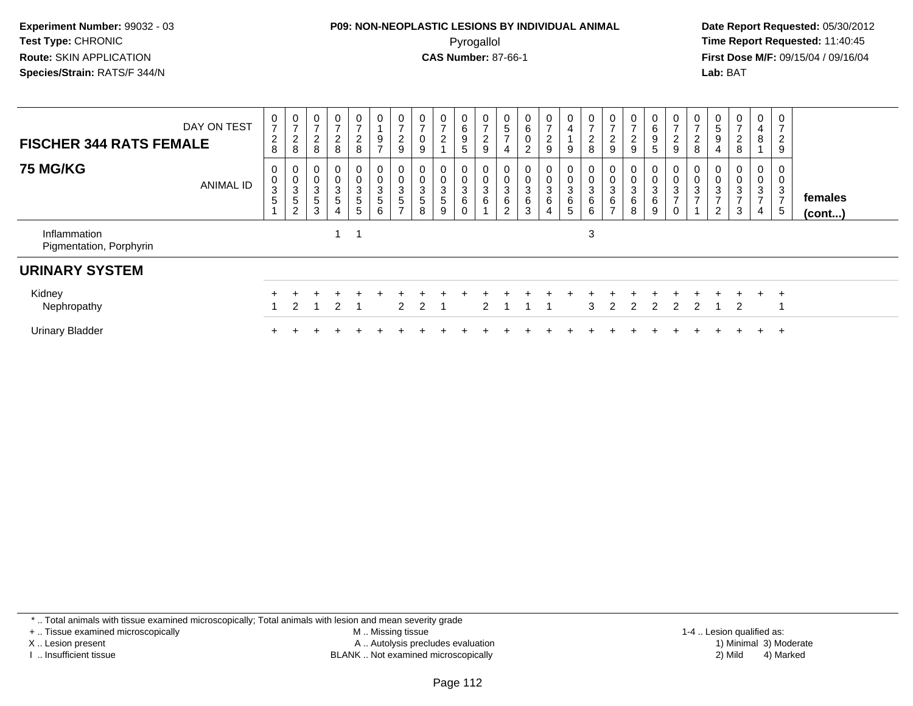#### **P09: NON-NEOPLASTIC LESIONS BY INDIVIDUAL ANIMAL**Pyrogallol **Time Report Requested:** 11:40:45

 **Date Report Requested:** 05/30/2012 **First Dose M/F:** 09/15/04 / 09/16/04 Lab: BAT **Lab:** BAT

| DAY ON TEST<br><b>FISCHER 344 RATS FEMALE</b> | 0<br>$\overline{\phantom{a}}$<br>$\boldsymbol{2}$<br>8 | 0<br>$\rightarrow$<br>$\overline{\mathbf{c}}$<br>8 | 0<br>$\boldsymbol{2}$<br>8        | 0<br>$\overline{c}$<br>8                                 | $\mathbf{0}$<br>$\overline{2}$<br>8 | 0<br>$\frac{9}{7}$                   | $\cup$<br>$\overline{ }$<br>$\frac{2}{9}$               | $\mathbf 0$<br>$\overline{ }$<br>$\pmb{0}$<br>$\boldsymbol{9}$ | $\mathbf{0}$<br>2             | 0<br>6<br>$\boldsymbol{9}$<br>5 | 0<br>$\overline{ }$<br>$\overline{c}$<br>9 | O<br>$\mathbf 5$<br>$\rightarrow$<br>$\overline{4}$    | 0<br>$\,6\,$<br>$\pmb{0}$<br>$\overline{2}$ | $\frac{0}{7}$<br>$\frac{2}{9}$                            | 0<br>$\overline{4}$<br>$\boldsymbol{9}$ | 0<br>$\overline{ }$<br>$\overline{c}$<br>8 | $\overline{ }$<br>$\boldsymbol{2}$<br>9     | 0<br>$\overline{ }$<br>$\frac{2}{9}$ | $\overline{0}$<br>6<br>$\boldsymbol{9}$<br>5                       | $\mathbf 0$<br>$\overline{\mathbf{c}}$<br>$\boldsymbol{9}$ | $\mathbf{0}$<br>$\overline{c}$<br>$\,8\,$  | $\mathbf{0}$<br>$\,$ 5 $\,$<br>$\boldsymbol{9}$<br>$\overline{4}$               | 0<br>$\overline{ }$<br>$_{8}^2$    | 0<br>$\overline{a}$<br>8                                | ∠<br>9                                  |                   |
|-----------------------------------------------|--------------------------------------------------------|----------------------------------------------------|-----------------------------------|----------------------------------------------------------|-------------------------------------|--------------------------------------|---------------------------------------------------------|----------------------------------------------------------------|-------------------------------|---------------------------------|--------------------------------------------|--------------------------------------------------------|---------------------------------------------|-----------------------------------------------------------|-----------------------------------------|--------------------------------------------|---------------------------------------------|--------------------------------------|--------------------------------------------------------------------|------------------------------------------------------------|--------------------------------------------|---------------------------------------------------------------------------------|------------------------------------|---------------------------------------------------------|-----------------------------------------|-------------------|
| <b>75 MG/KG</b><br><b>ANIMAL ID</b>           | 0<br>0<br>$\ensuremath{\mathsf{3}}$<br>5               | $\mathbf 0$<br>3<br>5<br>$\sim$                    | $\pmb{0}$<br>3<br>$\sqrt{5}$<br>3 | 0<br>$\pmb{0}$<br>3<br>$5\phantom{.0}$<br>$\overline{4}$ | 0<br>0<br>3<br>$5\phantom{.0}$<br>5 | 0<br>$\pmb{0}$<br>$\frac{3}{5}$<br>6 | $\pmb{0}$<br>$\sqrt{3}$<br>$\sqrt{5}$<br>$\overline{ }$ | 0<br>$\pmb{0}$<br>3<br>5<br>8                                  | 0<br>$\pmb{0}$<br>3<br>5<br>9 | $\mathsf 0$<br>$\sqrt{3}$<br>6  | 0<br>$\pmb{0}$<br>3<br>6                   | $\mathbf 0$<br>$\mathbf{3}$<br>$\,6$<br>$\overline{2}$ | 0<br>$\pmb{0}$<br>$^3$ 6<br>$\mathbf{3}$    | 0<br>$\pmb{0}$<br>$\sqrt{3}$<br>$\,6\,$<br>$\overline{4}$ | 0<br>$\pmb{0}$<br>$^3$ 6<br>5           | 0<br>$\pmb{0}$<br>$\sqrt{3}$<br>$\,6$<br>6 | $\pmb{0}$<br>3<br>$\,6\,$<br>$\overline{ }$ | 0<br>3<br>6<br>8                     | $\overline{0}$<br>$\pmb{0}$<br>$\ensuremath{\mathsf{3}}$<br>6<br>9 | 0<br>$\mathbf 0$<br>3<br>$\rightarrow$<br>$\mathbf 0$      | $\pmb{0}$<br>$\mathbf{3}$<br>$\rightarrow$ | 0<br>$\pmb{0}$<br>$\ensuremath{\mathsf{3}}$<br>$\overline{ }$<br>$\overline{2}$ | 0<br>0<br>3<br>$\overline{ }$<br>3 | 0<br>$\pmb{0}$<br>3<br>$\overline{ }$<br>$\overline{4}$ | 0<br>3<br>$\overline{\phantom{0}}$<br>5 | females<br>(cont) |
| Inflammation<br>Pigmentation, Porphyrin       |                                                        |                                                    |                                   |                                                          |                                     |                                      |                                                         |                                                                |                               |                                 |                                            |                                                        |                                             |                                                           |                                         | 3                                          |                                             |                                      |                                                                    |                                                            |                                            |                                                                                 |                                    |                                                         |                                         |                   |
| <b>URINARY SYSTEM</b>                         |                                                        |                                                    |                                   |                                                          |                                     |                                      |                                                         |                                                                |                               |                                 |                                            |                                                        |                                             |                                                           |                                         |                                            |                                             |                                      |                                                                    |                                                            |                                            |                                                                                 |                                    |                                                         |                                         |                   |
| Kidney<br>Nephropathy                         |                                                        |                                                    |                                   | 2                                                        |                                     |                                      | 2                                                       | 2                                                              |                               |                                 | ာ                                          |                                                        |                                             |                                                           |                                         | 3                                          |                                             | $\mathcal{P}$                        | $\mathcal{P}$                                                      | $\mathcal{P}$                                              | 2                                          |                                                                                 | $+$<br>2                           | $+$                                                     | $\overline{ }$                          |                   |
| <b>Urinary Bladder</b>                        |                                                        |                                                    |                                   |                                                          |                                     |                                      |                                                         |                                                                |                               |                                 |                                            |                                                        |                                             |                                                           |                                         |                                            |                                             |                                      |                                                                    |                                                            |                                            |                                                                                 |                                    | $+$                                                     | $\pm$                                   |                   |

\* .. Total animals with tissue examined microscopically; Total animals with lesion and mean severity grade

+ .. Tissue examined microscopically

X .. Lesion present

I .. Insufficient tissue

 M .. Missing tissueA .. Autolysis precludes evaluation

BLANK .. Not examined microscopically 2) Mild 4) Marked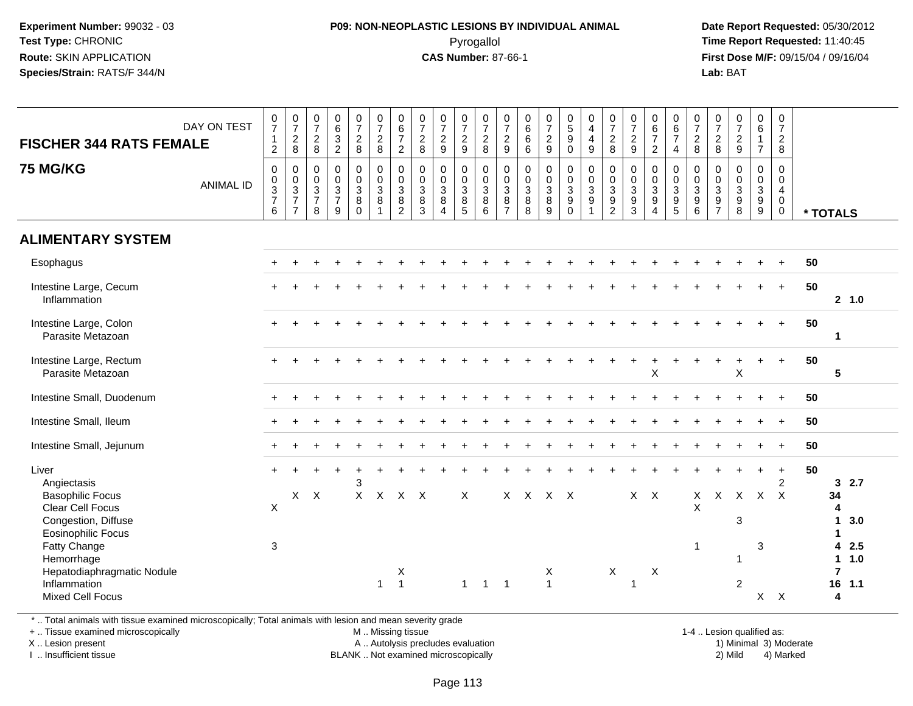#### **P09: NON-NEOPLASTIC LESIONS BY INDIVIDUAL ANIMAL**Pyrogallol **Time Report Requested:** 11:40:45

 **Date Report Requested:** 05/30/2012 **First Dose M/F:** 09/15/04 / 09/16/04 Lab: BAT **Lab:** BAT

| $\frac{0}{7}$<br>$\mathbf{1}$<br>$\overline{2}$             | $\frac{0}{7}$<br>$\frac{2}{8}$                                              | $\frac{0}{7}$<br>$\overline{2}$<br>8                             | 0<br>$\,6\,$<br>$\ensuremath{\mathsf{3}}$<br>$\overline{2}$       | $\frac{0}{7}$<br>$_{8}^2$                            | $\frac{0}{7}$<br>$\frac{2}{8}$                                | $\begin{array}{c} 0 \\ 6 \\ 7 \end{array}$<br>$\overline{2}$                 | $\frac{0}{7}$<br>$\frac{2}{8}$                        | $\frac{0}{7}$<br>$\frac{2}{9}$                                  | $\frac{0}{7}$<br>$\frac{2}{9}$                                            | $\frac{0}{7}$<br>$\frac{2}{8}$            | $\frac{0}{7}$<br>$\frac{2}{9}$                      | 0<br>$\,6\,$<br>$\,6\,$<br>$6\phantom{a}$                                 | $\frac{0}{7}$<br>$\frac{2}{9}$                                    | $\begin{array}{c} 0 \\ 5 \\ 9 \end{array}$<br>$\mathsf{O}\xspace$                   | 0<br>$\overline{\mathbf{4}}$<br>$\overline{\mathbf{4}}$<br>9                   | $\frac{0}{7}$<br>$\frac{2}{8}$                                                                | $\frac{0}{7}$<br>$\frac{2}{9}$                                      | $\begin{array}{c} 0 \\ 6 \\ 7 \end{array}$<br>$\overline{2}$ | 0<br>$\,6\,$<br>$\overline{7}$<br>$\overline{4}$                      | $\frac{0}{7}$<br>$\frac{2}{8}$                                             | $\frac{0}{7}$<br>$\frac{2}{8}$                                                                | $\frac{0}{7}$<br>$\frac{2}{9}$                     | $\begin{array}{c} 0 \\ 6 \end{array}$<br>$\mathbf{1}$<br>$\overline{7}$  | 0<br>$\overline{7}$<br>$\overline{a}$<br>8                                 |              |                                                                                                    |                          |
|-------------------------------------------------------------|-----------------------------------------------------------------------------|------------------------------------------------------------------|-------------------------------------------------------------------|------------------------------------------------------|---------------------------------------------------------------|------------------------------------------------------------------------------|-------------------------------------------------------|-----------------------------------------------------------------|---------------------------------------------------------------------------|-------------------------------------------|-----------------------------------------------------|---------------------------------------------------------------------------|-------------------------------------------------------------------|-------------------------------------------------------------------------------------|--------------------------------------------------------------------------------|-----------------------------------------------------------------------------------------------|---------------------------------------------------------------------|--------------------------------------------------------------|-----------------------------------------------------------------------|----------------------------------------------------------------------------|-----------------------------------------------------------------------------------------------|----------------------------------------------------|--------------------------------------------------------------------------|----------------------------------------------------------------------------|--------------|----------------------------------------------------------------------------------------------------|--------------------------|
| $\mathbf 0$<br>$\pmb{0}$<br>$\frac{3}{7}$<br>$6\phantom{1}$ | $\mathbf 0$<br>$\begin{array}{c} 0 \\ 3 \\ 7 \end{array}$<br>$\overline{7}$ | $\mathbf 0$<br>$\mathbf 0$<br>$\mathsf 3$<br>$\overline{7}$<br>8 | $\mathbf 0$<br>$\mathbf 0$<br>$\mathbf{3}$<br>$\overline{7}$<br>9 | 0<br>$\mathbf 0$<br>$\mathbf{3}$<br>8<br>$\mathbf 0$ | $\pmb{0}$<br>$\mathbf 0$<br>$\mathbf{3}$<br>8<br>$\mathbf{1}$ | $_{\rm 0}^{\rm 0}$<br>$\ensuremath{\mathsf{3}}$<br>$\bf 8$<br>$\overline{2}$ | $\pmb{0}$<br>$\pmb{0}$<br>$\frac{3}{8}$<br>$\sqrt{3}$ | $\mathbf 0$<br>$\mathbf 0$<br>$\sqrt{3}$<br>8<br>$\overline{4}$ | 0<br>$\mathbf 0$<br>$\ensuremath{\mathsf{3}}$<br>$\, 8$<br>$\overline{5}$ | 0<br>$\mathbf 0$<br>$\mathsf 3$<br>8<br>6 | 0<br>$\pmb{0}$<br>$\sqrt{3}$<br>8<br>$\overline{7}$ | $\mathbf 0$<br>$\mathsf{O}\xspace$<br>$\ensuremath{\mathsf{3}}$<br>8<br>8 | $\pmb{0}$<br>$\pmb{0}$<br>$\sqrt{3}$<br>$\bf 8$<br>$\overline{9}$ | $\mathbf 0$<br>$\mathsf{O}\xspace$<br>$\ensuremath{\mathsf{3}}$<br>9<br>$\mathbf 0$ | $\mathbf 0$<br>$\mathbf 0$<br>$\sqrt{3}$<br>$\boldsymbol{9}$<br>$\overline{1}$ | $\mathbf 0$<br>$\mathbf 0$<br>$\ensuremath{\mathsf{3}}$<br>$\boldsymbol{9}$<br>$\overline{c}$ | $\mathbf 0$<br>$\mathbf 0$<br>$\mathbf{3}$<br>$\boldsymbol{9}$<br>3 | 0<br>$\mathbf 0$<br>$\mathbf{3}$<br>9<br>$\overline{4}$      | 0<br>$\mathbf 0$<br>$\ensuremath{\mathsf{3}}$<br>9<br>$5\phantom{.0}$ | 0<br>$\pmb{0}$<br>$\ensuremath{\mathsf{3}}$<br>$\boldsymbol{9}$<br>$\,6\,$ | $\mathbf 0$<br>$\mathbf 0$<br>$\ensuremath{\mathsf{3}}$<br>$\boldsymbol{9}$<br>$\overline{7}$ | $\mathbf 0$<br>$\mathbf 0$<br>$\sqrt{3}$<br>9<br>8 | 0<br>$\mathbf 0$<br>$\mathbf{3}$<br>$\boldsymbol{9}$<br>$\boldsymbol{9}$ | $\mathbf 0$<br>$\mathbf 0$<br>$\overline{4}$<br>$\mathbf 0$<br>$\mathbf 0$ |              |                                                                                                    |                          |
|                                                             |                                                                             |                                                                  |                                                                   |                                                      |                                                               |                                                                              |                                                       |                                                                 |                                                                           |                                           |                                                     |                                                                           |                                                                   |                                                                                     |                                                                                |                                                                                               |                                                                     |                                                              |                                                                       |                                                                            |                                                                                               |                                                    |                                                                          |                                                                            |              |                                                                                                    |                          |
|                                                             |                                                                             |                                                                  |                                                                   |                                                      |                                                               |                                                                              |                                                       |                                                                 |                                                                           |                                           |                                                     |                                                                           |                                                                   |                                                                                     |                                                                                |                                                                                               |                                                                     |                                                              |                                                                       |                                                                            |                                                                                               |                                                    |                                                                          |                                                                            | 50           |                                                                                                    |                          |
|                                                             |                                                                             |                                                                  |                                                                   |                                                      |                                                               |                                                                              |                                                       |                                                                 |                                                                           |                                           |                                                     |                                                                           |                                                                   |                                                                                     |                                                                                |                                                                                               |                                                                     |                                                              |                                                                       |                                                                            |                                                                                               |                                                    |                                                                          | $\ddot{}$                                                                  | 50           | 2, 1.0                                                                                             |                          |
|                                                             |                                                                             |                                                                  |                                                                   |                                                      |                                                               |                                                                              |                                                       |                                                                 |                                                                           |                                           |                                                     |                                                                           |                                                                   |                                                                                     |                                                                                |                                                                                               |                                                                     |                                                              |                                                                       |                                                                            |                                                                                               |                                                    |                                                                          |                                                                            | 50           | 1                                                                                                  |                          |
|                                                             |                                                                             |                                                                  |                                                                   |                                                      |                                                               |                                                                              |                                                       |                                                                 |                                                                           |                                           |                                                     |                                                                           |                                                                   |                                                                                     |                                                                                |                                                                                               |                                                                     | X                                                            |                                                                       |                                                                            |                                                                                               | $\boldsymbol{\mathsf{X}}$                          |                                                                          | $+$                                                                        | 50           | $5\phantom{.0}$                                                                                    |                          |
|                                                             |                                                                             |                                                                  |                                                                   |                                                      |                                                               |                                                                              |                                                       |                                                                 |                                                                           |                                           |                                                     |                                                                           |                                                                   |                                                                                     |                                                                                |                                                                                               |                                                                     |                                                              |                                                                       |                                                                            |                                                                                               |                                                    |                                                                          |                                                                            | 50           |                                                                                                    |                          |
|                                                             |                                                                             |                                                                  |                                                                   |                                                      |                                                               |                                                                              |                                                       |                                                                 |                                                                           |                                           |                                                     |                                                                           |                                                                   |                                                                                     |                                                                                |                                                                                               |                                                                     |                                                              |                                                                       |                                                                            |                                                                                               |                                                    |                                                                          | $\ddot{}$                                                                  | 50           |                                                                                                    |                          |
|                                                             |                                                                             |                                                                  |                                                                   |                                                      |                                                               |                                                                              |                                                       |                                                                 |                                                                           |                                           |                                                     |                                                                           |                                                                   |                                                                                     |                                                                                |                                                                                               |                                                                     |                                                              |                                                                       |                                                                            |                                                                                               |                                                    |                                                                          |                                                                            | 50           |                                                                                                    |                          |
| $\boldsymbol{\mathsf{X}}$<br>3                              |                                                                             |                                                                  |                                                                   | 3                                                    | $\boldsymbol{\mathsf{X}}$<br>$\mathbf{1}$                     | X<br>$\overline{1}$                                                          |                                                       |                                                                 | X<br>$\mathbf{1}$                                                         | $\overline{1}$                            | $\overline{1}$                                      |                                                                           | Х<br>$\mathbf{1}$                                                 |                                                                                     |                                                                                | $\mathsf X$                                                                                   | 1                                                                   | X                                                            |                                                                       | X<br>$\mathsf X$<br>$\mathbf 1$                                            |                                                                                               | 3<br>-1<br>$\boldsymbol{2}$                        | 3<br>X                                                                   | $\ddot{}$<br>$\overline{2}$<br>$\mathsf{X}$                                | 50           | 2.7<br>3<br>4<br>3.0<br>1<br>$\mathbf{1}$<br>2.5<br>4<br>1.0<br>$\mathbf 1$<br>$\overline{7}$<br>4 |                          |
|                                                             |                                                                             |                                                                  | $X$ $X$                                                           |                                                      |                                                               | $\mathsf{X}$                                                                 |                                                       | $X$ $X$                                                         |                                                                           |                                           |                                                     |                                                                           |                                                                   |                                                                                     | $X$ $X$ $X$ $X$                                                                |                                                                                               |                                                                     |                                                              | $X$ $X$                                                               |                                                                            |                                                                                               |                                                    | $\mathsf{X}$                                                             | $X$ $X$                                                                    | $\mathsf{X}$ |                                                                                                    | * TOTALS<br>34<br>16 1.1 |

\* .. Total animals with tissue examined microscopically; Total animals with lesion and mean severity grade

+ .. Tissue examined microscopically

X .. Lesion present

I .. Insufficient tissue

M .. Missing tissue

A .. Autolysis precludes evaluation

BLANK .. Not examined microscopically 2) Mild 4) Marked

1-4 .. Lesion qualified as:<br>1) Minimal 3) Moderate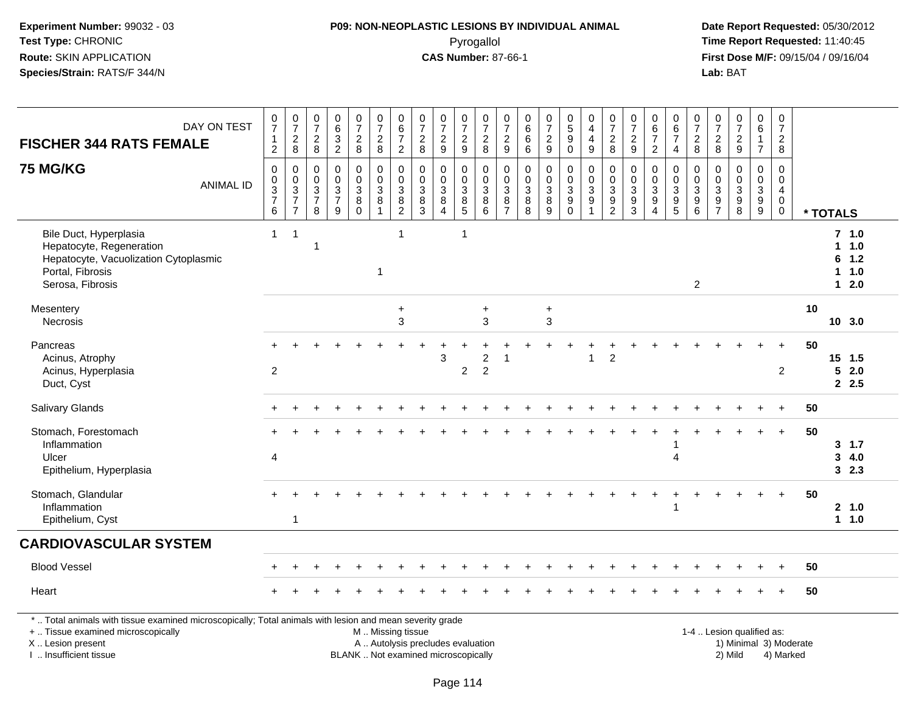#### **P09: NON-NEOPLASTIC LESIONS BY INDIVIDUAL ANIMAL**Pyrogallol **Time Report Requested:** 11:40:45

| DAY ON TEST<br><b>FISCHER 344 RATS FEMALE</b>                                                                                                                                                 | $\frac{0}{7}$<br>$\mathbf{1}$<br>$\overline{c}$ | $\frac{0}{7}$<br>$\frac{2}{8}$                               | $\frac{0}{7}$<br>$\overline{c}$<br>8             | $\pmb{0}$<br>$\,6\,$<br>$\frac{3}{2}$                   | $\begin{array}{c} 0 \\ 7 \end{array}$<br>$\frac{2}{8}$                            | $\begin{array}{c} 0 \\ 7 \end{array}$<br>$\frac{2}{8}$        | $\begin{array}{c} 0 \\ 6 \end{array}$<br>$\overline{7}$<br>$\overline{2}$ | $\frac{0}{7}$<br>$\mathbf 2$<br>8                                        | $\frac{0}{7}$<br>$\frac{2}{9}$                                          | $\frac{0}{7}$<br>$\overline{c}$<br>9                            | $\frac{0}{7}$<br>$_{\rm 8}^2$                      | $\begin{array}{c} 0 \\ 7 \end{array}$<br>$\frac{2}{9}$        | 0<br>$\overline{6}$<br>$\,6$<br>$\,6\,$       | $\frac{0}{7}$<br>$\sqrt{2}$<br>$9\,$                    | $\begin{array}{c} 0 \\ 5 \end{array}$<br>$\overline{9}$<br>$\mathsf 0$ | $\begin{smallmatrix}0\0\4\end{smallmatrix}$<br>$\overline{4}$<br>$9\,$           | $\frac{0}{7}$<br>$\sqrt{2}$<br>8              | $\frac{0}{7}$<br>$\frac{2}{9}$                                | $\mathbf 0$<br>$\overline{6}$<br>$\overline{7}$<br>$\overline{2}$                     | $\begin{array}{c} 0 \\ 6 \end{array}$<br>$\overline{7}$<br>$\overline{4}$ | $\frac{0}{7}$<br>$\frac{2}{8}$                      | $\frac{0}{7}$<br>$\boldsymbol{2}$<br>8                 | $\begin{smallmatrix}0\\7\end{smallmatrix}$<br>$\frac{2}{9}$         | $_{6}^{\rm 0}$<br>$\overline{7}$                                       | $\pmb{0}$<br>$\overline{7}$<br>$\frac{2}{8}$                             |                        |                                      |            |
|-----------------------------------------------------------------------------------------------------------------------------------------------------------------------------------------------|-------------------------------------------------|--------------------------------------------------------------|--------------------------------------------------|---------------------------------------------------------|-----------------------------------------------------------------------------------|---------------------------------------------------------------|---------------------------------------------------------------------------|--------------------------------------------------------------------------|-------------------------------------------------------------------------|-----------------------------------------------------------------|----------------------------------------------------|---------------------------------------------------------------|-----------------------------------------------|---------------------------------------------------------|------------------------------------------------------------------------|----------------------------------------------------------------------------------|-----------------------------------------------|---------------------------------------------------------------|---------------------------------------------------------------------------------------|---------------------------------------------------------------------------|-----------------------------------------------------|--------------------------------------------------------|---------------------------------------------------------------------|------------------------------------------------------------------------|--------------------------------------------------------------------------|------------------------|--------------------------------------|------------|
| <b>75 MG/KG</b><br><b>ANIMAL ID</b>                                                                                                                                                           | $\mathbf 0$<br>$0$<br>$3$<br>$7$<br>$6$         | $\pmb{0}$<br>$\begin{array}{c} 0 \\ 3 \\ 7 \\ 7 \end{array}$ | $\mathbf 0$<br>$\mathbf 0$<br>$\frac{3}{7}$<br>8 | 0<br>$\mathsf 0$<br>$\mathbf{3}$<br>$\overline{7}$<br>9 | $\pmb{0}$<br>$\mathsf{O}\xspace$<br>$\overline{3}$<br>$\overline{8}$ <sup>8</sup> | 0<br>$\mathbf 0$<br>$\mathbf{3}$<br>$\bf 8$<br>$\overline{1}$ | $\pmb{0}$<br>$\mathbf 0$<br>$\overline{3}$<br>$\frac{8}{2}$               | 0<br>$\mathbf 0$<br>$\mathbf{3}$<br>$\bf 8$<br>3                         | $\mathbf 0$<br>$\pmb{0}$<br>$\overline{3}$<br>$\bf 8$<br>$\overline{4}$ | $\mathbf 0$<br>$\pmb{0}$<br>$\mathbf{3}$<br>$\overline{8}$<br>5 | 0<br>$\mathbf 0$<br>$\overline{3}$<br>$\bf 8$<br>6 | $\mathbf 0$<br>$\mathbf 0$<br>$\overline{3}$<br>$\frac{8}{7}$ | $\mathbf 0$<br>$\pmb{0}$<br>3<br>$\bf 8$<br>8 | $\mathbf 0$<br>$\pmb{0}$<br>$\mathbf{3}$<br>$\, 8$<br>9 | 0<br>$\mathbf 0$<br>$\mathbf{3}$<br>$\overline{9}$<br>$\Omega$         | $\mathsf 0$<br>$\mathbf 0$<br>$\overline{3}$<br>$\overline{9}$<br>$\overline{1}$ | $\mathbf 0$<br>$\frac{0}{3}$<br>$\frac{9}{2}$ | $\mathbf 0$<br>$\mathbf 0$<br>$\overline{3}$<br>$\frac{9}{3}$ | $\Omega$<br>$\mathbf 0$<br>$\mathbf{3}$<br>$\boldsymbol{9}$<br>$\boldsymbol{\Lambda}$ | 0<br>$\mathbf 0$<br>$\mathsf 3$<br>$\frac{9}{5}$                          | $\mathbf 0$<br>$\mathbf 0$<br>3<br>$\mathsf g$<br>6 | $\Omega$<br>$\mathsf 0$<br>$\sqrt{3}$<br>$\frac{9}{7}$ | $\mathbf 0$<br>$\mathbf 0$<br>$\overline{3}$<br>$\overline{9}$<br>8 | $\mathbf 0$<br>$\mathsf{O}\xspace$<br>$\overline{3}$<br>$\overline{9}$ | $\mathbf 0$<br>$\pmb{0}$<br>$\overline{4}$<br>$\mathbf 0$<br>$\mathbf 0$ |                        | * TOTALS                             |            |
| Bile Duct, Hyperplasia<br>Hepatocyte, Regeneration<br>Hepatocyte, Vacuolization Cytoplasmic<br>Portal, Fibrosis<br>Serosa, Fibrosis                                                           | $1 -$                                           | $\overline{1}$                                               | -1                                               |                                                         |                                                                                   | 1                                                             | $\mathbf{1}$                                                              |                                                                          |                                                                         | $\mathbf{1}$                                                    |                                                    |                                                               |                                               |                                                         |                                                                        |                                                                                  |                                               |                                                               |                                                                                       |                                                                           | $\overline{2}$                                      |                                                        |                                                                     |                                                                        |                                                                          |                        | $7$ 1.0<br>1 1.0<br>6<br>1<br>$12.0$ | 1.2<br>1.0 |
| Mesentery<br>Necrosis                                                                                                                                                                         |                                                 |                                                              |                                                  |                                                         |                                                                                   |                                                               | $\ddot{}$<br>3                                                            |                                                                          |                                                                         |                                                                 | $\ddot{}$<br>3                                     |                                                               |                                               | $\ddot{}$<br>3                                          |                                                                        |                                                                                  |                                               |                                                               |                                                                                       |                                                                           |                                                     |                                                        |                                                                     |                                                                        |                                                                          | 10                     | 10 3.0                               |            |
| Pancreas<br>Acinus, Atrophy<br>Acinus, Hyperplasia<br>Duct, Cyst                                                                                                                              | $\overline{c}$                                  |                                                              |                                                  |                                                         |                                                                                   |                                                               |                                                                           |                                                                          | 3                                                                       | $\overline{c}$                                                  | $\overline{2}$<br>$\overline{c}$                   | -1                                                            |                                               |                                                         |                                                                        | $\mathbf 1$                                                                      | $\overline{c}$                                |                                                               |                                                                                       |                                                                           |                                                     |                                                        |                                                                     |                                                                        | $\overline{2}$                                                           | 50                     | $15$ 1.5<br>52.0<br>2.5              |            |
| <b>Salivary Glands</b>                                                                                                                                                                        |                                                 |                                                              |                                                  |                                                         |                                                                                   |                                                               |                                                                           |                                                                          |                                                                         |                                                                 |                                                    |                                                               |                                               |                                                         |                                                                        |                                                                                  |                                               |                                                               |                                                                                       |                                                                           |                                                     |                                                        |                                                                     |                                                                        |                                                                          | 50                     |                                      |            |
| Stomach, Forestomach<br>Inflammation<br>Ulcer<br>Epithelium, Hyperplasia                                                                                                                      | $\overline{\mathbf{4}}$                         |                                                              |                                                  |                                                         |                                                                                   |                                                               |                                                                           |                                                                          |                                                                         |                                                                 |                                                    |                                                               |                                               |                                                         |                                                                        |                                                                                  |                                               |                                                               |                                                                                       | 4                                                                         |                                                     |                                                        |                                                                     |                                                                        |                                                                          | 50                     | $3 \t1.7$<br>3<br>32.3               | 4.0        |
| Stomach, Glandular<br>Inflammation<br>Epithelium, Cyst                                                                                                                                        |                                                 | $\mathbf{1}$                                                 |                                                  |                                                         |                                                                                   |                                                               |                                                                           |                                                                          |                                                                         |                                                                 |                                                    |                                                               |                                               |                                                         |                                                                        |                                                                                  |                                               |                                                               |                                                                                       | 1                                                                         |                                                     |                                                        |                                                                     |                                                                        |                                                                          | 50                     | 2, 1.0<br>$1 1.0$                    |            |
| <b>CARDIOVASCULAR SYSTEM</b>                                                                                                                                                                  |                                                 |                                                              |                                                  |                                                         |                                                                                   |                                                               |                                                                           |                                                                          |                                                                         |                                                                 |                                                    |                                                               |                                               |                                                         |                                                                        |                                                                                  |                                               |                                                               |                                                                                       |                                                                           |                                                     |                                                        |                                                                     |                                                                        |                                                                          |                        |                                      |            |
| <b>Blood Vessel</b>                                                                                                                                                                           |                                                 |                                                              |                                                  |                                                         |                                                                                   |                                                               |                                                                           |                                                                          |                                                                         |                                                                 |                                                    |                                                               |                                               |                                                         |                                                                        |                                                                                  |                                               |                                                               |                                                                                       |                                                                           |                                                     |                                                        |                                                                     |                                                                        |                                                                          | 50                     |                                      |            |
| Heart                                                                                                                                                                                         |                                                 |                                                              |                                                  |                                                         |                                                                                   |                                                               |                                                                           |                                                                          |                                                                         |                                                                 |                                                    |                                                               |                                               |                                                         |                                                                        |                                                                                  |                                               |                                                               |                                                                                       |                                                                           |                                                     |                                                        |                                                                     |                                                                        |                                                                          | 50                     |                                      |            |
| *  Total animals with tissue examined microscopically; Total animals with lesion and mean severity grade<br>+  Tissue examined microscopically<br>X  Lesion present<br>I. Insufficient tissue |                                                 |                                                              |                                                  |                                                         |                                                                                   | M  Missing tissue                                             |                                                                           | A  Autolysis precludes evaluation<br>BLANK  Not examined microscopically |                                                                         |                                                                 |                                                    |                                                               |                                               |                                                         |                                                                        |                                                                                  |                                               |                                                               |                                                                                       |                                                                           |                                                     |                                                        | 1-4  Lesion qualified as:<br>2) Mild                                |                                                                        | 4) Marked                                                                | 1) Minimal 3) Moderate |                                      |            |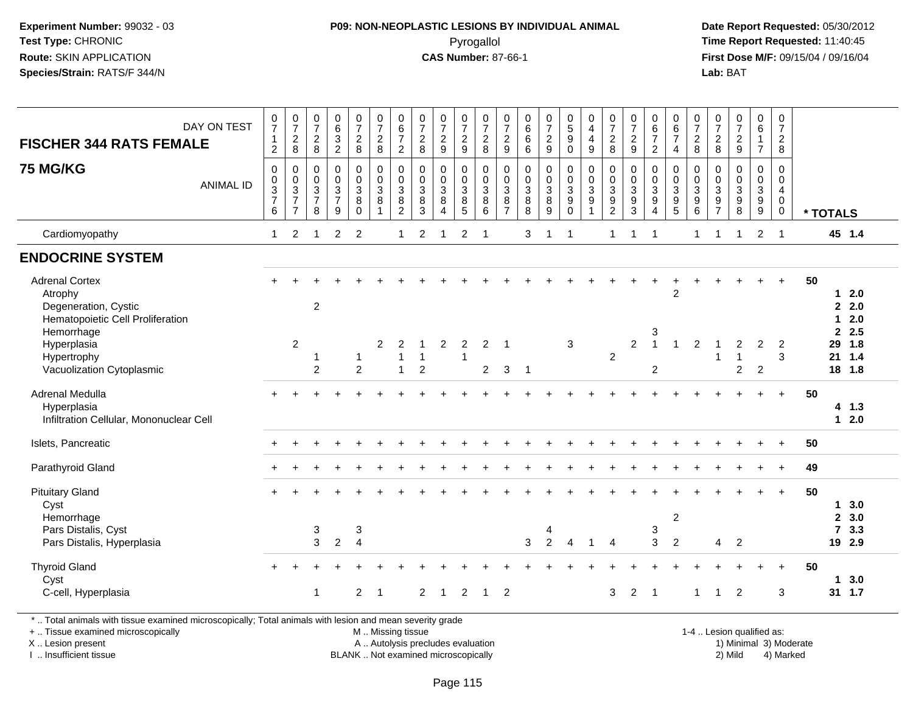#### **P09: NON-NEOPLASTIC LESIONS BY INDIVIDUAL ANIMAL**Pyrogallol **Time Report Requested:** 11:40:45

 **Date Report Requested:** 05/30/2012 **First Dose M/F:** 09/15/04 / 09/16/04 Lab: BAT **Lab:** BAT

| <b>FISCHER 344 RATS FEMALE</b>                                                                                                                                 | DAY ON TEST      | $\frac{0}{7}$<br>$\mathbf 1$<br>$\overline{2}$ | $\begin{array}{c} 0 \\ 7 \end{array}$<br>$\frac{2}{8}$            | $\frac{0}{7}$<br>$\overline{\mathbf{c}}$<br>8 | $\mathbf 0$<br>6<br>$\sqrt{3}$<br>$\overline{2}$                | $\frac{0}{7}$<br>$_{\rm 8}^2$                     | $\frac{0}{7}$<br>$\frac{2}{8}$                     | $\begin{array}{c} 0 \\ 6 \\ 7 \end{array}$<br>$\overline{2}$       | $\frac{0}{7}$<br>$\frac{2}{8}$                       | $\frac{0}{7}$<br>$\frac{2}{9}$                                          | $\begin{array}{c} 0 \\ 7 \end{array}$<br>$\frac{2}{9}$ | $\frac{0}{7}$<br>$\frac{2}{8}$                     | 0<br>$\overline{7}$<br>$\frac{2}{9}$          | 0<br>$\,6\,$<br>$\,6\,$<br>6                         | $\frac{0}{7}$<br>$\frac{2}{9}$               | $\begin{array}{c} 0 \\ 5 \\ 9 \end{array}$<br>$\Omega$      | 0<br>$\overline{4}$<br>$\overline{\mathbf{4}}$<br>9            | $\pmb{0}$<br>$\overline{7}$<br>$\frac{2}{8}$                  | $\frac{0}{7}$<br>$\frac{2}{9}$                                    | $0$<br>6<br>7<br>$\overline{2}$  | $\begin{array}{c} 0 \\ 6 \\ 7 \end{array}$<br>$\overline{4}$ | $\begin{array}{c} 0 \\ 7 \end{array}$<br>$\frac{2}{8}$    | $\begin{array}{c} 0 \\ 7 \end{array}$<br>$\begin{array}{c} 2 \\ 8 \end{array}$ | $\frac{0}{7}$<br>$\frac{2}{9}$                       | $\begin{array}{c} 0 \\ 6 \end{array}$<br>$\mathbf{1}$<br>$\overline{7}$ | $\begin{array}{c} 0 \\ 7 \end{array}$<br>$\frac{2}{8}$                          |          |                                       |                             |  |
|----------------------------------------------------------------------------------------------------------------------------------------------------------------|------------------|------------------------------------------------|-------------------------------------------------------------------|-----------------------------------------------|-----------------------------------------------------------------|---------------------------------------------------|----------------------------------------------------|--------------------------------------------------------------------|------------------------------------------------------|-------------------------------------------------------------------------|--------------------------------------------------------|----------------------------------------------------|-----------------------------------------------|------------------------------------------------------|----------------------------------------------|-------------------------------------------------------------|----------------------------------------------------------------|---------------------------------------------------------------|-------------------------------------------------------------------|----------------------------------|--------------------------------------------------------------|-----------------------------------------------------------|--------------------------------------------------------------------------------|------------------------------------------------------|-------------------------------------------------------------------------|---------------------------------------------------------------------------------|----------|---------------------------------------|-----------------------------|--|
| <b>75 MG/KG</b>                                                                                                                                                | <b>ANIMAL ID</b> | 0<br>0<br>3<br>$\overline{7}$<br>6             | $\mathbf 0$<br>$_{3}^{\rm 0}$<br>$\overline{7}$<br>$\overline{7}$ | 0<br>0<br>$\sqrt{3}$<br>$\overline{7}$<br>8   | $\mathbf 0$<br>$\mathbf 0$<br>$\sqrt{3}$<br>$\overline{7}$<br>9 | 0<br>$\mathbf 0$<br>$\mathbf{3}$<br>8<br>$\Omega$ | 0<br>$\mathsf{O}\xspace$<br>$\mathbf{3}$<br>8<br>1 | 0<br>$\pmb{0}$<br>$\ensuremath{\mathsf{3}}$<br>8<br>$\overline{2}$ | $\mathbf 0$<br>$\mathbf 0$<br>$\mathbf{3}$<br>8<br>3 | $\mathbf 0$<br>$\pmb{0}$<br>$\mathbf{3}$<br>8<br>$\boldsymbol{\Lambda}$ | 0<br>0<br>$\ensuremath{\mathsf{3}}$<br>8<br>5          | $\mathbf 0$<br>$\pmb{0}$<br>$\mathbf{3}$<br>8<br>6 | 0<br>0<br>$\mathbf{3}$<br>8<br>$\overline{7}$ | $\mathbf 0$<br>$\mathbf 0$<br>$\mathbf{3}$<br>8<br>8 | 0<br>$\pmb{0}$<br>$\sqrt{3}$<br>$\bf 8$<br>9 | $\mathbf 0$<br>$\mathbf 0$<br>$\mathbf{3}$<br>9<br>$\Omega$ | $\mathbf 0$<br>$\pmb{0}$<br>$\mathbf 3$<br>9<br>$\overline{1}$ | $\mathbf 0$<br>$\pmb{0}$<br>$\sqrt{3}$<br>9<br>$\overline{2}$ | $\mathbf 0$<br>$\pmb{0}$<br>$\mathbf{3}$<br>$\boldsymbol{9}$<br>3 | 0<br>0<br>3<br>9<br>4            | 0<br>$\pmb{0}$<br>$\mathbf{3}$<br>9<br>5                     | $\mathbf 0$<br>0<br>$\mathbf{3}$<br>$\boldsymbol{9}$<br>6 | $\mathbf 0$<br>$\pmb{0}$<br>$\sqrt{3}$<br>$\boldsymbol{9}$<br>$\overline{7}$   | $\mathbf 0$<br>$\mathbf 0$<br>$\mathbf{3}$<br>9<br>8 | $\mathbf 0$<br>$\mathbf 0$<br>$\mathbf{3}$<br>$9\,$<br>$\boldsymbol{9}$ | $\mathbf 0$<br>$\mathbf 0$<br>$\overline{4}$<br>$\boldsymbol{0}$<br>$\mathbf 0$ | * TOTALS |                                       |                             |  |
| Cardiomyopathy                                                                                                                                                 |                  | $\mathbf{1}$                                   | 2                                                                 | -1                                            | 2                                                               | $\overline{2}$                                    |                                                    | $\mathbf{1}$                                                       | $\overline{2}$                                       |                                                                         | $\overline{c}$                                         | -1                                                 |                                               | 3                                                    |                                              | $\overline{\mathbf{1}}$                                     |                                                                | $\mathbf{1}$                                                  |                                                                   | $\overline{1}$                   |                                                              | 1                                                         |                                                                                | -1                                                   | $\overline{2}$                                                          | $\overline{1}$                                                                  |          |                                       | 45 1.4                      |  |
| <b>ENDOCRINE SYSTEM</b>                                                                                                                                        |                  |                                                |                                                                   |                                               |                                                                 |                                                   |                                                    |                                                                    |                                                      |                                                                         |                                                        |                                                    |                                               |                                                      |                                              |                                                             |                                                                |                                                               |                                                                   |                                  |                                                              |                                                           |                                                                                |                                                      |                                                                         |                                                                                 |          |                                       |                             |  |
| <b>Adrenal Cortex</b><br>Atrophy<br>Degeneration, Cystic<br>Hematopoietic Cell Proliferation<br>Hemorrhage                                                     |                  |                                                |                                                                   | $\overline{c}$                                |                                                                 |                                                   |                                                    |                                                                    |                                                      |                                                                         |                                                        |                                                    |                                               |                                                      |                                              |                                                             |                                                                |                                                               |                                                                   | 3                                | 2                                                            |                                                           |                                                                                |                                                      |                                                                         | $\ddot{}$                                                                       | 50       | 1<br>$\mathbf{1}$<br>$\overline{2}$   | 2.0<br>2.0<br>2.0<br>2.5    |  |
| Hyperplasia<br>Hypertrophy<br>Vacuolization Cytoplasmic                                                                                                        |                  |                                                | 2                                                                 | $\mathbf 1$<br>$\overline{2}$                 |                                                                 | 1<br>$\overline{2}$                               | $\overline{2}$                                     | $\overline{2}$<br>$\mathbf 1$<br>$\mathbf{1}$                      | 1<br>$\overline{c}$                                  | $\overline{2}$                                                          | $\overline{2}$<br>$\mathbf{1}$                         | $\overline{2}$<br>$\overline{2}$                   | $\overline{1}$<br>3                           | $\mathbf 1$                                          |                                              | 3                                                           |                                                                | $\overline{2}$                                                | $\overline{c}$                                                    | $\overline{1}$<br>$\overline{c}$ |                                                              | $\overline{2}$                                            | -1                                                                             | 2<br>$\overline{\mathbf{1}}$<br>$\overline{2}$       | $\overline{c}$<br>$\overline{2}$                                        | $\overline{2}$<br>3                                                             |          | 29<br>21                              | 1.8<br>$1.4$<br>18 1.8      |  |
| Adrenal Medulla<br>Hyperplasia<br>Infiltration Cellular, Mononuclear Cell                                                                                      |                  |                                                |                                                                   |                                               |                                                                 |                                                   |                                                    |                                                                    |                                                      |                                                                         |                                                        |                                                    |                                               |                                                      |                                              |                                                             |                                                                |                                                               |                                                                   |                                  |                                                              |                                                           |                                                                                |                                                      |                                                                         | $\ddot{}$                                                                       | 50       | $\mathbf 1$                           | 4 1.3<br>2.0                |  |
| Islets, Pancreatic                                                                                                                                             |                  |                                                |                                                                   |                                               |                                                                 |                                                   |                                                    |                                                                    |                                                      |                                                                         |                                                        |                                                    |                                               |                                                      |                                              |                                                             |                                                                |                                                               |                                                                   |                                  |                                                              |                                                           |                                                                                |                                                      |                                                                         |                                                                                 | 50       |                                       |                             |  |
| Parathyroid Gland                                                                                                                                              |                  |                                                |                                                                   |                                               |                                                                 |                                                   |                                                    |                                                                    |                                                      |                                                                         |                                                        |                                                    |                                               |                                                      |                                              |                                                             |                                                                |                                                               |                                                                   |                                  |                                                              |                                                           |                                                                                |                                                      |                                                                         | $\ddot{}$                                                                       | 49       |                                       |                             |  |
| <b>Pituitary Gland</b><br>Cyst<br>Hemorrhage<br>Pars Distalis, Cyst<br>Pars Distalis, Hyperplasia                                                              |                  |                                                |                                                                   | 3<br>3                                        | $\overline{2}$                                                  | $\ensuremath{\mathsf{3}}$<br>$\overline{4}$       |                                                    |                                                                    |                                                      |                                                                         |                                                        |                                                    |                                               | 3                                                    | 4<br>$\overline{2}$                          | $\overline{4}$                                              | $\overline{1}$                                                 | $\overline{4}$                                                |                                                                   | 3<br>3                           | $\overline{2}$<br>$\overline{c}$                             |                                                           | 4                                                                              | $\overline{2}$                                       |                                                                         | $\ddot{}$                                                                       | 50       | 1<br>$\overline{2}$<br>$\overline{7}$ | 3.0<br>3.0<br>3.3<br>19 2.9 |  |
| <b>Thyroid Gland</b><br>Cyst<br>C-cell, Hyperplasia<br>* Total animals with tissue examined microscopically: Total animals with lesion and mean severity grade |                  |                                                |                                                                   | $\overline{1}$                                |                                                                 | $\overline{2}$                                    | -1                                                 |                                                                    | 2                                                    | $\overline{1}$                                                          | $\overline{c}$                                         | $\mathbf 1$                                        | $\overline{2}$                                |                                                      |                                              |                                                             |                                                                | 3                                                             | $\overline{2}$                                                    | $\overline{1}$                   |                                                              |                                                           | -1                                                                             | 2                                                    |                                                                         | 3                                                                               | 50       | $\mathbf 1$                           | 3.0<br>31 1.7               |  |

\* .. Total animals with tissue examined microscopically; Total animals with lesion and mean severity grade

+ .. Tissue examined microscopically

X .. Lesion present

I .. Insufficient tissue

 M .. Missing tissueA .. Autolysis precludes evaluation

BLANK .. Not examined microscopically 2) Mild 4) Marked

1-4 .. Lesion qualified as:<br>1) Minimal 3) Moderate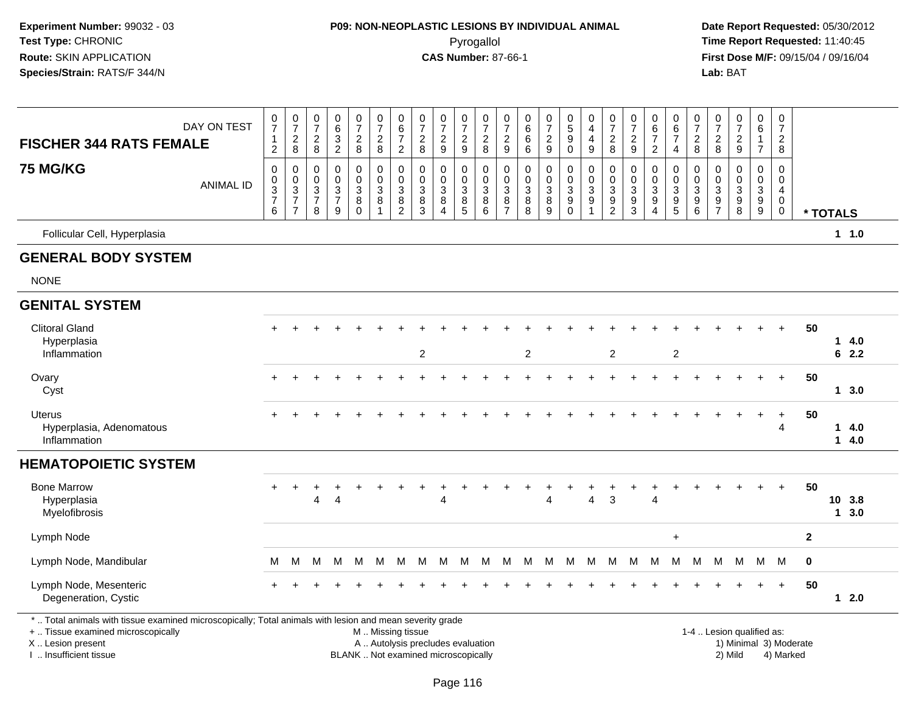#### **P09: NON-NEOPLASTIC LESIONS BY INDIVIDUAL ANIMAL**Pyrogallol **Time Report Requested:** 11:40:45

 **Date Report Requested:** 05/30/2012 **First Dose M/F:** 09/15/04 / 09/16/04<br>Lab: BAT **Lab:** BAT

| <b>FISCHER 344 RATS FEMALE</b>                                                                                                                                                                | DAY ON TEST      | $\frac{0}{7}$<br>$\mathbf{1}$<br>$\overline{2}$   | $\frac{0}{7}$<br>$_{8}^2$                                          | 0<br>$\overline{7}$<br>$\frac{2}{8}$                                 | 0<br>$\,6\,$<br>$\frac{3}{2}$                                     | $\frac{0}{7}$<br>$\frac{2}{8}$                                  | 0<br>$\overline{7}$<br>$_{\rm 8}^2$                  | $_{6}^{\rm 0}$<br>$\overline{7}$<br>$\overline{2}$                   | $\frac{0}{7}$<br>$_{\rm 8}^2$                                                                 | 0<br>$\overline{7}$<br>$\frac{2}{9}$                              | $\frac{0}{7}$<br>$\frac{2}{9}$                              | 0<br>$\overline{7}$<br>$\begin{array}{c} 2 \\ 8 \end{array}$ | 0<br>$\overline{7}$<br>$\frac{2}{9}$                              | 0<br>$\,6$<br>6<br>6            | $\frac{0}{7}$<br>$\frac{2}{9}$                            | $^{\rm 0}_{\rm 5}$<br>9<br>$\mathbf 0$                             | 0<br>$\overline{4}$<br>$\overline{4}$<br>9 | $\frac{0}{7}$<br>$\frac{2}{8}$            | 0<br>$\overline{7}$<br>$\frac{2}{9}$                              | 0<br>$6\phantom{1}6$<br>$\overline{7}$<br>$\overline{2}$                   | 0<br>6<br>$\overline{7}$<br>4                  | $\frac{0}{7}$<br>$_{8}^2$                               | $\frac{0}{7}$<br>$_{\rm 8}^2$                                          | $\begin{array}{c} 0 \\ 7 \end{array}$<br>$\frac{2}{9}$  | 0<br>6<br>$\overline{1}$<br>$\overline{7}$                                     | 0<br>$\overline{7}$<br>$\frac{2}{8}$                             |                        |          |                |
|-----------------------------------------------------------------------------------------------------------------------------------------------------------------------------------------------|------------------|---------------------------------------------------|--------------------------------------------------------------------|----------------------------------------------------------------------|-------------------------------------------------------------------|-----------------------------------------------------------------|------------------------------------------------------|----------------------------------------------------------------------|-----------------------------------------------------------------------------------------------|-------------------------------------------------------------------|-------------------------------------------------------------|--------------------------------------------------------------|-------------------------------------------------------------------|---------------------------------|-----------------------------------------------------------|--------------------------------------------------------------------|--------------------------------------------|-------------------------------------------|-------------------------------------------------------------------|----------------------------------------------------------------------------|------------------------------------------------|---------------------------------------------------------|------------------------------------------------------------------------|---------------------------------------------------------|--------------------------------------------------------------------------------|------------------------------------------------------------------|------------------------|----------|----------------|
| <b>75 MG/KG</b>                                                                                                                                                                               | <b>ANIMAL ID</b> | 0<br>$\pmb{0}$<br>$\frac{3}{7}$<br>$6\phantom{a}$ | 0<br>$\mathbf 0$<br>$\sqrt{3}$<br>$\overline{7}$<br>$\overline{7}$ | $\mathbf 0$<br>$\boldsymbol{0}$<br>$\sqrt{3}$<br>$\overline{7}$<br>8 | $\mathbf 0$<br>$\mathbf 0$<br>$\mathbf{3}$<br>$\overline{7}$<br>9 | $\mathbf 0$<br>$\mathbf 0$<br>$\sqrt{3}$<br>8<br>$\overline{0}$ | $\mathbf 0$<br>$\mathbf 0$<br>$\mathbf{3}$<br>8<br>1 | 0<br>$\mathbf 0$<br>$\ensuremath{\mathsf{3}}$<br>8<br>$\overline{2}$ | 0<br>$\pmb{0}$<br>3<br>8<br>$\overline{3}$                                                    | $\mathbf 0$<br>$\mathbf 0$<br>$\mathbf{3}$<br>8<br>$\overline{4}$ | $\mathbf 0$<br>$\pmb{0}$<br>$\frac{3}{8}$<br>$\overline{5}$ | 0<br>0<br>$\mathbf{3}$<br>8<br>$\,6\,$                       | $\mathbf 0$<br>$\mathbf 0$<br>$\mathbf{3}$<br>8<br>$\overline{7}$ | 0<br>$\mathbf 0$<br>3<br>8<br>8 | 0<br>$\mathbf 0$<br>$\mathfrak{Z}$<br>8<br>$\overline{9}$ | $\mathbf 0$<br>$\pmb{0}$<br>$\sqrt{3}$<br>9<br>$\ddot{\mathbf{0}}$ | 0<br>$\mathbf 0$<br>3<br>9                 | $\mathbf 0$<br>$\pmb{0}$<br>$\frac{3}{9}$ | $\mathbf 0$<br>$\mathbf 0$<br>$\ensuremath{\mathsf{3}}$<br>9<br>3 | $\mathbf 0$<br>$\mathbf 0$<br>$\mathbf{3}$<br>9<br>$\overline{\mathbf{4}}$ | 0<br>$\mathbf 0$<br>3<br>$\boldsymbol{9}$<br>5 | 0<br>$\mathbf 0$<br>$\ensuremath{\mathsf{3}}$<br>$^9_6$ | 0<br>$\mathbf 0$<br>$\mathbf{3}$<br>$\boldsymbol{9}$<br>$\overline{7}$ | $\mathbf 0$<br>0<br>$\mathbf{3}$<br>9<br>$\overline{8}$ | $\mathbf 0$<br>$\mathbf 0$<br>$\ensuremath{\mathsf{3}}$<br>9<br>$\overline{9}$ | 0<br>$\mathbf 0$<br>$\overline{4}$<br>$\mathbf 0$<br>$\mathbf 0$ |                        | * TOTALS |                |
| Follicular Cell, Hyperplasia                                                                                                                                                                  |                  |                                                   |                                                                    |                                                                      |                                                                   |                                                                 |                                                      |                                                                      |                                                                                               |                                                                   |                                                             |                                                              |                                                                   |                                 |                                                           |                                                                    |                                            |                                           |                                                                   |                                                                            |                                                |                                                         |                                                                        |                                                         |                                                                                |                                                                  |                        |          | 1 1.0          |
| <b>GENERAL BODY SYSTEM</b>                                                                                                                                                                    |                  |                                                   |                                                                    |                                                                      |                                                                   |                                                                 |                                                      |                                                                      |                                                                                               |                                                                   |                                                             |                                                              |                                                                   |                                 |                                                           |                                                                    |                                            |                                           |                                                                   |                                                                            |                                                |                                                         |                                                                        |                                                         |                                                                                |                                                                  |                        |          |                |
| <b>NONE</b>                                                                                                                                                                                   |                  |                                                   |                                                                    |                                                                      |                                                                   |                                                                 |                                                      |                                                                      |                                                                                               |                                                                   |                                                             |                                                              |                                                                   |                                 |                                                           |                                                                    |                                            |                                           |                                                                   |                                                                            |                                                |                                                         |                                                                        |                                                         |                                                                                |                                                                  |                        |          |                |
| <b>GENITAL SYSTEM</b>                                                                                                                                                                         |                  |                                                   |                                                                    |                                                                      |                                                                   |                                                                 |                                                      |                                                                      |                                                                                               |                                                                   |                                                             |                                                              |                                                                   |                                 |                                                           |                                                                    |                                            |                                           |                                                                   |                                                                            |                                                |                                                         |                                                                        |                                                         |                                                                                |                                                                  |                        |          |                |
| <b>Clitoral Gland</b><br>Hyperplasia<br>Inflammation                                                                                                                                          |                  | ÷                                                 |                                                                    |                                                                      |                                                                   |                                                                 |                                                      |                                                                      | $\boldsymbol{2}$                                                                              |                                                                   |                                                             |                                                              |                                                                   | $\boldsymbol{2}$                |                                                           |                                                                    |                                            | $\sqrt{2}$                                |                                                                   |                                                                            | $\boldsymbol{2}$                               |                                                         |                                                                        |                                                         |                                                                                | $\div$                                                           | 50                     |          | 14.0<br>62.2   |
| Ovary<br>Cyst                                                                                                                                                                                 |                  |                                                   |                                                                    |                                                                      |                                                                   |                                                                 |                                                      |                                                                      |                                                                                               |                                                                   |                                                             |                                                              |                                                                   |                                 |                                                           |                                                                    |                                            |                                           |                                                                   |                                                                            |                                                |                                                         |                                                                        |                                                         |                                                                                | $\ddot{}$                                                        | 50                     |          | $1 \quad 3.0$  |
| <b>Uterus</b><br>Hyperplasia, Adenomatous<br>Inflammation                                                                                                                                     |                  |                                                   |                                                                    |                                                                      |                                                                   |                                                                 |                                                      |                                                                      |                                                                                               |                                                                   |                                                             |                                                              |                                                                   |                                 |                                                           |                                                                    |                                            |                                           |                                                                   |                                                                            |                                                |                                                         |                                                                        |                                                         |                                                                                | $\ddot{}$<br>4                                                   | 50                     |          | 14.0<br>14.0   |
| <b>HEMATOPOIETIC SYSTEM</b>                                                                                                                                                                   |                  |                                                   |                                                                    |                                                                      |                                                                   |                                                                 |                                                      |                                                                      |                                                                                               |                                                                   |                                                             |                                                              |                                                                   |                                 |                                                           |                                                                    |                                            |                                           |                                                                   |                                                                            |                                                |                                                         |                                                                        |                                                         |                                                                                |                                                                  |                        |          |                |
| <b>Bone Marrow</b><br>Hyperplasia<br>Myelofibrosis                                                                                                                                            |                  | $\ddot{}$                                         | $\ddot{}$                                                          | 4                                                                    | 4                                                                 |                                                                 |                                                      |                                                                      |                                                                                               | 4                                                                 |                                                             |                                                              |                                                                   |                                 | 4                                                         |                                                                    | 4                                          | 3                                         |                                                                   | 4                                                                          |                                                |                                                         |                                                                        |                                                         |                                                                                | $+$                                                              | 50                     |          | 10 3.8<br>13.0 |
| Lymph Node                                                                                                                                                                                    |                  |                                                   |                                                                    |                                                                      |                                                                   |                                                                 |                                                      |                                                                      |                                                                                               |                                                                   |                                                             |                                                              |                                                                   |                                 |                                                           |                                                                    |                                            |                                           |                                                                   |                                                                            | $\ddot{}$                                      |                                                         |                                                                        |                                                         |                                                                                |                                                                  | $\mathbf{2}$           |          |                |
| Lymph Node, Mandibular                                                                                                                                                                        |                  | м                                                 | M                                                                  | М                                                                    | м                                                                 | M                                                               | M                                                    | M                                                                    | M                                                                                             | M                                                                 | M                                                           | M                                                            | M                                                                 | M                               | M                                                         | M                                                                  | M                                          | M                                         | M                                                                 | M                                                                          | M                                              | M                                                       | M                                                                      | M                                                       | M                                                                              | M                                                                | $\mathbf 0$            |          |                |
| Lymph Node, Mesenteric<br>Degeneration, Cystic                                                                                                                                                |                  |                                                   |                                                                    |                                                                      |                                                                   |                                                                 |                                                      |                                                                      |                                                                                               |                                                                   |                                                             |                                                              |                                                                   |                                 |                                                           |                                                                    |                                            |                                           |                                                                   |                                                                            |                                                |                                                         |                                                                        |                                                         |                                                                                | $\ddot{}$                                                        | 50                     |          | $12.0$         |
| *  Total animals with tissue examined microscopically; Total animals with lesion and mean severity grade<br>+  Tissue examined microscopically<br>X  Lesion present<br>I  Insufficient tissue |                  |                                                   |                                                                    |                                                                      |                                                                   |                                                                 |                                                      |                                                                      | M  Missing tissue<br>A  Autolysis precludes evaluation<br>BLANK  Not examined microscopically |                                                                   |                                                             |                                                              |                                                                   |                                 |                                                           |                                                                    |                                            |                                           |                                                                   |                                                                            |                                                |                                                         |                                                                        | 2) Mild                                                 | 1-4  Lesion qualified as:                                                      | 4) Marked                                                        | 1) Minimal 3) Moderate |          |                |

Page 116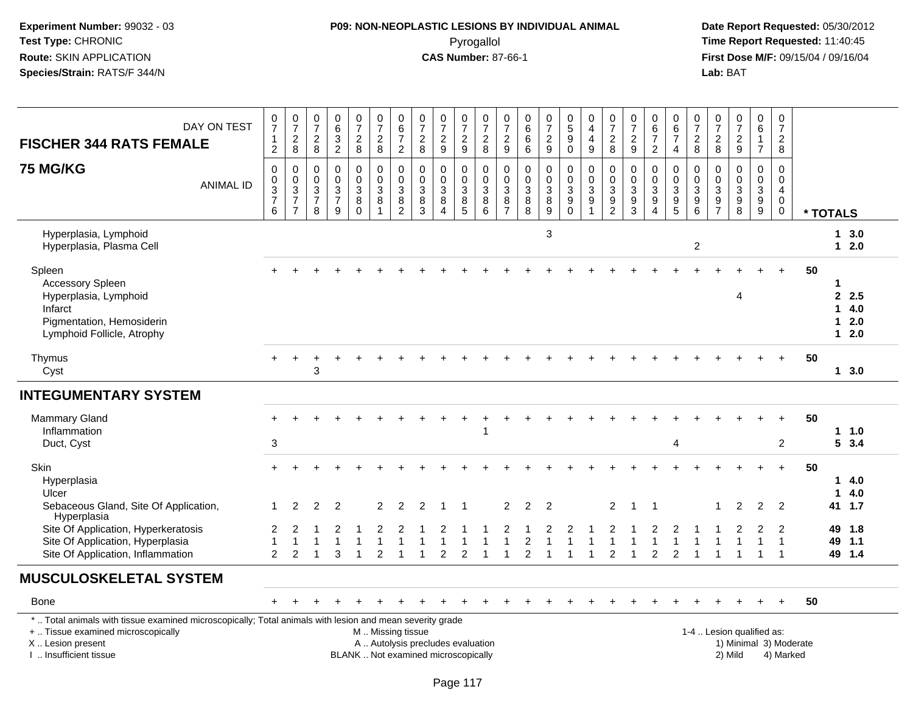### **P09: NON-NEOPLASTIC LESIONS BY INDIVIDUAL ANIMAL**Pyrogallol **Time Report Requested:** 11:40:45

| DAY ON TEST<br><b>FISCHER 344 RATS FEMALE</b>                                                                                                                                                 | $\frac{0}{7}$<br>$\mathbf{1}$<br>$\overline{2}$ | $\frac{0}{7}$<br>$\frac{2}{8}$                                     | $\frac{0}{7}$<br>$_{\rm 8}^2$                                 | $\mathbf 0$<br>$\frac{6}{3}$                                                   | $\begin{array}{c} 0 \\ 7 \end{array}$<br>$\frac{2}{8}$             | $\frac{0}{7}$<br>$\frac{2}{8}$                                                                | $\begin{array}{c} 0 \\ 6 \\ 7 \end{array}$<br>$\overline{2}$                                       | $\begin{array}{c} 0 \\ 7 \end{array}$<br>$\overline{c}$<br>8 | $\frac{0}{7}$<br>$\overline{c}$<br>9                              | $\frac{0}{7}$<br>$\boldsymbol{2}$<br>$9\,$         | $\frac{0}{7}$<br>$_{\rm 8}^2$                        | $\begin{matrix} 0 \\ 7 \end{matrix}$<br>$\frac{2}{9}$                                 | 0<br>$\overline{6}$<br>6<br>$\,6\,$                      | $\frac{0}{7}$<br>$\frac{2}{9}$                         | $\begin{array}{c} 0 \\ 5 \\ 9 \end{array}$<br>$\pmb{0}$        | $\begin{smallmatrix}0\\4\end{smallmatrix}$<br>$\overline{4}$<br>9              | $\frac{0}{7}$<br>$\frac{2}{8}$                                | $\frac{0}{7}$<br>$\overline{2}$<br>9                | $\pmb{0}$<br>$rac{6}{7}$<br>$\overline{2}$                                     | 0<br>$6\phantom{a}$<br>$\overline{7}$<br>4                            | $\begin{array}{c} 0 \\ 7 \\ 2 \\ 8 \end{array}$             | $\frac{0}{7}$<br>$\overline{c}$<br>8             | $\pmb{0}$<br>$\overline{7}$<br>$\frac{2}{9}$               | $\begin{array}{c} 0 \\ 6 \end{array}$<br>$\overline{7}$ | $\pmb{0}$<br>$\overline{7}$<br>$\boldsymbol{2}$<br>8                       |                        |                         |                                |  |
|-----------------------------------------------------------------------------------------------------------------------------------------------------------------------------------------------|-------------------------------------------------|--------------------------------------------------------------------|---------------------------------------------------------------|--------------------------------------------------------------------------------|--------------------------------------------------------------------|-----------------------------------------------------------------------------------------------|----------------------------------------------------------------------------------------------------|--------------------------------------------------------------|-------------------------------------------------------------------|----------------------------------------------------|------------------------------------------------------|---------------------------------------------------------------------------------------|----------------------------------------------------------|--------------------------------------------------------|----------------------------------------------------------------|--------------------------------------------------------------------------------|---------------------------------------------------------------|-----------------------------------------------------|--------------------------------------------------------------------------------|-----------------------------------------------------------------------|-------------------------------------------------------------|--------------------------------------------------|------------------------------------------------------------|---------------------------------------------------------|----------------------------------------------------------------------------|------------------------|-------------------------|--------------------------------|--|
| <b>75 MG/KG</b><br><b>ANIMAL ID</b>                                                                                                                                                           | $\Omega$<br>0<br>$\frac{3}{7}$<br>6             | $\mathbf 0$<br>$\boldsymbol{0}$<br>$\frac{3}{7}$<br>$\overline{7}$ | $\mathbf 0$<br>$\pmb{0}$<br>$\sqrt{3}$<br>$\overline{7}$<br>8 | $\mathbf 0$<br>$\mathbf 0$<br>$\ensuremath{\mathsf{3}}$<br>$\overline{7}$<br>9 | $\mathbf 0$<br>$\mathbf 0$<br>$\sqrt{3}$<br>$\,8\,$<br>$\mathbf 0$ | $\mathbf 0$<br>$\mathbf 0$<br>3<br>8<br>1                                                     | $\mathbf 0$<br>$\mathsf{O}\xspace$<br>$\sqrt{3}$<br>$\begin{smallmatrix} 8 \\ 2 \end{smallmatrix}$ | $\mathbf 0$<br>$\mathbf 0$<br>3<br>8<br>3                    | $\mathbf 0$<br>$\mathbf 0$<br>$\mathbf{3}$<br>8<br>$\overline{4}$ | $\mathbf 0$<br>$\mathbf 0$<br>$\sqrt{3}$<br>$^8$ 5 | $\mathbf 0$<br>$\mathbf 0$<br>$\mathbf{3}$<br>$^8_6$ | $\mathbf 0$<br>$\mathbf 0$<br>$\overline{3}$<br>$\begin{array}{c} 8 \\ 7 \end{array}$ | $\mathbf 0$<br>$\mathbf 0$<br>$\sqrt{3}$<br>$\bf 8$<br>8 | $\pmb{0}$<br>$\pmb{0}$<br>$\mathsf 3$<br>$\frac{8}{9}$ | 0<br>$\mathbf 0$<br>$\mathbf{3}$<br>$\overline{9}$<br>$\Omega$ | $\mathbf 0$<br>$\mathbf 0$<br>$\sqrt{3}$<br>$\boldsymbol{9}$<br>$\overline{1}$ | $\mathbf 0$<br>$\mathbf 0$<br>$\overline{3}$<br>$\frac{9}{2}$ | $\mathbf 0$<br>0<br>$\sqrt{3}$<br>9<br>$\mathbf{3}$ | $\mathbf 0$<br>$\mathbf 0$<br>$\sqrt{3}$<br>$\boldsymbol{9}$<br>$\overline{4}$ | $\Omega$<br>$\mathbf 0$<br>3<br>$\begin{array}{c} 9 \\ 5 \end{array}$ | $\mathbf 0$<br>$\mathsf{O}\xspace$<br>$\mathbf 3$<br>$^9_6$ | $\mathbf 0$<br>$\mathbf 0$<br>3<br>$\frac{9}{7}$ | $\mathbf 0$<br>$\mathbf 0$<br>$\sqrt{3}$<br>$_{8}^{\rm 9}$ | $\mathbf 0$<br>$\mathbf 0$<br>$\mathsf 3$<br>$^9_9$     | $\mathbf 0$<br>$\mathbf 0$<br>$\overline{4}$<br>$\mathbf 0$<br>$\mathbf 0$ |                        | * TOTALS                |                                |  |
| Hyperplasia, Lymphoid<br>Hyperplasia, Plasma Cell                                                                                                                                             |                                                 |                                                                    |                                                               |                                                                                |                                                                    |                                                                                               |                                                                                                    |                                                              |                                                                   |                                                    |                                                      |                                                                                       |                                                          | $\ensuremath{\mathsf{3}}$                              |                                                                |                                                                                |                                                               |                                                     |                                                                                |                                                                       | $\overline{c}$                                              |                                                  |                                                            |                                                         |                                                                            |                        |                         | 13.0<br>$12.0$                 |  |
| Spleen<br>Accessory Spleen<br>Hyperplasia, Lymphoid<br>Infarct<br>Pigmentation, Hemosiderin<br>Lymphoid Follicle, Atrophy                                                                     |                                                 |                                                                    |                                                               |                                                                                |                                                                    |                                                                                               |                                                                                                    |                                                              |                                                                   |                                                    |                                                      |                                                                                       |                                                          |                                                        |                                                                |                                                                                |                                                               |                                                     |                                                                                |                                                                       |                                                             |                                                  | 4                                                          |                                                         |                                                                            | 50                     | -1<br>1<br>$\mathbf{1}$ | 2.5<br>4.0<br>2.0<br>$12.0$    |  |
| Thymus<br>Cyst                                                                                                                                                                                |                                                 |                                                                    | 3                                                             |                                                                                |                                                                    |                                                                                               |                                                                                                    |                                                              |                                                                   |                                                    |                                                      |                                                                                       |                                                          |                                                        |                                                                |                                                                                |                                                               |                                                     |                                                                                |                                                                       |                                                             |                                                  |                                                            |                                                         |                                                                            | 50                     |                         | $1 \, 3.0$                     |  |
| <b>INTEGUMENTARY SYSTEM</b>                                                                                                                                                                   |                                                 |                                                                    |                                                               |                                                                                |                                                                    |                                                                                               |                                                                                                    |                                                              |                                                                   |                                                    |                                                      |                                                                                       |                                                          |                                                        |                                                                |                                                                                |                                                               |                                                     |                                                                                |                                                                       |                                                             |                                                  |                                                            |                                                         |                                                                            |                        |                         |                                |  |
| <b>Mammary Gland</b><br>Inflammation<br>Duct, Cyst                                                                                                                                            | 3                                               |                                                                    |                                                               |                                                                                |                                                                    |                                                                                               |                                                                                                    |                                                              |                                                                   |                                                    |                                                      |                                                                                       |                                                          |                                                        |                                                                |                                                                                |                                                               |                                                     |                                                                                | Δ                                                                     |                                                             |                                                  |                                                            |                                                         | $\overline{2}$                                                             | 50                     |                         | 11.0<br>53.4                   |  |
| <b>Skin</b><br>Hyperplasia<br>Ulcer                                                                                                                                                           | $+$                                             |                                                                    |                                                               |                                                                                |                                                                    |                                                                                               |                                                                                                    |                                                              |                                                                   |                                                    |                                                      |                                                                                       |                                                          |                                                        |                                                                |                                                                                |                                                               |                                                     |                                                                                |                                                                       |                                                             |                                                  |                                                            | $\overline{ }$                                          | $+$                                                                        | 50                     | -1                      | 14.0<br>4.0                    |  |
| Sebaceous Gland, Site Of Application,<br>Hyperplasia<br>Site Of Application, Hyperkeratosis<br>Site Of Application, Hyperplasia<br>Site Of Application, Inflammation                          | 1<br>2<br>$\overline{1}$<br>2                   | 2<br>2                                                             | 2                                                             | $\overline{2}$<br>3                                                            |                                                                    | 2<br>$\mathfrak{p}$                                                                           | 2                                                                                                  | 2                                                            | 2                                                                 | 2                                                  |                                                      | $\overline{2}$                                                                        | $\overline{2}$<br>$\overline{2}$<br>2                    | $\overline{2}$                                         |                                                                |                                                                                | 2<br>2                                                        | 1                                                   | $\overline{2}$                                                                 | $\overline{2}$                                                        |                                                             |                                                  | 2                                                          | 2<br>$\overline{1}$<br>-1                               | $\overline{2}$<br>$\overline{2}$<br>$\overline{1}$<br>$\overline{1}$       |                        | 49<br>49                | 41 1.7<br>1.8<br>1.1<br>49 1.4 |  |
| <b>MUSCULOSKELETAL SYSTEM</b>                                                                                                                                                                 |                                                 |                                                                    |                                                               |                                                                                |                                                                    |                                                                                               |                                                                                                    |                                                              |                                                                   |                                                    |                                                      |                                                                                       |                                                          |                                                        |                                                                |                                                                                |                                                               |                                                     |                                                                                |                                                                       |                                                             |                                                  |                                                            |                                                         |                                                                            |                        |                         |                                |  |
| Bone                                                                                                                                                                                          |                                                 |                                                                    |                                                               |                                                                                |                                                                    |                                                                                               |                                                                                                    |                                                              |                                                                   |                                                    |                                                      |                                                                                       |                                                          |                                                        |                                                                |                                                                                |                                                               |                                                     |                                                                                |                                                                       |                                                             |                                                  |                                                            |                                                         | $+$                                                                        | 50                     |                         |                                |  |
| *  Total animals with tissue examined microscopically; Total animals with lesion and mean severity grade<br>+  Tissue examined microscopically<br>X  Lesion present<br>I  Insufficient tissue |                                                 |                                                                    |                                                               |                                                                                |                                                                    | M. Missing tissue<br>A  Autolysis precludes evaluation<br>BLANK  Not examined microscopically |                                                                                                    |                                                              |                                                                   |                                                    |                                                      |                                                                                       |                                                          |                                                        |                                                                |                                                                                |                                                               |                                                     |                                                                                |                                                                       |                                                             |                                                  | 1-4  Lesion qualified as:<br>2) Mild                       |                                                         | 4) Marked                                                                  | 1) Minimal 3) Moderate |                         |                                |  |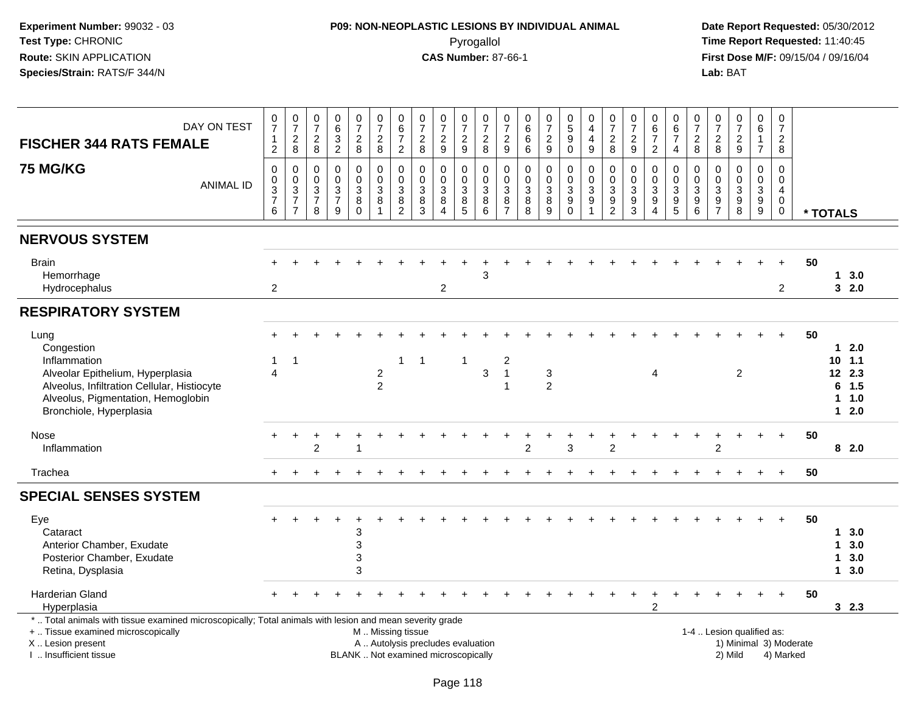# **P09: NON-NEOPLASTIC LESIONS BY INDIVIDUAL ANIMAL**Pyrogallol **Time Report Requested:** 11:40:45

| DAY ON TEST<br><b>FISCHER 344 RATS FEMALE</b><br><b>75 MG/KG</b>                                                                                                                              | $\frac{0}{7}$<br>$\frac{1}{2}$<br>0                  | $\frac{0}{7}$<br>$_{\rm 8}^2$<br>$\mathbf 0$                      | $\begin{smallmatrix}0\\7\end{smallmatrix}$<br>$\boldsymbol{2}$<br>8<br>0 | $\begin{array}{c} 0 \\ 6 \end{array}$<br>$\frac{3}{2}$<br>$\pmb{0}$ | $\frac{0}{7}$<br>$\overline{\mathbf{c}}$<br>8<br>0  | $\frac{0}{7}$<br>$\sqrt{2}$<br>8<br>$\pmb{0}$    | 0<br>6<br>$\overline{7}$<br>$\overline{2}$<br>0 | $\frac{0}{7}$<br>$\overline{\mathbf{c}}$<br>8<br>$\mathbf 0$ | $\frac{0}{7}$<br>$\overline{c}$<br>9<br>0                                | $\frac{0}{7}$<br>$\frac{2}{9}$<br>0                   | $\frac{0}{7}$<br>$\begin{array}{c} 2 \\ 8 \end{array}$<br>0           | $\frac{0}{7}$<br>$\frac{2}{9}$<br>0              | $\begin{array}{c} 0 \\ 6 \end{array}$<br>$\,6\,$<br>6<br>$\mathbf 0$ | $\frac{0}{7}$<br>$\overline{\mathbf{c}}$<br>9<br>0 | $\begin{array}{c} 0 \\ 5 \end{array}$<br>$\boldsymbol{9}$<br>0<br>$\pmb{0}$ | $\begin{smallmatrix}0\0\4\end{smallmatrix}$<br>$\overline{\mathbf{4}}$<br>9<br>0 | $\frac{0}{7}$<br>$\overline{\mathbf{c}}$<br>8<br>0 | $\frac{0}{7}$<br>$\frac{2}{9}$<br>$\mathbf 0$             | $\begin{array}{c} 0 \\ 6 \end{array}$<br>$\overline{7}$<br>$\overline{2}$<br>0 | 0<br>$\overline{6}$<br>$\overline{7}$<br>$\overline{4}$<br>0   | $\frac{0}{7}$<br>$\overline{c}$<br>8<br>$\mathbf 0$ | $\frac{0}{7}$<br>$_{\rm 8}^2$<br>0                              | $\begin{matrix}0\\7\end{matrix}$<br>$\frac{2}{9}$<br>0 | $\pmb{0}$<br>$6\overline{6}$<br>$\mathbf{1}$<br>$\overline{7}$<br>0 | $\mathbf 0$<br>$\overline{7}$<br>$\overline{a}$<br>8<br>$\Omega$ |                                     |                            |                                                             |  |
|-----------------------------------------------------------------------------------------------------------------------------------------------------------------------------------------------|------------------------------------------------------|-------------------------------------------------------------------|--------------------------------------------------------------------------|---------------------------------------------------------------------|-----------------------------------------------------|--------------------------------------------------|-------------------------------------------------|--------------------------------------------------------------|--------------------------------------------------------------------------|-------------------------------------------------------|-----------------------------------------------------------------------|--------------------------------------------------|----------------------------------------------------------------------|----------------------------------------------------|-----------------------------------------------------------------------------|----------------------------------------------------------------------------------|----------------------------------------------------|-----------------------------------------------------------|--------------------------------------------------------------------------------|----------------------------------------------------------------|-----------------------------------------------------|-----------------------------------------------------------------|--------------------------------------------------------|---------------------------------------------------------------------|------------------------------------------------------------------|-------------------------------------|----------------------------|-------------------------------------------------------------|--|
| <b>ANIMAL ID</b>                                                                                                                                                                              | $\mathbf 0$<br>$\overline{3}$<br>$\overline{7}$<br>6 | $\mathbf 0$<br>$\overline{3}$<br>$\overline{7}$<br>$\overline{7}$ | $\mathbf 0$<br>$\sqrt{3}$<br>$\overline{7}$<br>8                         | $\mathbf 0$<br>$\overline{3}$<br>$\overline{7}$<br>9                | $\mathbf 0$<br>$\sqrt{3}$<br>$\bf 8$<br>$\mathbf 0$ | $\mathbf 0$<br>$\sqrt{3}$<br>8<br>$\overline{1}$ | $\mathbf 0$<br>3<br>$\bf 8$<br>$\overline{c}$   | $\mathbf 0$<br>$\sqrt{3}$<br>8<br>$\mathbf{3}$               | $\mathbf 0$<br>$\mathbf{3}$<br>8<br>$\boldsymbol{\Lambda}$               | 0<br>$\ensuremath{\mathsf{3}}$<br>8<br>$\overline{5}$ | $\mathbf 0$<br>$\ensuremath{\mathsf{3}}$<br>$\bf 8$<br>$6\phantom{a}$ | $\mathbf 0$<br>$\sqrt{3}$<br>8<br>$\overline{7}$ | $\mathbf 0$<br>$\overline{3}$<br>8<br>8                              | $\mathbf 0$<br>3<br>$\bf 8$<br>$\boldsymbol{9}$    | $\pmb{0}$<br>$\overline{3}$<br>$\boldsymbol{9}$<br>$\overline{0}$           | $\mathbf 0$<br>$\mathbf{3}$<br>$\boldsymbol{9}$<br>1                             | 0<br>$\ensuremath{\mathsf{3}}$<br>$\frac{9}{2}$    | $\mathbf 0$<br>$\ensuremath{\mathsf{3}}$<br>$\frac{9}{3}$ | $\mathbf 0$<br>$\ensuremath{\mathsf{3}}$<br>9<br>$\overline{4}$                | $\Omega$<br>$\mathbf{3}$<br>$\boldsymbol{9}$<br>$\overline{5}$ | $\mathbf 0$<br>3<br>$\boldsymbol{9}$<br>$\,6$       | $\mathbf 0$<br>$\sqrt{3}$<br>$\boldsymbol{9}$<br>$\overline{7}$ | $\mathbf 0$<br>3<br>$\boldsymbol{9}$<br>$\overline{8}$ | $\mathbf 0$<br>$\overline{3}$<br>$^9_9$                             | $\mathbf 0$<br>$\overline{4}$<br>$\mathbf 0$<br>$\pmb{0}$        |                                     | * TOTALS                   |                                                             |  |
| <b>NERVOUS SYSTEM</b>                                                                                                                                                                         |                                                      |                                                                   |                                                                          |                                                                     |                                                     |                                                  |                                                 |                                                              |                                                                          |                                                       |                                                                       |                                                  |                                                                      |                                                    |                                                                             |                                                                                  |                                                    |                                                           |                                                                                |                                                                |                                                     |                                                                 |                                                        |                                                                     |                                                                  |                                     |                            |                                                             |  |
| <b>Brain</b><br>Hemorrhage<br>Hydrocephalus                                                                                                                                                   | $\overline{2}$                                       |                                                                   |                                                                          |                                                                     |                                                     |                                                  |                                                 |                                                              | $\overline{c}$                                                           |                                                       | 3                                                                     |                                                  |                                                                      |                                                    |                                                                             |                                                                                  |                                                    |                                                           |                                                                                |                                                                |                                                     |                                                                 |                                                        |                                                                     | $\overline{2}$                                                   | 50                                  |                            | 13.0<br>32.0                                                |  |
| <b>RESPIRATORY SYSTEM</b>                                                                                                                                                                     |                                                      |                                                                   |                                                                          |                                                                     |                                                     |                                                  |                                                 |                                                              |                                                                          |                                                       |                                                                       |                                                  |                                                                      |                                                    |                                                                             |                                                                                  |                                                    |                                                           |                                                                                |                                                                |                                                     |                                                                 |                                                        |                                                                     |                                                                  |                                     |                            |                                                             |  |
| Lung<br>Congestion<br>Inflammation<br>Alveolar Epithelium, Hyperplasia<br>Alveolus, Infiltration Cellular, Histiocyte<br>Alveolus, Pigmentation, Hemoglobin<br>Bronchiole, Hyperplasia        | -1<br>$\overline{4}$                                 | $\overline{1}$                                                    |                                                                          |                                                                     |                                                     | $\sqrt{2}$<br>$\overline{2}$                     | 1                                               | -1                                                           |                                                                          | $\mathbf 1$                                           | $\mathbf{3}$                                                          | 2<br>$\overline{1}$                              |                                                                      | $\sqrt{3}$<br>$\overline{2}$                       |                                                                             |                                                                                  |                                                    |                                                           | 4                                                                              |                                                                |                                                     |                                                                 | 2                                                      |                                                                     |                                                                  | 50                                  |                            | $12.0$<br>10, 1.1<br>12 2.3<br>$6$ 1.5<br>$1 1.0$<br>$12.0$ |  |
| Nose<br>Inflammation                                                                                                                                                                          |                                                      |                                                                   | 2                                                                        |                                                                     |                                                     |                                                  |                                                 |                                                              |                                                                          |                                                       |                                                                       |                                                  | 2                                                                    |                                                    | 3                                                                           |                                                                                  | $\overline{2}$                                     |                                                           |                                                                                |                                                                |                                                     | 2                                                               |                                                        |                                                                     | $+$                                                              | 50                                  |                            | 82.0                                                        |  |
| Trachea                                                                                                                                                                                       |                                                      |                                                                   |                                                                          |                                                                     |                                                     |                                                  |                                                 |                                                              |                                                                          |                                                       |                                                                       |                                                  |                                                                      |                                                    |                                                                             |                                                                                  |                                                    |                                                           |                                                                                |                                                                |                                                     |                                                                 |                                                        |                                                                     | $\ddot{+}$                                                       | 50                                  |                            |                                                             |  |
| <b>SPECIAL SENSES SYSTEM</b>                                                                                                                                                                  |                                                      |                                                                   |                                                                          |                                                                     |                                                     |                                                  |                                                 |                                                              |                                                                          |                                                       |                                                                       |                                                  |                                                                      |                                                    |                                                                             |                                                                                  |                                                    |                                                           |                                                                                |                                                                |                                                     |                                                                 |                                                        |                                                                     |                                                                  |                                     |                            |                                                             |  |
| Eye<br>Cataract<br>Anterior Chamber, Exudate<br>Posterior Chamber, Exudate<br>Retina, Dysplasia                                                                                               |                                                      |                                                                   |                                                                          |                                                                     | 3<br>3<br>3<br>3                                    |                                                  |                                                 |                                                              |                                                                          |                                                       |                                                                       |                                                  |                                                                      |                                                    |                                                                             |                                                                                  |                                                    |                                                           |                                                                                |                                                                |                                                     |                                                                 |                                                        |                                                                     |                                                                  | 50                                  | $\mathbf 1$<br>$\mathbf 1$ | 1, 3.0<br>3.0<br>3.0<br>13.0                                |  |
| <b>Harderian Gland</b><br>Hyperplasia                                                                                                                                                         |                                                      |                                                                   |                                                                          |                                                                     |                                                     |                                                  |                                                 |                                                              |                                                                          |                                                       |                                                                       |                                                  |                                                                      |                                                    |                                                                             |                                                                                  |                                                    |                                                           | $\overline{2}$                                                                 |                                                                |                                                     |                                                                 |                                                        |                                                                     | $\ddot{}$                                                        | 50                                  |                            | 32.3                                                        |  |
| *  Total animals with tissue examined microscopically; Total animals with lesion and mean severity grade<br>+  Tissue examined microscopically<br>X  Lesion present<br>I  Insufficient tissue |                                                      |                                                                   |                                                                          |                                                                     |                                                     | M  Missing tissue                                |                                                 |                                                              | A  Autolysis precludes evaluation<br>BLANK  Not examined microscopically |                                                       |                                                                       |                                                  |                                                                      |                                                    |                                                                             |                                                                                  |                                                    |                                                           |                                                                                |                                                                |                                                     |                                                                 | 1-4  Lesion qualified as:<br>2) Mild                   |                                                                     |                                                                  | 1) Minimal 3) Moderate<br>4) Marked |                            |                                                             |  |